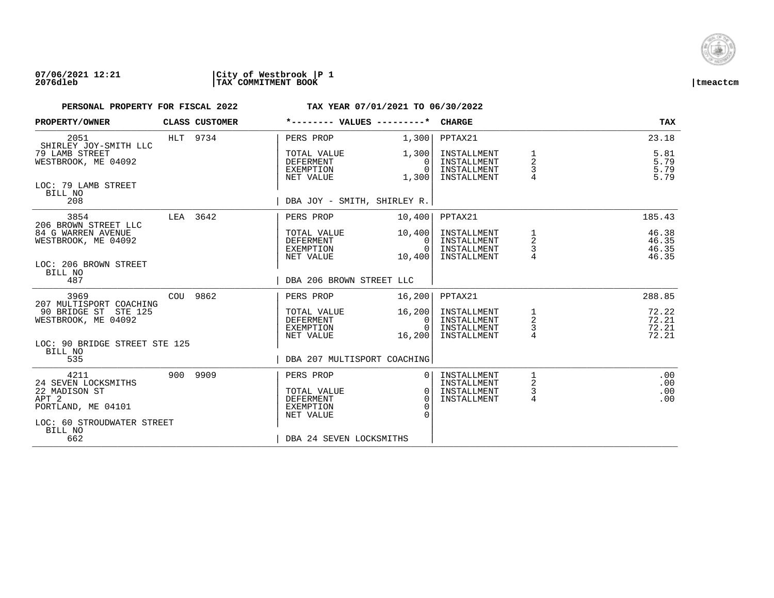

| PROPERTY/OWNER                                                                                                          |          | CLASS CUSTOMER | *-------- VALUES ---------*                               |                                          | <b>CHARGE</b>                                            |                                      | <b>TAX</b>                       |
|-------------------------------------------------------------------------------------------------------------------------|----------|----------------|-----------------------------------------------------------|------------------------------------------|----------------------------------------------------------|--------------------------------------|----------------------------------|
| 2051                                                                                                                    |          | HLT 9734       | PERS PROP                                                 | 1,300                                    | PPTAX21                                                  |                                      | 23.18                            |
| SHIRLEY JOY-SMITH LLC<br>79 LAMB STREET<br>WESTBROOK, ME 04092                                                          |          |                | TOTAL VALUE<br>DEFERMENT<br>EXEMPTION<br>NET VALUE        | 1,300<br>0<br>$\Omega$<br>1,300          | INSTALLMENT<br>INSTALLMENT<br>INSTALLMENT<br>INSTALLMENT | $\overline{2}$<br>3                  | 5.81<br>5.79<br>5.79<br>5.79     |
| LOC: 79 LAMB STREET<br>BILL NO<br>208                                                                                   |          |                | DBA JOY - SMITH, SHIRLEY R.                               |                                          |                                                          |                                      |                                  |
| 3854                                                                                                                    | LEA 3642 |                | PERS PROP                                                 | 10,400                                   | PPTAX21                                                  |                                      | 185.43                           |
| 206 BROWN STREET LLC<br>84 G WARREN AVENUE<br>WESTBROOK, ME 04092<br>LOC: 206 BROWN STREET                              |          |                | TOTAL VALUE<br>DEFERMENT<br>EXEMPTION<br>NET VALUE        | 10,400<br>$\Omega$<br>$\Omega$<br>10,400 | INSTALLMENT<br>INSTALLMENT<br>INSTALLMENT<br>INSTALLMENT | 1<br>2                               | 46.38<br>46.35<br>46.35<br>46.35 |
| BILL NO<br>487                                                                                                          |          |                | DBA 206 BROWN STREET LLC                                  |                                          |                                                          |                                      |                                  |
| 3969<br>207 MULTISPORT COACHING                                                                                         |          | COU 9862       | PERS PROP                                                 | 16,200                                   | PPTAX21                                                  |                                      | 288.85                           |
| 90 BRIDGE ST STE 125<br>WESTBROOK, ME 04092                                                                             |          |                | TOTAL VALUE<br>DEFERMENT<br>EXEMPTION<br>NET VALUE        | 16,200<br>0<br>$\Omega$<br>16,200        | INSTALLMENT<br>INSTALLMENT<br>INSTALLMENT<br>INSTALLMENT | 1<br>$\overline{a}$<br>$\frac{3}{4}$ | 72.22<br>72.21<br>72.21<br>72.21 |
| LOC: 90 BRIDGE STREET STE 125<br>BILL NO<br>535                                                                         |          |                | DBA 207 MULTISPORT COACHING                               |                                          |                                                          |                                      |                                  |
| 4211                                                                                                                    |          | 900 9909       | PERS PROP                                                 |                                          | INSTALLMENT                                              |                                      | .00                              |
| 24 SEVEN LOCKSMITHS<br>22 MADISON ST<br>APT <sub>2</sub><br>PORTLAND, ME 04101<br>LOC: 60 STROUDWATER STREET<br>BILL NO |          |                | TOTAL VALUE<br><b>DEFERMENT</b><br>EXEMPTION<br>NET VALUE | 0 <sup>1</sup><br>$\Omega$<br>$\Omega$   | INSTALLMENT<br>INSTALLMENT<br>INSTALLMENT                | 2<br>$\frac{3}{4}$                   | .00<br>.00<br>.00                |
| 662                                                                                                                     |          |                | DBA 24 SEVEN LOCKSMITHS                                   |                                          |                                                          |                                      |                                  |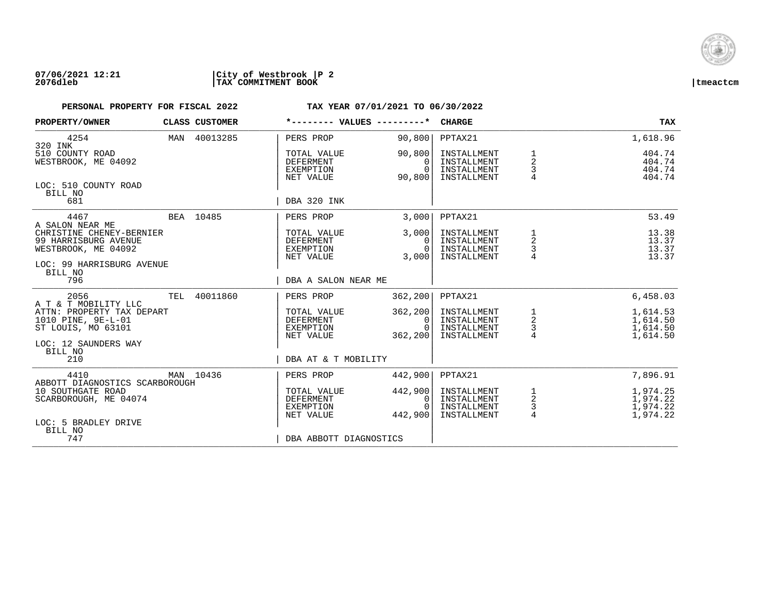

| PROPERTY/OWNER                                                                                       |     | CLASS CUSTOMER | *-------- VALUES ---------*                                      |                                        | <b>CHARGE</b>                                            |                                      | <b>TAX</b>                                   |
|------------------------------------------------------------------------------------------------------|-----|----------------|------------------------------------------------------------------|----------------------------------------|----------------------------------------------------------|--------------------------------------|----------------------------------------------|
| 4254<br>320 INK                                                                                      |     | MAN 40013285   | PERS PROP                                                        | 90,800                                 | PPTAX21                                                  |                                      | 1,618.96                                     |
| 510 COUNTY ROAD<br>WESTBROOK, ME 04092                                                               |     |                | TOTAL VALUE<br><b>DEFERMENT</b><br><b>EXEMPTION</b><br>NET VALUE | 90,800<br>0<br>$\Omega$<br>90,800      | INSTALLMENT<br>INSTALLMENT<br>INSTALLMENT<br>INSTALLMENT | $\frac{1}{2}$<br>3<br>$\overline{4}$ | 404.74<br>404.74<br>404.74<br>404.74         |
| LOC: 510 COUNTY ROAD<br>BILL NO<br>681                                                               |     |                | DBA 320 INK                                                      |                                        |                                                          |                                      |                                              |
| 4467<br>A SALON NEAR ME                                                                              |     | BEA 10485      | PERS PROP                                                        | 3,000                                  | PPTAX21                                                  |                                      | 53.49                                        |
| CHRISTINE CHENEY-BERNIER<br>99 HARRISBURG AVENUE<br>WESTBROOK, ME 04092<br>LOC: 99 HARRISBURG AVENUE |     |                | TOTAL VALUE<br><b>DEFERMENT</b><br><b>EXEMPTION</b><br>NET VALUE | 3,000<br>$\Omega$<br>$\Omega$<br>3,000 | INSTALLMENT<br>INSTALLMENT<br>INSTALLMENT<br>INSTALLMENT | 1<br>2<br>3<br>$\overline{4}$        | 13.38<br>13.37<br>13.37<br>13.37             |
| BILL NO<br>796                                                                                       |     |                | DBA A SALON NEAR ME                                              |                                        |                                                          |                                      |                                              |
| 2056<br>A T & T MOBILITY LLC                                                                         | TEL | 40011860       | PERS PROP                                                        | 362, 200                               | PPTAX21                                                  |                                      | 6,458.03                                     |
| ATTN: PROPERTY TAX DEPART<br>1010 PINE, 9E-L-01<br>ST LOUIS, MO 63101                                |     |                | TOTAL VALUE<br><b>DEFERMENT</b><br>EXEMPTION<br>NET VALUE        | 362,200<br>0<br>$\Omega$<br>362,200    | INSTALLMENT<br>INSTALLMENT<br>INSTALLMENT<br>INSTALLMENT | 1<br>$\overline{a}$<br>$\frac{3}{4}$ | 1,614.53<br>1,614.50<br>1,614.50<br>1,614.50 |
| LOC: 12 SAUNDERS WAY<br>BILL NO<br>210                                                               |     |                | DBA AT & T MOBILITY                                              |                                        |                                                          |                                      |                                              |
| 4410                                                                                                 |     | MAN 10436      | PERS PROP                                                        | 442,900                                | PPTAX21                                                  |                                      | 7,896.91                                     |
| ABBOTT DIAGNOSTICS SCARBOROUGH<br>10 SOUTHGATE ROAD<br>SCARBOROUGH, ME 04074                         |     |                | TOTAL VALUE<br><b>DEFERMENT</b><br>EXEMPTION<br>NET VALUE        | 442,900<br>0<br>$\Omega$<br>442,900    | INSTALLMENT<br>INSTALLMENT<br>INSTALLMENT<br>INSTALLMENT | $\frac{1}{2}$<br>$\frac{3}{4}$       | 1,974.25<br>1,974.22<br>1,974.22<br>1,974.22 |
| LOC: 5 BRADLEY DRIVE<br>BILL NO<br>747                                                               |     |                | DBA ABBOTT DIAGNOSTICS                                           |                                        |                                                          |                                      |                                              |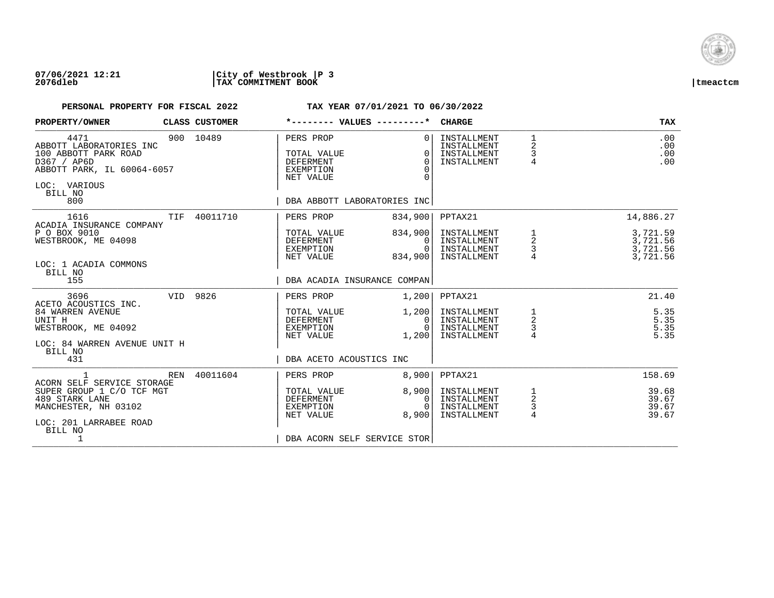

| CLASS CUSTOMER |                                                                        |                                                        | <b>CHARGE</b>                                                                                                                                       |                                                 | <b>TAX</b>                                   |
|----------------|------------------------------------------------------------------------|--------------------------------------------------------|-----------------------------------------------------------------------------------------------------------------------------------------------------|-------------------------------------------------|----------------------------------------------|
| 900 10489      | PERS PROP<br>TOTAL VALUE<br>DEFERMENT<br><b>EXEMPTION</b><br>NET VALUE | $\Omega$<br>$\Omega$<br>$\Omega$<br>$\Omega$<br>$\cap$ | INSTALLMENT<br>INSTALLMENT<br>INSTALLMENT<br>INSTALLMENT                                                                                            | $\mathbf{1}$<br>2<br>3<br>4                     | .00<br>.00<br>.00<br>.00                     |
| 40011710       | PERS PROP                                                              | 834,900                                                | PPTAX21                                                                                                                                             |                                                 | 14,886.27                                    |
|                | TOTAL VALUE<br>DEFERMENT<br>EXEMPTION<br>NET VALUE                     | 834,900<br>$\mathbf{0}$<br>$\Omega$<br>834,900         | INSTALLMENT<br>INSTALLMENT<br>INSTALLMENT<br>INSTALLMENT                                                                                            | 1<br>$\begin{array}{c} 2 \\ 3 \\ 4 \end{array}$ | 3,721.59<br>3,721.56<br>3,721.56<br>3,721.56 |
|                |                                                                        |                                                        |                                                                                                                                                     |                                                 |                                              |
| VID 9826       | PERS PROP<br>TOTAL VALUE<br>DEFERMENT<br>EXEMPTION<br>NET VALUE        | 1,200<br>1,200<br>0<br>$\Omega$<br>1,200               | PPTAX21<br>INSTALLMENT<br>INSTALLMENT<br>INSTALLMENT<br>INSTALLMENT                                                                                 | 1<br>$\overline{a}$<br>$\frac{3}{4}$            | 21.40<br>5.35<br>5.35<br>5.35<br>5.35        |
|                |                                                                        |                                                        |                                                                                                                                                     |                                                 |                                              |
| 40011604       | PERS PROP                                                              | 8,900                                                  | PPTAX21                                                                                                                                             |                                                 | 158.69                                       |
|                | TOTAL VALUE<br>DEFERMENT<br>EXEMPTION<br>NET VALUE                     | 8,900<br>0<br>$\Omega$<br>8,900                        | INSTALLMENT<br>INSTALLMENT<br>INSTALLMENT<br>INSTALLMENT                                                                                            | 1<br>$\overline{c}$<br>3<br>$\overline{4}$      | 39.68<br>39.67<br>39.67<br>39.67             |
|                |                                                                        |                                                        | *-------- VALUES ---------*<br>DBA ABBOTT LABORATORIES INC<br>DBA ACADIA INSURANCE COMPAN<br>DBA ACETO ACOUSTICS INC<br>DBA ACORN SELF SERVICE STOR |                                                 |                                              |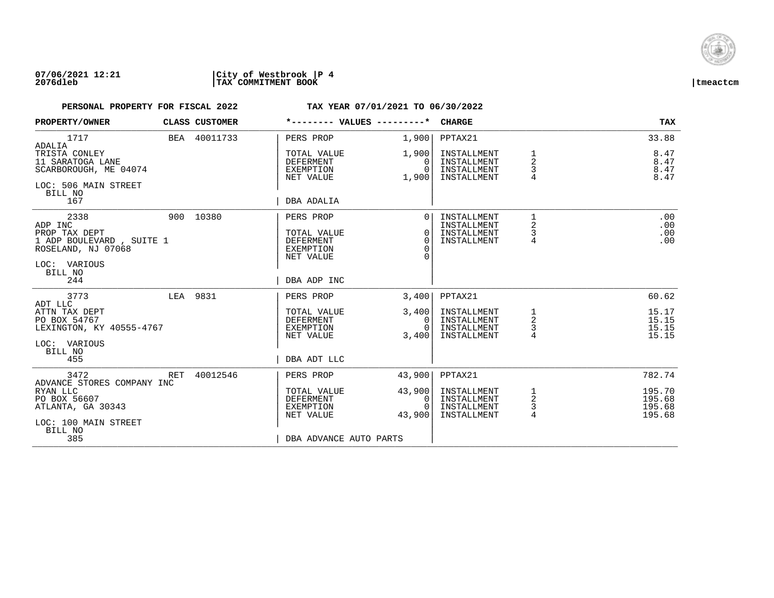

| PROPERTY/OWNER                                                                                                |     | CLASS CUSTOMER | *-------- VALUES ---------*                                                         |                                                          | <b>CHARGE</b>                                            |                                            | <b>TAX</b>                           |
|---------------------------------------------------------------------------------------------------------------|-----|----------------|-------------------------------------------------------------------------------------|----------------------------------------------------------|----------------------------------------------------------|--------------------------------------------|--------------------------------------|
| 1717<br>ADALIA                                                                                                |     | BEA 40011733   | PERS PROP                                                                           | 1,900                                                    | PPTAX21                                                  |                                            | 33.88                                |
| TRISTA CONLEY<br>11 SARATOGA LANE<br>SCARBOROUGH, ME 04074<br>LOC: 506 MAIN STREET<br>BILL NO                 |     |                | TOTAL VALUE<br><b>DEFERMENT</b><br>EXEMPTION<br>NET VALUE                           | 1,900<br>$\Omega$<br>$\Omega$<br>1,900                   | INSTALLMENT<br>INSTALLMENT<br>INSTALLMENT<br>INSTALLMENT | 1<br>$\overline{2}$<br>3<br>4              | 8.47<br>8.47<br>8.47<br>8.47         |
| 167                                                                                                           |     |                | DBA ADALIA                                                                          |                                                          |                                                          |                                            |                                      |
| 2338<br>ADP INC<br>PROP TAX DEPT<br>1 ADP BOULEVARD, SUITE 1<br>ROSELAND, NJ 07068<br>LOC: VARIOUS<br>BILL NO |     | 900 10380      | PERS PROP<br>TOTAL VALUE<br><b>DEFERMENT</b><br>EXEMPTION<br>NET VALUE              | $\Omega$<br>$\Omega$<br>$\Omega$<br>$\Omega$<br>$\Omega$ | INSTALLMENT<br>INSTALLMENT<br>INSTALLMENT<br>INSTALLMENT | $\mathbf{1}$<br>2<br>3<br>4                | .00<br>.00<br>.00<br>.00             |
| 244                                                                                                           |     |                | DBA ADP INC                                                                         |                                                          |                                                          |                                            |                                      |
| 3773<br>ADT LLC                                                                                               |     | LEA 9831       | PERS PROP                                                                           | 3,400                                                    | PPTAX21                                                  |                                            | 60.62                                |
| ATTN TAX DEPT<br>PO BOX 54767<br>LEXINGTON, KY 40555-4767<br>LOC: VARIOUS<br>BILL NO<br>455                   |     |                | TOTAL VALUE<br>DEFERMENT<br>EXEMPTION<br>NET VALUE<br>DBA ADT LLC                   | 3,400<br>0<br>$\Omega$<br>3,400                          | INSTALLMENT<br>INSTALLMENT<br>INSTALLMENT<br>INSTALLMENT | 1<br>$\overline{a}$<br>3<br>$\overline{4}$ | 15.17<br>15.15<br>15.15<br>15.15     |
| 3472<br>ADVANCE STORES COMPANY INC                                                                            | RET | 40012546       | PERS PROP                                                                           | 43,900                                                   | PPTAX21                                                  |                                            | 782.74                               |
| RYAN LLC<br>PO BOX 56607<br>ATLANTA, GA 30343<br>LOC: 100 MAIN STREET<br>BILL NO<br>385                       |     |                | TOTAL VALUE<br><b>DEFERMENT</b><br>EXEMPTION<br>NET VALUE<br>DBA ADVANCE AUTO PARTS | 43,900<br>0<br>$\Omega$<br>43,900                        | INSTALLMENT<br>INSTALLMENT<br>INSTALLMENT<br>INSTALLMENT | 1<br>2<br>3<br>$\overline{4}$              | 195.70<br>195.68<br>195.68<br>195.68 |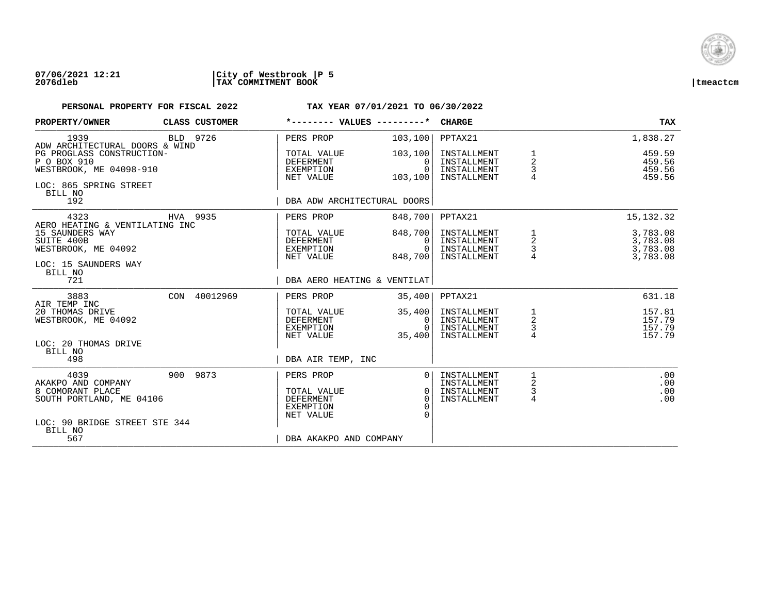

### **07/06/2021 12:21 |City of Westbrook |P 5 2076dleb |TAX COMMITMENT BOOK |tmeactcm**

| PROPERTY/OWNER                                                      | CLASS CUSTOMER  | *-------- VALUES ---------*                                      |                                             | <b>CHARGE</b>                                            |                                                 | TAX                                          |
|---------------------------------------------------------------------|-----------------|------------------------------------------------------------------|---------------------------------------------|----------------------------------------------------------|-------------------------------------------------|----------------------------------------------|
| 1939<br>ADW ARCHITECTURAL DOORS & WIND                              | BLD 9726        | PERS PROP                                                        | 103, 100                                    | PPTAX21                                                  |                                                 | 1,838.27                                     |
| PG PROGLASS CONSTRUCTION-<br>P O BOX 910<br>WESTBROOK, ME 04098-910 |                 | TOTAL VALUE<br>DEFERMENT<br>EXEMPTION<br>NET VALUE               | 103, 100<br>$\Omega$<br>$\Omega$<br>103,100 | INSTALLMENT<br>INSTALLMENT<br>INSTALLMENT<br>INSTALLMENT | 1<br>2<br>3                                     | 459.59<br>459.56<br>459.56<br>459.56         |
| LOC: 865 SPRING STREET<br>BILL NO<br>192                            |                 | DBA ADW ARCHITECTURAL DOORS                                      |                                             |                                                          |                                                 |                                              |
| 4323<br>AERO HEATING & VENTILATING INC                              | HVA 9935        | PERS PROP                                                        | 848,700                                     | PPTAX21                                                  |                                                 | 15, 132.32                                   |
| 15 SAUNDERS WAY<br>SUITE 400B<br>WESTBROOK, ME 04092                |                 | TOTAL VALUE<br>DEFERMENT<br>EXEMPTION<br>NET VALUE               | 848,700<br>0<br>$\Omega$<br>848,700         | INSTALLMENT<br>INSTALLMENT<br>INSTALLMENT<br>INSTALLMENT | 1<br>$\begin{array}{c} 2 \\ 3 \\ 4 \end{array}$ | 3,783.08<br>3,783.08<br>3,783.08<br>3,783.08 |
| LOC: 15 SAUNDERS WAY<br>BILL NO<br>721                              |                 | DBA AERO HEATING & VENTILAT                                      |                                             |                                                          |                                                 |                                              |
| 3883<br>AIR TEMP INC                                                | CON<br>40012969 | PERS PROP                                                        | 35,400                                      | PPTAX21                                                  |                                                 | 631.18                                       |
| 20 THOMAS DRIVE<br>WESTBROOK, ME 04092                              |                 | TOTAL VALUE<br><b>DEFERMENT</b><br><b>EXEMPTION</b><br>NET VALUE | 35,400<br>0<br>$\Omega$<br>35,400           | INSTALLMENT<br>INSTALLMENT<br>INSTALLMENT<br>INSTALLMENT | $\frac{1}{2}$<br>$\frac{3}{4}$                  | 157.81<br>157.79<br>157.79<br>157.79         |
| LOC: 20 THOMAS DRIVE<br>BILL NO<br>498                              |                 | DBA AIR TEMP, INC                                                |                                             |                                                          |                                                 |                                              |
| 4039<br>AKAKPO AND COMPANY                                          | 900 9873        | PERS PROP                                                        | $\Omega$                                    | INSTALLMENT<br>INSTALLMENT                               | 1<br>2                                          | .00<br>.00                                   |
| 8 COMORANT PLACE<br>SOUTH PORTLAND, ME 04106                        |                 | TOTAL VALUE<br>DEFERMENT<br><b>EXEMPTION</b><br>NET VALUE        | 0<br>$\Omega$<br>$\Omega$                   | INSTALLMENT<br>INSTALLMENT                               | 3<br>4                                          | .00<br>.00                                   |
| LOC: 90 BRIDGE STREET STE 344<br>BILL NO<br>567                     |                 | DBA AKAKPO AND COMPANY                                           |                                             |                                                          |                                                 |                                              |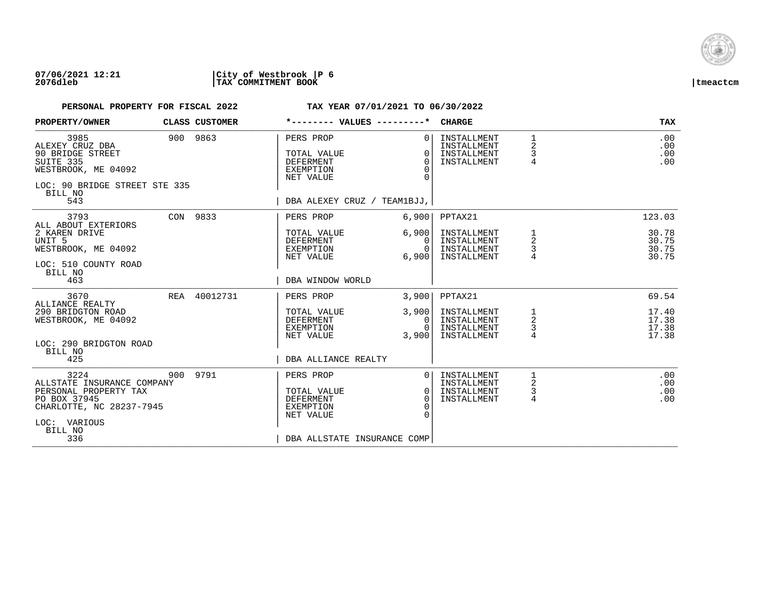

| PROPERTY/OWNER                                                                                                                            | CLASS CUSTOMER | *-------- VALUES ---------*                                                                           |                                                                | <b>CHARGE</b>                                            |                                                 | <b>TAX</b>                       |
|-------------------------------------------------------------------------------------------------------------------------------------------|----------------|-------------------------------------------------------------------------------------------------------|----------------------------------------------------------------|----------------------------------------------------------|-------------------------------------------------|----------------------------------|
| 3985<br>ALEXEY CRUZ DBA<br>90 BRIDGE STREET<br>SUITE 335<br>WESTBROOK, ME 04092<br>LOC: 90 BRIDGE STREET STE 335<br>BILL NO<br>543        | 900 9863       | PERS PROP<br>TOTAL VALUE<br><b>DEFERMENT</b><br>EXEMPTION<br>NET VALUE<br>DBA ALEXEY CRUZ / TEAM1BJJ, | 0 <sup>1</sup><br>$\Omega$<br>$\Omega$<br>$\Omega$<br>$\Omega$ | INSTALLMENT<br>INSTALLMENT<br>INSTALLMENT<br>INSTALLMENT | 1<br>2<br>3<br>$\overline{4}$                   | .00<br>.00<br>.00<br>.00         |
| 3793                                                                                                                                      | CON 9833       | PERS PROP                                                                                             | 6,900                                                          | PPTAX21                                                  |                                                 | 123.03                           |
| ALL ABOUT EXTERIORS<br>2 KAREN DRIVE<br>UNIT 5<br>WESTBROOK, ME 04092<br>LOC: 510 COUNTY ROAD<br>BILL NO<br>463                           |                | TOTAL VALUE<br>DEFERMENT<br>EXEMPTION<br>NET VALUE<br>DBA WINDOW WORLD                                | 6,900<br>$\Omega$<br>$\Omega$<br>6,900                         | INSTALLMENT<br>INSTALLMENT<br>INSTALLMENT<br>INSTALLMENT | 1<br>2<br>3                                     | 30.78<br>30.75<br>30.75<br>30.75 |
| 3670                                                                                                                                      | REA 40012731   | PERS PROP                                                                                             | 3,900                                                          | PPTAX21                                                  |                                                 | 69.54                            |
| ALLIANCE REALTY<br>290 BRIDGTON ROAD<br>WESTBROOK, ME 04092<br>LOC: 290 BRIDGTON ROAD<br>BILL NO<br>425                                   |                | TOTAL VALUE<br>DEFERMENT<br>EXEMPTION<br>NET VALUE<br>DBA ALLIANCE REALTY                             | 3,900<br>0<br>$\Omega$<br>3,900                                | INSTALLMENT<br>INSTALLMENT<br>INSTALLMENT<br>INSTALLMENT | $\begin{array}{c} 1 \\ 2 \\ 3 \end{array}$<br>4 | 17.40<br>17.38<br>17.38<br>17.38 |
| 3224<br>ALLSTATE INSURANCE COMPANY<br>PERSONAL PROPERTY TAX<br>PO BOX 37945<br>CHARLOTTE, NC 28237-7945<br>LOC: VARIOUS<br>BILL NO<br>336 | 900 9791       | PERS PROP<br>TOTAL VALUE<br><b>DEFERMENT</b><br>EXEMPTION<br>NET VALUE<br>DBA ALLSTATE INSURANCE COMP | $\Omega$<br>$\Omega$<br>$\Omega$<br>$\Omega$<br>$\Omega$       | INSTALLMENT<br>INSTALLMENT<br>INSTALLMENT<br>INSTALLMENT | 2<br>$\mathsf{3}$<br>4                          | .00<br>.00<br>.00<br>.00         |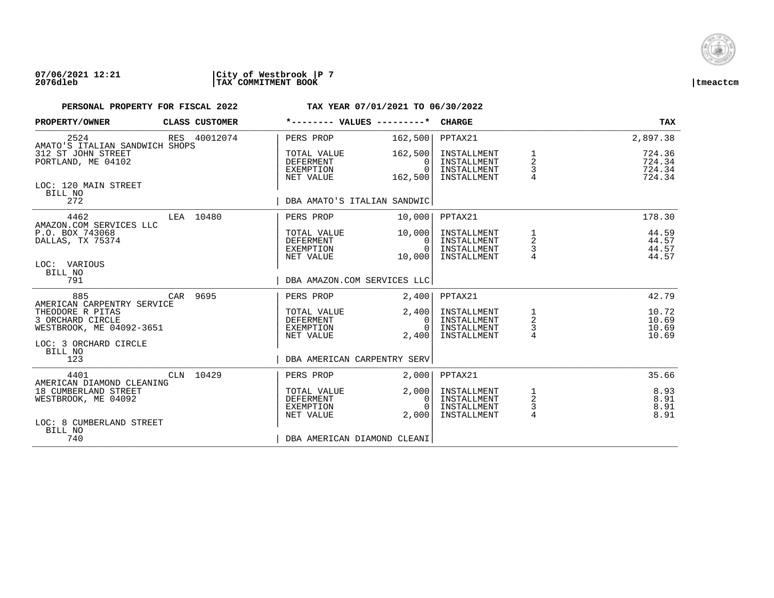

| PROPERTY/OWNER                                                          | <b>CLASS CUSTOMER</b> | *-------- VALUES ---------*                               |                                                | <b>CHARGE</b>                                            |                                      | TAX                                  |
|-------------------------------------------------------------------------|-----------------------|-----------------------------------------------------------|------------------------------------------------|----------------------------------------------------------|--------------------------------------|--------------------------------------|
| 2524<br>AMATO'S ITALIAN SANDWICH SHOPS                                  | RES 40012074          | PERS PROP                                                 | 162,500                                        | PPTAX21                                                  |                                      | 2,897.38                             |
| 312 ST JOHN STREET<br>PORTLAND, ME 04102                                |                       | TOTAL VALUE<br>DEFERMENT<br>EXEMPTION<br>NET VALUE        | 162,500<br>$\Omega$<br>$\Omega$<br>162,500     | INSTALLMENT<br>INSTALLMENT<br>INSTALLMENT<br>INSTALLMENT | 1<br>2<br>3                          | 724.36<br>724.34<br>724.34<br>724.34 |
| LOC: 120 MAIN STREET<br>BILL NO<br>272                                  |                       | DBA AMATO'S ITALIAN SANDWIC                               |                                                |                                                          |                                      |                                      |
| 4462                                                                    | LEA 10480             | PERS PROP                                                 | 10,000                                         | PPTAX21                                                  |                                      | 178.30                               |
| AMAZON.COM SERVICES LLC<br>P.O. BOX 743068<br>DALLAS, TX 75374          |                       | TOTAL VALUE<br>DEFERMENT<br>EXEMPTION<br>NET VALUE        | 10,000<br>0 <sup>1</sup><br>$\Omega$<br>10,000 | INSTALLMENT<br>INSTALLMENT<br>INSTALLMENT<br>INSTALLMENT | 1<br>$\overline{a}$<br>$\frac{3}{4}$ | 44.59<br>44.57<br>44.57<br>44.57     |
| LOC: VARIOUS<br>BILL NO<br>791                                          |                       | DBA AMAZON.COM SERVICES LLC                               |                                                |                                                          |                                      |                                      |
| 885<br>AMERICAN CARPENTRY SERVICE                                       | CAR 9695              | PERS PROP                                                 | 2,400                                          | PPTAX21                                                  |                                      | 42.79                                |
| THEODORE R PITAS<br>3 ORCHARD CIRCLE<br>WESTBROOK, ME 04092-3651        |                       | TOTAL VALUE<br>DEFERMENT<br>EXEMPTION<br>NET VALUE        | 2,400<br>0<br>$\cap$<br>2,400                  | INSTALLMENT<br>INSTALLMENT<br>INSTALLMENT<br>INSTALLMENT | $\frac{1}{2}$<br>$\frac{3}{4}$       | 10.72<br>10.69<br>10.69<br>10.69     |
| LOC: 3 ORCHARD CIRCLE<br>BILL NO<br>123                                 |                       | DBA AMERICAN CARPENTRY SERV                               |                                                |                                                          |                                      |                                      |
| 4401<br>AMERICAN DIAMOND CLEANING                                       | CLN 10429             | PERS PROP                                                 | 2.000                                          | PPTAX21                                                  |                                      | 35.66                                |
| 18 CUMBERLAND STREET<br>WESTBROOK, ME 04092<br>LOC: 8 CUMBERLAND STREET |                       | TOTAL VALUE<br><b>DEFERMENT</b><br>EXEMPTION<br>NET VALUE | 2,000<br>0<br>$\cap$<br>2.000                  | INSTALLMENT<br>INSTALLMENT<br>INSTALLMENT<br>INSTALLMENT | $\frac{1}{2}$<br>$\frac{3}{4}$       | 8.93<br>8.91<br>8.91<br>8.91         |
| BILL NO<br>740                                                          |                       | DBA AMERICAN DIAMOND CLEANI                               |                                                |                                                          |                                      |                                      |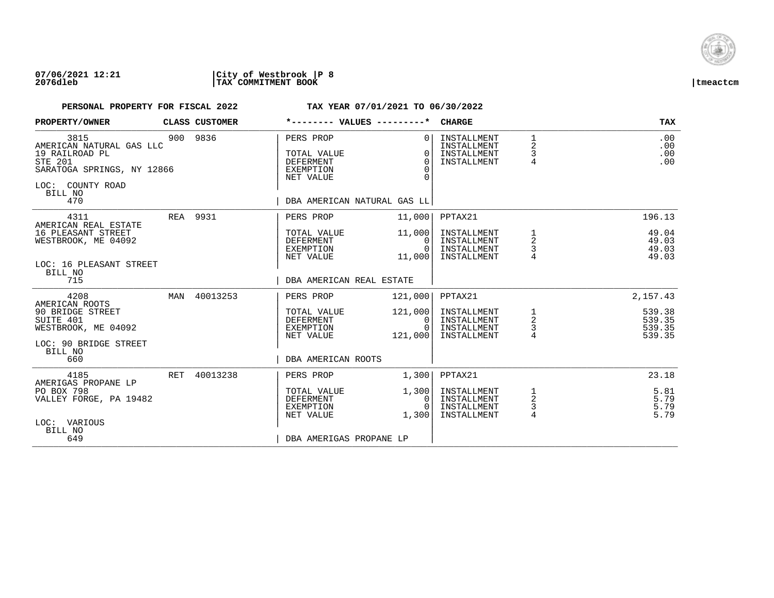

| PROPERTY/OWNER                                                                                                                           |     | CLASS CUSTOMER |                                                                        | *-------- VALUES ---------*                                                                   | <b>CHARGE</b>                                            |                                                     | <b>TAX</b>                           |
|------------------------------------------------------------------------------------------------------------------------------------------|-----|----------------|------------------------------------------------------------------------|-----------------------------------------------------------------------------------------------|----------------------------------------------------------|-----------------------------------------------------|--------------------------------------|
| 3815<br>AMERICAN NATURAL GAS LLC<br>19 RAILROAD PL<br><b>STE 201</b><br>SARATOGA SPRINGS, NY 12866<br>LOC: COUNTY ROAD<br>BILL NO<br>470 |     | 900 9836       | PERS PROP<br>TOTAL VALUE<br><b>DEFERMENT</b><br>EXEMPTION<br>NET VALUE | 0 <sup>1</sup><br>$\Omega$<br>$\Omega$<br>$\Omega$<br>$\Omega$<br>DBA AMERICAN NATURAL GAS LL | INSTALLMENT<br>INSTALLMENT<br>INSTALLMENT<br>INSTALLMENT | $\mathbf{1}$<br>2<br>3<br>$\overline{4}$            | .00<br>.00<br>.00<br>.00             |
| 4311                                                                                                                                     |     | REA 9931       | PERS PROP                                                              | 11,000                                                                                        | PPTAX21                                                  |                                                     | 196.13                               |
| AMERICAN REAL ESTATE<br>16 PLEASANT STREET<br>WESTBROOK, ME 04092<br>LOC: 16 PLEASANT STREET<br>BILL NO                                  |     |                | TOTAL VALUE<br>DEFERMENT<br>EXEMPTION<br>NET VALUE                     | 11,000<br>0 I<br>$\Omega$<br>11,000                                                           | INSTALLMENT<br>INSTALLMENT<br>INSTALLMENT<br>INSTALLMENT | 1<br>$\overline{a}$<br>3                            | 49.04<br>49.03<br>49.03<br>49.03     |
| 715                                                                                                                                      |     |                | DBA AMERICAN REAL ESTATE                                               |                                                                                               |                                                          |                                                     |                                      |
| 4208                                                                                                                                     | MAN | 40013253       | PERS PROP                                                              | 121,000                                                                                       | PPTAX21                                                  |                                                     | 2, 157.43                            |
| AMERICAN ROOTS<br>90 BRIDGE STREET<br>SUITE 401<br>WESTBROOK, ME 04092<br>LOC: 90 BRIDGE STREET                                          |     |                | TOTAL VALUE<br>DEFERMENT<br>EXEMPTION<br>NET VALUE                     | 121,000<br>0 I<br>$\Omega$<br>121,000                                                         | INSTALLMENT<br>INSTALLMENT<br>INSTALLMENT<br>INSTALLMENT | $\frac{1}{2}$<br>3<br>$\overline{4}$                | 539.38<br>539.35<br>539.35<br>539.35 |
| BILL NO<br>660                                                                                                                           |     |                | DBA AMERICAN ROOTS                                                     |                                                                                               |                                                          |                                                     |                                      |
| 4185<br>AMERIGAS PROPANE LP                                                                                                              | RET | 40013238       | PERS PROP                                                              | 1,300                                                                                         | PPTAX21                                                  |                                                     | 23.18                                |
| PO BOX 798<br>VALLEY FORGE, PA 19482                                                                                                     |     |                | TOTAL VALUE<br>DEFERMENT<br>EXEMPTION<br>NET VALUE                     | 1,300<br>0<br>$\Omega$<br>1,300                                                               | INSTALLMENT<br>INSTALLMENT<br>INSTALLMENT<br>INSTALLMENT | 1<br>$\overline{\mathbf{c}}$<br>3<br>$\overline{4}$ | 5.81<br>5.79<br>5.79<br>5.79         |
| LOC: VARIOUS<br>BILL NO<br>649                                                                                                           |     |                | DBA AMERIGAS PROPANE LP                                                |                                                                                               |                                                          |                                                     |                                      |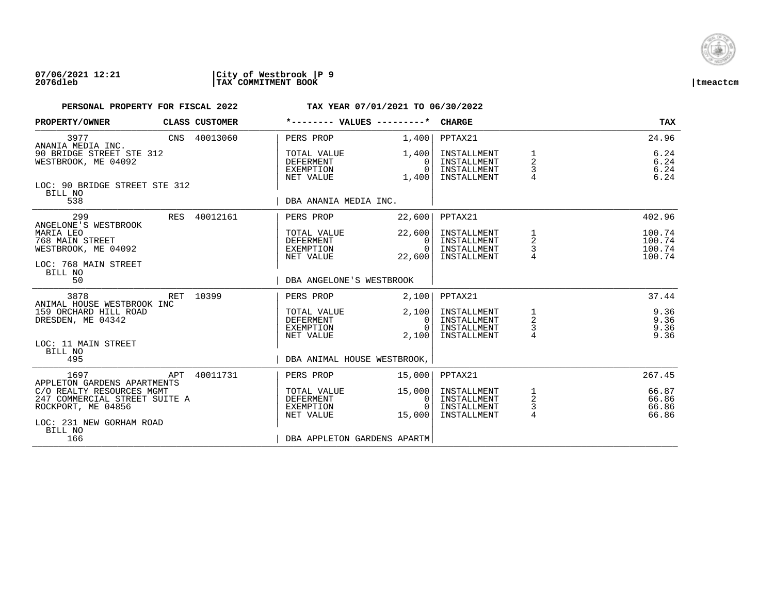

| PROPERTY/OWNER                                                                                                          |  | <b>CLASS CUSTOMER</b> |                                                    | $*$ -------- VALUES --------* CHARGE           |                                                          |                                            | <b>TAX</b>                           |
|-------------------------------------------------------------------------------------------------------------------------|--|-----------------------|----------------------------------------------------|------------------------------------------------|----------------------------------------------------------|--------------------------------------------|--------------------------------------|
| 3977<br>ANANIA MEDIA INC.                                                                                               |  | CNS 40013060          | PERS PROP                                          | 1,400                                          | PPTAX21                                                  |                                            | 24.96                                |
| 90 BRIDGE STREET STE 312<br>WESTBROOK, ME 04092                                                                         |  |                       | TOTAL VALUE<br>DEFERMENT<br>EXEMPTION<br>NET VALUE | 1,400 <br>$\Omega$<br>$\cap$<br>1,400          | INSTALLMENT<br>INSTALLMENT<br>INSTALLMENT<br>INSTALLMENT | $\frac{1}{2}$<br>3                         | 6.24<br>$6.24$<br>$6.24$<br>6.24     |
| LOC: 90 BRIDGE STREET STE 312<br>BILL NO<br>538                                                                         |  |                       | DBA ANANIA MEDIA INC.                              |                                                |                                                          |                                            |                                      |
| 299<br>ANGELONE'S WESTBROOK                                                                                             |  | RES 40012161          | PERS PROP                                          | 22,600                                         | PPTAX21                                                  |                                            | 402.96                               |
| MARIA LEO<br>768 MAIN STREET<br>WESTBROOK, ME 04092<br>LOC: 768 MAIN STREET<br>BILL NO                                  |  |                       | TOTAL VALUE<br>DEFERMENT<br>EXEMPTION<br>NET VALUE | 22,600<br>$\Omega$<br>$\overline{0}$<br>22,600 | INSTALLMENT<br>INSTALLMENT<br>INSTALLMENT<br>INSTALLMENT | $\begin{array}{c} 2 \\ 3 \\ 4 \end{array}$ | 100.74<br>100.74<br>100.74<br>100.74 |
| 50                                                                                                                      |  |                       | DBA ANGELONE'S WESTBROOK                           |                                                |                                                          |                                            |                                      |
| 3878<br>ANIMAL HOUSE WESTBROOK INC                                                                                      |  | RET 10399             | PERS PROP                                          | 2,100                                          | PPTAX21                                                  |                                            | 37.44                                |
| 159 ORCHARD HILL ROAD<br>DRESDEN, ME 04342<br>LOC: 11 MAIN STREET                                                       |  |                       | TOTAL VALUE<br>DEFERMENT<br>EXEMPTION<br>NET VALUE | 2,100<br>0 I<br>$\Omega$<br>2,100              | INSTALLMENT<br>INSTALLMENT<br>INSTALLMENT<br>INSTALLMENT | $\frac{1}{2}$<br>$\frac{3}{4}$             | 9.36<br>9.36<br>9.36<br>9.36         |
| BILL NO<br>495                                                                                                          |  |                       |                                                    | DBA ANIMAL HOUSE WESTBROOK,                    |                                                          |                                            |                                      |
| 1697<br><b>Example 18 APT</b><br>APPLETON GARDENS APARTMENTS                                                            |  | 40011731              | PERS PROP                                          | 15,000                                         | PPTAX21                                                  |                                            | 267.45                               |
| C/O REALTY RESOURCES MGMT<br>247 COMMERCIAL STREET SUITE A<br>ROCKPORT, ME 04856<br>LOC: 231 NEW GORHAM ROAD<br>BILL NO |  |                       | TOTAL VALUE<br>DEFERMENT<br>EXEMPTION<br>NET VALUE | 15,000<br>$\overline{0}$<br>$\Omega$<br>15,000 | INSTALLMENT<br>INSTALLMENT<br>INSTALLMENT<br>INSTALLMENT | $\frac{1}{2}$<br>$\frac{3}{4}$             | 66.87<br>66.86<br>66.86<br>66.86     |
| 166                                                                                                                     |  |                       |                                                    | DBA APPLETON GARDENS APARTM                    |                                                          |                                            |                                      |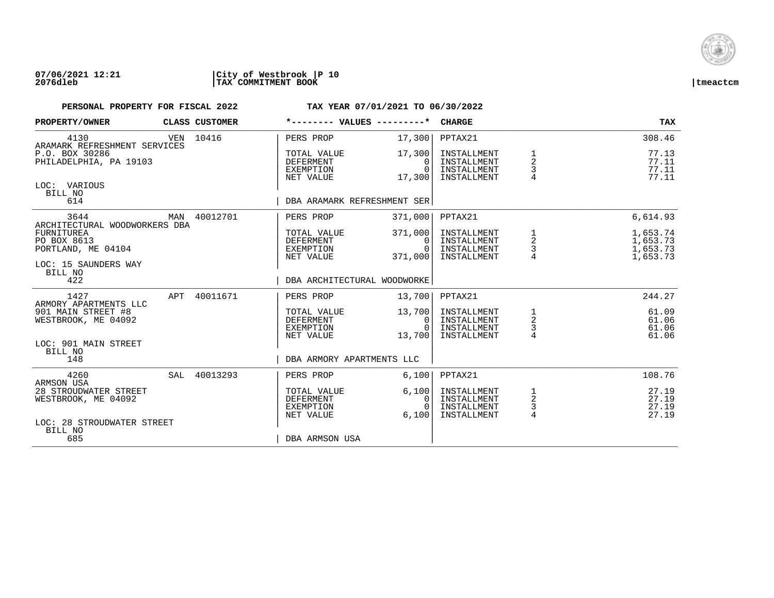

| PROPERTY/OWNER                                                                          |     | CLASS CUSTOMER                                     | *-------- VALUES ---------*                               |                                                          | <b>CHARGE</b>                                            |                                              | <b>TAX</b>                       |
|-----------------------------------------------------------------------------------------|-----|----------------------------------------------------|-----------------------------------------------------------|----------------------------------------------------------|----------------------------------------------------------|----------------------------------------------|----------------------------------|
| 4130<br>ARAMARK REFRESHMENT SERVICES                                                    | VEN | 10416                                              | PERS PROP                                                 | 17,300                                                   | PPTAX21                                                  |                                              | 308.46                           |
| P.O. BOX 30286<br>PHILADELPHIA, PA 19103                                                |     |                                                    | TOTAL VALUE<br><b>DEFERMENT</b><br>EXEMPTION<br>NET VALUE | 17,300<br>$\Omega$<br>$\Omega$<br>17,300                 | INSTALLMENT<br>INSTALLMENT<br>INSTALLMENT<br>INSTALLMENT | 1<br>2<br>3                                  | 77.13<br>77.11<br>77.11<br>77.11 |
| LOC: VARIOUS<br>BILL NO<br>614                                                          |     |                                                    | DBA ARAMARK REFRESHMENT SER                               |                                                          |                                                          |                                              |                                  |
| 3644                                                                                    | MAN | 40012701                                           | PERS PROP                                                 | 371,000                                                  | PPTAX21                                                  |                                              | 6,614.93                         |
| ARCHITECTURAL WOODWORKERS DBA<br><b>FURNITUREA</b><br>PO BOX 8613<br>PORTLAND, ME 04104 |     | TOTAL VALUE<br>DEFERMENT<br>EXEMPTION<br>NET VALUE | 371,000<br>0<br>$\Omega$<br>371,000                       | INSTALLMENT<br>INSTALLMENT<br>INSTALLMENT<br>INSTALLMENT | 1<br>$\overline{a}$<br>$\frac{3}{4}$                     | 1,653.74<br>1,653.73<br>1,653.73<br>1,653.73 |                                  |
| LOC: 15 SAUNDERS WAY<br>BILL NO<br>422                                                  |     |                                                    | DBA ARCHITECTURAL WOODWORKE                               |                                                          |                                                          |                                              |                                  |
| 1427<br>ARMORY APARTMENTS LLC                                                           | APT | 40011671                                           | PERS PROP                                                 | 13,700                                                   | PPTAX21                                                  |                                              | 244.27                           |
| 901 MAIN STREET #8<br>WESTBROOK, ME 04092                                               |     |                                                    | TOTAL VALUE<br><b>DEFERMENT</b><br>EXEMPTION<br>NET VALUE | 13,700<br>0<br>$\Omega$<br>13,700                        | INSTALLMENT<br>INSTALLMENT<br>INSTALLMENT<br>INSTALLMENT | 1<br>$\overline{c}$<br>$\frac{3}{4}$         | 61.09<br>61.06<br>61.06<br>61.06 |
| LOC: 901 MAIN STREET<br>BILL NO<br>148                                                  |     |                                                    | DBA ARMORY APARTMENTS LLC                                 |                                                          |                                                          |                                              |                                  |
| 4260<br>ARMSON USA                                                                      |     | SAL 40013293                                       | PERS PROP                                                 | 6,100                                                    | PPTAX21                                                  |                                              | 108.76                           |
| 28 STROUDWATER STREET<br>WESTBROOK, ME 04092<br>LOC: 28 STROUDWATER STREET              |     |                                                    | TOTAL VALUE<br><b>DEFERMENT</b><br>EXEMPTION<br>NET VALUE | 6,100<br>0<br>$\Omega$<br>6.100                          | INSTALLMENT<br>INSTALLMENT<br>INSTALLMENT<br>INSTALLMENT | $\overline{c}$<br>$\frac{3}{4}$              | 27.19<br>27.19<br>27.19<br>27.19 |
| BILL NO<br>685                                                                          |     |                                                    | DBA ARMSON USA                                            |                                                          |                                                          |                                              |                                  |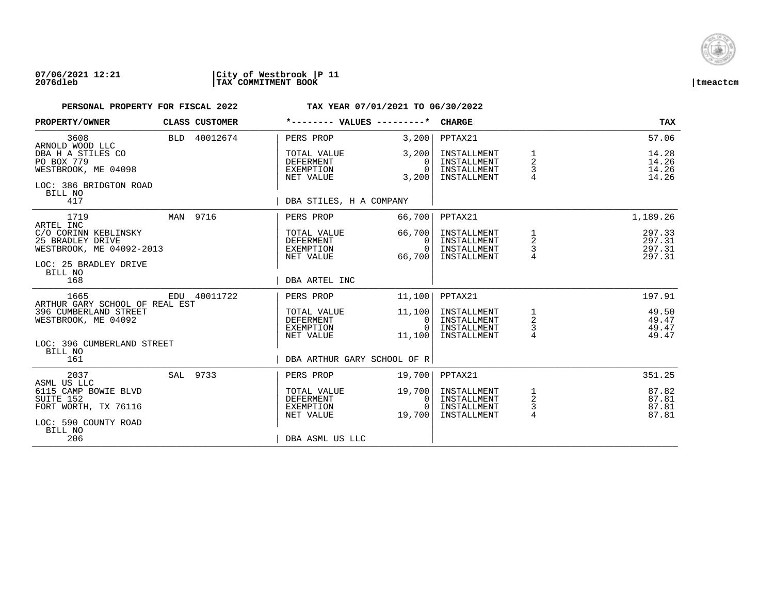

| PROPERTY/OWNER                                                                                           | CLASS CUSTOMER | *-------- VALUES ---------*                               |                                              | <b>CHARGE</b>                                            |                                                   | <b>TAX</b>                           |
|----------------------------------------------------------------------------------------------------------|----------------|-----------------------------------------------------------|----------------------------------------------|----------------------------------------------------------|---------------------------------------------------|--------------------------------------|
| 3608<br>ARNOLD WOOD LLC                                                                                  | BLD 40012674   | PERS PROP                                                 | 3,200                                        | PPTAX21                                                  |                                                   | 57.06                                |
| DBA H A STILES CO<br>PO BOX 779<br>WESTBROOK, ME 04098<br>LOC: 386 BRIDGTON ROAD<br>BILL NO              |                | TOTAL VALUE<br><b>DEFERMENT</b><br>EXEMPTION<br>NET VALUE | 3,200<br>$\Omega$<br>$\Omega$<br>3,200       | INSTALLMENT<br>INSTALLMENT<br>INSTALLMENT<br>INSTALLMENT | 1<br>$\overline{2}$<br>3                          | 14.28<br>14.26<br>14.26<br>14.26     |
| 417                                                                                                      |                | DBA STILES, H A COMPANY                                   |                                              |                                                          |                                                   |                                      |
| 1719<br>ARTEL INC                                                                                        | MAN 9716       | PERS PROP                                                 | 66,700                                       | PPTAX21                                                  |                                                   | 1,189.26                             |
| C/O CORINN KEBLINSKY<br>25 BRADLEY DRIVE<br>WESTBROOK, ME 04092-2013<br>LOC: 25 BRADLEY DRIVE<br>BILL NO |                | TOTAL VALUE<br>DEFERMENT<br>EXEMPTION<br>NET VALUE        | 66,700<br>$\Omega$<br>$\Omega$<br>66,700     | INSTALLMENT<br>INSTALLMENT<br>INSTALLMENT<br>INSTALLMENT | 1<br>2<br>3                                       | 297.33<br>297.31<br>297.31<br>297.31 |
| 168                                                                                                      |                | DBA ARTEL INC                                             |                                              |                                                          |                                                   |                                      |
| 1665<br>ARTHUR GARY SCHOOL OF REAL EST                                                                   | EDU 40011722   | PERS PROP                                                 | 11,100                                       | PPTAX21                                                  |                                                   | 197.91                               |
| 396 CUMBERLAND STREET<br>WESTBROOK, ME 04092                                                             |                | TOTAL VALUE<br>DEFERMENT<br>EXEMPTION<br>NET VALUE        | 11,100<br>$\mathbf{0}$<br>$\Omega$<br>11,100 | INSTALLMENT<br>INSTALLMENT<br>INSTALLMENT<br>INSTALLMENT | $\begin{array}{c}\n1 \\ 2 \\ 3 \\ 4\n\end{array}$ | 49.50<br>49.47<br>49.47<br>49.47     |
| LOC: 396 CUMBERLAND STREET<br>BILL NO<br>161                                                             |                | DBA ARTHUR GARY SCHOOL OF R                               |                                              |                                                          |                                                   |                                      |
| 2037<br>ASML US LLC                                                                                      | SAL 9733       | PERS PROP                                                 | 19,700                                       | PPTAX21                                                  |                                                   | 351.25                               |
| 6115 CAMP BOWIE BLVD<br>SUITE 152<br>FORT WORTH, TX 76116<br>LOC: 590 COUNTY ROAD<br>BILL NO             |                | TOTAL VALUE<br><b>DEFERMENT</b><br>EXEMPTION<br>NET VALUE | 19,700<br>$\mathbf{0}$<br>$\Omega$<br>19,700 | INSTALLMENT<br>INSTALLMENT<br>INSTALLMENT<br>INSTALLMENT | 1<br>$\overline{c}$<br>3<br>$\overline{4}$        | 87.82<br>87.81<br>87.81<br>87.81     |
| 206                                                                                                      |                | DBA ASML US LLC                                           |                                              |                                                          |                                                   |                                      |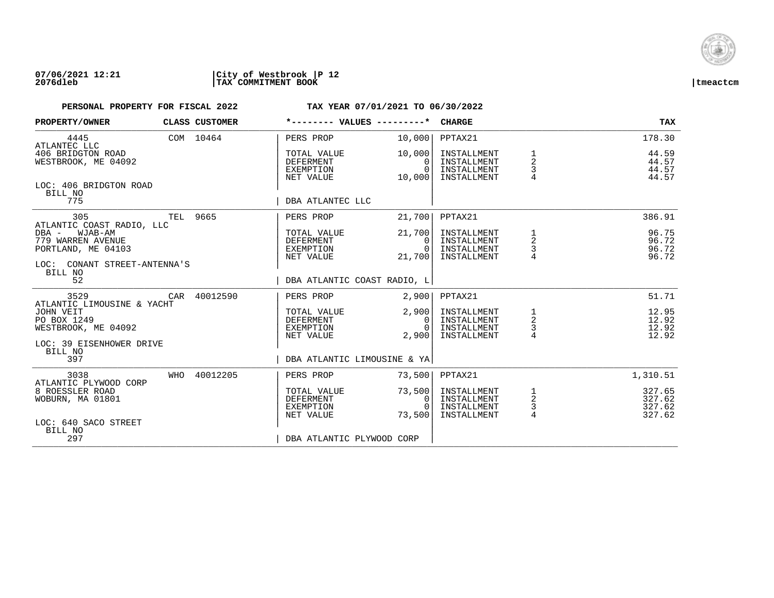

| PROPERTY/OWNER                                                                                                                      |                            | CLASS CUSTOMER | *-------- VALUES ---------*                        |                                              | <b>CHARGE</b>                                            |                                 | <b>TAX</b>                           |
|-------------------------------------------------------------------------------------------------------------------------------------|----------------------------|----------------|----------------------------------------------------|----------------------------------------------|----------------------------------------------------------|---------------------------------|--------------------------------------|
| 4445                                                                                                                                |                            | COM 10464      | PERS PROP                                          | 10,000                                       | PPTAX21                                                  |                                 | 178.30                               |
| ATLANTEC LLC<br>406 BRIDGTON ROAD<br>WESTBROOK, ME 04092                                                                            |                            |                | TOTAL VALUE<br>DEFERMENT<br>EXEMPTION<br>NET VALUE | 10,000<br>0<br>$\Omega$<br>10,000            | INSTALLMENT<br>INSTALLMENT<br>INSTALLMENT<br>INSTALLMENT | $\overline{a}$<br>$\frac{3}{4}$ | 44.59<br>44.57<br>44.57<br>44.57     |
| LOC: 406 BRIDGTON ROAD<br>BILL NO<br>775                                                                                            |                            |                | DBA ATLANTEC LLC                                   |                                              |                                                          |                                 |                                      |
| 305                                                                                                                                 | TEL 9665                   |                | PERS PROP                                          | 21,700                                       | PPTAX21                                                  |                                 | 386.91                               |
| ATLANTIC COAST RADIO, LLC<br>DBA -<br>WJAB-AM<br>779 WARREN AVENUE<br>PORTLAND, ME 04103<br>LOC: CONANT STREET-ANTENNA'S<br>BILL NO |                            |                | TOTAL VALUE<br>DEFERMENT<br>EXEMPTION<br>NET VALUE | 21,700<br>$\Omega$<br>$\Omega$<br>21,700     | INSTALLMENT<br>INSTALLMENT<br>INSTALLMENT<br>INSTALLMENT | $\frac{1}{2}$<br>$\frac{3}{4}$  | 96.75<br>96.72<br>96.72<br>96.72     |
| 52                                                                                                                                  |                            |                | DBA ATLANTIC COAST RADIO, L                        |                                              |                                                          |                                 |                                      |
| 3529                                                                                                                                |                            | CAR 40012590   | PERS PROP                                          | 2,900                                        | PPTAX21                                                  |                                 | 51.71                                |
| JOHN VEIT<br>PO BOX 1249<br>WESTBROOK, ME 04092<br>LOC: 39 EISENHOWER DRIVE                                                         | ATLANTIC LIMOUSINE & YACHT |                | TOTAL VALUE<br>DEFERMENT<br>EXEMPTION<br>NET VALUE | 2,900<br>$\overline{0}$<br>$\Omega$<br>2,900 | INSTALLMENT<br>INSTALLMENT<br>INSTALLMENT<br>INSTALLMENT | $\frac{1}{2}$<br>$\frac{3}{4}$  | 12.95<br>12.92<br>12.92<br>12.92     |
| BILL NO<br>397                                                                                                                      |                            |                | DBA ATLANTIC LIMOUSINE & YA                        |                                              |                                                          |                                 |                                      |
| 3038<br>ATLANTIC PLYWOOD CORP                                                                                                       |                            | WHO 40012205   | PERS PROP                                          | 73,500                                       | PPTAX21                                                  |                                 | 1,310.51                             |
| 8 ROESSLER ROAD<br>WOBURN, MA 01801                                                                                                 |                            |                | TOTAL VALUE<br>DEFERMENT<br>EXEMPTION<br>NET VALUE | 73,500<br>0<br>$\bigcap$<br>73,500           | INSTALLMENT<br>INSTALLMENT<br>INSTALLMENT<br>INSTALLMENT | $\frac{1}{2}$<br>$\frac{3}{4}$  | 327.65<br>327.62<br>327.62<br>327.62 |
| LOC: 640 SACO STREET<br>BILL NO<br>297                                                                                              |                            |                | DBA ATLANTIC PLYWOOD CORP                          |                                              |                                                          |                                 |                                      |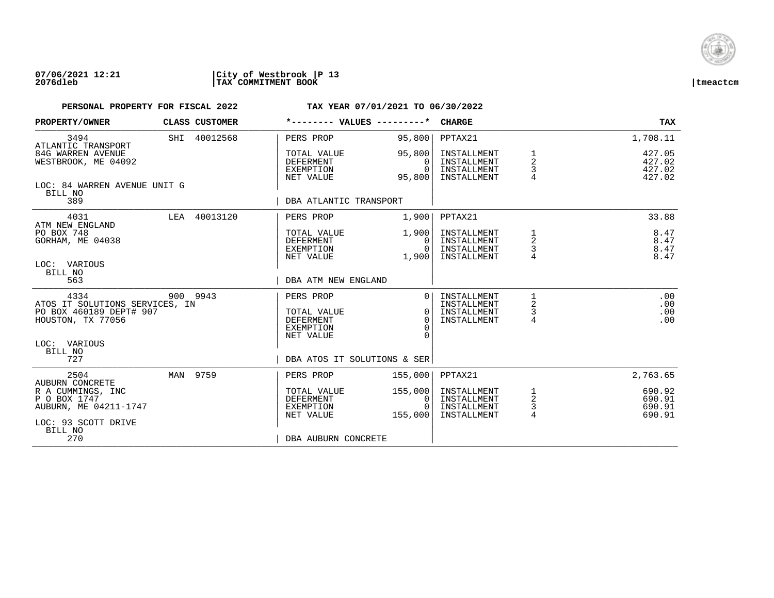

| PROPERTY/OWNER                                                                         | CLASS CUSTOMER | *-------- VALUES ---------*                               |                                          | <b>CHARGE</b>                                            |                                                 | <b>TAX</b>                           |
|----------------------------------------------------------------------------------------|----------------|-----------------------------------------------------------|------------------------------------------|----------------------------------------------------------|-------------------------------------------------|--------------------------------------|
| 3494                                                                                   | SHI 40012568   | PERS PROP                                                 | 95,800                                   | PPTAX21                                                  |                                                 | 1,708.11                             |
| ATLANTIC TRANSPORT<br>84G WARREN AVENUE<br>WESTBROOK, ME 04092                         |                | TOTAL VALUE<br><b>DEFERMENT</b><br>EXEMPTION<br>NET VALUE | 95,800<br>$\Omega$<br>$\Omega$<br>95,800 | INSTALLMENT<br>INSTALLMENT<br>INSTALLMENT<br>INSTALLMENT | $\overline{c}$<br>3                             | 427.05<br>427.02<br>427.02<br>427.02 |
| LOC: 84 WARREN AVENUE UNIT G<br>BILL NO<br>389                                         |                | DBA ATLANTIC TRANSPORT                                    |                                          |                                                          |                                                 |                                      |
| 4031                                                                                   | LEA 40013120   | PERS PROP                                                 | 1,900                                    | PPTAX21                                                  |                                                 | 33.88                                |
| ATM NEW ENGLAND<br>PO BOX 748<br>GORHAM, ME 04038                                      |                | TOTAL VALUE<br>DEFERMENT<br>EXEMPTION<br>NET VALUE        | 1,900<br>$\Omega$<br>$\Omega$<br>1,900   | INSTALLMENT<br>INSTALLMENT<br>INSTALLMENT<br>INSTALLMENT | 1<br>$\overline{a}$<br>3<br>4                   | 8.47<br>8.47<br>8.47<br>8.47         |
| LOC: VARIOUS<br>BILL NO<br>563                                                         |                | DBA ATM NEW ENGLAND                                       |                                          |                                                          |                                                 |                                      |
| 4334<br>ATOS IT SOLUTIONS SERVICES, IN<br>PO BOX 460189 DEPT# 907<br>HOUSTON, TX 77056 | 900 9943       | PERS PROP<br>TOTAL VALUE<br><b>DEFERMENT</b><br>EXEMPTION | $\Omega$<br>$\Omega$<br>$\Omega$         | INSTALLMENT<br>INSTALLMENT<br>INSTALLMENT<br>INSTALLMENT | 2<br>3<br>4                                     | .00<br>.00<br>.00<br>.00             |
| LOC: VARIOUS<br>BILL NO<br>727                                                         |                | NET VALUE<br>DBA ATOS IT SOLUTIONS & SER                  |                                          |                                                          |                                                 |                                      |
| 2504<br>AUBURN CONCRETE                                                                | MAN 9759       | PERS PROP                                                 | 155,000                                  | PPTAX21                                                  |                                                 | 2,763.65                             |
| R A CUMMINGS, INC<br>P O BOX 1747<br>AUBURN, ME 04211-1747<br>LOC: 93 SCOTT DRIVE      |                | TOTAL VALUE<br><b>DEFERMENT</b><br>EXEMPTION<br>NET VALUE | 155,000<br>0<br>$\cap$<br>155,000        | INSTALLMENT<br>INSTALLMENT<br>INSTALLMENT<br>INSTALLMENT | $\mathbf{1}$<br>$\overline{a}$<br>$\frac{3}{4}$ | 690.92<br>690.91<br>690.91<br>690.91 |
| BILL NO<br>270                                                                         |                | DBA AUBURN CONCRETE                                       |                                          |                                                          |                                                 |                                      |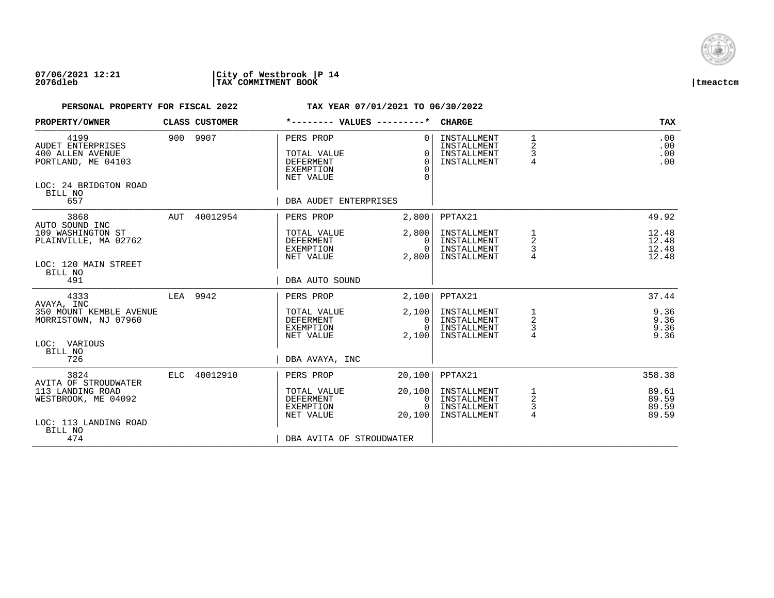

| PROPERTY/OWNER                                                                                          |     | CLASS CUSTOMER |                                                                               | *-------- VALUES ---------*                       | <b>CHARGE</b>                                            |                                            | <b>TAX</b>                       |
|---------------------------------------------------------------------------------------------------------|-----|----------------|-------------------------------------------------------------------------------|---------------------------------------------------|----------------------------------------------------------|--------------------------------------------|----------------------------------|
| 4199<br>AUDET ENTERPRISES<br>400 ALLEN AVENUE<br>PORTLAND, ME 04103<br>LOC: 24 BRIDGTON ROAD<br>BILL NO |     | 900 9907       | PERS PROP<br>TOTAL VALUE<br><b>DEFERMENT</b><br><b>EXEMPTION</b><br>NET VALUE | $\Omega$<br>$\Omega$<br>$\Omega$<br>$\Omega$<br>∩ | INSTALLMENT<br>INSTALLMENT<br>INSTALLMENT<br>INSTALLMENT | $\mathbf 1$<br>2<br>3<br>4                 | .00<br>.00<br>.00<br>.00         |
| 657                                                                                                     |     |                | DBA AUDET ENTERPRISES                                                         |                                                   |                                                          |                                            |                                  |
| 3868                                                                                                    | AUT | 40012954       | PERS PROP                                                                     | 2,800                                             | PPTAX21                                                  |                                            | 49.92                            |
| AUTO SOUND INC<br>109 WASHINGTON ST<br>PLAINVILLE, MA 02762                                             |     |                | TOTAL VALUE<br>DEFERMENT<br>EXEMPTION<br>NET VALUE                            | 2,800<br>$\mathbf{0}$<br>$\Omega$<br>2,800        | INSTALLMENT<br>INSTALLMENT<br>INSTALLMENT<br>INSTALLMENT | 1<br>2<br>3                                | 12.48<br>12.48<br>12.48<br>12.48 |
| LOC: 120 MAIN STREET<br>BILL NO<br>491                                                                  |     |                | DBA AUTO SOUND                                                                |                                                   |                                                          |                                            |                                  |
| 4333                                                                                                    |     | LEA 9942       | PERS PROP                                                                     | 2,100                                             | PPTAX21                                                  |                                            | 37.44                            |
| AVAYA, INC<br>350 MOUNT KEMBLE AVENUE<br>MORRISTOWN, NJ 07960                                           |     |                | TOTAL VALUE<br><b>DEFERMENT</b><br>EXEMPTION<br>NET VALUE                     | 2,100<br>$\Omega$<br>$\Omega$<br>2,100            | INSTALLMENT<br>INSTALLMENT<br>INSTALLMENT<br>INSTALLMENT | 1<br>$\overline{a}$<br>3<br>4              | 9.36<br>9.36<br>9.36<br>9.36     |
| LOC: VARIOUS<br>BILL NO<br>726                                                                          |     |                | DBA AVAYA, INC                                                                |                                                   |                                                          |                                            |                                  |
| 3824                                                                                                    |     | ELC 40012910   | PERS PROP                                                                     |                                                   | PPTAX21                                                  |                                            | 358.38                           |
| AVITA OF STROUDWATER                                                                                    |     |                |                                                                               | 20,100                                            |                                                          |                                            |                                  |
| 113 LANDING ROAD<br>WESTBROOK, ME 04092                                                                 |     |                | TOTAL VALUE<br><b>DEFERMENT</b><br>EXEMPTION<br>NET VALUE                     | 20,100<br>0<br>$\Omega$<br>20,100                 | INSTALLMENT<br>INSTALLMENT<br>INSTALLMENT<br>INSTALLMENT | 1<br>$\overline{c}$<br>3<br>$\overline{4}$ | 89.61<br>89.59<br>89.59<br>89.59 |
| LOC: 113 LANDING ROAD<br>BILL NO                                                                        |     |                |                                                                               |                                                   |                                                          |                                            |                                  |
| 474                                                                                                     |     |                | DBA AVITA OF STROUDWATER                                                      |                                                   |                                                          |                                            |                                  |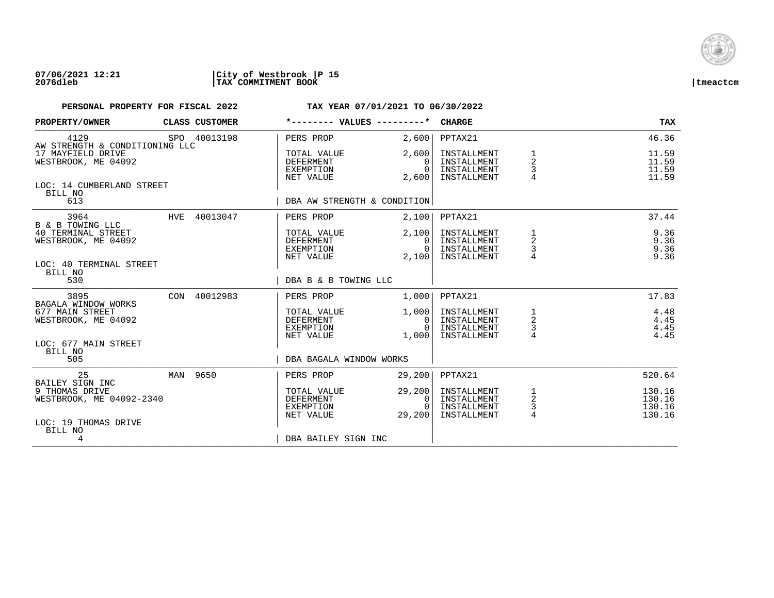

| <b>PROPERTY/OWNER</b>                                              |          | <b>CLASS CUSTOMER</b> |                                                    |                                              | <b>CHARGE</b>                                            |                                                       | TAX                                  |
|--------------------------------------------------------------------|----------|-----------------------|----------------------------------------------------|----------------------------------------------|----------------------------------------------------------|-------------------------------------------------------|--------------------------------------|
| 4129<br>AW STRENGTH & CONDITIONING LLC                             |          | SPO 40013198          | PERS PROP                                          | 2,600                                        | PPTAX21                                                  |                                                       | 46.36                                |
| 17 MAYFIELD DRIVE<br>WESTBROOK, ME 04092                           |          |                       | TOTAL VALUE<br>DEFERMENT<br>EXEMPTION<br>NET VALUE | 2,600<br>$\Omega$<br>$\Omega$<br>2,600       | INSTALLMENT<br>INSTALLMENT<br>INSTALLMENT<br>INSTALLMENT | $\mathbf{1}$<br>$\overline{a}$<br>3<br>$\overline{4}$ | 11.59<br>11.59<br>11.59<br>11.59     |
| LOC: 14 CUMBERLAND STREET<br>BILL NO<br>613                        |          |                       | DBA AW STRENGTH & CONDITION                        |                                              |                                                          |                                                       |                                      |
| 3964                                                               |          | HVE 40013047          | PERS PROP                                          | 2,100                                        | PPTAX21                                                  |                                                       | 37.44                                |
| B & B TOWING LLC<br>40 TERMINAL STREET<br>WESTBROOK, ME 04092      |          |                       | TOTAL VALUE<br>DEFERMENT<br>EXEMPTION<br>NET VALUE | 2,100<br>$\Omega$<br>$\Omega$<br>2,100       | INSTALLMENT<br>INSTALLMENT<br>INSTALLMENT<br>INSTALLMENT | 1<br>$\overline{2}$<br>3<br>$\overline{4}$            | 9.36<br>9.36<br>9.36<br>9.36         |
| LOC: 40 TERMINAL STREET<br>BILL NO<br>530                          |          |                       | DBA B & B TOWING LLC                               |                                              |                                                          |                                                       |                                      |
| 3895<br>BAGALA WINDOW WORKS                                        |          | CON 40012983          | PERS PROP                                          | 1,000                                        | PPTAX21                                                  |                                                       | 17.83                                |
| 677 MAIN STREET<br>WESTBROOK, ME 04092                             |          |                       | TOTAL VALUE<br>DEFERMENT<br>EXEMPTION<br>NET VALUE | 1,000<br>$\overline{0}$<br>$\Omega$<br>1,000 | INSTALLMENT<br>INSTALLMENT<br>INSTALLMENT<br>INSTALLMENT | $\overline{a}$<br>$\mathsf 3$                         | 4.48<br>4.45<br>4.45<br>4.45         |
| LOC: 677 MAIN STREET<br>BILL NO<br>505                             |          |                       | DBA BAGALA WINDOW WORKS                            |                                              |                                                          |                                                       |                                      |
| 25<br>BAILEY SIGN INC                                              | MAN 9650 |                       | PERS PROP                                          | 29,200                                       | PPTAX21                                                  |                                                       | 520.64                               |
| 9 THOMAS DRIVE<br>WESTBROOK, ME 04092-2340<br>LOC: 19 THOMAS DRIVE |          |                       | TOTAL VALUE<br>DEFERMENT<br>EXEMPTION<br>NET VALUE | 29, 200<br>0<br>29,200                       | INSTALLMENT<br>INSTALLMENT<br>INSTALLMENT<br>INSTALLMENT | $\begin{array}{c} 1 \\ 2 \\ 3 \\ 4 \end{array}$       | 130.16<br>130.16<br>130.16<br>130.16 |
| BILL NO<br>4                                                       |          |                       | DBA BAILEY SIGN INC                                |                                              |                                                          |                                                       |                                      |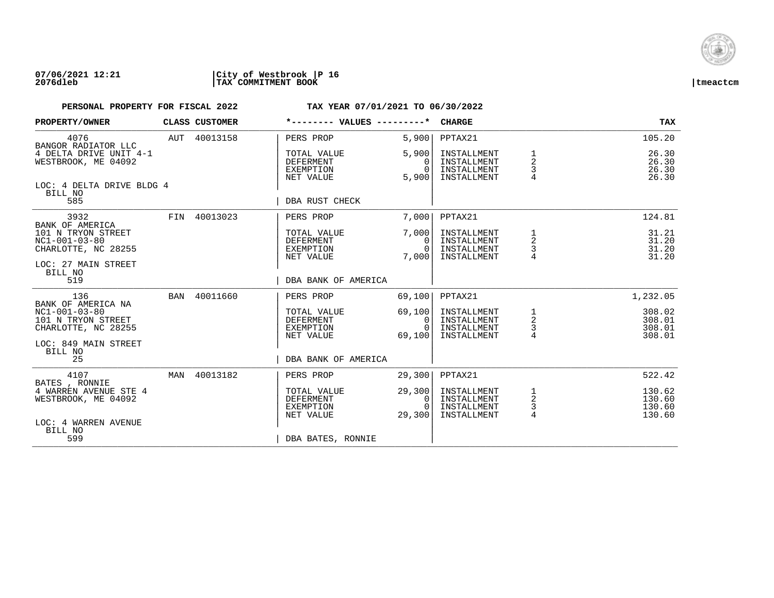

| PROPERTY/OWNER                                                                                         |     | CLASS CUSTOMER | *-------- VALUES ---------*                               |                                              | <b>CHARGE</b>                                            |                                            | <b>TAX</b>                           |
|--------------------------------------------------------------------------------------------------------|-----|----------------|-----------------------------------------------------------|----------------------------------------------|----------------------------------------------------------|--------------------------------------------|--------------------------------------|
| 4076<br>BANGOR RADIATOR LLC                                                                            |     | AUT 40013158   | PERS PROP                                                 | 5,900                                        | PPTAX21                                                  |                                            | 105.20                               |
| 4 DELTA DRIVE UNIT 4-1<br>WESTBROOK, ME 04092                                                          |     |                | TOTAL VALUE<br><b>DEFERMENT</b><br>EXEMPTION<br>NET VALUE | 5,900<br>$\Omega$<br>$\Omega$<br>5,900       | INSTALLMENT<br>INSTALLMENT<br>INSTALLMENT<br>INSTALLMENT | 1<br>$\overline{a}$<br>3<br>$\overline{4}$ | 26.30<br>26.30<br>26.30<br>26.30     |
| LOC: 4 DELTA DRIVE BLDG 4<br>BILL NO<br>585                                                            |     |                | DBA RUST CHECK                                            |                                              |                                                          |                                            |                                      |
| 3932                                                                                                   |     | FIN 40013023   | PERS PROP                                                 | 7.000                                        | PPTAX21                                                  |                                            | 124.81                               |
| BANK OF AMERICA<br>101 N TRYON STREET<br>$NC1-001-03-80$<br>CHARLOTTE, NC 28255<br>LOC: 27 MAIN STREET |     |                | TOTAL VALUE<br>DEFERMENT<br>EXEMPTION<br>NET VALUE        | 7.000<br>$\Omega$<br>$\Omega$<br>7,000       | INSTALLMENT<br>INSTALLMENT<br>INSTALLMENT<br>INSTALLMENT | 2<br>3                                     | 31.21<br>31.20<br>31.20<br>31.20     |
| BILL NO<br>519                                                                                         |     |                | DBA BANK OF AMERICA                                       |                                              |                                                          |                                            |                                      |
| 136<br>BANK OF AMERICA NA                                                                              | BAN | 40011660       | PERS PROP                                                 | 69,100                                       | PPTAX21                                                  |                                            | 1,232.05                             |
| $NC1-001-03-80$<br>101 N TRYON STREET<br>CHARLOTTE, NC 28255<br>LOC: 849 MAIN STREET                   |     |                | TOTAL VALUE<br>DEFERMENT<br>EXEMPTION<br>NET VALUE        | 69,100<br>$\mathbf{0}$<br>$\Omega$<br>69,100 | INSTALLMENT<br>INSTALLMENT<br>INSTALLMENT<br>INSTALLMENT | $\frac{1}{2}$<br>$\frac{3}{4}$             | 308.02<br>308.01<br>308.01<br>308.01 |
| BILL NO<br>25                                                                                          |     |                | DBA BANK OF AMERICA                                       |                                              |                                                          |                                            |                                      |
| 4107<br>BATES , RONNIE                                                                                 | MAN | 40013182       | PERS PROP                                                 | 29,300                                       | PPTAX21                                                  |                                            | 522.42                               |
| 4 WARREN AVENUE STE 4<br>WESTBROOK, ME 04092                                                           |     |                | TOTAL VALUE<br>DEFERMENT<br>EXEMPTION<br>NET VALUE        | 29,300<br>0<br>$\Omega$<br>29,300            | INSTALLMENT<br>INSTALLMENT<br>INSTALLMENT<br>INSTALLMENT | 1<br>$\overline{c}$<br>3<br>$\overline{4}$ | 130.62<br>130.60<br>130.60<br>130.60 |
| LOC: 4 WARREN AVENUE<br>BILL NO<br>599                                                                 |     |                | DBA BATES, RONNIE                                         |                                              |                                                          |                                            |                                      |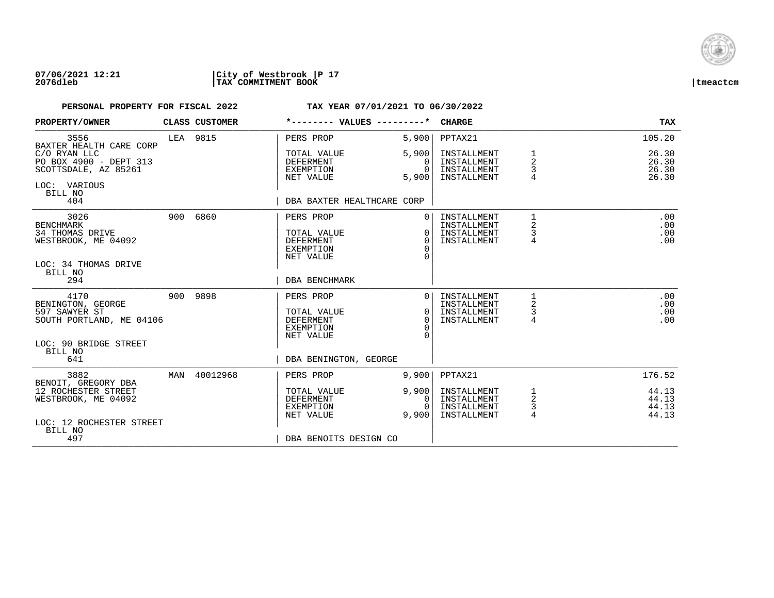

| PROPERTY/OWNER                                                    | CLASS CUSTOMER | *-------- VALUES ---------*                               |                             | <b>CHARGE</b>                             |                          | <b>TAX</b>              |
|-------------------------------------------------------------------|----------------|-----------------------------------------------------------|-----------------------------|-------------------------------------------|--------------------------|-------------------------|
| 3556<br>BAXTER HEALTH CARE CORP<br>C/O RYAN LLC                   | LEA 9815       | PERS PROP<br>TOTAL VALUE                                  | 5,900<br>5,900              | PPTAX21<br>INSTALLMENT                    | 1                        | 105.20<br>26.30         |
| PO BOX 4900 - DEPT 313<br>SCOTTSDALE, AZ 85261                    |                | DEFERMENT<br>EXEMPTION<br>NET VALUE                       | $\Omega$<br>$\cap$<br>5,900 | INSTALLMENT<br>INSTALLMENT<br>INSTALLMENT | $\overline{a}$<br>3<br>4 | 26.30<br>26.30<br>26.30 |
| LOC: VARIOUS<br>BILL NO<br>404                                    |                | DBA BAXTER HEALTHCARE CORP                                |                             |                                           |                          |                         |
| 3026                                                              | 900 6860       | PERS PROP                                                 |                             | INSTALLMENT                               |                          | .00                     |
| <b>BENCHMARK</b><br><b>34 THOMAS DRIVE</b><br>WESTBROOK, ME 04092 |                | TOTAL VALUE<br><b>DEFERMENT</b><br>EXEMPTION<br>NET VALUE | $\Omega$<br>$\Omega$        | INSTALLMENT<br>INSTALLMENT<br>INSTALLMENT | 3<br>$\overline{4}$      | .00<br>.00<br>.00       |
| LOC: 34 THOMAS DRIVE<br>BILL NO<br>294                            |                | <b>DBA BENCHMARK</b>                                      |                             |                                           |                          |                         |
| 4170<br>BENINGTON, GEORGE                                         | 900 9898       | PERS PROP                                                 | $\Omega$                    | INSTALLMENT<br>INSTALLMENT                | 1<br>2                   | .00<br>.00              |
| 597 SAWYER ST<br>SOUTH PORTLAND, ME 04106                         |                | TOTAL VALUE<br><b>DEFERMENT</b><br>EXEMPTION              | $\Omega$<br>$\Omega$        | INSTALLMENT<br>INSTALLMENT                | 3<br>4                   | .00<br>.00              |
| LOC: 90 BRIDGE STREET<br>BILL NO                                  |                | NET VALUE                                                 |                             |                                           |                          |                         |
| 641                                                               |                | DBA BENINGTON, GEORGE                                     |                             |                                           |                          |                         |
| 3882<br>BENOIT, GREGORY DBA                                       | MAN 40012968   | PERS PROP                                                 | 9,900                       | PPTAX21                                   |                          | 176.52                  |
| 12 ROCHESTER STREET<br>WESTBROOK, ME 04092                        |                | TOTAL VALUE<br>DEFERMENT<br>EXEMPTION                     | 9,900<br>0                  | INSTALLMENT<br>INSTALLMENT<br>INSTALLMENT | 1<br>2<br>3              | 44.13<br>44.13<br>44.13 |
| LOC: 12 ROCHESTER STREET<br>BILL NO                               |                | NET VALUE                                                 | 9,900                       | INSTALLMENT                               | 4                        | 44.13                   |
| 497                                                               |                | DBA BENOITS DESIGN CO                                     |                             |                                           |                          |                         |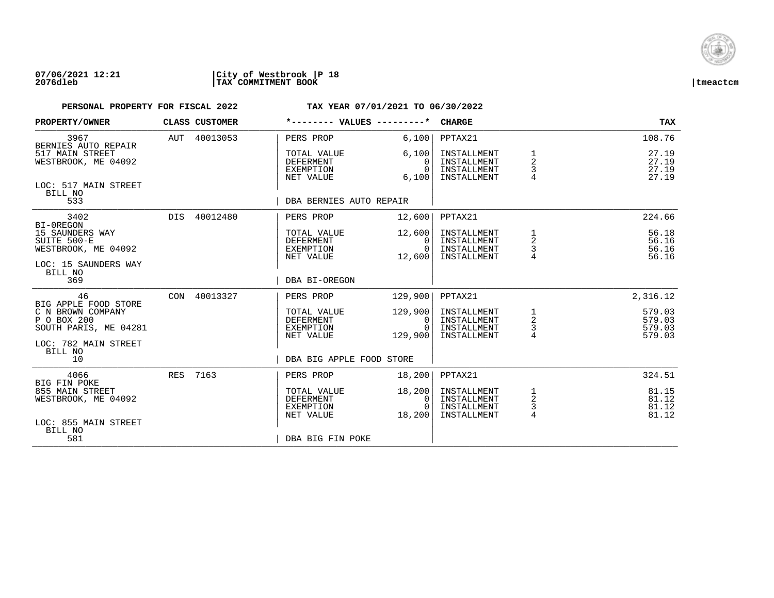

| PROPERTY/OWNER                                                                             | CLASS CUSTOMER |                                                           | *-------- VALUES ---------*              | <b>CHARGE</b>                                            |                                      | <b>TAX</b>                           |
|--------------------------------------------------------------------------------------------|----------------|-----------------------------------------------------------|------------------------------------------|----------------------------------------------------------|--------------------------------------|--------------------------------------|
| 3967<br>BERNIES AUTO REPAIR                                                                | AUT 40013053   | PERS PROP                                                 | 6,100                                    | PPTAX21                                                  |                                      | 108.76                               |
| 517 MAIN STREET<br>WESTBROOK, ME 04092                                                     |                | TOTAL VALUE<br><b>DEFERMENT</b><br>EXEMPTION<br>NET VALUE | 6,100<br>$\Omega$<br>$\Omega$<br>6,100   | INSTALLMENT<br>INSTALLMENT<br>INSTALLMENT<br>INSTALLMENT | 1<br>$\overline{2}$<br>3             | 27.19<br>27.19<br>27.19<br>27.19     |
| LOC: 517 MAIN STREET<br>BILL NO<br>533                                                     |                | DBA BERNIES AUTO REPAIR                                   |                                          |                                                          |                                      |                                      |
| 3402                                                                                       | DIS 40012480   | PERS PROP                                                 | 12,600                                   | PPTAX21                                                  |                                      | 224.66                               |
| BI-OREGON<br>15 SAUNDERS WAY<br>SUITE 500-E<br>WESTBROOK, ME 04092<br>LOC: 15 SAUNDERS WAY |                | TOTAL VALUE<br>DEFERMENT<br>EXEMPTION<br>NET VALUE        | 12,600<br>$\Omega$<br>$\Omega$<br>12,600 | INSTALLMENT<br>INSTALLMENT<br>INSTALLMENT<br>INSTALLMENT | 1<br>2<br>3                          | 56.18<br>56.16<br>56.16<br>56.16     |
| BILL NO<br>369                                                                             |                | DBA BI-OREGON                                             |                                          |                                                          |                                      |                                      |
| 46<br>BIG APPLE FOOD STORE                                                                 | CON 40013327   | PERS PROP                                                 | 129,900                                  | PPTAX21                                                  |                                      | 2,316.12                             |
| C N BROWN COMPANY<br>P O BOX 200<br>SOUTH PARIS, ME 04281                                  |                | TOTAL VALUE<br>DEFERMENT<br>EXEMPTION<br>NET VALUE        | 129,900<br>0<br>$\Omega$<br>129,900      | INSTALLMENT<br>INSTALLMENT<br>INSTALLMENT<br>INSTALLMENT | $\frac{1}{2}$<br>$\frac{3}{4}$       | 579.03<br>579.03<br>579.03<br>579.03 |
| LOC: 782 MAIN STREET<br>BILL NO<br>10                                                      |                | DBA BIG APPLE FOOD STORE                                  |                                          |                                                          |                                      |                                      |
| 4066<br><b>BIG FIN POKE</b>                                                                | RES 7163       | PERS PROP                                                 | 18,200                                   | PPTAX21                                                  |                                      | 324.51                               |
| 855 MAIN STREET<br>WESTBROOK, ME 04092                                                     |                | TOTAL VALUE<br>DEFERMENT<br>EXEMPTION<br>NET VALUE        | 18,200<br>0<br>$\Omega$<br>18,200        | INSTALLMENT<br>INSTALLMENT<br>INSTALLMENT<br>INSTALLMENT | 1<br>$\overline{a}$<br>$\frac{3}{4}$ | 81.15<br>81.12<br>81.12<br>81.12     |
| LOC: 855 MAIN STREET<br>BILL NO<br>581                                                     |                | DBA BIG FIN POKE                                          |                                          |                                                          |                                      |                                      |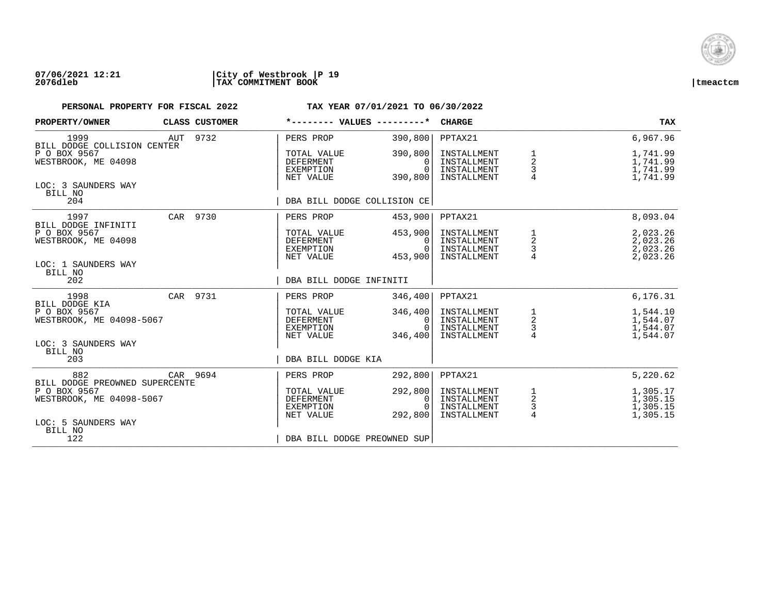

| PROPERTY/OWNER                                                             |     | CLASS CUSTOMER | *-------- VALUES ---------*                                      |                                            | <b>CHARGE</b>                                            |                                                 | <b>TAX</b>                                   |
|----------------------------------------------------------------------------|-----|----------------|------------------------------------------------------------------|--------------------------------------------|----------------------------------------------------------|-------------------------------------------------|----------------------------------------------|
| 1999<br>BILL DODGE COLLISION CENTER                                        | AUT | 9732           | PERS PROP                                                        | 390,800                                    | PPTAX21                                                  |                                                 | 6,967.96                                     |
| P O BOX 9567<br>WESTBROOK, ME 04098                                        |     |                | TOTAL VALUE<br>DEFERMENT<br>EXEMPTION<br>NET VALUE               | 390,800<br>0<br>$\Omega$<br>390,800        | INSTALLMENT<br>INSTALLMENT<br>INSTALLMENT<br>INSTALLMENT | 1<br>2<br>3<br>$\overline{4}$                   | 1,741.99<br>1,741.99<br>1,741.99<br>1,741.99 |
| LOC: 3 SAUNDERS WAY<br>BILL NO<br>204                                      |     |                | DBA BILL DODGE COLLISION CE                                      |                                            |                                                          |                                                 |                                              |
| 1997                                                                       |     | CAR 9730       | PERS PROP                                                        | 453,900                                    | PPTAX21                                                  |                                                 | 8,093.04                                     |
| BILL DODGE INFINITI<br>P O BOX 9567<br>WESTBROOK, ME 04098                 |     |                | TOTAL VALUE<br>DEFERMENT<br><b>EXEMPTION</b><br>NET VALUE        | 453,900<br>$\Omega$<br>$\Omega$<br>453,900 | INSTALLMENT<br>INSTALLMENT<br>INSTALLMENT<br>INSTALLMENT | 1<br>2<br>$\frac{3}{4}$                         | 2,023.26<br>2,023.26<br>2,023.26<br>2,023.26 |
| LOC: 1 SAUNDERS WAY<br>BILL NO<br>202                                      |     |                | DBA BILL DODGE INFINITI                                          |                                            |                                                          |                                                 |                                              |
| 1998<br>BILL DODGE KIA                                                     |     | CAR 9731       | PERS PROP                                                        | 346,400                                    | PPTAX21                                                  |                                                 | 6,176.31                                     |
| P O BOX 9567<br>WESTBROOK, ME 04098-5067                                   |     |                | TOTAL VALUE<br>DEFERMENT<br><b>EXEMPTION</b><br>NET VALUE        | 346,400<br>0<br>$\Omega$<br>346,400        | INSTALLMENT<br>INSTALLMENT<br>INSTALLMENT<br>INSTALLMENT | $\begin{array}{c} 1 \\ 2 \\ 3 \\ 4 \end{array}$ | 1,544.10<br>1,544.07<br>1,544.07<br>1,544.07 |
| LOC: 3 SAUNDERS WAY<br>BILL NO<br>203                                      |     |                | DBA BILL DODGE KIA                                               |                                            |                                                          |                                                 |                                              |
| 882                                                                        |     | CAR 9694       | PERS PROP                                                        | 292,800                                    | PPTAX21                                                  |                                                 | 5,220.62                                     |
| BILL DODGE PREOWNED SUPERCENTE<br>P O BOX 9567<br>WESTBROOK, ME 04098-5067 |     |                | TOTAL VALUE<br><b>DEFERMENT</b><br><b>EXEMPTION</b><br>NET VALUE | 292,800<br>0<br>$\Omega$<br>292,800        | INSTALLMENT<br>INSTALLMENT<br>INSTALLMENT<br>INSTALLMENT | $\frac{1}{2}$<br>$\frac{3}{4}$                  | 1,305.17<br>1,305.15<br>1,305.15<br>1,305.15 |
| LOC: 5 SAUNDERS WAY<br>BILL NO<br>122                                      |     |                | DBA BILL DODGE PREOWNED SUP                                      |                                            |                                                          |                                                 |                                              |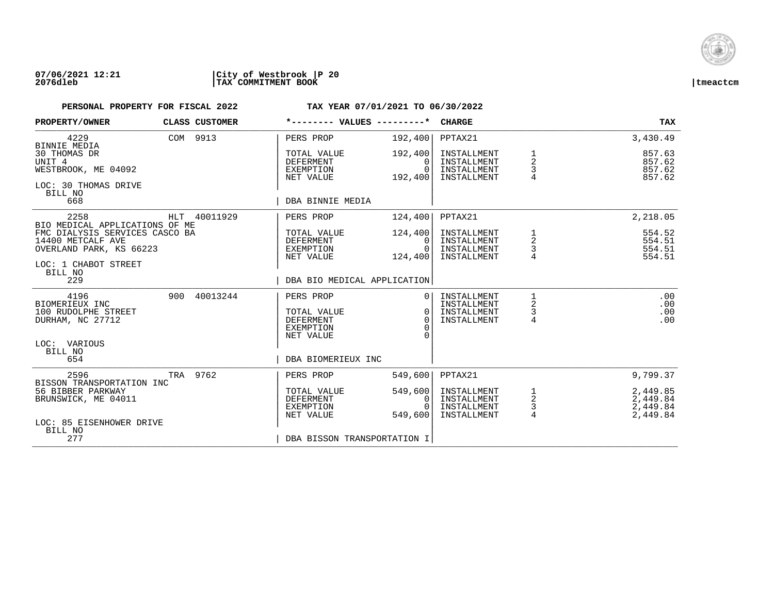

| PROPERTY/OWNER                                                                                                    |     | <b>CLASS CUSTOMER</b> | *-------- VALUES ---------*                                                   |                                            | <b>CHARGE</b>                                            |                                            | <b>TAX</b>                                   |
|-------------------------------------------------------------------------------------------------------------------|-----|-----------------------|-------------------------------------------------------------------------------|--------------------------------------------|----------------------------------------------------------|--------------------------------------------|----------------------------------------------|
| 4229<br><b>BINNIE MEDIA</b>                                                                                       |     | COM 9913              | PERS PROP                                                                     | 192,400                                    | PPTAX21                                                  |                                            | 3,430.49                                     |
| 30 THOMAS DR<br>UNIT 4<br>WESTBROOK, ME 04092<br>LOC: 30 THOMAS DRIVE<br>BILL NO                                  |     |                       | TOTAL VALUE<br><b>DEFERMENT</b><br>EXEMPTION<br>NET VALUE                     | 192,400<br>$\Omega$<br>$\Omega$<br>192,400 | INSTALLMENT<br>INSTALLMENT<br>INSTALLMENT<br>INSTALLMENT | 1<br>$\overline{a}$<br>3<br>$\overline{4}$ | 857.63<br>857.62<br>857.62<br>857.62         |
| 668                                                                                                               |     |                       | DBA BINNIE MEDIA                                                              |                                            |                                                          |                                            |                                              |
| 2258<br>BIO MEDICAL APPLICATIONS OF ME                                                                            |     | HLT 40011929          | PERS PROP                                                                     | 124,400                                    | PPTAX21                                                  |                                            | 2,218.05                                     |
| FMC DIALYSIS SERVICES CASCO BA<br>14400 METCALF AVE<br>OVERLAND PARK, KS 66223<br>LOC: 1 CHABOT STREET<br>BILL NO |     |                       | TOTAL VALUE<br>DEFERMENT<br>EXEMPTION<br>NET VALUE                            | 124,400<br>$\Omega$<br>$\Omega$<br>124,400 | INSTALLMENT<br>INSTALLMENT<br>INSTALLMENT<br>INSTALLMENT | 1<br>2<br>3                                | 554.52<br>554.51<br>554.51<br>554.51         |
| 229                                                                                                               |     |                       | DBA BIO MEDICAL APPLICATION                                                   |                                            |                                                          |                                            |                                              |
| 4196<br>BIOMERIEUX INC<br>100 RUDOLPHE STREET<br>DURHAM, NC 27712                                                 | 900 | 40013244              | PERS PROP<br>TOTAL VALUE<br><b>DEFERMENT</b><br><b>EXEMPTION</b><br>NET VALUE | $\Omega$<br>$\Omega$<br>$\Omega$<br>∩<br>∩ | INSTALLMENT<br>INSTALLMENT<br>INSTALLMENT<br>INSTALLMENT | 1<br>2<br>3<br>4                           | .00<br>.00<br>.00<br>.00                     |
| LOC: VARIOUS<br>BILL NO<br>654                                                                                    |     |                       | DBA BIOMERIEUX INC                                                            |                                            |                                                          |                                            |                                              |
| 2596<br>BISSON TRANSPORTATION INC                                                                                 | TRA | 9762                  | PERS PROP                                                                     | 549,600                                    | PPTAX21                                                  |                                            | 9,799.37                                     |
| 56 BIBBER PARKWAY<br>BRUNSWICK, ME 04011<br>LOC: 85 EISENHOWER DRIVE<br>BILL NO                                   |     |                       | TOTAL VALUE<br><b>DEFERMENT</b><br>EXEMPTION<br>NET VALUE                     | 549,600<br>0<br>$\Omega$<br>549,600        | INSTALLMENT<br>INSTALLMENT<br>INSTALLMENT<br>INSTALLMENT | $\frac{1}{2}$<br>3<br>4                    | 2,449.85<br>2,449.84<br>2,449.84<br>2,449.84 |
| 277                                                                                                               |     |                       | DBA BISSON TRANSPORTATION I                                                   |                                            |                                                          |                                            |                                              |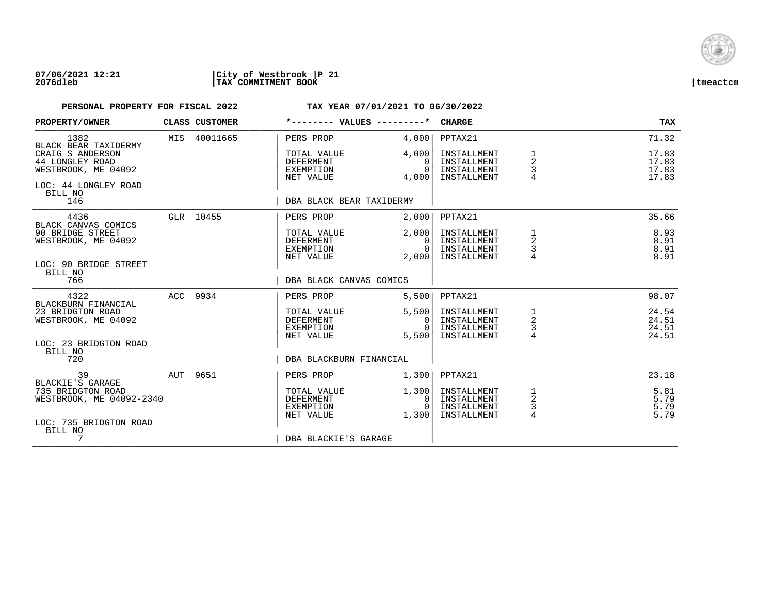

| PROPERTY/OWNER                                                          | CLASS CUSTOMER | *-------- VALUES ---------*                               |                                                 | <b>CHARGE</b>                                            |                                                   | <b>TAX</b>                       |
|-------------------------------------------------------------------------|----------------|-----------------------------------------------------------|-------------------------------------------------|----------------------------------------------------------|---------------------------------------------------|----------------------------------|
| 1382<br>BLACK BEAR TAXIDERMY                                            | MIS 40011665   | PERS PROP                                                 | 4,000                                           | PPTAX21                                                  |                                                   | 71.32                            |
| CRAIG S ANDERSON<br>44 LONGLEY ROAD<br>WESTBROOK, ME 04092              |                | TOTAL VALUE<br><b>DEFERMENT</b><br>EXEMPTION<br>NET VALUE | 4,000<br>$\Omega$<br>$\Omega$<br>4,000          | INSTALLMENT<br>INSTALLMENT<br>INSTALLMENT<br>INSTALLMENT | 1<br>2<br>3                                       | 17.83<br>17.83<br>17.83<br>17.83 |
| LOC: 44 LONGLEY ROAD<br>BILL NO<br>146                                  |                | DBA BLACK BEAR TAXIDERMY                                  |                                                 |                                                          |                                                   |                                  |
| 4436<br>BLACK CANVAS COMICS                                             | GLR 10455      | PERS PROP                                                 | 2,000                                           | PPTAX21                                                  |                                                   | 35.66                            |
| 90 BRIDGE STREET<br>WESTBROOK, ME 04092                                 |                | TOTAL VALUE<br>DEFERMENT<br>EXEMPTION<br>NET VALUE        | 2.0001<br>$\Omega$<br>$\overline{0}$ l<br>2,000 | INSTALLMENT<br>INSTALLMENT<br>INSTALLMENT<br>INSTALLMENT | 1<br>2<br>3                                       | 8.93<br>8.91<br>8.91<br>8.91     |
| LOC: 90 BRIDGE STREET<br>BILL NO<br>766                                 |                | DBA BLACK CANVAS COMICS                                   |                                                 |                                                          |                                                   |                                  |
| 4322<br>BLACKBURN FINANCIAL                                             | ACC 9934       | PERS PROP                                                 | 5,500                                           | PPTAX21                                                  |                                                   | 98.07                            |
| 23 BRIDGTON ROAD<br>WESTBROOK, ME 04092                                 |                | TOTAL VALUE<br>DEFERMENT<br>EXEMPTION<br>NET VALUE        | 5,500<br>$\mathbf{0}$<br>$\Omega$<br>5,500      | INSTALLMENT<br>INSTALLMENT<br>INSTALLMENT<br>INSTALLMENT | $\begin{array}{c}\n1 \\ 2 \\ 3 \\ 4\n\end{array}$ | 24.54<br>24.51<br>24.51<br>24.51 |
| LOC: 23 BRIDGTON ROAD<br>BILL NO<br>720                                 |                | DBA BLACKBURN FINANCIAL                                   |                                                 |                                                          |                                                   |                                  |
| 39<br>BLACKIE'S GARAGE                                                  | AUT 9651       | PERS PROP                                                 | 1,300                                           | PPTAX21                                                  |                                                   | 23.18                            |
| 735 BRIDGTON ROAD<br>WESTBROOK, ME 04092-2340<br>LOC: 735 BRIDGTON ROAD |                | TOTAL VALUE<br>DEFERMENT<br>EXEMPTION<br>NET VALUE        | 1,300<br>$\overline{0}$<br>$\bigcap$<br>1,300   | INSTALLMENT<br>INSTALLMENT<br>INSTALLMENT<br>INSTALLMENT | $\frac{1}{2}$<br>3<br>$\overline{4}$              | 5.81<br>5.79<br>5.79<br>5.79     |
| BILL NO<br>7                                                            |                | DBA BLACKIE'S GARAGE                                      |                                                 |                                                          |                                                   |                                  |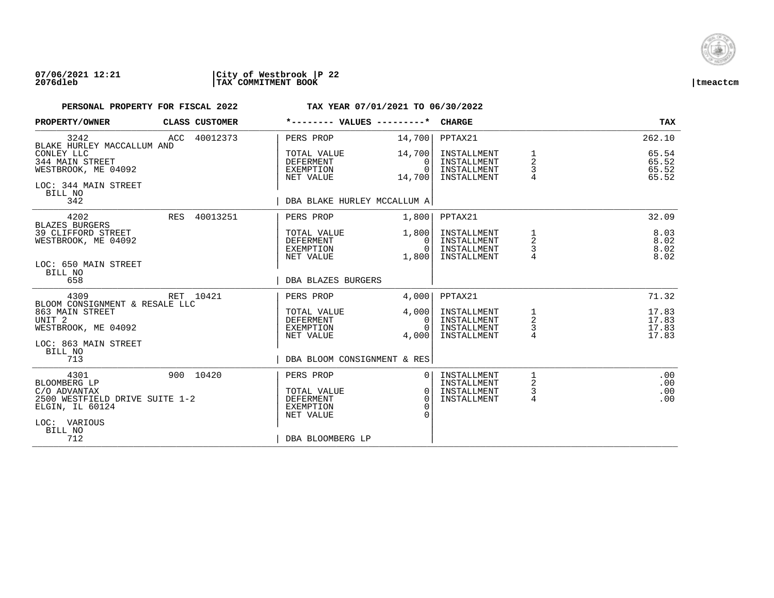

| PROPERTY/OWNER                                                                                                       | <b>CLASS CUSTOMER</b> |                                                                        | *-------- VALUES ---------*                            | <b>CHARGE</b>                                            |                                 | TAX                              |
|----------------------------------------------------------------------------------------------------------------------|-----------------------|------------------------------------------------------------------------|--------------------------------------------------------|----------------------------------------------------------|---------------------------------|----------------------------------|
| 3242<br>BLAKE HURLEY MACCALLUM AND                                                                                   | ACC 40012373          | PERS PROP                                                              | 14,700                                                 | PPTAX21                                                  |                                 | 262.10                           |
| CONLEY LLC<br>344 MAIN STREET<br>WESTBROOK, ME 04092<br>LOC: 344 MAIN STREET<br>BILL NO                              |                       | TOTAL VALUE<br><b>DEFERMENT</b><br>EXEMPTION<br>NET VALUE              | 14,700<br>$\Omega$<br>$\overline{0}$  <br>14,700       | INSTALLMENT<br>INSTALLMENT<br>INSTALLMENT<br>INSTALLMENT | 1<br>2<br>3                     | 65.54<br>65.52<br>65.52<br>65.52 |
| 342                                                                                                                  |                       |                                                                        | DBA BLAKE HURLEY MCCALLUM A                            |                                                          |                                 |                                  |
| 4202<br><b>BLAZES BURGERS</b>                                                                                        | RES 40013251          | PERS PROP                                                              | 1,800                                                  | PPTAX21                                                  |                                 | 32.09                            |
| 39 CLIFFORD STREET<br>WESTBROOK, ME 04092                                                                            |                       | TOTAL VALUE<br>DEFERMENT<br>EXEMPTION<br>NET VALUE                     | 1,800<br>- O I<br>0 <sup>1</sup><br>1,800              | INSTALLMENT<br>INSTALLMENT<br>INSTALLMENT<br>INSTALLMENT | 1<br>2<br>3                     | 8.03<br>8.02<br>8.02<br>8.02     |
| LOC: 650 MAIN STREET<br>BILL NO<br>658                                                                               |                       | DBA BLAZES BURGERS                                                     |                                                        |                                                          |                                 |                                  |
| 4309<br>BLOOM CONSIGNMENT & RESALE LLC                                                                               | RET 10421             | PERS PROP                                                              | 4,000                                                  | PPTAX21                                                  |                                 | 71.32                            |
| 863 MAIN STREET<br>UNIT <sub>2</sub><br>WESTBROOK, ME 04092<br>LOC: 863 MAIN STREET                                  |                       | TOTAL VALUE<br>DEFERMENT<br>EXEMPTION<br>NET VALUE                     | 4,000<br>0 <sup>1</sup><br>$\Omega$<br>4,000           | INSTALLMENT<br>INSTALLMENT<br>INSTALLMENT<br>INSTALLMENT | $\frac{1}{2}$<br>$\overline{4}$ | 17.83<br>17.83<br>17.83<br>17.83 |
| BILL NO<br>713                                                                                                       |                       |                                                                        | DBA BLOOM CONSIGNMENT & RES                            |                                                          |                                 |                                  |
| 4301<br>BLOOMBERG LP<br>C/O ADVANTAX<br>2500 WESTFIELD DRIVE SUITE 1-2<br>ELGIN, IL 60124<br>LOC: VARIOUS<br>BILL NO | 900 10420             | PERS PROP<br>TOTAL VALUE<br><b>DEFERMENT</b><br>EXEMPTION<br>NET VALUE | 0 <sup>1</sup><br>0 <sup>1</sup><br>$\Omega$<br>$\cap$ | INSTALLMENT<br>INSTALLMENT<br>INSTALLMENT<br>INSTALLMENT | 2<br>$\mathsf{3}$<br>4          | .00<br>.00<br>.00<br>.00         |
| 712                                                                                                                  |                       | DBA BLOOMBERG LP                                                       |                                                        |                                                          |                                 |                                  |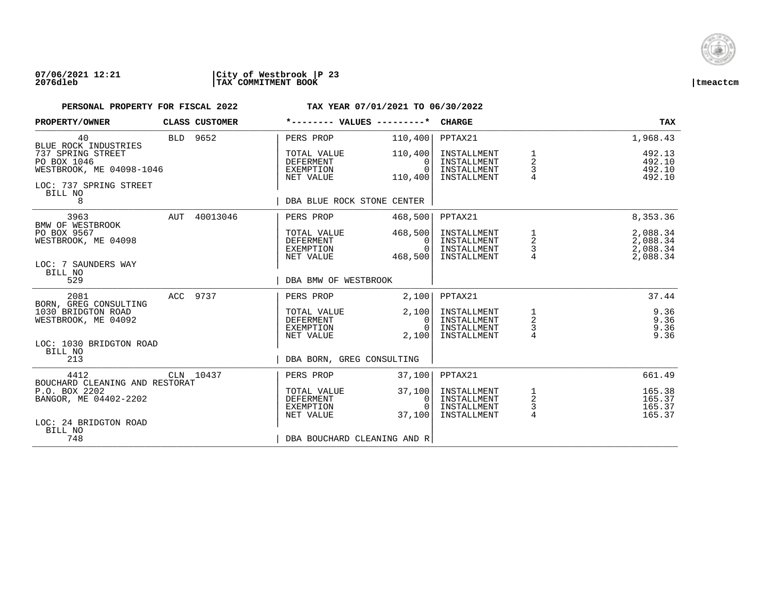

### **07/06/2021 12:21 |City of Westbrook |P 23 2076dleb |TAX COMMITMENT BOOK |tmeactcm**

| PROPERTY/OWNER                                                                                    |          | CLASS CUSTOMER | *-------- VALUES ---------*                               |                                     | <b>CHARGE</b>                                            |                                                   | <b>TAX</b>                                   |
|---------------------------------------------------------------------------------------------------|----------|----------------|-----------------------------------------------------------|-------------------------------------|----------------------------------------------------------|---------------------------------------------------|----------------------------------------------|
| 40<br>BLUE ROCK INDUSTRIES                                                                        |          | BLD 9652       | PERS PROP                                                 | 110,400                             | PPTAX21                                                  |                                                   | 1,968.43                                     |
| 737 SPRING STREET<br>PO BOX 1046<br>WESTBROOK, ME 04098-1046<br>LOC: 737 SPRING STREET<br>BILL NO |          |                | TOTAL VALUE<br>DEFERMENT<br>EXEMPTION<br>NET VALUE        | 110,400<br>0<br>$\Omega$<br>110,400 | INSTALLMENT<br>INSTALLMENT<br>INSTALLMENT<br>INSTALLMENT | $\overline{a}$<br>$\frac{3}{4}$                   | 492.13<br>492.10<br>492.10<br>492.10         |
| 8                                                                                                 |          |                | DBA BLUE ROCK STONE CENTER                                |                                     |                                                          |                                                   |                                              |
| 3963<br>BMW OF WESTBROOK                                                                          |          | AUT 40013046   | PERS PROP                                                 | 468,500                             | PPTAX21                                                  |                                                   | 8,353.36                                     |
| PO BOX 9567<br>WESTBROOK, ME 04098<br>LOC: 7 SAUNDERS WAY                                         |          |                | TOTAL VALUE<br>DEFERMENT<br>EXEMPTION<br>NET VALUE        | 468,500<br>0<br>$\Omega$<br>468,500 | INSTALLMENT<br>INSTALLMENT<br>INSTALLMENT<br>INSTALLMENT | $\begin{array}{c}\n1 \\ 2 \\ 3 \\ 4\n\end{array}$ | 2,088.34<br>2,088.34<br>2,088.34<br>2,088.34 |
| BILL NO<br>529                                                                                    |          |                | DBA BMW OF WESTBROOK                                      |                                     |                                                          |                                                   |                                              |
| 2081<br>BORN, GREG CONSULTING                                                                     | ACC 9737 |                | PERS PROP                                                 | 2,100                               | PPTAX21                                                  |                                                   | 37.44                                        |
| 1030 BRIDGTON ROAD<br>WESTBROOK, ME 04092                                                         |          |                | TOTAL VALUE<br>DEFERMENT<br>EXEMPTION<br>NET VALUE        | 2,100<br>0<br>$\Omega$<br>2,100     | INSTALLMENT<br>INSTALLMENT<br>INSTALLMENT<br>INSTALLMENT | $\frac{1}{2}$<br>$\frac{3}{4}$                    | 9.36<br>9.36<br>9.36<br>9.36                 |
| LOC: 1030 BRIDGTON ROAD<br>BILL NO<br>213                                                         |          |                | DBA BORN, GREG CONSULTING                                 |                                     |                                                          |                                                   |                                              |
| 4412<br>BOUCHARD CLEANING AND RESTORAT                                                            |          | CLN 10437      | PERS PROP                                                 | 37,100                              | PPTAX21                                                  |                                                   | 661.49                                       |
| P.O. BOX 2202<br>BANGOR, ME 04402-2202                                                            |          |                | TOTAL VALUE<br><b>DEFERMENT</b><br>EXEMPTION<br>NET VALUE | 37,100<br>0<br>$\cap$<br>37,100     | INSTALLMENT<br>INSTALLMENT<br>INSTALLMENT<br>INSTALLMENT | $\begin{array}{c}\n1 \\ 2 \\ 3 \\ 4\n\end{array}$ | 165.38<br>165.37<br>165.37<br>165.37         |
| LOC: 24 BRIDGTON ROAD<br>BILL NO<br>748                                                           |          |                | DBA BOUCHARD CLEANING AND R                               |                                     |                                                          |                                                   |                                              |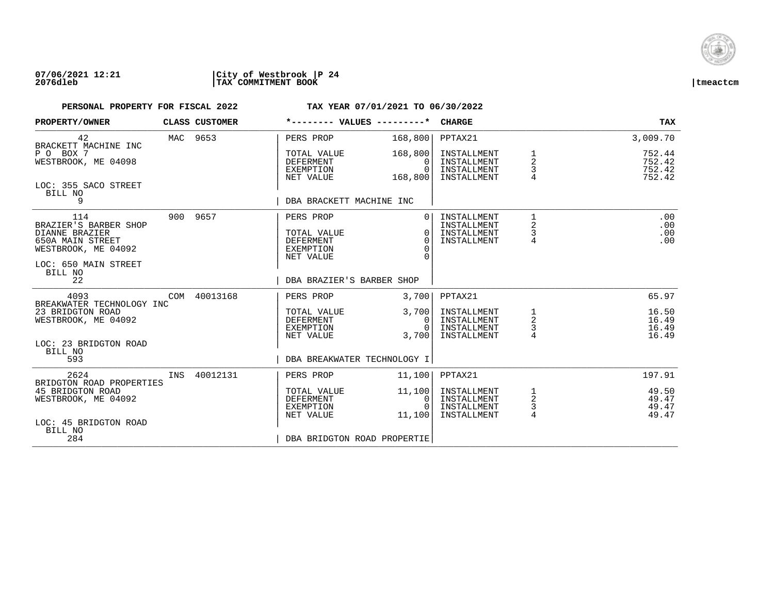

| PROPERTY/OWNER                                                                                                               |          | CLASS CUSTOMER | *-------- VALUES ---------*                                                   |                                              | <b>CHARGE</b>                                            |                                                       | <b>TAX</b>                           |
|------------------------------------------------------------------------------------------------------------------------------|----------|----------------|-------------------------------------------------------------------------------|----------------------------------------------|----------------------------------------------------------|-------------------------------------------------------|--------------------------------------|
| 42                                                                                                                           | MAC 9653 |                | PERS PROP                                                                     | 168,800                                      | PPTAX21                                                  |                                                       | 3,009.70                             |
| BRACKETT MACHINE INC<br>P O BOX 7<br>WESTBROOK, ME 04098                                                                     |          |                | TOTAL VALUE<br><b>DEFERMENT</b><br>EXEMPTION<br>NET VALUE                     | 168,800<br>$\Omega$<br>$\Omega$<br>168,800   | INSTALLMENT<br>INSTALLMENT<br>INSTALLMENT<br>INSTALLMENT | $\frac{1}{2}$<br>3                                    | 752.44<br>752.42<br>752.42<br>752.42 |
| LOC: 355 SACO STREET<br>BILL NO<br>9                                                                                         |          |                | DBA BRACKETT MACHINE INC                                                      |                                              |                                                          |                                                       |                                      |
| 114<br>BRAZIER'S BARBER SHOP<br>DIANNE BRAZIER<br>650A MAIN STREET<br>WESTBROOK, ME 04092<br>LOC: 650 MAIN STREET<br>BILL NO |          | 900 9657       | PERS PROP<br>TOTAL VALUE<br><b>DEFERMENT</b><br><b>EXEMPTION</b><br>NET VALUE | $\Omega$<br>$\Omega$<br>$\Omega$<br>$\Omega$ | INSTALLMENT<br>INSTALLMENT<br>INSTALLMENT<br>INSTALLMENT | $\mathbf{1}$<br>$\overline{2}$<br>3<br>$\overline{4}$ | .00<br>.00<br>.00<br>.00             |
| 22                                                                                                                           |          |                | DBA BRAZIER'S BARBER SHOP                                                     |                                              |                                                          |                                                       |                                      |
| 4093<br>BREAKWATER TECHNOLOGY INC                                                                                            |          | COM 40013168   | PERS PROP                                                                     | 3,700                                        | PPTAX21                                                  |                                                       | 65.97                                |
| 23 BRIDGTON ROAD<br>WESTBROOK, ME 04092<br>LOC: 23 BRIDGTON ROAD<br>BILL NO                                                  |          |                | TOTAL VALUE<br><b>DEFERMENT</b><br>EXEMPTION<br>NET VALUE                     | 3,700<br>0<br>$\cap$<br>3,700                | INSTALLMENT<br>INSTALLMENT<br>INSTALLMENT<br>INSTALLMENT | $\frac{1}{2}$<br>3                                    | 16.50<br>16.49<br>16.49<br>16.49     |
| 593                                                                                                                          |          |                | DBA BREAKWATER TECHNOLOGY I                                                   |                                              |                                                          |                                                       |                                      |
| 2624<br>BRIDGTON ROAD PROPERTIES                                                                                             |          | INS 40012131   | PERS PROP                                                                     | 11,100                                       | PPTAX21                                                  |                                                       | 197.91                               |
| 45 BRIDGTON ROAD<br>WESTBROOK, ME 04092<br>LOC: 45 BRIDGTON ROAD                                                             |          |                | TOTAL VALUE<br>DEFERMENT<br>EXEMPTION<br>NET VALUE                            | 11,100<br>0<br>$\Omega$<br>11,100            | INSTALLMENT<br>INSTALLMENT<br>INSTALLMENT<br>INSTALLMENT | $\frac{1}{2}$<br>$\frac{3}{4}$                        | 49.50<br>49.47<br>49.47<br>49.47     |
| BILL NO<br>284                                                                                                               |          |                | DBA BRIDGTON ROAD PROPERTIE                                                   |                                              |                                                          |                                                       |                                      |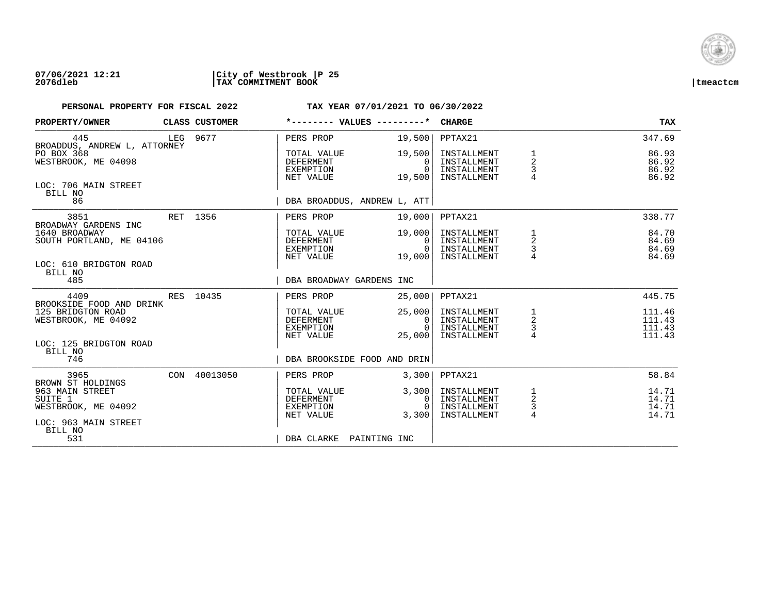

| PROPERTY/OWNER                                                      | CLASS CUSTOMER |                                                           | *-------- VALUES ---------*              | <b>CHARGE</b>                                            |                                | <b>TAX</b>                           |
|---------------------------------------------------------------------|----------------|-----------------------------------------------------------|------------------------------------------|----------------------------------------------------------|--------------------------------|--------------------------------------|
| 445<br>BROADDUS, ANDREW L, ATTORNEY                                 | LEG 9677       | PERS PROP                                                 | 19,500                                   | PPTAX21                                                  |                                | 347.69                               |
| PO BOX 368<br>WESTBROOK, ME 04098                                   |                | TOTAL VALUE<br><b>DEFERMENT</b><br>EXEMPTION<br>NET VALUE | 19,500<br>$\Omega$<br>$\Omega$<br>19,500 | INSTALLMENT<br>INSTALLMENT<br>INSTALLMENT<br>INSTALLMENT | 2<br>3                         | 86.93<br>86.92<br>86.92<br>86.92     |
| LOC: 706 MAIN STREET<br>BILL NO<br>86                               |                |                                                           | DBA BROADDUS, ANDREW L, ATT              |                                                          |                                |                                      |
| 3851<br>BROADWAY GARDENS INC                                        | RET 1356       | PERS PROP                                                 | 19,000                                   | PPTAX21                                                  |                                | 338.77                               |
| 1640 BROADWAY<br>SOUTH PORTLAND, ME 04106<br>LOC: 610 BRIDGTON ROAD |                | TOTAL VALUE<br>DEFERMENT<br>EXEMPTION<br>NET VALUE        | 19,000<br>0<br>$\Omega$<br>19,000        | INSTALLMENT<br>INSTALLMENT<br>INSTALLMENT<br>INSTALLMENT | $\frac{1}{2}$<br>3             | 84.70<br>84.69<br>84.69<br>84.69     |
| BILL NO<br>485                                                      |                |                                                           | DBA BROADWAY GARDENS INC                 |                                                          |                                |                                      |
| 4409<br>BROOKSIDE FOOD AND DRINK                                    | RES 10435      | PERS PROP                                                 | 25,000                                   | PPTAX21                                                  |                                | 445.75                               |
| 125 BRIDGTON ROAD<br>WESTBROOK, ME 04092                            |                | TOTAL VALUE<br>DEFERMENT<br>EXEMPTION<br>NET VALUE        | 25,000<br>0<br>$\cap$<br>25,000          | INSTALLMENT<br>INSTALLMENT<br>INSTALLMENT<br>INSTALLMENT | $\frac{1}{2}$<br>$\frac{3}{4}$ | 111.46<br>111.43<br>111.43<br>111.43 |
| LOC: 125 BRIDGTON ROAD<br>BILL NO<br>746                            |                |                                                           | DBA BROOKSIDE FOOD AND DRIN              |                                                          |                                |                                      |
| 3965<br>BROWN ST HOLDINGS                                           | CON 40013050   | PERS PROP                                                 | 3,300                                    | PPTAX21                                                  |                                | 58.84                                |
| 963 MAIN STREET<br>SUITE 1<br>WESTBROOK, ME 04092                   |                | TOTAL VALUE<br><b>DEFERMENT</b><br>EXEMPTION<br>NET VALUE | 3,300<br>0<br>$\Omega$<br>3,300          | INSTALLMENT<br>INSTALLMENT<br>INSTALLMENT<br>INSTALLMENT | $\frac{1}{2}$<br>$\frac{3}{4}$ | 14.71<br>14.71<br>14.71<br>14.71     |
| LOC: 963 MAIN STREET<br>BILL NO<br>531                              |                |                                                           | DBA CLARKE PAINTING INC                  |                                                          |                                |                                      |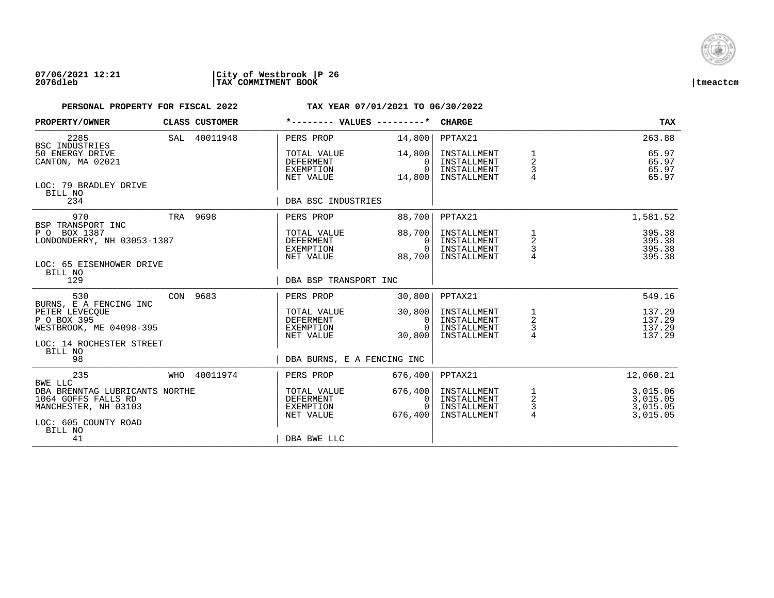

| PROPERTY/OWNER                                                                |     | <b>CLASS CUSTOMER</b>                              | *-------- VALUES ---------*                               |                                                          | <b>CHARGE</b>                                            |                                                 | <b>TAX</b>                                   |
|-------------------------------------------------------------------------------|-----|----------------------------------------------------|-----------------------------------------------------------|----------------------------------------------------------|----------------------------------------------------------|-------------------------------------------------|----------------------------------------------|
| 2285<br>BSC INDUSTRIES                                                        |     | SAL 40011948                                       | PERS PROP                                                 | 14,800                                                   | PPTAX21                                                  |                                                 | 263.88                                       |
| 50 ENERGY DRIVE<br>CANTON, MA 02021                                           |     |                                                    | TOTAL VALUE<br><b>DEFERMENT</b><br>EXEMPTION<br>NET VALUE | 14,800<br>$\Omega$<br>$\Omega$<br>14,800                 | INSTALLMENT<br>INSTALLMENT<br>INSTALLMENT<br>INSTALLMENT | 1<br>$\overline{2}$<br>3<br>$\overline{4}$      | 65.97<br>65.97<br>65.97<br>65.97             |
| LOC: 79 BRADLEY DRIVE<br>BILL NO<br>234                                       |     |                                                    | DBA BSC INDUSTRIES                                        |                                                          |                                                          |                                                 |                                              |
|                                                                               |     |                                                    |                                                           |                                                          |                                                          |                                                 |                                              |
| 970<br>BSP TRANSPORT INC                                                      |     | TRA 9698                                           | PERS PROP                                                 | 88,700                                                   | PPTAX21                                                  |                                                 | 1,581.52                                     |
| P O BOX 1387<br>LONDONDERRY, NH 03053-1387                                    |     | TOTAL VALUE<br>DEFERMENT<br>EXEMPTION<br>NET VALUE | 88,700<br>$\Omega$<br>$\Omega$<br>88,700                  | INSTALLMENT<br>INSTALLMENT<br>INSTALLMENT<br>INSTALLMENT | 1<br>2<br>3                                              | 395.38<br>395.38<br>395.38<br>395.38            |                                              |
| LOC: 65 EISENHOWER DRIVE<br>BILL NO                                           |     |                                                    |                                                           |                                                          |                                                          |                                                 |                                              |
| 129                                                                           |     |                                                    | DBA BSP TRANSPORT INC                                     |                                                          |                                                          |                                                 |                                              |
| 530<br>BURNS, E A FENCING INC                                                 |     | CON 9683                                           | PERS PROP                                                 | 30,800                                                   | PPTAX21                                                  |                                                 | 549.16                                       |
| PETER LEVECQUE<br>P O BOX 395<br>WESTBROOK, ME 04098-395                      |     |                                                    | TOTAL VALUE<br>DEFERMENT<br>EXEMPTION                     | 30,800<br>0<br>$\Omega$                                  | INSTALLMENT<br>INSTALLMENT<br>INSTALLMENT                | $\begin{array}{c} 1 \\ 2 \\ 3 \\ 4 \end{array}$ | 137.29<br>137.29<br>137.29                   |
| LOC: 14 ROCHESTER STREET<br>BILL NO                                           |     |                                                    | NET VALUE                                                 | 30,800                                                   | INSTALLMENT                                              |                                                 | 137.29                                       |
| 98                                                                            |     |                                                    | DBA BURNS, E A FENCING INC                                |                                                          |                                                          |                                                 |                                              |
| 235<br>BWE LLC                                                                | WHO | 40011974                                           | PERS PROP                                                 | 676,400                                                  | PPTAX21                                                  |                                                 | 12,060.21                                    |
| DBA BRENNTAG LUBRICANTS NORTHE<br>1064 GOFFS FALLS RD<br>MANCHESTER, NH 03103 |     |                                                    | TOTAL VALUE<br><b>DEFERMENT</b><br>EXEMPTION<br>NET VALUE | 676, 400<br>0<br>$\Omega$<br>676,400                     | INSTALLMENT<br>INSTALLMENT<br>INSTALLMENT<br>INSTALLMENT | $\frac{1}{2}$<br>3<br>4                         | 3,015.06<br>3,015.05<br>3,015.05<br>3,015.05 |
| LOC: 605 COUNTY ROAD<br>BILL NO<br>41                                         |     |                                                    | DBA BWE LLC                                               |                                                          |                                                          |                                                 |                                              |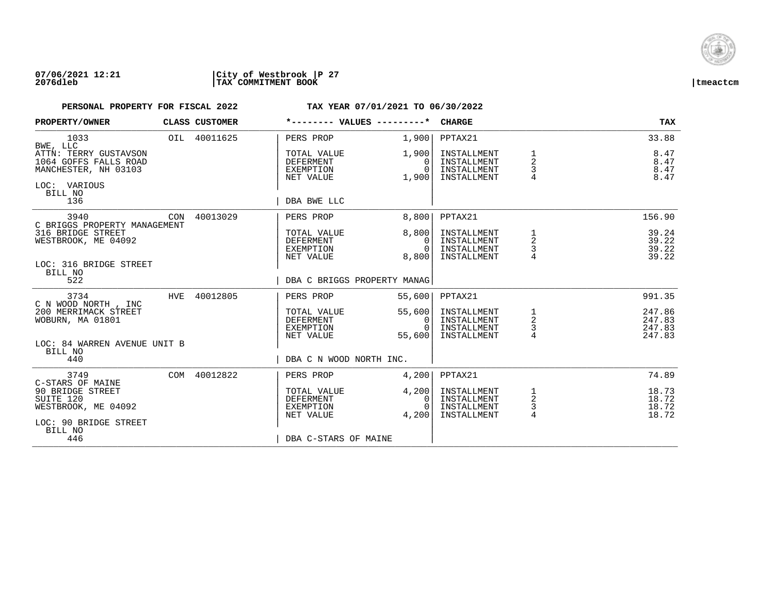

| PROPERTY/OWNER                                                                                    |     | CLASS CUSTOMER | *-------- VALUES ---------*                               |                                         | <b>CHARGE</b>                                            |                                                   | <b>TAX</b>                           |
|---------------------------------------------------------------------------------------------------|-----|----------------|-----------------------------------------------------------|-----------------------------------------|----------------------------------------------------------|---------------------------------------------------|--------------------------------------|
| 1033<br>BWE, LLC                                                                                  |     | OIL 40011625   | PERS PROP                                                 | 1,900                                   | PPTAX21                                                  |                                                   | 33.88                                |
| ATTN: TERRY GUSTAVSON<br>1064 GOFFS FALLS ROAD<br>MANCHESTER, NH 03103<br>LOC: VARIOUS<br>BILL NO |     |                | TOTAL VALUE<br><b>DEFERMENT</b><br>EXEMPTION<br>NET VALUE | 1,900 <br>$\Omega$<br>$\Omega$<br>1,900 | INSTALLMENT<br>INSTALLMENT<br>INSTALLMENT<br>INSTALLMENT | 1<br>$\overline{2}$<br>3<br>4                     | 8.47<br>8.47<br>8.47<br>8.47         |
| 136                                                                                               |     |                | DBA BWE LLC                                               |                                         |                                                          |                                                   |                                      |
| 3940<br>C BRIGGS PROPERTY MANAGEMENT                                                              | CON | 40013029       | PERS PROP                                                 | 8,800                                   | PPTAX21                                                  |                                                   | 156.90                               |
| 316 BRIDGE STREET<br>WESTBROOK, ME 04092                                                          |     |                | TOTAL VALUE<br>DEFERMENT<br>EXEMPTION<br>NET VALUE        | 8,800<br>$\Omega$<br>$\Omega$<br>8,800  | INSTALLMENT<br>INSTALLMENT<br>INSTALLMENT<br>INSTALLMENT | 1<br>2<br>3                                       | 39.24<br>39.22<br>39.22<br>39.22     |
| LOC: 316 BRIDGE STREET<br>BILL NO<br>522                                                          |     |                | DBA C BRIGGS PROPERTY MANAG                               |                                         |                                                          |                                                   |                                      |
| 3734<br>C N WOOD NORTH, INC                                                                       |     | HVE 40012805   | PERS PROP                                                 | 55,600                                  | PPTAX21                                                  |                                                   | 991.35                               |
| 200 MERRIMACK STREET<br>WOBURN, MA 01801                                                          |     |                | TOTAL VALUE<br>DEFERMENT<br>EXEMPTION<br>NET VALUE        | 55,600<br>0<br>$\Omega$<br>55,600       | INSTALLMENT<br>INSTALLMENT<br>INSTALLMENT<br>INSTALLMENT | $\begin{array}{c}\n1 \\ 2 \\ 3 \\ 4\n\end{array}$ | 247.86<br>247.83<br>247.83<br>247.83 |
| LOC: 84 WARREN AVENUE UNIT B<br>BILL NO<br>440                                                    |     |                | DBA C N WOOD NORTH INC.                                   |                                         |                                                          |                                                   |                                      |
| 3749<br>C-STARS OF MAINE                                                                          |     | COM 40012822   | PERS PROP                                                 | 4,200                                   | PPTAX21                                                  |                                                   | 74.89                                |
| 90 BRIDGE STREET<br>SUITE 120<br>WESTBROOK, ME 04092<br>LOC: 90 BRIDGE STREET<br>BILL NO          |     |                | TOTAL VALUE<br><b>DEFERMENT</b><br>EXEMPTION<br>NET VALUE | 4,200<br>0<br>$\Omega$<br>4,200         | INSTALLMENT<br>INSTALLMENT<br>INSTALLMENT<br>INSTALLMENT | 1<br>$\overline{c}$<br>3<br>$\overline{4}$        | 18.73<br>18.72<br>18.72<br>18.72     |
| 446                                                                                               |     |                | DBA C-STARS OF MAINE                                      |                                         |                                                          |                                                   |                                      |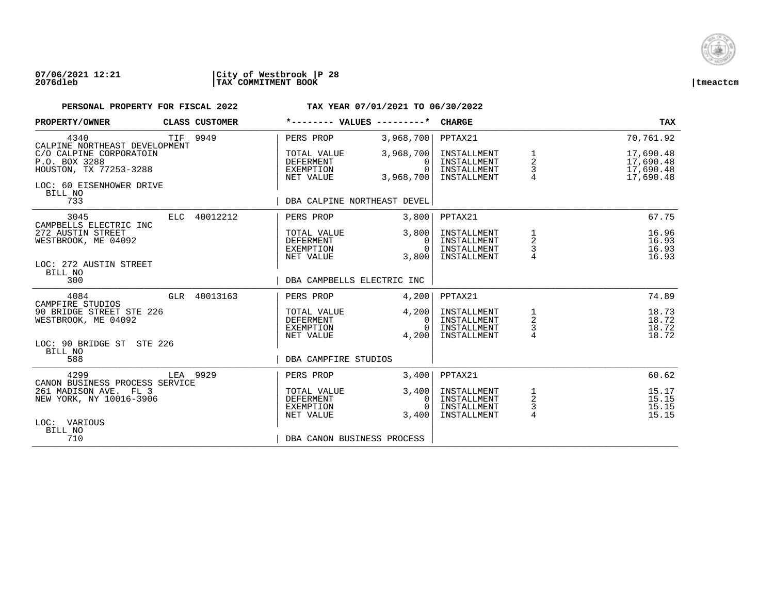

| PROPERTY/OWNER                                                                                                   | CLASS CUSTOMER | *-------- VALUES ---------*                                                       |                                                | <b>CHARGE</b>                                            |                                                              | <b>TAX</b>                                       |
|------------------------------------------------------------------------------------------------------------------|----------------|-----------------------------------------------------------------------------------|------------------------------------------------|----------------------------------------------------------|--------------------------------------------------------------|--------------------------------------------------|
| 4340<br>CALPINE NORTHEAST DEVELOPMENT                                                                            | TIF 9949       | PERS PROP                                                                         | 3,968,700                                      | PPTAX21                                                  |                                                              | 70,761.92                                        |
| C/O CALPINE CORPORATOIN<br>P.O. BOX 3288<br>HOUSTON, TX 77253-3288<br>LOC: 60 EISENHOWER DRIVE<br>BILL NO<br>733 |                | TOTAL VALUE<br>DEFERMENT<br>EXEMPTION<br>NET VALUE<br>DBA CALPINE NORTHEAST DEVEL | 3,968,700<br>$\Omega$<br>$\Omega$<br>3,968,700 | INSTALLMENT<br>INSTALLMENT<br>INSTALLMENT<br>INSTALLMENT | 1<br>2<br>3                                                  | 17,690.48<br>17,690.48<br>17,690.48<br>17,690.48 |
|                                                                                                                  |                |                                                                                   |                                                |                                                          |                                                              |                                                  |
| 3045<br>CAMPBELLS ELECTRIC INC                                                                                   | ELC 40012212   | PERS PROP                                                                         | 3,800                                          | PPTAX21                                                  |                                                              | 67.75                                            |
| 272 AUSTIN STREET<br>WESTBROOK, ME 04092<br>LOC: 272 AUSTIN STREET                                               |                | TOTAL VALUE<br>DEFERMENT<br>EXEMPTION<br>NET VALUE                                | 3,800<br>$\Omega$<br>$\overline{0}$<br>3,800   | INSTALLMENT<br>INSTALLMENT<br>INSTALLMENT<br>INSTALLMENT | $\mathbf{1}$<br>$\sqrt{2}$<br>$\mathsf{3}$<br>$\overline{4}$ | 16.96<br>16.93<br>16.93<br>16.93                 |
| BILL NO<br>300                                                                                                   |                | DBA CAMPBELLS ELECTRIC INC                                                        |                                                |                                                          |                                                              |                                                  |
| 4084<br>CAMPFIRE STUDIOS                                                                                         | GLR 40013163   | PERS PROP                                                                         | 4,200                                          | PPTAX21                                                  |                                                              | 74.89                                            |
| 90 BRIDGE STREET STE 226<br>WESTBROOK, ME 04092                                                                  |                | TOTAL VALUE<br>DEFERMENT<br>EXEMPTION<br>NET VALUE                                | 4,200<br>$\mathbf{0}$<br>$\Omega$<br>4,200     | INSTALLMENT<br>INSTALLMENT<br>INSTALLMENT<br>INSTALLMENT | $\frac{1}{2}$<br>$\frac{3}{4}$                               | 18.73<br>18.72<br>18.72<br>18.72                 |
| LOC: 90 BRIDGE ST STE 226<br>BILL NO                                                                             |                |                                                                                   |                                                |                                                          |                                                              |                                                  |
| 588                                                                                                              |                | DBA CAMPFIRE STUDIOS                                                              |                                                |                                                          |                                                              |                                                  |
| 4299<br>CANON BUSINESS PROCESS SERVICE                                                                           | LEA 9929       | PERS PROP                                                                         | 3,400                                          | PPTAX21                                                  |                                                              | 60.62                                            |
| 261 MADISON AVE. FL 3<br>NEW YORK, NY 10016-3906                                                                 |                | TOTAL VALUE<br><b>DEFERMENT</b><br>EXEMPTION<br>NET VALUE                         | 3,400<br>$\Omega$<br>$\Omega$<br>3,400         | INSTALLMENT<br>INSTALLMENT<br>INSTALLMENT<br>INSTALLMENT | 1<br>$\sqrt{2}$<br>3<br>4                                    | 15.17<br>15.15<br>15.15<br>15.15                 |
| LOC: VARIOUS<br>BILL NO<br>710                                                                                   |                | DBA CANON BUSINESS PROCESS                                                        |                                                |                                                          |                                                              |                                                  |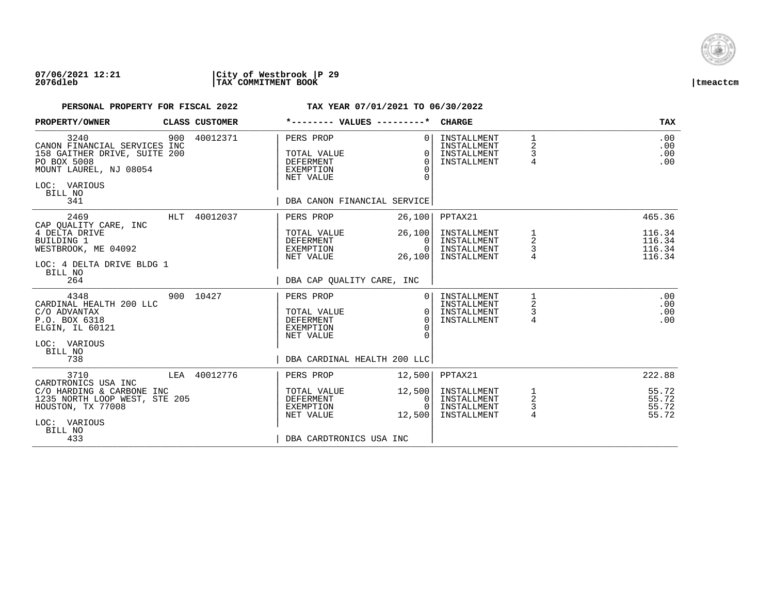

| PROPERTY/OWNER                                                                                                                                  |     | CLASS CUSTOMER |                                                                        | *-------- VALUES ---------*                                                                   | <b>CHARGE</b>                                            |                                              | <b>TAX</b>                           |
|-------------------------------------------------------------------------------------------------------------------------------------------------|-----|----------------|------------------------------------------------------------------------|-----------------------------------------------------------------------------------------------|----------------------------------------------------------|----------------------------------------------|--------------------------------------|
| 3240<br>CANON FINANCIAL SERVICES INC<br>158 GAITHER DRIVE, SUITE 200<br>PO BOX 5008<br>MOUNT LAUREL, NJ 08054<br>LOC: VARIOUS<br>BILL NO<br>341 | 900 | 40012371       | PERS PROP<br>TOTAL VALUE<br><b>DEFERMENT</b><br>EXEMPTION<br>NET VALUE | 0 <sup>1</sup><br>$\Omega$<br>$\Omega$<br>$\Omega$<br>$\Omega$<br>DBA CANON FINANCIAL SERVICE | INSTALLMENT<br>INSTALLMENT<br>INSTALLMENT<br>INSTALLMENT | $1\,$<br>2<br>$\mathsf{3}$<br>$\overline{4}$ | .00<br>.00<br>.00<br>.00             |
| 2469                                                                                                                                            |     | HLT 40012037   | PERS PROP                                                              | 26,100                                                                                        | PPTAX21                                                  |                                              | 465.36                               |
| CAP OUALITY CARE, INC<br>4 DELTA DRIVE<br>BUILDING 1<br>WESTBROOK, ME 04092<br>LOC: 4 DELTA DRIVE BLDG 1<br>BILL NO                             |     |                | TOTAL VALUE<br>DEFERMENT<br>EXEMPTION<br>NET VALUE                     | 26,100<br>$\Omega$<br>0<br>26,100                                                             | INSTALLMENT<br>INSTALLMENT<br>INSTALLMENT<br>INSTALLMENT | 1<br>2<br>3                                  | 116.34<br>116.34<br>116.34<br>116.34 |
| 264                                                                                                                                             |     |                | DBA CAP OUALITY CARE, INC                                              |                                                                                               |                                                          |                                              |                                      |
| 4348<br>CARDINAL HEALTH 200 LLC<br>C/O ADVANTAX<br>P.O. BOX 6318<br>ELGIN, IL 60121<br>LOC: VARIOUS<br>BILL NO<br>738                           |     | 900 10427      | PERS PROP<br>TOTAL VALUE<br>DEFERMENT<br>EXEMPTION<br>NET VALUE        | 0 <sup>1</sup><br>$\Omega$<br>$\Omega$<br>$\Omega$<br>$\Omega$<br>DBA CARDINAL HEALTH 200 LLC | INSTALLMENT<br>INSTALLMENT<br>INSTALLMENT<br>INSTALLMENT | 1<br>2<br>3<br>$\overline{4}$                | .00<br>.00<br>.00<br>.00             |
| 3710                                                                                                                                            |     | LEA 40012776   | PERS PROP                                                              | 12,500                                                                                        | PPTAX21                                                  |                                              | 222.88                               |
| CARDTRONICS USA INC<br>C/O HARDING & CARBONE INC<br>1235 NORTH LOOP WEST, STE 205<br>HOUSTON, TX 77008<br>LOC: VARIOUS<br>BILL NO               |     |                | TOTAL VALUE<br>DEFERMENT<br>EXEMPTION<br>NET VALUE                     | 12,500<br>0 <sup>1</sup><br>$\overline{0}$<br>12,500                                          | INSTALLMENT<br>INSTALLMENT<br>INSTALLMENT<br>INSTALLMENT | $\frac{1}{2}$<br>3<br>$\overline{4}$         | 55.72<br>55.72<br>55.72<br>55.72     |
| 433                                                                                                                                             |     |                | DBA CARDTRONICS USA INC                                                |                                                                                               |                                                          |                                              |                                      |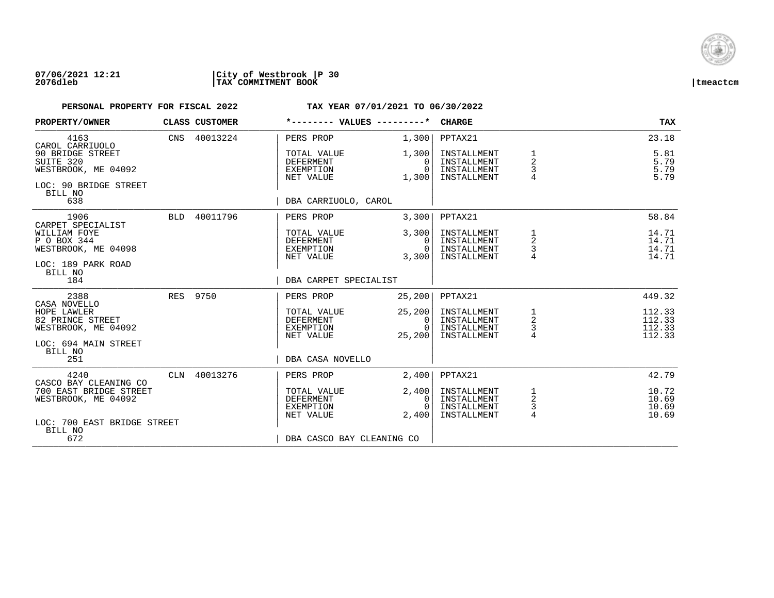

| PROPERTY/OWNER                                                                | <b>CLASS CUSTOMER</b> | *-------- VALUES ---------*                               |                                        | <b>CHARGE</b>                                            |                                                       | <b>TAX</b>                           |
|-------------------------------------------------------------------------------|-----------------------|-----------------------------------------------------------|----------------------------------------|----------------------------------------------------------|-------------------------------------------------------|--------------------------------------|
| 4163<br>CAROL CARRIUOLO                                                       | CNS 40013224          | PERS PROP                                                 | 1,300                                  | PPTAX21                                                  |                                                       | 23.18                                |
| 90 BRIDGE STREET<br>SUITE 320<br>WESTBROOK, ME 04092<br>LOC: 90 BRIDGE STREET |                       | TOTAL VALUE<br><b>DEFERMENT</b><br>EXEMPTION<br>NET VALUE | 1,300<br>$\Omega$<br>$\Omega$<br>1,300 | INSTALLMENT<br>INSTALLMENT<br>INSTALLMENT<br>INSTALLMENT | 1<br>$\overline{2}$<br>3<br>4                         | 5.81<br>5.79<br>5.79<br>5.79         |
| BILL NO<br>638                                                                |                       | DBA CARRIUOLO, CAROL                                      |                                        |                                                          |                                                       |                                      |
| 1906<br>CARPET SPECIALIST                                                     | BLD 40011796          | PERS PROP                                                 | 3,300                                  | PPTAX21                                                  |                                                       | 58.84                                |
| WILLIAM FOYE<br>P O BOX 344<br>WESTBROOK, ME 04098<br>LOC: 189 PARK ROAD      |                       | TOTAL VALUE<br>DEFERMENT<br>EXEMPTION<br>NET VALUE        | 3,300<br>$\Omega$<br>$\Omega$<br>3,300 | INSTALLMENT<br>INSTALLMENT<br>INSTALLMENT<br>INSTALLMENT | 1<br>2<br>3                                           | 14.71<br>14.71<br>14.71<br>14.71     |
| BILL NO<br>184                                                                |                       | DBA CARPET SPECIALIST                                     |                                        |                                                          |                                                       |                                      |
| 2388<br>CASA NOVELLO                                                          | RES 9750              | PERS PROP                                                 | 25, 200                                | PPTAX21                                                  |                                                       | 449.32                               |
| HOPE LAWLER<br>82 PRINCE STREET<br>WESTBROOK, ME 04092                        |                       | TOTAL VALUE<br>DEFERMENT<br>EXEMPTION<br>NET VALUE        | 25, 200<br>0<br>$\Omega$<br>25,200     | INSTALLMENT<br>INSTALLMENT<br>INSTALLMENT<br>INSTALLMENT | $\begin{array}{c}\n1 \\ 2 \\ 3 \\ 4\n\end{array}$     | 112.33<br>112.33<br>112.33<br>112.33 |
| LOC: 694 MAIN STREET<br>BILL NO<br>251                                        |                       | DBA CASA NOVELLO                                          |                                        |                                                          |                                                       |                                      |
| 4240<br>CASCO BAY CLEANING CO                                                 | CLN 40013276          | PERS PROP                                                 | 2,400                                  | PPTAX21                                                  |                                                       | 42.79                                |
| 700 EAST BRIDGE STREET<br>WESTBROOK, ME 04092                                 |                       | TOTAL VALUE<br><b>DEFERMENT</b><br>EXEMPTION<br>NET VALUE | 2,400<br>0<br>$\Omega$<br>2,400        | INSTALLMENT<br>INSTALLMENT<br>INSTALLMENT<br>INSTALLMENT | $\mathbf{1}$<br>$\overline{c}$<br>3<br>$\overline{4}$ | 10.72<br>10.69<br>10.69<br>10.69     |
| LOC: 700 EAST BRIDGE STREET<br>BILL NO<br>672                                 |                       | DBA CASCO BAY CLEANING CO                                 |                                        |                                                          |                                                       |                                      |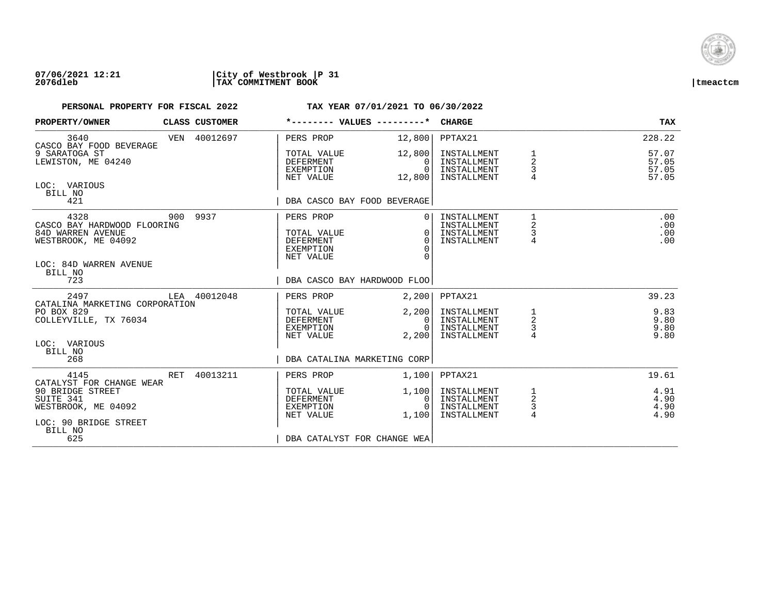

| PROPERTY/OWNER                                                                                                       | CLASS CUSTOMER | *-------- VALUES ---------*                                            |                                              | <b>CHARGE</b>                                            |                                   | <b>TAX</b>                       |
|----------------------------------------------------------------------------------------------------------------------|----------------|------------------------------------------------------------------------|----------------------------------------------|----------------------------------------------------------|-----------------------------------|----------------------------------|
| 3640<br>CASCO BAY FOOD BEVERAGE                                                                                      | VEN 40012697   | PERS PROP                                                              | 12,800                                       | PPTAX21                                                  |                                   | 228.22                           |
| 9 SARATOGA ST<br>LEWISTON, ME 04240                                                                                  |                | TOTAL VALUE<br>DEFERMENT<br>EXEMPTION<br>NET VALUE                     | 12,800<br>0<br>$\Omega$<br>12,800            | INSTALLMENT<br>INSTALLMENT<br>INSTALLMENT<br>INSTALLMENT | $\overline{a}$<br>3               | 57.07<br>57.05<br>57.05<br>57.05 |
| LOC: VARIOUS<br>BILL NO<br>421                                                                                       |                | DBA CASCO BAY FOOD BEVERAGE                                            |                                              |                                                          |                                   |                                  |
| 4328<br>CASCO BAY HARDWOOD FLOORING<br>84D WARREN AVENUE<br>WESTBROOK, ME 04092<br>LOC: 84D WARREN AVENUE<br>BILL NO | 900 9937       | PERS PROP<br>TOTAL VALUE<br><b>DEFERMENT</b><br>EXEMPTION<br>NET VALUE | $\Omega$<br>$\Omega$<br>$\Omega$<br>$\Omega$ | INSTALLMENT<br>INSTALLMENT<br>INSTALLMENT<br>INSTALLMENT | 1<br>$\mathbf 2$<br>$\frac{3}{4}$ | .00<br>.00<br>.00<br>.00         |
| 723                                                                                                                  |                | DBA CASCO BAY HARDWOOD FLOO                                            |                                              |                                                          |                                   |                                  |
| 2497<br>CATALINA MARKETING CORPORATION                                                                               | LEA 40012048   | PERS PROP                                                              | 2,200                                        | PPTAX21                                                  |                                   | 39.23                            |
| PO BOX 829<br>COLLEYVILLE, TX 76034                                                                                  |                | TOTAL VALUE<br>DEFERMENT<br>EXEMPTION<br>NET VALUE                     | 2,200<br>0<br>$\Omega$<br>2,200              | INSTALLMENT<br>INSTALLMENT<br>INSTALLMENT<br>INSTALLMENT | $\frac{1}{2}$<br>$\frac{3}{4}$    | 9.83<br>9.80<br>9.80<br>9.80     |
| LOC: VARIOUS<br>BILL NO<br>268                                                                                       |                | DBA CATALINA MARKETING CORP                                            |                                              |                                                          |                                   |                                  |
| 4145<br>CATALYST FOR CHANGE WEAR                                                                                     | RET 40013211   | PERS PROP                                                              | 1,100                                        | PPTAX21                                                  |                                   | 19.61                            |
| 90 BRIDGE STREET<br>SUITE 341<br>WESTBROOK, ME 04092<br>LOC: 90 BRIDGE STREET                                        |                | TOTAL VALUE<br>DEFERMENT<br>EXEMPTION<br>NET VALUE                     | 1,100<br>0<br>$\Omega$<br>1,100              | INSTALLMENT<br>INSTALLMENT<br>INSTALLMENT<br>INSTALLMENT | $\overline{a}$<br>$\frac{3}{4}$   | 4.91<br>4.90<br>4.90<br>4.90     |
| BILL NO<br>625                                                                                                       |                | DBA CATALYST FOR CHANGE WEA                                            |                                              |                                                          |                                   |                                  |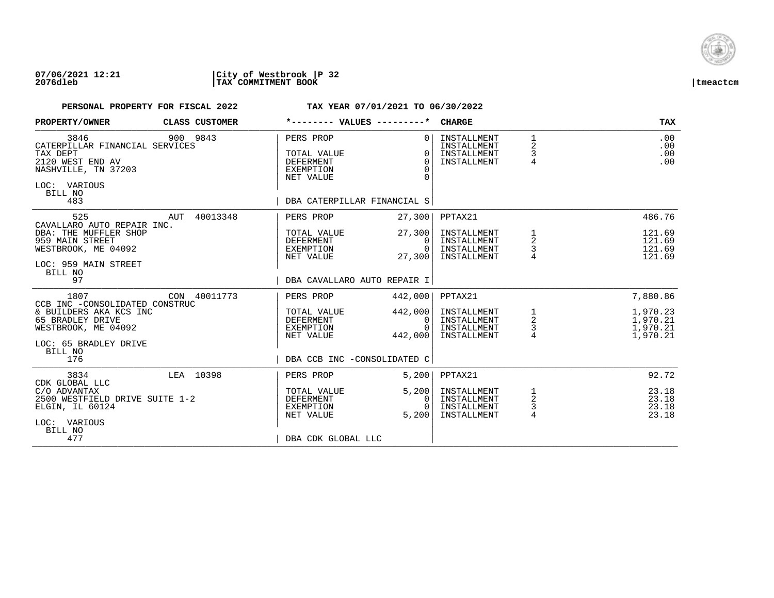

| PROPERTY/OWNER                                                                                                                  | CLASS CUSTOMER | *-------- VALUES ---------*                                                                           | <b>CHARGE</b>                                                                                                      | <b>TAX</b>                                                                     |
|---------------------------------------------------------------------------------------------------------------------------------|----------------|-------------------------------------------------------------------------------------------------------|--------------------------------------------------------------------------------------------------------------------|--------------------------------------------------------------------------------|
| 3846<br>CATERPILLAR FINANCIAL SERVICES<br>TAX DEPT<br>2120 WEST END AV<br>NASHVILLE, TN 37203<br>LOC: VARIOUS<br>BILL NO<br>483 | 900 9843       | PERS PROP<br>TOTAL VALUE<br><b>DEFERMENT</b><br>EXEMPTION<br>NET VALUE<br>DBA CATERPILLAR FINANCIAL S | INSTALLMENT<br>$\Omega$<br>INSTALLMENT<br>$\Omega$<br>INSTALLMENT<br>$\cap$<br>INSTALLMENT<br>$\Omega$<br>$\Omega$ | $\mathbf{1}$<br>.00<br>2<br>.00<br>3<br>.00<br>$\overline{4}$<br>.00           |
| 525<br>CAVALLARO AUTO REPAIR INC.<br>DBA: THE MUFFLER SHOP                                                                      | AUT 40013348   | 27,300<br>PERS PROP<br>27,300<br>TOTAL VALUE                                                          | PPTAX21<br>INSTALLMENT                                                                                             | 486.76<br>121.69                                                               |
| 959 MAIN STREET<br>WESTBROOK, ME 04092<br>LOC: 959 MAIN STREET<br>BILL NO                                                       |                | DEFERMENT<br>EXEMPTION<br>NET VALUE<br>27,300                                                         | INSTALLMENT<br>- 0 I<br>0 <sup>1</sup><br>INSTALLMENT<br>INSTALLMENT                                               | 1<br>$\sqrt{2}$<br>121.69<br>$\mathsf 3$<br>121.69<br>121.69                   |
| 97                                                                                                                              |                | DBA CAVALLARO AUTO REPAIR I                                                                           |                                                                                                                    |                                                                                |
| 1807                                                                                                                            | CON 40011773   | 442,000<br>PERS PROP                                                                                  | PPTAX21                                                                                                            | 7,880.86                                                                       |
| CCB INC -CONSOLIDATED CONSTRUC<br>& BUILDERS AKA KCS INC<br>65 BRADLEY DRIVE<br>WESTBROOK, ME 04092<br>LOC: 65 BRADLEY DRIVE    |                | 442,000<br>TOTAL VALUE<br>DEFERMENT<br>EXEMPTION<br>NET VALUE<br>442,000                              | INSTALLMENT<br>INSTALLMENT<br>$\overline{0}$<br>$\Omega$<br>INSTALLMENT<br>INSTALLMENT                             | 1,970.23<br>$\frac{1}{2}$<br>1,970.21<br>$\frac{3}{4}$<br>1,970.21<br>1,970.21 |
| BILL NO<br>176                                                                                                                  |                | DBA CCB INC -CONSOLIDATED C                                                                           |                                                                                                                    |                                                                                |
| 3834<br>CDK GLOBAL LLC                                                                                                          | LEA 10398      | PERS PROP<br>5,200                                                                                    | PPTAX21                                                                                                            | 92.72                                                                          |
| C/O ADVANTAX<br>2500 WESTFIELD DRIVE SUITE 1-2<br>ELGIN, IL 60124<br>LOC: VARIOUS<br>BILL NO                                    |                | 5,200<br>TOTAL VALUE<br><b>DEFERMENT</b><br>EXEMPTION<br>5.200<br>NET VALUE                           | INSTALLMENT<br>INSTALLMENT<br>$\Omega$<br>INSTALLMENT<br>$\Omega$<br>INSTALLMENT                                   | 1<br>23.18<br>$\overline{c}$<br>23.18<br>3<br>23.18<br>$\overline{4}$<br>23.18 |
| 477                                                                                                                             |                | DBA CDK GLOBAL LLC                                                                                    |                                                                                                                    |                                                                                |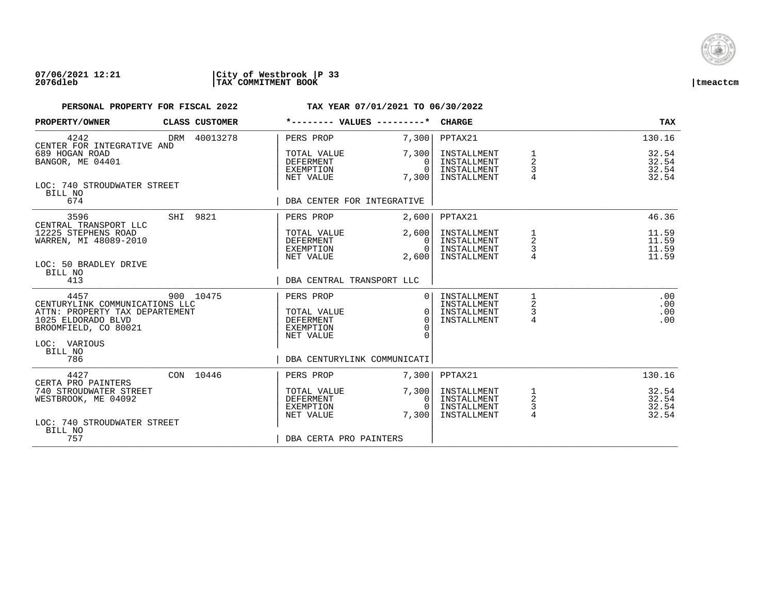

| PROPERTY/OWNER                                                                                                                         | CLASS CUSTOMER | *-------- VALUES ---------*                                            |                                                          | <b>CHARGE</b>                                            |                                             | <b>TAX</b>                       |
|----------------------------------------------------------------------------------------------------------------------------------------|----------------|------------------------------------------------------------------------|----------------------------------------------------------|----------------------------------------------------------|---------------------------------------------|----------------------------------|
| 4242<br>CENTER FOR INTEGRATIVE AND                                                                                                     | DRM 40013278   | PERS PROP                                                              | 7,300                                                    | PPTAX21                                                  |                                             | 130.16                           |
| 689 HOGAN ROAD<br>BANGOR, ME 04401                                                                                                     |                | TOTAL VALUE<br>DEFERMENT<br>EXEMPTION<br>NET VALUE                     | 7,300<br>$\Omega$<br>$\Omega$<br>7,300                   | INSTALLMENT<br>INSTALLMENT<br>INSTALLMENT<br>INSTALLMENT | $\overline{a}$<br>3                         | 32.54<br>32.54<br>32.54<br>32.54 |
| LOC: 740 STROUDWATER STREET<br>BILL NO<br>674                                                                                          |                | DBA CENTER FOR INTEGRATIVE                                             |                                                          |                                                          |                                             |                                  |
| 3596                                                                                                                                   | SHI 9821       | PERS PROP                                                              | 2,600                                                    | PPTAX21                                                  |                                             | 46.36                            |
| CENTRAL TRANSPORT LLC<br>12225 STEPHENS ROAD<br>WARREN, MI 48089-2010                                                                  |                | TOTAL VALUE<br>DEFERMENT<br>EXEMPTION<br>NET VALUE                     | 2,600<br>$\Omega$<br>$\overline{0}$ l<br>2,600           | INSTALLMENT<br>INSTALLMENT<br>INSTALLMENT<br>INSTALLMENT | 1<br>$\overline{\mathbf{c}}$<br>$\mathsf 3$ | 11.59<br>11.59<br>11.59<br>11.59 |
| LOC: 50 BRADLEY DRIVE<br>BILL NO<br>413                                                                                                |                | DBA CENTRAL TRANSPORT LLC                                              |                                                          |                                                          |                                             |                                  |
| 4457<br>CENTURYLINK COMMUNICATIONS LLC<br>ATTN: PROPERTY TAX DEPARTEMENT<br>1025 ELDORADO BLVD<br>BROOMFIELD, CO 80021<br>LOC: VARIOUS | 900 10475      | PERS PROP<br>TOTAL VALUE<br>DEFERMENT<br><b>EXEMPTION</b><br>NET VALUE | $\Omega$<br>$\Omega$<br>$\Omega$<br>$\Omega$<br>$\Omega$ | INSTALLMENT<br>INSTALLMENT<br>INSTALLMENT<br>INSTALLMENT | 2<br>3<br>4                                 | .00<br>.00<br>.00<br>.00         |
| BILL NO<br>786                                                                                                                         |                | DBA CENTURYLINK COMMUNICATI                                            |                                                          |                                                          |                                             |                                  |
| 4427<br>CERTA PRO PAINTERS                                                                                                             | CON 10446      | PERS PROP                                                              | 7,300                                                    | PPTAX21                                                  |                                             | 130.16                           |
| 740 STROUDWATER STREET<br>WESTBROOK, ME 04092<br>LOC: 740 STROUDWATER STREET                                                           |                | TOTAL VALUE<br><b>DEFERMENT</b><br>EXEMPTION<br>NET VALUE              | 7,300<br>$\Omega$<br>$\cap$<br>7,300                     | INSTALLMENT<br>INSTALLMENT<br>INSTALLMENT<br>INSTALLMENT | 1<br>$\sqrt{2}$<br>3<br>$\overline{4}$      | 32.54<br>32.54<br>32.54<br>32.54 |
| BILL NO<br>757                                                                                                                         |                | DBA CERTA PRO PAINTERS                                                 |                                                          |                                                          |                                             |                                  |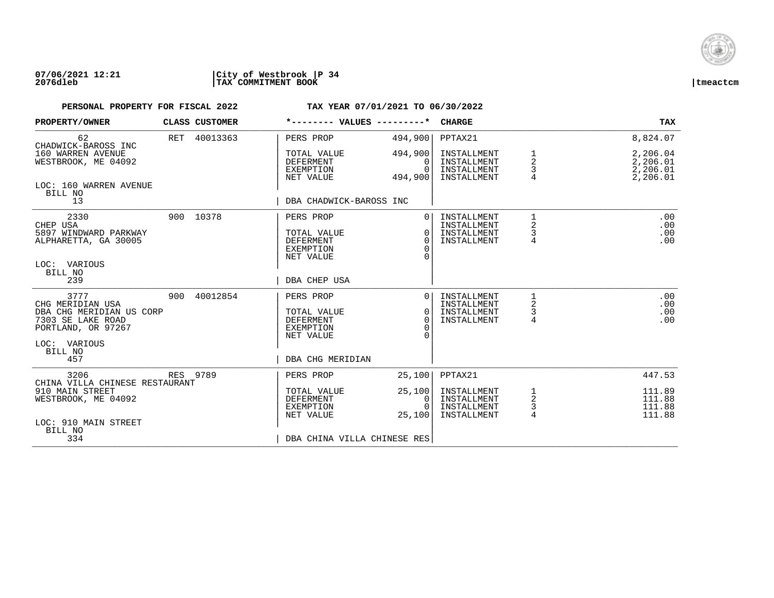

| PROPERTY/OWNER                                                                                                             | CLASS CUSTOMER | *-------- VALUES ---------*                                                   |                                            | <b>CHARGE</b>                                            |                                    | TAX                                          |
|----------------------------------------------------------------------------------------------------------------------------|----------------|-------------------------------------------------------------------------------|--------------------------------------------|----------------------------------------------------------|------------------------------------|----------------------------------------------|
| 62<br>CHADWICK-BAROSS INC                                                                                                  | RET 40013363   | PERS PROP                                                                     | 494,900                                    | PPTAX21                                                  |                                    | 8,824.07                                     |
| 160 WARREN AVENUE<br>WESTBROOK, ME 04092                                                                                   |                | TOTAL VALUE<br><b>DEFERMENT</b><br>EXEMPTION<br>NET VALUE                     | 494,900<br>$\Omega$<br>$\Omega$<br>494,900 | INSTALLMENT<br>INSTALLMENT<br>INSTALLMENT<br>INSTALLMENT | 1<br>2<br>3                        | 2,206.04<br>2,206.01<br>2,206.01<br>2,206.01 |
| LOC: 160 WARREN AVENUE<br>BILL NO<br>13                                                                                    |                | DBA CHADWICK-BAROSS INC                                                       |                                            |                                                          |                                    |                                              |
| 2330<br>CHEP USA<br>5897 WINDWARD PARKWAY<br>ALPHARETTA, GA 30005<br>LOC: VARIOUS<br>BILL NO                               | 900 10378      | PERS PROP<br>TOTAL VALUE<br><b>DEFERMENT</b><br><b>EXEMPTION</b><br>NET VALUE | $\Omega$<br>$\Omega$<br>$\Omega$           | INSTALLMENT<br>INSTALLMENT<br>INSTALLMENT<br>INSTALLMENT | 1<br>$\overline{a}$<br>3<br>4      | .00<br>.00<br>.00<br>.00                     |
| 239                                                                                                                        |                | DBA CHEP USA                                                                  |                                            |                                                          |                                    |                                              |
| 3777<br>CHG MERIDIAN USA<br>DBA CHG MERIDIAN US CORP<br>7303 SE LAKE ROAD<br>PORTLAND, OR 97267<br>LOC: VARIOUS<br>BILL NO | 900 40012854   | PERS PROP<br>TOTAL VALUE<br><b>DEFERMENT</b><br><b>EXEMPTION</b><br>NET VALUE | $\Omega$<br>$\Omega$<br>$\Omega$           | INSTALLMENT<br>INSTALLMENT<br>INSTALLMENT<br>INSTALLMENT | 1<br>2<br>3<br>4                   | .00<br>.00<br>.00<br>.00                     |
| 457                                                                                                                        |                | DBA CHG MERIDIAN                                                              |                                            |                                                          |                                    |                                              |
| 3206<br>CHINA VILLA CHINESE RESTAURANT                                                                                     | RES 9789       | PERS PROP                                                                     | 25,100                                     | PPTAX21                                                  |                                    | 447.53                                       |
| 910 MAIN STREET<br>WESTBROOK, ME 04092<br>LOC: 910 MAIN STREET                                                             |                | TOTAL VALUE<br><b>DEFERMENT</b><br><b>EXEMPTION</b><br>NET VALUE              | 25,100<br>0<br>$\Omega$<br>25,100          | INSTALLMENT<br>INSTALLMENT<br>INSTALLMENT<br>INSTALLMENT | $\mathbf 2$<br>3<br>$\overline{4}$ | 111.89<br>111.88<br>111.88<br>111.88         |
| BILL NO<br>334                                                                                                             |                | DBA CHINA VILLA CHINESE RES                                                   |                                            |                                                          |                                    |                                              |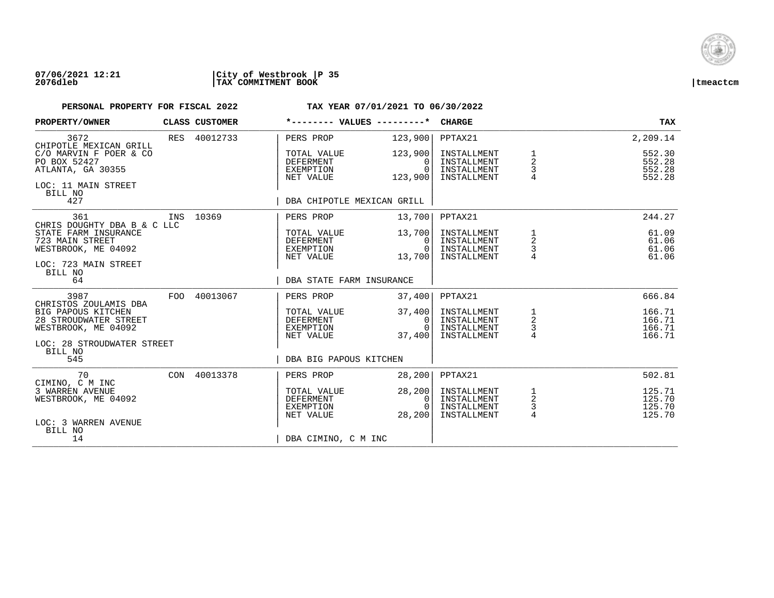

| PROPERTY/OWNER                                                                                    |     | CLASS CUSTOMER | *-------- VALUES ---------*                               |                                              | <b>CHARGE</b>                                            |                                      | TAX                                  |
|---------------------------------------------------------------------------------------------------|-----|----------------|-----------------------------------------------------------|----------------------------------------------|----------------------------------------------------------|--------------------------------------|--------------------------------------|
| 3672<br>CHIPOTLE MEXICAN GRILL                                                                    |     | RES 40012733   | PERS PROP                                                 | 123,900                                      | PPTAX21                                                  |                                      | 2,209.14                             |
| C/O MARVIN F POER & CO<br>PO BOX 52427<br>ATLANTA, GA 30355<br>LOC: 11 MAIN STREET                |     |                | TOTAL VALUE<br>DEFERMENT<br>EXEMPTION<br>NET VALUE        | 123,900<br>$\Omega$<br>$\Omega$<br>123,900   | INSTALLMENT<br>INSTALLMENT<br>INSTALLMENT<br>INSTALLMENT | 1<br>2<br>3                          | 552.30<br>552.28<br>552.28<br>552.28 |
| BILL NO<br>427                                                                                    |     |                | DBA CHIPOTLE MEXICAN GRILL                                |                                              |                                                          |                                      |                                      |
| 361<br>CHRIS DOUGHTY DBA B & C LLC                                                                |     | INS 10369      | PERS PROP                                                 | 13,700                                       | PPTAX21                                                  |                                      | 244.27                               |
| STATE FARM INSURANCE<br>723 MAIN STREET<br>WESTBROOK, ME 04092<br>LOC: 723 MAIN STREET<br>BILL NO |     |                | TOTAL VALUE<br>DEFERMENT<br>EXEMPTION<br>NET VALUE        | 13,700<br>$\mathbf{0}$<br>$\Omega$<br>13,700 | INSTALLMENT<br>INSTALLMENT<br>INSTALLMENT<br>INSTALLMENT | 1<br>$\overline{a}$<br>$\frac{3}{4}$ | 61.09<br>61.06<br>61.06<br>61.06     |
| 64                                                                                                |     |                | DBA STATE FARM INSURANCE                                  |                                              |                                                          |                                      |                                      |
| 3987<br>CHRISTOS ZOULAMIS DBA                                                                     | FOO | 40013067       | PERS PROP                                                 | 37,400                                       | PPTAX21                                                  |                                      | 666.84                               |
| BIG PAPOUS KITCHEN<br>28 STROUDWATER STREET<br>WESTBROOK, ME 04092                                |     |                | TOTAL VALUE<br><b>DEFERMENT</b><br>EXEMPTION<br>NET VALUE | 37,400<br>$\mathbf{0}$<br>$\Omega$<br>37,400 | INSTALLMENT<br>INSTALLMENT<br>INSTALLMENT<br>INSTALLMENT | $\frac{1}{2}$<br>$\frac{3}{4}$       | 166.71<br>166.71<br>166.71<br>166.71 |
| LOC: 28 STROUDWATER STREET<br>BILL NO<br>545                                                      |     |                | DBA BIG PAPOUS KITCHEN                                    |                                              |                                                          |                                      |                                      |
| 70                                                                                                |     | CON 40013378   | PERS PROP                                                 | 28, 200                                      | PPTAX21                                                  |                                      | 502.81                               |
| CIMINO, C M INC<br>3 WARREN AVENUE<br>WESTBROOK, ME 04092                                         |     |                | TOTAL VALUE<br>DEFERMENT<br>EXEMPTION<br>NET VALUE        | 28, 200<br>0<br>$\cap$<br>28,200             | INSTALLMENT<br>INSTALLMENT<br>INSTALLMENT<br>INSTALLMENT | $\frac{1}{2}$<br>$\frac{3}{4}$       | 125.71<br>125.70<br>125.70<br>125.70 |
| LOC: 3 WARREN AVENUE<br>BILL NO<br>14                                                             |     |                | DBA CIMINO, C M INC                                       |                                              |                                                          |                                      |                                      |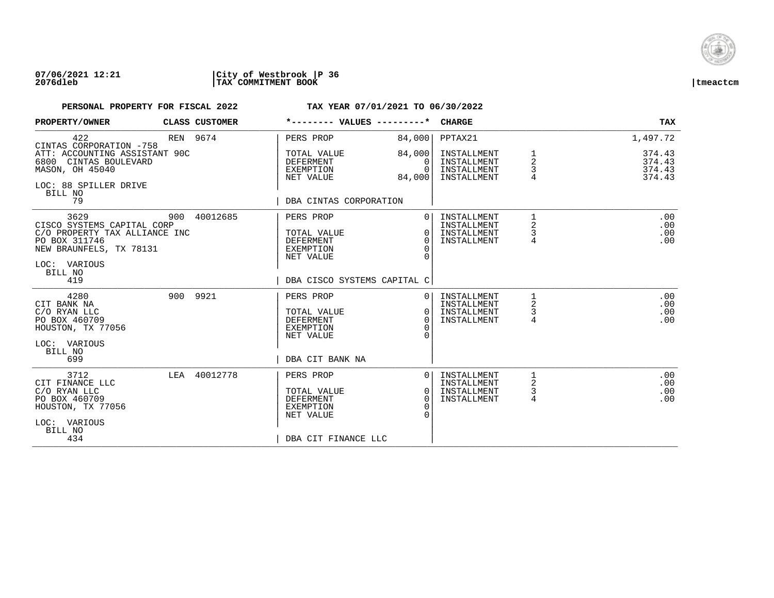

### **07/06/2021 12:21 |City of Westbrook |P 36 2076dleb |TAX COMMITMENT BOOK |tmeactcm**

| PROPERTY/OWNER                                                                                                                             |     | CLASS CUSTOMER | *-------- VALUES ---------*                                                                          |                                                        | <b>CHARGE</b>                                            |                  | TAX                                  |
|--------------------------------------------------------------------------------------------------------------------------------------------|-----|----------------|------------------------------------------------------------------------------------------------------|--------------------------------------------------------|----------------------------------------------------------|------------------|--------------------------------------|
| 422<br>CINTAS CORPORATION -758                                                                                                             |     | REN 9674       | PERS PROP                                                                                            | 84,000                                                 | PPTAX21                                                  |                  | 1,497.72                             |
| ATT: ACCOUNTING ASSISTANT 90C<br>6800<br>CINTAS BOULEVARD<br>MASON, OH 45040<br>LOC: 88 SPILLER DRIVE<br>BILL NO<br>79                     |     |                | TOTAL VALUE<br><b>DEFERMENT</b><br>EXEMPTION<br>NET VALUE<br>DBA CINTAS CORPORATION                  | 84,000<br>$\Omega$<br>$\Omega$<br>84,000               | INSTALLMENT<br>INSTALLMENT<br>INSTALLMENT<br>INSTALLMENT | 1<br>2<br>3<br>4 | 374.43<br>374.43<br>374.43<br>374.43 |
| 3629<br>CISCO SYSTEMS CAPITAL CORP<br>C/O PROPERTY TAX ALLIANCE INC<br>PO BOX 311746<br>NEW BRAUNFELS, TX 78131<br>LOC: VARIOUS<br>BILL NO | 900 | 40012685       | PERS PROP<br>TOTAL VALUE<br><b>DEFERMENT</b><br><b>EXEMPTION</b><br>NET VALUE                        | $\Omega$<br>$\Omega$<br>$\Omega$<br>$\Omega$           | INSTALLMENT<br>INSTALLMENT<br>INSTALLMENT<br>INSTALLMENT | 1<br>2<br>3<br>4 | .00<br>.00<br>.00<br>.00             |
| 419                                                                                                                                        |     |                | DBA CISCO SYSTEMS CAPITAL C                                                                          |                                                        |                                                          |                  |                                      |
| 4280<br>CIT BANK NA<br>C/O RYAN LLC<br>PO BOX 460709<br>HOUSTON, TX 77056                                                                  |     | 900 9921       | PERS PROP<br>TOTAL VALUE<br><b>DEFERMENT</b><br><b>EXEMPTION</b><br>NET VALUE                        | $\Omega$<br>$\Omega$<br>$\Omega$<br>$\Omega$<br>$\cap$ | INSTALLMENT<br>INSTALLMENT<br>INSTALLMENT<br>INSTALLMENT | 1<br>2<br>3<br>4 | .00<br>.00<br>.00<br>.00             |
| LOC: VARIOUS<br>BILL NO<br>699                                                                                                             |     |                | DBA CIT BANK NA                                                                                      |                                                        |                                                          |                  |                                      |
| 3712<br>CIT FINANCE LLC<br>C/O RYAN LLC<br>PO BOX 460709<br>HOUSTON, TX 77056<br>LOC: VARIOUS<br>BILL NO<br>434                            | LEA | 40012778       | PERS PROP<br>TOTAL VALUE<br><b>DEFERMENT</b><br><b>EXEMPTION</b><br>NET VALUE<br>DBA CIT FINANCE LLC | $\Omega$<br>0<br>$\Omega$<br>$\Omega$                  | INSTALLMENT<br>INSTALLMENT<br>INSTALLMENT<br>INSTALLMENT | 2<br>3<br>4      | .00<br>.00<br>.00<br>.00             |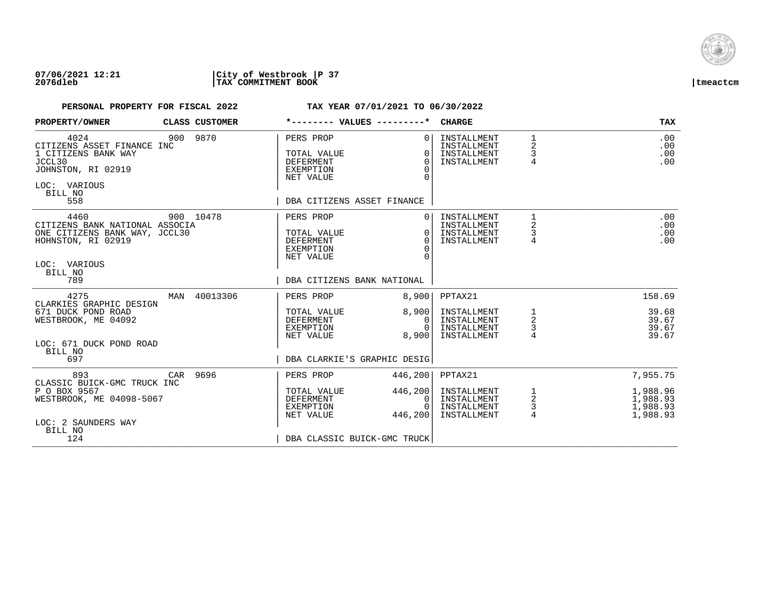

| PROPERTY/OWNER                                                                                                                  |     | CLASS CUSTOMER | *-------- VALUES ---------*                                                                                 |                                                          | <b>CHARGE</b>                                            |                                            | <b>TAX</b>                                   |
|---------------------------------------------------------------------------------------------------------------------------------|-----|----------------|-------------------------------------------------------------------------------------------------------------|----------------------------------------------------------|----------------------------------------------------------|--------------------------------------------|----------------------------------------------|
| 4024<br>CITIZENS ASSET FINANCE INC<br>1 CITIZENS BANK WAY<br>JCCL30<br>JOHNSTON, RI 02919<br>LOC: VARIOUS<br>BILL NO<br>558     |     | 900 9870       | PERS PROP<br>TOTAL VALUE<br>DEFERMENT<br><b>EXEMPTION</b><br>NET VALUE<br>DBA CITIZENS ASSET FINANCE        | $\Omega$<br>$\Omega$<br>$\Omega$<br>$\Omega$<br>$\Omega$ | INSTALLMENT<br>INSTALLMENT<br>INSTALLMENT<br>INSTALLMENT | $\mathbf{1}$<br>2<br>3<br>$\overline{4}$   | .00<br>.00<br>.00<br>.00                     |
| 4460<br>CITIZENS BANK NATIONAL ASSOCIA<br>ONE CITIZENS BANK WAY, JCCL30<br>HOHNSTON, RI 02919<br>LOC: VARIOUS<br>BILL NO<br>789 |     | 900 10478      | PERS PROP<br>TOTAL VALUE<br><b>DEFERMENT</b><br><b>EXEMPTION</b><br>NET VALUE<br>DBA CITIZENS BANK NATIONAL | $\Omega$<br>$\Omega$<br>$\Omega$<br>$\Omega$             | INSTALLMENT<br>INSTALLMENT<br>INSTALLMENT<br>INSTALLMENT | 1<br>$\overline{\mathbf{c}}$<br>3<br>4     | .00<br>.00<br>.00<br>.00                     |
| 4275                                                                                                                            | MAN | 40013306       | PERS PROP                                                                                                   | 8,900                                                    | PPTAX21                                                  |                                            | 158.69                                       |
| CLARKIES GRAPHIC DESIGN<br>671 DUCK POND ROAD<br>WESTBROOK, ME 04092<br>LOC: 671 DUCK POND ROAD<br>BILL NO<br>697               |     |                | TOTAL VALUE<br>DEFERMENT<br>EXEMPTION<br>NET VALUE<br>DBA CLARKIE'S GRAPHIC DESIG                           | 8,900<br>0<br>$\Omega$<br>8,900                          | INSTALLMENT<br>INSTALLMENT<br>INSTALLMENT<br>INSTALLMENT | 1<br>$\overline{c}$<br>3<br>$\overline{4}$ | 39.68<br>39.67<br>39.67<br>39.67             |
| 893                                                                                                                             | CAR | 9696           | PERS PROP                                                                                                   | 446,200                                                  | PPTAX21                                                  |                                            | 7,955.75                                     |
| CLASSIC BUICK-GMC TRUCK INC<br>P O BOX 9567<br>WESTBROOK, ME 04098-5067<br>LOC: 2 SAUNDERS WAY<br>BILL NO                       |     |                | TOTAL VALUE<br><b>DEFERMENT</b><br>EXEMPTION<br>NET VALUE                                                   | 446,200<br>0<br>$\Omega$<br>446,200                      | INSTALLMENT<br>INSTALLMENT<br>INSTALLMENT<br>INSTALLMENT | 1<br>$\overline{a}$<br>3<br>$\overline{4}$ | 1,988.96<br>1,988.93<br>1,988.93<br>1,988.93 |
| 124                                                                                                                             |     |                | DBA CLASSIC BUICK-GMC TRUCK                                                                                 |                                                          |                                                          |                                            |                                              |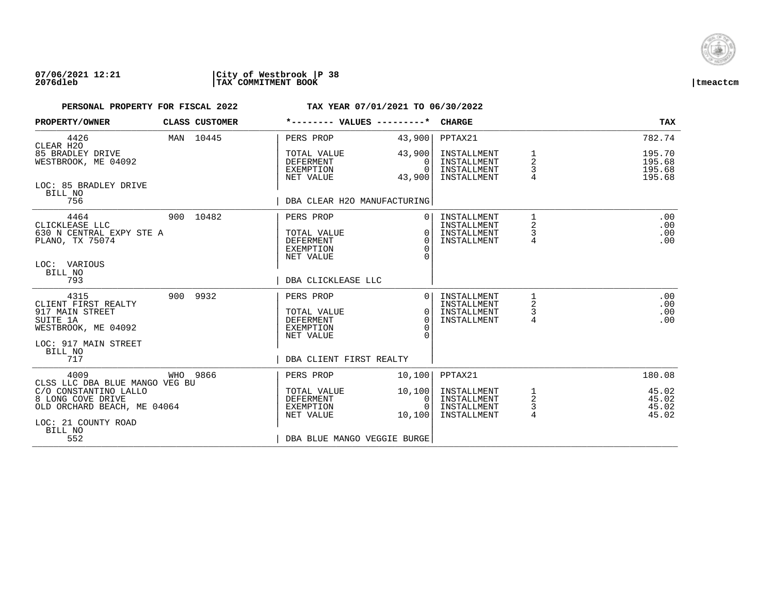

| PROPERTY/OWNER                                                                                              | CLASS CUSTOMER | *-------- VALUES ---------*                                                   |                                              | <b>CHARGE</b>                                            |                                        | <b>TAX</b>                           |
|-------------------------------------------------------------------------------------------------------------|----------------|-------------------------------------------------------------------------------|----------------------------------------------|----------------------------------------------------------|----------------------------------------|--------------------------------------|
| 4426<br>CLEAR H2O                                                                                           | MAN 10445      | PERS PROP                                                                     | 43,900                                       | PPTAX21                                                  |                                        | 782.74                               |
| 85 BRADLEY DRIVE<br>WESTBROOK, ME 04092                                                                     |                | TOTAL VALUE<br>DEFERMENT<br>EXEMPTION<br>NET VALUE                            | 43,900<br>0<br>$\Omega$<br>43,900            | INSTALLMENT<br>INSTALLMENT<br>INSTALLMENT<br>INSTALLMENT | 2<br>3                                 | 195.70<br>195.68<br>195.68<br>195.68 |
| LOC: 85 BRADLEY DRIVE<br>BILL NO<br>756                                                                     |                | DBA CLEAR H2O MANUFACTURING                                                   |                                              |                                                          |                                        |                                      |
| 4464<br>CLICKLEASE LLC<br>630 N CENTRAL EXPY STE A<br>PLANO, TX 75074<br>LOC: VARIOUS<br>BILL NO            | 900 10482      | PERS PROP<br>TOTAL VALUE<br><b>DEFERMENT</b><br><b>EXEMPTION</b><br>NET VALUE | $\Omega$<br>$\Omega$<br>$\Omega$<br>$\Omega$ | INSTALLMENT<br>INSTALLMENT<br>INSTALLMENT<br>INSTALLMENT | 1<br>$\overline{\mathbf{c}}$<br>3<br>4 | .00<br>.00<br>.00<br>.00             |
| 793                                                                                                         |                | DBA CLICKLEASE LLC                                                            |                                              |                                                          |                                        |                                      |
| 4315<br>CLIENT FIRST REALTY<br>917 MAIN STREET<br>SUITE 1A<br>WESTBROOK, ME 04092<br>LOC: 917 MAIN STREET   | 900 9932       | PERS PROP<br>TOTAL VALUE<br><b>DEFERMENT</b><br><b>EXEMPTION</b><br>NET VALUE | $\Omega$<br>$\Omega$<br>$\Omega$<br>∩        | INSTALLMENT<br>INSTALLMENT<br>INSTALLMENT<br>INSTALLMENT | 2<br>3<br>$\overline{4}$               | .00<br>.00<br>.00<br>.00             |
| BILL NO<br>717                                                                                              |                | DBA CLIENT FIRST REALTY                                                       |                                              |                                                          |                                        |                                      |
| 4009<br>CLSS LLC DBA BLUE MANGO VEG BU                                                                      | WHO 9866       | PERS PROP                                                                     | 10,100                                       | PPTAX21                                                  |                                        | 180.08                               |
| C/O CONSTANTINO LALLO<br>8 LONG COVE DRIVE<br>OLD ORCHARD BEACH, ME 04064<br>LOC: 21 COUNTY ROAD<br>BILL NO |                | TOTAL VALUE<br><b>DEFERMENT</b><br>EXEMPTION<br>NET VALUE                     | 10,100<br>0<br>$\Omega$<br>10,100            | INSTALLMENT<br>INSTALLMENT<br>INSTALLMENT<br>INSTALLMENT | 1<br>2<br>3<br>$\overline{4}$          | 45.02<br>45.02<br>45.02<br>45.02     |
| 552                                                                                                         |                | DBA BLUE MANGO VEGGIE BURGE                                                   |                                              |                                                          |                                        |                                      |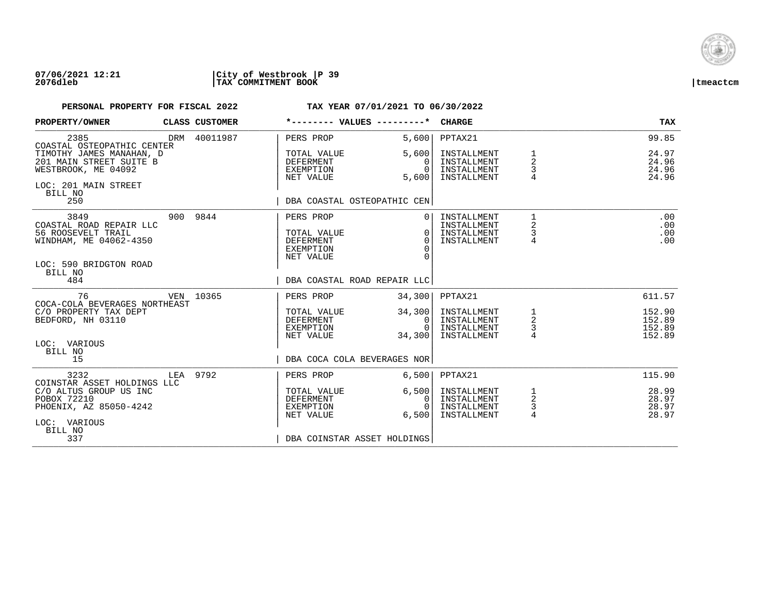

| PROPERTY/OWNER                                                                                                | <b>CLASS CUSTOMER</b> |                                                                        | *-------- VALUES ---------*                                        | CHARGE                                                   |                                                      | TAX                                  |
|---------------------------------------------------------------------------------------------------------------|-----------------------|------------------------------------------------------------------------|--------------------------------------------------------------------|----------------------------------------------------------|------------------------------------------------------|--------------------------------------|
| 2385<br>COASTAL OSTEOPATHIC CENTER                                                                            | DRM 40011987          | PERS PROP                                                              | 5,600                                                              | PPTAX21                                                  |                                                      | 99.85                                |
| TIMOTHY JAMES MANAHAN, D<br>201 MAIN STREET SUITE B<br>WESTBROOK, ME 04092<br>LOC: 201 MAIN STREET<br>BILL NO |                       | TOTAL VALUE<br><b>DEFERMENT</b><br>EXEMPTION<br>NET VALUE              | 5,600<br>$\Omega$<br>$\Omega$<br>5,600                             | INSTALLMENT<br>INSTALLMENT<br>INSTALLMENT<br>INSTALLMENT | $\mathbf 1$<br>$\overline{2}$<br>3<br>$\overline{4}$ | 24.97<br>24.96<br>24.96<br>24.96     |
| 250                                                                                                           |                       |                                                                        | DBA COASTAL OSTEOPATHIC CEN                                        |                                                          |                                                      |                                      |
| 3849<br>COASTAL ROAD REPAIR LLC<br>56 ROOSEVELT TRAIL<br>WINDHAM, ME 04062-4350                               | 900 9844              | PERS PROP<br>TOTAL VALUE<br><b>DEFERMENT</b><br>EXEMPTION<br>NET VALUE | 0 <sup>1</sup><br>0 <sup>1</sup><br>$\Omega$<br>$\Omega$<br>$\cap$ | INSTALLMENT<br>INSTALLMENT<br>INSTALLMENT<br>INSTALLMENT | $\mathbf{1}$<br>2<br>3<br>$\overline{4}$             | .00<br>.00<br>.00<br>.00             |
| LOC: 590 BRIDGTON ROAD<br>BILL NO<br>484                                                                      |                       |                                                                        | DBA COASTAL ROAD REPAIR LLC                                        |                                                          |                                                      |                                      |
| 76                                                                                                            | VEN 10365             | PERS PROP                                                              | 34,300                                                             | PPTAX21                                                  |                                                      | 611.57                               |
| COCA-COLA BEVERAGES NORTHEAST<br>C/O PROPERTY TAX DEPT<br>BEDFORD, NH 03110                                   |                       | TOTAL VALUE<br>DEFERMENT<br>EXEMPTION<br>NET VALUE                     | 34,300<br>0 <sup>1</sup><br>$\Omega$<br>34,300                     | INSTALLMENT<br>INSTALLMENT<br>INSTALLMENT<br>INSTALLMENT | $\begin{array}{c}\n1 \\ 2 \\ 3 \\ 4\n\end{array}$    | 152.90<br>152.89<br>152.89<br>152.89 |
| LOC: VARIOUS<br>BILL NO<br>15                                                                                 |                       |                                                                        | DBA COCA COLA BEVERAGES NOR                                        |                                                          |                                                      |                                      |
| 3232<br>COINSTAR ASSET HOLDINGS LLC                                                                           | LEA 9792              | PERS PROP                                                              | 6,500                                                              | PPTAX21                                                  |                                                      | 115.90                               |
| C/O ALTUS GROUP US INC<br>POBOX 72210<br>PHOENIX, AZ 85050-4242<br>LOC: VARIOUS                               |                       | TOTAL VALUE<br>DEFERMENT<br>EXEMPTION<br>NET VALUE                     | 6,500<br>0 <sup>1</sup><br>$\bigcap$<br>6.500                      | INSTALLMENT<br>INSTALLMENT<br>INSTALLMENT<br>INSTALLMENT | $\frac{1}{2}$<br>3<br>$\overline{4}$                 | 28.99<br>28.97<br>28.97<br>28.97     |
| BILL NO<br>337                                                                                                |                       |                                                                        | DBA COINSTAR ASSET HOLDINGS                                        |                                                          |                                                      |                                      |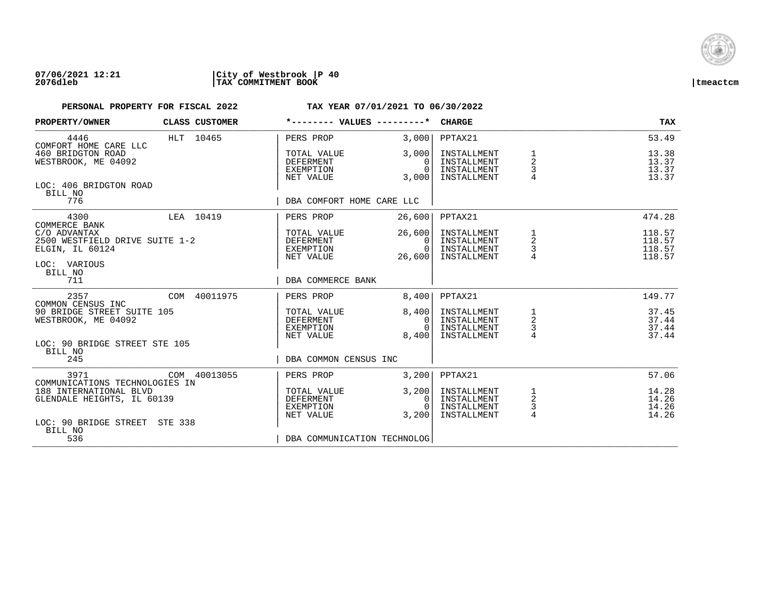

| PROPERTY/OWNER                                                                         |           | CLASS CUSTOMER | *-------- VALUES ---------*                               |                                          | <b>CHARGE</b>                                            |                                            | <b>TAX</b>                           |
|----------------------------------------------------------------------------------------|-----------|----------------|-----------------------------------------------------------|------------------------------------------|----------------------------------------------------------|--------------------------------------------|--------------------------------------|
| 4446<br>COMFORT HOME CARE LLC                                                          |           | HLT 10465      | PERS PROP                                                 | 3,000                                    | PPTAX21                                                  |                                            | 53.49                                |
| 460 BRIDGTON ROAD<br>WESTBROOK, ME 04092                                               |           |                | TOTAL VALUE<br><b>DEFERMENT</b><br>EXEMPTION<br>NET VALUE | 3,000<br>0<br>$\Omega$<br>3,000          | INSTALLMENT<br>INSTALLMENT<br>INSTALLMENT<br>INSTALLMENT | 1<br>$\overline{a}$<br>3<br>$\overline{4}$ | 13.38<br>13.37<br>13.37<br>13.37     |
| LOC: 406 BRIDGTON ROAD<br>BILL NO<br>776                                               |           |                | DBA COMFORT HOME CARE LLC                                 |                                          |                                                          |                                            |                                      |
| 4300<br>COMMERCE BANK                                                                  | LEA 10419 |                | PERS PROP                                                 | 26,600                                   | PPTAX21                                                  |                                            | 474.28                               |
| C/O ADVANTAX<br>2500 WESTFIELD DRIVE SUITE 1-2<br>ELGIN, IL 60124<br>LOC: VARIOUS      |           |                | TOTAL VALUE<br>DEFERMENT<br>EXEMPTION<br>NET VALUE        | 26,600<br>$\Omega$<br>$\Omega$<br>26,600 | INSTALLMENT<br>INSTALLMENT<br>INSTALLMENT<br>INSTALLMENT | 1<br>2<br>3                                | 118.57<br>118.57<br>118.57<br>118.57 |
| BILL NO<br>711                                                                         |           |                | DBA COMMERCE BANK                                         |                                          |                                                          |                                            |                                      |
| 2357<br>COMMON CENSUS INC                                                              |           | COM 40011975   | PERS PROP                                                 | 8,400                                    | PPTAX21                                                  |                                            | 149.77                               |
| 90 BRIDGE STREET SUITE 105<br>WESTBROOK, ME 04092                                      |           |                | TOTAL VALUE<br><b>DEFERMENT</b><br>EXEMPTION<br>NET VALUE | 8,400<br>0<br>$\cap$<br>8,400            | INSTALLMENT<br>INSTALLMENT<br>INSTALLMENT<br>INSTALLMENT | 1<br>$\overline{a}$<br>$\frac{3}{4}$       | 37.45<br>37.44<br>37.44<br>37.44     |
| LOC: 90 BRIDGE STREET STE 105<br>BILL NO<br>245                                        |           |                | DBA COMMON CENSUS INC                                     |                                          |                                                          |                                            |                                      |
| 3971                                                                                   |           | COM 40013055   | PERS PROP                                                 | 3,200                                    | PPTAX21                                                  |                                            | 57.06                                |
| COMMUNICATIONS TECHNOLOGIES IN<br>188 INTERNATIONAL BLVD<br>GLENDALE HEIGHTS, IL 60139 |           |                | TOTAL VALUE<br><b>DEFERMENT</b><br>EXEMPTION<br>NET VALUE | 3,200<br>0<br>$\cap$<br>3,200            | INSTALLMENT<br>INSTALLMENT<br>INSTALLMENT<br>INSTALLMENT | 1<br>$\overline{a}$<br>$\frac{3}{4}$       | 14.28<br>14.26<br>14.26<br>14.26     |
| LOC: 90 BRIDGE STREET STE 338<br>BILL NO<br>536                                        |           |                | DBA COMMUNICATION TECHNOLOG                               |                                          |                                                          |                                            |                                      |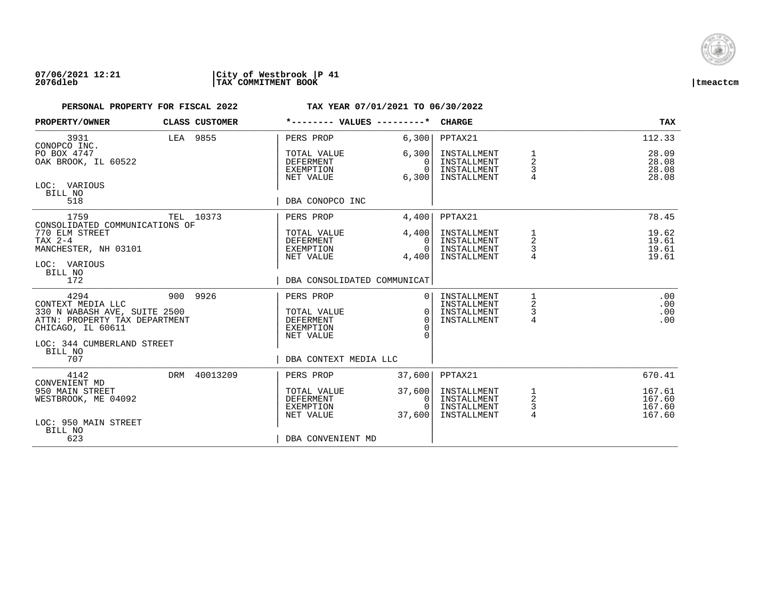

| PROPERTY/OWNER                                                                                                  | CLASS CUSTOMER | *-------- VALUES ---------*                                            |                                        | <b>CHARGE</b>                                            |                                       | <b>TAX</b>                           |
|-----------------------------------------------------------------------------------------------------------------|----------------|------------------------------------------------------------------------|----------------------------------------|----------------------------------------------------------|---------------------------------------|--------------------------------------|
| 3931<br>CONOPCO INC.                                                                                            | LEA 9855       | PERS PROP                                                              | 6,300                                  | PPTAX21                                                  |                                       | 112.33                               |
| PO BOX 4747<br>OAK BROOK, IL 60522                                                                              |                | TOTAL VALUE<br><b>DEFERMENT</b><br>EXEMPTION<br>NET VALUE              | 6,300<br>0<br>$\Omega$<br>6,300        | INSTALLMENT<br>INSTALLMENT<br>INSTALLMENT<br>INSTALLMENT | $\overline{2}$<br>3<br>$\overline{4}$ | 28.09<br>28.08<br>28.08<br>28.08     |
| LOC: VARIOUS<br>BILL NO<br>518                                                                                  |                | DBA CONOPCO INC                                                        |                                        |                                                          |                                       |                                      |
| 1759                                                                                                            | TEL 10373      | PERS PROP                                                              | 4,400                                  | PPTAX21                                                  |                                       | 78.45                                |
| CONSOLIDATED COMMUNICATIONS OF<br>770 ELM STREET<br>$TAX 2-4$<br>MANCHESTER, NH 03101<br>LOC: VARIOUS           |                | TOTAL VALUE<br>DEFERMENT<br>EXEMPTION<br>NET VALUE                     | 4,400<br>$\Omega$<br>$\Omega$<br>4,400 | INSTALLMENT<br>INSTALLMENT<br>INSTALLMENT<br>INSTALLMENT | 1<br>2                                | 19.62<br>19.61<br>19.61<br>19.61     |
| BILL NO<br>172                                                                                                  |                | DBA CONSOLIDATED COMMUNICAT                                            |                                        |                                                          |                                       |                                      |
| 4294<br>CONTEXT MEDIA LLC<br>330 N WABASH AVE, SUITE 2500<br>ATTN: PROPERTY TAX DEPARTMENT<br>CHICAGO, IL 60611 | 900 9926       | PERS PROP<br>TOTAL VALUE<br><b>DEFERMENT</b><br>EXEMPTION<br>NET VALUE | $\Omega$<br>$\Omega$<br>$\Omega$       | INSTALLMENT<br>INSTALLMENT<br>INSTALLMENT<br>INSTALLMENT | 1<br>2<br>3<br>$\overline{4}$         | .00<br>.00<br>.00<br>.00             |
| LOC: 344 CUMBERLAND STREET<br>BILL NO<br>707                                                                    |                | DBA CONTEXT MEDIA LLC                                                  |                                        |                                                          |                                       |                                      |
| 4142<br>CONVENIENT MD                                                                                           | DRM 40013209   | PERS PROP                                                              | 37,600                                 | PPTAX21                                                  |                                       | 670.41                               |
| 950 MAIN STREET<br>WESTBROOK, ME 04092<br>LOC: 950 MAIN STREET                                                  |                | TOTAL VALUE<br><b>DEFERMENT</b><br>EXEMPTION<br>NET VALUE              | 37,600<br>0<br>$\Omega$<br>37,600      | INSTALLMENT<br>INSTALLMENT<br>INSTALLMENT<br>INSTALLMENT | 1<br>$\overline{a}$<br>$\frac{3}{4}$  | 167.61<br>167.60<br>167.60<br>167.60 |
| BILL NO<br>623                                                                                                  |                | DBA CONVENIENT MD                                                      |                                        |                                                          |                                       |                                      |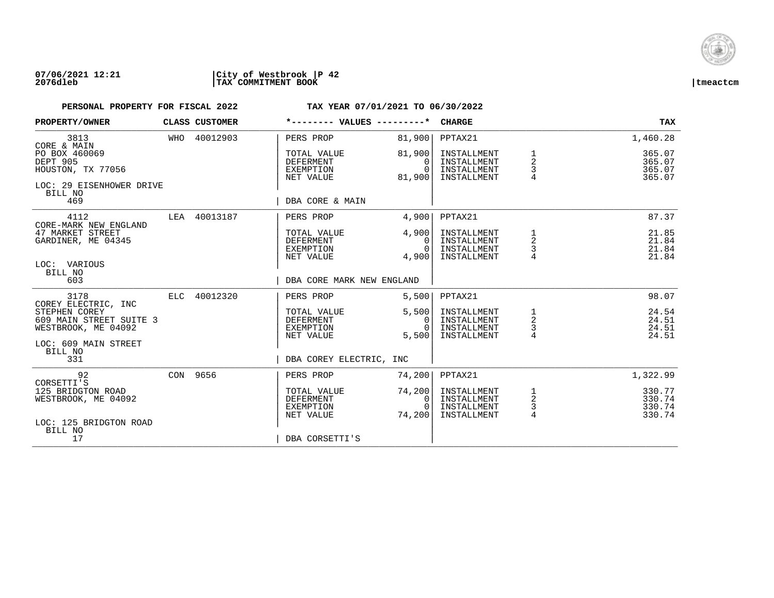

### **07/06/2021 12:21 |City of Westbrook |P 42 2076dleb |TAX COMMITMENT BOOK |tmeactcm**

| PROPERTY/OWNER                                                                   | CLASS CUSTOMER |                                                           | *-------- VALUES ---------*                  | <b>CHARGE</b>                                            |                                      | TAX                                  |
|----------------------------------------------------------------------------------|----------------|-----------------------------------------------------------|----------------------------------------------|----------------------------------------------------------|--------------------------------------|--------------------------------------|
| 3813<br>CORE & MAIN                                                              | WHO 40012903   | PERS PROP                                                 | 81,900                                       | PPTAX21                                                  |                                      | 1,460.28                             |
| PO BOX 460069<br>DEPT 905<br>HOUSTON, TX 77056                                   |                | TOTAL VALUE<br><b>DEFERMENT</b><br>EXEMPTION<br>NET VALUE | 81,900<br>$\Omega$<br>$\Omega$<br>81,900     | INSTALLMENT<br>INSTALLMENT<br>INSTALLMENT<br>INSTALLMENT | 1<br>2<br>3                          | 365.07<br>365.07<br>365.07<br>365.07 |
| LOC: 29 EISENHOWER DRIVE<br>BILL NO<br>469                                       |                | DBA CORE & MAIN                                           |                                              |                                                          |                                      |                                      |
| 4112<br>CORE-MARK NEW ENGLAND                                                    | LEA 40013187   | PERS PROP                                                 | 4,900                                        | PPTAX21                                                  |                                      | 87.37                                |
| 47 MARKET STREET<br>GARDINER, ME 04345<br>LOC: VARIOUS                           |                | TOTAL VALUE<br>DEFERMENT<br>EXEMPTION<br>NET VALUE        | 4,900<br>0 <sup>1</sup><br>$\Omega$<br>4,900 | INSTALLMENT<br>INSTALLMENT<br>INSTALLMENT<br>INSTALLMENT | 1<br>$\overline{a}$<br>3             | 21.85<br>21.84<br>21.84<br>21.84     |
| BILL NO<br>603                                                                   |                | DBA CORE MARK NEW ENGLAND                                 |                                              |                                                          |                                      |                                      |
| 3178<br>COREY ELECTRIC, INC                                                      | ELC 40012320   | PERS PROP                                                 | 5,500                                        | PPTAX21                                                  |                                      | 98.07                                |
| STEPHEN COREY<br>609 MAIN STREET SUITE 3<br>WESTBROOK, ME 04092                  |                | TOTAL VALUE<br><b>DEFERMENT</b><br>EXEMPTION<br>NET VALUE | 5,500<br>0<br>$\Omega$<br>5,500              | INSTALLMENT<br>INSTALLMENT<br>INSTALLMENT<br>INSTALLMENT | $\frac{1}{2}$<br>3<br>4              | 24.54<br>24.51<br>24.51<br>24.51     |
| LOC: 609 MAIN STREET<br>BILL NO<br>331                                           |                | DBA COREY ELECTRIC, INC                                   |                                              |                                                          |                                      |                                      |
| 92                                                                               | CON 9656       | PERS PROP                                                 | 74,200                                       | PPTAX21                                                  |                                      | 1,322.99                             |
| CORSETTI'S<br>125 BRIDGTON ROAD<br>WESTBROOK, ME 04092<br>LOC: 125 BRIDGTON ROAD |                | TOTAL VALUE<br>DEFERMENT<br>EXEMPTION<br>NET VALUE        | 74,200<br>0<br>$\Omega$<br>74,200            | INSTALLMENT<br>INSTALLMENT<br>INSTALLMENT<br>INSTALLMENT | $\frac{1}{2}$<br>3<br>$\overline{4}$ | 330.77<br>330.74<br>330.74<br>330.74 |
| BILL NO<br>17                                                                    |                | DBA CORSETTI'S                                            |                                              |                                                          |                                      |                                      |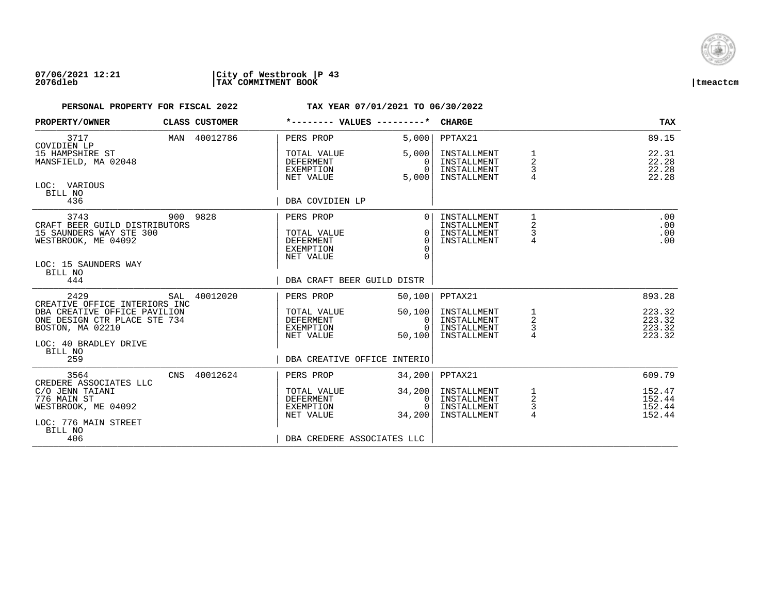

| PROPERTY/OWNER                                                                                                                    |     | CLASS CUSTOMER | *-------- VALUES ---------*                                                                          |                                                              | <b>CHARGE</b>                                            |                                            | <b>TAX</b>                           |
|-----------------------------------------------------------------------------------------------------------------------------------|-----|----------------|------------------------------------------------------------------------------------------------------|--------------------------------------------------------------|----------------------------------------------------------|--------------------------------------------|--------------------------------------|
| 3717<br>COVIDIEN LP                                                                                                               |     | MAN 40012786   | PERS PROP                                                                                            | 5,000                                                        | PPTAX21                                                  |                                            | 89.15                                |
| 15 HAMPSHIRE ST<br>MANSFIELD, MA 02048                                                                                            |     |                | TOTAL VALUE<br><b>DEFERMENT</b><br>EXEMPTION<br>NET VALUE                                            | 5,000<br>$\Omega$<br>$\Omega$<br>5,000                       | INSTALLMENT<br>INSTALLMENT<br>INSTALLMENT<br>INSTALLMENT | $\overline{2}$<br>3                        | 22.31<br>22.28<br>22.28<br>22.28     |
| LOC: VARIOUS<br>BILL NO<br>436                                                                                                    |     |                | DBA COVIDIEN LP                                                                                      |                                                              |                                                          |                                            |                                      |
| 3743<br>CRAFT BEER GUILD DISTRIBUTORS<br>15 SAUNDERS WAY STE 300<br>WESTBROOK, ME 04092<br>LOC: 15 SAUNDERS WAY<br>BILL NO<br>444 |     | 900 9828       | PERS PROP<br>TOTAL VALUE<br><b>DEFERMENT</b><br>EXEMPTION<br>NET VALUE<br>DBA CRAFT BEER GUILD DISTR | $\overline{0}$<br>$\Omega$<br>$\Omega$<br>$\Omega$<br>$\cap$ | INSTALLMENT<br>INSTALLMENT<br>INSTALLMENT<br>INSTALLMENT | $\mathbf{1}$<br>2<br>3<br>4                | .00<br>.00<br>.00<br>.00             |
| 2429                                                                                                                              | SAL | 40012020       | PERS PROP                                                                                            | 50,100                                                       | PPTAX21                                                  |                                            | 893.28                               |
| CREATIVE OFFICE INTERIORS INC<br>DBA CREATIVE OFFICE PAVILION<br>ONE DESIGN CTR PLACE STE 734<br>BOSTON, MA 02210                 |     |                | TOTAL VALUE<br>DEFERMENT<br>EXEMPTION<br>NET VALUE                                                   | 50,100<br>0<br>$\Omega$<br>50,100                            | INSTALLMENT<br>INSTALLMENT<br>INSTALLMENT<br>INSTALLMENT | $\frac{1}{2}$<br>$\overline{4}$            | 223.32<br>223.32<br>223.32<br>223.32 |
| LOC: 40 BRADLEY DRIVE<br>BILL NO<br>259                                                                                           |     |                | DBA CREATIVE OFFICE INTERIO                                                                          |                                                              |                                                          |                                            |                                      |
| 3564<br>CREDERE ASSOCIATES LLC                                                                                                    | CNS | 40012624       | PERS PROP                                                                                            | 34,200                                                       | PPTAX21                                                  |                                            | 609.79                               |
| C/O JENN TAIANI<br>776 MAIN ST<br>WESTBROOK, ME 04092<br>LOC: 776 MAIN STREET                                                     |     |                | TOTAL VALUE<br><b>DEFERMENT</b><br>EXEMPTION<br>NET VALUE                                            | 34,200<br>0<br>$\Omega$<br>34,200                            | INSTALLMENT<br>INSTALLMENT<br>INSTALLMENT<br>INSTALLMENT | 1<br>$\overline{c}$<br>3<br>$\overline{4}$ | 152.47<br>152.44<br>152.44<br>152.44 |
| BILL NO<br>406                                                                                                                    |     |                | DBA CREDERE ASSOCIATES LLC                                                                           |                                                              |                                                          |                                            |                                      |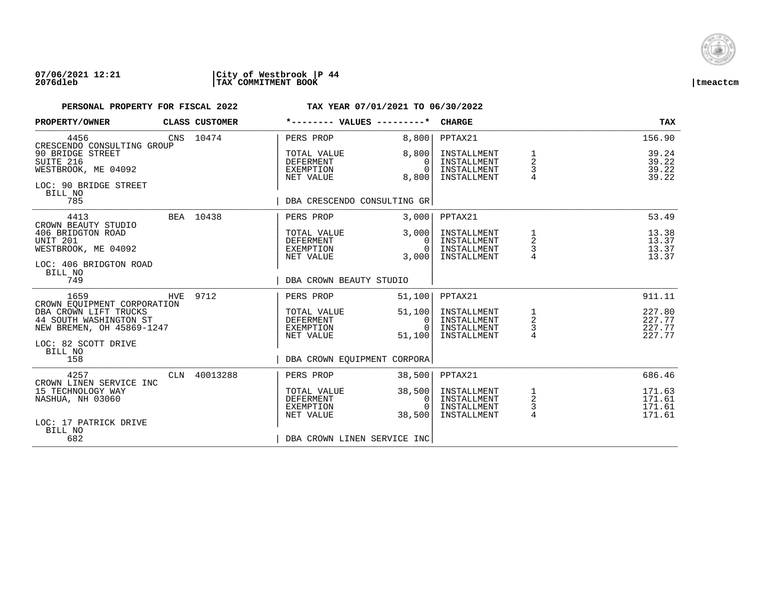

### **07/06/2021 12:21 |City of Westbrook |P 44 2076dleb |TAX COMMITMENT BOOK |tmeactcm**

| PROPERTY/OWNER                                                                                      | CLASS CUSTOMER | *-------- VALUES ---------*                               |                                              | <b>CHARGE</b>                                            |                                            | <b>TAX</b>                           |
|-----------------------------------------------------------------------------------------------------|----------------|-----------------------------------------------------------|----------------------------------------------|----------------------------------------------------------|--------------------------------------------|--------------------------------------|
| 4456<br>CRESCENDO CONSULTING GROUP                                                                  | CNS 10474      | PERS PROP                                                 | 8,800                                        | PPTAX21                                                  |                                            | 156.90                               |
| 90 BRIDGE STREET<br>SUITE 216<br>WESTBROOK, ME 04092<br>LOC: 90 BRIDGE STREET<br>BILL NO            |                | TOTAL VALUE<br><b>DEFERMENT</b><br>EXEMPTION<br>NET VALUE | 8,800<br>$\Omega$<br>$\Omega$<br>8,800       | INSTALLMENT<br>INSTALLMENT<br>INSTALLMENT<br>INSTALLMENT | 1<br>$\overline{2}$<br>3<br>$\overline{4}$ | 39.24<br>39.22<br>39.22<br>39.22     |
| 785                                                                                                 |                | DBA CRESCENDO CONSULTING GR                               |                                              |                                                          |                                            |                                      |
| 4413<br>CROWN BEAUTY STUDIO                                                                         | BEA 10438      | PERS PROP                                                 | 3,000                                        | PPTAX21                                                  |                                            | 53.49                                |
| 406 BRIDGTON ROAD<br>UNIT 201<br>WESTBROOK, ME 04092<br>LOC: 406 BRIDGTON ROAD<br>BILL NO           |                | TOTAL VALUE<br>DEFERMENT<br>EXEMPTION<br>NET VALUE        | 3,000<br>$\Omega$<br>$\Omega$<br>3,000       | INSTALLMENT<br>INSTALLMENT<br>INSTALLMENT<br>INSTALLMENT | 1<br>2<br>3<br>$\overline{4}$              | 13.38<br>13.37<br>13.37<br>13.37     |
| 749                                                                                                 |                | DBA CROWN BEAUTY STUDIO                                   |                                              |                                                          |                                            |                                      |
| 1659<br>CROWN EOUIPMENT CORPORATION                                                                 | HVE 9712       | PERS PROP                                                 | 51,100                                       | PPTAX21                                                  |                                            | 911.11                               |
| DBA CROWN LIFT TRUCKS<br>44 SOUTH WASHINGTON ST<br>NEW BREMEN, OH 45869-1247<br>LOC: 82 SCOTT DRIVE |                | TOTAL VALUE<br><b>DEFERMENT</b><br>EXEMPTION<br>NET VALUE | 51,100<br>$\mathbf{0}$<br>$\Omega$<br>51,100 | INSTALLMENT<br>INSTALLMENT<br>INSTALLMENT<br>INSTALLMENT | 1<br>$\overline{a}$<br>$\frac{3}{4}$       | 227.80<br>227.77<br>227.77<br>227.77 |
| BILL NO<br>158                                                                                      |                | DBA CROWN EQUIPMENT CORPORA                               |                                              |                                                          |                                            |                                      |
| 4257<br>CROWN LINEN SERVICE INC                                                                     | CLN 40013288   | PERS PROP                                                 | 38,500                                       | PPTAX21                                                  |                                            | 686.46                               |
| 15 TECHNOLOGY WAY<br>NASHUA, NH 03060<br>LOC: 17 PATRICK DRIVE                                      |                | TOTAL VALUE<br><b>DEFERMENT</b><br>EXEMPTION<br>NET VALUE | 38,500<br>0<br>$\Omega$<br>38,500            | INSTALLMENT<br>INSTALLMENT<br>INSTALLMENT<br>INSTALLMENT | 1<br>$\mathbf 2$<br>$\frac{3}{4}$          | 171.63<br>171.61<br>171.61<br>171.61 |
| BILL NO<br>682                                                                                      |                | DBA CROWN LINEN SERVICE INC                               |                                              |                                                          |                                            |                                      |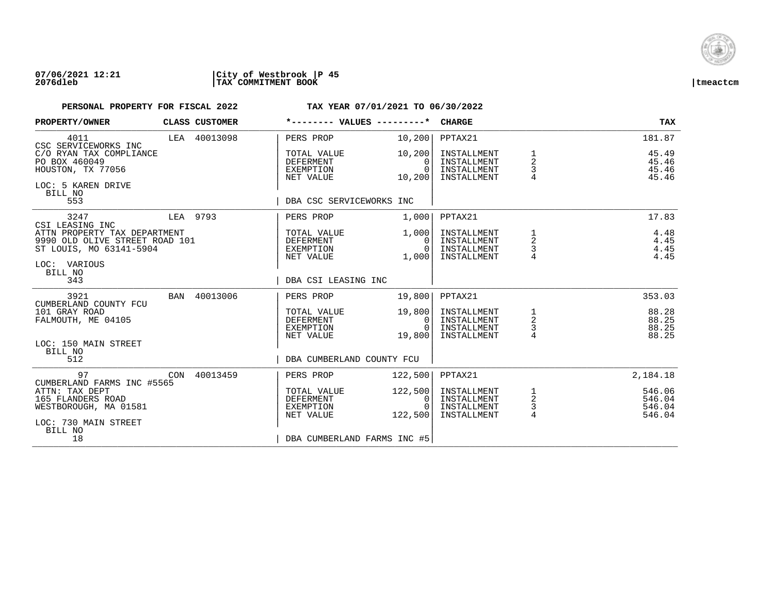

### **07/06/2021 12:21 |City of Westbrook |P 45 2076dleb |TAX COMMITMENT BOOK |tmeactcm**

| PROPERTY/OWNER                                                                                                       |     | CLASS CUSTOMER | *-------- VALUES ---------*                               |                                             | <b>CHARGE</b>                                            |                                                   | <b>TAX</b>                           |
|----------------------------------------------------------------------------------------------------------------------|-----|----------------|-----------------------------------------------------------|---------------------------------------------|----------------------------------------------------------|---------------------------------------------------|--------------------------------------|
| 4011<br>CSC SERVICEWORKS INC                                                                                         |     | LEA 40013098   | PERS PROP                                                 | 10, 200                                     | PPTAX21                                                  |                                                   | 181.87                               |
| C/O RYAN TAX COMPLIANCE<br>PO BOX 460049<br>HOUSTON, TX 77056<br>LOC: 5 KAREN DRIVE<br>BILL NO                       |     |                | TOTAL VALUE<br><b>DEFERMENT</b><br>EXEMPTION<br>NET VALUE | 10,200<br>$\Omega$<br>$\Omega$<br>10,200    | INSTALLMENT<br>INSTALLMENT<br>INSTALLMENT<br>INSTALLMENT | 1<br>2<br>3                                       | 45.49<br>45.46<br>45.46<br>45.46     |
| 553                                                                                                                  |     |                | DBA CSC SERVICEWORKS INC                                  |                                             |                                                          |                                                   |                                      |
| 3247<br>CSI LEASING INC                                                                                              |     | LEA 9793       | PERS PROP                                                 | 1,000                                       | PPTAX21                                                  |                                                   | 17.83                                |
| ATTN PROPERTY TAX DEPARTMENT<br>9990 OLD OLIVE STREET ROAD 101<br>ST LOUIS, MO 63141-5904<br>LOC: VARIOUS<br>BILL NO |     |                | TOTAL VALUE<br>DEFERMENT<br>EXEMPTION<br>NET VALUE        | 1,000 <br>$\Omega$<br>$\mathbf{0}$<br>1,000 | INSTALLMENT<br>INSTALLMENT<br>INSTALLMENT<br>INSTALLMENT | 1<br>2<br>3                                       | 4.48<br>4.45<br>4.45<br>4.45         |
| 343                                                                                                                  |     |                | DBA CSI LEASING INC                                       |                                             |                                                          |                                                   |                                      |
| 3921<br>CUMBERLAND COUNTY FCU                                                                                        | BAN | 40013006       | PERS PROP                                                 | 19,800                                      | PPTAX21                                                  |                                                   | 353.03                               |
| 101 GRAY ROAD<br>FALMOUTH, ME 04105                                                                                  |     |                | TOTAL VALUE<br>DEFERMENT<br>EXEMPTION<br>NET VALUE        | 19,800<br>0<br>$\Omega$<br>19,800           | INSTALLMENT<br>INSTALLMENT<br>INSTALLMENT<br>INSTALLMENT | $\begin{array}{c}\n1 \\ 2 \\ 3 \\ 4\n\end{array}$ | 88.28<br>88.25<br>88.25<br>88.25     |
| LOC: 150 MAIN STREET<br>BILL NO<br>512                                                                               |     |                | DBA CUMBERLAND COUNTY FCU                                 |                                             |                                                          |                                                   |                                      |
| 97<br>CUMBERLAND FARMS INC #5565                                                                                     | CON | 40013459       | PERS PROP                                                 | 122,500                                     | PPTAX21                                                  |                                                   | 2,184.18                             |
| ATTN: TAX DEPT<br>165 FLANDERS ROAD<br>WESTBOROUGH, MA 01581<br>LOC: 730 MAIN STREET<br>BILL NO                      |     |                | TOTAL VALUE<br><b>DEFERMENT</b><br>EXEMPTION<br>NET VALUE | 122,500<br>0<br>$\Omega$<br>122,500         | INSTALLMENT<br>INSTALLMENT<br>INSTALLMENT<br>INSTALLMENT | $\frac{1}{2}$<br>3<br>4                           | 546.06<br>546.04<br>546.04<br>546.04 |
| 18                                                                                                                   |     |                | DBA CUMBERLAND FARMS INC #5                               |                                             |                                                          |                                                   |                                      |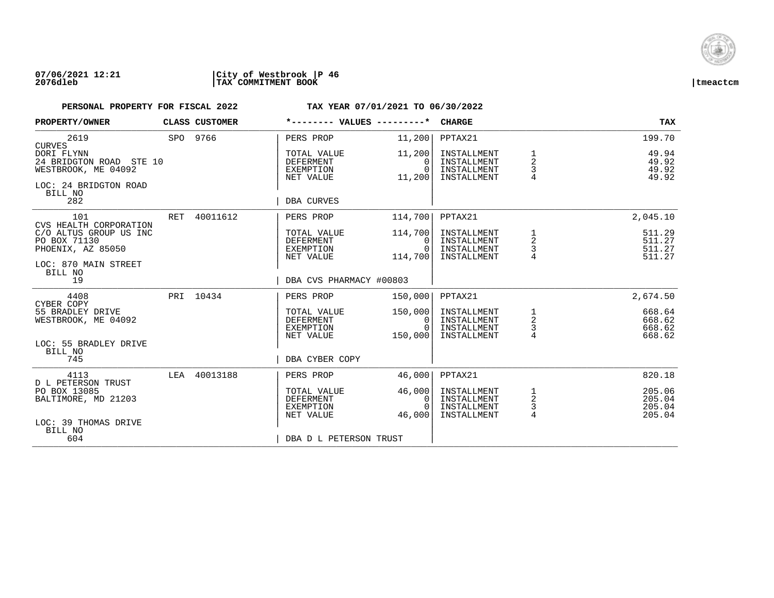

| PROPERTY/OWNER                                                                                   |     | CLASS CUSTOMER | *-------- VALUES ---------*                               |                                            | <b>CHARGE</b>                                            |                                        | <b>TAX</b>                           |
|--------------------------------------------------------------------------------------------------|-----|----------------|-----------------------------------------------------------|--------------------------------------------|----------------------------------------------------------|----------------------------------------|--------------------------------------|
| 2619<br><b>CURVES</b>                                                                            |     | SPO 9766       | PERS PROP                                                 | 11,200                                     | PPTAX21                                                  |                                        | 199.70                               |
| DORI FLYNN<br>24 BRIDGTON ROAD STE 10<br>WESTBROOK, ME 04092<br>LOC: 24 BRIDGTON ROAD<br>BILL NO |     |                | TOTAL VALUE<br><b>DEFERMENT</b><br>EXEMPTION<br>NET VALUE | 11,200<br>$\Omega$<br>$\Omega$<br>11,200   | INSTALLMENT<br>INSTALLMENT<br>INSTALLMENT<br>INSTALLMENT | 1<br>2<br>3<br>$\overline{4}$          | 49.94<br>49.92<br>49.92<br>49.92     |
| 282                                                                                              |     |                | DBA CURVES                                                |                                            |                                                          |                                        |                                      |
| 101<br>CVS HEALTH CORPORATION                                                                    | RET | 40011612       | PERS PROP                                                 | 114,700                                    | PPTAX21                                                  |                                        | 2,045.10                             |
| C/O ALTUS GROUP US INC<br>PO BOX 71130<br>PHOENIX, AZ 85050                                      |     |                | TOTAL VALUE<br><b>DEFERMENT</b><br>EXEMPTION<br>NET VALUE | 114,700<br>$\Omega$<br>$\Omega$<br>114,700 | INSTALLMENT<br>INSTALLMENT<br>INSTALLMENT<br>INSTALLMENT | 1<br>$\overline{\mathbf{c}}$<br>3<br>4 | 511.29<br>511.27<br>511.27<br>511.27 |
| LOC: 870 MAIN STREET<br>BILL NO<br>19                                                            |     |                | DBA CVS PHARMACY #00803                                   |                                            |                                                          |                                        |                                      |
| 4408<br>CYBER COPY                                                                               |     | PRI 10434      | PERS PROP                                                 | 150,000                                    | PPTAX21                                                  |                                        | 2,674.50                             |
| 55 BRADLEY DRIVE<br>WESTBROOK, ME 04092                                                          |     |                | TOTAL VALUE<br>DEFERMENT<br>EXEMPTION<br>NET VALUE        | 150,000<br>0<br>$\Omega$<br>150,000        | INSTALLMENT<br>INSTALLMENT<br>INSTALLMENT<br>INSTALLMENT | $\frac{1}{2}$<br>$\overline{4}$        | 668.64<br>668.62<br>668.62<br>668.62 |
| LOC: 55 BRADLEY DRIVE<br>BILL NO                                                                 |     |                |                                                           |                                            |                                                          |                                        |                                      |
| 745                                                                                              |     |                | DBA CYBER COPY                                            |                                            |                                                          |                                        |                                      |
| 4113<br><b>D L PETERSON TRUST</b>                                                                | LEA | 40013188       | PERS PROP                                                 | 46,000                                     | PPTAX21                                                  |                                        | 820.18                               |
| PO BOX 13085<br>BALTIMORE, MD 21203                                                              |     |                | TOTAL VALUE<br><b>DEFERMENT</b><br>EXEMPTION<br>NET VALUE | 46,000<br>0<br>$\Omega$<br>46,000          | INSTALLMENT<br>INSTALLMENT<br>INSTALLMENT<br>INSTALLMENT | $\frac{1}{2}$<br>3<br>$\overline{4}$   | 205.06<br>205.04<br>205.04<br>205.04 |
| LOC: 39 THOMAS DRIVE<br>BILL NO<br>604                                                           |     |                | DBA D L PETERSON TRUST                                    |                                            |                                                          |                                        |                                      |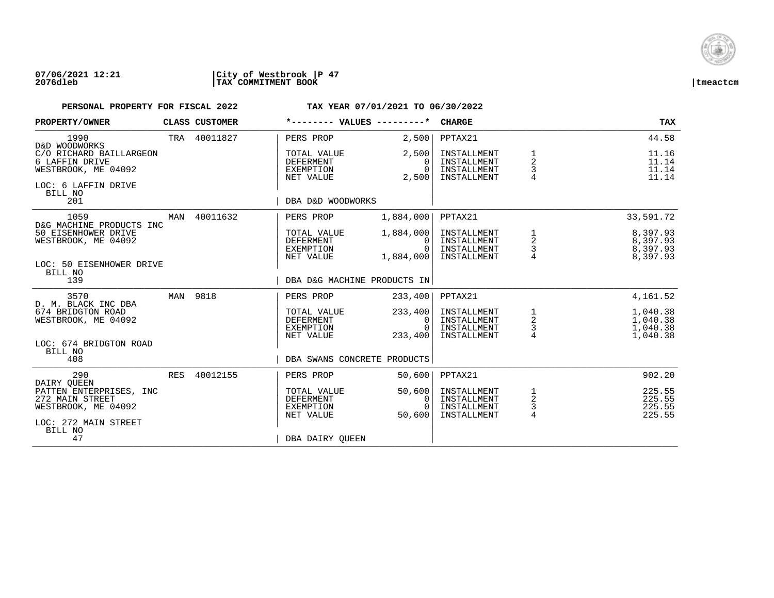

| PROPERTY/OWNER                                                                                       |     | CLASS CUSTOMER |                                                           | *-------- VALUES ---------*             | <b>CHARGE</b>                                            |                                                      | <b>TAX</b>                                   |
|------------------------------------------------------------------------------------------------------|-----|----------------|-----------------------------------------------------------|-----------------------------------------|----------------------------------------------------------|------------------------------------------------------|----------------------------------------------|
| 1990<br>D&D WOODWORKS                                                                                |     | TRA 40011827   | PERS PROP                                                 | 2,500                                   | PPTAX21                                                  |                                                      | 44.58                                        |
| C/O RICHARD BAILLARGEON<br>6 LAFFIN DRIVE<br>WESTBROOK, ME 04092<br>LOC: 6 LAFFIN DRIVE<br>BILL NO   |     |                | TOTAL VALUE<br><b>DEFERMENT</b><br>EXEMPTION<br>NET VALUE | 2,500<br>$\Omega$<br>$\Omega$<br>2,500  | INSTALLMENT<br>INSTALLMENT<br>INSTALLMENT<br>INSTALLMENT | $\mathbf 1$<br>$\overline{a}$<br>3<br>$\overline{4}$ | 11.16<br>11.14<br>11.14<br>11.14             |
| 201                                                                                                  |     |                | DBA D&D WOODWORKS                                         |                                         |                                                          |                                                      |                                              |
| 1059<br>D&G MACHINE PRODUCTS INC                                                                     | MAN | 40011632       | PERS PROP                                                 | 1,884,000                               | PPTAX21                                                  |                                                      | 33,591.72                                    |
| 50 EISENHOWER DRIVE<br>WESTBROOK, ME 04092<br>LOC: 50 EISENHOWER DRIVE<br>BILL NO                    |     |                | TOTAL VALUE<br><b>DEFERMENT</b><br>EXEMPTION<br>NET VALUE | 1,884,000<br>$\Omega$<br>0<br>1,884,000 | INSTALLMENT<br>INSTALLMENT<br>INSTALLMENT<br>INSTALLMENT | 1<br>$\frac{2}{3}$<br>4                              | 8,397.93<br>8,397.93<br>8,397.93<br>8,397.93 |
| 139                                                                                                  |     |                |                                                           | DBA D&G MACHINE PRODUCTS IN             |                                                          |                                                      |                                              |
| 3570<br>D. M. BLACK INC DBA                                                                          |     | MAN 9818       | PERS PROP                                                 | 233,400                                 | PPTAX21                                                  |                                                      | 4,161.52                                     |
| 674 BRIDGTON ROAD<br>WESTBROOK, ME 04092                                                             |     |                | TOTAL VALUE<br><b>DEFERMENT</b><br>EXEMPTION<br>NET VALUE | 233,400<br>0<br>$\Omega$<br>233,400     | INSTALLMENT<br>INSTALLMENT<br>INSTALLMENT<br>INSTALLMENT | $\begin{array}{c}\n1 \\ 2 \\ 3 \\ 4\n\end{array}$    | 1,040.38<br>1,040.38<br>1,040.38<br>1,040.38 |
| LOC: 674 BRIDGTON ROAD<br>BILL NO<br>408                                                             |     |                |                                                           | DBA SWANS CONCRETE PRODUCTS             |                                                          |                                                      |                                              |
| 290<br>DAIRY QUEEN                                                                                   |     | RES 40012155   | PERS PROP                                                 | 50,600                                  | PPTAX21                                                  |                                                      | 902.20                                       |
| PATTEN ENTERPRISES, INC<br>272 MAIN STREET<br>WESTBROOK, ME 04092<br>LOC: 272 MAIN STREET<br>BILL NO |     |                | TOTAL VALUE<br><b>DEFERMENT</b><br>EXEMPTION<br>NET VALUE | 50,600<br>0<br>$\Omega$<br>50,600       | INSTALLMENT<br>INSTALLMENT<br>INSTALLMENT<br>INSTALLMENT | $\frac{1}{2}$<br>$\mathsf 3$<br>$\overline{4}$       | 225.55<br>225.55<br>225.55<br>225.55         |
| 47                                                                                                   |     |                | DBA DAIRY OUEEN                                           |                                         |                                                          |                                                      |                                              |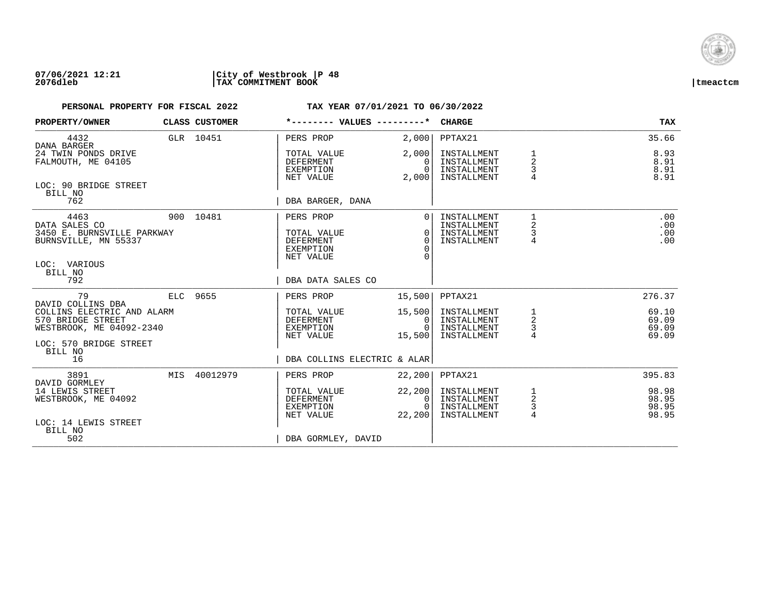

| PROPERTY/OWNER                                                                                         | CLASS CUSTOMER | *-------- VALUES ---------*                                     |                                              | <b>CHARGE</b>                                            |                               | <b>TAX</b>                       |
|--------------------------------------------------------------------------------------------------------|----------------|-----------------------------------------------------------------|----------------------------------------------|----------------------------------------------------------|-------------------------------|----------------------------------|
| 4432<br>DANA BARGER                                                                                    | GLR 10451      | PERS PROP                                                       | 2,000                                        | PPTAX21                                                  |                               | 35.66                            |
| 24 TWIN PONDS DRIVE<br>FALMOUTH, ME 04105                                                              |                | TOTAL VALUE<br>DEFERMENT<br>EXEMPTION<br>NET VALUE              | 2,000<br>$\Omega$<br>$\Omega$<br>2,000       | INSTALLMENT<br>INSTALLMENT<br>INSTALLMENT<br>INSTALLMENT | 1<br>2<br>3                   | 8.93<br>8.91<br>8.91<br>8.91     |
| LOC: 90 BRIDGE STREET<br>BILL NO<br>762                                                                |                | DBA BARGER, DANA                                                |                                              |                                                          |                               |                                  |
| 4463<br>DATA SALES CO<br>3450 E. BURNSVILLE PARKWAY<br>BURNSVILLE, MN 55337<br>LOC: VARIOUS<br>BILL NO | 900 10481      | PERS PROP<br>TOTAL VALUE<br>DEFERMENT<br>EXEMPTION<br>NET VALUE | $\Omega$<br>$\Omega$<br>$\Omega$<br>$\Omega$ | INSTALLMENT<br>INSTALLMENT<br>INSTALLMENT<br>INSTALLMENT | 1<br>2<br>3<br>4              | .00<br>.00<br>.00<br>.00         |
| 792                                                                                                    |                | DBA DATA SALES CO                                               |                                              |                                                          |                               |                                  |
| 79<br>DAVID COLLINS DBA                                                                                | ELC 9655       | PERS PROP                                                       | 15,500                                       | PPTAX21                                                  |                               | 276.37                           |
| COLLINS ELECTRIC AND ALARM<br>570 BRIDGE STREET<br>WESTBROOK, ME 04092-2340                            |                | TOTAL VALUE<br>DEFERMENT<br>EXEMPTION<br>NET VALUE              | 15,500<br>$\mathbf{0}$<br>$\Omega$<br>15,500 | INSTALLMENT<br>INSTALLMENT<br>INSTALLMENT<br>INSTALLMENT | 1<br>$\overline{a}$<br>3<br>4 | 69.10<br>69.09<br>69.09<br>69.09 |
| LOC: 570 BRIDGE STREET<br>BILL NO<br>16                                                                |                | DBA COLLINS ELECTRIC & ALAR                                     |                                              |                                                          |                               |                                  |
| 3891<br>DAVID GORMLEY                                                                                  | MIS 40012979   | PERS PROP                                                       | 22,200                                       | PPTAX21                                                  |                               | 395.83                           |
| 14 LEWIS STREET<br>WESTBROOK, ME 04092                                                                 |                | TOTAL VALUE<br>DEFERMENT<br>EXEMPTION<br>NET VALUE              | 22,200<br>$\mathbf{0}$<br>$\Omega$<br>22,200 | INSTALLMENT<br>INSTALLMENT<br>INSTALLMENT<br>INSTALLMENT | 1<br>2<br>3<br>4              | 98.98<br>98.95<br>98.95<br>98.95 |
| LOC: 14 LEWIS STREET<br>BILL NO<br>502                                                                 |                | DBA GORMLEY, DAVID                                              |                                              |                                                          |                               |                                  |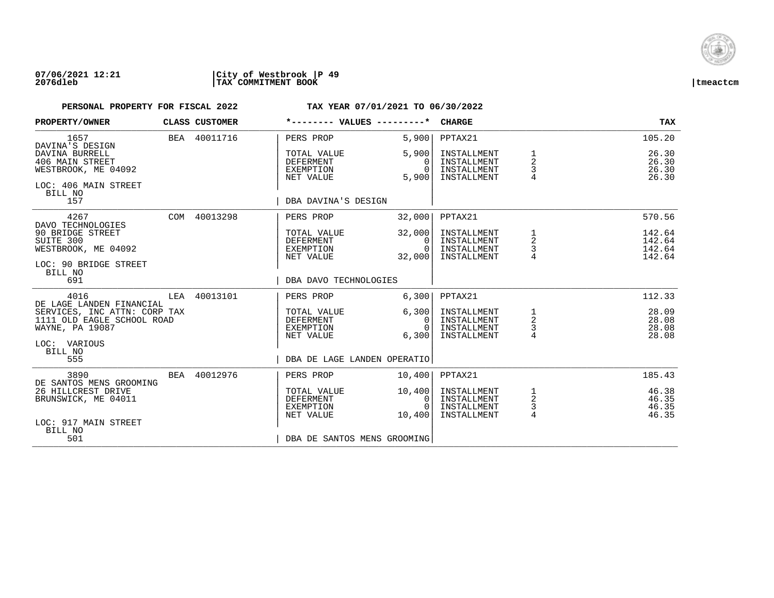

| PROPERTY/OWNER                                                                              | CLASS CUSTOMER | *-------- VALUES ---------*                               |                                                | <b>CHARGE</b>                                            |                                             | <b>TAX</b>                           |
|---------------------------------------------------------------------------------------------|----------------|-----------------------------------------------------------|------------------------------------------------|----------------------------------------------------------|---------------------------------------------|--------------------------------------|
| 1657<br>DAVINA'S DESIGN                                                                     | BEA 40011716   | PERS PROP                                                 | 5,900                                          | PPTAX21                                                  |                                             | 105.20                               |
| DAVINA BURRELL<br>406 MAIN STREET<br>WESTBROOK, ME 04092<br>LOC: 406 MAIN STREET<br>BILL NO |                | TOTAL VALUE<br><b>DEFERMENT</b><br>EXEMPTION<br>NET VALUE | 5,900<br>$\Omega$<br>$\Omega$<br>5,900         | INSTALLMENT<br>INSTALLMENT<br>INSTALLMENT<br>INSTALLMENT | 1<br>$\overline{a}$<br>3<br>$\overline{4}$  | 26.30<br>26.30<br>26.30<br>26.30     |
| 157                                                                                         |                | DBA DAVINA'S DESIGN                                       |                                                |                                                          |                                             |                                      |
| 4267<br>DAVO TECHNOLOGIES                                                                   | COM 40013298   | PERS PROP                                                 | 32,000                                         | PPTAX21                                                  |                                             | 570.56                               |
| 90 BRIDGE STREET<br>SUITE 300<br>WESTBROOK, ME 04092<br>LOC: 90 BRIDGE STREET               |                | TOTAL VALUE<br>DEFERMENT<br>EXEMPTION<br>NET VALUE        | 32,000<br>$\Omega$<br>$\overline{0}$<br>32,000 | INSTALLMENT<br>INSTALLMENT<br>INSTALLMENT<br>INSTALLMENT | 1<br>$\sqrt{2}$<br>$\mathsf 3$              | 142.64<br>142.64<br>142.64<br>142.64 |
| BILL NO<br>691                                                                              |                | DBA DAVO TECHNOLOGIES                                     |                                                |                                                          |                                             |                                      |
| 4016<br>DE LAGE LANDEN FINANCIAL                                                            | LEA 40013101   | PERS PROP                                                 | 6,300                                          | PPTAX21                                                  |                                             | 112.33                               |
| SERVICES, INC ATTN: CORP TAX<br>1111 OLD EAGLE SCHOOL ROAD<br>WAYNE, PA 19087               |                | TOTAL VALUE<br>DEFERMENT<br>EXEMPTION<br>NET VALUE        | 6,300<br>$\overline{0}$<br>$\Omega$<br>6,300   | INSTALLMENT<br>INSTALLMENT<br>INSTALLMENT<br>INSTALLMENT | $\mathbf{1}$<br>$\sqrt{2}$<br>$\frac{3}{4}$ | 28.09<br>28.08<br>28.08<br>28.08     |
| LOC: VARIOUS<br>BILL NO<br>555                                                              |                | DBA DE LAGE LANDEN OPERATIO                               |                                                |                                                          |                                             |                                      |
| 3890<br>DE SANTOS MENS GROOMING                                                             | BEA 40012976   | PERS PROP                                                 | 10,400                                         | PPTAX21                                                  |                                             | 185.43                               |
| 26 HILLCREST DRIVE<br>BRUNSWICK, ME 04011                                                   |                | TOTAL VALUE<br><b>DEFERMENT</b><br>EXEMPTION<br>NET VALUE | 10,400<br>$\mathbf{0}$<br>$\Omega$<br>10,400   | INSTALLMENT<br>INSTALLMENT<br>INSTALLMENT<br>INSTALLMENT | 1<br>$\sqrt{2}$<br>$\frac{3}{4}$            | 46.38<br>46.35<br>46.35<br>46.35     |
| LOC: 917 MAIN STREET<br>BILL NO<br>501                                                      |                | DBA DE SANTOS MENS GROOMING                               |                                                |                                                          |                                             |                                      |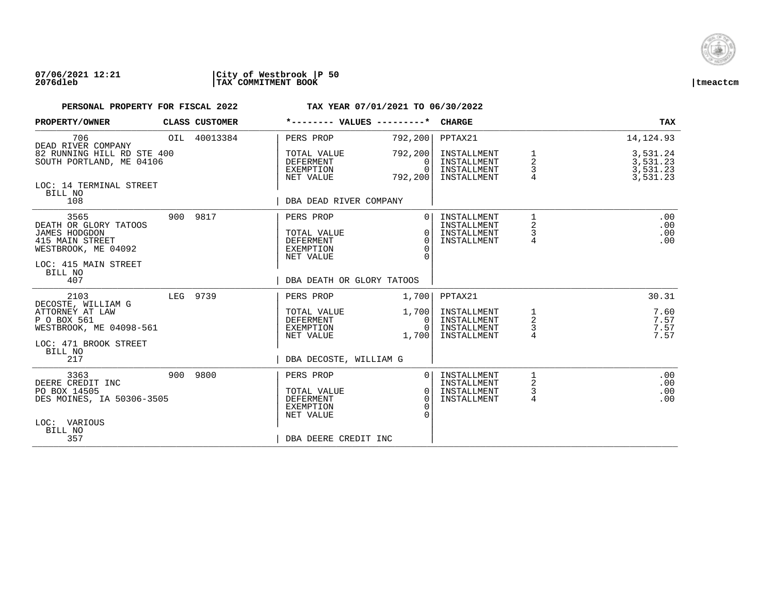

| PROPERTY/OWNER                                                                                                                            | CLASS CUSTOMER | *-------- VALUES ---------*                                                                           |                                                | <b>CHARGE</b>                                            |                               | TAX                                          |
|-------------------------------------------------------------------------------------------------------------------------------------------|----------------|-------------------------------------------------------------------------------------------------------|------------------------------------------------|----------------------------------------------------------|-------------------------------|----------------------------------------------|
| 706<br>DEAD RIVER COMPANY                                                                                                                 | OIL 40013384   | PERS PROP                                                                                             | 792,200                                        | PPTAX21                                                  |                               | 14, 124.93                                   |
| 82 RUNNING HILL RD STE 400<br>SOUTH PORTLAND, ME 04106                                                                                    |                | TOTAL VALUE<br>DEFERMENT<br>EXEMPTION<br>NET VALUE                                                    | 792,200<br>$\Omega$<br>$\Omega$<br>792,200     | INSTALLMENT<br>INSTALLMENT<br>INSTALLMENT<br>INSTALLMENT | 1<br>2<br>3                   | 3,531.24<br>3,531.23<br>3,531.23<br>3,531.23 |
| LOC: 14 TERMINAL STREET<br>BILL NO<br>108                                                                                                 |                | DBA DEAD RIVER COMPANY                                                                                |                                                |                                                          |                               |                                              |
| 3565<br>DEATH OR GLORY TATOOS<br><b>JAMES HODGDON</b><br>415 MAIN STREET<br>WESTBROOK, ME 04092<br>LOC: 415 MAIN STREET<br>BILL NO<br>407 | 900 9817       | PERS PROP<br>TOTAL VALUE<br>DEFERMENT<br>EXEMPTION<br>NET VALUE<br>DBA DEATH OR GLORY TATOOS          | $\Omega$<br>$\Omega$<br>$\Omega$<br>$\Omega$   | INSTALLMENT<br>INSTALLMENT<br>INSTALLMENT<br>INSTALLMENT | 1<br>$\overline{a}$<br>3<br>4 | .00<br>.00<br>.00<br>.00                     |
| 2103                                                                                                                                      | LEG 9739       | PERS PROP                                                                                             | 1,700                                          | PPTAX21                                                  |                               | 30.31                                        |
| DECOSTE, WILLIAM G<br>ATTORNEY AT LAW<br>P O BOX 561<br>WESTBROOK, ME 04098-561<br>LOC: 471 BROOK STREET                                  |                | TOTAL VALUE<br>DEFERMENT<br>EXEMPTION<br>NET VALUE                                                    | 1,700 <br>$\mathbf{0}$<br>$\Omega$<br>1,700    | INSTALLMENT<br>INSTALLMENT<br>INSTALLMENT<br>INSTALLMENT | 1<br>$\overline{a}$<br>3<br>4 | 7.60<br>7.57<br>7.57<br>7.57                 |
| BILL NO<br>217                                                                                                                            |                | DBA DECOSTE, WILLIAM G                                                                                |                                                |                                                          |                               |                                              |
| 3363<br>DEERE CREDIT INC<br>PO BOX 14505<br>DES MOINES, IA 50306-3505<br>LOC: VARIOUS<br>BILL NO<br>357                                   | 900 9800       | PERS PROP<br>TOTAL VALUE<br><b>DEFERMENT</b><br><b>EXEMPTION</b><br>NET VALUE<br>DBA DEERE CREDIT INC | $\Omega$<br>$\mathbf{0}$<br>$\cap$<br>$\Omega$ | INSTALLMENT<br>INSTALLMENT<br>INSTALLMENT<br>INSTALLMENT | 2<br>3<br>4                   | .00<br>.00<br>.00<br>.00                     |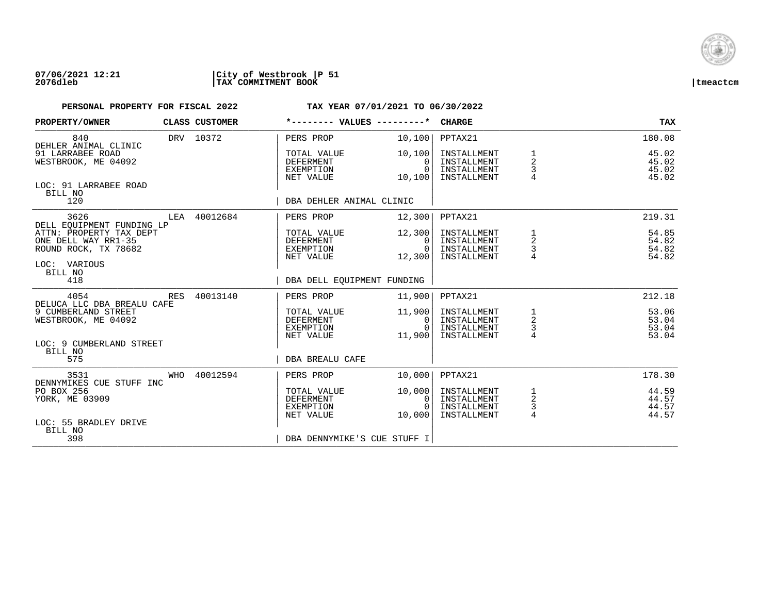

| PROPERTY/OWNER<br>CLASS CUSTOMER                                       |          | *-------- VALUES ---------*                               |                                   | <b>CHARGE</b>                                            |                                | <b>TAX</b>                       |
|------------------------------------------------------------------------|----------|-----------------------------------------------------------|-----------------------------------|----------------------------------------------------------|--------------------------------|----------------------------------|
| 840<br>DRV 10372<br>DEHLER ANIMAL CLINIC                               |          | PERS PROP                                                 | 10,100                            | PPTAX21                                                  |                                | 180.08                           |
| 91 LARRABEE ROAD<br>WESTBROOK, ME 04092                                |          | TOTAL VALUE<br><b>DEFERMENT</b><br>EXEMPTION<br>NET VALUE | 10,100<br>0<br>$\Omega$<br>10,100 | INSTALLMENT<br>INSTALLMENT<br>INSTALLMENT<br>INSTALLMENT | $\overline{2}$<br>3<br>4       | 45.02<br>45.02<br>45.02<br>45.02 |
| LOC: 91 LARRABEE ROAD<br>BILL NO<br>120                                |          | DBA DEHLER ANIMAL CLINIC                                  |                                   |                                                          |                                |                                  |
|                                                                        |          |                                                           |                                   |                                                          |                                |                                  |
| 3626<br>LEA 40012684<br>DELL EOUIPMENT FUNDING LP                      |          | PERS PROP                                                 | 12,300                            | PPTAX21                                                  |                                | 219.31                           |
| ATTN: PROPERTY TAX DEPT<br>ONE DELL WAY RR1-35<br>ROUND ROCK, TX 78682 |          | TOTAL VALUE<br><b>DEFERMENT</b><br>EXEMPTION              | 12,300<br>$\Omega$<br>$\Omega$    | INSTALLMENT<br>INSTALLMENT<br>INSTALLMENT                | 2<br>3                         | 54.85<br>54.82<br>54.82          |
| LOC: VARIOUS<br>BILL NO                                                |          | NET VALUE                                                 | 12,300                            | INSTALLMENT                                              |                                | 54.82                            |
| 418                                                                    |          | DBA DELL EQUIPMENT FUNDING                                |                                   |                                                          |                                |                                  |
| 4054<br>RES<br>DELUCA LLC DBA BREALU CAFE                              | 40013140 | PERS PROP                                                 | 11,900                            | PPTAX21                                                  |                                | 212.18                           |
| 9 CUMBERLAND STREET<br>WESTBROOK, ME 04092                             |          | TOTAL VALUE<br><b>DEFERMENT</b><br>EXEMPTION              | 11,900<br>0<br>$\cap$             | INSTALLMENT<br>INSTALLMENT<br>INSTALLMENT                | $\frac{1}{2}$                  | 53.06<br>53.04<br>53.04          |
| LOC: 9 CUMBERLAND STREET<br>BILL NO                                    |          | NET VALUE                                                 | 11,900                            | INSTALLMENT                                              | $\frac{3}{4}$                  | 53.04                            |
| 575                                                                    |          | <b>DBA BREALU CAFE</b>                                    |                                   |                                                          |                                |                                  |
| WHO 40012594<br>3531<br>DENNYMIKES CUE STUFF INC                       |          | PERS PROP                                                 | 10,000                            | PPTAX21                                                  |                                | 178.30                           |
| PO BOX 256<br>YORK, ME 03909                                           |          | TOTAL VALUE<br><b>DEFERMENT</b><br>EXEMPTION<br>NET VALUE | 10,000<br>0<br>$\cap$<br>10,000   | INSTALLMENT<br>INSTALLMENT<br>INSTALLMENT<br>INSTALLMENT | $\frac{1}{2}$<br>$\frac{3}{4}$ | 44.59<br>44.57<br>44.57<br>44.57 |
| LOC: 55 BRADLEY DRIVE<br>BILL NO<br>398                                |          | DBA DENNYMIKE'S CUE STUFF I                               |                                   |                                                          |                                |                                  |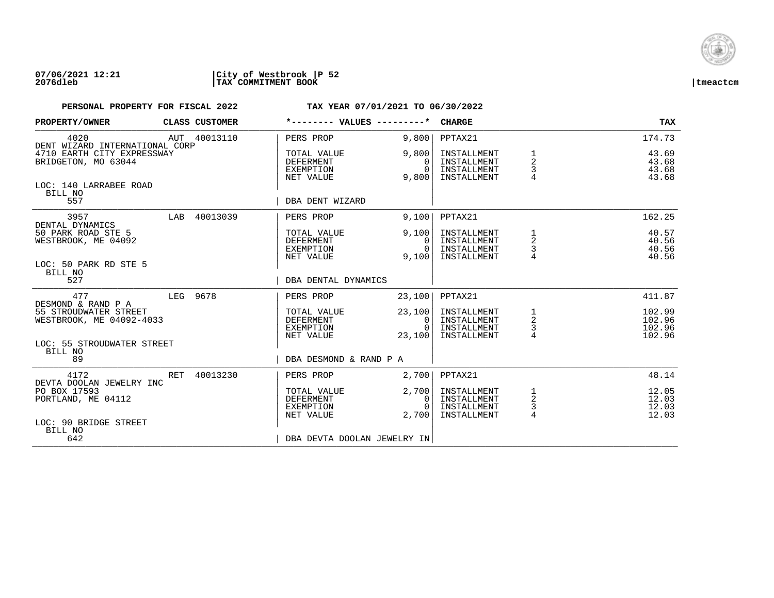

| PROPERTY/OWNER                                                     |     | CLASS CUSTOMER | *-------- VALUES ---------*                               |                                              | <b>CHARGE</b>                                            |                                        | TAX                                  |
|--------------------------------------------------------------------|-----|----------------|-----------------------------------------------------------|----------------------------------------------|----------------------------------------------------------|----------------------------------------|--------------------------------------|
| 4020<br>DENT WIZARD INTERNATIONAL CORP                             |     | AUT 40013110   | PERS PROP                                                 | 9.800                                        | PPTAX21                                                  |                                        | 174.73                               |
| 4710 EARTH CITY EXPRESSWAY<br>BRIDGETON, MO 63044                  |     |                | TOTAL VALUE<br>DEFERMENT<br>EXEMPTION<br>NET VALUE        | 9,800<br>0<br>$\Omega$<br>9,800              | INSTALLMENT<br>INSTALLMENT<br>INSTALLMENT<br>INSTALLMENT | 1<br>$\overline{\mathbf{c}}$<br>3<br>4 | 43.69<br>43.68<br>43.68<br>43.68     |
| LOC: 140 LARRABEE ROAD<br>BILL NO<br>557                           |     |                | DBA DENT WIZARD                                           |                                              |                                                          |                                        |                                      |
| 3957<br>DENTAL DYNAMICS                                            |     | LAB 40013039   | PERS PROP                                                 | 9.100                                        | PPTAX21                                                  |                                        | 162.25                               |
| 50 PARK ROAD STE 5<br>WESTBROOK, ME 04092<br>LOC: 50 PARK RD STE 5 |     |                | TOTAL VALUE<br>DEFERMENT<br>EXEMPTION<br>NET VALUE        | 9,100<br>0<br>$\cap$<br>9,100                | INSTALLMENT<br>INSTALLMENT<br>INSTALLMENT<br>INSTALLMENT | $\frac{1}{2}$<br>3<br>$\overline{4}$   | 40.57<br>40.56<br>40.56<br>40.56     |
| BILL NO<br>527                                                     |     |                | DBA DENTAL DYNAMICS                                       |                                              |                                                          |                                        |                                      |
| 477<br>DESMOND & RAND P A                                          |     | LEG 9678       | PERS PROP                                                 | 23,100                                       | PPTAX21                                                  |                                        | 411.87                               |
| 55 STROUDWATER STREET<br>WESTBROOK, ME 04092-4033                  |     |                | TOTAL VALUE<br>DEFERMENT<br>EXEMPTION<br>NET VALUE        | 23,100<br>$\mathbf{0}$<br>$\Omega$<br>23,100 | INSTALLMENT<br>INSTALLMENT<br>INSTALLMENT<br>INSTALLMENT | $\frac{1}{2}$<br>3<br>$\overline{4}$   | 102.99<br>102.96<br>102.96<br>102.96 |
| LOC: 55 STROUDWATER STREET<br>BILL NO<br>89                        |     |                | DBA DESMOND & RAND P A                                    |                                              |                                                          |                                        |                                      |
| 4172<br>DEVTA DOOLAN JEWELRY INC                                   | RET | 40013230       | PERS PROP                                                 | 2,700                                        | PPTAX21                                                  |                                        | 48.14                                |
| PO BOX 17593<br>PORTLAND, ME 04112                                 |     |                | TOTAL VALUE<br><b>DEFERMENT</b><br>EXEMPTION<br>NET VALUE | 2,700<br>$\Omega$<br>$\Omega$<br>2,700       | INSTALLMENT<br>INSTALLMENT<br>INSTALLMENT<br>INSTALLMENT | 1<br>2<br>3<br>4                       | 12.05<br>12.03<br>12.03<br>12.03     |
| LOC: 90 BRIDGE STREET<br>BILL NO<br>642                            |     |                | DBA DEVTA DOOLAN JEWELRY IN                               |                                              |                                                          |                                        |                                      |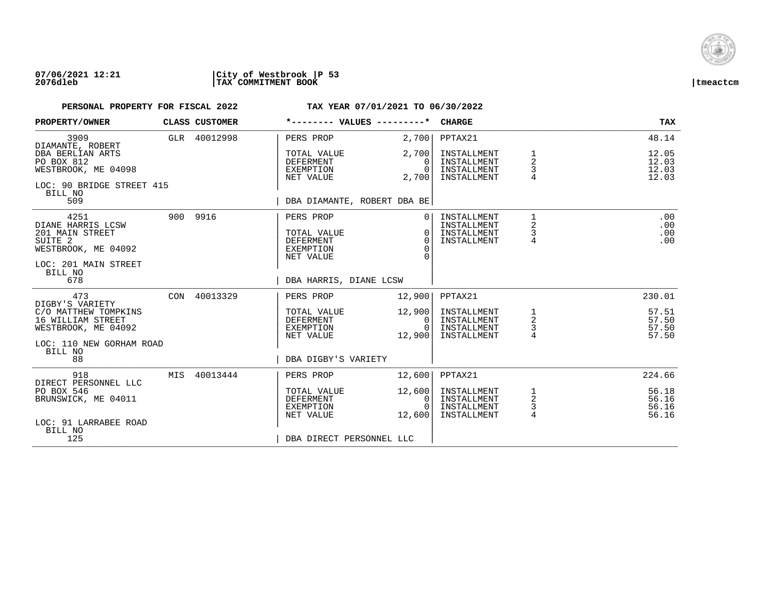

| PROPERTY/OWNER                                                                                                               | CLASS CUSTOMER | *-------- VALUES ---------*                                            |                                                                    | <b>CHARGE</b>                                            |                                                   | <b>TAX</b>                       |
|------------------------------------------------------------------------------------------------------------------------------|----------------|------------------------------------------------------------------------|--------------------------------------------------------------------|----------------------------------------------------------|---------------------------------------------------|----------------------------------|
| 3909<br>DIAMANTE, ROBERT                                                                                                     | GLR 40012998   | PERS PROP                                                              | 2,700                                                              | PPTAX21                                                  |                                                   | 48.14                            |
| DBA BERLIAN ARTS<br>PO BOX 812<br>WESTBROOK, ME 04098<br>LOC: 90 BRIDGE STREET 415                                           |                | TOTAL VALUE<br><b>DEFERMENT</b><br>EXEMPTION<br>NET VALUE              | 2,700<br>$\Omega$<br>$\bigcap$<br>2,700                            | INSTALLMENT<br>INSTALLMENT<br>INSTALLMENT<br>INSTALLMENT | 1<br>$\overline{2}$<br>3<br>$\overline{4}$        | 12.05<br>12.03<br>12.03<br>12.03 |
| BILL NO<br>509                                                                                                               |                | DBA DIAMANTE, ROBERT DBA BE                                            |                                                                    |                                                          |                                                   |                                  |
| 4251<br>DIANE HARRIS LCSW<br>201 MAIN STREET<br>SUITE <sub>2</sub><br>WESTBROOK, ME 04092<br>LOC: 201 MAIN STREET<br>BILL NO | 900 9916       | PERS PROP<br>TOTAL VALUE<br><b>DEFERMENT</b><br>EXEMPTION<br>NET VALUE | 0 <sup>1</sup><br>$\overline{0}$<br>$\Omega$<br>$\Omega$<br>$\cap$ | INSTALLMENT<br>INSTALLMENT<br>INSTALLMENT<br>INSTALLMENT | $\mathbf{1}$<br>2<br>3<br>$\overline{4}$          | .00<br>.00<br>.00<br>.00         |
| 678                                                                                                                          |                | DBA HARRIS, DIANE LCSW                                                 |                                                                    |                                                          |                                                   |                                  |
| 473<br>DIGBY'S VARIETY                                                                                                       | CON 40013329   | PERS PROP                                                              | 12,900                                                             | PPTAX21                                                  |                                                   | 230.01                           |
| C/O MATTHEW TOMPKINS<br>16 WILLIAM STREET<br>WESTBROOK, ME 04092                                                             |                | TOTAL VALUE<br>DEFERMENT<br>EXEMPTION<br>NET VALUE                     | 12,900<br>0 I<br>$\Omega$<br>12,900                                | INSTALLMENT<br>INSTALLMENT<br>INSTALLMENT<br>INSTALLMENT | $\begin{array}{c}\n1 \\ 2 \\ 3 \\ 4\n\end{array}$ | 57.51<br>57.50<br>57.50<br>57.50 |
| LOC: 110 NEW GORHAM ROAD<br>BILL NO<br>88                                                                                    |                | DBA DIGBY'S VARIETY                                                    |                                                                    |                                                          |                                                   |                                  |
| 918<br>DIRECT PERSONNEL LLC                                                                                                  | MIS 40013444   | PERS PROP                                                              | 12,600                                                             | PPTAX21                                                  |                                                   | 224.66                           |
| PO BOX 546<br>BRUNSWICK, ME 04011                                                                                            |                | TOTAL VALUE<br><b>DEFERMENT</b><br>EXEMPTION<br>NET VALUE              | 12,600<br>0 <sup>1</sup><br>$\Omega$<br>12,600                     | INSTALLMENT<br>INSTALLMENT<br>INSTALLMENT<br>INSTALLMENT | $\frac{1}{2}$<br>3<br>$\overline{4}$              | 56.18<br>56.16<br>56.16<br>56.16 |
| LOC: 91 LARRABEE ROAD<br>BILL NO<br>125                                                                                      |                | DBA DIRECT PERSONNEL LLC                                               |                                                                    |                                                          |                                                   |                                  |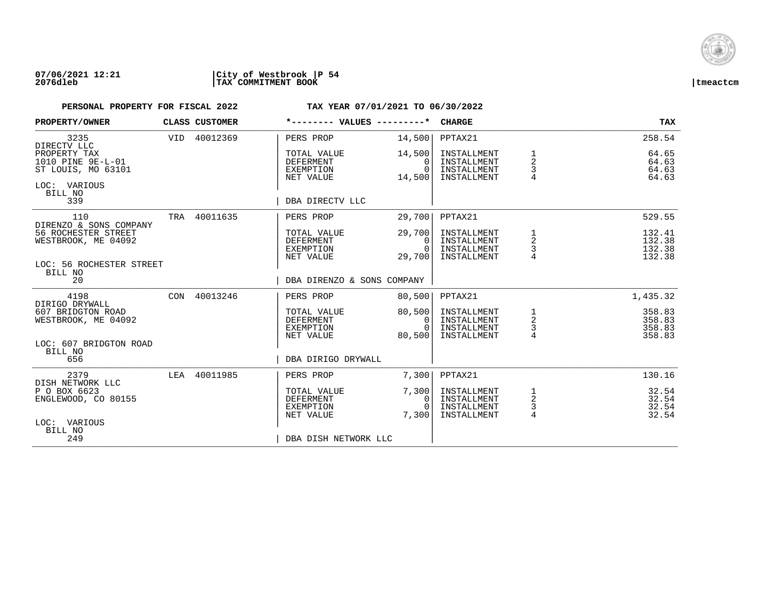

| PROPERTY/OWNER                                                                                                           | CLASS CUSTOMER | *-------- VALUES ---------*                                                                          |                                                    | <b>CHARGE</b>                                                       |                                        | <b>TAX</b>                                       |
|--------------------------------------------------------------------------------------------------------------------------|----------------|------------------------------------------------------------------------------------------------------|----------------------------------------------------|---------------------------------------------------------------------|----------------------------------------|--------------------------------------------------|
| 3235<br>DIRECTV LLC<br>PROPERTY TAX<br>1010 PINE 9E-L-01<br>ST LOUIS, MO 63101<br>LOC: VARIOUS<br>BILL NO<br>339         | VID 40012369   | PERS PROP<br>TOTAL VALUE<br><b>DEFERMENT</b><br>EXEMPTION<br>NET VALUE<br>DBA DIRECTV LLC            | 14,500<br>14,500<br>$\Omega$<br>$\Omega$<br>14,500 | PPTAX21<br>INSTALLMENT<br>INSTALLMENT<br>INSTALLMENT<br>INSTALLMENT | 1<br>$\overline{a}$<br>3<br>4          | 258.54<br>64.65<br>64.63<br>64.63<br>64.63       |
| 110<br>DIRENZO & SONS COMPANY<br>56 ROCHESTER STREET<br>WESTBROOK, ME 04092<br>LOC: 56 ROCHESTER STREET<br>BILL NO<br>20 | TRA 40011635   | PERS PROP<br>TOTAL VALUE<br><b>DEFERMENT</b><br>EXEMPTION<br>NET VALUE<br>DBA DIRENZO & SONS COMPANY | 29,700<br>29,700<br>$\Omega$<br>$\Omega$<br>29,700 | PPTAX21<br>INSTALLMENT<br>INSTALLMENT<br>INSTALLMENT<br>INSTALLMENT | 1<br>$\overline{\mathbf{c}}$<br>3      | 529.55<br>132.41<br>132.38<br>132.38<br>132.38   |
| 4198<br>DIRIGO DRYWALL<br>607 BRIDGTON ROAD<br>WESTBROOK, ME 04092<br>LOC: 607 BRIDGTON ROAD<br>BILL NO<br>656           | CON 40013246   | PERS PROP<br>TOTAL VALUE<br>DEFERMENT<br>EXEMPTION<br>NET VALUE<br>DBA DIRIGO DRYWALL                | 80,500<br>80,500<br>0<br>$\Omega$<br>80,500        | PPTAX21<br>INSTALLMENT<br>INSTALLMENT<br>INSTALLMENT<br>INSTALLMENT | $\frac{1}{2}$<br>3<br>$\overline{4}$   | 1,435.32<br>358.83<br>358.83<br>358.83<br>358.83 |
| 2379<br>DISH NETWORK LLC<br>P O BOX 6623<br>ENGLEWOOD, CO 80155<br>LOC: VARIOUS<br>BILL NO<br>249                        | LEA 40011985   | PERS PROP<br>TOTAL VALUE<br><b>DEFERMENT</b><br>EXEMPTION<br>NET VALUE<br>DBA DISH NETWORK LLC       | 7,300<br>7,300<br>$\Omega$<br>$\Omega$<br>7,300    | PPTAX21<br>INSTALLMENT<br>INSTALLMENT<br>INSTALLMENT<br>INSTALLMENT | 1<br>$\sqrt{2}$<br>3<br>$\overline{4}$ | 130.16<br>32.54<br>32.54<br>32.54<br>32.54       |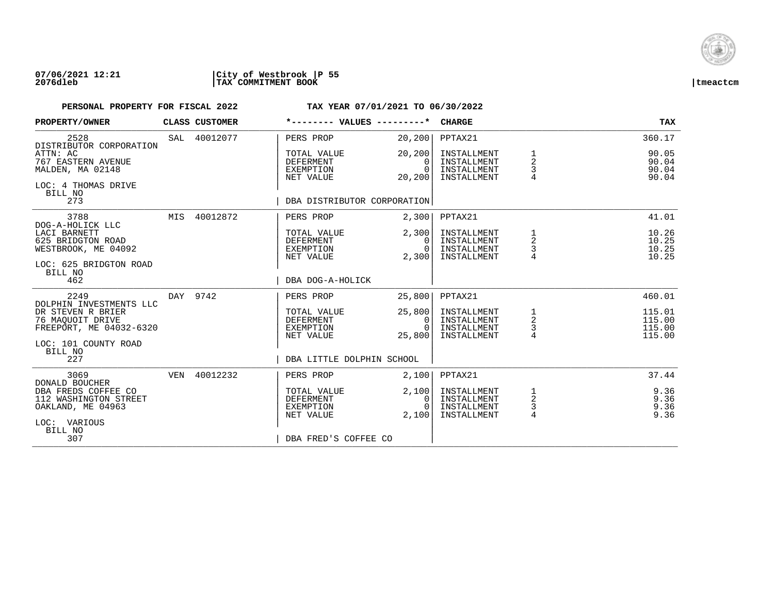

| PROPERTY/OWNER                                                                              |     | CLASS CUSTOMER | *-------- VALUES ---------*                               |                                        | <b>CHARGE</b>                                            |                                       | <b>TAX</b>                           |
|---------------------------------------------------------------------------------------------|-----|----------------|-----------------------------------------------------------|----------------------------------------|----------------------------------------------------------|---------------------------------------|--------------------------------------|
| 2528<br>DISTRIBUTOR CORPORATION                                                             |     | SAL 40012077   | PERS PROP                                                 | 20, 200                                | PPTAX21                                                  |                                       | 360.17                               |
| ATTN: AC<br>767 EASTERN AVENUE<br>MALDEN, MA 02148<br>LOC: 4 THOMAS DRIVE<br>BILL NO        |     |                | TOTAL VALUE<br><b>DEFERMENT</b><br>EXEMPTION<br>NET VALUE | 20, 200<br>0<br>$\Omega$<br>20,200     | INSTALLMENT<br>INSTALLMENT<br>INSTALLMENT<br>INSTALLMENT | $\overline{2}$<br>3<br>$\overline{4}$ | 90.05<br>90.04<br>90.04<br>90.04     |
| 273                                                                                         |     |                | DBA DISTRIBUTOR CORPORATION                               |                                        |                                                          |                                       |                                      |
| 3788<br>DOG-A-HOLICK LLC                                                                    |     | MIS 40012872   | PERS PROP                                                 | 2,300                                  | PPTAX21                                                  |                                       | 41.01                                |
| LACI BARNETT<br>625 BRIDGTON ROAD<br>WESTBROOK, ME 04092                                    |     |                | TOTAL VALUE<br><b>DEFERMENT</b><br>EXEMPTION<br>NET VALUE | 2,300<br>$\Omega$<br>$\Omega$<br>2,300 | INSTALLMENT<br>INSTALLMENT<br>INSTALLMENT<br>INSTALLMENT | 1<br>2<br>3                           | 10.26<br>10.25<br>10.25<br>10.25     |
| LOC: 625 BRIDGTON ROAD<br>BILL NO<br>462                                                    |     |                | DBA DOG-A-HOLICK                                          |                                        |                                                          |                                       |                                      |
| 2249                                                                                        |     | DAY 9742       | PERS PROP                                                 | 25,800                                 | PPTAX21                                                  |                                       | 460.01                               |
| DOLPHIN INVESTMENTS LLC<br>DR STEVEN R BRIER<br>76 MAOUOIT DRIVE<br>FREEPORT, ME 04032-6320 |     |                | TOTAL VALUE<br><b>DEFERMENT</b><br>EXEMPTION<br>NET VALUE | 25,800<br>0<br>$\cap$                  | INSTALLMENT<br>INSTALLMENT<br>INSTALLMENT<br>INSTALLMENT | 1<br>$\overline{c}$<br>$\frac{3}{4}$  | 115.01<br>115.00<br>115.00<br>115.00 |
| LOC: 101 COUNTY ROAD<br>BILL NO                                                             |     |                |                                                           | 25,800                                 |                                                          |                                       |                                      |
| 227                                                                                         |     |                | DBA LITTLE DOLPHIN SCHOOL                                 |                                        |                                                          |                                       |                                      |
| 3069<br>DONALD BOUCHER                                                                      | VEN | 40012232       | PERS PROP                                                 | 2,100                                  | PPTAX21                                                  |                                       | 37.44                                |
| DBA FREDS COFFEE CO<br>112 WASHINGTON STREET<br>OAKLAND, ME 04963<br>LOC: VARIOUS           |     |                | TOTAL VALUE<br><b>DEFERMENT</b><br>EXEMPTION<br>NET VALUE | 2,100<br>0<br>$\Omega$<br>2,100        | INSTALLMENT<br>INSTALLMENT<br>INSTALLMENT<br>INSTALLMENT | 1<br>$\sqrt{2}$<br>$\frac{3}{4}$      | 9.36<br>9.36<br>9.36<br>9.36         |
| BILL NO<br>307                                                                              |     |                | DBA FRED'S COFFEE CO                                      |                                        |                                                          |                                       |                                      |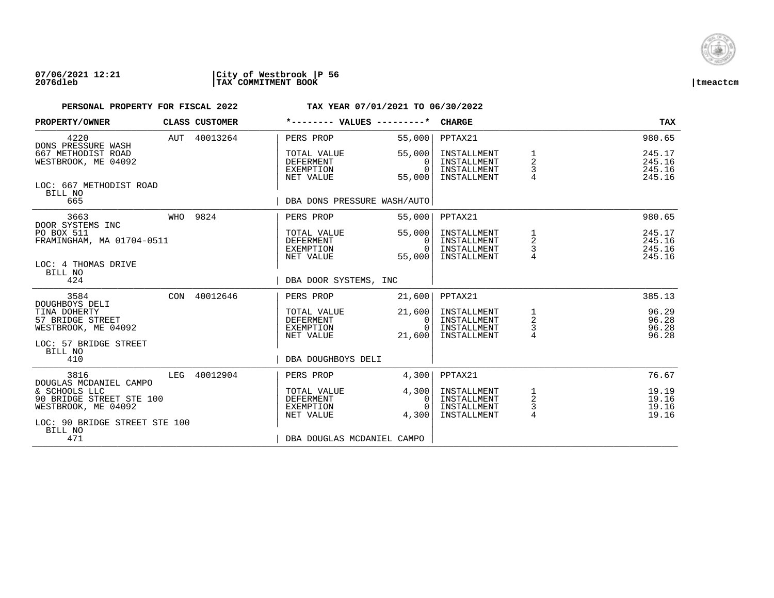

| PROPERTY/OWNER                                                                                    |  | CLASS CUSTOMER | *-------- VALUES ---------*                               |                                          | <b>CHARGE</b>                                            |                                      | TAX                                  |
|---------------------------------------------------------------------------------------------------|--|----------------|-----------------------------------------------------------|------------------------------------------|----------------------------------------------------------|--------------------------------------|--------------------------------------|
| 4220<br>DONS PRESSURE WASH                                                                        |  | AUT 40013264   | PERS PROP                                                 | 55,000                                   | PPTAX21                                                  |                                      | 980.65                               |
| 667 METHODIST ROAD<br>WESTBROOK, ME 04092                                                         |  |                | TOTAL VALUE<br><b>DEFERMENT</b><br>EXEMPTION<br>NET VALUE | 55,000<br>$\Omega$<br>$\Omega$<br>55,000 | INSTALLMENT<br>INSTALLMENT<br>INSTALLMENT<br>INSTALLMENT | 1<br>2<br>3                          | 245.17<br>245.16<br>245.16<br>245.16 |
| LOC: 667 METHODIST ROAD<br>BILL NO<br>665                                                         |  |                | DBA DONS PRESSURE WASH/AUTO                               |                                          |                                                          |                                      |                                      |
| 3663                                                                                              |  | WHO 9824       | PERS PROP                                                 | 55,000                                   | PPTAX21                                                  |                                      | 980.65                               |
| DOOR SYSTEMS INC<br>PO BOX 511<br>FRAMINGHAM, MA 01704-0511                                       |  |                | TOTAL VALUE<br>DEFERMENT<br>EXEMPTION<br>NET VALUE        | 55,000<br>0<br>$\Omega$<br>55,000        | INSTALLMENT<br>INSTALLMENT<br>INSTALLMENT<br>INSTALLMENT | 1<br>$\overline{a}$<br>$\frac{3}{4}$ | 245.17<br>245.16<br>245.16<br>245.16 |
| LOC: 4 THOMAS DRIVE<br>BILL NO<br>424                                                             |  |                | DBA DOOR SYSTEMS, INC                                     |                                          |                                                          |                                      |                                      |
| 3584                                                                                              |  | CON 40012646   | PERS PROP                                                 | 21,600                                   | PPTAX21                                                  |                                      | 385.13                               |
| DOUGHBOYS DELI<br>TINA DOHERTY<br>57 BRIDGE STREET<br>WESTBROOK, ME 04092                         |  |                | TOTAL VALUE<br>DEFERMENT<br>EXEMPTION<br>NET VALUE        | 21,600<br>0<br>$\Omega$<br>21,600        | INSTALLMENT<br>INSTALLMENT<br>INSTALLMENT<br>INSTALLMENT | $\frac{1}{2}$<br>$\frac{3}{4}$       | 96.29<br>96.28<br>96.28<br>96.28     |
| LOC: 57 BRIDGE STREET<br>BILL NO<br>410                                                           |  |                | DBA DOUGHBOYS DELI                                        |                                          |                                                          |                                      |                                      |
| 3816<br>DOUGLAS MCDANIEL CAMPO                                                                    |  | LEG 40012904   | PERS PROP                                                 | 4,300                                    | PPTAX21                                                  |                                      | 76.67                                |
| & SCHOOLS LLC<br>90 BRIDGE STREET STE 100<br>WESTBROOK, ME 04092<br>LOC: 90 BRIDGE STREET STE 100 |  |                | TOTAL VALUE<br>DEFERMENT<br>EXEMPTION<br>NET VALUE        | 4,300<br>0<br>$\cap$<br>4,300            | INSTALLMENT<br>INSTALLMENT<br>INSTALLMENT<br>INSTALLMENT | $\overline{a}$<br>$\frac{3}{4}$      | 19.19<br>19.16<br>19.16<br>19.16     |
| BILL NO<br>471                                                                                    |  |                | DBA DOUGLAS MCDANIEL CAMPO                                |                                          |                                                          |                                      |                                      |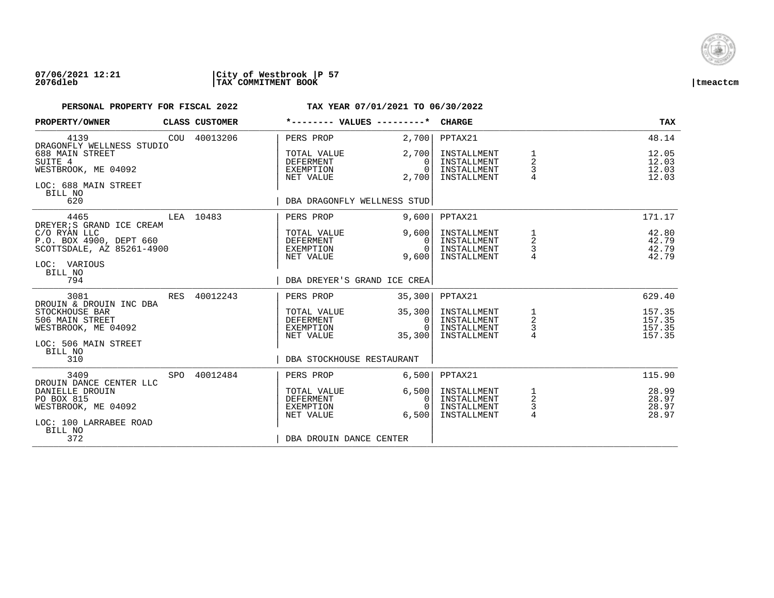

| PROPERTY/OWNER                                                                                                         |     | CLASS CUSTOMER | *-------- VALUES ---------*                               |                                              | <b>CHARGE</b>                                            |                                                   | <b>TAX</b>                           |
|------------------------------------------------------------------------------------------------------------------------|-----|----------------|-----------------------------------------------------------|----------------------------------------------|----------------------------------------------------------|---------------------------------------------------|--------------------------------------|
| 4139<br>DRAGONFLY WELLNESS STUDIO                                                                                      |     | COU 40013206   | PERS PROP                                                 | 2,700                                        | PPTAX21                                                  |                                                   | 48.14                                |
| 688 MAIN STREET<br>SUITE 4<br>WESTBROOK, ME 04092<br>LOC: 688 MAIN STREET<br>BILL NO                                   |     |                | TOTAL VALUE<br><b>DEFERMENT</b><br>EXEMPTION<br>NET VALUE | 2,700<br>$\Omega$<br>$\Omega$<br>2,700       | INSTALLMENT<br>INSTALLMENT<br>INSTALLMENT<br>INSTALLMENT | 1<br>$\overline{2}$<br>3<br>$\overline{4}$        | 12.05<br>12.03<br>12.03<br>12.03     |
| 620                                                                                                                    |     |                | DBA DRAGONFLY WELLNESS STUD                               |                                              |                                                          |                                                   |                                      |
| 4465<br>DREYER; S GRAND ICE CREAM                                                                                      |     | LEA 10483      | PERS PROP                                                 | 9,600                                        | PPTAX21                                                  |                                                   | 171.17                               |
| C/O RYAN LLC<br>P.O. BOX 4900, DEPT 660<br>SCOTTSDALE, AZ 85261-4900<br>LOC: VARIOUS<br>BILL NO                        |     |                | TOTAL VALUE<br>DEFERMENT<br>EXEMPTION<br>NET VALUE        | 9.600<br>$\Omega$<br>$\Omega$<br>9,600       | INSTALLMENT<br>INSTALLMENT<br>INSTALLMENT<br>INSTALLMENT | 1<br>2<br>3                                       | 42.80<br>42.79<br>42.79<br>42.79     |
| 794                                                                                                                    |     |                | DBA DREYER'S GRAND ICE CREA                               |                                              |                                                          |                                                   |                                      |
| 3081                                                                                                                   | RES | 40012243       | PERS PROP                                                 | 35,300                                       | PPTAX21                                                  |                                                   | 629.40                               |
| DROUIN & DROUIN INC DBA<br>STOCKHOUSE BAR<br>506 MAIN STREET<br>WESTBROOK, ME 04092<br>LOC: 506 MAIN STREET<br>BILL NO |     |                | TOTAL VALUE<br>DEFERMENT<br>EXEMPTION<br>NET VALUE        | 35,300<br>$\mathbf{0}$<br>$\Omega$<br>35,300 | INSTALLMENT<br>INSTALLMENT<br>INSTALLMENT<br>INSTALLMENT | $\begin{array}{c}\n1 \\ 2 \\ 3 \\ 4\n\end{array}$ | 157.35<br>157.35<br>157.35<br>157.35 |
| 310                                                                                                                    |     |                | DBA STOCKHOUSE RESTAURANT                                 |                                              |                                                          |                                                   |                                      |
| 3409<br>DROUIN DANCE CENTER LLC                                                                                        | SPO | 40012484       | PERS PROP                                                 | 6,500                                        | PPTAX21                                                  |                                                   | 115.90                               |
| DANIELLE DROUIN<br>PO BOX 815<br>WESTBROOK, ME 04092<br>LOC: 100 LARRABEE ROAD                                         |     |                | TOTAL VALUE<br><b>DEFERMENT</b><br>EXEMPTION<br>NET VALUE | 6,500<br>0<br>$\Omega$<br>6.500              | INSTALLMENT<br>INSTALLMENT<br>INSTALLMENT<br>INSTALLMENT | $\frac{1}{2}$<br>3<br>4                           | 28.99<br>28.97<br>28.97<br>28.97     |
| BILL NO<br>372                                                                                                         |     |                | DBA DROUIN DANCE CENTER                                   |                                              |                                                          |                                                   |                                      |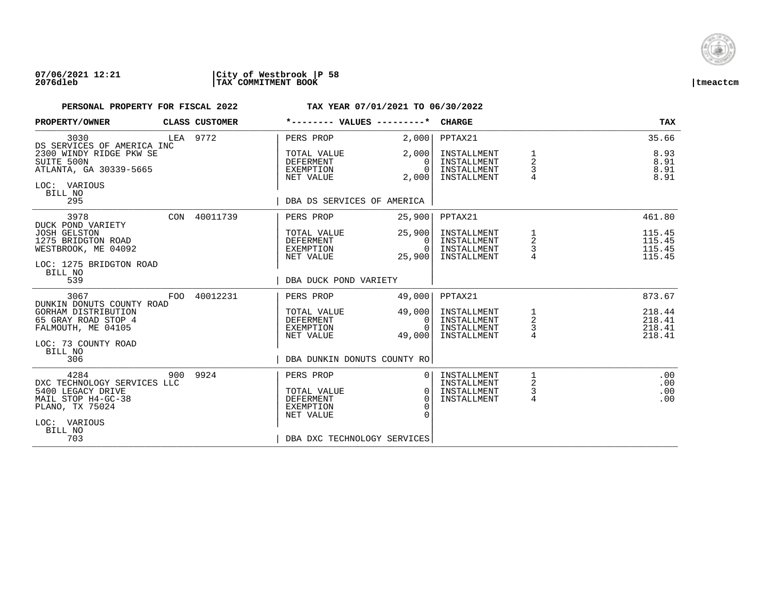

| PROPERTY/OWNER                                                                                                                             | CLASS CUSTOMER | *-------- VALUES ---------*                                                                                                               | <b>CHARGE</b>                                                                                                      | TAX                                  |
|--------------------------------------------------------------------------------------------------------------------------------------------|----------------|-------------------------------------------------------------------------------------------------------------------------------------------|--------------------------------------------------------------------------------------------------------------------|--------------------------------------|
| 3030<br>DS SERVICES OF AMERICA INC                                                                                                         | LEA 9772       | PERS PROP<br>2,000                                                                                                                        | PPTAX21                                                                                                            | 35.66                                |
| 2300 WINDY RIDGE PKW SE<br>SUITE 500N<br>ATLANTA, GA 30339-5665<br>LOC: VARIOUS<br>BILL NO<br>295                                          |                | 2,000<br>TOTAL VALUE<br><b>DEFERMENT</b><br>$\Omega$<br>EXEMPTION<br>NET VALUE<br>2,000<br>DBA DS SERVICES OF AMERICA                     | INSTALLMENT<br>1<br>2<br>INSTALLMENT<br>3<br>$\Omega$<br>INSTALLMENT<br>$\overline{4}$<br>INSTALLMENT              | 8.93<br>8.91<br>8.91<br>8.91         |
|                                                                                                                                            |                |                                                                                                                                           |                                                                                                                    |                                      |
| 3978<br>DUCK POND VARIETY                                                                                                                  | CON 40011739   | PERS PROP<br>25,900                                                                                                                       | PPTAX21                                                                                                            | 461.80                               |
| <b>JOSH GELSTON</b><br>1275 BRIDGTON ROAD<br>WESTBROOK, ME 04092<br>LOC: 1275 BRIDGTON ROAD<br>BILL NO                                     |                | 25,900<br>TOTAL VALUE<br>DEFERMENT<br>$\Omega$<br>EXEMPTION<br>0<br>25,900<br>NET VALUE                                                   | INSTALLMENT<br>1<br>2<br>INSTALLMENT<br>3<br>INSTALLMENT<br>INSTALLMENT                                            | 115.45<br>115.45<br>115.45<br>115.45 |
| 539                                                                                                                                        |                | DBA DUCK POND VARIETY                                                                                                                     |                                                                                                                    |                                      |
| 3067<br>FOO<br>DUNKIN DONUTS COUNTY ROAD                                                                                                   | 40012231       | PERS PROP<br>49,000                                                                                                                       | PPTAX21                                                                                                            | 873.67                               |
| GORHAM DISTRIBUTION<br>65 GRAY ROAD STOP 4<br>FALMOUTH, ME 04105<br>LOC: 73 COUNTY ROAD                                                    |                | 49,000<br>TOTAL VALUE<br>DEFERMENT<br>EXEMPTION<br>$\Omega$<br>NET VALUE<br>49,000                                                        | INSTALLMENT<br>$\begin{array}{c}\n1 \\ 2 \\ 3 \\ 4\n\end{array}$<br>INSTALLMENT<br>0<br>INSTALLMENT<br>INSTALLMENT | 218.44<br>218.41<br>218.41<br>218.41 |
| BILL NO<br>306                                                                                                                             |                | DBA DUNKIN DONUTS COUNTY RO                                                                                                               |                                                                                                                    |                                      |
| 4284<br>900<br>DXC TECHNOLOGY SERVICES LLC<br>5400 LEGACY DRIVE<br>MAIL STOP H4-GC-38<br>PLANO, TX 75024<br>LOC: VARIOUS<br>BILL NO<br>703 | 9924           | PERS PROP<br>TOTAL VALUE<br><b>DEFERMENT</b><br>$\Omega$<br>EXEMPTION<br>$\Omega$<br>$\Omega$<br>NET VALUE<br>DBA DXC TECHNOLOGY SERVICES | INSTALLMENT<br>1<br>0 <sup>1</sup><br>2<br>INSTALLMENT<br>3<br>INSTALLMENT<br>0 <sup>1</sup><br>4<br>INSTALLMENT   | .00<br>.00<br>.00<br>.00             |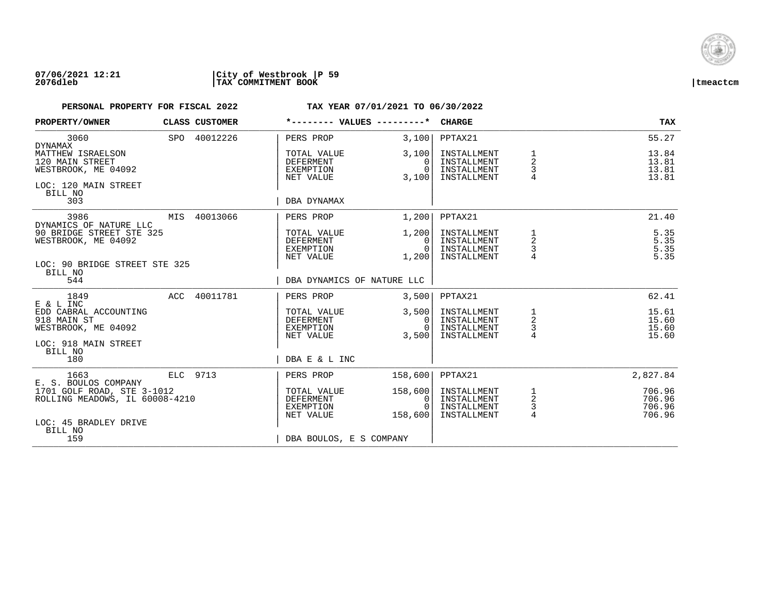

| PROPERTY/OWNER                                                                                 | CLASS CUSTOMER | *-------- VALUES ---------*                               |                                                        | <b>CHARGE</b>                                            |                                                   | <b>TAX</b>                           |
|------------------------------------------------------------------------------------------------|----------------|-----------------------------------------------------------|--------------------------------------------------------|----------------------------------------------------------|---------------------------------------------------|--------------------------------------|
| 3060<br>DYNAMAX                                                                                | SPO 40012226   | PERS PROP                                                 | 3,100                                                  | PPTAX21                                                  |                                                   | 55.27                                |
| MATTHEW ISRAELSON<br>120 MAIN STREET<br>WESTBROOK, ME 04092<br>LOC: 120 MAIN STREET<br>BILL NO |                | TOTAL VALUE<br><b>DEFERMENT</b><br>EXEMPTION<br>NET VALUE | 3,100<br>$\Omega$<br>$\overline{0}$<br>3,100           | INSTALLMENT<br>INSTALLMENT<br>INSTALLMENT<br>INSTALLMENT | 1<br>$\overline{2}$<br>3                          | 13.84<br>13.81<br>13.81<br>13.81     |
| 303                                                                                            |                | DBA DYNAMAX                                               |                                                        |                                                          |                                                   |                                      |
| 3986<br>DYNAMICS OF NATURE LLC                                                                 | MIS 40013066   | PERS PROP                                                 | 1,200                                                  | PPTAX21                                                  |                                                   | 21.40                                |
| 90 BRIDGE STREET STE 325<br>WESTBROOK, ME 04092<br>LOC: 90 BRIDGE STREET STE 325               |                | TOTAL VALUE<br>DEFERMENT<br>EXEMPTION<br>NET VALUE        | 1,200<br>- O I<br>0 I<br>1,200                         | INSTALLMENT<br>INSTALLMENT<br>INSTALLMENT<br>INSTALLMENT | 1<br>2<br>3                                       | 5.35<br>$5.35$<br>$5.35$<br>5.35     |
| BILL NO<br>544                                                                                 |                | DBA DYNAMICS OF NATURE LLC                                |                                                        |                                                          |                                                   |                                      |
| 1849<br>E & L INC                                                                              | ACC 40011781   | PERS PROP                                                 | 3,500                                                  | PPTAX21                                                  |                                                   | 62.41                                |
| EDD CABRAL ACCOUNTING<br>918 MAIN ST<br>WESTBROOK, ME 04092<br>LOC: 918 MAIN STREET            |                | TOTAL VALUE<br>DEFERMENT<br>EXEMPTION<br>NET VALUE        | 3,500<br>0 <sup>1</sup><br>$\overline{0}$  <br>3,500   | INSTALLMENT<br>INSTALLMENT<br>INSTALLMENT<br>INSTALLMENT | $\begin{array}{c}\n1 \\ 2 \\ 3 \\ 4\n\end{array}$ | 15.61<br>15.60<br>15.60<br>15.60     |
| BILL NO<br>180                                                                                 |                | DBA E & L INC                                             |                                                        |                                                          |                                                   |                                      |
| 1663<br>E. S. BOULOS COMPANY                                                                   | ELC 9713       | PERS PROP                                                 | 158,600                                                | PPTAX21                                                  |                                                   | 2,827.84                             |
| 1701 GOLF ROAD, STE 3-1012<br>ROLLING MEADOWS, IL 60008-4210                                   |                | TOTAL VALUE<br>DEFERMENT<br>EXEMPTION<br>NET VALUE        | 158,600<br>0 <sup>1</sup><br>$\overline{0}$<br>158,600 | INSTALLMENT<br>INSTALLMENT<br>INSTALLMENT<br>INSTALLMENT | $\frac{1}{2}$<br>$\frac{3}{4}$                    | 706.96<br>706.96<br>706.96<br>706.96 |
| LOC: 45 BRADLEY DRIVE<br>BILL NO<br>159                                                        |                | DBA BOULOS, E S COMPANY                                   |                                                        |                                                          |                                                   |                                      |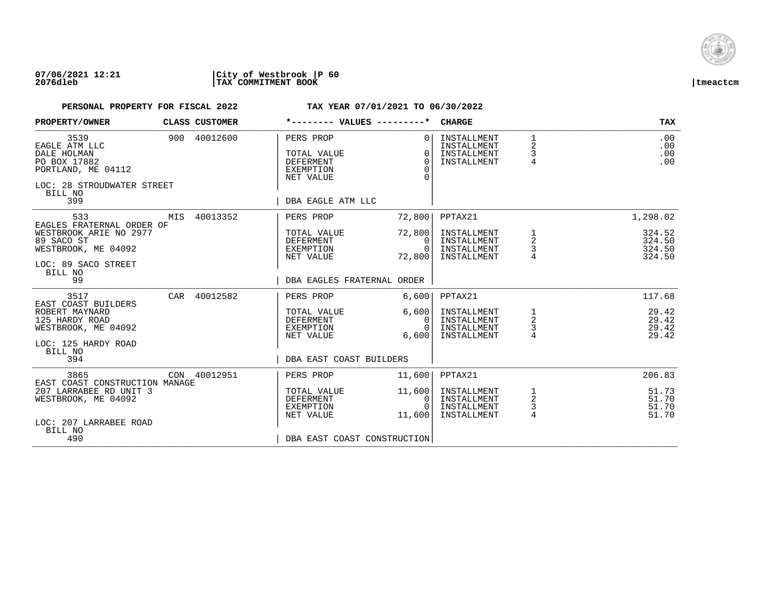

| PROPERTY/OWNER                                                                                                      |     | CLASS CUSTOMER |                                                                               | *-------- VALUES ---------*                            | <b>CHARGE</b>                                            |                                                   | <b>TAX</b>                       |
|---------------------------------------------------------------------------------------------------------------------|-----|----------------|-------------------------------------------------------------------------------|--------------------------------------------------------|----------------------------------------------------------|---------------------------------------------------|----------------------------------|
| 3539<br>EAGLE ATM LLC<br>DALE HOLMAN<br>PO BOX 17882<br>PORTLAND, ME 04112<br>LOC: 28 STROUDWATER STREET<br>BILL NO |     | 900 40012600   | PERS PROP<br>TOTAL VALUE<br><b>DEFERMENT</b><br><b>EXEMPTION</b><br>NET VALUE | $\Omega$<br>$\Omega$<br>$\Omega$<br>$\Omega$<br>$\cap$ | INSTALLMENT<br>INSTALLMENT<br>INSTALLMENT<br>INSTALLMENT | $\mathbf{1}$<br>2<br>3<br>$\overline{4}$          | .00<br>.00<br>.00<br>.00         |
| 399                                                                                                                 |     |                | DBA EAGLE ATM LLC                                                             |                                                        |                                                          |                                                   |                                  |
| 533<br>EAGLES FRATERNAL ORDER OF<br>WESTBROOK ARIE NO 2977                                                          | MIS | 40013352       | PERS PROP<br>TOTAL VALUE                                                      | 72,800<br>72,800                                       | PPTAX21<br>INSTALLMENT                                   |                                                   | 1,298.02<br>324.52               |
| 89 SACO ST<br>WESTBROOK, ME 04092                                                                                   |     |                | DEFERMENT<br>EXEMPTION<br>NET VALUE                                           | $\mathbf{0}$<br>$\Omega$<br>72,800                     | INSTALLMENT<br>INSTALLMENT<br>INSTALLMENT                | $\begin{array}{c}\n1 \\ 2 \\ 3 \\ 4\n\end{array}$ | 324.50<br>324.50<br>324.50       |
| LOC: 89 SACO STREET<br>BILL NO<br>99                                                                                |     |                | DBA EAGLES FRATERNAL ORDER                                                    |                                                        |                                                          |                                                   |                                  |
| 3517<br>EAST COAST BUILDERS                                                                                         |     | CAR 40012582   | PERS PROP                                                                     | 6,600                                                  | PPTAX21                                                  |                                                   | 117.68                           |
| ROBERT MAYNARD<br>125 HARDY ROAD<br>WESTBROOK, ME 04092                                                             |     |                | TOTAL VALUE<br>DEFERMENT<br>EXEMPTION                                         | 6,600<br>$\Omega$<br>$\Omega$                          | INSTALLMENT<br>INSTALLMENT<br>INSTALLMENT                | $\frac{1}{2}$<br>$\frac{3}{4}$                    | 29.42<br>29.42<br>29.42<br>29.42 |
| LOC: 125 HARDY ROAD<br>BILL NO<br>394                                                                               |     |                | NET VALUE<br>DBA EAST COAST BUILDERS                                          | 6,600                                                  | INSTALLMENT                                              |                                                   |                                  |
|                                                                                                                     |     |                |                                                                               |                                                        |                                                          |                                                   |                                  |
| 3865<br>EAST COAST CONSTRUCTION MANAGE                                                                              |     | CON 40012951   | PERS PROP                                                                     | 11,600                                                 | PPTAX21                                                  |                                                   | 206.83                           |
| 207 LARRABEE RD UNIT 3<br>WESTBROOK, ME 04092                                                                       |     |                | TOTAL VALUE<br>DEFERMENT<br>EXEMPTION<br>NET VALUE                            | 11,600<br>0<br>$\Omega$<br>11,600                      | INSTALLMENT<br>INSTALLMENT<br>INSTALLMENT<br>INSTALLMENT | $\frac{1}{2}$<br>3<br>$\overline{4}$              | 51.73<br>51.70<br>51.70<br>51.70 |
| LOC: 207 LARRABEE ROAD<br>BILL NO                                                                                   |     |                |                                                                               |                                                        |                                                          |                                                   |                                  |
| 490                                                                                                                 |     |                | DBA EAST COAST CONSTRUCTION                                                   |                                                        |                                                          |                                                   |                                  |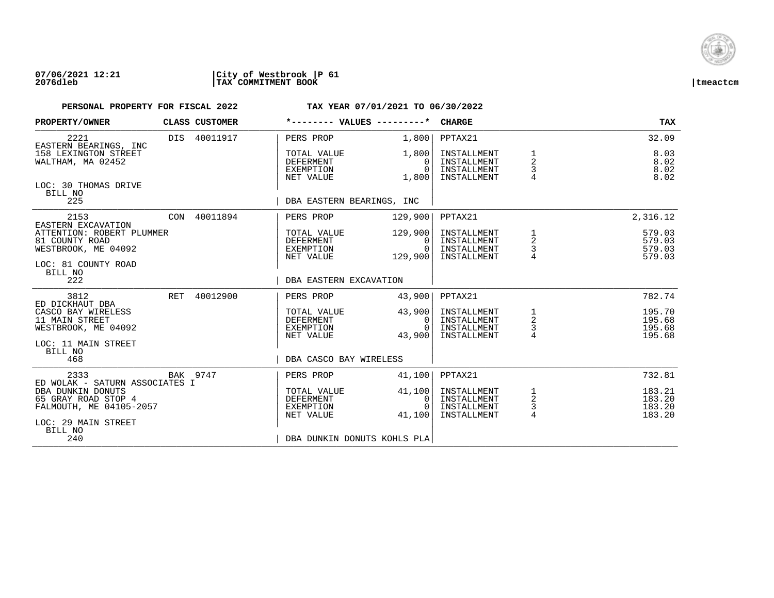

| PROPERTY/OWNER                                                                             |     | CLASS CUSTOMER | *-------- VALUES ---------*                               |                                            | <b>CHARGE</b>                                            |                                            | <b>TAX</b>                           |
|--------------------------------------------------------------------------------------------|-----|----------------|-----------------------------------------------------------|--------------------------------------------|----------------------------------------------------------|--------------------------------------------|--------------------------------------|
| 2221<br>EASTERN BEARINGS, INC                                                              |     | DIS 40011917   | PERS PROP                                                 | 1,800                                      | PPTAX21                                                  |                                            | 32.09                                |
| 158 LEXINGTON STREET<br>WALTHAM, MA 02452                                                  |     |                | TOTAL VALUE<br><b>DEFERMENT</b><br>EXEMPTION<br>NET VALUE | 1,800<br>0<br>$\Omega$<br>1,800            | INSTALLMENT<br>INSTALLMENT<br>INSTALLMENT<br>INSTALLMENT | 1<br>$\overline{2}$<br>3<br>$\overline{4}$ | 8.03<br>8.02<br>8.02<br>8.02         |
| LOC: 30 THOMAS DRIVE<br>BILL NO<br>225                                                     |     |                | DBA EASTERN BEARINGS, INC                                 |                                            |                                                          |                                            |                                      |
| 2153<br>EASTERN EXCAVATION                                                                 |     | CON 40011894   | PERS PROP                                                 | 129,900                                    | PPTAX21                                                  |                                            | 2,316.12                             |
| ATTENTION: ROBERT PLUMMER<br>81 COUNTY ROAD<br>WESTBROOK, ME 04092<br>LOC: 81 COUNTY ROAD  |     |                | TOTAL VALUE<br>DEFERMENT<br>EXEMPTION<br>NET VALUE        | 129,900<br>$\Omega$<br>$\Omega$<br>129,900 | INSTALLMENT<br>INSTALLMENT<br>INSTALLMENT<br>INSTALLMENT | 1<br>$\overline{a}$<br>$\frac{1}{4}$       | 579.03<br>579.03<br>579.03<br>579.03 |
| BILL NO<br>222                                                                             |     |                | DBA EASTERN EXCAVATION                                    |                                            |                                                          |                                            |                                      |
| 3812<br>ED DICKHAUT DBA                                                                    | RET | 40012900       | PERS PROP                                                 | 43,900                                     | PPTAX21                                                  |                                            | 782.74                               |
| CASCO BAY WIRELESS<br>11 MAIN STREET<br>WESTBROOK, ME 04092<br>LOC: 11 MAIN STREET         |     |                | TOTAL VALUE<br><b>DEFERMENT</b><br>EXEMPTION<br>NET VALUE | 43,900<br>0<br>$\cap$<br>43,900            | INSTALLMENT<br>INSTALLMENT<br>INSTALLMENT<br>INSTALLMENT | 1<br>$\overline{a}$<br>$\frac{3}{4}$       | 195.70<br>195.68<br>195.68<br>195.68 |
| BILL NO<br>468                                                                             |     |                | DBA CASCO BAY WIRELESS                                    |                                            |                                                          |                                            |                                      |
| 2333<br>ED WOLAK - SATURN ASSOCIATES I                                                     |     | BAK 9747       | PERS PROP                                                 | 41,100                                     | PPTAX21                                                  |                                            | 732.81                               |
| DBA DUNKIN DONUTS<br>65 GRAY ROAD STOP 4<br>FALMOUTH, ME 04105-2057<br>LOC: 29 MAIN STREET |     |                | TOTAL VALUE<br><b>DEFERMENT</b><br>EXEMPTION<br>NET VALUE | 41,100<br>0<br>$\cap$<br>41,100            | INSTALLMENT<br>INSTALLMENT<br>INSTALLMENT<br>INSTALLMENT | $\frac{1}{2}$<br>$\frac{3}{4}$             | 183.21<br>183.20<br>183.20<br>183.20 |
| BILL NO<br>240                                                                             |     |                | DBA DUNKIN DONUTS KOHLS PLA                               |                                            |                                                          |                                            |                                      |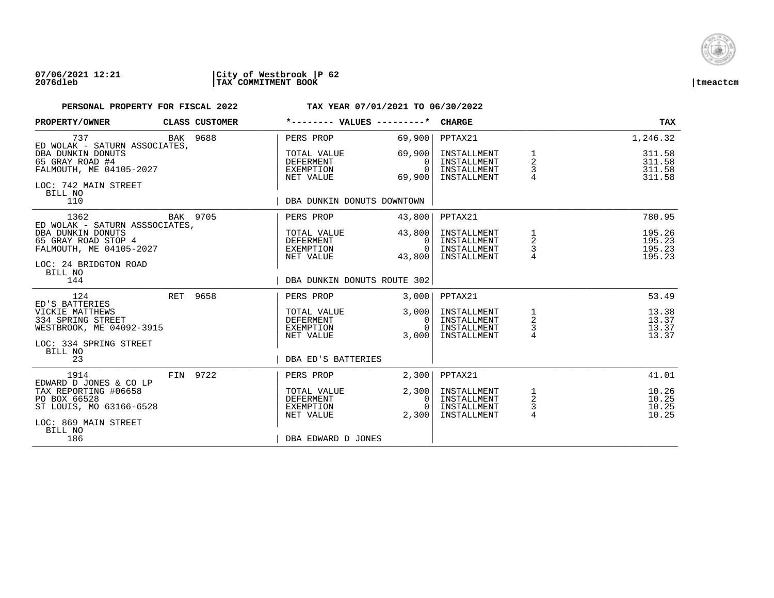

### **07/06/2021 12:21 |City of Westbrook |P 62 2076dleb |TAX COMMITMENT BOOK |tmeactcm**

| PROPERTY/OWNER                                                  |          | CLASS CUSTOMER | *-------- VALUES ---------*                  |                                | <b>CHARGE</b>                             |                    | <b>TAX</b>                 |
|-----------------------------------------------------------------|----------|----------------|----------------------------------------------|--------------------------------|-------------------------------------------|--------------------|----------------------------|
| 737<br>ED WOLAK - SATURN ASSOCIATES,                            |          | BAK 9688       | PERS PROP                                    | 69,900                         | PPTAX21                                   |                    | 1,246.32                   |
| DBA DUNKIN DONUTS<br>65 GRAY ROAD #4<br>FALMOUTH, ME 04105-2027 |          |                | TOTAL VALUE<br><b>DEFERMENT</b><br>EXEMPTION | 69,900<br>$\Omega$<br>$\Omega$ | INSTALLMENT<br>INSTALLMENT<br>INSTALLMENT | $\frac{1}{2}$<br>3 | 311.58<br>311.58<br>311.58 |
| LOC: 742 MAIN STREET<br>BILL NO                                 |          |                | NET VALUE                                    | 69,900                         | INSTALLMENT                               | 4                  | 311.58                     |
| 110                                                             |          |                | DBA DUNKIN DONUTS DOWNTOWN                   |                                |                                           |                    |                            |
| 1362<br>ED WOLAK - SATURN ASSSOCIATES,                          | BAK 9705 |                | PERS PROP                                    | 43,800                         | PPTAX21                                   |                    | 780.95                     |
| DBA DUNKIN DONUTS<br>65 GRAY ROAD STOP 4                        |          |                | TOTAL VALUE<br>DEFERMENT                     | 43,800<br>$\Omega$             | INSTALLMENT<br>INSTALLMENT                | $\frac{1}{2}$      | 195.26<br>195.23           |
| FALMOUTH, ME 04105-2027                                         |          |                | EXEMPTION                                    | $\overline{0}$                 | INSTALLMENT                               | $\mathsf 3$        | 195.23                     |
| LOC: 24 BRIDGTON ROAD                                           |          |                | NET VALUE                                    | 43,800                         | INSTALLMENT                               |                    | 195.23                     |
| BILL NO                                                         |          |                |                                              |                                |                                           |                    |                            |
| 144                                                             |          |                | DBA DUNKIN DONUTS ROUTE 302                  |                                |                                           |                    |                            |
| 124<br>ED'S BATTERIES                                           | RET 9658 |                | PERS PROP                                    | 3.000                          | PPTAX21                                   |                    | 53.49                      |
| VICKIE MATTHEWS<br>334 SPRING STREET                            |          |                | TOTAL VALUE<br>DEFERMENT                     | 3,000<br>$\mathbf{0}$          | INSTALLMENT<br>INSTALLMENT                | $\frac{1}{2}$      | 13.38<br>13.37             |
| WESTBROOK, ME 04092-3915                                        |          |                | EXEMPTION                                    | $\Omega$                       | INSTALLMENT                               | 3<br>4             | 13.37                      |
| LOC: 334 SPRING STREET<br>BILL NO                               |          |                | NET VALUE                                    | 3,000                          | INSTALLMENT                               |                    | 13.37                      |
| 23                                                              |          |                | DBA ED'S BATTERIES                           |                                |                                           |                    |                            |
| 1914<br>EDWARD D JONES & CO LP                                  |          | FIN 9722       | PERS PROP                                    | 2,300                          | PPTAX21                                   |                    | 41.01                      |
| TAX REPORTING #06658<br>PO BOX 66528                            |          |                | TOTAL VALUE<br><b>DEFERMENT</b>              | 2,300<br>$\Omega$              | INSTALLMENT<br>INSTALLMENT                | 1<br>$\sqrt{2}$    | 10.26<br>10.25             |
| ST LOUIS, MO 63166-6528                                         |          |                | EXEMPTION                                    | $\Omega$                       | INSTALLMENT                               | 3                  | 10.25                      |
| LOC: 869 MAIN STREET                                            |          |                | NET VALUE                                    | 2,300                          | INSTALLMENT                               | $\overline{4}$     | 10.25                      |
| BILL NO<br>186                                                  |          |                | DBA EDWARD D JONES                           |                                |                                           |                    |                            |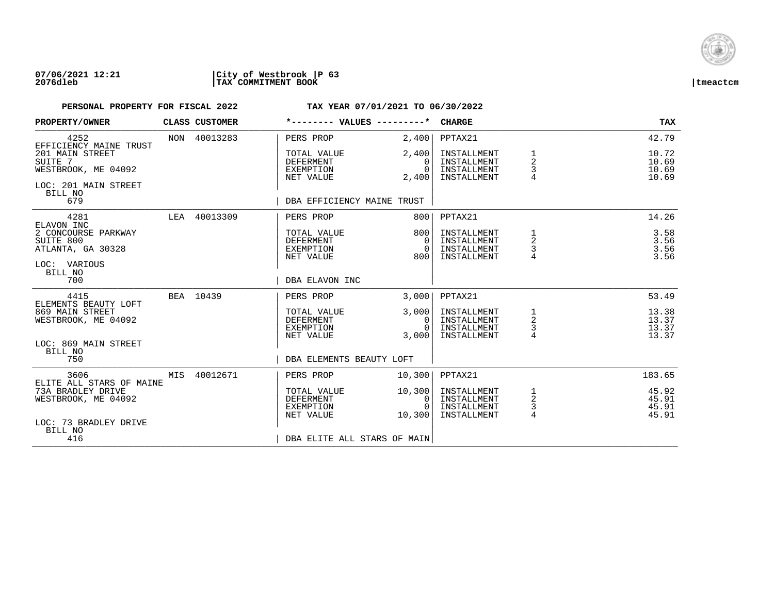

| PROPERTY/OWNER                                                            | CLASS CUSTOMER | *-------- VALUES ---------*                               |                                      | <b>CHARGE</b>                                            |                                      | <b>TAX</b>                       |
|---------------------------------------------------------------------------|----------------|-----------------------------------------------------------|--------------------------------------|----------------------------------------------------------|--------------------------------------|----------------------------------|
| 4252<br>EFFICIENCY MAINE TRUST                                            | NON 40013283   | PERS PROP                                                 | 2,400                                | PPTAX21                                                  |                                      | 42.79                            |
| 201 MAIN STREET<br>SUITE 7<br>WESTBROOK, ME 04092<br>LOC: 201 MAIN STREET |                | TOTAL VALUE<br><b>DEFERMENT</b><br>EXEMPTION<br>NET VALUE | 2,400<br>0<br>$\Omega$<br>2,400      | INSTALLMENT<br>INSTALLMENT<br>INSTALLMENT<br>INSTALLMENT | 2<br>3<br>$\overline{4}$             | 10.72<br>10.69<br>10.69<br>10.69 |
| BILL NO<br>679                                                            |                | DBA EFFICIENCY MAINE TRUST                                |                                      |                                                          |                                      |                                  |
| 4281<br>ELAVON INC                                                        | LEA 40013309   | PERS PROP                                                 | 800                                  | PPTAX21                                                  |                                      | 14.26                            |
| 2 CONCOURSE PARKWAY<br>SUITE 800<br>ATLANTA, GA 30328                     |                | TOTAL VALUE<br><b>DEFERMENT</b><br>EXEMPTION<br>NET VALUE | 800 l<br>$\Omega$<br>$\Omega$<br>800 | INSTALLMENT<br>INSTALLMENT<br>INSTALLMENT<br>INSTALLMENT | 1<br>2                               | 3.58<br>3.56<br>3.56<br>3.56     |
| LOC: VARIOUS<br>BILL NO<br>700                                            |                | DBA ELAVON INC                                            |                                      |                                                          |                                      |                                  |
| 4415<br>ELEMENTS BEAUTY LOFT                                              | BEA 10439      | PERS PROP                                                 | 3.000                                | PPTAX21                                                  |                                      | 53.49                            |
| 869 MAIN STREET<br>WESTBROOK, ME 04092                                    |                | TOTAL VALUE<br><b>DEFERMENT</b><br>EXEMPTION<br>NET VALUE | 3,000<br>0<br>$\cap$<br>3,000        | INSTALLMENT<br>INSTALLMENT<br>INSTALLMENT<br>INSTALLMENT | 1<br>$\overline{a}$<br>3<br>4        | 13.38<br>13.37<br>13.37<br>13.37 |
| LOC: 869 MAIN STREET<br>BILL NO<br>750                                    |                | DBA ELEMENTS BEAUTY LOFT                                  |                                      |                                                          |                                      |                                  |
| 3606<br>ELITE ALL STARS OF MAINE                                          | MIS 40012671   | PERS PROP                                                 | 10,300                               | PPTAX21                                                  |                                      | 183.65                           |
| 73A BRADLEY DRIVE<br>WESTBROOK, ME 04092<br>LOC: 73 BRADLEY DRIVE         |                | TOTAL VALUE<br><b>DEFERMENT</b><br>EXEMPTION<br>NET VALUE | 10,300<br>0<br>$\Omega$<br>10,300    | INSTALLMENT<br>INSTALLMENT<br>INSTALLMENT<br>INSTALLMENT | 1<br>$\overline{a}$<br>$\frac{3}{4}$ | 45.92<br>45.91<br>45.91<br>45.91 |
| BILL NO<br>416                                                            |                | DBA ELITE ALL STARS OF MAIN                               |                                      |                                                          |                                      |                                  |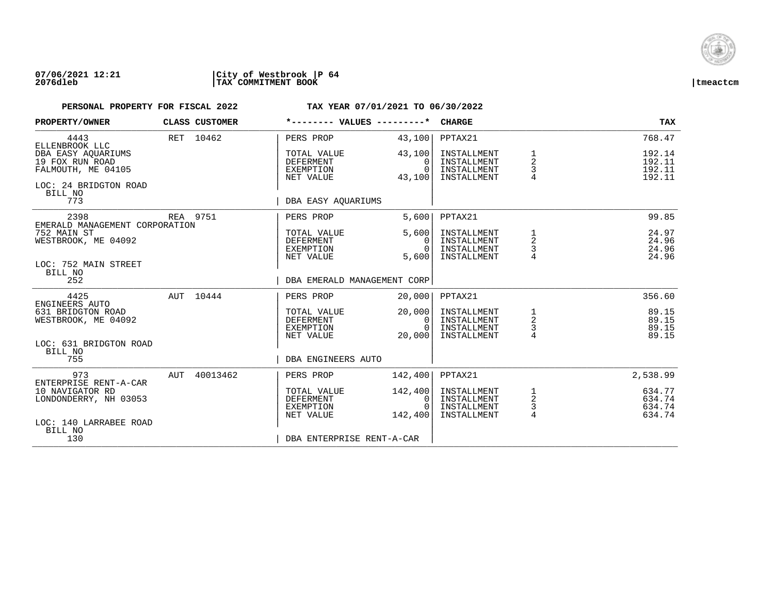

### **07/06/2021 12:21 |City of Westbrook |P 64 2076dleb |TAX COMMITMENT BOOK |tmeactcm**

| PROPERTY/OWNER                                                                                                                   |     | <b>CLASS CUSTOMER</b> | *-------- VALUES ---------*                                                                         |                                                    | <b>CHARGE</b>                                                       |                                                   | TAX                                              |
|----------------------------------------------------------------------------------------------------------------------------------|-----|-----------------------|-----------------------------------------------------------------------------------------------------|----------------------------------------------------|---------------------------------------------------------------------|---------------------------------------------------|--------------------------------------------------|
| 4443<br>ELLENBROOK LLC<br>DBA EASY AOUARIUMS<br>19 FOX RUN ROAD<br>FALMOUTH, ME 04105<br>LOC: 24 BRIDGTON ROAD<br>BILL NO<br>773 |     | RET 10462             | PERS PROP<br>TOTAL VALUE<br><b>DEFERMENT</b><br>EXEMPTION<br>NET VALUE<br>DBA EASY AOUARIUMS        | 43,100<br>43,100<br>$\Omega$<br>$\Omega$<br>43,100 | PPTAX21<br>INSTALLMENT<br>INSTALLMENT<br>INSTALLMENT<br>INSTALLMENT | 1<br>$\overline{2}$<br>3<br>$\overline{4}$        | 768.47<br>192.14<br>192.11<br>192.11<br>192.11   |
| 2398<br>EMERALD MANAGEMENT CORPORATION<br>752 MAIN ST<br>WESTBROOK, ME 04092<br>LOC: 752 MAIN STREET<br>BILL NO<br>252           |     | REA 9751              | PERS PROP<br>TOTAL VALUE<br>DEFERMENT<br>EXEMPTION<br>NET VALUE<br>DBA EMERALD MANAGEMENT CORP      | 5.600<br>5,600<br>$\Omega$<br>$\Omega$<br>5,600    | PPTAX21<br>INSTALLMENT<br>INSTALLMENT<br>INSTALLMENT<br>INSTALLMENT | 1<br>2<br>3                                       | 99.85<br>24.97<br>24.96<br>24.96<br>24.96        |
| 4425<br>ENGINEERS AUTO<br>631 BRIDGTON ROAD<br>WESTBROOK, ME 04092<br>LOC: 631 BRIDGTON ROAD<br>BILL NO<br>755                   |     | AUT 10444             | PERS PROP<br>TOTAL VALUE<br>DEFERMENT<br>EXEMPTION<br>NET VALUE<br>DBA ENGINEERS AUTO               | 20,000<br>20,000<br>0<br>$\Omega$<br>20,000        | PPTAX21<br>INSTALLMENT<br>INSTALLMENT<br>INSTALLMENT<br>INSTALLMENT | $\begin{array}{c}\n1 \\ 2 \\ 3 \\ 4\n\end{array}$ | 356.60<br>89.15<br>89.15<br>89.15<br>89.15       |
| 973<br>ENTERPRISE RENT-A-CAR<br>10 NAVIGATOR RD<br>LONDONDERRY, NH 03053<br>LOC: 140 LARRABEE ROAD<br>BILL NO<br>130             | AUT | 40013462              | PERS PROP<br>TOTAL VALUE<br><b>DEFERMENT</b><br>EXEMPTION<br>NET VALUE<br>DBA ENTERPRISE RENT-A-CAR | 142,400<br>142,400<br>0<br>$\Omega$<br>142,400     | PPTAX21<br>INSTALLMENT<br>INSTALLMENT<br>INSTALLMENT<br>INSTALLMENT | $\frac{1}{2}$<br>$\frac{3}{4}$                    | 2,538.99<br>634.77<br>634.74<br>634.74<br>634.74 |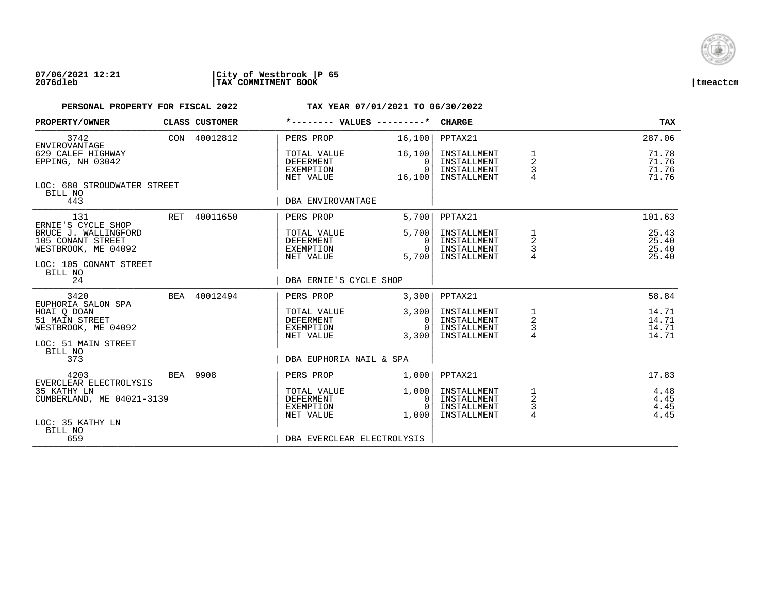

| PROPERTY/OWNER                                                                                                   | <b>CLASS CUSTOMER</b> |                                                           | *-------- VALUES ---------*               | CHARGE                                                   |                                            | TAX                              |
|------------------------------------------------------------------------------------------------------------------|-----------------------|-----------------------------------------------------------|-------------------------------------------|----------------------------------------------------------|--------------------------------------------|----------------------------------|
| 3742<br>ENVIROVANTAGE                                                                                            | CON 40012812          | PERS PROP                                                 | 16,100                                    | PPTAX21                                                  |                                            | 287.06                           |
| 629 CALEF HIGHWAY<br>EPPING, NH 03042                                                                            |                       | TOTAL VALUE<br><b>DEFERMENT</b><br>EXEMPTION<br>NET VALUE | 16, 100<br>$\Omega$<br>$\Omega$<br>16,100 | INSTALLMENT<br>INSTALLMENT<br>INSTALLMENT<br>INSTALLMENT | 1<br>$\overline{2}$<br>3<br>$\overline{4}$ | 71.78<br>71.76<br>71.76<br>71.76 |
| LOC: 680 STROUDWATER STREET<br>BILL NO<br>443                                                                    |                       | DBA ENVIROVANTAGE                                         |                                           |                                                          |                                            |                                  |
| 131                                                                                                              | RET 40011650          | PERS PROP                                                 | 5,700                                     | PPTAX21                                                  |                                            | 101.63                           |
| ERNIE'S CYCLE SHOP<br>BRUCE J. WALLINGFORD<br>105 CONANT STREET<br>WESTBROOK, ME 04092<br>LOC: 105 CONANT STREET |                       | TOTAL VALUE<br><b>DEFERMENT</b><br>EXEMPTION<br>NET VALUE | 5.700<br>$\Omega$<br>$\Omega$<br>5.700    | INSTALLMENT<br>INSTALLMENT<br>INSTALLMENT<br>INSTALLMENT | 1<br>2<br>3                                | 25.43<br>25.40<br>25.40<br>25.40 |
| BILL NO<br>24                                                                                                    |                       | DBA ERNIE'S CYCLE SHOP                                    |                                           |                                                          |                                            |                                  |
| 3420                                                                                                             | BEA 40012494          | PERS PROP                                                 | 3,300                                     | PPTAX21                                                  |                                            | 58.84                            |
| EUPHORIA SALON SPA<br>HOAI Q DOAN<br>51 MAIN STREET<br>WESTBROOK, ME 04092                                       |                       | TOTAL VALUE<br>DEFERMENT<br>EXEMPTION<br>NET VALUE        | 3,300<br>0 I<br>$\Omega$<br>3,300         | INSTALLMENT<br>INSTALLMENT<br>INSTALLMENT<br>INSTALLMENT | $\frac{1}{2}$<br>$\overline{4}$            | 14.71<br>14.71<br>14.71<br>14.71 |
| LOC: 51 MAIN STREET<br>BILL NO<br>373                                                                            |                       | DBA EUPHORIA NAIL & SPA                                   |                                           |                                                          |                                            |                                  |
| 4203<br>EVERCLEAR ELECTROLYSIS                                                                                   | BEA 9908              | PERS PROP                                                 | 1,000                                     | PPTAX21                                                  |                                            | 17.83                            |
| 35 KATHY LN<br>CUMBERLAND, ME 04021-3139                                                                         |                       | TOTAL VALUE<br><b>DEFERMENT</b><br>EXEMPTION<br>NET VALUE | 1,000<br>0<br>$\Omega$<br>1,000           | INSTALLMENT<br>INSTALLMENT<br>INSTALLMENT<br>INSTALLMENT | 1<br>$\sqrt{2}$<br>3<br>$\overline{4}$     | 4.48<br>4.45<br>4.45<br>4.45     |
| LOC: 35 KATHY LN<br>BILL NO<br>659                                                                               |                       | DBA EVERCLEAR ELECTROLYSIS                                |                                           |                                                          |                                            |                                  |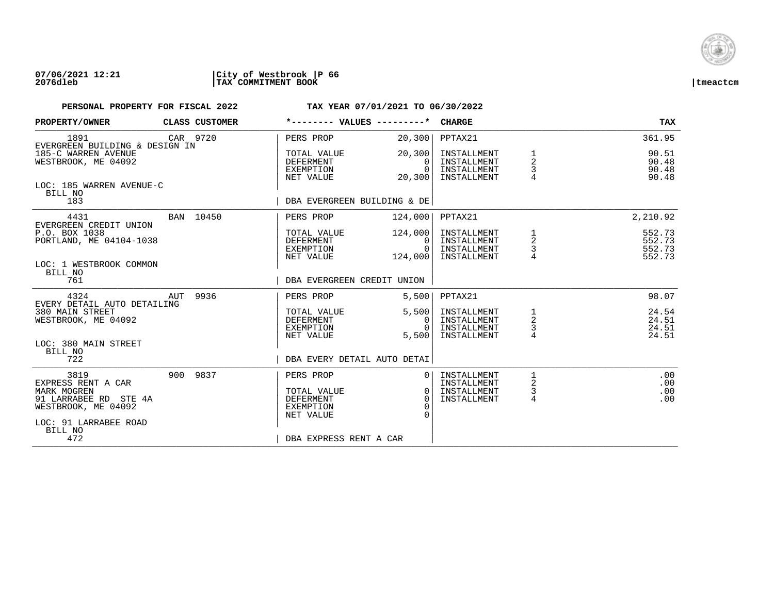

### **07/06/2021 12:21 |City of Westbrook |P 66 2076dleb |TAX COMMITMENT BOOK |tmeactcm**

| PROPERTY/OWNER                                                                                                                | CLASS CUSTOMER |                                                                        | *-------- VALUES ---------*                        | <b>CHARGE</b>                                            |                                            | <b>TAX</b>                           |
|-------------------------------------------------------------------------------------------------------------------------------|----------------|------------------------------------------------------------------------|----------------------------------------------------|----------------------------------------------------------|--------------------------------------------|--------------------------------------|
| 1891<br>EVERGREEN BUILDING & DESIGN IN                                                                                        | CAR 9720       | PERS PROP                                                              | 20, 300                                            | PPTAX21                                                  |                                            | 361.95                               |
| 185-C WARREN AVENUE<br>WESTBROOK, ME 04092                                                                                    |                | TOTAL VALUE<br>DEFERMENT<br>EXEMPTION<br>NET VALUE                     | 20, 300<br>$\Omega$<br>$\Omega$<br>20, 300         | INSTALLMENT<br>INSTALLMENT<br>INSTALLMENT<br>INSTALLMENT | 1<br>2<br>3                                | 90.51<br>90.48<br>90.48<br>90.48     |
| LOC: 185 WARREN AVENUE-C<br>BILL NO<br>183                                                                                    |                |                                                                        | DBA EVERGREEN BUILDING & DE                        |                                                          |                                            |                                      |
| 4431<br>EVERGREEN CREDIT UNION                                                                                                | BAN 10450      | PERS PROP                                                              | 124,000                                            | PPTAX21                                                  |                                            | 2,210.92                             |
| P.O. BOX 1038<br>PORTLAND, ME 04104-1038<br>LOC: 1 WESTBROOK COMMON                                                           |                | TOTAL VALUE<br>DEFERMENT<br>EXEMPTION<br>NET VALUE                     | 124,000<br>0<br>$\Omega$<br>124,000                | INSTALLMENT<br>INSTALLMENT<br>INSTALLMENT<br>INSTALLMENT | $\frac{1}{2}$<br>$\frac{3}{4}$             | 552.73<br>552.73<br>552.73<br>552.73 |
| BILL NO<br>761                                                                                                                |                | DBA EVERGREEN CREDIT UNION                                             |                                                    |                                                          |                                            |                                      |
| 4324<br>EVERY DETAIL AUTO DETAILING                                                                                           | AUT 9936       | PERS PROP                                                              | 5,500                                              | PPTAX21                                                  |                                            | 98.07                                |
| 380 MAIN STREET<br>WESTBROOK, ME 04092                                                                                        |                | TOTAL VALUE<br>DEFERMENT<br>EXEMPTION<br>NET VALUE                     | 5,500<br>0<br>$\Omega$<br>5,500                    | INSTALLMENT<br>INSTALLMENT<br>INSTALLMENT<br>INSTALLMENT | 1<br>$\overline{2}$<br>3<br>$\overline{4}$ | 24.54<br>24.51<br>24.51<br>24.51     |
| LOC: 380 MAIN STREET<br>BILL NO<br>722                                                                                        |                |                                                                        | DBA EVERY DETAIL AUTO DETAI                        |                                                          |                                            |                                      |
| 3819<br>EXPRESS RENT A CAR<br>MARK MOGREN<br>91 LARRABEE RD STE 4A<br>WESTBROOK, ME 04092<br>LOC: 91 LARRABEE ROAD<br>BILL NO | 900 9837       | PERS PROP<br>TOTAL VALUE<br><b>DEFERMENT</b><br>EXEMPTION<br>NET VALUE | $\Omega$<br>$\overline{0}$<br>$\Omega$<br>$\Omega$ | INSTALLMENT<br>INSTALLMENT<br>INSTALLMENT<br>INSTALLMENT | 1<br>2<br>$\frac{3}{4}$                    | .00<br>.00<br>.00<br>.00             |
| 472                                                                                                                           |                | DBA EXPRESS RENT A CAR                                                 |                                                    |                                                          |                                            |                                      |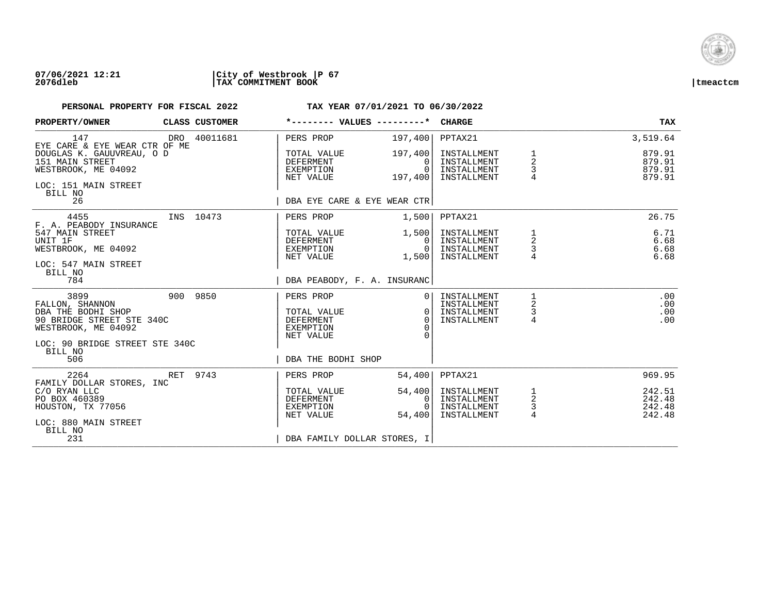

### **07/06/2021 12:21 |City of Westbrook |P 67 2076dleb |TAX COMMITMENT BOOK |tmeactcm**

| PROPERTY/OWNER                                                                                                                      |          | CLASS CUSTOMER |                                                                               | *-------- VALUES ---------*                                  | <b>CHARGE</b>                                            |                                      | TAX                                  |
|-------------------------------------------------------------------------------------------------------------------------------------|----------|----------------|-------------------------------------------------------------------------------|--------------------------------------------------------------|----------------------------------------------------------|--------------------------------------|--------------------------------------|
| 147<br>EYE CARE & EYE WEAR CTR OF ME                                                                                                |          | DRO 40011681   | PERS PROP                                                                     | 197,400                                                      | PPTAX21                                                  |                                      | 3,519.64                             |
| DOUGLAS K. GAUUVREAU, O D<br>151 MAIN STREET<br>WESTBROOK, ME 04092<br>LOC: 151 MAIN STREET<br>BILL NO                              |          |                | TOTAL VALUE<br>DEFERMENT<br>EXEMPTION<br>NET VALUE                            | 197,400<br>$\Omega$<br>$\Omega$<br>197,400                   | INSTALLMENT<br>INSTALLMENT<br>INSTALLMENT<br>INSTALLMENT | 1<br>2<br>3                          | 879.91<br>879.91<br>879.91<br>879.91 |
| 26                                                                                                                                  |          |                |                                                                               | DBA EYE CARE & EYE WEAR CTR                                  |                                                          |                                      |                                      |
| 4455<br>F. A. PEABODY INSURANCE                                                                                                     |          | INS 10473      | PERS PROP                                                                     | 1,500                                                        | PPTAX21                                                  |                                      | 26.75                                |
| 547 MAIN STREET<br>UNIT 1F<br>WESTBROOK, ME 04092<br>LOC: 547 MAIN STREET<br>BILL NO                                                |          |                | TOTAL VALUE<br>DEFERMENT<br>EXEMPTION<br>NET VALUE                            | 1,500<br>0 I<br>$\Omega$<br>1,500                            | INSTALLMENT<br>INSTALLMENT<br>INSTALLMENT<br>INSTALLMENT | 1<br>$\overline{a}$<br>$\frac{3}{4}$ | 6.71<br>6.68<br>6.68<br>6.68         |
| 784                                                                                                                                 |          |                |                                                                               | DBA PEABODY, F. A. INSURANC                                  |                                                          |                                      |                                      |
| 3899<br>FALLON, SHANNON<br>DBA THE BODHI SHOP<br>90 BRIDGE STREET STE 340C<br>WESTBROOK, ME 04092<br>LOC: 90 BRIDGE STREET STE 340C |          | 900 9850       | PERS PROP<br>TOTAL VALUE<br><b>DEFERMENT</b><br><b>EXEMPTION</b><br>NET VALUE | 0 <sub>1</sub><br>$\Omega$<br>$\Omega$<br>$\Omega$<br>$\cap$ | INSTALLMENT<br>INSTALLMENT<br>INSTALLMENT<br>INSTALLMENT | 2<br>3<br>$\overline{4}$             | .00<br>.00<br>.00<br>.00             |
| BILL NO<br>506                                                                                                                      |          |                | DBA THE BODHI SHOP                                                            |                                                              |                                                          |                                      |                                      |
| 2264<br>FAMILY DOLLAR STORES, INC                                                                                                   | RET 9743 |                | PERS PROP                                                                     | 54,400                                                       | PPTAX21                                                  |                                      | 969.95                               |
| C/O RYAN LLC<br>PO BOX 460389<br>HOUSTON, TX 77056<br>LOC: 880 MAIN STREET                                                          |          |                | TOTAL VALUE<br>DEFERMENT<br>EXEMPTION<br>NET VALUE                            | 54,400<br>0<br>$\Omega$<br>54,400                            | INSTALLMENT<br>INSTALLMENT<br>INSTALLMENT<br>INSTALLMENT | $\frac{1}{2}$<br>3<br>$\overline{4}$ | 242.51<br>242.48<br>242.48<br>242.48 |
| BILL NO<br>231                                                                                                                      |          |                |                                                                               | DBA FAMILY DOLLAR STORES, I                                  |                                                          |                                      |                                      |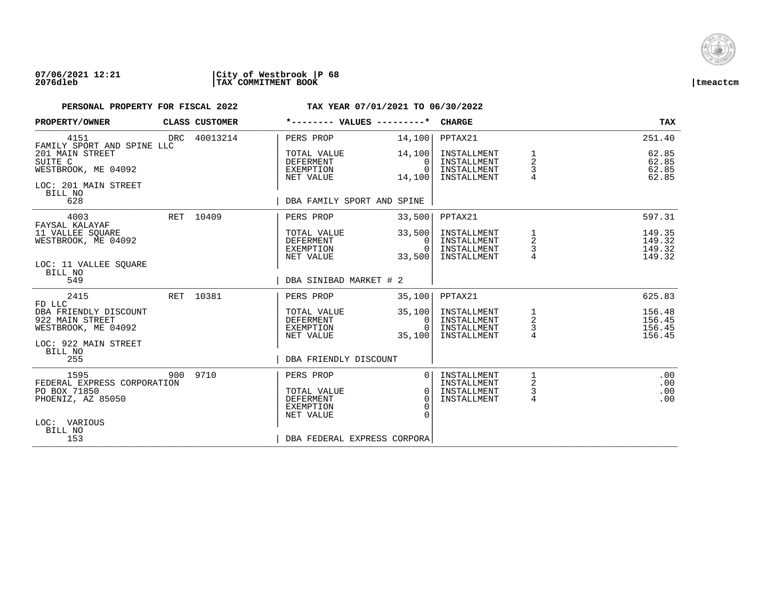

| PROPERTY/OWNER                                                  | CLASS CUSTOMER | *-------- VALUES ---------*                                      |                                          | <b>CHARGE</b>                                            |                                                   | TAX                                  |
|-----------------------------------------------------------------|----------------|------------------------------------------------------------------|------------------------------------------|----------------------------------------------------------|---------------------------------------------------|--------------------------------------|
| 4151<br>FAMILY SPORT AND SPINE LLC                              | DRC 40013214   | PERS PROP                                                        | 14,100                                   | PPTAX21                                                  |                                                   | 251.40                               |
| 201 MAIN STREET<br>SUITE C<br>WESTBROOK, ME 04092               |                | TOTAL VALUE<br><b>DEFERMENT</b><br>EXEMPTION<br>NET VALUE        | 14,100<br>$\Omega$<br>$\Omega$<br>14,100 | INSTALLMENT<br>INSTALLMENT<br>INSTALLMENT<br>INSTALLMENT | 1<br>$\overline{2}$<br>3<br>$\overline{4}$        | 62.85<br>62.85<br>62.85<br>62.85     |
| LOC: 201 MAIN STREET<br>BILL NO<br>628                          |                | DBA FAMILY SPORT AND SPINE                                       |                                          |                                                          |                                                   |                                      |
| 4003<br>FAYSAL KALAYAF                                          | RET 10409      | PERS PROP                                                        | 33,500                                   | PPTAX21                                                  |                                                   | 597.31                               |
| 11 VALLEE SOUARE<br>WESTBROOK, ME 04092                         |                | TOTAL VALUE<br>DEFERMENT<br>EXEMPTION<br>NET VALUE               | 33,500<br>$\Omega$<br>$\Omega$<br>33,500 | INSTALLMENT<br>INSTALLMENT<br>INSTALLMENT<br>INSTALLMENT | 1<br>2<br>3                                       | 149.35<br>149.32<br>149.32<br>149.32 |
| LOC: 11 VALLEE SOUARE<br>BILL NO<br>549                         |                | DBA SINIBAD MARKET # 2                                           |                                          |                                                          |                                                   |                                      |
| 2415<br>FD LLC                                                  | RET 10381      | PERS PROP                                                        | 35,100                                   | PPTAX21                                                  |                                                   | 625.83                               |
| DBA FRIENDLY DISCOUNT<br>922 MAIN STREET<br>WESTBROOK, ME 04092 |                | TOTAL VALUE<br>DEFERMENT<br>EXEMPTION<br>NET VALUE               | 35,100<br>0<br>$\Omega$<br>35,100        | INSTALLMENT<br>INSTALLMENT<br>INSTALLMENT<br>INSTALLMENT | $\begin{array}{c}\n1 \\ 2 \\ 3 \\ 4\n\end{array}$ | 156.48<br>156.45<br>156.45<br>156.45 |
| LOC: 922 MAIN STREET<br>BILL NO<br>255                          |                | DBA FRIENDLY DISCOUNT                                            |                                          |                                                          |                                                   |                                      |
| 1595<br>FEDERAL EXPRESS CORPORATION                             | 900 9710       | PERS PROP                                                        | $\Omega$                                 | INSTALLMENT<br>INSTALLMENT                               | 2                                                 | .00<br>.00                           |
| PO BOX 71850<br>PHOENIZ, AZ 85050                               |                | TOTAL VALUE<br><b>DEFERMENT</b><br><b>EXEMPTION</b><br>NET VALUE | $\Omega$<br>$\Omega$<br>∩<br>$\Omega$    | INSTALLMENT<br>INSTALLMENT                               | 3<br>4                                            | .00<br>.00                           |
| LOC: VARIOUS<br>BILL NO<br>153                                  |                | DBA FEDERAL EXPRESS CORPORA                                      |                                          |                                                          |                                                   |                                      |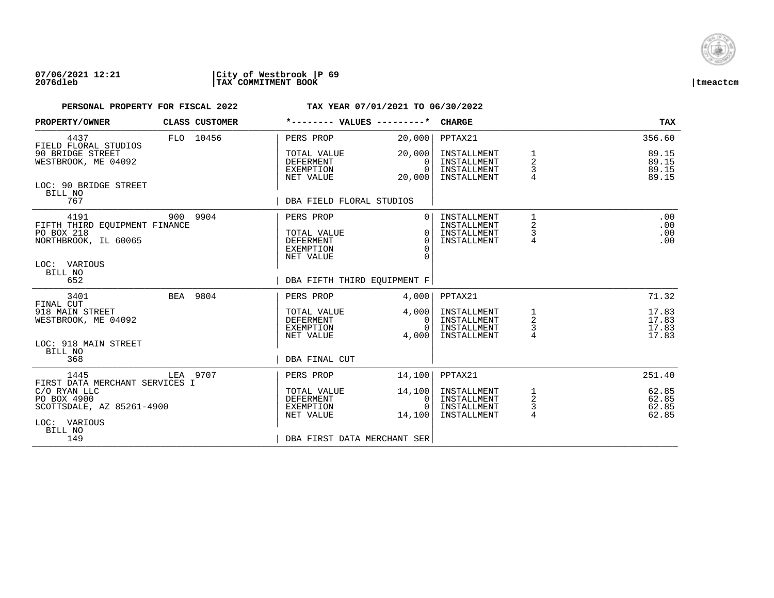

| PROPERTY/OWNER                                                                                         | CLASS CUSTOMER |                                                                        | *-------- VALUES ---------*                                    | <b>CHARGE</b>                                            |                                            | <b>TAX</b>                       |
|--------------------------------------------------------------------------------------------------------|----------------|------------------------------------------------------------------------|----------------------------------------------------------------|----------------------------------------------------------|--------------------------------------------|----------------------------------|
| 4437<br>FIELD FLORAL STUDIOS                                                                           | FLO 10456      | PERS PROP                                                              | 20,000                                                         | PPTAX21                                                  |                                            | 356.60                           |
| 90 BRIDGE STREET<br>WESTBROOK, ME 04092                                                                |                | TOTAL VALUE<br><b>DEFERMENT</b><br>EXEMPTION<br>NET VALUE              | 20,000<br>$\Omega$<br>$\Omega$<br>20,000                       | INSTALLMENT<br>INSTALLMENT<br>INSTALLMENT<br>INSTALLMENT | 1<br>$\overline{a}$<br>3                   | 89.15<br>89.15<br>89.15<br>89.15 |
| LOC: 90 BRIDGE STREET<br>BILL NO<br>767                                                                |                | DBA FIELD FLORAL STUDIOS                                               |                                                                |                                                          |                                            |                                  |
| 4191<br>FIFTH THIRD EOUIPMENT FINANCE<br>PO BOX 218<br>NORTHBROOK, IL 60065<br>LOC: VARIOUS<br>BILL NO | 900 9904       | PERS PROP<br>TOTAL VALUE<br><b>DEFERMENT</b><br>EXEMPTION<br>NET VALUE | $\overline{0}$<br>$\Omega$<br>$\Omega$<br>$\Omega$<br>$\Omega$ | INSTALLMENT<br>INSTALLMENT<br>INSTALLMENT<br>INSTALLMENT | $\mathbf{1}$<br>2<br>3<br>$\overline{4}$   | .00<br>.00<br>.00<br>.00         |
| 652                                                                                                    |                |                                                                        | DBA FIFTH THIRD EQUIPMENT F                                    |                                                          |                                            |                                  |
| 3401<br>FINAL CUT<br>918 MAIN STREET                                                                   | BEA 9804       | PERS PROP<br>TOTAL VALUE                                               | 4,000<br>4,000                                                 | PPTAX21<br>INSTALLMENT                                   | $\frac{1}{2}$                              | 71.32<br>17.83                   |
| WESTBROOK, ME 04092<br>LOC: 918 MAIN STREET<br>BILL NO                                                 |                | DEFERMENT<br>EXEMPTION<br>NET VALUE                                    | $\overline{0}$<br>$\Omega$<br>4,000                            | INSTALLMENT<br>INSTALLMENT<br>INSTALLMENT                | 3<br>$\overline{4}$                        | 17.83<br>17.83<br>17.83          |
| 368                                                                                                    |                | DBA FINAL CUT                                                          |                                                                |                                                          |                                            |                                  |
| 1445<br>FIRST DATA MERCHANT SERVICES I                                                                 | LEA 9707       | PERS PROP                                                              | 14,100                                                         | PPTAX21                                                  |                                            | 251.40                           |
| C/O RYAN LLC<br>PO BOX 4900<br>SCOTTSDALE, AZ 85261-4900<br>LOC: VARIOUS<br>BILL NO                    |                | TOTAL VALUE<br>DEFERMENT<br>EXEMPTION<br>NET VALUE                     | 14,100<br>$\mathbf{0}$<br>$\Omega$<br>14,100                   | INSTALLMENT<br>INSTALLMENT<br>INSTALLMENT<br>INSTALLMENT | 1<br>$\overline{c}$<br>3<br>$\overline{4}$ | 62.85<br>62.85<br>62.85<br>62.85 |
| 149                                                                                                    |                |                                                                        | DBA FIRST DATA MERCHANT SER                                    |                                                          |                                            |                                  |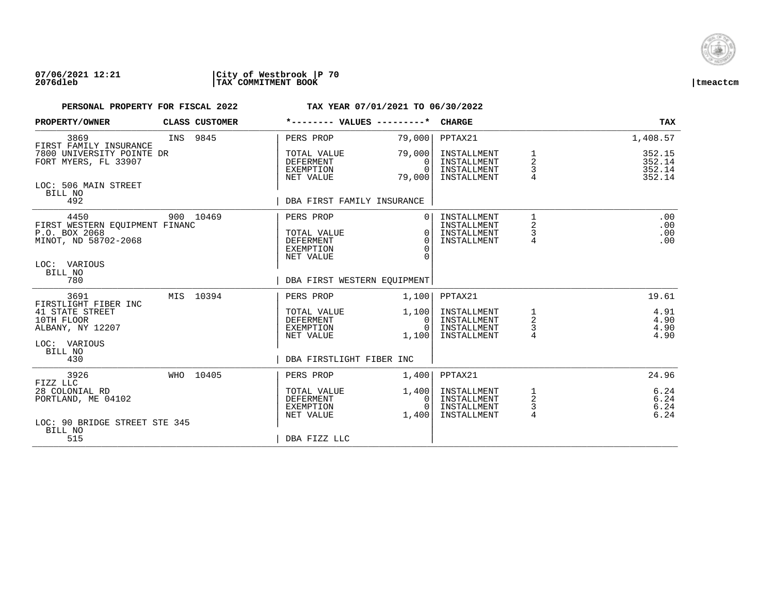

| PROPERTY/OWNER                                                                                             | CLASS CUSTOMER |                                                                               | *-------- VALUES ---------*                              | <b>CHARGE</b>                                                       |                                            | <b>TAX</b>                            |
|------------------------------------------------------------------------------------------------------------|----------------|-------------------------------------------------------------------------------|----------------------------------------------------------|---------------------------------------------------------------------|--------------------------------------------|---------------------------------------|
| 3869<br>FIRST FAMILY INSURANCE                                                                             | INS 9845       | PERS PROP                                                                     | 79,000                                                   | PPTAX21                                                             |                                            | 1,408.57                              |
| 7800 UNIVERSITY POINTE DR<br>FORT MYERS, FL 33907                                                          |                | TOTAL VALUE<br><b>DEFERMENT</b><br>EXEMPTION<br>NET VALUE                     | 79,000<br>$\Omega$<br>$\Omega$<br>79,000                 | INSTALLMENT<br>INSTALLMENT<br>INSTALLMENT<br>INSTALLMENT            | 1<br>2<br>3<br>4                           | 352.15<br>352.14<br>352.14<br>352.14  |
| LOC: 506 MAIN STREET<br>BILL NO<br>492                                                                     |                | DBA FIRST FAMILY INSURANCE                                                    |                                                          |                                                                     |                                            |                                       |
| 4450<br>FIRST WESTERN EQUIPMENT FINANC<br>P.O. BOX 2068<br>MINOT, ND 58702-2068<br>LOC: VARIOUS<br>BILL NO | 900 10469      | PERS PROP<br>TOTAL VALUE<br><b>DEFERMENT</b><br><b>EXEMPTION</b><br>NET VALUE | $\Omega$<br>$\Omega$<br>$\Omega$<br>$\Omega$<br>$\Omega$ | INSTALLMENT<br>INSTALLMENT<br>INSTALLMENT<br>INSTALLMENT            | 1<br>$\overline{a}$<br>3<br>$\overline{4}$ | .00<br>.00<br>.00<br>.00              |
| 780                                                                                                        |                |                                                                               | DBA FIRST WESTERN EOUIPMENT                              |                                                                     |                                            |                                       |
| 3691<br>FIRSTLIGHT FIBER INC<br>41 STATE STREET<br>10TH FLOOR<br>ALBANY, NY 12207                          | MIS 10394      | PERS PROP<br>TOTAL VALUE<br>DEFERMENT<br>EXEMPTION<br>NET VALUE               | 1,100<br>1,100<br>0<br>$\Omega$<br>1,100                 | PPTAX21<br>INSTALLMENT<br>INSTALLMENT<br>INSTALLMENT<br>INSTALLMENT | 1<br>$\overline{\mathbf{c}}$<br>3<br>4     | 19.61<br>4.91<br>4.90<br>4.90<br>4.90 |
| LOC: VARIOUS<br>BILL NO<br>430                                                                             |                | DBA FIRSTLIGHT FIBER INC                                                      |                                                          |                                                                     |                                            |                                       |
| 3926<br>FIZZ LLC                                                                                           | WHO 10405      | PERS PROP                                                                     | 1,400                                                    | PPTAX21                                                             |                                            | 24.96                                 |
| 28 COLONIAL RD<br>PORTLAND, ME 04102<br>LOC: 90 BRIDGE STREET STE 345                                      |                | TOTAL VALUE<br>DEFERMENT<br>EXEMPTION<br>NET VALUE                            | 1,400<br>0<br>$\Omega$<br>1,400                          | INSTALLMENT<br>INSTALLMENT<br>INSTALLMENT<br>INSTALLMENT            | 1<br>$\sqrt{2}$<br>3<br>$\overline{4}$     | 6.24<br>6.24<br>6.24<br>6.24          |
| BILL NO<br>515                                                                                             |                | DBA FIZZ LLC                                                                  |                                                          |                                                                     |                                            |                                       |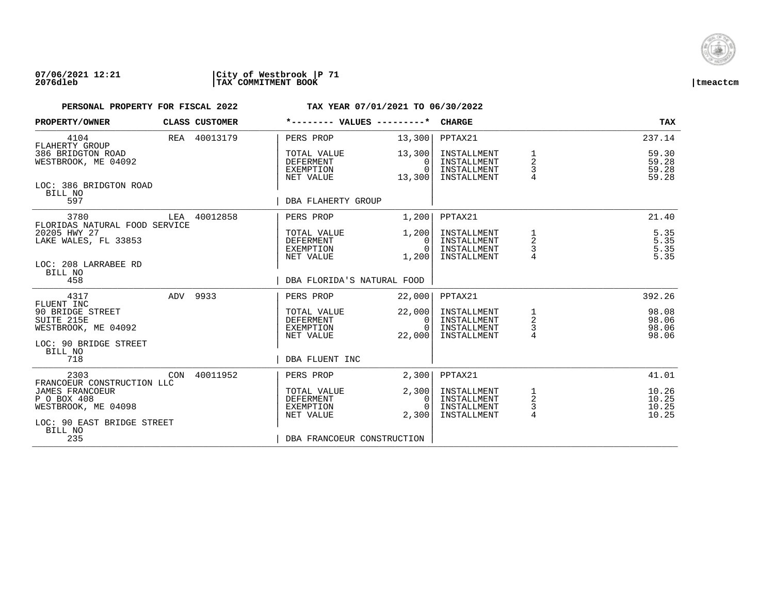

| PROPERTY/OWNER                                                                                |     | CLASS CUSTOMER | *-------- VALUES ---------*                               |                                          | <b>CHARGE</b>                                            |                                                   | <b>TAX</b>                       |
|-----------------------------------------------------------------------------------------------|-----|----------------|-----------------------------------------------------------|------------------------------------------|----------------------------------------------------------|---------------------------------------------------|----------------------------------|
| 4104<br>FLAHERTY GROUP                                                                        |     | REA 40013179   | PERS PROP                                                 | 13,300                                   | PPTAX21                                                  |                                                   | 237.14                           |
| 386 BRIDGTON ROAD<br>WESTBROOK, ME 04092                                                      |     |                | TOTAL VALUE<br><b>DEFERMENT</b><br>EXEMPTION<br>NET VALUE | 13,300<br>$\Omega$<br>$\Omega$<br>13,300 | INSTALLMENT<br>INSTALLMENT<br>INSTALLMENT<br>INSTALLMENT | 1<br>$\overline{2}$<br>3                          | 59.30<br>59.28<br>59.28<br>59.28 |
| LOC: 386 BRIDGTON ROAD<br>BILL NO<br>597                                                      |     |                | DBA FLAHERTY GROUP                                        |                                          |                                                          |                                                   |                                  |
| 3780                                                                                          |     | LEA 40012858   | PERS PROP                                                 | 1,200                                    | PPTAX21                                                  |                                                   | 21.40                            |
| FLORIDAS NATURAL FOOD SERVICE<br>20205 HWY 27<br>LAKE WALES, FL 33853<br>LOC: 208 LARRABEE RD |     |                | TOTAL VALUE<br>DEFERMENT<br>EXEMPTION<br>NET VALUE        | 1,200<br>$\Omega$<br>$\Omega$<br>1,200   | INSTALLMENT<br>INSTALLMENT<br>INSTALLMENT<br>INSTALLMENT | 1<br>2<br>3                                       | 5.35<br>$5.35$<br>$5.35$<br>5.35 |
| BILL NO<br>458                                                                                |     |                | DBA FLORIDA'S NATURAL FOOD                                |                                          |                                                          |                                                   |                                  |
| 4317<br>FLUENT INC                                                                            |     | ADV 9933       | PERS PROP                                                 | 22,000                                   | PPTAX21                                                  |                                                   | 392.26                           |
| 90 BRIDGE STREET<br>SUITE 215E<br>WESTBROOK, ME 04092<br>LOC: 90 BRIDGE STREET                |     |                | TOTAL VALUE<br>DEFERMENT<br>EXEMPTION<br>NET VALUE        | 22,000<br>0<br>$\Omega$<br>22,000        | INSTALLMENT<br>INSTALLMENT<br>INSTALLMENT<br>INSTALLMENT | $\begin{array}{c}\n1 \\ 2 \\ 3 \\ 4\n\end{array}$ | 98.08<br>98.06<br>98.06<br>98.06 |
| BILL NO<br>718                                                                                |     |                | DBA FLUENT INC                                            |                                          |                                                          |                                                   |                                  |
| 2303<br>FRANCOEUR CONSTRUCTION LLC                                                            | CON | 40011952       | PERS PROP                                                 | 2,300                                    | PPTAX21                                                  |                                                   | 41.01                            |
| <b>JAMES FRANCOEUR</b><br>P O BOX 408<br>WESTBROOK, ME 04098<br>LOC: 90 EAST BRIDGE STREET    |     |                | TOTAL VALUE<br><b>DEFERMENT</b><br>EXEMPTION<br>NET VALUE | 2,300<br>0<br>$\Omega$<br>2,300          | INSTALLMENT<br>INSTALLMENT<br>INSTALLMENT<br>INSTALLMENT | $\frac{1}{2}$<br>3<br>$\overline{4}$              | 10.26<br>10.25<br>10.25<br>10.25 |
| BILL NO<br>235                                                                                |     |                | DBA FRANCOEUR CONSTRUCTION                                |                                          |                                                          |                                                   |                                  |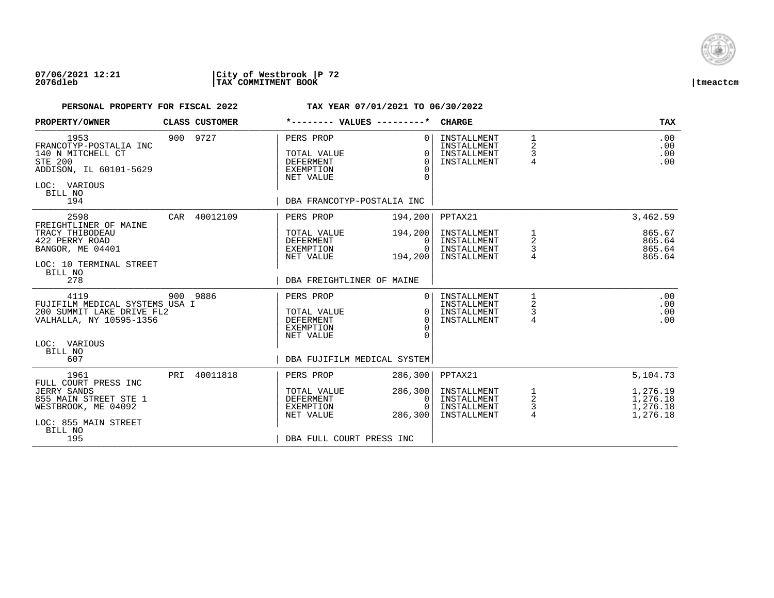

### **07/06/2021 12:21 |City of Westbrook |P 72 2076dleb |TAX COMMITMENT BOOK |tmeactcm**

| PROPERTY/OWNER                                                                                                                               |     | CLASS CUSTOMER | *-------- VALUES ---------*                                                                                 |                                                | <b>CHARGE</b>                                                       |                                          | <b>TAX</b>                                               |
|----------------------------------------------------------------------------------------------------------------------------------------------|-----|----------------|-------------------------------------------------------------------------------------------------------------|------------------------------------------------|---------------------------------------------------------------------|------------------------------------------|----------------------------------------------------------|
| 1953<br>FRANCOTYP-POSTALIA INC<br>140 N MITCHELL CT<br><b>STE 200</b><br>ADDISON, IL 60101-5629<br>LOC: VARIOUS<br>BILL NO<br>194            |     | 900 9727       | PERS PROP<br>TOTAL VALUE<br><b>DEFERMENT</b><br><b>EXEMPTION</b><br>NET VALUE<br>DBA FRANCOTYP-POSTALIA INC | $\Omega$<br>$\Omega$<br>$\Omega$<br>$\Omega$   | INSTALLMENT<br>INSTALLMENT<br>INSTALLMENT<br>INSTALLMENT            | $\mathbf{1}$<br>2<br>3<br>$\overline{4}$ | .00<br>.00<br>.00<br>.00                                 |
| 2598<br>FREIGHTLINER OF MAINE<br>TRACY THIBODEAU<br>422 PERRY ROAD<br>BANGOR, ME 04401<br>LOC: 10 TERMINAL STREET<br>BILL NO<br>278          |     | CAR 40012109   | PERS PROP<br>TOTAL VALUE<br>DEFERMENT<br>EXEMPTION<br>NET VALUE<br>DBA FREIGHTLINER OF MAINE                | 194,200<br>194,200<br>0<br>$\Omega$<br>194,200 | PPTAX21<br>INSTALLMENT<br>INSTALLMENT<br>INSTALLMENT<br>INSTALLMENT | 1<br>$\overline{a}$<br>3                 | 3,462.59<br>865.67<br>865.64<br>865.64<br>865.64         |
| 4119<br>FUJIFILM MEDICAL SYSTEMS USA I<br>200 SUMMIT LAKE DRIVE FL2<br>VALHALLA, NY 10595-1356<br>LOC: VARIOUS<br>BILL NO<br>607             |     | 900 9886       | PERS PROP<br>TOTAL VALUE<br><b>DEFERMENT</b><br>EXEMPTION<br>NET VALUE<br>DBA FUJIFILM MEDICAL SYSTEM       | $\Omega$<br>$\Omega$<br>$\Omega$               | INSTALLMENT<br>INSTALLMENT<br>INSTALLMENT<br>INSTALLMENT            | 1<br>2<br>3<br>4                         | .00<br>.00<br>.00<br>.00                                 |
| 1961<br>FULL COURT PRESS INC<br><b>JERRY SANDS</b><br>855 MAIN STREET STE 1<br>WESTBROOK, ME 04092<br>LOC: 855 MAIN STREET<br>BILL NO<br>195 | PRI | 40011818       | PERS PROP<br>TOTAL VALUE<br><b>DEFERMENT</b><br>EXEMPTION<br>NET VALUE<br>DBA FULL COURT PRESS INC          | 286,300<br>286, 300<br>0<br>286,300            | PPTAX21<br>INSTALLMENT<br>INSTALLMENT<br>INSTALLMENT<br>INSTALLMENT | $\frac{1}{2}$<br>$\frac{3}{4}$           | 5,104.73<br>1,276.19<br>1,276.18<br>1,276.18<br>1,276.18 |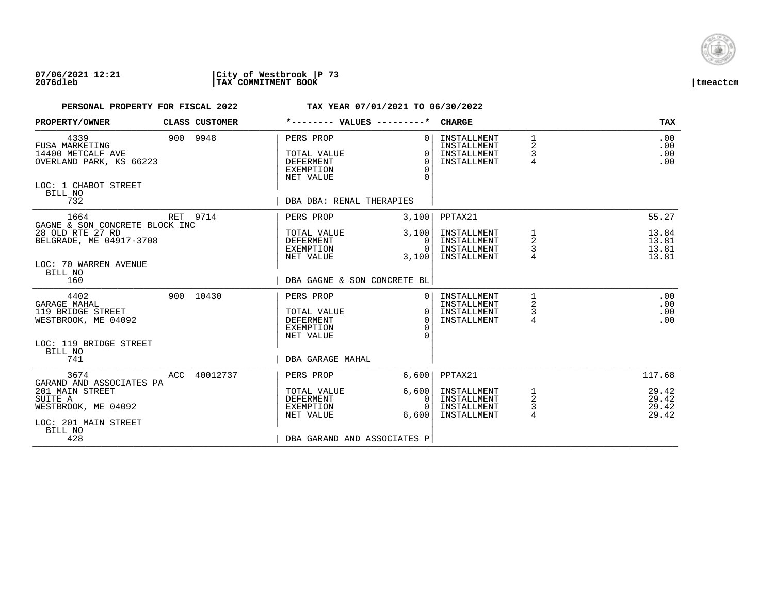

| PROPERTY/OWNER                                                                                                          | CLASS CUSTOMER | *-------- VALUES ---------*                                                                        |                                              | <b>CHARGE</b>                                            |                                 | <b>TAX</b>                       |
|-------------------------------------------------------------------------------------------------------------------------|----------------|----------------------------------------------------------------------------------------------------|----------------------------------------------|----------------------------------------------------------|---------------------------------|----------------------------------|
| 4339<br><b>FUSA MARKETING</b><br>14400 METCALF AVE<br>OVERLAND PARK, KS 66223<br>LOC: 1 CHABOT STREET<br>BILL NO<br>732 | 900 9948       | PERS PROP<br>TOTAL VALUE<br><b>DEFERMENT</b><br>EXEMPTION<br>NET VALUE<br>DBA DBA: RENAL THERAPIES | $\Omega$<br>$\Omega$<br>$\Omega$<br>$\Omega$ | INSTALLMENT<br>INSTALLMENT<br>INSTALLMENT<br>INSTALLMENT | $\mathbf{1}$<br>2<br>3<br>4     | .00<br>.00<br>.00<br>.00         |
| 1664                                                                                                                    | RET 9714       | PERS PROP                                                                                          | 3,100                                        | PPTAX21                                                  |                                 | 55.27                            |
| GAGNE & SON CONCRETE BLOCK INC<br>28 OLD RTE 27 RD<br>BELGRADE, ME 04917-3708<br>LOC: 70 WARREN AVENUE<br>BILL NO       |                | TOTAL VALUE<br>DEFERMENT<br>EXEMPTION<br>NET VALUE                                                 | 3,100<br>0 <sup>1</sup><br>$\Omega$<br>3,100 | INSTALLMENT<br>INSTALLMENT<br>INSTALLMENT<br>INSTALLMENT | 1<br>$\overline{a}$<br>3        | 13.84<br>13.81<br>13.81<br>13.81 |
| 160                                                                                                                     |                | DBA GAGNE & SON CONCRETE BL                                                                        |                                              |                                                          |                                 |                                  |
| 4402<br>GARAGE MAHAL<br>119 BRIDGE STREET<br>WESTBROOK, ME 04092<br>LOC: 119 BRIDGE STREET<br>BILL NO                   | 900 10430      | PERS PROP<br>TOTAL VALUE<br><b>DEFERMENT</b><br>EXEMPTION<br>NET VALUE                             | 0 <sup>1</sup><br>$\Omega$<br>$\Omega$       | INSTALLMENT<br>INSTALLMENT<br>INSTALLMENT<br>INSTALLMENT | 1<br>2<br>3<br>$\overline{4}$   | .00<br>.00<br>.00<br>.00         |
| 741                                                                                                                     |                | DBA GARAGE MAHAL                                                                                   |                                              |                                                          |                                 |                                  |
| 3674<br>GARAND AND ASSOCIATES PA                                                                                        | ACC 40012737   | PERS PROP                                                                                          | 6.600                                        | PPTAX21                                                  |                                 | 117.68                           |
| 201 MAIN STREET<br>SUITE A<br>WESTBROOK, ME 04092<br>LOC: 201 MAIN STREET<br>BILL NO<br>428                             |                | TOTAL VALUE<br>DEFERMENT<br>EXEMPTION<br>NET VALUE<br>DBA GARAND AND ASSOCIATES P                  | 6,600<br>0<br>$\Omega$<br>6.600              | INSTALLMENT<br>INSTALLMENT<br>INSTALLMENT<br>INSTALLMENT | $\frac{1}{2}$<br>$\overline{4}$ | 29.42<br>29.42<br>29.42<br>29.42 |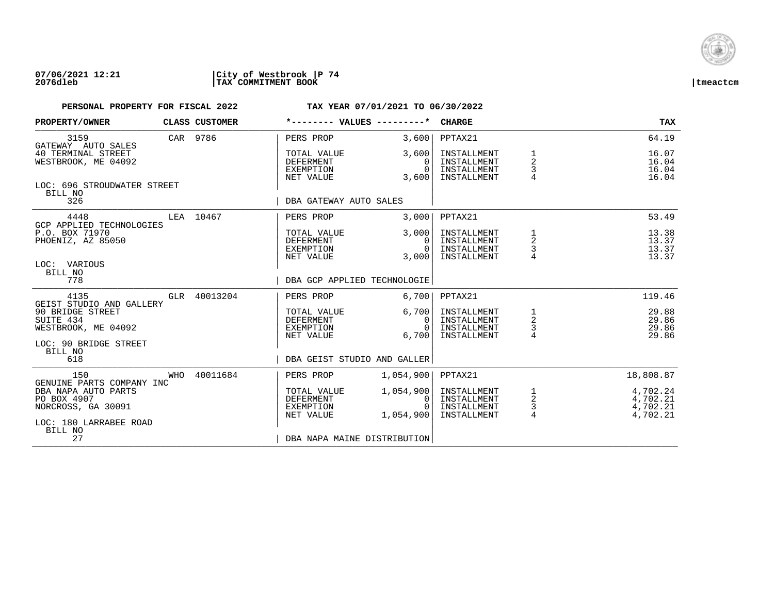

| PROPERTY/OWNER                                                                                            |          | CLASS CUSTOMER              | *-------- VALUES ---------*                               |                                        | <b>CHARGE</b>                                            |                                 | <b>TAX</b>                                   |
|-----------------------------------------------------------------------------------------------------------|----------|-----------------------------|-----------------------------------------------------------|----------------------------------------|----------------------------------------------------------|---------------------------------|----------------------------------------------|
| 3159<br>GATEWAY AUTO SALES                                                                                | CAR 9786 |                             | PERS PROP                                                 | 3.600                                  | PPTAX21                                                  |                                 | 64.19                                        |
| 40 TERMINAL STREET<br>WESTBROOK, ME 04092                                                                 |          |                             | TOTAL VALUE<br>DEFERMENT<br>EXEMPTION<br>NET VALUE        | 3,600<br>0<br>$\Omega$<br>3,600        | INSTALLMENT<br>INSTALLMENT<br>INSTALLMENT<br>INSTALLMENT | $\overline{a}$<br>$\frac{3}{4}$ | 16.07<br>16.04<br>16.04<br>16.04             |
| LOC: 696 STROUDWATER STREET<br>BILL NO<br>326                                                             |          |                             | DBA GATEWAY AUTO SALES                                    |                                        |                                                          |                                 |                                              |
| 4448                                                                                                      |          | LEA 10467                   | PERS PROP                                                 | 3,000                                  | PPTAX21                                                  |                                 | 53.49                                        |
| GCP APPLIED TECHNOLOGIES<br>P.O. BOX 71970<br>PHOENIZ, AZ 85050                                           |          |                             | TOTAL VALUE<br>DEFERMENT<br>EXEMPTION<br>NET VALUE        | 3,000<br>$\Omega$<br>$\Omega$<br>3.000 | INSTALLMENT<br>INSTALLMENT<br>INSTALLMENT<br>INSTALLMENT | $\frac{1}{2}$<br>$\frac{3}{4}$  | 13.38<br>13.37<br>13.37<br>13.37             |
| LOC: VARIOUS<br>BILL NO<br>778                                                                            |          | DBA GCP APPLIED TECHNOLOGIE |                                                           |                                        |                                                          |                                 |                                              |
| 4135                                                                                                      |          | GLR 40013204                | PERS PROP                                                 | 6,700                                  | PPTAX21                                                  |                                 | 119.46                                       |
| GEIST STUDIO AND GALLERY<br>90 BRIDGE STREET<br>SUITE 434<br>WESTBROOK, ME 04092<br>LOC: 90 BRIDGE STREET |          |                             | TOTAL VALUE<br>DEFERMENT<br>EXEMPTION<br>NET VALUE        | 6,700<br>0<br>$\Omega$<br>6,700        | INSTALLMENT<br>INSTALLMENT<br>INSTALLMENT<br>INSTALLMENT | $\frac{1}{2}$<br>$\frac{3}{4}$  | 29.88<br>29.86<br>29.86<br>29.86             |
| BILL NO<br>618                                                                                            |          |                             | DBA GEIST STUDIO AND GALLER                               |                                        |                                                          |                                 |                                              |
| 150<br>GENUINE PARTS COMPANY INC                                                                          | WHO      | 40011684                    | PERS PROP                                                 | 1,054,900                              | PPTAX21                                                  |                                 | 18,808.87                                    |
| DBA NAPA AUTO PARTS<br>PO BOX 4907<br>NORCROSS, GA 30091<br>LOC: 180 LARRABEE ROAD                        |          |                             | TOTAL VALUE<br><b>DEFERMENT</b><br>EXEMPTION<br>NET VALUE | 1,054,900<br>0<br>$\cap$<br>1,054,900  | INSTALLMENT<br>INSTALLMENT<br>INSTALLMENT<br>INSTALLMENT | $\frac{1}{2}$<br>$\frac{3}{4}$  | 4,702.24<br>4,702.21<br>4,702.21<br>4,702.21 |
| BILL NO<br>27                                                                                             |          |                             | DBA NAPA MAINE DISTRIBUTION                               |                                        |                                                          |                                 |                                              |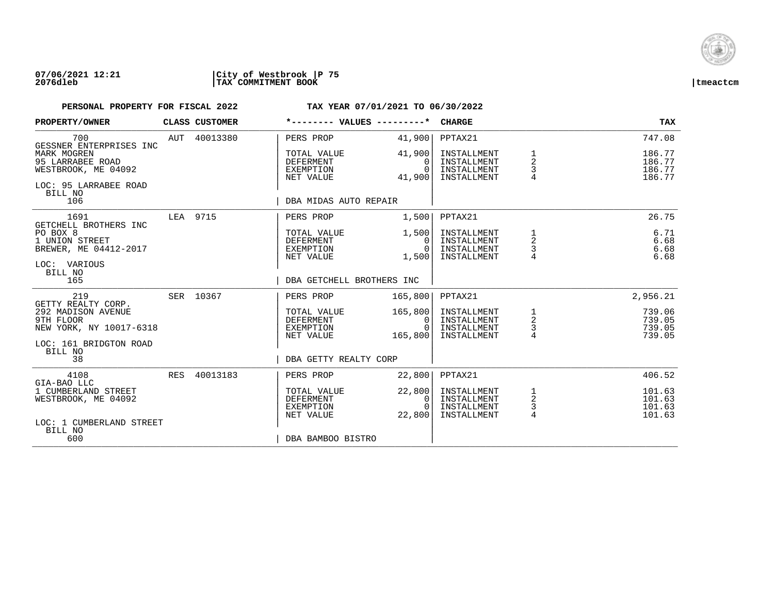

| PROPERTY/OWNER                                                                                                              |          | CLASS CUSTOMER | *-------- VALUES ---------*                                                        |                                           | <b>CHARGE</b>                                                       |                                       | <b>TAX</b>                                     |
|-----------------------------------------------------------------------------------------------------------------------------|----------|----------------|------------------------------------------------------------------------------------|-------------------------------------------|---------------------------------------------------------------------|---------------------------------------|------------------------------------------------|
| 700<br>GESSNER ENTERPRISES INC                                                                                              |          | AUT 40013380   | PERS PROP                                                                          | 41,900                                    | PPTAX21                                                             |                                       | 747.08                                         |
| MARK MOGREN<br>95 LARRABEE ROAD<br>WESTBROOK, ME 04092<br>LOC: 95 LARRABEE ROAD<br>BILL NO                                  |          |                | TOTAL VALUE<br><b>DEFERMENT</b><br>EXEMPTION<br>NET VALUE                          | 41,900<br>0<br>$\Omega$<br>41,900         | INSTALLMENT<br>INSTALLMENT<br>INSTALLMENT<br>INSTALLMENT            | $\overline{a}$<br>3<br>$\overline{4}$ | 186.77<br>186.77<br>186.77<br>186.77           |
| 106                                                                                                                         |          |                | DBA MIDAS AUTO REPAIR                                                              |                                           |                                                                     |                                       |                                                |
| 1691<br>GETCHELL BROTHERS INC                                                                                               | LEA 9715 |                | PERS PROP                                                                          | 1,500                                     | PPTAX21                                                             |                                       | 26.75                                          |
| PO BOX 8<br>1 UNION STREET<br>BREWER, ME 04412-2017<br>LOC: VARIOUS<br>BILL NO                                              |          |                | TOTAL VALUE<br>DEFERMENT<br>EXEMPTION<br>NET VALUE                                 | 1,500<br>$\Omega$<br>$\Omega$<br>1,500    | INSTALLMENT<br>INSTALLMENT<br>INSTALLMENT<br>INSTALLMENT            | 1<br>2<br>3                           | 6.71<br>6.68<br>6.68<br>6.68                   |
| 165                                                                                                                         |          |                | DBA GETCHELL BROTHERS INC                                                          |                                           |                                                                     |                                       |                                                |
| 219                                                                                                                         |          | SER 10367      | PERS PROP                                                                          | 165,800                                   | PPTAX21                                                             |                                       | 2,956.21                                       |
| GETTY REALTY CORP.<br>292 MADISON AVENUE<br>9TH FLOOR<br>NEW YORK, NY 10017-6318<br>LOC: 161 BRIDGTON ROAD<br>BILL NO<br>38 |          |                | TOTAL VALUE<br><b>DEFERMENT</b><br>EXEMPTION<br>NET VALUE<br>DBA GETTY REALTY CORP | 165,800<br>0<br>$\Omega$<br>165,800       | INSTALLMENT<br>INSTALLMENT<br>INSTALLMENT<br>INSTALLMENT            | $\frac{1}{2}$<br>$\frac{3}{4}$        | 739.06<br>739.05<br>739.05<br>739.05           |
|                                                                                                                             |          |                |                                                                                    |                                           |                                                                     |                                       |                                                |
| 4108<br>GIA-BAO LLC<br>1 CUMBERLAND STREET<br>WESTBROOK, ME 04092<br>LOC: 1 CUMBERLAND STREET<br>BILL NO                    | RES      | 40013183       | PERS PROP<br>TOTAL VALUE<br><b>DEFERMENT</b><br>EXEMPTION<br>NET VALUE             | 22,800<br>22,800<br>0<br>$\cap$<br>22,800 | PPTAX21<br>INSTALLMENT<br>INSTALLMENT<br>INSTALLMENT<br>INSTALLMENT | $\frac{1}{2}$<br>$\frac{3}{4}$        | 406.52<br>101.63<br>101.63<br>101.63<br>101.63 |
| 600                                                                                                                         |          |                | DBA BAMBOO BISTRO                                                                  |                                           |                                                                     |                                       |                                                |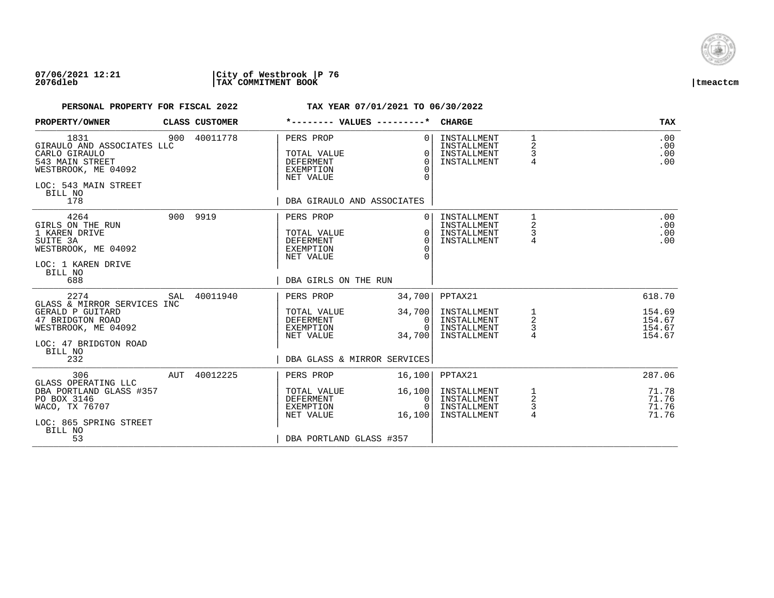

| PROPERTY/OWNER                                                                                                                                |     | CLASS CUSTOMER | *-------- VALUES ---------*                                                                                 |                                                          | <b>CHARGE</b>                                                       |                                 | <b>TAX</b>                                     |
|-----------------------------------------------------------------------------------------------------------------------------------------------|-----|----------------|-------------------------------------------------------------------------------------------------------------|----------------------------------------------------------|---------------------------------------------------------------------|---------------------------------|------------------------------------------------|
| 1831<br>GIRAULO AND ASSOCIATES LLC<br>CARLO GIRAULO<br>543 MAIN STREET<br>WESTBROOK, ME 04092<br>LOC: 543 MAIN STREET<br>BILL NO<br>178       |     | 900 40011778   | PERS PROP<br>TOTAL VALUE<br><b>DEFERMENT</b><br><b>EXEMPTION</b><br>NET VALUE<br>DBA GIRAULO AND ASSOCIATES | $\Omega$<br>$\Omega$<br>$\Omega$<br>$\Omega$<br>$\Omega$ | INSTALLMENT<br>INSTALLMENT<br>INSTALLMENT<br>INSTALLMENT            | 1<br>2<br>3<br>$\overline{4}$   | .00<br>.00<br>.00<br>.00                       |
| 4264<br>GIRLS ON THE RUN<br>1 KAREN DRIVE<br>SUITE 3A<br>WESTBROOK, ME 04092<br>LOC: 1 KAREN DRIVE<br>BILL NO<br>688                          |     | 900 9919       | PERS PROP<br>TOTAL VALUE<br><b>DEFERMENT</b><br>EXEMPTION<br>NET VALUE<br>DBA GIRLS ON THE RUN              | $\Omega$<br>$\Omega$<br>$\Omega$<br>$\Omega$<br>$\cap$   | INSTALLMENT<br>INSTALLMENT<br>INSTALLMENT<br>INSTALLMENT            | $\mathbf{1}$<br>2<br>3<br>4     | .00<br>.00<br>.00<br>.00                       |
| 2274<br>GLASS & MIRROR SERVICES INC<br>GERALD P GUITARD<br>47 BRIDGTON ROAD<br>WESTBROOK, ME 04092<br>LOC: 47 BRIDGTON ROAD<br>BILL NO<br>232 | SAL | 40011940       | PERS PROP<br>TOTAL VALUE<br>DEFERMENT<br>EXEMPTION<br>NET VALUE<br>DBA GLASS & MIRROR SERVICES              | 34,700<br>34,700<br>0<br>$\Omega$<br>34,700              | PPTAX21<br>INSTALLMENT<br>INSTALLMENT<br>INSTALLMENT<br>INSTALLMENT | $\frac{1}{2}$<br>$\overline{4}$ | 618.70<br>154.69<br>154.67<br>154.67<br>154.67 |
| 306<br>GLASS OPERATING LLC<br>DBA PORTLAND GLASS #357<br>PO BOX 3146<br>WACO, TX 76707<br>LOC: 865 SPRING STREET<br>BILL NO<br>53             | AUT | 40012225       | PERS PROP<br>TOTAL VALUE<br><b>DEFERMENT</b><br>EXEMPTION<br>NET VALUE<br>DBA PORTLAND GLASS #357           | 16,100<br>16,100<br>0<br>$\Omega$<br>16,100              | PPTAX21<br>INSTALLMENT<br>INSTALLMENT<br>INSTALLMENT<br>INSTALLMENT | $\frac{1}{2}$<br>3<br>4         | 287.06<br>71.78<br>71.76<br>71.76<br>71.76     |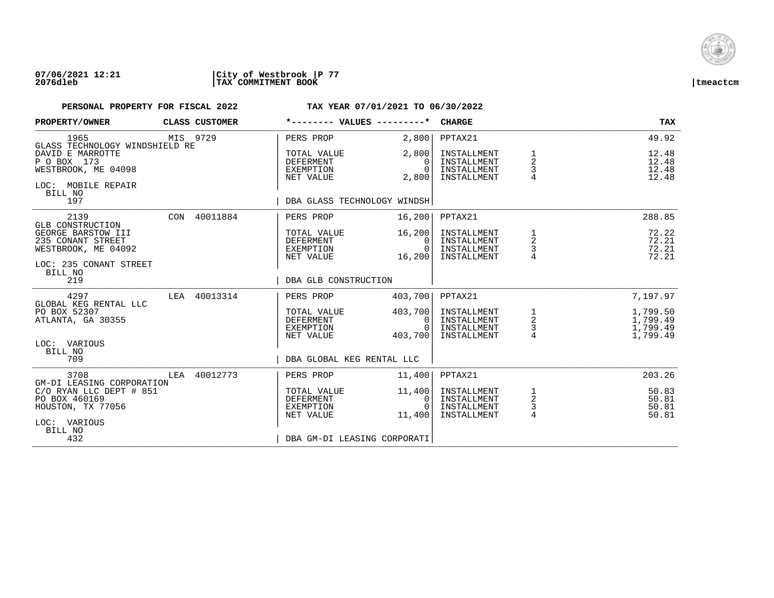

| PROPERTY/OWNER                                                                           |     | CLASS CUSTOMER | *-------- VALUES ---------*                               |                                          | <b>CHARGE</b>                                            |                                                   | <b>TAX</b>                                   |
|------------------------------------------------------------------------------------------|-----|----------------|-----------------------------------------------------------|------------------------------------------|----------------------------------------------------------|---------------------------------------------------|----------------------------------------------|
| 1965<br>GLASS TECHNOLOGY WINDSHIELD RE                                                   |     | MIS 9729       | PERS PROP                                                 | 2,800                                    | PPTAX21                                                  |                                                   | 49.92                                        |
| DAVID E MARROTTE<br>P O BOX 173<br>WESTBROOK, ME 04098<br>LOC: MOBILE REPAIR<br>BILL NO  |     |                | TOTAL VALUE<br><b>DEFERMENT</b><br>EXEMPTION<br>NET VALUE | 2,800<br>$\Omega$<br>$\Omega$<br>2,800   | INSTALLMENT<br>INSTALLMENT<br>INSTALLMENT<br>INSTALLMENT | 1<br>$\overline{2}$<br>3<br>$\overline{4}$        | 12.48<br>12.48<br>12.48<br>12.48             |
| 197                                                                                      |     |                | DBA GLASS TECHNOLOGY WINDSH                               |                                          |                                                          |                                                   |                                              |
| 2139<br>GLB CONSTRUCTION                                                                 |     | CON 40011884   | PERS PROP                                                 | 16, 200                                  | PPTAX21                                                  |                                                   | 288.85                                       |
| GEORGE BARSTOW III<br>235 CONANT STREET<br>WESTBROOK, ME 04092<br>LOC: 235 CONANT STREET |     |                | TOTAL VALUE<br><b>DEFERMENT</b><br>EXEMPTION<br>NET VALUE | 16,200<br>$\Omega$<br>$\Omega$<br>16,200 | INSTALLMENT<br>INSTALLMENT<br>INSTALLMENT<br>INSTALLMENT | 1<br>2<br>3                                       | 72.22<br>72.21<br>72.21<br>72.21             |
| BILL NO<br>219                                                                           |     |                | DBA GLB CONSTRUCTION                                      |                                          |                                                          |                                                   |                                              |
| 4297<br>GLOBAL KEG RENTAL LLC                                                            |     | LEA 40013314   | PERS PROP                                                 | 403,700                                  | PPTAX21                                                  |                                                   | 7,197.97                                     |
| PO BOX 52307<br>ATLANTA, GA 30355<br>LOC: VARIOUS                                        |     |                | TOTAL VALUE<br><b>DEFERMENT</b><br>EXEMPTION<br>NET VALUE | 403,700<br>0<br>$\Omega$<br>403,700      | INSTALLMENT<br>INSTALLMENT<br>INSTALLMENT<br>INSTALLMENT | $\begin{array}{c}\n1 \\ 2 \\ 3 \\ 4\n\end{array}$ | 1,799.50<br>1,799.49<br>1,799.49<br>1,799.49 |
| BILL NO<br>709                                                                           |     |                | DBA GLOBAL KEG RENTAL LLC                                 |                                          |                                                          |                                                   |                                              |
| 3708<br>GM-DI LEASING CORPORATION                                                        | LEA | 40012773       | PERS PROP                                                 | 11,400                                   | PPTAX21                                                  |                                                   | 203.26                                       |
| C/O RYAN LLC DEPT # 851<br>PO BOX 460169<br>HOUSTON, TX 77056<br>LOC: VARIOUS<br>BILL NO |     |                | TOTAL VALUE<br><b>DEFERMENT</b><br>EXEMPTION<br>NET VALUE | 11,400<br>0<br>$\Omega$<br>11,400        | INSTALLMENT<br>INSTALLMENT<br>INSTALLMENT<br>INSTALLMENT | $\frac{1}{2}$<br>3<br>$\overline{4}$              | 50.83<br>50.81<br>50.81<br>50.81             |
| 432                                                                                      |     |                | DBA GM-DI LEASING CORPORATI                               |                                          |                                                          |                                                   |                                              |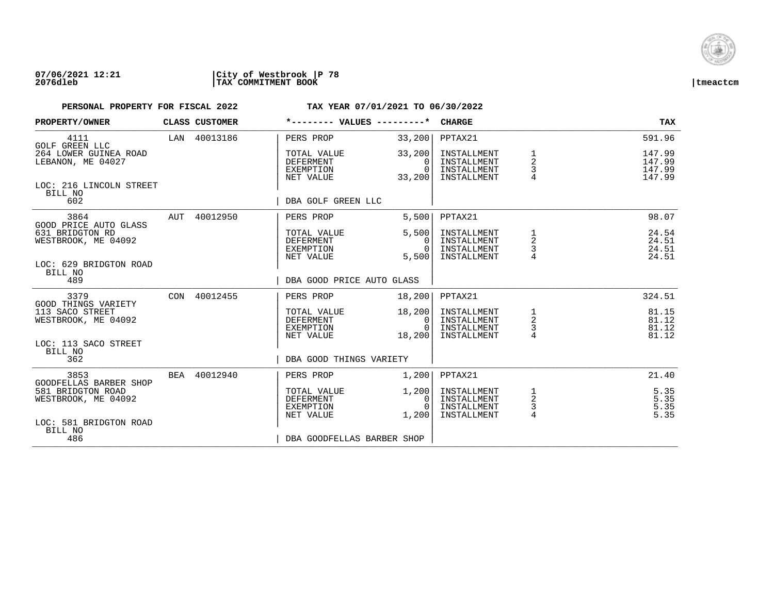

| <b>PROPERTY/OWNER</b>                      | CLASS CUSTOMER |                                                           | $*$ -------- VALUES --------* CHARGE                 |                                                          |                                                     | <b>TAX</b>                           |
|--------------------------------------------|----------------|-----------------------------------------------------------|------------------------------------------------------|----------------------------------------------------------|-----------------------------------------------------|--------------------------------------|
| 4111<br><b>GOLF GREEN LLC</b>              | LAN 40013186   | PERS PROP                                                 | 33,200                                               | PPTAX21                                                  |                                                     | 591.96                               |
| 264 LOWER GUINEA ROAD<br>LEBANON, ME 04027 |                | TOTAL VALUE<br><b>DEFERMENT</b><br>EXEMPTION<br>NET VALUE | 33,200<br>$\Omega$<br>$\Omega$<br>33,200             | INSTALLMENT<br>INSTALLMENT<br>INSTALLMENT<br>INSTALLMENT | 1<br>$\overline{\mathbf{c}}$<br>3<br>$\overline{4}$ | 147.99<br>147.99<br>147.99<br>147.99 |
| LOC: 216 LINCOLN STREET<br>BILL NO<br>602  |                | DBA GOLF GREEN LLC                                        |                                                      |                                                          |                                                     |                                      |
|                                            |                |                                                           |                                                      |                                                          |                                                     |                                      |
| 3864<br>GOOD PRICE AUTO GLASS              | AUT 40012950   | PERS PROP                                                 | 5,500                                                | PPTAX21                                                  |                                                     | 98.07                                |
| 631 BRIDGTON RD<br>WESTBROOK, ME 04092     |                | TOTAL VALUE<br>DEFERMENT<br>EXEMPTION<br>NET VALUE        | 5,500<br>0 <sub>1</sub><br>0 <sup>1</sup><br>5,500   | INSTALLMENT<br>INSTALLMENT<br>INSTALLMENT<br>INSTALLMENT | 2<br>3                                              | 24.54<br>24.51<br>24.51<br>24.51     |
| LOC: 629 BRIDGTON ROAD                     |                |                                                           |                                                      |                                                          |                                                     |                                      |
| BILL NO<br>489                             |                |                                                           | DBA GOOD PRICE AUTO GLASS                            |                                                          |                                                     |                                      |
| 3379<br>GOOD THINGS VARIETY                | CON 40012455   | PERS PROP                                                 | 18,200                                               | PPTAX21                                                  |                                                     | 324.51                               |
| 113 SACO STREET<br>WESTBROOK, ME 04092     |                | TOTAL VALUE<br>DEFERMENT                                  | 18,200<br>0 <sup>1</sup>                             | INSTALLMENT<br>INSTALLMENT                               | $\frac{1}{2}$                                       | 81.15<br>81.12                       |
|                                            |                | EXEMPTION                                                 | $\overline{0}$                                       | INSTALLMENT                                              | $\frac{3}{4}$                                       | 81.12                                |
| LOC: 113 SACO STREET                       |                | NET VALUE                                                 | 18,200                                               | INSTALLMENT                                              |                                                     | 81.12                                |
| BILL NO<br>362                             |                |                                                           | DBA GOOD THINGS VARIETY                              |                                                          |                                                     |                                      |
| 3853<br>GOODFELLAS BARBER SHOP             | BEA 40012940   | PERS PROP                                                 | 1,200                                                | PPTAX21                                                  |                                                     | 21.40                                |
| 581 BRIDGTON ROAD<br>WESTBROOK, ME 04092   |                | TOTAL VALUE<br>DEFERMENT<br>EXEMPTION<br>NET VALUE        | 1,200<br>0 <sup>1</sup><br>$\overline{0}$ I<br>1,200 | INSTALLMENT<br>INSTALLMENT<br>INSTALLMENT<br>INSTALLMENT | 1<br>$\overline{c}$<br>3<br>$\overline{4}$          | 5.35<br>5.35<br>5.35<br>5.35         |
| LOC: 581 BRIDGTON ROAD<br>BILL NO          |                |                                                           |                                                      |                                                          |                                                     |                                      |
| 486                                        |                |                                                           | DBA GOODFELLAS BARBER SHOP                           |                                                          |                                                     |                                      |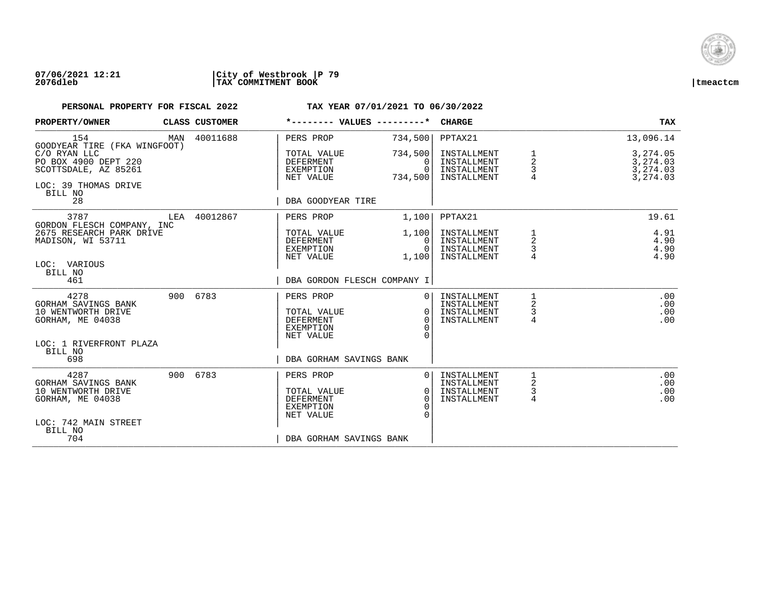

## **07/06/2021 12:21 |City of Westbrook |P 79 2076dleb |TAX COMMITMENT BOOK |tmeactcm**

| PROPERTY/OWNER                                                                                                  |     | CLASS CUSTOMER | *-------- VALUES ---------*                                                                              |                                                 | <b>CHARGE</b>                                            |                  | TAX                                          |
|-----------------------------------------------------------------------------------------------------------------|-----|----------------|----------------------------------------------------------------------------------------------------------|-------------------------------------------------|----------------------------------------------------------|------------------|----------------------------------------------|
| 154<br>GOODYEAR TIRE (FKA WINGFOOT)                                                                             | MAN | 40011688       | PERS PROP                                                                                                | 734,500                                         | PPTAX21                                                  |                  | 13,096.14                                    |
| C/O RYAN LLC<br>PO BOX 4900 DEPT 220<br>SCOTTSDALE, AZ 85261<br>LOC: 39 THOMAS DRIVE<br>BILL NO                 |     |                | TOTAL VALUE<br>DEFERMENT<br>EXEMPTION<br>NET VALUE                                                       | 734,500<br>$\Omega$<br>$\Omega$<br>734,500      | INSTALLMENT<br>INSTALLMENT<br>INSTALLMENT<br>INSTALLMENT | 2<br>3           | 3,274.05<br>3,274.03<br>3,274.03<br>3,274.03 |
| 28                                                                                                              |     |                | DBA GOODYEAR TIRE                                                                                        |                                                 |                                                          |                  |                                              |
| 3787<br>GORDON FLESCH COMPANY, INC                                                                              |     | LEA 40012867   | PERS PROP                                                                                                | 1,100                                           | PPTAX21                                                  |                  | 19.61                                        |
| 2675 RESEARCH PARK DRIVE<br>MADISON, WI 53711                                                                   |     |                | TOTAL VALUE<br>DEFERMENT<br>EXEMPTION<br>NET VALUE                                                       | 1,100<br>$\Omega$<br>$\Omega$<br>1,100          | INSTALLMENT<br>INSTALLMENT<br>INSTALLMENT<br>INSTALLMENT | 1<br>2<br>3<br>4 | 4.91<br>4.90<br>4.90<br>4.90                 |
| LOC: VARIOUS<br>BILL NO<br>461                                                                                  |     |                | DBA GORDON FLESCH COMPANY I                                                                              |                                                 |                                                          |                  |                                              |
| 4278<br>GORHAM SAVINGS BANK<br>10 WENTWORTH DRIVE<br>GORHAM, ME 04038                                           |     | 900 6783       | PERS PROP<br>TOTAL VALUE<br><b>DEFERMENT</b><br><b>EXEMPTION</b><br>NET VALUE                            | $\Omega$<br>$\Omega$<br>$\Omega$<br>∩<br>$\cap$ | INSTALLMENT<br>INSTALLMENT<br>INSTALLMENT<br>INSTALLMENT | 2<br>3<br>4      | .00<br>.00<br>.00<br>.00                     |
| LOC: 1 RIVERFRONT PLAZA<br>BILL NO<br>698                                                                       |     |                | DBA GORHAM SAVINGS BANK                                                                                  |                                                 |                                                          |                  |                                              |
| 4287<br>GORHAM SAVINGS BANK<br>10 WENTWORTH DRIVE<br>GORHAM, ME 04038<br>LOC: 742 MAIN STREET<br>BILL NO<br>704 |     | 900 6783       | PERS PROP<br>TOTAL VALUE<br><b>DEFERMENT</b><br><b>EXEMPTION</b><br>NET VALUE<br>DBA GORHAM SAVINGS BANK | $\Omega$<br>$\Omega$<br>$\Omega$<br>$\cap$      | INSTALLMENT<br>INSTALLMENT<br>INSTALLMENT<br>INSTALLMENT | 1<br>2<br>3<br>4 | .00<br>.00<br>.00<br>.00                     |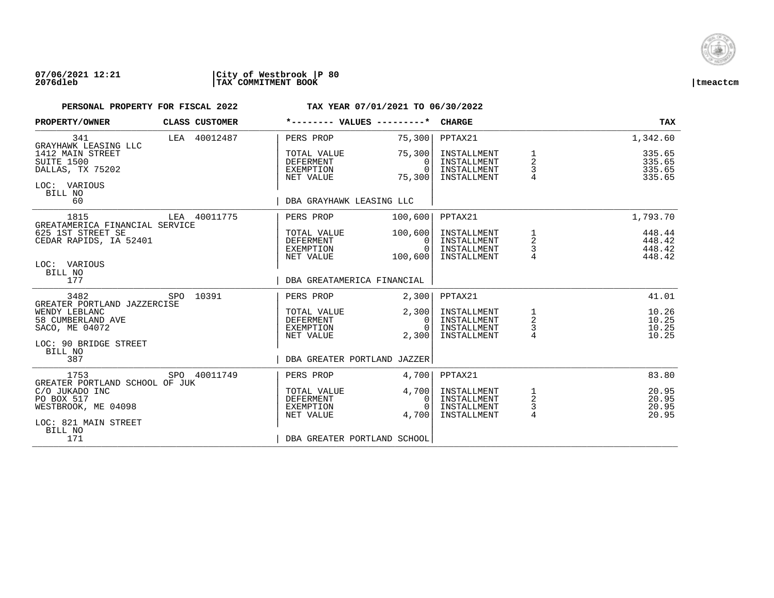

## **07/06/2021 12:21 |City of Westbrook |P 80 2076dleb |TAX COMMITMENT BOOK |tmeactcm**

| PROPERTY/OWNER                                                                |  | CLASS CUSTOMER |                                                           | *-------- VALUES ---------*              | <b>CHARGE</b>                                            |                                                   | TAX                                  |
|-------------------------------------------------------------------------------|--|----------------|-----------------------------------------------------------|------------------------------------------|----------------------------------------------------------|---------------------------------------------------|--------------------------------------|
| 341<br>GRAYHAWK LEASING LLC                                                   |  | LEA 40012487   | PERS PROP                                                 | 75,300                                   | PPTAX21                                                  |                                                   | 1,342.60                             |
| 1412 MAIN STREET<br>SUITE 1500<br>DALLAS, TX 75202<br>LOC: VARIOUS<br>BILL NO |  |                | TOTAL VALUE<br>DEFERMENT<br>EXEMPTION<br>NET VALUE        | 75,300<br>$\Omega$<br>$\Omega$<br>75,300 | INSTALLMENT<br>INSTALLMENT<br>INSTALLMENT<br>INSTALLMENT | 1<br>2<br>3                                       | 335.65<br>335.65<br>335.65<br>335.65 |
| 60                                                                            |  |                |                                                           | DBA GRAYHAWK LEASING LLC                 |                                                          |                                                   |                                      |
| 1815<br>GREATAMERICA FINANCIAL SERVICE                                        |  | LEA 40011775   | PERS PROP                                                 | 100,600                                  | PPTAX21                                                  |                                                   | 1,793.70                             |
| 625 1ST STREET SE<br>CEDAR RAPIDS, IA 52401<br>LOC: VARIOUS                   |  |                | TOTAL VALUE<br>DEFERMENT<br>EXEMPTION<br>NET VALUE        | 100,600<br>0<br>$\Omega$<br>100,600      | INSTALLMENT<br>INSTALLMENT<br>INSTALLMENT<br>INSTALLMENT | $\begin{array}{c}\n1 \\ 2 \\ 3 \\ 4\n\end{array}$ | 448.44<br>448.42<br>448.42<br>448.42 |
| BILL NO<br>177                                                                |  |                |                                                           | DBA GREATAMERICA FINANCIAL               |                                                          |                                                   |                                      |
| 3482<br>GREATER PORTLAND JAZZERCISE                                           |  | SPO 10391      | PERS PROP                                                 | 2,300                                    | PPTAX21                                                  |                                                   | 41.01                                |
| WENDY LEBLANC<br>58 CUMBERLAND AVE<br>SACO, ME 04072                          |  |                | TOTAL VALUE<br><b>DEFERMENT</b><br>EXEMPTION<br>NET VALUE | 2,300<br>$\Omega$<br>$\Omega$<br>2,300   | INSTALLMENT<br>INSTALLMENT<br>INSTALLMENT<br>INSTALLMENT | $\frac{1}{2}$<br>$\frac{3}{4}$                    | 10.26<br>10.25<br>10.25<br>10.25     |
| LOC: 90 BRIDGE STREET<br>BILL NO<br>387                                       |  |                |                                                           | DBA GREATER PORTLAND JAZZER              |                                                          |                                                   |                                      |
| 1753<br>GREATER PORTLAND SCHOOL OF JUK                                        |  | SPO 40011749   | PERS PROP                                                 | 4,700                                    | PPTAX21                                                  |                                                   | 83.80                                |
| C/O JUKADO INC<br>PO BOX 517<br>WESTBROOK, ME 04098<br>LOC: 821 MAIN STREET   |  |                | TOTAL VALUE<br><b>DEFERMENT</b><br>EXEMPTION<br>NET VALUE | 4,700<br>0<br>$\Omega$<br>4,700          | INSTALLMENT<br>INSTALLMENT<br>INSTALLMENT<br>INSTALLMENT | $\frac{1}{2}$<br>3<br>$\overline{4}$              | 20.95<br>20.95<br>20.95<br>20.95     |
| BILL NO<br>171                                                                |  |                |                                                           | DBA GREATER PORTLAND SCHOOL              |                                                          |                                                   |                                      |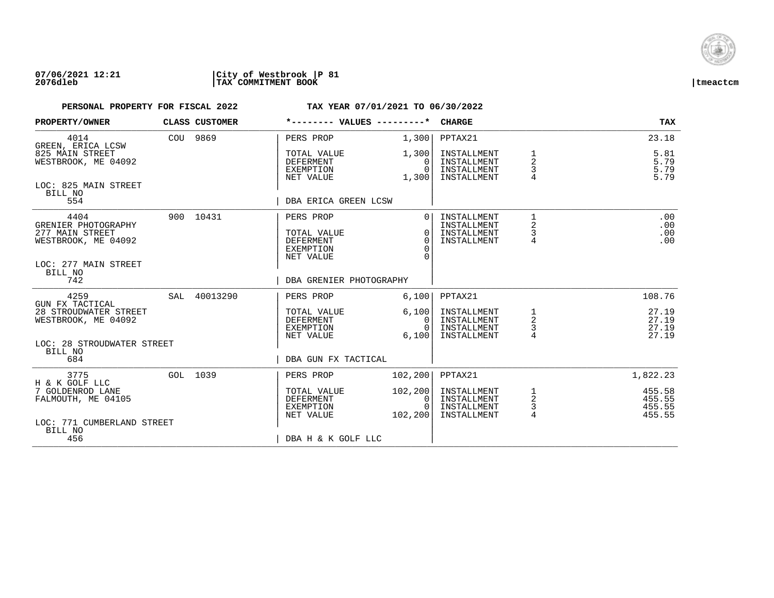

| PROPERTY/OWNER                                                                                | CLASS CUSTOMER | *-------- VALUES ---------*                                            |                                                        | <b>CHARGE</b>                                            |                                                                | <b>TAX</b>                           |
|-----------------------------------------------------------------------------------------------|----------------|------------------------------------------------------------------------|--------------------------------------------------------|----------------------------------------------------------|----------------------------------------------------------------|--------------------------------------|
| 4014<br>GREEN, ERICA LCSW                                                                     | COU 9869       | PERS PROP                                                              | 1,300                                                  | PPTAX21                                                  |                                                                | 23.18                                |
| 825 MAIN STREET<br>WESTBROOK, ME 04092                                                        |                | TOTAL VALUE<br><b>DEFERMENT</b><br>EXEMPTION<br>NET VALUE              | 1,300<br>0<br>$\Omega$<br>1,300                        | INSTALLMENT<br>INSTALLMENT<br>INSTALLMENT<br>INSTALLMENT | 1<br>$\overline{2}$<br>3<br>4                                  | 5.81<br>5.79<br>5.79<br>5.79         |
| LOC: 825 MAIN STREET<br>BILL NO<br>554                                                        |                | DBA ERICA GREEN LCSW                                                   |                                                        |                                                          |                                                                |                                      |
| 4404<br>GRENIER PHOTOGRAPHY<br>277 MAIN STREET<br>WESTBROOK, ME 04092<br>LOC: 277 MAIN STREET | 900 10431      | PERS PROP<br>TOTAL VALUE<br><b>DEFERMENT</b><br>EXEMPTION<br>NET VALUE | $\Omega$<br>$\Omega$<br>$\Omega$<br>$\Omega$<br>$\cap$ | INSTALLMENT<br>INSTALLMENT<br>INSTALLMENT<br>INSTALLMENT | $\mathbf{1}$<br>$\overline{\mathbf{c}}$<br>3<br>$\overline{4}$ | .00<br>.00<br>.00<br>.00             |
| BILL NO<br>742                                                                                |                | DBA GRENIER PHOTOGRAPHY                                                |                                                        |                                                          |                                                                |                                      |
| 4259<br>GUN FX TACTICAL                                                                       | SAL 40013290   | PERS PROP                                                              | 6,100                                                  | PPTAX21                                                  |                                                                | 108.76                               |
| 28 STROUDWATER STREET<br>WESTBROOK, ME 04092                                                  |                | TOTAL VALUE<br><b>DEFERMENT</b><br>EXEMPTION<br>NET VALUE              | 6,100<br>0 <sup>1</sup><br>$\cap$<br>6,100             | INSTALLMENT<br>INSTALLMENT<br>INSTALLMENT<br>INSTALLMENT | 1<br>$\overline{a}$<br>3<br>$\overline{4}$                     | 27.19<br>27.19<br>27.19<br>27.19     |
| LOC: 28 STROUDWATER STREET<br>BILL NO<br>684                                                  |                | DBA GUN FX TACTICAL                                                    |                                                        |                                                          |                                                                |                                      |
| 3775<br>H & K GOLF LLC                                                                        | GOL 1039       | PERS PROP                                                              | 102, 200                                               | PPTAX21                                                  |                                                                | 1,822.23                             |
| 7 GOLDENROD LANE<br>FALMOUTH, ME 04105                                                        |                | TOTAL VALUE<br>DEFERMENT<br>EXEMPTION<br>NET VALUE                     | 102, 200<br>$\mathbf{0}$<br>$\Omega$<br>102,200        | INSTALLMENT<br>INSTALLMENT<br>INSTALLMENT<br>INSTALLMENT | 1<br>$\overline{a}$<br>$\frac{3}{4}$                           | 455.58<br>455.55<br>455.55<br>455.55 |
| LOC: 771 CUMBERLAND STREET<br>BILL NO<br>456                                                  |                | DBA H & K GOLF LLC                                                     |                                                        |                                                          |                                                                |                                      |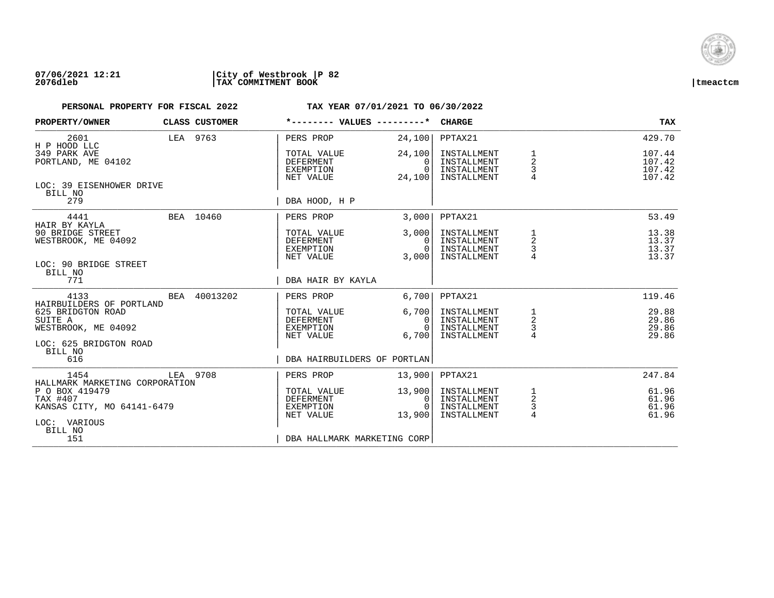

| PROPERTY/OWNER                                                           |  | CLASS CUSTOMER | *-------- VALUES ---------*                               |                                           | <b>CHARGE</b>                                            |                                                               | <b>TAX</b>                           |
|--------------------------------------------------------------------------|--|----------------|-----------------------------------------------------------|-------------------------------------------|----------------------------------------------------------|---------------------------------------------------------------|--------------------------------------|
| 2601<br>H P HOOD LLC                                                     |  | LEA 9763       | PERS PROP                                                 | 24,100                                    | PPTAX21                                                  |                                                               | 429.70                               |
| 349 PARK AVE<br>PORTLAND, ME 04102                                       |  |                | TOTAL VALUE<br>DEFERMENT<br>EXEMPTION<br>NET VALUE        | 24,100<br>$\Omega$<br>$\Omega$<br>24,100  | INSTALLMENT<br>INSTALLMENT<br>INSTALLMENT<br>INSTALLMENT | $\overline{a}$<br>3<br>4                                      | 107.44<br>107.42<br>107.42<br>107.42 |
| LOC: 39 EISENHOWER DRIVE<br>BILL NO<br>279                               |  |                | DBA HOOD, H P                                             |                                           |                                                          |                                                               |                                      |
| 4441                                                                     |  | BEA 10460      | PERS PROP                                                 | 3,000                                     | PPTAX21                                                  |                                                               | 53.49                                |
| HAIR BY KAYLA<br>90 BRIDGE STREET<br>WESTBROOK, ME 04092                 |  |                | TOTAL VALUE<br><b>DEFERMENT</b><br>EXEMPTION<br>NET VALUE | 3,000<br>$\Omega$<br>$\mathbf 0$<br>3,000 | INSTALLMENT<br>INSTALLMENT<br>INSTALLMENT<br>INSTALLMENT | 1<br>$\overline{\mathbf{c}}$<br>$\mathsf 3$<br>$\overline{4}$ | 13.38<br>13.37<br>13.37<br>13.37     |
| LOC: 90 BRIDGE STREET<br>BILL NO<br>771                                  |  |                | DBA HAIR BY KAYLA                                         |                                           |                                                          |                                                               |                                      |
| 4133<br>HAIRBUILDERS OF PORTLAND                                         |  | BEA 40013202   | PERS PROP                                                 | 6,700                                     | PPTAX21                                                  |                                                               | 119.46                               |
| 625 BRIDGTON ROAD<br>SUITE A<br>WESTBROOK, ME 04092                      |  |                | TOTAL VALUE<br>DEFERMENT<br>EXEMPTION<br>NET VALUE        | 6,700<br>0<br>$\Omega$<br>6,700           | INSTALLMENT<br>INSTALLMENT<br>INSTALLMENT<br>INSTALLMENT | 1<br>$\sqrt{2}$<br>3<br>4                                     | 29.88<br>29.86<br>29.86<br>29.86     |
| LOC: 625 BRIDGTON ROAD<br>BILL NO<br>616                                 |  |                | DBA HAIRBUILDERS OF PORTLAN                               |                                           |                                                          |                                                               |                                      |
| 1454<br>HALLMARK MARKETING CORPORATION                                   |  | LEA 9708       | PERS PROP                                                 | 13,900                                    | PPTAX21                                                  |                                                               | 247.84                               |
| P O BOX 419479<br>TAX #407<br>KANSAS CITY, MO 64141-6479<br>LOC: VARIOUS |  |                | TOTAL VALUE<br><b>DEFERMENT</b><br>EXEMPTION<br>NET VALUE | 13,900<br>0<br>$\Omega$<br>13,900         | INSTALLMENT<br>INSTALLMENT<br>INSTALLMENT<br>INSTALLMENT | 1<br>$\sqrt{2}$<br>3<br>4                                     | 61.96<br>61.96<br>61.96<br>61.96     |
| BILL NO<br>151                                                           |  |                | DBA HALLMARK MARKETING CORP                               |                                           |                                                          |                                                               |                                      |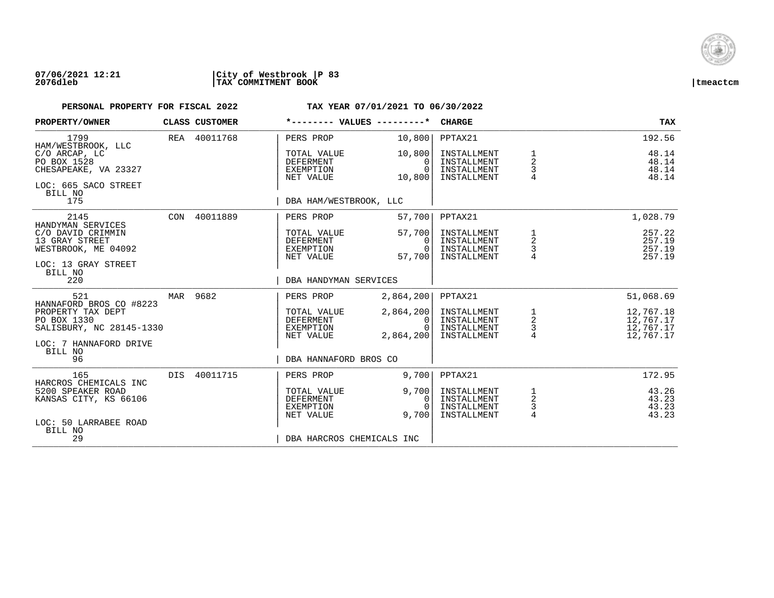

| PROPERTY/OWNER                                                                          |     | <b>CLASS CUSTOMER</b> |                                                           | *-------- VALUES ---------*             | <b>CHARGE</b>                                            |                                                     | TAX                                              |
|-----------------------------------------------------------------------------------------|-----|-----------------------|-----------------------------------------------------------|-----------------------------------------|----------------------------------------------------------|-----------------------------------------------------|--------------------------------------------------|
| 1799<br>HAM/WESTBROOK, LLC                                                              |     | REA 40011768          | PERS PROP                                                 | 10,800                                  | PPTAX21                                                  |                                                     | 192.56                                           |
| C/O ARCAP, LC<br>PO BOX 1528<br>CHESAPEAKE, VA 23327<br>LOC: 665 SACO STREET<br>BILL NO |     |                       | TOTAL VALUE<br><b>DEFERMENT</b><br>EXEMPTION<br>NET VALUE | 10,800<br>0<br>$\Omega$<br>10,800       | INSTALLMENT<br>INSTALLMENT<br>INSTALLMENT<br>INSTALLMENT | 1<br>$\overline{2}$<br>3<br>4                       | 48.14<br>48.14<br>48.14<br>48.14                 |
| 175                                                                                     |     |                       | DBA HAM/WESTBROOK, LLC                                    |                                         |                                                          |                                                     |                                                  |
| 2145<br>HANDYMAN SERVICES                                                               |     | CON 40011889          | PERS PROP                                                 | 57,700                                  | PPTAX21                                                  |                                                     | 1,028.79                                         |
| C/O DAVID CRIMMIN<br>13 GRAY STREET<br>WESTBROOK, ME 04092<br>LOC: 13 GRAY STREET       |     |                       | TOTAL VALUE<br><b>DEFERMENT</b><br>EXEMPTION<br>NET VALUE | 57,700<br>$\Omega$<br>0<br>57,700       | INSTALLMENT<br>INSTALLMENT<br>INSTALLMENT<br>INSTALLMENT | 1<br>$\overline{\mathbf{c}}$<br>3<br>$\overline{4}$ | 257.22<br>257.19<br>257.19<br>257.19             |
| BILL NO<br>220                                                                          |     |                       | DBA HANDYMAN SERVICES                                     |                                         |                                                          |                                                     |                                                  |
| 521<br>HANNAFORD BROS CO #8223                                                          |     | MAR 9682              | PERS PROP                                                 | 2,864,200                               | PPTAX21                                                  |                                                     | 51,068.69                                        |
| PROPERTY TAX DEPT<br>PO BOX 1330<br>SALISBURY, NC 28145-1330                            |     |                       | TOTAL VALUE<br>DEFERMENT<br>EXEMPTION<br>NET VALUE        | 2,864,200<br>0<br>$\Omega$<br>2,864,200 | INSTALLMENT<br>INSTALLMENT<br>INSTALLMENT<br>INSTALLMENT | $\frac{1}{2}$<br>$\overline{4}$                     | 12,767.18<br>12,767.17<br>12,767.17<br>12,767.17 |
| LOC: 7 HANNAFORD DRIVE<br>BILL NO<br>96                                                 |     |                       | DBA HANNAFORD BROS CO                                     |                                         |                                                          |                                                     |                                                  |
|                                                                                         |     |                       |                                                           |                                         |                                                          |                                                     |                                                  |
| 165<br>HARCROS CHEMICALS INC                                                            | DIS | 40011715              | PERS PROP                                                 | 9,700                                   | PPTAX21                                                  |                                                     | 172.95                                           |
| 5200 SPEAKER ROAD<br>KANSAS CITY, KS 66106                                              |     |                       | TOTAL VALUE<br><b>DEFERMENT</b><br>EXEMPTION<br>NET VALUE | 9,700<br>0<br>$\Omega$<br>9,700         | INSTALLMENT<br>INSTALLMENT<br>INSTALLMENT<br>INSTALLMENT | $\frac{1}{2}$<br>3<br>$\overline{4}$                | 43.26<br>43.23<br>43.23<br>43.23                 |
| LOC: 50 LARRABEE ROAD<br>BILL NO<br>29                                                  |     |                       |                                                           | DBA HARCROS CHEMICALS INC               |                                                          |                                                     |                                                  |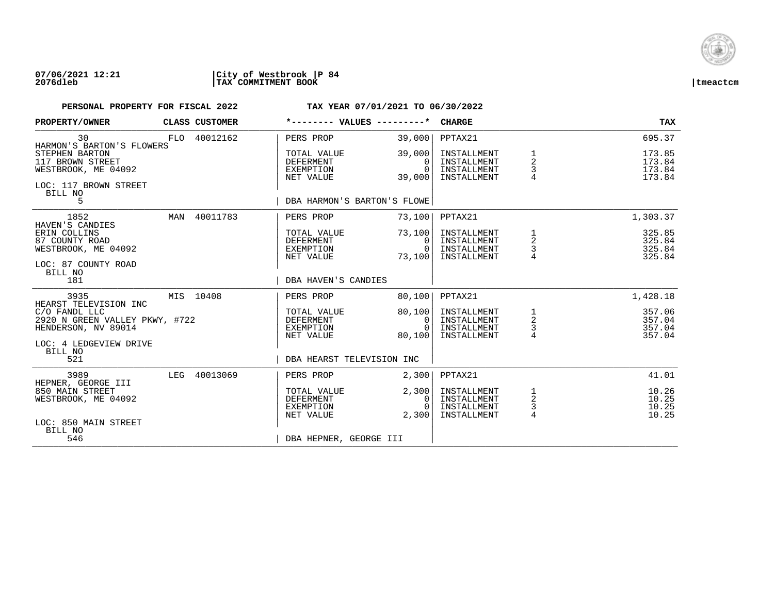

## **07/06/2021 12:21 |City of Westbrook |P 84 2076dleb |TAX COMMITMENT BOOK |tmeactcm**

| PROPERTY/OWNER                                                                                |                 | CLASS CUSTOMER | *-------- VALUES ---------*                        |                                              | <b>CHARGE</b>                                            |                                      | <b>TAX</b>                           |
|-----------------------------------------------------------------------------------------------|-----------------|----------------|----------------------------------------------------|----------------------------------------------|----------------------------------------------------------|--------------------------------------|--------------------------------------|
| 30<br>HARMON'S BARTON'S FLOWERS                                                               |                 | FLO 40012162   | PERS PROP                                          | 39,000                                       | PPTAX21                                                  |                                      | 695.37                               |
| STEPHEN BARTON<br>117 BROWN STREET<br>WESTBROOK, ME 04092<br>LOC: 117 BROWN STREET<br>BILL NO |                 |                | TOTAL VALUE<br>DEFERMENT<br>EXEMPTION<br>NET VALUE | 39,000<br>$\Omega$<br>$\Omega$<br>39,000     | INSTALLMENT<br>INSTALLMENT<br>INSTALLMENT<br>INSTALLMENT | 1<br>2<br>3                          | 173.85<br>173.84<br>173.84<br>173.84 |
| 5                                                                                             |                 |                | DBA HARMON'S BARTON'S FLOWE                        |                                              |                                                          |                                      |                                      |
| 1852                                                                                          | MAN             | 40011783       | PERS PROP                                          | 73,100                                       | PPTAX21                                                  |                                      | 1,303.37                             |
| ERIN COLLINS<br>87 COUNTY ROAD<br>WESTBROOK, ME 04092                                         | HAVEN'S CANDIES |                | TOTAL VALUE<br>DEFERMENT<br>EXEMPTION<br>NET VALUE | 73,100<br>$\mathbf{0}$<br>$\Omega$<br>73,100 | INSTALLMENT<br>INSTALLMENT<br>INSTALLMENT<br>INSTALLMENT | 1<br>$\overline{a}$<br>$\frac{3}{4}$ | 325.85<br>325.84<br>325.84<br>325.84 |
| LOC: 87 COUNTY ROAD<br>BILL NO<br>181                                                         |                 |                | DBA HAVEN'S CANDIES                                |                                              |                                                          |                                      |                                      |
| 3935<br>HEARST TELEVISION INC                                                                 |                 | MIS 10408      | PERS PROP                                          | 80,100                                       | PPTAX21                                                  |                                      | 1,428.18                             |
| C/O FANDL LLC<br>2920 N GREEN VALLEY PKWY, #722<br>HENDERSON, NV 89014                        |                 |                | TOTAL VALUE<br>DEFERMENT<br>EXEMPTION<br>NET VALUE | 80,100<br>0<br>$\cap$<br>80,100              | INSTALLMENT<br>INSTALLMENT<br>INSTALLMENT<br>INSTALLMENT | $\frac{1}{2}$<br>$\frac{3}{4}$       | 357.06<br>357.04<br>357.04<br>357.04 |
| LOC: 4 LEDGEVIEW DRIVE<br>BILL NO<br>521                                                      |                 |                | DBA HEARST TELEVISION INC                          |                                              |                                                          |                                      |                                      |
| 3989<br>HEPNER, GEORGE III                                                                    |                 | LEG 40013069   | PERS PROP                                          | 2,300                                        | PPTAX21                                                  |                                      | 41.01                                |
| 850 MAIN STREET<br>WESTBROOK, ME 04092                                                        |                 |                | TOTAL VALUE<br>DEFERMENT<br>EXEMPTION<br>NET VALUE | 2,300<br>0<br>$\cap$<br>2,300                | INSTALLMENT<br>INSTALLMENT<br>INSTALLMENT<br>INSTALLMENT | 1<br>$\overline{c}$<br>3<br>4        | 10.26<br>10.25<br>10.25<br>10.25     |
| LOC: 850 MAIN STREET<br>BILL NO<br>546                                                        |                 |                | DBA HEPNER, GEORGE III                             |                                              |                                                          |                                      |                                      |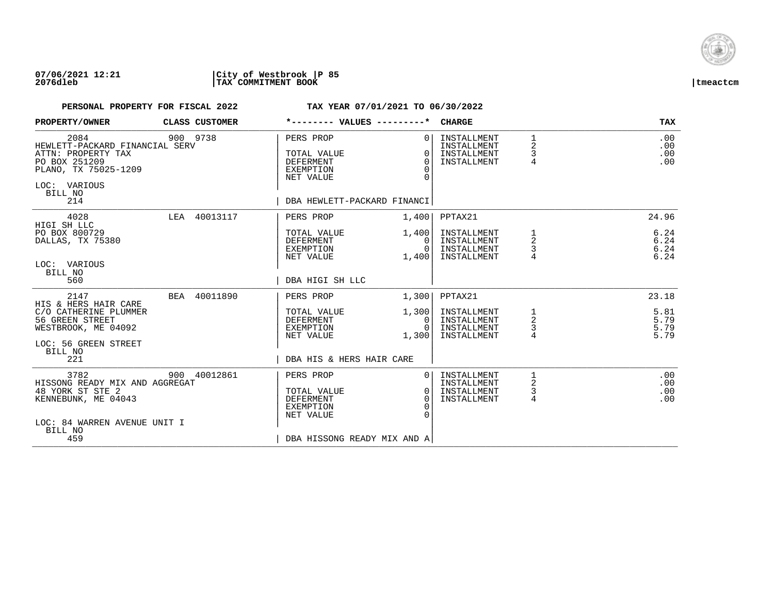

## **07/06/2021 12:21 |City of Westbrook |P 85 2076dleb |TAX COMMITMENT BOOK |tmeactcm**

| PROPERTY/OWNER                                                                                                                          | CLASS CUSTOMER | *-------- VALUES ---------*                                                                                  |                                              | <b>CHARGE</b>                                            |                                          | <b>TAX</b>                   |
|-----------------------------------------------------------------------------------------------------------------------------------------|----------------|--------------------------------------------------------------------------------------------------------------|----------------------------------------------|----------------------------------------------------------|------------------------------------------|------------------------------|
| 2084<br>HEWLETT-PACKARD FINANCIAL SERV<br>ATTN: PROPERTY TAX<br>PO BOX 251209<br>PLANO, TX 75025-1209<br>LOC: VARIOUS<br>BILL NO<br>214 | 900 9738       | PERS PROP<br>TOTAL VALUE<br><b>DEFERMENT</b><br><b>EXEMPTION</b><br>NET VALUE<br>DBA HEWLETT-PACKARD FINANCI | $\Omega$<br>$\Omega$<br>$\Omega$<br>$\Omega$ | INSTALLMENT<br>INSTALLMENT<br>INSTALLMENT<br>INSTALLMENT | $\mathbf{1}$<br>2<br>3<br>$\overline{4}$ | .00<br>.00<br>.00<br>.00     |
|                                                                                                                                         |                |                                                                                                              |                                              |                                                          |                                          |                              |
| 4028<br>HIGI SH LLC                                                                                                                     | LEA 40013117   | PERS PROP                                                                                                    | 1,400                                        | PPTAX21                                                  |                                          | 24.96                        |
| PO BOX 800729<br>DALLAS, TX 75380                                                                                                       |                | TOTAL VALUE<br>DEFERMENT<br>EXEMPTION<br>NET VALUE                                                           | 1,400<br>0<br>$\Omega$<br>1,400              | INSTALLMENT<br>INSTALLMENT<br>INSTALLMENT<br>INSTALLMENT | 1<br>$\overline{2}$<br>3                 | 6.24<br>6.24<br>6.24<br>6.24 |
| LOC: VARIOUS<br>BILL NO                                                                                                                 |                |                                                                                                              |                                              |                                                          |                                          |                              |
| 560                                                                                                                                     |                | DBA HIGI SH LLC                                                                                              |                                              |                                                          |                                          |                              |
| 2147                                                                                                                                    | BEA 40011890   | PERS PROP                                                                                                    | 1,300                                        | PPTAX21                                                  |                                          | 23.18                        |
| HIS & HERS HAIR CARE<br>C/O CATHERINE PLUMMER<br>56 GREEN STREET<br>WESTBROOK, ME 04092                                                 |                | TOTAL VALUE<br><b>DEFERMENT</b><br>EXEMPTION                                                                 | 1,300<br>0<br>$\Omega$                       | INSTALLMENT<br>INSTALLMENT<br>INSTALLMENT                | 1<br>$\overline{c}$<br>3                 | 5.81<br>5.79<br>5.79         |
| LOC: 56 GREEN STREET                                                                                                                    |                | NET VALUE                                                                                                    | 1,300                                        | INSTALLMENT                                              | 4                                        | 5.79                         |
| BILL NO<br>221                                                                                                                          |                | DBA HIS & HERS HAIR CARE                                                                                     |                                              |                                                          |                                          |                              |
| 3782                                                                                                                                    | 900 40012861   | PERS PROP                                                                                                    | $\Omega$                                     | INSTALLMENT                                              | 1<br>2                                   | .00                          |
| HISSONG READY MIX AND AGGREGAT<br>48 YORK ST STE 2<br>KENNEBUNK, ME 04043                                                               |                | TOTAL VALUE<br><b>DEFERMENT</b><br>EXEMPTION<br>NET VALUE                                                    | $\overline{0}$<br>$\Omega$<br>$\Omega$       | INSTALLMENT<br>INSTALLMENT<br>INSTALLMENT                | 3<br>4                                   | .00<br>.00<br>.00            |
| LOC: 84 WARREN AVENUE UNIT I<br>BILL NO                                                                                                 |                |                                                                                                              |                                              |                                                          |                                          |                              |
| 459                                                                                                                                     |                | DBA HISSONG READY MIX AND A                                                                                  |                                              |                                                          |                                          |                              |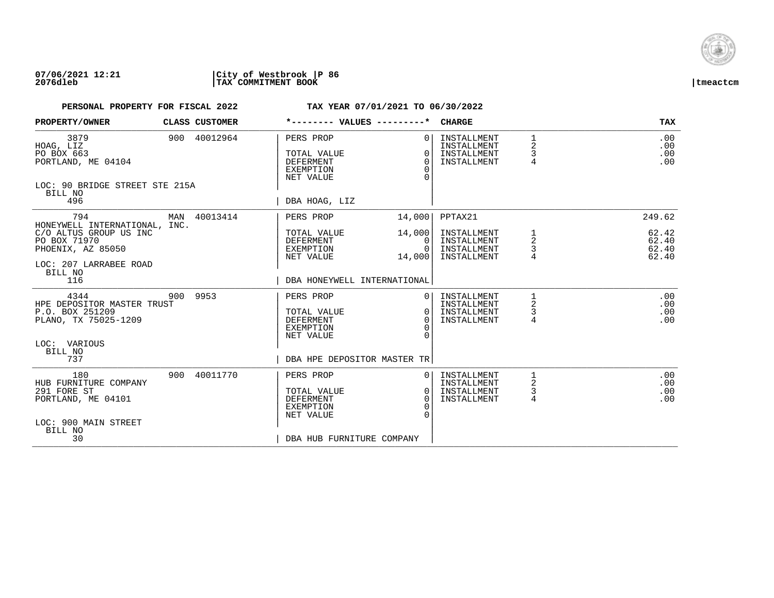

| PROPERTY/OWNER                                                                                                         | CLASS CUSTOMER | *-------- VALUES ---------*                                                   |                                                | <b>CHARGE</b>                                            |                          | <b>TAX</b>                       |
|------------------------------------------------------------------------------------------------------------------------|----------------|-------------------------------------------------------------------------------|------------------------------------------------|----------------------------------------------------------|--------------------------|----------------------------------|
| 3879<br>HOAG, LIZ<br>PO BOX 663<br>PORTLAND, ME 04104<br>LOC: 90 BRIDGE STREET STE 215A<br>BILL NO                     | 900 40012964   | PERS PROP<br>TOTAL VALUE<br>DEFERMENT<br><b>EXEMPTION</b><br>NET VALUE        | $\Omega$<br>$\Omega$<br>$\Omega$<br>$\Omega$   | INSTALLMENT<br>INSTALLMENT<br>INSTALLMENT<br>INSTALLMENT | 1<br>2<br>3<br>4         | .00<br>.00<br>.00<br>.00         |
| 496                                                                                                                    |                | DBA HOAG, LIZ                                                                 |                                                |                                                          |                          |                                  |
| 794                                                                                                                    | MAN 40013414   | PERS PROP                                                                     | 14,000                                         | PPTAX21                                                  |                          | 249.62                           |
| HONEYWELL INTERNATIONAL, INC.<br>C/O ALTUS GROUP US INC<br>PO BOX 71970<br>PHOENIX, AZ 85050<br>LOC: 207 LARRABEE ROAD |                | TOTAL VALUE<br>DEFERMENT<br>EXEMPTION<br>NET VALUE                            | 14,000<br>0 <sup>1</sup><br>$\Omega$<br>14,000 | INSTALLMENT<br>INSTALLMENT<br>INSTALLMENT<br>INSTALLMENT | 1<br>$\overline{a}$<br>3 | 62.42<br>62.40<br>62.40<br>62.40 |
| BILL NO<br>116                                                                                                         |                | DBA HONEYWELL INTERNATIONAL                                                   |                                                |                                                          |                          |                                  |
| 4344<br>HPE DEPOSITOR MASTER TRUST<br>P.O. BOX 251209<br>PLANO, TX 75025-1209                                          | 900 9953       | PERS PROP<br>TOTAL VALUE<br><b>DEFERMENT</b><br><b>EXEMPTION</b><br>NET VALUE | 01<br>$\Omega$<br>$\Omega$<br>$\cap$           | INSTALLMENT<br>INSTALLMENT<br>INSTALLMENT<br>INSTALLMENT | 2<br>3<br>4              | .00<br>.00<br>.00<br>.00         |
| LOC: VARIOUS<br>BILL NO                                                                                                |                |                                                                               |                                                |                                                          |                          |                                  |
| 737                                                                                                                    |                | DBA HPE DEPOSITOR MASTER TR                                                   |                                                |                                                          |                          |                                  |
| 180<br>HUB FURNITURE COMPANY<br>291 FORE ST<br>PORTLAND, ME 04101<br>LOC: 900 MAIN STREET<br>BILL NO                   | 900 40011770   | PERS PROP<br>TOTAL VALUE<br><b>DEFERMENT</b><br><b>EXEMPTION</b><br>NET VALUE | 0 I<br>$\cap$<br>$\Omega$                      | INSTALLMENT<br>INSTALLMENT<br>INSTALLMENT<br>INSTALLMENT | 1<br>2<br>4              | .00<br>.00<br>.00<br>.00         |
| 30                                                                                                                     |                | DBA HUB FURNITURE COMPANY                                                     |                                                |                                                          |                          |                                  |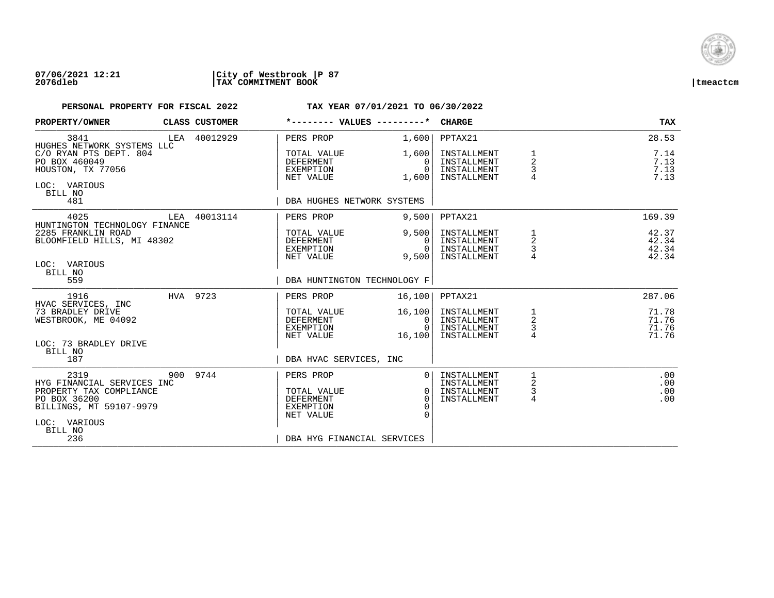

| PROPERTY/OWNER                                                                                                                             |          | CLASS CUSTOMER                                     | *-------- VALUES ---------*                                                                          |                                                          | <b>CHARGE</b>                                            |                                  | <b>TAX</b>                       |
|--------------------------------------------------------------------------------------------------------------------------------------------|----------|----------------------------------------------------|------------------------------------------------------------------------------------------------------|----------------------------------------------------------|----------------------------------------------------------|----------------------------------|----------------------------------|
| 3841<br>HUGHES NETWORK SYSTEMS LLC                                                                                                         |          | LEA 40012929                                       | PERS PROP                                                                                            | 1,600                                                    | PPTAX21                                                  |                                  | 28.53                            |
| C/O RYAN PTS DEPT. 804<br>PO BOX 460049<br>HOUSTON, TX 77056<br>LOC: VARIOUS<br>BILL NO<br>481                                             |          |                                                    | TOTAL VALUE<br>DEFERMENT<br>EXEMPTION<br>NET VALUE                                                   | 1,600<br>0<br>$\Omega$<br>1,600                          | INSTALLMENT<br>INSTALLMENT<br>INSTALLMENT<br>INSTALLMENT | 1<br>$\overline{2}$<br>3<br>4    | 7.14<br>7.13<br>7.13<br>7.13     |
|                                                                                                                                            |          |                                                    | DBA HUGHES NETWORK SYSTEMS                                                                           |                                                          |                                                          |                                  |                                  |
| 4025<br>HUNTINGTON TECHNOLOGY FINANCE                                                                                                      |          | LEA 40013114                                       | PERS PROP                                                                                            | 9,500                                                    | PPTAX21                                                  |                                  | 169.39                           |
| 2285 FRANKLIN ROAD<br>BLOOMFIELD HILLS, MI 48302<br>LOC: VARIOUS<br>BILL NO                                                                |          |                                                    | TOTAL VALUE<br>DEFERMENT<br>EXEMPTION<br>NET VALUE                                                   | 9,500<br>$\Omega$<br>$\overline{0}$<br>9,500             | INSTALLMENT<br>INSTALLMENT<br>INSTALLMENT<br>INSTALLMENT | 1<br>$\overline{a}$<br>3         | 42.37<br>42.34<br>42.34<br>42.34 |
| 559                                                                                                                                        |          |                                                    | DBA HUNTINGTON TECHNOLOGY F                                                                          |                                                          |                                                          |                                  |                                  |
| 1916                                                                                                                                       | HVA 9723 |                                                    | PERS PROP                                                                                            | 16,100                                                   | PPTAX21                                                  |                                  | 287.06                           |
| HVAC SERVICES, INC<br>73 BRADLEY DRIVE<br>WESTBROOK, ME 04092<br>LOC: 73 BRADLEY DRIVE<br>BILL NO                                          |          | TOTAL VALUE<br>DEFERMENT<br>EXEMPTION<br>NET VALUE | 16, 100<br> 0 <br>$\Omega$<br>16, 100                                                                | INSTALLMENT<br>INSTALLMENT<br>INSTALLMENT<br>INSTALLMENT | 1<br>$\overline{a}$<br>$\frac{3}{4}$                     | 71.78<br>71.76<br>71.76<br>71.76 |                                  |
| 187                                                                                                                                        |          |                                                    | DBA HVAC SERVICES, INC                                                                               |                                                          |                                                          |                                  |                                  |
| 2319<br>HYG FINANCIAL SERVICES INC<br>PROPERTY TAX COMPLIANCE<br>PO BOX 36200<br>BILLINGS, MT 59107-9979<br>LOC: VARIOUS<br>BILL NO<br>236 |          | 900 9744                                           | PERS PROP<br>TOTAL VALUE<br>DEFERMENT<br><b>EXEMPTION</b><br>NET VALUE<br>DBA HYG FINANCIAL SERVICES | $\Omega$<br>0 I<br>$\Omega$<br>$\Omega$                  | INSTALLMENT<br>INSTALLMENT<br>INSTALLMENT<br>INSTALLMENT | 1<br>2<br>3<br>4                 | .00<br>.00<br>.00<br>.00         |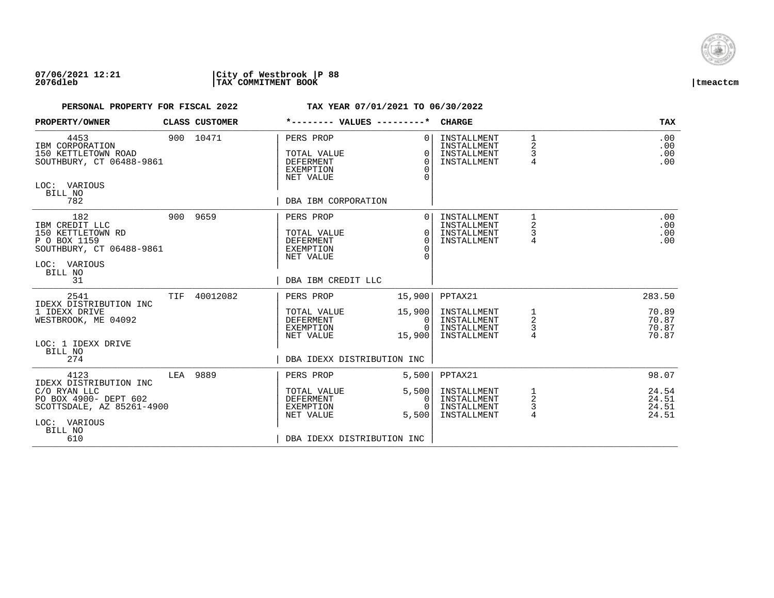

| PROPERTY/OWNER                                                                                                                         |            | CLASS CUSTOMER | *-------- VALUES ---------*                                                                          |                                            | <b>CHARGE</b>                                                       |                               | TAX                                        |
|----------------------------------------------------------------------------------------------------------------------------------------|------------|----------------|------------------------------------------------------------------------------------------------------|--------------------------------------------|---------------------------------------------------------------------|-------------------------------|--------------------------------------------|
| 4453<br>IBM CORPORATION<br>150 KETTLETOWN ROAD<br>SOUTHBURY, CT 06488-9861<br>LOC: VARIOUS<br>BILL NO<br>782                           |            | 900 10471      | PERS PROP<br>TOTAL VALUE<br>DEFERMENT<br><b>EXEMPTION</b><br>NET VALUE<br>DBA IBM CORPORATION        | $\Omega$<br>O<br>$\Omega$<br>$\Omega$<br>∩ | INSTALLMENT<br>INSTALLMENT<br>INSTALLMENT<br>INSTALLMENT            | $\mathbf{1}$<br>2<br>3<br>4   | .00<br>.00<br>.00<br>.00                   |
| 182<br>IBM CREDIT LLC<br>150 KETTLETOWN RD<br>P O BOX 1159<br>SOUTHBURY, CT 06488-9861<br>LOC: VARIOUS<br>BILL NO<br>31                |            | 900 9659       | PERS PROP<br>TOTAL VALUE<br>DEFERMENT<br><b>EXEMPTION</b><br>NET VALUE<br>DBA IBM CREDIT LLC         | $\Omega$<br>$\Omega$<br>$\Omega$<br>∩      | INSTALLMENT<br>INSTALLMENT<br>INSTALLMENT<br>INSTALLMENT            | 1<br>$\overline{a}$<br>3<br>4 | .00<br>.00<br>.00<br>.00                   |
| 2541<br>IDEXX DISTRIBUTION INC<br>1 IDEXX DRIVE<br>WESTBROOK, ME 04092<br>LOC: 1 IDEXX DRIVE<br>BILL NO<br>274                         | <b>TIF</b> | 40012082       | PERS PROP<br>TOTAL VALUE<br><b>DEFERMENT</b><br>EXEMPTION<br>NET VALUE<br>DBA IDEXX DISTRIBUTION INC | 15,900<br>15,900<br>0<br>$\cap$<br>15,900  | PPTAX21<br>INSTALLMENT<br>INSTALLMENT<br>INSTALLMENT<br>INSTALLMENT | 1<br>$\overline{a}$<br>3<br>4 | 283.50<br>70.89<br>70.87<br>70.87<br>70.87 |
| 4123<br>IDEXX DISTRIBUTION INC<br>C/O RYAN LLC<br>PO BOX 4900- DEPT 602<br>SCOTTSDALE, AZ 85261-4900<br>LOC: VARIOUS<br>BILL NO<br>610 | LEA        | 9889           | PERS PROP<br>TOTAL VALUE<br>DEFERMENT<br><b>EXEMPTION</b><br>NET VALUE<br>DBA IDEXX DISTRIBUTION INC | 5,500<br>5,500<br>0<br>$\Omega$<br>5,500   | PPTAX21<br>INSTALLMENT<br>INSTALLMENT<br>INSTALLMENT<br>INSTALLMENT | 1<br>2<br>3<br>4              | 98.07<br>24.54<br>24.51<br>24.51<br>24.51  |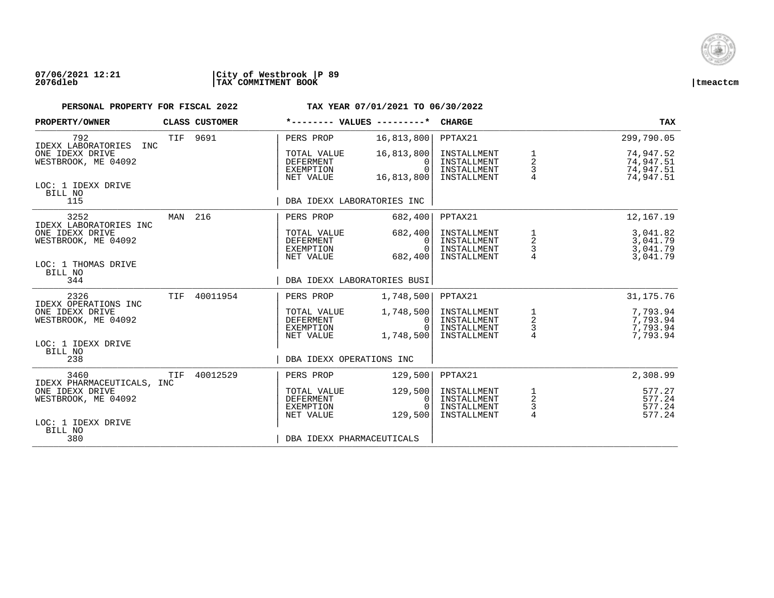

| PROPERTY/OWNER                         |            | CLASS CUSTOMER | *-------- VALUES ---------*                               |                                                  | <b>CHARGE</b>                                            |                                                 | TAX                                              |
|----------------------------------------|------------|----------------|-----------------------------------------------------------|--------------------------------------------------|----------------------------------------------------------|-------------------------------------------------|--------------------------------------------------|
| 792<br>IDEXX LABORATORIES<br>INC       | <b>TIF</b> | 9691           | PERS PROP                                                 | 16,813,800                                       | PPTAX21                                                  |                                                 | 299,790.05                                       |
| ONE IDEXX DRIVE<br>WESTBROOK, ME 04092 |            |                | TOTAL VALUE<br><b>DEFERMENT</b><br>EXEMPTION<br>NET VALUE | 16,813,800<br>$\Omega$<br>$\Omega$<br>16,813,800 | INSTALLMENT<br>INSTALLMENT<br>INSTALLMENT<br>INSTALLMENT | 1<br>$\mathbf 2$<br>3                           | 74,947.52<br>74,947.51<br>74,947.51<br>74,947.51 |
| LOC: 1 IDEXX DRIVE<br>BILL NO<br>115   |            |                | DBA IDEXX LABORATORIES INC                                |                                                  |                                                          |                                                 |                                                  |
| 3252<br>IDEXX LABORATORIES INC         | MAN        | 216            | PERS PROP                                                 | 682,400                                          | PPTAX21                                                  |                                                 | 12, 167. 19                                      |
| ONE IDEXX DRIVE<br>WESTBROOK, ME 04092 |            |                | TOTAL VALUE<br>DEFERMENT<br>EXEMPTION<br>NET VALUE        | 682,400<br>0<br>$\Omega$<br>682,400              | INSTALLMENT<br>INSTALLMENT<br>INSTALLMENT<br>INSTALLMENT | 1<br>$\begin{array}{c} 2 \\ 3 \\ 4 \end{array}$ | 3,041.82<br>3,041.79<br>3,041.79<br>3,041.79     |
| LOC: 1 THOMAS DRIVE<br>BILL NO<br>344  |            |                | DBA IDEXX LABORATORIES BUSI                               |                                                  |                                                          |                                                 |                                                  |
| 2326<br>IDEXX OPERATIONS INC           | TIF        | 40011954       | PERS PROP                                                 | 1,748,500                                        | PPTAX21                                                  |                                                 | 31, 175. 76                                      |
| ONE IDEXX DRIVE<br>WESTBROOK, ME 04092 |            |                | TOTAL VALUE<br><b>DEFERMENT</b><br>EXEMPTION<br>NET VALUE | 1,748,500<br>0<br><sup>0</sup><br>1,748,500      | INSTALLMENT<br>INSTALLMENT<br>INSTALLMENT<br>INSTALLMENT | $\begin{array}{c} 1 \\ 2 \\ 3 \\ 4 \end{array}$ | 7,793.94<br>7,793.94<br>7,793.94<br>7,793.94     |
| LOC: 1 IDEXX DRIVE<br>BILL NO<br>238   |            |                | DBA IDEXX OPERATIONS INC                                  |                                                  |                                                          |                                                 |                                                  |
| 3460<br>IDEXX PHARMACEUTICALS, INC     | TIF        | 40012529       | PERS PROP                                                 | 129,500                                          | PPTAX21                                                  |                                                 | 2,308.99                                         |
| ONE IDEXX DRIVE<br>WESTBROOK, ME 04092 |            |                | TOTAL VALUE<br><b>DEFERMENT</b><br>EXEMPTION<br>NET VALUE | 129,500<br>0<br>129,500                          | INSTALLMENT<br>INSTALLMENT<br>INSTALLMENT<br>INSTALLMENT | $\frac{1}{2}$<br>$\frac{3}{4}$                  | 577.27<br>577.24<br>577.24<br>577.24             |
| LOC: 1 IDEXX DRIVE<br>BILL NO<br>380   |            |                | DBA IDEXX PHARMACEUTICALS                                 |                                                  |                                                          |                                                 |                                                  |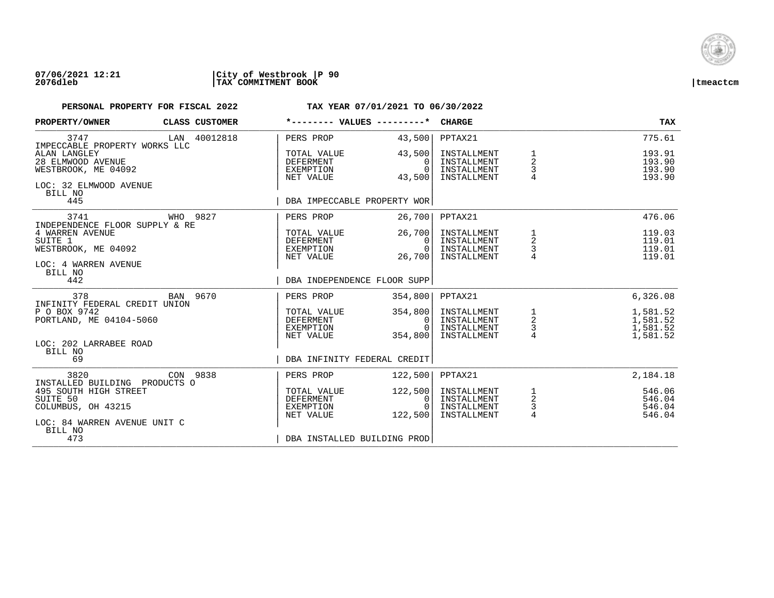

### **07/06/2021 12:21 |City of Westbrook |P 90 2076dleb |TAX COMMITMENT BOOK |tmeactcm**

| PROPERTY/OWNER                                                                                                         |  | CLASS CUSTOMER | *-------- VALUES ---------*                                                       |                                              | <b>CHARGE</b>                                                       |                                                   | <b>TAX</b>                                       |
|------------------------------------------------------------------------------------------------------------------------|--|----------------|-----------------------------------------------------------------------------------|----------------------------------------------|---------------------------------------------------------------------|---------------------------------------------------|--------------------------------------------------|
| 3747<br>IMPECCABLE PROPERTY WORKS LLC                                                                                  |  | LAN 40012818   | PERS PROP                                                                         | 43,500                                       | PPTAX21                                                             |                                                   | 775.61                                           |
| ALAN LANGLEY<br>28 ELMWOOD AVENUE<br>WESTBROOK, ME 04092<br>LOC: 32 ELMWOOD AVENUE<br>BILL NO<br>445                   |  |                | TOTAL VALUE<br>DEFERMENT<br>EXEMPTION<br>NET VALUE<br>DBA IMPECCABLE PROPERTY WOR | 43,500<br>0<br>$\Omega$<br>43,500            | INSTALLMENT<br>INSTALLMENT<br>INSTALLMENT<br>INSTALLMENT            | $\frac{2}{3}$                                     | 193.91<br>193.90<br>193.90<br>193.90             |
| 3741                                                                                                                   |  | WHO 9827       | PERS PROP                                                                         | 26,700                                       | PPTAX21                                                             |                                                   | 476.06                                           |
| INDEPENDENCE FLOOR SUPPLY & RE<br>4 WARREN AVENUE<br>SUITE 1<br>WESTBROOK, ME 04092<br>LOC: 4 WARREN AVENUE<br>BILL NO |  |                | TOTAL VALUE<br>DEFERMENT<br>EXEMPTION<br>NET VALUE                                | 26,700<br>$\Omega$<br>$\Omega$<br>26,700     | INSTALLMENT<br>INSTALLMENT<br>INSTALLMENT<br>INSTALLMENT            | $\begin{array}{c}\n1 \\ 2 \\ 3 \\ 4\n\end{array}$ | 119.03<br>119.01<br>119.01<br>119.01             |
| 442                                                                                                                    |  |                | DBA INDEPENDENCE FLOOR SUPP                                                       |                                              |                                                                     |                                                   |                                                  |
| 378                                                                                                                    |  | BAN 9670       | PERS PROP                                                                         | 354,800                                      | PPTAX21                                                             |                                                   | 6,326.08                                         |
| INFINITY FEDERAL CREDIT UNION<br>P O BOX 9742<br>PORTLAND, ME 04104-5060<br>LOC: 202 LARRABEE ROAD<br>BILL NO          |  |                | TOTAL VALUE<br>DEFERMENT<br>EXEMPTION<br>NET VALUE                                | 354,800<br>0<br>$\Omega$<br>354,800          | INSTALLMENT<br>INSTALLMENT<br>INSTALLMENT<br>INSTALLMENT            | $\begin{array}{c} 1 \\ 2 \\ 3 \\ 4 \end{array}$   | 1,581.52<br>1,581.52<br>1,581.52<br>1,581.52     |
| 69                                                                                                                     |  |                | DBA INFINITY FEDERAL CREDIT                                                       |                                              |                                                                     |                                                   |                                                  |
| 3820<br>INSTALLED BUILDING PRODUCTS O<br>495 SOUTH HIGH STREET<br>SUITE 50<br>COLUMBUS, OH 43215                       |  | CON 9838       | PERS PROP<br>TOTAL VALUE<br><b>DEFERMENT</b><br>EXEMPTION<br>NET VALUE            | 122,500<br>122,500<br>0<br>$\cap$<br>122,500 | PPTAX21<br>INSTALLMENT<br>INSTALLMENT<br>INSTALLMENT<br>INSTALLMENT | $\frac{1}{2}$<br>$\frac{3}{4}$                    | 2,184.18<br>546.06<br>546.04<br>546.04<br>546.04 |
| LOC: 84 WARREN AVENUE UNIT C<br>BILL NO<br>473                                                                         |  |                | DBA INSTALLED BUILDING PROD                                                       |                                              |                                                                     |                                                   |                                                  |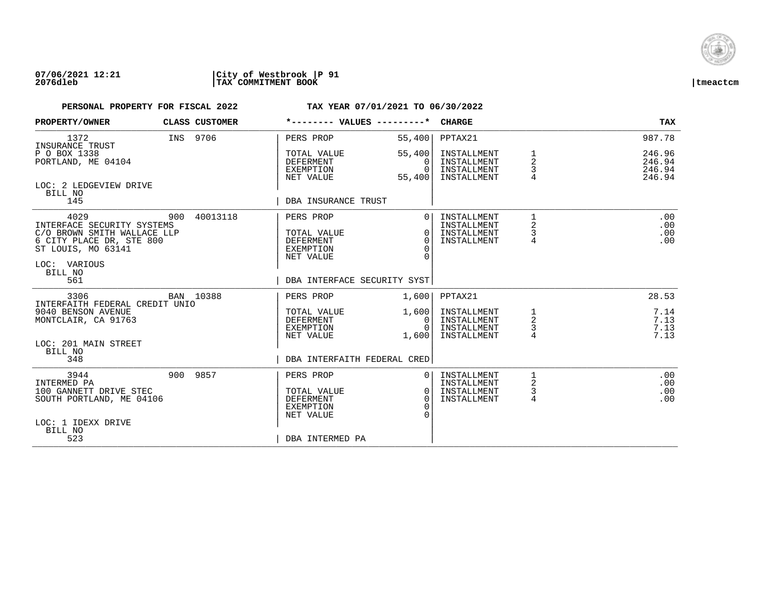

| PROPERTY/OWNER                                                                                                                                 | CLASS CUSTOMER | *-------- VALUES ---------*                                            |                                                                | <b>CHARGE</b>                                            |                                            | TAX                                  |
|------------------------------------------------------------------------------------------------------------------------------------------------|----------------|------------------------------------------------------------------------|----------------------------------------------------------------|----------------------------------------------------------|--------------------------------------------|--------------------------------------|
| 1372<br>INSURANCE TRUST                                                                                                                        | INS 9706       | PERS PROP                                                              | 55,400                                                         | PPTAX21                                                  |                                            | 987.78                               |
| P O BOX 1338<br>PORTLAND, ME 04104                                                                                                             |                | TOTAL VALUE<br><b>DEFERMENT</b><br>EXEMPTION<br>NET VALUE              | 55,400<br>$\Omega$<br>$\Omega$<br>55,400                       | INSTALLMENT<br>INSTALLMENT<br>INSTALLMENT<br>INSTALLMENT | 1<br>$\overline{2}$<br>3<br>$\overline{4}$ | 246.96<br>246.94<br>246.94<br>246.94 |
| LOC: 2 LEDGEVIEW DRIVE<br>BILL NO<br>145                                                                                                       |                | DBA INSURANCE TRUST                                                    |                                                                |                                                          |                                            |                                      |
| 4029<br>INTERFACE SECURITY SYSTEMS<br>C/O BROWN SMITH WALLACE LLP<br>6 CITY PLACE DR, STE 800<br>ST LOUIS, MO 63141<br>LOC: VARIOUS<br>BILL NO | 900 40013118   | PERS PROP<br>TOTAL VALUE<br><b>DEFERMENT</b><br>EXEMPTION<br>NET VALUE | $\overline{0}$<br>$\Omega$<br>$\Omega$<br>$\Omega$<br>$\Omega$ | INSTALLMENT<br>INSTALLMENT<br>INSTALLMENT<br>INSTALLMENT | $\mathbf{1}$<br>2<br>3<br>4                | .00<br>.00<br>.00<br>.00             |
| 561                                                                                                                                            |                | DBA INTERFACE SECURITY SYST                                            |                                                                |                                                          |                                            |                                      |
| 3306<br>INTERFAITH FEDERAL CREDIT UNIO                                                                                                         | BAN 10388      | PERS PROP                                                              | 1,600                                                          | PPTAX21                                                  |                                            | 28.53                                |
| 9040 BENSON AVENUE<br>MONTCLAIR, CA 91763<br>LOC: 201 MAIN STREET                                                                              |                | TOTAL VALUE<br>DEFERMENT<br>EXEMPTION<br>NET VALUE                     | 1,600<br>0 <sup>1</sup><br>$\Omega$<br>1,600                   | INSTALLMENT<br>INSTALLMENT<br>INSTALLMENT<br>INSTALLMENT | $\frac{1}{2}$<br>3<br>4                    | 7.14<br>7.13<br>7.13<br>7.13         |
| BILL NO<br>348                                                                                                                                 |                | DBA INTERFAITH FEDERAL CRED                                            |                                                                |                                                          |                                            |                                      |
| 3944<br>INTERMED PA<br>100 GANNETT DRIVE STEC<br>SOUTH PORTLAND, ME 04106<br>LOC: 1 IDEXX DRIVE<br>BILL NO                                     | 900 9857       | PERS PROP<br>TOTAL VALUE<br><b>DEFERMENT</b><br>EXEMPTION<br>NET VALUE | 0 <sup>1</sup><br>0 <sup>1</sup><br>$\Omega$<br>$\Omega$       | INSTALLMENT<br>INSTALLMENT<br>INSTALLMENT<br>INSTALLMENT | 2<br>$\mathsf{3}$<br>4                     | .00<br>.00<br>.00<br>.00             |
| 523                                                                                                                                            |                | DBA INTERMED PA                                                        |                                                                |                                                          |                                            |                                      |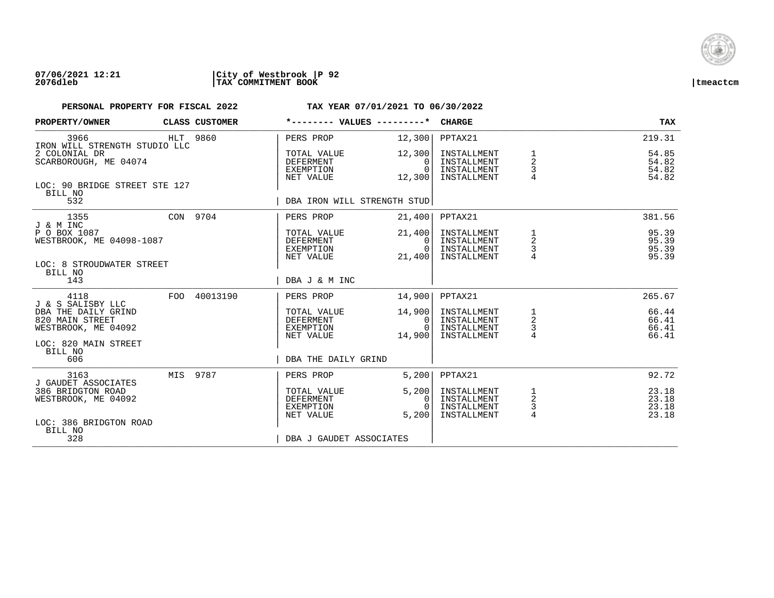

## **07/06/2021 12:21 |City of Westbrook |P 92 2076dleb |TAX COMMITMENT BOOK |tmeactcm**

| PROPERTY/OWNER                                                  |  | CLASS CUSTOMER                                     | *-------- VALUES ---------*                          |                                                          | <b>CHARGE</b>                                            |                                            | <b>TAX</b>                       |
|-----------------------------------------------------------------|--|----------------------------------------------------|------------------------------------------------------|----------------------------------------------------------|----------------------------------------------------------|--------------------------------------------|----------------------------------|
| 3966<br>IRON WILL STRENGTH STUDIO LLC                           |  | HLT 9860                                           | PERS PROP                                            | 12,300                                                   | PPTAX21                                                  |                                            | 219.31                           |
| 2 COLONIAL DR<br>SCARBOROUGH, ME 04074                          |  |                                                    | TOTAL VALUE<br>DEFERMENT<br>EXEMPTION<br>NET VALUE   | 12,300<br>$\Omega$<br>$\Omega$<br>12,300                 | INSTALLMENT<br>INSTALLMENT<br>INSTALLMENT<br>INSTALLMENT | 1<br>2<br>3                                | 54.85<br>54.82<br>54.82<br>54.82 |
| LOC: 90 BRIDGE STREET STE 127<br>BILL NO<br>532                 |  |                                                    | DBA IRON WILL STRENGTH STUD                          |                                                          |                                                          |                                            |                                  |
| 1355<br>J & M INC                                               |  | CON 9704                                           | PERS PROP                                            | 21,400                                                   | PPTAX21                                                  |                                            | 381.56                           |
| P O BOX 1087<br>WESTBROOK, ME 04098-1087                        |  | TOTAL VALUE<br>DEFERMENT<br>EXEMPTION<br>NET VALUE | 21,400<br>0 <sup>1</sup><br>$\overline{0}$<br>21,400 | INSTALLMENT<br>INSTALLMENT<br>INSTALLMENT<br>INSTALLMENT | 1<br>$\overline{a}$<br>$\frac{3}{4}$                     | 95.39<br>95.39<br>95.39<br>95.39           |                                  |
| LOC: 8 STROUDWATER STREET<br>BILL NO<br>143                     |  |                                                    | DBA J & M INC                                        |                                                          |                                                          |                                            |                                  |
| 4118<br>J & S SALISBY LLC                                       |  | FOO 40013190                                       | PERS PROP                                            | 14,900                                                   | PPTAX21                                                  |                                            | 265.67                           |
| DBA THE DAILY GRIND<br>820 MAIN STREET<br>WESTBROOK, ME 04092   |  |                                                    | TOTAL VALUE<br>DEFERMENT<br>EXEMPTION<br>NET VALUE   | 14,900<br>$\mathbf{0}$<br>$\Omega$<br>14,900             | INSTALLMENT<br>INSTALLMENT<br>INSTALLMENT<br>INSTALLMENT | $\frac{1}{2}$<br>$\frac{3}{4}$             | 66.44<br>66.41<br>66.41<br>66.41 |
| LOC: 820 MAIN STREET<br>BILL NO<br>606                          |  |                                                    | DBA THE DAILY GRIND                                  |                                                          |                                                          |                                            |                                  |
| 3163                                                            |  | MIS 9787                                           | PERS PROP                                            | 5,200                                                    | PPTAX21                                                  |                                            | 92.72                            |
| J GAUDET ASSOCIATES<br>386 BRIDGTON ROAD<br>WESTBROOK, ME 04092 |  |                                                    | TOTAL VALUE<br>DEFERMENT<br>EXEMPTION<br>NET VALUE   | 5,200<br>0<br>$\cap$<br>5.200                            | INSTALLMENT<br>INSTALLMENT<br>INSTALLMENT<br>INSTALLMENT | 1<br>$\overline{c}$<br>3<br>$\overline{4}$ | 23.18<br>23.18<br>23.18<br>23.18 |
| LOC: 386 BRIDGTON ROAD<br>BILL NO<br>328                        |  |                                                    | DBA J GAUDET ASSOCIATES                              |                                                          |                                                          |                                            |                                  |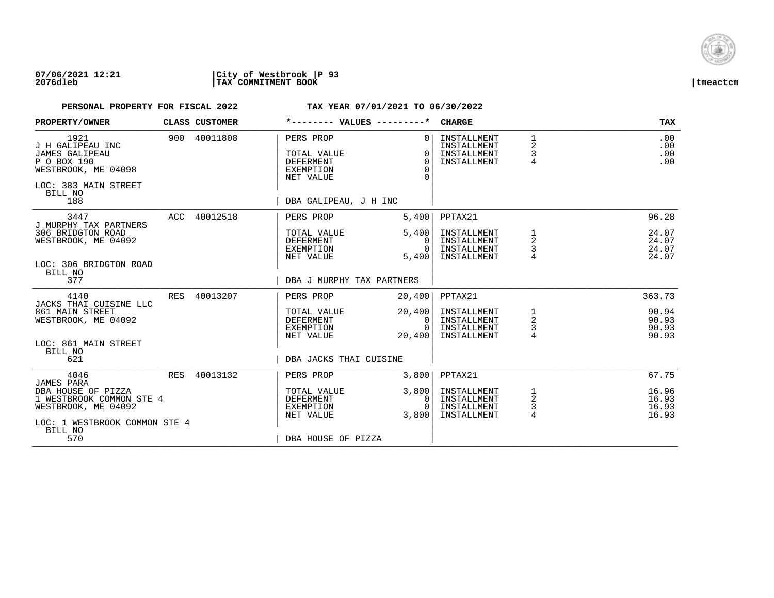

| PROPERTY/OWNER                                                                                                                    |            | CLASS CUSTOMER | *-------- VALUES ---------*                                                                     |                                                                | <b>CHARGE</b>                                            |                                        | <b>TAX</b>                       |
|-----------------------------------------------------------------------------------------------------------------------------------|------------|----------------|-------------------------------------------------------------------------------------------------|----------------------------------------------------------------|----------------------------------------------------------|----------------------------------------|----------------------------------|
| 1921<br>J H GALIPEAU INC<br><b>JAMES GALIPEAU</b><br>P O BOX 190<br>WESTBROOK, ME 04098<br>LOC: 383 MAIN STREET<br>BILL NO<br>188 |            | 900 40011808   | PERS PROP<br>TOTAL VALUE<br><b>DEFERMENT</b><br>EXEMPTION<br>NET VALUE<br>DBA GALIPEAU, J H INC | 0 <sup>1</sup><br>$\Omega$<br>$\Omega$<br>$\Omega$<br>$\Omega$ | INSTALLMENT<br>INSTALLMENT<br>INSTALLMENT<br>INSTALLMENT | $1\,$<br>2<br>3<br>$\overline{4}$      | .00<br>.00<br>.00<br>.00         |
| 3447                                                                                                                              |            | ACC 40012518   | PERS PROP                                                                                       | 5,400                                                          | PPTAX21                                                  |                                        | 96.28                            |
| J MURPHY TAX PARTNERS<br>306 BRIDGTON ROAD<br>WESTBROOK, ME 04092<br>LOC: 306 BRIDGTON ROAD                                       |            |                | TOTAL VALUE<br>DEFERMENT<br>EXEMPTION<br>NET VALUE                                              | 5,400<br>$\Omega$<br>$\Omega$<br>5,400                         | INSTALLMENT<br>INSTALLMENT<br>INSTALLMENT<br>INSTALLMENT | 1<br>2<br>3                            | 24.07<br>24.07<br>24.07<br>24.07 |
| BILL NO<br>377                                                                                                                    |            |                | DBA J MURPHY TAX PARTNERS                                                                       |                                                                |                                                          |                                        |                                  |
| 4140<br>JACKS THAI CUISINE LLC                                                                                                    | RES        | 40013207       | PERS PROP                                                                                       | 20,400                                                         | PPTAX21                                                  |                                        | 363.73                           |
| 861 MAIN STREET<br>WESTBROOK, ME 04092                                                                                            |            |                | TOTAL VALUE<br>DEFERMENT<br>EXEMPTION<br>NET VALUE                                              | 20,400<br>0 <sup>1</sup><br>$\Omega$<br>20,400                 | INSTALLMENT<br>INSTALLMENT<br>INSTALLMENT<br>INSTALLMENT | 1<br>$\overline{\mathbf{c}}$<br>3<br>4 | 90.94<br>90.93<br>90.93<br>90.93 |
| LOC: 861 MAIN STREET<br>BILL NO<br>621                                                                                            |            |                | DBA JACKS THAI CUISINE                                                                          |                                                                |                                                          |                                        |                                  |
| 4046<br>JAMES PARA                                                                                                                | <b>RES</b> | 40013132       | PERS PROP                                                                                       | 3,800                                                          | PPTAX21                                                  |                                        | 67.75                            |
| DBA HOUSE OF PIZZA<br>1 WESTBROOK COMMON STE 4<br>WESTBROOK, ME 04092                                                             |            |                | TOTAL VALUE<br><b>DEFERMENT</b><br>EXEMPTION<br>NET VALUE                                       | 3,800<br>$\Omega$<br>$\Omega$<br>3,800                         | INSTALLMENT<br>INSTALLMENT<br>INSTALLMENT<br>INSTALLMENT | $\frac{1}{2}$<br>3<br>$\overline{4}$   | 16.96<br>16.93<br>16.93<br>16.93 |
| LOC: 1 WESTBROOK COMMON STE 4<br>BILL NO<br>570                                                                                   |            |                | DBA HOUSE OF PIZZA                                                                              |                                                                |                                                          |                                        |                                  |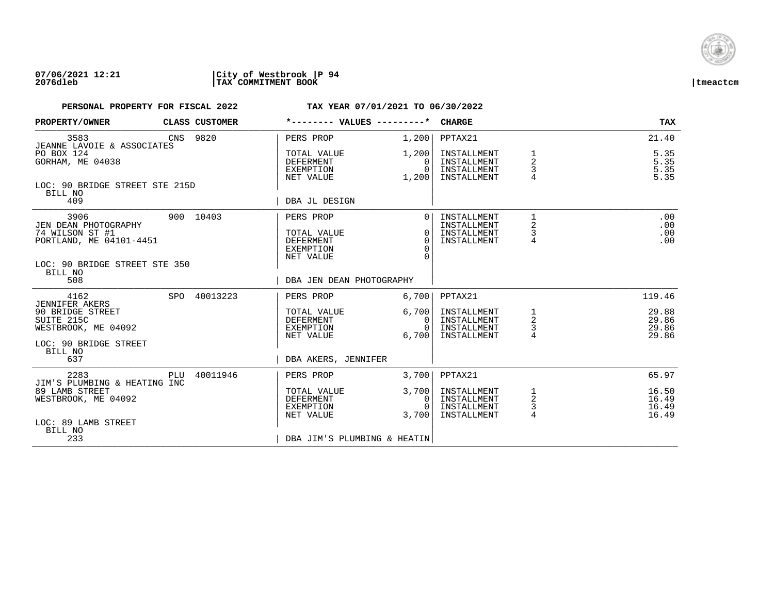

| PROPERTY/OWNER                                                                                                                    |     | CLASS CUSTOMER | *-------- VALUES ---------*                                                            |                                              | <b>CHARGE</b>                                                       |                                                     | <b>TAX</b>                                 |
|-----------------------------------------------------------------------------------------------------------------------------------|-----|----------------|----------------------------------------------------------------------------------------|----------------------------------------------|---------------------------------------------------------------------|-----------------------------------------------------|--------------------------------------------|
| 3583<br>JEANNE LAVOIE & ASSOCIATES                                                                                                |     | CNS 9820       | PERS PROP                                                                              | 1,200                                        | PPTAX21                                                             |                                                     | 21.40                                      |
| PO BOX 124<br>GORHAM, ME 04038                                                                                                    |     |                | TOTAL VALUE<br>DEFERMENT<br>EXEMPTION<br>NET VALUE                                     | 1,200<br>$\Omega$<br>$\Omega$<br>1,200       | INSTALLMENT<br>INSTALLMENT<br>INSTALLMENT<br>INSTALLMENT            | $\overline{2}$<br>3                                 | 5.35<br>$5.35$<br>$5.35$<br>5.35           |
| LOC: 90 BRIDGE STREET STE 215D<br>BILL NO<br>409                                                                                  |     |                | DBA JL DESIGN                                                                          |                                              |                                                                     |                                                     |                                            |
| 3906<br>JEN DEAN PHOTOGRAPHY<br>74 WILSON ST #1<br>PORTLAND, ME 04101-4451<br>LOC: 90 BRIDGE STREET STE 350<br>BILL NO            |     | 900 10403      | PERS PROP<br>TOTAL VALUE<br><b>DEFERMENT</b><br>EXEMPTION<br>NET VALUE                 | $\Omega$<br>$\Omega$<br>$\Omega$<br>$\Omega$ | INSTALLMENT<br>INSTALLMENT<br>INSTALLMENT<br>INSTALLMENT            | 1<br>$\overline{\mathbf{c}}$<br>3<br>$\overline{4}$ | .00<br>.00<br>.00<br>.00                   |
| 508                                                                                                                               |     |                | DBA JEN DEAN PHOTOGRAPHY                                                               |                                              |                                                                     |                                                     |                                            |
| 4162<br><b>JENNIFER AKERS</b><br>90 BRIDGE STREET<br>SUITE 215C<br>WESTBROOK, ME 04092<br>LOC: 90 BRIDGE STREET<br>BILL NO<br>637 |     | SPO 40013223   | PERS PROP<br>TOTAL VALUE<br>DEFERMENT<br>EXEMPTION<br>NET VALUE<br>DBA AKERS, JENNIFER | 6,700<br>6,700<br>0<br>$\Omega$<br>6,700     | PPTAX21<br>INSTALLMENT<br>INSTALLMENT<br>INSTALLMENT<br>INSTALLMENT | 1<br>$\overline{a}$<br>$\frac{3}{4}$                | 119.46<br>29.88<br>29.86<br>29.86<br>29.86 |
| 2283                                                                                                                              | PLU | 40011946       | PERS PROP                                                                              | 3,700                                        | PPTAX21                                                             |                                                     | 65.97                                      |
| JIM'S PLUMBING & HEATING INC<br>89 LAMB STREET<br>WESTBROOK, ME 04092<br>LOC: 89 LAMB STREET<br>BILL NO                           |     |                | TOTAL VALUE<br>DEFERMENT<br>EXEMPTION<br>NET VALUE                                     | 3,700<br>0<br>$\cap$<br>3.700                | INSTALLMENT<br>INSTALLMENT<br>INSTALLMENT<br>INSTALLMENT            | 1<br>$\overline{a}$<br>3<br>$\overline{4}$          | 16.50<br>16.49<br>16.49<br>16.49           |
| 233                                                                                                                               |     |                | DBA JIM'S PLUMBING & HEATIN                                                            |                                              |                                                                     |                                                     |                                            |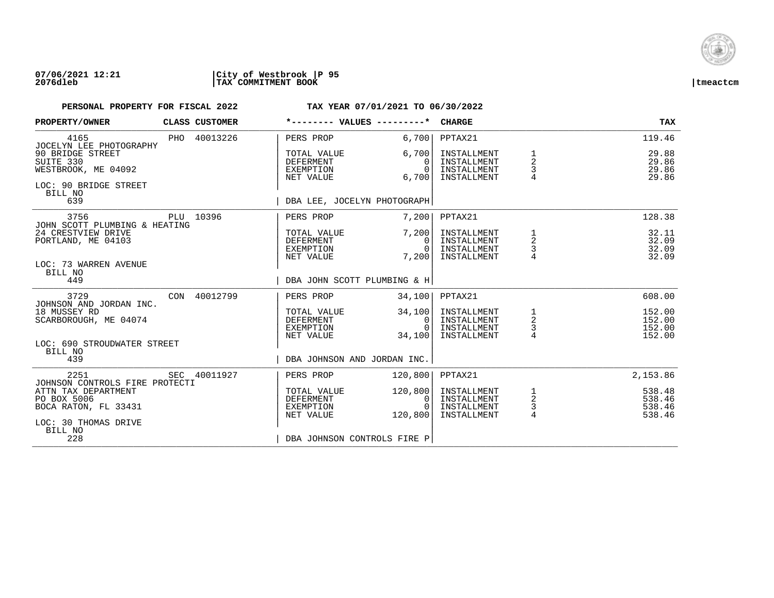

| PROPERTY/OWNER                                                                                |  | CLASS CUSTOMER                                     | *-------- VALUES ---------*                               |                                                          | <b>CHARGE</b>                                            |                                                   | <b>TAX</b>                           |
|-----------------------------------------------------------------------------------------------|--|----------------------------------------------------|-----------------------------------------------------------|----------------------------------------------------------|----------------------------------------------------------|---------------------------------------------------|--------------------------------------|
| 4165<br>JOCELYN LEE PHOTOGRAPHY                                                               |  | PHO 40013226                                       | PERS PROP                                                 | 6,700                                                    | PPTAX21                                                  |                                                   | 119.46                               |
| 90 BRIDGE STREET<br>SUITE 330<br>WESTBROOK, ME 04092<br>LOC: 90 BRIDGE STREET<br>BILL NO      |  |                                                    | TOTAL VALUE<br><b>DEFERMENT</b><br>EXEMPTION<br>NET VALUE | 6,700<br>$\Omega$<br>$\Omega$<br>6,700                   | INSTALLMENT<br>INSTALLMENT<br>INSTALLMENT<br>INSTALLMENT | $\mathbf 1$<br>$\overline{2}$<br>3                | 29.88<br>29.86<br>29.86<br>29.86     |
| 639                                                                                           |  |                                                    | DBA LEE, JOCELYN PHOTOGRAPH                               |                                                          |                                                          |                                                   |                                      |
| 3756<br>JOHN SCOTT PLUMBING & HEATING                                                         |  | PLU 10396                                          | PERS PROP                                                 | 7,200                                                    | PPTAX21                                                  |                                                   | 128.38                               |
| 24 CRESTVIEW DRIVE<br>PORTLAND, ME 04103<br>LOC: 73 WARREN AVENUE<br>BILL NO                  |  | TOTAL VALUE<br>DEFERMENT<br>EXEMPTION<br>NET VALUE | 7,200<br>$\Omega$<br>$\Omega$<br>7,200                    | INSTALLMENT<br>INSTALLMENT<br>INSTALLMENT<br>INSTALLMENT | 1<br>$\sqrt{2}$<br>$\frac{1}{4}$                         | 32.11<br>32.09<br>32.09<br>32.09                  |                                      |
| 449                                                                                           |  |                                                    | DBA JOHN SCOTT PLUMBING & H                               |                                                          |                                                          |                                                   |                                      |
| 3729<br>JOHNSON AND JORDAN INC.                                                               |  | CON 40012799                                       | PERS PROP                                                 | 34,100                                                   | PPTAX21                                                  |                                                   | 608.00                               |
| 18 MUSSEY RD<br>SCARBOROUGH, ME 04074<br>LOC: 690 STROUDWATER STREET<br>BILL NO               |  |                                                    | TOTAL VALUE<br>DEFERMENT<br>EXEMPTION<br>NET VALUE        | 34,100<br>$\mathbf{0}$<br>$\Omega$<br>34,100             | INSTALLMENT<br>INSTALLMENT<br>INSTALLMENT<br>INSTALLMENT | $\begin{array}{c}\n1 \\ 2 \\ 3 \\ 4\n\end{array}$ | 152.00<br>152.00<br>152.00<br>152.00 |
| 439                                                                                           |  |                                                    | DBA JOHNSON AND JORDAN INC.                               |                                                          |                                                          |                                                   |                                      |
| 2251<br>JOHNSON CONTROLS FIRE PROTECTI                                                        |  | SEC 40011927                                       | PERS PROP                                                 | 120,800                                                  | PPTAX21                                                  |                                                   | 2,153.86                             |
| ATTN TAX DEPARTMENT<br>PO BOX 5006<br>BOCA RATON, FL 33431<br>LOC: 30 THOMAS DRIVE<br>BILL NO |  |                                                    | TOTAL VALUE<br>DEFERMENT<br>EXEMPTION<br>NET VALUE        | 120,800<br>0<br>$\Omega$<br>120,800                      | INSTALLMENT<br>INSTALLMENT<br>INSTALLMENT<br>INSTALLMENT | $\frac{1}{2}$<br>$\frac{3}{4}$                    | 538.48<br>538.46<br>538.46<br>538.46 |
| 228                                                                                           |  |                                                    | DBA JOHNSON CONTROLS FIRE P                               |                                                          |                                                          |                                                   |                                      |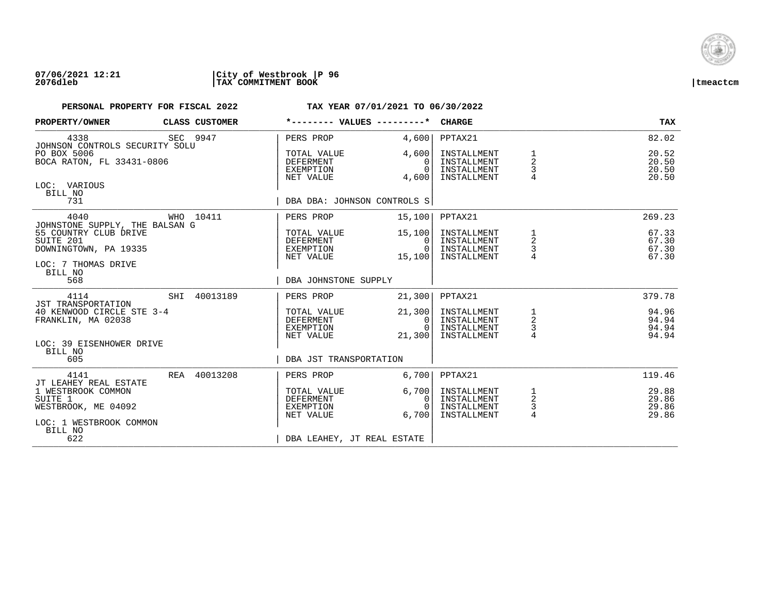

| PROPERTY/OWNER                                                                                                       |  | CLASS CUSTOMER                                     | *-------- VALUES ---------*                               |                                                          | <b>CHARGE</b>                                            |                                      | <b>TAX</b>                       |
|----------------------------------------------------------------------------------------------------------------------|--|----------------------------------------------------|-----------------------------------------------------------|----------------------------------------------------------|----------------------------------------------------------|--------------------------------------|----------------------------------|
| 4338<br>JOHNSON CONTROLS SECURITY SOLU                                                                               |  | SEC 9947                                           | PERS PROP                                                 | 4,600                                                    | PPTAX21                                                  |                                      | 82.02                            |
| PO BOX 5006<br>BOCA RATON, FL 33431-0806                                                                             |  |                                                    | TOTAL VALUE<br>DEFERMENT<br>EXEMPTION<br>NET VALUE        | 4,600<br>0<br>$\Omega$<br>4,600                          | INSTALLMENT<br>INSTALLMENT<br>INSTALLMENT<br>INSTALLMENT | $\overline{a}$<br>3                  | 20.52<br>20.50<br>20.50<br>20.50 |
| LOC: VARIOUS<br>BILL NO<br>731                                                                                       |  |                                                    | DBA DBA: JOHNSON CONTROLS S                               |                                                          |                                                          |                                      |                                  |
| 4040                                                                                                                 |  | WHO 10411                                          | PERS PROP                                                 | 15,100                                                   | PPTAX21                                                  |                                      | 269.23                           |
| JOHNSTONE SUPPLY, THE BALSAN G<br>55 COUNTRY CLUB DRIVE<br>SUITE 201<br>DOWNINGTOWN, PA 19335<br>LOC: 7 THOMAS DRIVE |  | TOTAL VALUE<br>DEFERMENT<br>EXEMPTION<br>NET VALUE | 15,100<br>0<br>$\Omega$<br>15,100                         | INSTALLMENT<br>INSTALLMENT<br>INSTALLMENT<br>INSTALLMENT | $\overline{c}$<br>3                                      | 67.33<br>67.30<br>67.30<br>67.30     |                                  |
| BILL NO<br>568                                                                                                       |  |                                                    | DBA JOHNSTONE SUPPLY                                      |                                                          |                                                          |                                      |                                  |
| 4114<br><b>JST TRANSPORTATION</b>                                                                                    |  | SHI 40013189                                       | PERS PROP                                                 | 21,300                                                   | PPTAX21                                                  |                                      | 379.78                           |
| 40 KENWOOD CIRCLE STE 3-4<br>FRANKLIN, MA 02038                                                                      |  |                                                    | TOTAL VALUE<br>DEFERMENT<br>EXEMPTION<br>NET VALUE        | 21,300<br>$\overline{0}$<br>$\Omega$<br>21,300           | INSTALLMENT<br>INSTALLMENT<br>INSTALLMENT<br>INSTALLMENT | $\frac{1}{2}$<br>$\frac{3}{4}$       | 94.96<br>94.94<br>94.94<br>94.94 |
| LOC: 39 EISENHOWER DRIVE<br>BILL NO<br>605                                                                           |  |                                                    | DBA JST TRANSPORTATION                                    |                                                          |                                                          |                                      |                                  |
| 4141                                                                                                                 |  | REA 40013208                                       | PERS PROP                                                 | 6,700                                                    | PPTAX21                                                  |                                      | 119.46                           |
| JT LEAHEY REAL ESTATE<br>1 WESTBROOK COMMON<br>SUITE 1<br>WESTBROOK, ME 04092<br>LOC: 1 WESTBROOK COMMON             |  |                                                    | TOTAL VALUE<br><b>DEFERMENT</b><br>EXEMPTION<br>NET VALUE | 6,700<br>0<br>$\cap$<br>6,700                            | INSTALLMENT<br>INSTALLMENT<br>INSTALLMENT<br>INSTALLMENT | $\frac{1}{2}$<br>3<br>$\overline{4}$ | 29.88<br>29.86<br>29.86<br>29.86 |
| BILL NO<br>622                                                                                                       |  |                                                    | DBA LEAHEY, JT REAL ESTATE                                |                                                          |                                                          |                                      |                                  |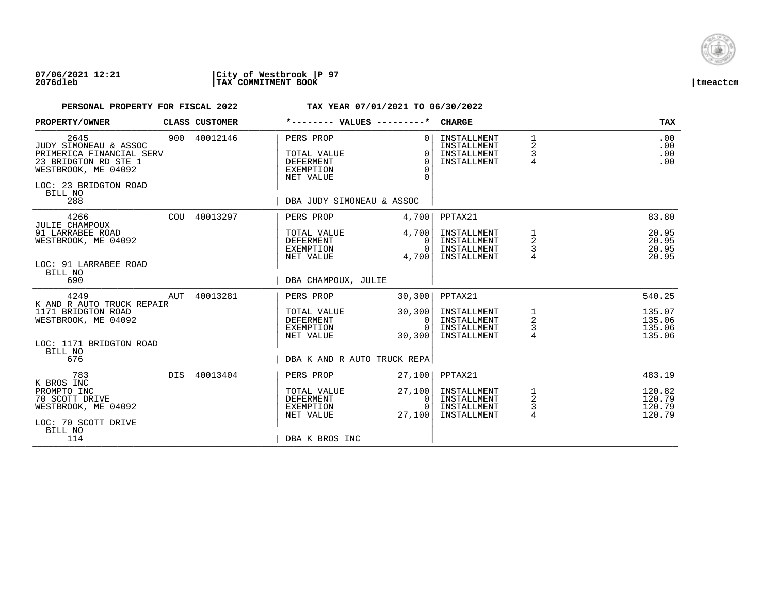

| PROPERTY/OWNER                                                                                                                                      | CLASS CUSTOMER | *-------- VALUES ---------*                                                                         |                                                                | <b>CHARGE</b>                                            |                                                   | <b>TAX</b>                           |
|-----------------------------------------------------------------------------------------------------------------------------------------------------|----------------|-----------------------------------------------------------------------------------------------------|----------------------------------------------------------------|----------------------------------------------------------|---------------------------------------------------|--------------------------------------|
| 2645<br>JUDY SIMONEAU & ASSOC<br>PRIMERICA FINANCIAL SERV<br>23 BRIDGTON RD STE 1<br>WESTBROOK, ME 04092<br>LOC: 23 BRIDGTON ROAD<br>BILL NO<br>288 | 900 40012146   | PERS PROP<br>TOTAL VALUE<br><b>DEFERMENT</b><br>EXEMPTION<br>NET VALUE<br>DBA JUDY SIMONEAU & ASSOC | 0 <sup>1</sup><br>$\Omega$<br>$\Omega$<br>$\Omega$<br>$\Omega$ | INSTALLMENT<br>INSTALLMENT<br>INSTALLMENT<br>INSTALLMENT | 1<br>2<br>3<br>$\overline{4}$                     | .00<br>.00<br>.00<br>.00             |
| 4266                                                                                                                                                | COU 40013297   | PERS PROP                                                                                           | 4,700                                                          | PPTAX21                                                  |                                                   | 83.80                                |
| JULIE CHAMPOUX<br>91 LARRABEE ROAD<br>WESTBROOK, ME 04092<br>LOC: 91 LARRABEE ROAD<br>BILL NO<br>690                                                |                | TOTAL VALUE<br>DEFERMENT<br>EXEMPTION<br>NET VALUE<br>DBA CHAMPOUX, JULIE                           | 4,700<br>$\Omega$<br>0<br>4,700                                | INSTALLMENT<br>INSTALLMENT<br>INSTALLMENT<br>INSTALLMENT | 1<br>2<br>3                                       | 20.95<br>20.95<br>20.95<br>20.95     |
| 4249<br>AUT                                                                                                                                         | 40013281       | PERS PROP                                                                                           | 30,300                                                         | PPTAX21                                                  |                                                   | 540.25                               |
| K AND R AUTO TRUCK REPAIR<br>1171 BRIDGTON ROAD<br>WESTBROOK, ME 04092<br>LOC: 1171 BRIDGTON ROAD<br>BILL NO<br>676                                 |                | TOTAL VALUE<br>DEFERMENT<br>EXEMPTION<br>NET VALUE<br>DBA K AND R AUTO TRUCK REPA                   | 30, 300<br>0 I<br>$\Omega$<br>30,300                           | INSTALLMENT<br>INSTALLMENT<br>INSTALLMENT<br>INSTALLMENT | $\begin{array}{c}\n1 \\ 2 \\ 3 \\ 4\n\end{array}$ | 135.07<br>135.06<br>135.06<br>135.06 |
| 783<br>K BROS INC                                                                                                                                   | DIS 40013404   | PERS PROP                                                                                           | 27,100                                                         | PPTAX21                                                  |                                                   | 483.19                               |
| PROMPTO INC<br>70 SCOTT DRIVE<br>WESTBROOK, ME 04092<br>LOC: 70 SCOTT DRIVE<br>BILL NO<br>114                                                       |                | TOTAL VALUE<br><b>DEFERMENT</b><br>EXEMPTION<br>NET VALUE<br>DBA K BROS INC                         | 27,100<br>0<br>$\Omega$<br>27,100                              | INSTALLMENT<br>INSTALLMENT<br>INSTALLMENT<br>INSTALLMENT | $\frac{1}{2}$<br>3<br>$\overline{4}$              | 120.82<br>120.79<br>120.79<br>120.79 |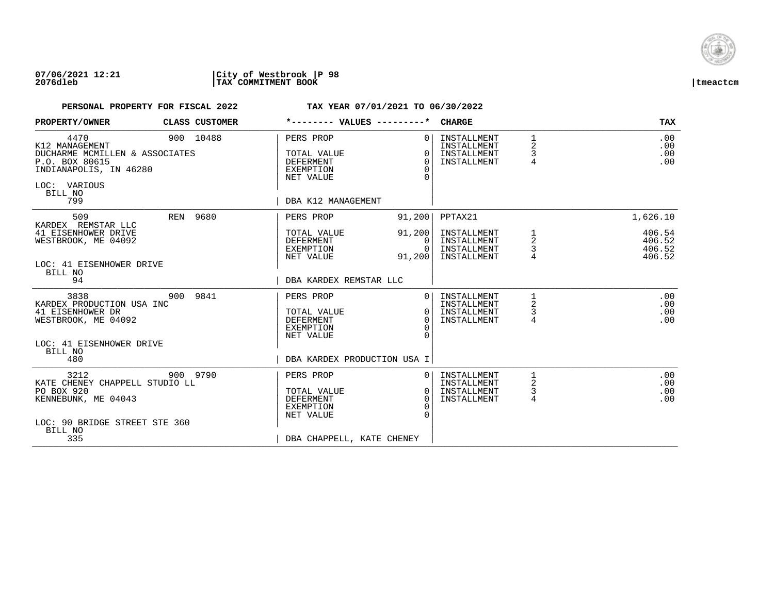

| PROPERTY/OWNER                                                                                                                         |     | CLASS CUSTOMER |                                                                                                     | *-------- VALUES ---------*                                  | <b>CHARGE</b>                                            |                                          | <b>TAX</b>                           |
|----------------------------------------------------------------------------------------------------------------------------------------|-----|----------------|-----------------------------------------------------------------------------------------------------|--------------------------------------------------------------|----------------------------------------------------------|------------------------------------------|--------------------------------------|
| 4470<br>K12 MANAGEMENT<br>DUCHARME MCMILLEN & ASSOCIATES<br>P.O. BOX 80615<br>INDIANAPOLIS, IN 46280<br>LOC: VARIOUS<br>BILL NO<br>799 |     | 900 10488      | PERS PROP<br>TOTAL VALUE<br><b>DEFERMENT</b><br>EXEMPTION<br>NET VALUE<br>DBA K12 MANAGEMENT        | 0 <sup>1</sup><br>$\Omega$<br>$\Omega$<br>$\Omega$<br>$\cap$ | INSTALLMENT<br>INSTALLMENT<br>INSTALLMENT<br>INSTALLMENT | $\mathbf{1}$<br>2<br>3<br>$\overline{4}$ | .00<br>.00<br>.00<br>.00             |
| 509                                                                                                                                    |     | REN 9680       | PERS PROP                                                                                           | 91,200                                                       | PPTAX21                                                  |                                          | 1,626.10                             |
| KARDEX REMSTAR LLC<br>41 EISENHOWER DRIVE<br>WESTBROOK, ME 04092<br>LOC: 41 EISENHOWER DRIVE<br>BILL NO                                |     |                | TOTAL VALUE<br>DEFERMENT<br>EXEMPTION<br>NET VALUE                                                  | 91, 200<br>0 I<br>$\Omega$<br>91,200                         | INSTALLMENT<br>INSTALLMENT<br>INSTALLMENT<br>INSTALLMENT | 1<br>$\overline{\mathbf{c}}$<br>3        | 406.54<br>406.52<br>406.52<br>406.52 |
| 94                                                                                                                                     |     |                | DBA KARDEX REMSTAR LLC                                                                              |                                                              |                                                          |                                          |                                      |
| 3838<br>KARDEX PRODUCTION USA INC<br>41 EISENHOWER DR<br>WESTBROOK, ME 04092                                                           | 900 | 9841           | PERS PROP<br>TOTAL VALUE<br><b>DEFERMENT</b><br>EXEMPTION<br>NET VALUE                              | 0 <sup>1</sup><br>$\Omega$<br>$\Omega$<br>$\Omega$           | INSTALLMENT<br>INSTALLMENT<br>INSTALLMENT<br>INSTALLMENT | 1<br>2<br>3<br>4                         | .00<br>.00<br>.00<br>.00             |
| LOC: 41 EISENHOWER DRIVE<br>BILL NO<br>480                                                                                             |     |                |                                                                                                     | DBA KARDEX PRODUCTION USA I                                  |                                                          |                                          |                                      |
| 3212<br>KATE CHENEY CHAPPELL STUDIO LL<br>PO BOX 920<br>KENNEBUNK, ME 04043<br>LOC: 90 BRIDGE STREET STE 360<br>BILL NO<br>335         |     | 900 9790       | PERS PROP<br>TOTAL VALUE<br><b>DEFERMENT</b><br>EXEMPTION<br>NET VALUE<br>DBA CHAPPELL, KATE CHENEY | 0 <sup>1</sup><br>0 <sup>1</sup><br>$\Omega$<br>$\Omega$     | INSTALLMENT<br>INSTALLMENT<br>INSTALLMENT<br>INSTALLMENT | 2<br>$\mathsf{3}$<br>$\overline{4}$      | .00<br>.00<br>.00<br>.00             |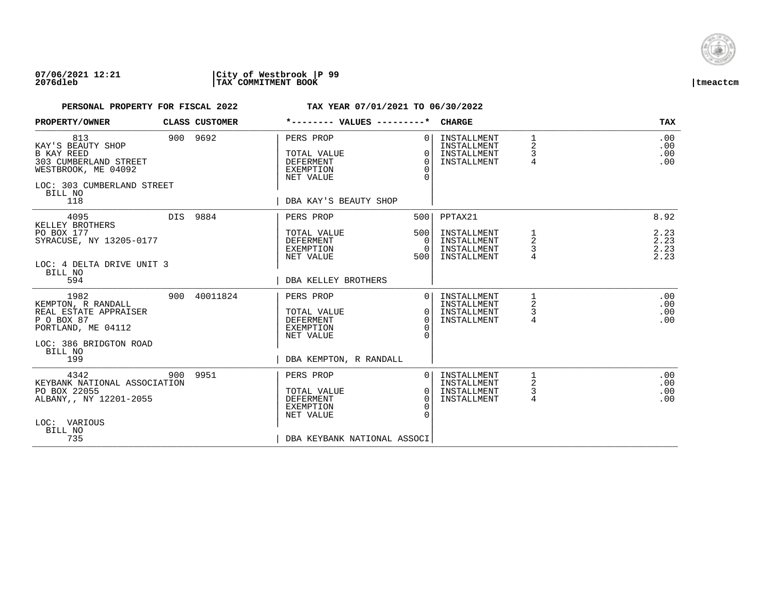

| PROPERTY/OWNER                                                                                                                                |     | CLASS CUSTOMER | *-------- VALUES ---------*                                                                           |                                                    | <b>CHARGE</b>                                            |                               | <b>TAX</b>                   |
|-----------------------------------------------------------------------------------------------------------------------------------------------|-----|----------------|-------------------------------------------------------------------------------------------------------|----------------------------------------------------|----------------------------------------------------------|-------------------------------|------------------------------|
| 813<br>KAY'S BEAUTY SHOP<br><b>B KAY REED</b><br>303 CUMBERLAND STREET<br>WESTBROOK, ME 04092<br>LOC: 303 CUMBERLAND STREET<br>BILL NO<br>118 |     | 900 9692       | PERS PROP<br>TOTAL VALUE<br><b>DEFERMENT</b><br>EXEMPTION<br>NET VALUE<br>DBA KAY'S BEAUTY SHOP       | 0 <sup>1</sup><br>$\Omega$<br>$\Omega$<br>$\Omega$ | INSTALLMENT<br>INSTALLMENT<br>INSTALLMENT<br>INSTALLMENT | 1<br>2<br>3<br>4              | .00<br>.00<br>.00<br>.00     |
| 4095                                                                                                                                          |     | DIS 9884       | PERS PROP                                                                                             | 500                                                | PPTAX21                                                  |                               | 8.92                         |
| KELLEY BROTHERS<br>PO BOX 177<br>SYRACUSE, NY 13205-0177<br>LOC: 4 DELTA DRIVE UNIT 3<br>BILL NO                                              |     |                | TOTAL VALUE<br>DEFERMENT<br>EXEMPTION<br>NET VALUE                                                    | 500<br>0 <sup>1</sup><br>$\overline{0}$<br>500     | INSTALLMENT<br>INSTALLMENT<br>INSTALLMENT<br>INSTALLMENT | 1<br>2<br>3                   | 2.23<br>2.23<br>2.23<br>2.23 |
| 594                                                                                                                                           |     |                | DBA KELLEY BROTHERS                                                                                   |                                                    |                                                          |                               |                              |
| 1982<br>KEMPTON, R RANDALL<br>REAL ESTATE APPRAISER<br>P O BOX 87<br>PORTLAND, ME 04112<br>LOC: 386 BRIDGTON ROAD<br>BILL NO<br>199           |     | 900 40011824   | PERS PROP<br>TOTAL VALUE<br><b>DEFERMENT</b><br>EXEMPTION<br>NET VALUE<br>DBA KEMPTON, R RANDALL      | $\bigcap$<br>$\Omega$<br>$\Omega$<br>$\Omega$      | INSTALLMENT<br>INSTALLMENT<br>INSTALLMENT<br>INSTALLMENT | 1<br>2<br>3<br>$\overline{4}$ | .00<br>.00<br>.00<br>.00     |
| 4342<br>KEYBANK NATIONAL ASSOCIATION<br>PO BOX 22055<br>ALBANY,, NY 12201-2055<br>LOC: VARIOUS<br>BILL NO<br>735                              | 900 | 9951           | PERS PROP<br>TOTAL VALUE<br><b>DEFERMENT</b><br>EXEMPTION<br>NET VALUE<br>DBA KEYBANK NATIONAL ASSOCI | 0 <sup>1</sup><br>$\Omega$<br>$\Omega$<br>$\Omega$ | INSTALLMENT<br>INSTALLMENT<br>INSTALLMENT<br>INSTALLMENT | 2<br>$\mathsf{3}$<br>4        | .00<br>.00<br>.00<br>.00     |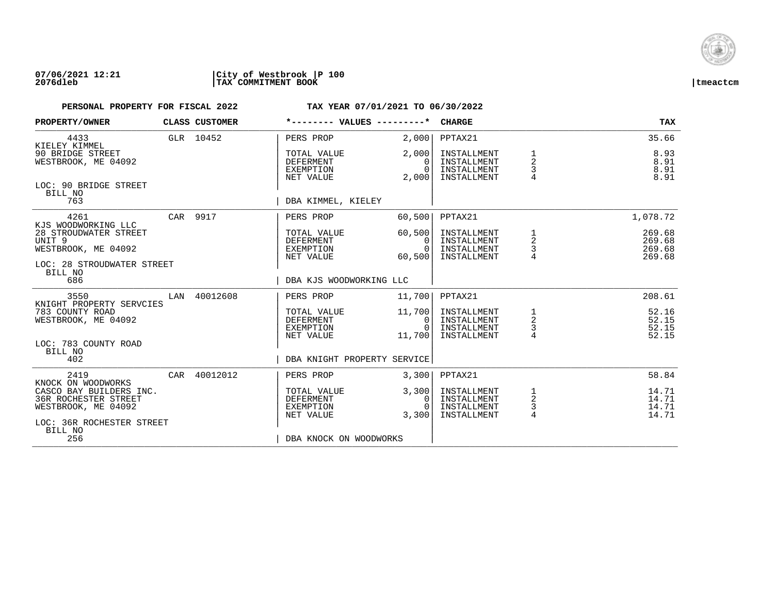

| PROPERTY/OWNER                                     |     | CLASS CUSTOMER | *-------- VALUES ---------*                               |                               | <b>CHARGE</b>                             |                            | <b>TAX</b>           |
|----------------------------------------------------|-----|----------------|-----------------------------------------------------------|-------------------------------|-------------------------------------------|----------------------------|----------------------|
| 4433<br>KIELEY KIMMEL<br>90 BRIDGE STREET          |     | GLR 10452      | PERS PROP                                                 | 2,000<br>2,000                | PPTAX21<br>INSTALLMENT                    |                            | 35.66<br>8.93        |
| WESTBROOK, ME 04092                                |     |                | TOTAL VALUE<br><b>DEFERMENT</b><br>EXEMPTION<br>NET VALUE | $\Omega$<br>$\Omega$<br>2,000 | INSTALLMENT<br>INSTALLMENT<br>INSTALLMENT | $\overline{a}$<br>3        | 8.91<br>8.91<br>8.91 |
| LOC: 90 BRIDGE STREET<br>BILL NO<br>763            |     |                | DBA KIMMEL, KIELEY                                        |                               |                                           |                            |                      |
|                                                    |     |                |                                                           |                               |                                           |                            |                      |
| 4261<br>KJS WOODWORKING LLC                        |     | CAR 9917       | PERS PROP                                                 | 60,500                        | PPTAX21                                   |                            | 1,078.72             |
| 28 STROUDWATER STREET<br>UNIT 9                    |     |                | TOTAL VALUE<br>DEFERMENT                                  | 60,500<br>$\Omega$            | INSTALLMENT<br>INSTALLMENT                | $\frac{1}{2}$              | 269.68<br>269.68     |
| WESTBROOK, ME 04092                                |     |                | EXEMPTION<br>NET VALUE                                    | $\Omega$<br>60,500            | INSTALLMENT<br>INSTALLMENT                | $\mathsf 3$                | 269.68<br>269.68     |
| LOC: 28 STROUDWATER STREET<br>BILL NO              |     |                |                                                           |                               |                                           |                            |                      |
| 686                                                |     |                | DBA KJS WOODWORKING LLC                                   |                               |                                           |                            |                      |
| 3550<br>KNIGHT PROPERTY SERVCIES                   | LAN | 40012608       | PERS PROP                                                 | 11,700                        | PPTAX21                                   |                            | 208.61               |
| 783 COUNTY ROAD<br>WESTBROOK, ME 04092             |     |                | TOTAL VALUE<br>DEFERMENT                                  | 11,700<br>- 0 I               | INSTALLMENT<br>INSTALLMENT                | $\mathbf{1}$<br>$\sqrt{2}$ | 52.16<br>52.15       |
|                                                    |     |                | EXEMPTION                                                 | $\Omega$                      | INSTALLMENT                               | $\frac{3}{4}$              | 52.15                |
| LOC: 783 COUNTY ROAD<br>BILL NO                    |     |                | NET VALUE                                                 | 11,700                        | INSTALLMENT                               |                            | 52.15                |
| 402                                                |     |                | DBA KNIGHT PROPERTY SERVICE                               |                               |                                           |                            |                      |
| 2419<br>KNOCK ON WOODWORKS                         |     | CAR 40012012   | PERS PROP                                                 | 3,300                         | PPTAX21                                   |                            | 58.84                |
| CASCO BAY BUILDERS INC.                            |     |                | TOTAL VALUE                                               | 3,300                         | INSTALLMENT                               | 1<br>$\sqrt{2}$            | 14.71                |
| <b>36R ROCHESTER STREET</b><br>WESTBROOK, ME 04092 |     |                | <b>DEFERMENT</b><br>EXEMPTION                             | $\Omega$<br>$\cap$            | INSTALLMENT<br>INSTALLMENT                | 3                          | 14.71<br>14.71       |
| LOC: 36R ROCHESTER STREET                          |     |                | NET VALUE                                                 | 3,300                         | INSTALLMENT                               | $\overline{4}$             | 14.71                |
| BILL NO<br>256                                     |     |                | DBA KNOCK ON WOODWORKS                                    |                               |                                           |                            |                      |
|                                                    |     |                |                                                           |                               |                                           |                            |                      |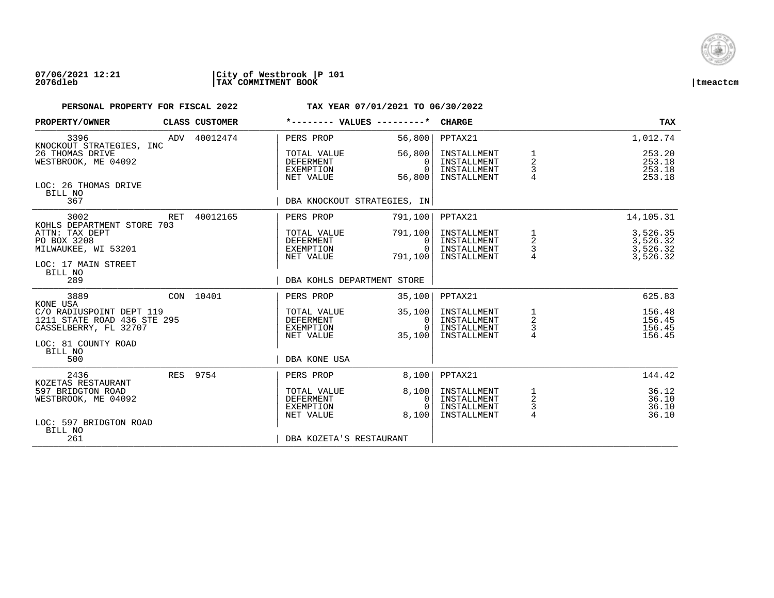

## **07/06/2021 12:21 |City of Westbrook |P 101 2076dleb |TAX COMMITMENT BOOK |tmeactcm**

| PROPERTY/OWNER                                                                                            |  | CLASS CUSTOMER                                     | *-------- VALUES ---------*                                      |                                                          | <b>CHARGE</b>                                            |                                              | TAX                                  |
|-----------------------------------------------------------------------------------------------------------|--|----------------------------------------------------|------------------------------------------------------------------|----------------------------------------------------------|----------------------------------------------------------|----------------------------------------------|--------------------------------------|
| 3396<br>KNOCKOUT STRATEGIES, INC                                                                          |  | ADV 40012474                                       | PERS PROP                                                        | 56,800                                                   | PPTAX21                                                  |                                              | 1,012.74                             |
| 26 THOMAS DRIVE<br>WESTBROOK, ME 04092                                                                    |  |                                                    | TOTAL VALUE<br><b>DEFERMENT</b><br><b>EXEMPTION</b><br>NET VALUE | 56,800<br>$\Omega$<br>$\Omega$<br>56,800                 | INSTALLMENT<br>INSTALLMENT<br>INSTALLMENT<br>INSTALLMENT | $\boldsymbol{2}$<br>$\mathsf{3}$             | 253.20<br>253.18<br>253.18<br>253.18 |
| LOC: 26 THOMAS DRIVE<br>BILL NO<br>367                                                                    |  |                                                    | DBA KNOCKOUT STRATEGIES, IN                                      |                                                          |                                                          |                                              |                                      |
| 3002                                                                                                      |  | RET 40012165                                       | PERS PROP                                                        | 791,100                                                  | PPTAX21                                                  |                                              | 14,105.31                            |
| KOHLS DEPARTMENT STORE 703<br>ATTN: TAX DEPT<br>PO BOX 3208<br>MILWAUKEE, WI 53201<br>LOC: 17 MAIN STREET |  | TOTAL VALUE<br>DEFERMENT<br>EXEMPTION<br>NET VALUE | 791,100 <br>0<br>$\Omega$<br>791,100                             | INSTALLMENT<br>INSTALLMENT<br>INSTALLMENT<br>INSTALLMENT | 1<br>$\overline{\mathbf{c}}$<br>$\frac{3}{4}$            | 3,526.35<br>3,526.32<br>3,526.32<br>3,526.32 |                                      |
| BILL NO<br>289                                                                                            |  |                                                    | DBA KOHLS DEPARTMENT STORE                                       |                                                          |                                                          |                                              |                                      |
| 3889<br>KONE USA                                                                                          |  | CON 10401                                          | PERS PROP                                                        | 35,100                                                   | PPTAX21                                                  |                                              | 625.83                               |
| C/O RADIUSPOINT DEPT 119<br>1211 STATE ROAD 436 STE 295<br>CASSELBERRY, FL 32707                          |  |                                                    | TOTAL VALUE<br><b>DEFERMENT</b><br>EXEMPTION<br>NET VALUE        | 35,100<br>0<br>$\Omega$<br>35,100                        | INSTALLMENT<br>INSTALLMENT<br>INSTALLMENT<br>INSTALLMENT | $\frac{1}{2}$<br>$\frac{3}{4}$               | 156.48<br>156.45<br>156.45<br>156.45 |
| LOC: 81 COUNTY ROAD<br>BILL NO<br>500                                                                     |  |                                                    | DBA KONE USA                                                     |                                                          |                                                          |                                              |                                      |
| 2436<br>KOZETAS RESTAURANT                                                                                |  | RES 9754                                           | PERS PROP                                                        | 8,100                                                    | PPTAX21                                                  |                                              | 144.42                               |
| 597 BRIDGTON ROAD<br>WESTBROOK, ME 04092                                                                  |  |                                                    | TOTAL VALUE<br><b>DEFERMENT</b><br>EXEMPTION<br>NET VALUE        | 8,100<br>0<br>8,100                                      | INSTALLMENT<br>INSTALLMENT<br>INSTALLMENT<br>INSTALLMENT | $\frac{1}{2}$<br>$\frac{3}{4}$               | 36.12<br>36.10<br>36.10<br>36.10     |
| LOC: 597 BRIDGTON ROAD<br>BILL NO<br>261                                                                  |  |                                                    | DBA KOZETA'S RESTAURANT                                          |                                                          |                                                          |                                              |                                      |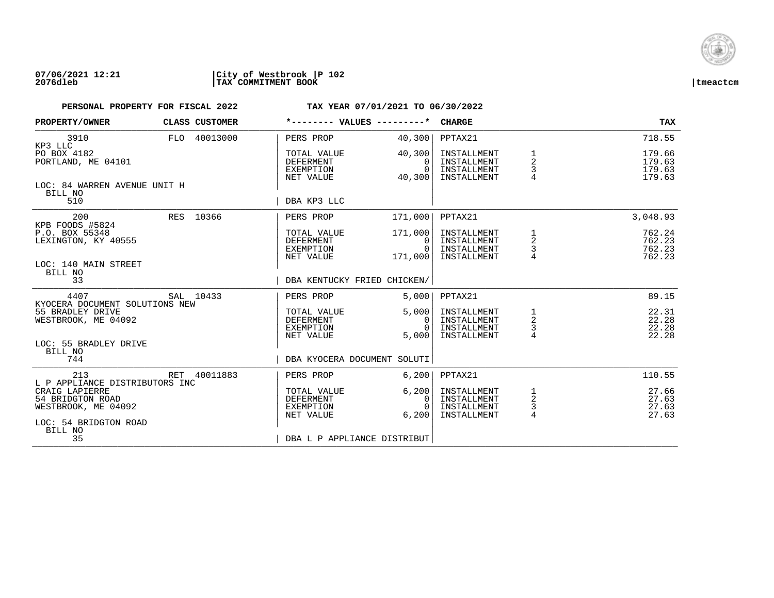

| PROPERTY/OWNER                                                                                                                  | CLASS CUSTOMER | *-------- VALUES ---------*                               |                                                  | <b>CHARGE</b>                                            |                                             | <b>TAX</b>                           |
|---------------------------------------------------------------------------------------------------------------------------------|----------------|-----------------------------------------------------------|--------------------------------------------------|----------------------------------------------------------|---------------------------------------------|--------------------------------------|
| 3910<br>KP3 LLC                                                                                                                 | FLO 40013000   | PERS PROP                                                 | 40,300                                           | PPTAX21                                                  |                                             | 718.55                               |
| PO BOX 4182<br>PORTLAND, ME 04101                                                                                               |                | TOTAL VALUE<br>DEFERMENT<br>EXEMPTION<br>NET VALUE        | 40,300<br>$\Omega$<br>$\Omega$<br>40,300         | INSTALLMENT<br>INSTALLMENT<br>INSTALLMENT<br>INSTALLMENT | $\overline{a}$<br>3<br>4                    | 179.66<br>179.63<br>179.63<br>179.63 |
| LOC: 84 WARREN AVENUE UNIT H<br>BILL NO<br>510                                                                                  |                | DBA KP3 LLC                                               |                                                  |                                                          |                                             |                                      |
| 200<br>KPB FOODS #5824                                                                                                          | RES 10366      | PERS PROP                                                 | 171,000                                          | PPTAX21                                                  |                                             | 3,048.93                             |
| P.O. BOX 55348<br>LEXINGTON, KY 40555                                                                                           |                | TOTAL VALUE<br>DEFERMENT<br>EXEMPTION<br>NET VALUE        | 171,000<br>$\Omega$<br>$\overline{0}$<br>171,000 | INSTALLMENT<br>INSTALLMENT<br>INSTALLMENT<br>INSTALLMENT | $\frac{1}{2}$<br>$\mathsf 3$                | 762.24<br>762.23<br>762.23<br>762.23 |
| LOC: 140 MAIN STREET<br>BILL NO<br>33                                                                                           |                | DBA KENTUCKY FRIED CHICKEN/                               |                                                  |                                                          |                                             |                                      |
| 4407<br>KYOCERA DOCUMENT SOLUTIONS NEW                                                                                          | SAL 10433      | PERS PROP                                                 | 5.000                                            | PPTAX21                                                  |                                             | 89.15                                |
| 55 BRADLEY DRIVE<br>WESTBROOK, ME 04092                                                                                         |                | TOTAL VALUE<br>DEFERMENT<br>EXEMPTION<br>NET VALUE        | 5,000<br>0<br>$\Omega$<br>5,000                  | INSTALLMENT<br>INSTALLMENT<br>INSTALLMENT<br>INSTALLMENT | $\mathbf{1}$<br>$\sqrt{2}$<br>$\frac{3}{4}$ | 22.31<br>22.28<br>22.28<br>22.28     |
| LOC: 55 BRADLEY DRIVE<br>BILL NO<br>744                                                                                         |                | DBA KYOCERA DOCUMENT SOLUTI                               |                                                  |                                                          |                                             |                                      |
| 213                                                                                                                             | RET 40011883   | PERS PROP                                                 | 6,200                                            | PPTAX21                                                  |                                             | 110.55                               |
| L P APPLIANCE DISTRIBUTORS INC<br>CRAIG LAPIERRE<br>54 BRIDGTON ROAD<br>WESTBROOK, ME 04092<br>LOC: 54 BRIDGTON ROAD<br>BILL NO |                | TOTAL VALUE<br><b>DEFERMENT</b><br>EXEMPTION<br>NET VALUE | 6,200<br>$\Omega$<br>$\Omega$<br>6.200           | INSTALLMENT<br>INSTALLMENT<br>INSTALLMENT<br>INSTALLMENT | 1<br>$\sqrt{2}$<br>3<br>4                   | 27.66<br>27.63<br>27.63<br>27.63     |
| 35                                                                                                                              |                | DBA L P APPLIANCE DISTRIBUT                               |                                                  |                                                          |                                             |                                      |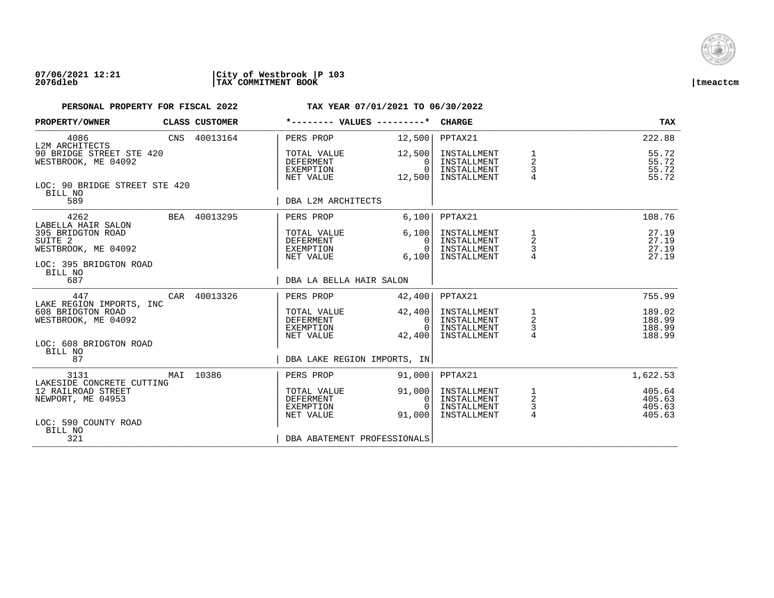

| PROPERTY/OWNER                                                       | CLASS CUSTOMER | *-------- VALUES ---------*                        |                                                | CHARGE                                                   |                                                   | TAX                                  |
|----------------------------------------------------------------------|----------------|----------------------------------------------------|------------------------------------------------|----------------------------------------------------------|---------------------------------------------------|--------------------------------------|
| 4086<br>L2M ARCHITECTS                                               | CNS 40013164   | PERS PROP                                          | 12,500                                         | PPTAX21                                                  |                                                   | 222.88                               |
| 90 BRIDGE STREET STE 420<br>WESTBROOK, ME 04092                      |                | TOTAL VALUE<br>DEFERMENT<br>EXEMPTION<br>NET VALUE | 12,500<br>$\Omega$<br>0 <sup>1</sup><br>12,500 | INSTALLMENT<br>INSTALLMENT<br>INSTALLMENT<br>INSTALLMENT | $\frac{1}{2}$<br>3<br>$\overline{4}$              | 55.72<br>55.72<br>55.72<br>55.72     |
| LOC: 90 BRIDGE STREET STE 420<br>BILL NO<br>589                      |                | DBA L2M ARCHITECTS                                 |                                                |                                                          |                                                   |                                      |
| 4262<br>LABELLA HAIR SALON                                           | BEA 40013295   | PERS PROP                                          | 6,100                                          | PPTAX21                                                  |                                                   | 108.76                               |
| 395 BRIDGTON ROAD<br>SUITE <sub>2</sub><br>WESTBROOK, ME 04092       |                | TOTAL VALUE<br>DEFERMENT<br>EXEMPTION<br>NET VALUE | 6,100<br>$\Omega$<br>0 <sup>1</sup><br>6,100   | INSTALLMENT<br>INSTALLMENT<br>INSTALLMENT<br>INSTALLMENT | 1<br>$\overline{\mathbf{c}}$<br>3                 | 27.19<br>27.19<br>27.19<br>27.19     |
| LOC: 395 BRIDGTON ROAD<br>BILL NO<br>687                             |                | DBA LA BELLA HAIR SALON                            |                                                |                                                          |                                                   |                                      |
| 447<br>LAKE REGION IMPORTS, INC                                      | CAR 40013326   | PERS PROP                                          | 42,400                                         | PPTAX21                                                  |                                                   | 755.99                               |
| 608 BRIDGTON ROAD<br>WESTBROOK, ME 04092                             |                | TOTAL VALUE<br>DEFERMENT<br>EXEMPTION<br>NET VALUE | 42,400<br>0 <sup>1</sup><br>$\Omega$<br>42,400 | INSTALLMENT<br>INSTALLMENT<br>INSTALLMENT<br>INSTALLMENT | $\begin{array}{c}\n1 \\ 2 \\ 3 \\ 4\n\end{array}$ | 189.02<br>188.99<br>188.99<br>188.99 |
| LOC: 608 BRIDGTON ROAD<br>BILL NO<br>87                              |                | DBA LAKE REGION IMPORTS, IN                        |                                                |                                                          |                                                   |                                      |
| 3131                                                                 | MAI 10386      | PERS PROP                                          | 91,000                                         | PPTAX21                                                  |                                                   | 1,622.53                             |
| LAKESIDE CONCRETE CUTTING<br>12 RAILROAD STREET<br>NEWPORT, ME 04953 |                | TOTAL VALUE<br>DEFERMENT<br>EXEMPTION<br>NET VALUE | 91,000<br>0 I<br>$\overline{0}$<br>91,000      | INSTALLMENT<br>INSTALLMENT<br>INSTALLMENT<br>INSTALLMENT | $\frac{1}{2}$<br>$\frac{3}{4}$                    | 405.64<br>405.63<br>405.63<br>405.63 |
| LOC: 590 COUNTY ROAD<br>BILL NO<br>321                               |                | DBA ABATEMENT PROFESSIONALS                        |                                                |                                                          |                                                   |                                      |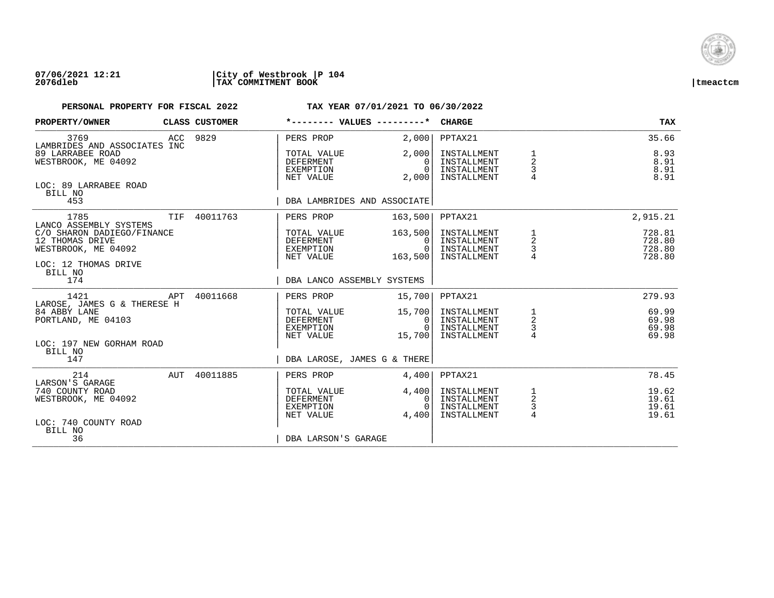

## **07/06/2021 12:21 |City of Westbrook |P 104 2076dleb |TAX COMMITMENT BOOK |tmeactcm**

| PROPERTY/OWNER                                                                               |            | CLASS CUSTOMER | *-------- VALUES ---------*                        |                                              | <b>CHARGE</b>                                            |                                                 | <b>TAX</b>                           |
|----------------------------------------------------------------------------------------------|------------|----------------|----------------------------------------------------|----------------------------------------------|----------------------------------------------------------|-------------------------------------------------|--------------------------------------|
| 3769<br>LAMBRIDES AND ASSOCIATES INC                                                         |            | ACC 9829       | PERS PROP                                          | 2,000                                        | PPTAX21                                                  |                                                 | 35.66                                |
| 89 LARRABEE ROAD<br>WESTBROOK, ME 04092                                                      |            |                | TOTAL VALUE<br>DEFERMENT<br>EXEMPTION<br>NET VALUE | 2,000<br>$\Omega$<br>$\Omega$<br>2,000       | INSTALLMENT<br>INSTALLMENT<br>INSTALLMENT<br>INSTALLMENT | 1<br>2<br>3                                     | 8.93<br>8.91<br>8.91<br>8.91         |
| LOC: 89 LARRABEE ROAD<br>BILL NO<br>453                                                      |            |                | DBA LAMBRIDES AND ASSOCIATE                        |                                              |                                                          |                                                 |                                      |
| 1785<br>LANCO ASSEMBLY SYSTEMS                                                               | <b>TIF</b> | 40011763       | PERS PROP                                          | 163,500                                      | PPTAX21                                                  |                                                 | 2,915.21                             |
| C/O SHARON DADIEGO/FINANCE<br>12 THOMAS DRIVE<br>WESTBROOK, ME 04092<br>LOC: 12 THOMAS DRIVE |            |                | TOTAL VALUE<br>DEFERMENT<br>EXEMPTION<br>NET VALUE | 163,500<br>0 I<br>$\overline{0}$<br>163,500  | INSTALLMENT<br>INSTALLMENT<br>INSTALLMENT<br>INSTALLMENT | 1<br>$\overline{a}$<br>$\frac{3}{4}$            | 728.81<br>728.80<br>728.80<br>728.80 |
| BILL NO<br>174                                                                               |            |                | DBA LANCO ASSEMBLY SYSTEMS                         |                                              |                                                          |                                                 |                                      |
| 1421<br>LAROSE, JAMES G & THERESE H                                                          | APT        | 40011668       | PERS PROP                                          | 15,700                                       | PPTAX21                                                  |                                                 | 279.93                               |
| 84 ABBY LANE<br>PORTLAND, ME 04103                                                           |            |                | TOTAL VALUE<br>DEFERMENT<br>EXEMPTION<br>NET VALUE | 15,700<br> 0 <br>$\Omega$<br>15,700          | INSTALLMENT<br>INSTALLMENT<br>INSTALLMENT<br>INSTALLMENT | $\frac{1}{2}$<br>$\frac{3}{4}$                  | 69.99<br>69.98<br>69.98<br>69.98     |
| LOC: 197 NEW GORHAM ROAD<br>BILL NO<br>147                                                   |            |                | DBA LAROSE, JAMES G & THERE                        |                                              |                                                          |                                                 |                                      |
| 214                                                                                          |            | AUT 40011885   | PERS PROP                                          | 4,400                                        | PPTAX21                                                  |                                                 | 78.45                                |
| LARSON'S GARAGE<br>740 COUNTY ROAD<br>WESTBROOK, ME 04092<br>LOC: 740 COUNTY ROAD            |            |                | TOTAL VALUE<br>DEFERMENT<br>EXEMPTION<br>NET VALUE | 4,400<br>$\overline{0}$<br>$\Omega$<br>4,400 | INSTALLMENT<br>INSTALLMENT<br>INSTALLMENT<br>INSTALLMENT | $\mathbf{1}$<br>$\overline{a}$<br>$\frac{3}{4}$ | 19.62<br>19.61<br>19.61<br>19.61     |
| BILL NO<br>36                                                                                |            |                | DBA LARSON'S GARAGE                                |                                              |                                                          |                                                 |                                      |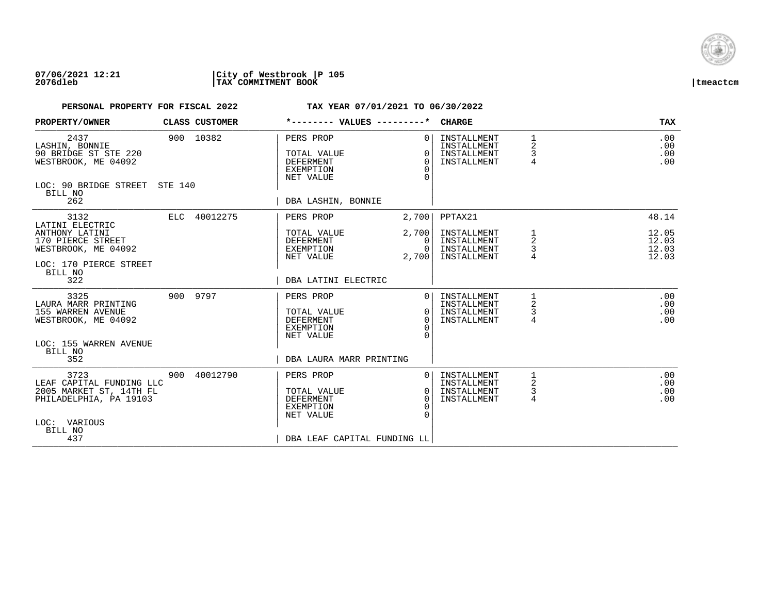

## **07/06/2021 12:21 |City of Westbrook |P 105 2076dleb |TAX COMMITMENT BOOK |tmeactcm**

| PROPERTY/OWNER                                                                                                          |     | CLASS CUSTOMER | *-------- VALUES ---------*                                                                                  |                                                         | <b>CHARGE</b>                                            |                  | <b>TAX</b>                       |
|-------------------------------------------------------------------------------------------------------------------------|-----|----------------|--------------------------------------------------------------------------------------------------------------|---------------------------------------------------------|----------------------------------------------------------|------------------|----------------------------------|
| 2437<br>LASHIN, BONNIE<br>90 BRIDGE ST STE 220<br>WESTBROOK, ME 04092<br>LOC: 90 BRIDGE STREET STE 140                  |     | 900 10382      | PERS PROP<br>TOTAL VALUE<br><b>DEFERMENT</b><br><b>EXEMPTION</b><br>NET VALUE                                | 0 <sup>1</sup><br>$\Omega$<br>$\Omega$<br>$\Omega$<br>∩ | INSTALLMENT<br>INSTALLMENT<br>INSTALLMENT<br>INSTALLMENT | 1<br>2<br>3<br>4 | .00<br>.00<br>.00<br>.00         |
| BILL NO<br>262                                                                                                          |     |                | DBA LASHIN, BONNIE                                                                                           |                                                         |                                                          |                  |                                  |
| 3132<br>LATINI ELECTRIC                                                                                                 |     | ELC 40012275   | PERS PROP                                                                                                    | 2,700                                                   | PPTAX21                                                  |                  | 48.14                            |
| ANTHONY LATINI<br>170 PIERCE STREET<br>WESTBROOK, ME 04092                                                              |     |                | TOTAL VALUE<br>DEFERMENT<br>EXEMPTION<br>NET VALUE                                                           | 2,700<br>$\Omega$<br>$\Omega$<br>2,700                  | INSTALLMENT<br>INSTALLMENT<br>INSTALLMENT<br>INSTALLMENT | 1<br>2<br>3      | 12.05<br>12.03<br>12.03<br>12.03 |
| LOC: 170 PIERCE STREET<br>BILL NO<br>322                                                                                |     |                | DBA LATINI ELECTRIC                                                                                          |                                                         |                                                          |                  |                                  |
| 3325<br>LAURA MARR PRINTING<br>155 WARREN AVENUE<br>WESTBROOK, ME 04092                                                 |     | 900 9797       | PERS PROP<br>TOTAL VALUE<br><b>DEFERMENT</b><br><b>EXEMPTION</b><br>NET VALUE                                | $\Omega$<br>$\Omega$<br>$\Omega$<br>∩<br>$\cap$         | INSTALLMENT<br>INSTALLMENT<br>INSTALLMENT<br>INSTALLMENT | 1<br>2<br>3<br>4 | .00<br>.00<br>.00<br>.00         |
| LOC: 155 WARREN AVENUE<br>BILL NO<br>352                                                                                |     |                | DBA LAURA MARR PRINTING                                                                                      |                                                         |                                                          |                  |                                  |
| 3723<br>LEAF CAPITAL FUNDING LLC<br>2005 MARKET ST, 14TH FL<br>PHILADELPHIA, PA 19103<br>LOC: VARIOUS<br>BILL NO<br>437 | 900 | 40012790       | PERS PROP<br>TOTAL VALUE<br><b>DEFERMENT</b><br><b>EXEMPTION</b><br>NET VALUE<br>DBA LEAF CAPITAL FUNDING LL | $\Omega$<br>$\Omega$<br>$\Omega$<br>$\Omega$            | INSTALLMENT<br>INSTALLMENT<br>INSTALLMENT<br>INSTALLMENT | 2<br>3<br>4      | .00<br>.00<br>.00<br>.00         |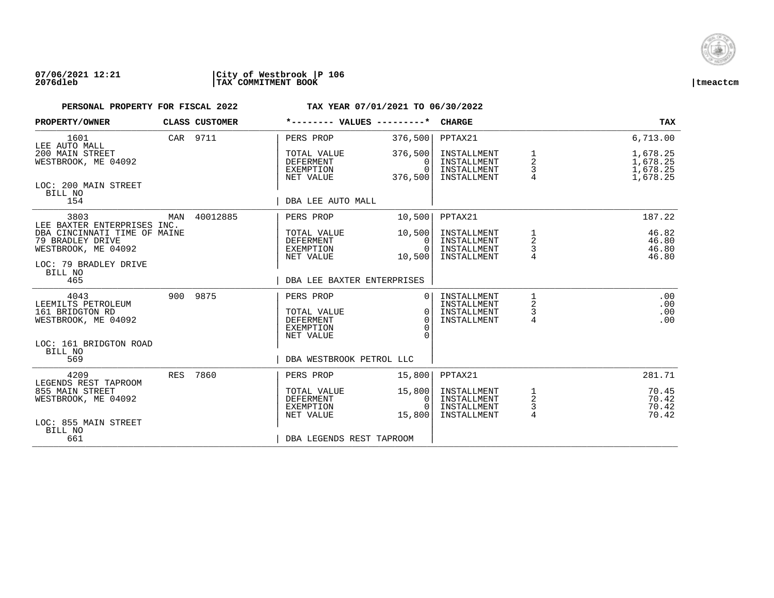

## **07/06/2021 12:21 |City of Westbrook |P 106 2076dleb |TAX COMMITMENT BOOK |tmeactcm**

| PROPERTY/OWNER                                                                                   |     | CLASS CUSTOMER | *-------- VALUES ---------*                               |                                            | <b>CHARGE</b>                                            |                                       | TAX                                          |
|--------------------------------------------------------------------------------------------------|-----|----------------|-----------------------------------------------------------|--------------------------------------------|----------------------------------------------------------|---------------------------------------|----------------------------------------------|
| 1601<br>LEE AUTO MALL                                                                            |     | CAR 9711       | PERS PROP                                                 | 376,500                                    | PPTAX21                                                  |                                       | 6,713.00                                     |
| 200 MAIN STREET<br>WESTBROOK, ME 04092                                                           |     |                | TOTAL VALUE<br><b>DEFERMENT</b><br>EXEMPTION<br>NET VALUE | 376,500<br>$\Omega$<br>$\Omega$<br>376,500 | INSTALLMENT<br>INSTALLMENT<br>INSTALLMENT<br>INSTALLMENT | 1<br>$\boldsymbol{2}$<br>3            | 1,678.25<br>1,678.25<br>1,678.25<br>1,678.25 |
| LOC: 200 MAIN STREET<br>BILL NO<br>154                                                           |     |                | DBA LEE AUTO MALL                                         |                                            |                                                          |                                       |                                              |
| 3803<br>LEE BAXTER ENTERPRISES INC.                                                              | MAN | 40012885       | PERS PROP                                                 | 10,500                                     | PPTAX21                                                  |                                       | 187.22                                       |
| DBA CINCINNATI TIME OF MAINE<br>79 BRADLEY DRIVE<br>WESTBROOK, ME 04092<br>LOC: 79 BRADLEY DRIVE |     |                | TOTAL VALUE<br>DEFERMENT<br>EXEMPTION<br>NET VALUE        | 10,500<br>0<br>$\Omega$<br>10,500          | INSTALLMENT<br>INSTALLMENT<br>INSTALLMENT<br>INSTALLMENT | 1<br>2<br>3                           | 46.82<br>46.80<br>46.80<br>46.80             |
| BILL NO<br>465                                                                                   |     |                | DBA LEE BAXTER ENTERPRISES                                |                                            |                                                          |                                       |                                              |
| 4043<br>LEEMILTS PETROLEUM<br>161 BRIDGTON RD<br>WESTBROOK, ME 04092                             |     | 900 9875       | PERS PROP<br>TOTAL VALUE<br><b>DEFERMENT</b><br>EXEMPTION | $\Omega$<br>$\Omega$                       | INSTALLMENT<br>INSTALLMENT<br>INSTALLMENT<br>INSTALLMENT | 2<br>3<br>4                           | .00<br>.00<br>.00<br>.00                     |
| LOC: 161 BRIDGTON ROAD<br>BILL NO<br>569                                                         |     |                | NET VALUE<br>DBA WESTBROOK PETROL LLC                     |                                            |                                                          |                                       |                                              |
| 4209<br>LEGENDS REST TAPROOM                                                                     | RES | 7860           | PERS PROP                                                 | 15,800                                     | PPTAX21                                                  |                                       | 281.71                                       |
| 855 MAIN STREET<br>WESTBROOK, ME 04092                                                           |     |                | TOTAL VALUE<br>DEFERMENT<br>EXEMPTION<br>NET VALUE        | 15,800<br>0<br>$\Omega$<br>15,800          | INSTALLMENT<br>INSTALLMENT<br>INSTALLMENT<br>INSTALLMENT | $\overline{c}$<br>3<br>$\overline{4}$ | 70.45<br>70.42<br>70.42<br>70.42             |
| LOC: 855 MAIN STREET<br>BILL NO<br>661                                                           |     |                | DBA LEGENDS REST TAPROOM                                  |                                            |                                                          |                                       |                                              |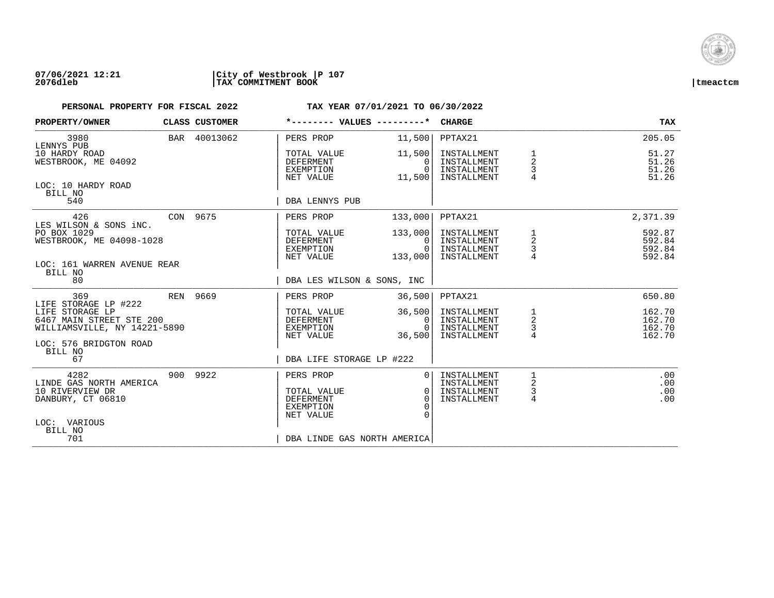

## **07/06/2021 12:21 |City of Westbrook |P 107 2076dleb |TAX COMMITMENT BOOK |tmeactcm**

| PROPERTY/OWNER                                                              | CLASS CUSTOMER | *-------- VALUES ---------*                                      |                                                  | <b>CHARGE</b>                                            |                                        | <b>TAX</b>                           |
|-----------------------------------------------------------------------------|----------------|------------------------------------------------------------------|--------------------------------------------------|----------------------------------------------------------|----------------------------------------|--------------------------------------|
| 3980<br>LENNYS PUB                                                          | BAR 40013062   | PERS PROP                                                        | 11,500                                           | PPTAX21                                                  |                                        | 205.05                               |
| 10 HARDY ROAD<br>WESTBROOK, ME 04092                                        |                | TOTAL VALUE<br>DEFERMENT<br>EXEMPTION<br>NET VALUE               | 11,500<br>$\Omega$<br>$\Omega$<br>11,500         | INSTALLMENT<br>INSTALLMENT<br>INSTALLMENT<br>INSTALLMENT | $\overline{a}$<br>3                    | 51.27<br>51.26<br>51.26<br>51.26     |
| LOC: 10 HARDY ROAD<br>BILL NO<br>540                                        |                | DBA LENNYS PUB                                                   |                                                  |                                                          |                                        |                                      |
| 426<br>LES WILSON & SONS INC.                                               | CON 9675       | PERS PROP                                                        | 133,000                                          | PPTAX21                                                  |                                        | 2,371.39                             |
| PO BOX 1029<br>WESTBROOK, ME 04098-1028                                     |                | TOTAL VALUE<br>DEFERMENT<br>EXEMPTION<br>NET VALUE               | 133,000<br>$\Omega$<br>$\overline{0}$<br>133,000 | INSTALLMENT<br>INSTALLMENT<br>INSTALLMENT<br>INSTALLMENT | $\frac{1}{2}$<br>$\mathsf{3}$          | 592.87<br>592.84<br>592.84<br>592.84 |
| LOC: 161 WARREN AVENUE REAR<br>BILL NO<br>80                                |                | DBA LES WILSON & SONS, INC                                       |                                                  |                                                          |                                        |                                      |
| 369<br>LIFE STORAGE LP #222                                                 | REN 9669       | PERS PROP                                                        | 36,500                                           | PPTAX21                                                  |                                        | 650.80                               |
| LIFE STORAGE LP<br>6467 MAIN STREET STE 200<br>WILLIAMSVILLE, NY 14221-5890 |                | TOTAL VALUE<br>DEFERMENT<br>EXEMPTION                            | 36,500<br>$\mathbf{0}$<br>$\Omega$               | INSTALLMENT<br>INSTALLMENT<br>INSTALLMENT                | 1<br>$\sqrt{2}$<br>3<br>$\overline{4}$ | 162.70<br>162.70<br>162.70<br>162.70 |
| LOC: 576 BRIDGTON ROAD<br>BILL NO<br>67                                     |                | NET VALUE<br>DBA LIFE STORAGE LP #222                            | 36,500                                           | INSTALLMENT                                              |                                        |                                      |
|                                                                             |                |                                                                  |                                                  |                                                          |                                        |                                      |
| 4282<br>LINDE GAS NORTH AMERICA                                             | 900 9922       | PERS PROP                                                        | 0 <sub>1</sub>                                   | INSTALLMENT<br>INSTALLMENT                               | 1<br>2                                 | .00<br>.00                           |
| 10 RIVERVIEW DR<br>DANBURY, CT 06810                                        |                | TOTAL VALUE<br><b>DEFERMENT</b><br><b>EXEMPTION</b><br>NET VALUE | $\Omega$<br>$\Omega$<br>$\Omega$                 | INSTALLMENT<br>INSTALLMENT                               | 3<br>4                                 | .00<br>.00                           |
| LOC: VARIOUS<br>BILL NO<br>701                                              |                | DBA LINDE GAS NORTH AMERICA                                      |                                                  |                                                          |                                        |                                      |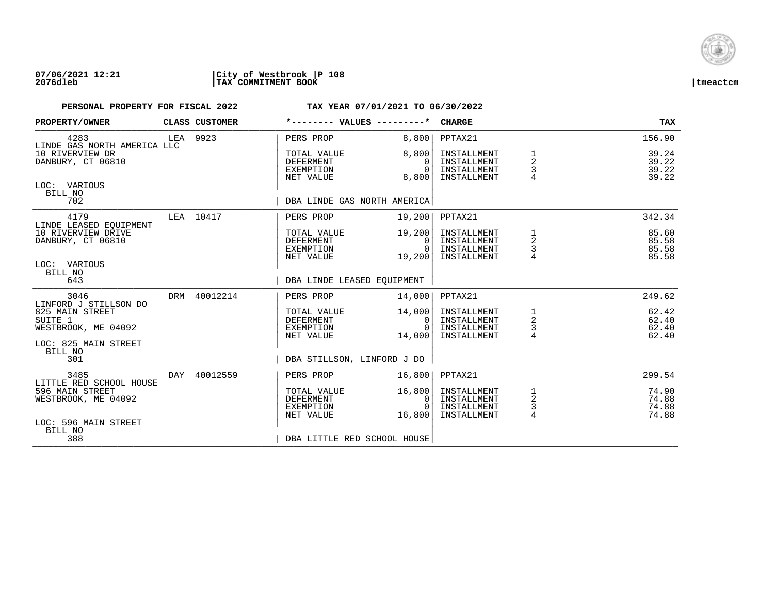

## **07/06/2021 12:21 |City of Westbrook |P 108 2076dleb |TAX COMMITMENT BOOK |tmeactcm**

| PROPERTY/OWNER                                                                    |          | CLASS CUSTOMER | *-------- VALUES ---------*                               |                                              | <b>CHARGE</b>                                            |                                                   | <b>TAX</b>                       |
|-----------------------------------------------------------------------------------|----------|----------------|-----------------------------------------------------------|----------------------------------------------|----------------------------------------------------------|---------------------------------------------------|----------------------------------|
| 4283<br>LINDE GAS NORTH AMERICA LLC                                               | LEA 9923 |                | PERS PROP                                                 | 8,800                                        | PPTAX21                                                  |                                                   | 156.90                           |
| 10 RIVERVIEW DR<br>DANBURY, CT 06810                                              |          |                | TOTAL VALUE<br><b>DEFERMENT</b><br>EXEMPTION<br>NET VALUE | 8,800<br>$\Omega$<br>$\Omega$<br>8,800       | INSTALLMENT<br>INSTALLMENT<br>INSTALLMENT<br>INSTALLMENT | 1<br>$\overline{2}$<br>3<br>$\overline{4}$        | 39.24<br>39.22<br>39.22<br>39.22 |
| LOC: VARIOUS<br>BILL NO<br>702                                                    |          |                | DBA LINDE GAS NORTH AMERICA                               |                                              |                                                          |                                                   |                                  |
| 4179                                                                              |          | LEA 10417      | PERS PROP                                                 | 19,200                                       | PPTAX21                                                  |                                                   | 342.34                           |
| LINDE LEASED EOUIPMENT<br>10 RIVERVIEW DRIVE<br>DANBURY, CT 06810<br>LOC: VARIOUS |          |                | TOTAL VALUE<br>DEFERMENT<br>EXEMPTION<br>NET VALUE        | 19,200<br>$\Omega$<br>$\Omega$<br>19,200     | INSTALLMENT<br>INSTALLMENT<br>INSTALLMENT<br>INSTALLMENT | 1<br>2<br>3                                       | 85.60<br>85.58<br>85.58<br>85.58 |
| BILL NO<br>643                                                                    |          |                | DBA LINDE LEASED EQUIPMENT                                |                                              |                                                          |                                                   |                                  |
| 3046<br>LINFORD J STILLSON DO                                                     |          | DRM 40012214   | PERS PROP                                                 | 14,000                                       | PPTAX21                                                  |                                                   | 249.62                           |
| 825 MAIN STREET<br>SUITE 1<br>WESTBROOK, ME 04092                                 |          |                | TOTAL VALUE<br>DEFERMENT<br>EXEMPTION<br>NET VALUE        | 14,000<br>$\mathbf{0}$<br>$\Omega$<br>14,000 | INSTALLMENT<br>INSTALLMENT<br>INSTALLMENT<br>INSTALLMENT | $\begin{array}{c}\n1 \\ 2 \\ 3 \\ 4\n\end{array}$ | 62.42<br>62.40<br>62.40<br>62.40 |
| LOC: 825 MAIN STREET<br>BILL NO<br>301                                            |          |                | DBA STILLSON, LINFORD J DO                                |                                              |                                                          |                                                   |                                  |
| 3485<br>LITTLE RED SCHOOL HOUSE                                                   | DAY      | 40012559       | PERS PROP                                                 | 16,800                                       | PPTAX21                                                  |                                                   | 299.54                           |
| 596 MAIN STREET<br>WESTBROOK, ME 04092                                            |          |                | TOTAL VALUE<br><b>DEFERMENT</b><br>EXEMPTION<br>NET VALUE | 16,800<br>0<br>$\Omega$<br>16,800            | INSTALLMENT<br>INSTALLMENT<br>INSTALLMENT<br>INSTALLMENT | $\frac{1}{2}$<br>$\frac{3}{4}$                    | 74.90<br>74.88<br>74.88<br>74.88 |
| LOC: 596 MAIN STREET<br>BILL NO<br>388                                            |          |                | DBA LITTLE RED SCHOOL HOUSE                               |                                              |                                                          |                                                   |                                  |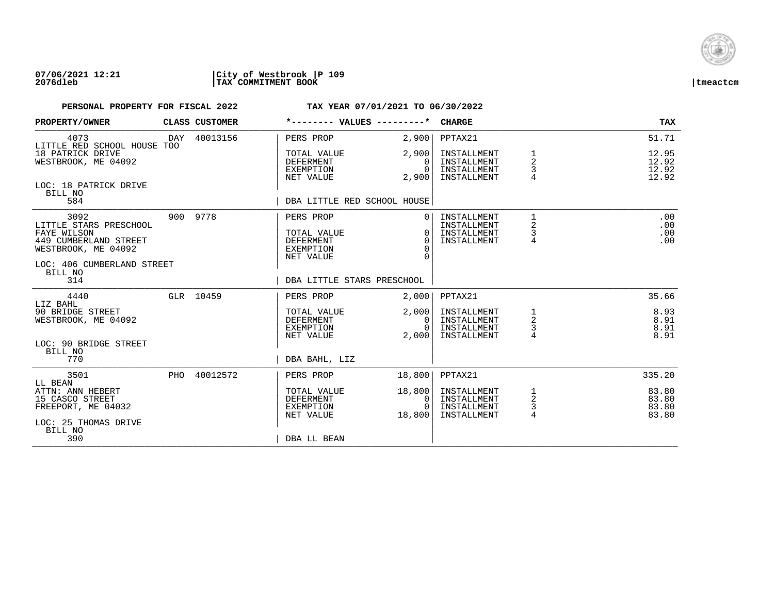

### **07/06/2021 12:21 |City of Westbrook |P 109 2076dleb |TAX COMMITMENT BOOK |tmeactcm**

| PROPERTY/OWNER                                                                                                                         | CLASS CUSTOMER | *-------- VALUES ---------*                                                   |                                                   | <b>CHARGE</b>                                            |                                            | <b>TAX</b>                       |
|----------------------------------------------------------------------------------------------------------------------------------------|----------------|-------------------------------------------------------------------------------|---------------------------------------------------|----------------------------------------------------------|--------------------------------------------|----------------------------------|
| 4073<br>LITTLE RED SCHOOL HOUSE TOO                                                                                                    | DAY 40013156   | PERS PROP                                                                     | 2,900                                             | PPTAX21                                                  |                                            | 51.71                            |
| 18 PATRICK DRIVE<br>WESTBROOK, ME 04092                                                                                                |                | TOTAL VALUE<br><b>DEFERMENT</b><br>EXEMPTION<br>NET VALUE                     | 2,900<br>$\Omega$<br>$\Omega$<br>2,900            | INSTALLMENT<br>INSTALLMENT<br>INSTALLMENT<br>INSTALLMENT | 2<br>3<br>4                                | 12.95<br>12.92<br>12.92<br>12.92 |
| LOC: 18 PATRICK DRIVE<br>BILL NO<br>584                                                                                                |                | DBA LITTLE RED SCHOOL HOUSE                                                   |                                                   |                                                          |                                            |                                  |
| 3092<br>LITTLE STARS PRESCHOOL<br>FAYE WILSON<br>449 CUMBERLAND STREET<br>WESTBROOK, ME 04092<br>LOC: 406 CUMBERLAND STREET<br>BILL NO | 900 9778       | PERS PROP<br>TOTAL VALUE<br><b>DEFERMENT</b><br><b>EXEMPTION</b><br>NET VALUE | $\Omega$<br>$\Omega$<br>$\Omega$<br>$\Omega$<br>U | INSTALLMENT<br>INSTALLMENT<br>INSTALLMENT<br>INSTALLMENT | 1<br>$\overline{\mathbf{c}}$<br>3<br>4     | .00<br>.00<br>.00<br>.00         |
| 314                                                                                                                                    |                | DBA LITTLE STARS PRESCHOOL                                                    |                                                   |                                                          |                                            |                                  |
| 4440<br>LIZ BAHL                                                                                                                       | GLR 10459      | PERS PROP                                                                     | 2.000                                             | PPTAX21                                                  |                                            | 35.66                            |
| 90 BRIDGE STREET<br>WESTBROOK, ME 04092                                                                                                |                | TOTAL VALUE<br>DEFERMENT<br>EXEMPTION<br>NET VALUE                            | 2,000<br>$\mathbf{0}$<br>$\Omega$<br>2,000        | INSTALLMENT<br>INSTALLMENT<br>INSTALLMENT<br>INSTALLMENT | 1<br>$\overline{a}$<br>4                   | 8.93<br>8.91<br>8.91<br>8.91     |
| LOC: 90 BRIDGE STREET<br>BILL NO<br>770                                                                                                |                | DBA BAHL, LIZ                                                                 |                                                   |                                                          |                                            |                                  |
| 3501<br>LL BEAN                                                                                                                        | PHO 40012572   | PERS PROP                                                                     | 18,800                                            | PPTAX21                                                  |                                            | 335.20                           |
| ATTN: ANN HEBERT<br>15 CASCO STREET<br>FREEPORT, ME 04032<br>LOC: 25 THOMAS DRIVE<br>BILL NO                                           |                | TOTAL VALUE<br><b>DEFERMENT</b><br>EXEMPTION<br>NET VALUE                     | 18,800<br>$\Omega$<br>$\Omega$<br>18,800          | INSTALLMENT<br>INSTALLMENT<br>INSTALLMENT<br>INSTALLMENT | 1<br>$\overline{c}$<br>3<br>$\overline{4}$ | 83.80<br>83.80<br>83.80<br>83.80 |
| 390                                                                                                                                    |                | DBA LL BEAN                                                                   |                                                   |                                                          |                                            |                                  |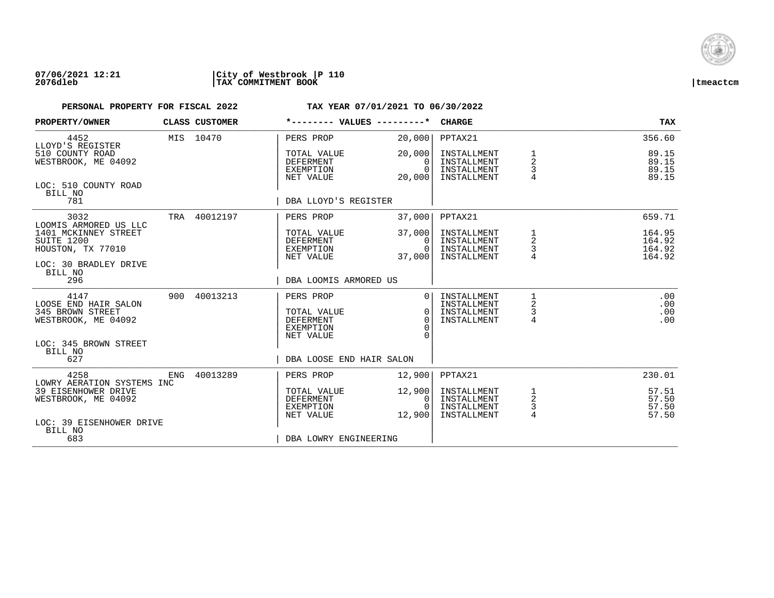

### **07/06/2021 12:21 |City of Westbrook |P 110 2076dleb |TAX COMMITMENT BOOK |tmeactcm**

| PROPERTY/OWNER                                                                                       |     | CLASS CUSTOMER | *-------- VALUES ---------*                               |                                            | <b>CHARGE</b>                                            |                               | <b>TAX</b>                       |
|------------------------------------------------------------------------------------------------------|-----|----------------|-----------------------------------------------------------|--------------------------------------------|----------------------------------------------------------|-------------------------------|----------------------------------|
| 4452<br>LLOYD'S REGISTER                                                                             |     | MIS 10470      | PERS PROP                                                 | 20,000                                     | PPTAX21                                                  |                               | 356.60                           |
| 510 COUNTY ROAD<br>WESTBROOK, ME 04092                                                               |     |                | TOTAL VALUE<br><b>DEFERMENT</b><br>EXEMPTION<br>NET VALUE | 20,000<br>$\Omega$<br>$\Omega$<br>20,000   | INSTALLMENT<br>INSTALLMENT<br>INSTALLMENT<br>INSTALLMENT | 1<br>$\overline{2}$<br>3      | 89.15<br>89.15<br>89.15<br>89.15 |
| LOC: 510 COUNTY ROAD<br>BILL NO<br>781                                                               |     |                | DBA LLOYD'S REGISTER                                      |                                            |                                                          |                               |                                  |
| 3032                                                                                                 |     | TRA 40012197   | PERS PROP                                                 | 37,000                                     | PPTAX21                                                  |                               | 659.71                           |
| LOOMIS ARMORED US LLC<br>1401 MCKINNEY STREET<br>SUITE 1200<br>HOUSTON, TX 77010                     |     |                | TOTAL VALUE<br>DEFERMENT<br>EXEMPTION                     | 37,000<br>$\Omega$<br>$\Omega$             | INSTALLMENT<br>INSTALLMENT<br>INSTALLMENT                | 1<br>2<br>3                   | 164.95<br>164.92<br>164.92       |
| LOC: 30 BRADLEY DRIVE<br>BILL NO<br>296                                                              |     |                | NET VALUE<br>DBA LOOMIS ARMORED US                        | 37,000                                     | INSTALLMENT                                              |                               | 164.92                           |
| 4147<br>LOOSE END HAIR SALON<br>345 BROWN STREET<br>WESTBROOK, ME 04092                              | 900 | 40013213       | PERS PROP<br>TOTAL VALUE<br>DEFERMENT<br><b>EXEMPTION</b> | $\Omega$<br>$\Omega$<br>$\Omega$<br>∩<br>∩ | INSTALLMENT<br>INSTALLMENT<br>INSTALLMENT<br>INSTALLMENT | 1<br>2<br>3<br>4              | .00<br>.00<br>.00<br>.00         |
| LOC: 345 BROWN STREET<br>BILL NO<br>627                                                              |     |                | NET VALUE<br>DBA LOOSE END HAIR SALON                     |                                            |                                                          |                               |                                  |
| 4258                                                                                                 | ENG | 40013289       | PERS PROP                                                 | 12,900                                     | PPTAX21                                                  |                               | 230.01                           |
| LOWRY AERATION SYSTEMS INC<br>39 EISENHOWER DRIVE<br>WESTBROOK, ME 04092<br>LOC: 39 EISENHOWER DRIVE |     |                | TOTAL VALUE<br><b>DEFERMENT</b><br>EXEMPTION<br>NET VALUE | 12,900<br>0<br>$\Omega$<br>12,900          | INSTALLMENT<br>INSTALLMENT<br>INSTALLMENT<br>INSTALLMENT | 1<br>$\overline{c}$<br>3<br>4 | 57.51<br>57.50<br>57.50<br>57.50 |
| BILL NO<br>683                                                                                       |     |                | DBA LOWRY ENGINEERING                                     |                                            |                                                          |                               |                                  |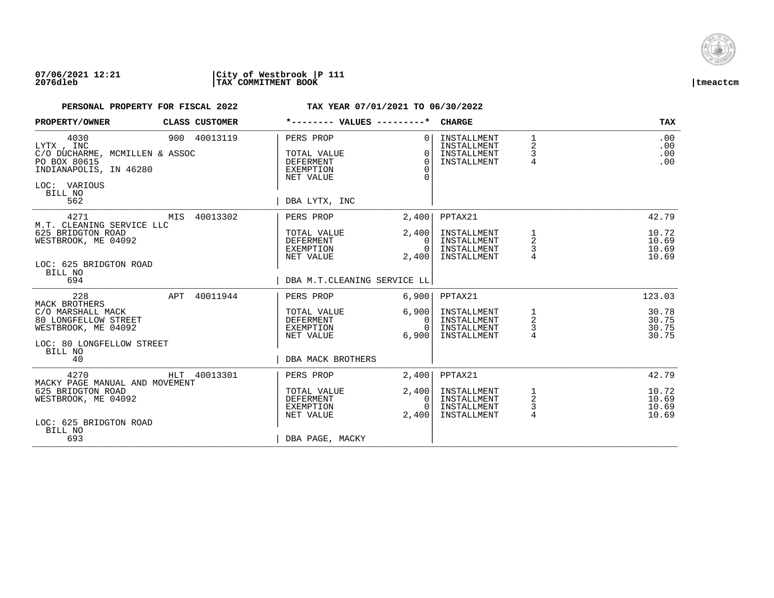

### **07/06/2021 12:21 |City of Westbrook |P 111 2076dleb |TAX COMMITMENT BOOK |tmeactcm**

| PROPERTY/OWNER                                                                                                                         | CLASS CUSTOMER | *-------- VALUES ---------*                                                       |                                                   | <b>CHARGE</b>                                            |                                          | TAX                              |
|----------------------------------------------------------------------------------------------------------------------------------------|----------------|-----------------------------------------------------------------------------------|---------------------------------------------------|----------------------------------------------------------|------------------------------------------|----------------------------------|
| 4030<br>LYTX, INC<br>C/O DUCHARME, MCMILLEN & ASSOC<br>PO BOX 80615<br>INDIANAPOLIS, IN 46280<br>LOC: VARIOUS<br>BILL NO<br>562        | 900 40013119   | PERS PROP<br>TOTAL VALUE<br>DEFERMENT<br>EXEMPTION<br>NET VALUE<br>DBA LYTX, INC  | $\Omega$<br>$\Omega$<br>$\Omega$<br>$\Omega$<br>U | INSTALLMENT<br>INSTALLMENT<br>INSTALLMENT<br>INSTALLMENT | $\mathbf{1}$<br>2<br>3<br>$\overline{4}$ | .00<br>.00<br>.00<br>.00         |
| 4271                                                                                                                                   | MIS 40013302   | PERS PROP                                                                         | 2,400                                             | PPTAX21                                                  |                                          | 42.79                            |
| M.T. CLEANING SERVICE LLC<br>625 BRIDGTON ROAD<br>WESTBROOK, ME 04092<br>LOC: 625 BRIDGTON ROAD<br>BILL NO<br>694                      |                | TOTAL VALUE<br>DEFERMENT<br>EXEMPTION<br>NET VALUE<br>DBA M.T.CLEANING SERVICE LL | 2,400<br>$\Omega$<br>$\overline{0}$<br>2,400      | INSTALLMENT<br>INSTALLMENT<br>INSTALLMENT<br>INSTALLMENT | 1<br>$\overline{a}$<br>3                 | 10.72<br>10.69<br>10.69<br>10.69 |
| 228                                                                                                                                    | APT 40011944   | PERS PROP                                                                         | 6,900                                             | PPTAX21                                                  |                                          | 123.03                           |
| <b>MACK BROTHERS</b><br>C/O MARSHALL MACK<br>80 LONGFELLOW STREET<br>WESTBROOK, ME 04092<br>LOC: 80 LONGFELLOW STREET<br>BILL NO<br>40 |                | TOTAL VALUE<br>DEFERMENT<br>EXEMPTION<br>NET VALUE<br>DBA MACK BROTHERS           | 6,900<br>$\Omega$<br>$\Omega$<br>6,900            | INSTALLMENT<br>INSTALLMENT<br>INSTALLMENT<br>INSTALLMENT | $\frac{1}{2}$<br>4                       | 30.78<br>30.75<br>30.75<br>30.75 |
| 4270<br>MACKY PAGE MANUAL AND MOVEMENT                                                                                                 | HLT 40013301   | PERS PROP                                                                         | 2,400                                             | PPTAX21                                                  |                                          | 42.79                            |
| 625 BRIDGTON ROAD<br>WESTBROOK, ME 04092<br>LOC: 625 BRIDGTON ROAD<br>BILL NO<br>693                                                   |                | TOTAL VALUE<br>DEFERMENT<br>EXEMPTION<br>NET VALUE<br>DBA PAGE, MACKY             | 2,400<br>$\mathbf{0}$<br>$\Omega$<br>2,400        | INSTALLMENT<br>INSTALLMENT<br>INSTALLMENT<br>INSTALLMENT | 1<br>$\sqrt{2}$<br>3<br>$\overline{4}$   | 10.72<br>10.69<br>10.69<br>10.69 |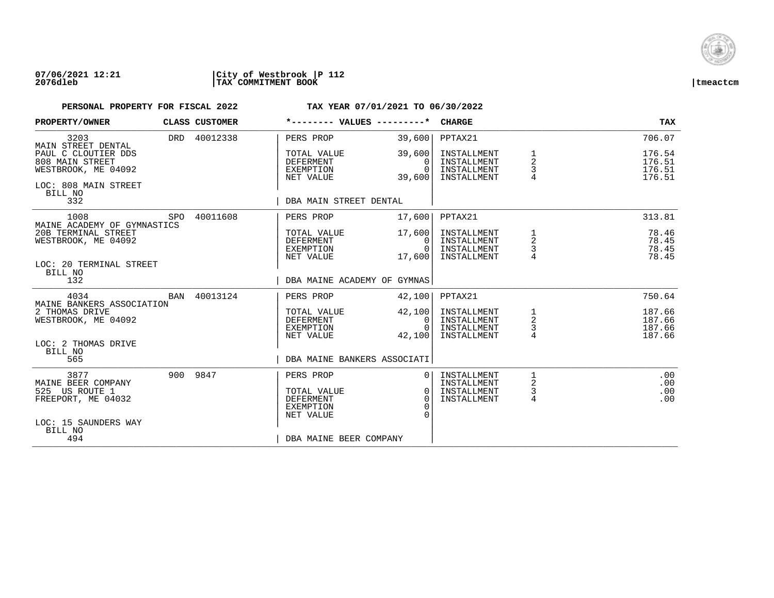

### **07/06/2021 12:21 |City of Westbrook |P 112 2076dleb |TAX COMMITMENT BOOK |tmeactcm**

| <b>PROPERTY/OWNER</b>                                                                                 |     | CLASS CUSTOMER | *-------- VALUES ---------*                                            |                                                          | <b>CHARGE</b>                                            |                                                     | <b>TAX</b>                           |
|-------------------------------------------------------------------------------------------------------|-----|----------------|------------------------------------------------------------------------|----------------------------------------------------------|----------------------------------------------------------|-----------------------------------------------------|--------------------------------------|
| 3203<br>MAIN STREET DENTAL                                                                            |     | DRD 40012338   | PERS PROP                                                              | 39,600                                                   | PPTAX21                                                  |                                                     | 706.07                               |
| PAUL C CLOUTIER DDS<br>808 MAIN STREET<br>WESTBROOK, ME 04092<br>LOC: 808 MAIN STREET<br>BILL NO      |     |                | TOTAL VALUE<br><b>DEFERMENT</b><br>EXEMPTION<br>NET VALUE              | 39,600<br>$\Omega$<br>$\Omega$<br>39,600                 | INSTALLMENT<br>INSTALLMENT<br>INSTALLMENT<br>INSTALLMENT | 1<br>$\overline{\mathbf{c}}$<br>3<br>$\overline{4}$ | 176.54<br>176.51<br>176.51<br>176.51 |
| 332                                                                                                   |     |                | DBA MAIN STREET DENTAL                                                 |                                                          |                                                          |                                                     |                                      |
| 1008<br>MAINE ACADEMY OF GYMNASTICS                                                                   |     | SPO 40011608   | PERS PROP                                                              | 17,600                                                   | PPTAX21                                                  |                                                     | 313.81                               |
| 20B TERMINAL STREET<br>WESTBROOK, ME 04092<br>LOC: 20 TERMINAL STREET<br>BILL NO                      |     |                | TOTAL VALUE<br>DEFERMENT<br>EXEMPTION<br>NET VALUE                     | 17,600<br>$\Omega$<br>0 <sup>1</sup><br>17,600           | INSTALLMENT<br>INSTALLMENT<br>INSTALLMENT<br>INSTALLMENT | $\overline{\mathbf{c}}$<br>3                        | 78.46<br>78.45<br>78.45<br>78.45     |
| 132                                                                                                   |     |                | DBA MAINE ACADEMY OF GYMNAS                                            |                                                          |                                                          |                                                     |                                      |
| 4034<br>MAINE BANKERS ASSOCIATION                                                                     | BAN | 40013124       | PERS PROP                                                              | 42,100                                                   | PPTAX21                                                  |                                                     | 750.64                               |
| 2 THOMAS DRIVE<br>WESTBROOK, ME 04092<br>LOC: 2 THOMAS DRIVE                                          |     |                | TOTAL VALUE<br>DEFERMENT<br>EXEMPTION<br>NET VALUE                     | 42,100<br>0 <sup>1</sup><br>$\Omega$<br>42,100           | INSTALLMENT<br>INSTALLMENT<br>INSTALLMENT<br>INSTALLMENT | $\frac{1}{2}$<br>$\frac{3}{4}$                      | 187.66<br>187.66<br>187.66<br>187.66 |
| BILL NO<br>565                                                                                        |     |                | DBA MAINE BANKERS ASSOCIATI                                            |                                                          |                                                          |                                                     |                                      |
| 3877<br>MAINE BEER COMPANY<br>525 US ROUTE 1<br>FREEPORT, ME 04032<br>LOC: 15 SAUNDERS WAY<br>BILL NO |     | 900 9847       | PERS PROP<br>TOTAL VALUE<br><b>DEFERMENT</b><br>EXEMPTION<br>NET VALUE | 0 <sup>1</sup><br>0 <sup>1</sup><br>$\Omega$<br>$\Omega$ | INSTALLMENT<br>INSTALLMENT<br>INSTALLMENT<br>INSTALLMENT | 1<br>2<br>3<br>$\overline{4}$                       | .00<br>.00<br>.00<br>.00             |
| 494                                                                                                   |     |                | DBA MAINE BEER COMPANY                                                 |                                                          |                                                          |                                                     |                                      |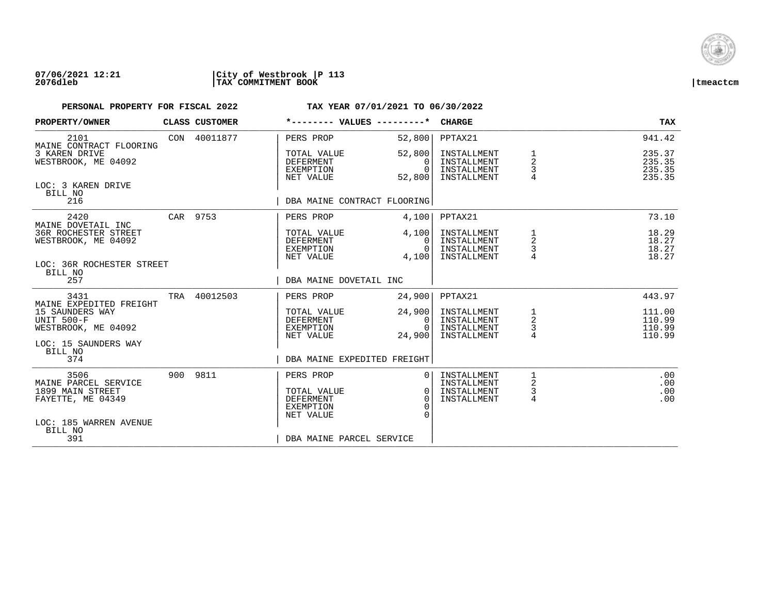

## **07/06/2021 12:21 |City of Westbrook |P 113 2076dleb |TAX COMMITMENT BOOK |tmeactcm**

| PROPERTY/OWNER                                       | <b>CLASS CUSTOMER</b> | *-------- VALUES ---------*                                      |                                          | <b>CHARGE</b>                                            |                                                   | <b>TAX</b>                           |
|------------------------------------------------------|-----------------------|------------------------------------------------------------------|------------------------------------------|----------------------------------------------------------|---------------------------------------------------|--------------------------------------|
| 2101<br>MAINE CONTRACT FLOORING                      | CON 40011877          | PERS PROP                                                        | 52,800                                   | PPTAX21                                                  |                                                   | 941.42                               |
| 3 KAREN DRIVE<br>WESTBROOK, ME 04092                 |                       | TOTAL VALUE<br><b>DEFERMENT</b><br>EXEMPTION<br>NET VALUE        | 52,800<br>$\Omega$<br>$\Omega$<br>52,800 | INSTALLMENT<br>INSTALLMENT<br>INSTALLMENT<br>INSTALLMENT | 1<br>$\overline{2}$<br>3                          | 235.37<br>235.35<br>235.35<br>235.35 |
| LOC: 3 KAREN DRIVE<br>BILL NO<br>216                 |                       | DBA MAINE CONTRACT FLOORING                                      |                                          |                                                          |                                                   |                                      |
|                                                      |                       |                                                                  |                                          |                                                          |                                                   |                                      |
| 2420<br>MAINE DOVETAIL INC                           | CAR 9753              | PERS PROP                                                        | 4,100                                    | PPTAX21                                                  |                                                   | 73.10                                |
| <b>36R ROCHESTER STREET</b><br>WESTBROOK, ME 04092   |                       | TOTAL VALUE<br>DEFERMENT<br>EXEMPTION<br>NET VALUE               | 4,100<br>$\Omega$<br>$\Omega$<br>4,100   | INSTALLMENT<br>INSTALLMENT<br>INSTALLMENT<br>INSTALLMENT | 1<br>2<br>3                                       | 18.29<br>18.27<br>18.27<br>18.27     |
| LOC: 36R ROCHESTER STREET<br>BILL NO                 |                       |                                                                  |                                          |                                                          |                                                   |                                      |
| 257                                                  |                       | DBA MAINE DOVETAIL INC                                           |                                          |                                                          |                                                   |                                      |
| 3431<br>MAINE EXPEDITED FREIGHT                      | TRA 40012503          | PERS PROP                                                        | 24,900                                   | PPTAX21                                                  |                                                   | 443.97                               |
| 15 SAUNDERS WAY<br>UNIT 500-F<br>WESTBROOK, ME 04092 |                       | TOTAL VALUE<br>DEFERMENT<br>EXEMPTION                            | 24,900<br>0<br>$\Omega$                  | INSTALLMENT<br>INSTALLMENT<br>INSTALLMENT                | $\begin{array}{c}\n1 \\ 2 \\ 3 \\ 4\n\end{array}$ | 111.00<br>110.99<br>110.99           |
| LOC: 15 SAUNDERS WAY                                 |                       | NET VALUE                                                        | 24,900                                   | INSTALLMENT                                              |                                                   | 110.99                               |
| BILL NO<br>374                                       |                       | DBA MAINE EXPEDITED FREIGHT                                      |                                          |                                                          |                                                   |                                      |
| 3506<br>MAINE PARCEL SERVICE                         | 900 9811              | PERS PROP                                                        | $\Omega$                                 | INSTALLMENT<br>INSTALLMENT                               | 2                                                 | .00<br>.00                           |
| 1899 MAIN STREET<br>FAYETTE, ME 04349                |                       | TOTAL VALUE<br><b>DEFERMENT</b><br><b>EXEMPTION</b><br>NET VALUE | $\Omega$<br>$\Omega$<br>$\Omega$         | INSTALLMENT<br>INSTALLMENT                               | 3<br>4                                            | .00<br>.00                           |
| LOC: 185 WARREN AVENUE<br>BILL NO                    |                       |                                                                  |                                          |                                                          |                                                   |                                      |
| 391                                                  |                       | DBA MAINE PARCEL SERVICE                                         |                                          |                                                          |                                                   |                                      |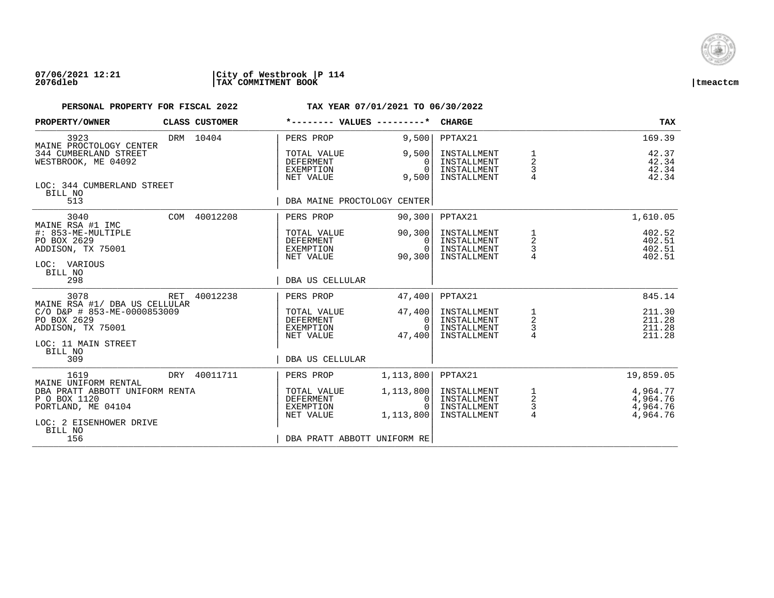

### **07/06/2021 12:21 |City of Westbrook |P 114 2076dleb |TAX COMMITMENT BOOK |tmeactcm**

| PROPERTY/OWNER                                                                                                                     |     | CLASS CUSTOMER |                                                           | *-------- VALUES ---------*               | <b>CHARGE</b>                                            |                                                   | <b>TAX</b>                                   |
|------------------------------------------------------------------------------------------------------------------------------------|-----|----------------|-----------------------------------------------------------|-------------------------------------------|----------------------------------------------------------|---------------------------------------------------|----------------------------------------------|
| 3923                                                                                                                               |     | DRM 10404      | PERS PROP                                                 | 9,500                                     | PPTAX21                                                  |                                                   | 169.39                                       |
| MAINE PROCTOLOGY CENTER<br>344 CUMBERLAND STREET<br>WESTBROOK, ME 04092<br>LOC: 344 CUMBERLAND STREET                              |     |                | TOTAL VALUE<br><b>DEFERMENT</b><br>EXEMPTION<br>NET VALUE | 9,500<br>0<br>$\Omega$<br>9,500           | INSTALLMENT<br>INSTALLMENT<br>INSTALLMENT<br>INSTALLMENT | 1<br>$\overline{a}$<br>$\frac{3}{4}$              | 42.37<br>42.34<br>42.34<br>42.34             |
| BILL NO<br>513                                                                                                                     |     |                |                                                           | DBA MAINE PROCTOLOGY CENTER               |                                                          |                                                   |                                              |
| 3040                                                                                                                               |     | COM 40012208   | PERS PROP                                                 | 90,300                                    | PPTAX21                                                  |                                                   | 1,610.05                                     |
| MAINE RSA #1 IMC<br>#: 853-ME-MULTIPLE<br>PO BOX 2629<br>ADDISON, TX 75001<br>LOC: VARIOUS                                         |     |                | TOTAL VALUE<br>DEFERMENT<br>EXEMPTION<br>NET VALUE        | 90,300<br>$\Omega$<br>$\Omega$<br>90,300  | INSTALLMENT<br>INSTALLMENT<br>INSTALLMENT<br>INSTALLMENT | 1<br>2<br>3                                       | 402.52<br>402.51<br>402.51<br>402.51         |
| BILL NO<br>298                                                                                                                     |     |                | DBA US CELLULAR                                           |                                           |                                                          |                                                   |                                              |
| 3078                                                                                                                               | RET | 40012238       | PERS PROP                                                 | 47,400                                    | PPTAX21                                                  |                                                   | 845.14                                       |
| MAINE RSA #1/ DBA US CELLULAR<br>C/O D&P # 853-ME-0000853009<br>PO BOX 2629<br>ADDISON, TX 75001<br>LOC: 11 MAIN STREET<br>BILL NO |     |                | TOTAL VALUE<br>DEFERMENT<br>EXEMPTION<br>NET VALUE        | 47,400<br>0<br>$\Omega$<br>47,400         | INSTALLMENT<br>INSTALLMENT<br>INSTALLMENT<br>INSTALLMENT | $\frac{1}{2}$<br>$\frac{3}{4}$                    | 211.30<br>211.28<br>211.28<br>211.28         |
| 309                                                                                                                                |     |                | DBA US CELLULAR                                           |                                           |                                                          |                                                   |                                              |
| 1619<br>MAINE UNIFORM RENTAL                                                                                                       |     | DRY 40011711   | PERS PROP                                                 | 1, 113, 800                               | PPTAX21                                                  |                                                   | 19,859.05                                    |
| DBA PRATT ABBOTT UNIFORM RENTA<br>P O BOX 1120<br>PORTLAND, ME 04104<br>LOC: 2 EISENHOWER DRIVE<br>BILL NO                         |     |                | TOTAL VALUE<br><b>DEFERMENT</b><br>EXEMPTION<br>NET VALUE | 1, 113, 800<br>0<br>$\Omega$<br>1,113,800 | INSTALLMENT<br>INSTALLMENT<br>INSTALLMENT<br>INSTALLMENT | $\begin{array}{c}\n1 \\ 2 \\ 3 \\ 4\n\end{array}$ | 4,964.77<br>4,964.76<br>4,964.76<br>4,964.76 |
| 156                                                                                                                                |     |                |                                                           | DBA PRATT ABBOTT UNIFORM RE               |                                                          |                                                   |                                              |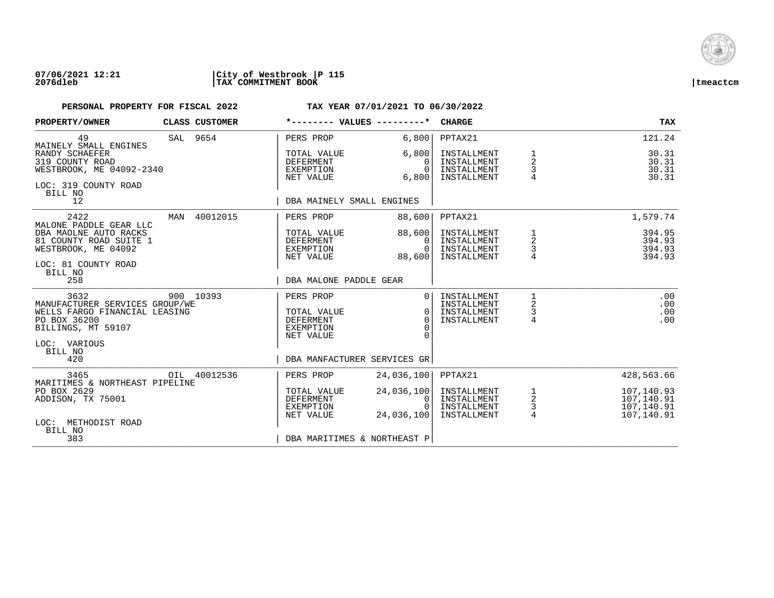

### **07/06/2021 12:21 |City of Westbrook |P 115 2076dleb |TAX COMMITMENT BOOK |tmeactcm**

| PROPERTY/OWNER                                                                                                                                  |     | CLASS CUSTOMER | *-------- VALUES ---------*                                                                                  |                                                          | <b>CHARGE</b>                                            |                                                      | TAX                                                  |
|-------------------------------------------------------------------------------------------------------------------------------------------------|-----|----------------|--------------------------------------------------------------------------------------------------------------|----------------------------------------------------------|----------------------------------------------------------|------------------------------------------------------|------------------------------------------------------|
| 49<br>MAINELY SMALL ENGINES                                                                                                                     |     | SAL 9654       | PERS PROP                                                                                                    | 6,800                                                    | PPTAX21                                                  |                                                      | 121.24                                               |
| RANDY SCHAEFER<br>319 COUNTY ROAD<br>WESTBROOK, ME 04092-2340<br>LOC: 319 COUNTY ROAD<br>BILL NO                                                |     |                | TOTAL VALUE<br><b>DEFERMENT</b><br>EXEMPTION<br>NET VALUE                                                    | 6,800<br>$\Omega$<br>$\Omega$<br>6,800                   | INSTALLMENT<br>INSTALLMENT<br>INSTALLMENT<br>INSTALLMENT | 1<br>$\overline{2}$<br>3<br>$\overline{4}$           | 30.31<br>30.31<br>30.31<br>30.31                     |
| 12                                                                                                                                              |     |                | DBA MAINELY SMALL ENGINES                                                                                    |                                                          |                                                          |                                                      |                                                      |
| 2422<br>MALONE PADDLE GEAR LLC                                                                                                                  | MAN | 40012015       | PERS PROP                                                                                                    | 88,600                                                   | PPTAX21                                                  |                                                      | 1,579.74                                             |
| DBA MAOLNE AUTO RACKS<br>81 COUNTY ROAD SUITE 1<br>WESTBROOK, ME 04092<br>LOC: 81 COUNTY ROAD<br>BILL NO                                        |     |                | TOTAL VALUE<br>DEFERMENT<br>EXEMPTION<br>NET VALUE                                                           | 88,600<br>$\Omega$<br>$\Omega$<br>88,600                 | INSTALLMENT<br>INSTALLMENT<br>INSTALLMENT<br>INSTALLMENT | 1<br>2<br>3                                          | 394.95<br>394.93<br>394.93<br>394.93                 |
| 258                                                                                                                                             |     |                | DBA MALONE PADDLE GEAR                                                                                       |                                                          |                                                          |                                                      |                                                      |
| 3632<br>MANUFACTURER SERVICES GROUP/WE<br>WELLS FARGO FINANCIAL LEASING<br>PO BOX 36200<br>BILLINGS, MT 59107<br>LOC: VARIOUS<br>BILL NO<br>420 |     | 900 10393      | PERS PROP<br>TOTAL VALUE<br><b>DEFERMENT</b><br><b>EXEMPTION</b><br>NET VALUE<br>DBA MANFACTURER SERVICES GR | $\Omega$<br>$\Omega$<br>$\Omega$<br>$\Omega$<br>$\Omega$ | INSTALLMENT<br>INSTALLMENT<br>INSTALLMENT<br>INSTALLMENT | 1<br>2<br>3<br>4                                     | .00<br>.00<br>.00<br>.00                             |
| 3465                                                                                                                                            |     | OIL 40012536   | PERS PROP                                                                                                    | 24,036,100                                               | PPTAX21                                                  |                                                      | 428,563.66                                           |
| MARITIMES & NORTHEAST PIPELINE<br>PO BOX 2629<br>ADDISON, TX 75001<br>LOC: METHODIST ROAD<br>BILL NO                                            |     |                | TOTAL VALUE<br><b>DEFERMENT</b><br>EXEMPTION<br>NET VALUE                                                    | 24,036,100<br>0<br>$\Omega$<br>24,036,100                | INSTALLMENT<br>INSTALLMENT<br>INSTALLMENT<br>INSTALLMENT | $\mathbf 1$<br>$\overline{c}$<br>3<br>$\overline{4}$ | 107,140.93<br>107,140.91<br>107,140.91<br>107,140.91 |
| 383                                                                                                                                             |     |                | DBA MARITIMES & NORTHEAST P                                                                                  |                                                          |                                                          |                                                      |                                                      |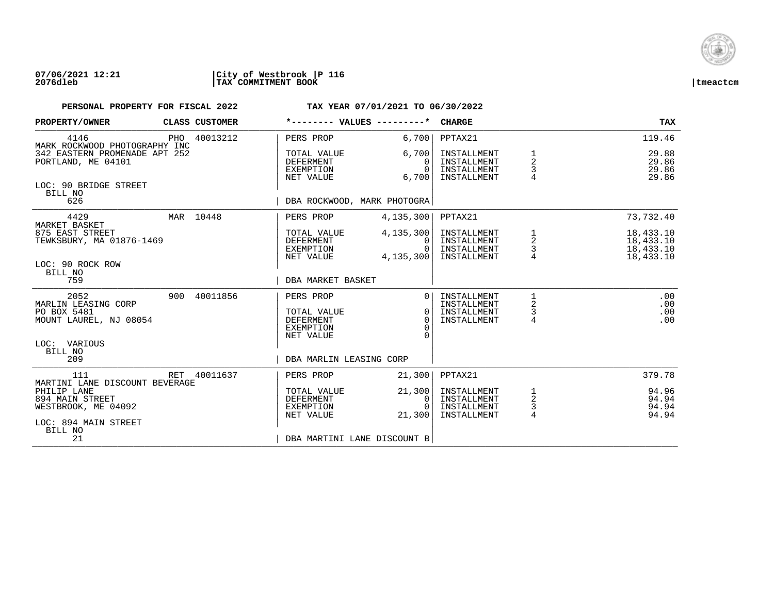

## **07/06/2021 12:21 |City of Westbrook |P 116 2076dleb |TAX COMMITMENT BOOK |tmeactcm**

| PROPERTY/OWNER                                                       | CLASS CUSTOMER |                                                                        | *-------- VALUES ---------*                        | <b>CHARGE</b>                                            |                                                 | TAX                                              |
|----------------------------------------------------------------------|----------------|------------------------------------------------------------------------|----------------------------------------------------|----------------------------------------------------------|-------------------------------------------------|--------------------------------------------------|
| 4146<br>MARK ROCKWOOD PHOTOGRAPHY INC                                | PHO 40013212   | PERS PROP                                                              | 6,700                                              | PPTAX21                                                  |                                                 | 119.46                                           |
| 342 EASTERN PROMENADE APT 252<br>PORTLAND, ME 04101                  |                | TOTAL VALUE<br>DEFERMENT<br>EXEMPTION<br>NET VALUE                     | 6,700<br>0<br>$\cap$<br>6,700                      | INSTALLMENT<br>INSTALLMENT<br>INSTALLMENT<br>INSTALLMENT | $\frac{1}{2}$<br>3<br>4                         | 29.88<br>29.86<br>29.86<br>29.86                 |
| LOC: 90 BRIDGE STREET<br>BILL NO<br>626                              |                |                                                                        | DBA ROCKWOOD, MARK PHOTOGRA                        |                                                          |                                                 |                                                  |
| 4429<br>MARKET BASKET                                                | MAR 10448      | PERS PROP                                                              | 4,135,300                                          | PPTAX21                                                  |                                                 | 73,732.40                                        |
| 875 EAST STREET<br>TEWKSBURY, MA 01876-1469<br>LOC: 90 ROCK ROW      |                | TOTAL VALUE<br><b>DEFERMENT</b><br>EXEMPTION<br>NET VALUE              | 4,135,300<br>0<br>$\Omega$<br>4, 135, 300          | INSTALLMENT<br>INSTALLMENT<br>INSTALLMENT<br>INSTALLMENT | 1<br>$\frac{2}{3}$<br>$\overline{4}$            | 18,433.10<br>18,433.10<br>18,433.10<br>18,433.10 |
| BILL NO<br>759                                                       |                | DBA MARKET BASKET                                                      |                                                    |                                                          |                                                 |                                                  |
| 2052<br>MARLIN LEASING CORP<br>PO BOX 5481<br>MOUNT LAUREL, NJ 08054 | 900 40011856   | PERS PROP<br>TOTAL VALUE<br><b>DEFERMENT</b><br>EXEMPTION<br>NET VALUE | $\overline{0}$<br>$\Omega$<br>$\Omega$<br>$\Omega$ | INSTALLMENT<br>INSTALLMENT<br>INSTALLMENT<br>INSTALLMENT | 1<br>2<br>3<br>$\overline{4}$                   | .00<br>.00<br>.00<br>.00                         |
| LOC: VARIOUS<br>BILL NO<br>209                                       |                | DBA MARLIN LEASING CORP                                                |                                                    |                                                          |                                                 |                                                  |
| 111<br>MARTINI LANE DISCOUNT BEVERAGE                                | RET 40011637   | PERS PROP                                                              | 21,300                                             | PPTAX21                                                  |                                                 | 379.78                                           |
| PHILIP LANE<br>894 MAIN STREET<br>WESTBROOK, ME 04092                |                | TOTAL VALUE<br>DEFERMENT<br>EXEMPTION<br>NET VALUE                     | 21,300<br>$\Omega$<br>$\Omega$<br>21,300           | INSTALLMENT<br>INSTALLMENT<br>INSTALLMENT<br>INSTALLMENT | $\begin{array}{c} 1 \\ 2 \\ 3 \end{array}$<br>4 | 94.96<br>94.94<br>94.94<br>94.94                 |
| LOC: 894 MAIN STREET<br>BILL NO<br>21                                |                |                                                                        | DBA MARTINI LANE DISCOUNT B                        |                                                          |                                                 |                                                  |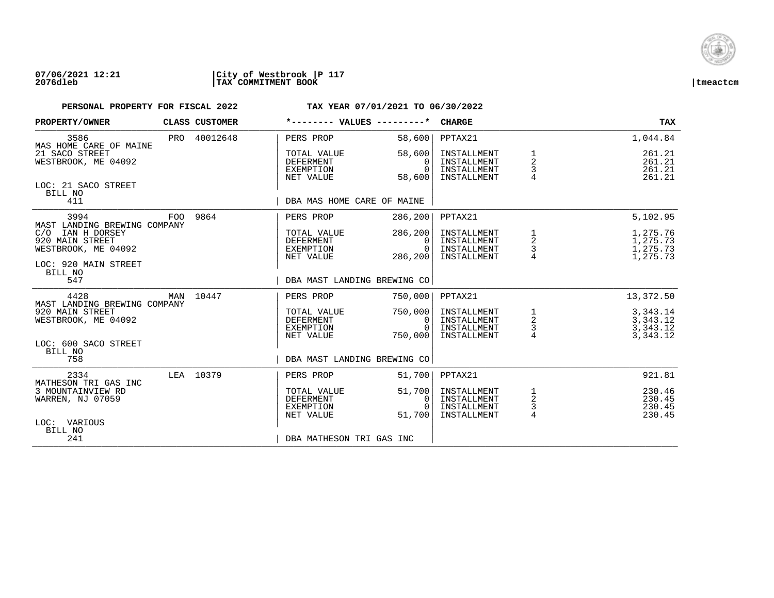

## **07/06/2021 12:21 |City of Westbrook |P 117 2076dleb |TAX COMMITMENT BOOK |tmeactcm**

| PROPERTY/OWNER                                                                        |     | CLASS CUSTOMER | *-------- VALUES ---------*                               |                                          | <b>CHARGE</b>                                            |                                                 | TAX                                          |
|---------------------------------------------------------------------------------------|-----|----------------|-----------------------------------------------------------|------------------------------------------|----------------------------------------------------------|-------------------------------------------------|----------------------------------------------|
| 3586<br>MAS HOME CARE OF MAINE                                                        |     | PRO 40012648   | PERS PROP                                                 | 58,600                                   | PPTAX21                                                  |                                                 | 1,044.84                                     |
| 21 SACO STREET<br>WESTBROOK, ME 04092                                                 |     |                | TOTAL VALUE<br><b>DEFERMENT</b><br>EXEMPTION<br>NET VALUE | 58,600<br>$\Omega$<br>$\Omega$<br>58,600 | INSTALLMENT<br>INSTALLMENT<br>INSTALLMENT<br>INSTALLMENT | 1<br>$\boldsymbol{2}$<br>3                      | 261.21<br>261.21<br>261.21<br>261.21         |
| LOC: 21 SACO STREET<br>BILL NO<br>411                                                 |     |                | DBA MAS HOME CARE OF MAINE                                |                                          |                                                          |                                                 |                                              |
| 3994<br>MAST LANDING BREWING COMPANY                                                  | FOO | 9864           | PERS PROP                                                 | 286, 200                                 | PPTAX21                                                  |                                                 | 5,102.95                                     |
| IAN H DORSEY<br>C/O<br>920 MAIN STREET<br>WESTBROOK, ME 04092<br>LOC: 920 MAIN STREET |     |                | TOTAL VALUE<br>DEFERMENT<br>EXEMPTION<br>NET VALUE        | 286, 200<br>0<br>$\Omega$<br>286,200     | INSTALLMENT<br>INSTALLMENT<br>INSTALLMENT<br>INSTALLMENT | 1<br>$\overline{a}$<br>$\frac{3}{4}$            | 1,275.76<br>1,275.73<br>1,275.73<br>1,275.73 |
| BILL NO<br>547                                                                        |     |                | DBA MAST LANDING BREWING CO                               |                                          |                                                          |                                                 |                                              |
| 4428<br>MAST LANDING BREWING COMPANY                                                  |     | MAN 10447      | PERS PROP                                                 | 750,000                                  | PPTAX21                                                  |                                                 | 13,372.50                                    |
| 920 MAIN STREET<br>WESTBROOK, ME 04092                                                |     |                | TOTAL VALUE<br><b>DEFERMENT</b><br>EXEMPTION<br>NET VALUE | 750,000<br>0<br>$\Omega$<br>750,000      | INSTALLMENT<br>INSTALLMENT<br>INSTALLMENT<br>INSTALLMENT | $\begin{array}{c} 1 \\ 2 \\ 3 \\ 4 \end{array}$ | 3,343.14<br>3,343.12<br>3,343.12<br>3,343.12 |
| LOC: 600 SACO STREET<br>BILL NO<br>758                                                |     |                | DBA MAST LANDING BREWING CO                               |                                          |                                                          |                                                 |                                              |
| 2334<br>MATHESON TRI GAS INC                                                          |     | LEA 10379      | PERS PROP                                                 | 51,700                                   | PPTAX21                                                  |                                                 | 921.81                                       |
| 3 MOUNTAINVIEW RD<br>WARREN, NJ 07059                                                 |     |                | TOTAL VALUE<br><b>DEFERMENT</b><br>EXEMPTION<br>NET VALUE | 51,700<br>0<br>$\Omega$<br>51,700        | INSTALLMENT<br>INSTALLMENT<br>INSTALLMENT<br>INSTALLMENT | $\frac{1}{2}$<br>$\frac{3}{4}$                  | 230.46<br>230.45<br>230.45<br>230.45         |
| LOC: VARIOUS<br>BILL NO<br>241                                                        |     |                | DBA MATHESON TRI GAS INC                                  |                                          |                                                          |                                                 |                                              |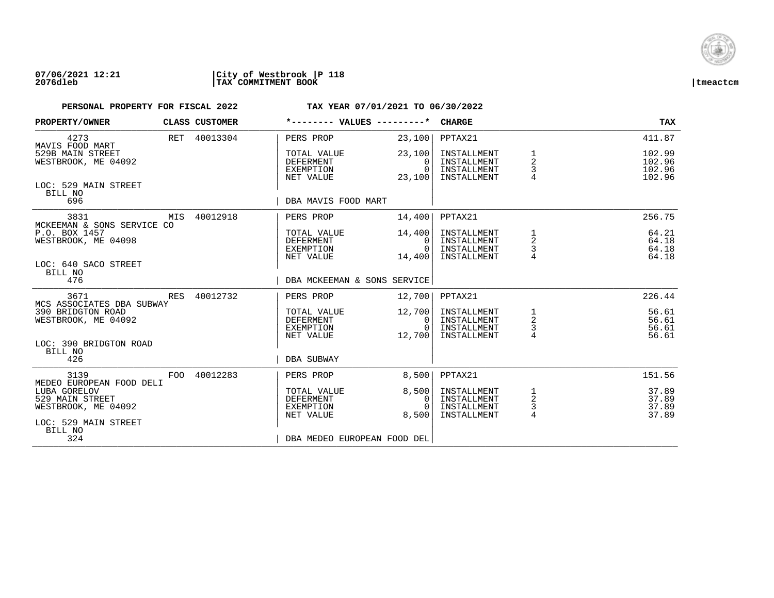

| PROPERTY/OWNER                                                     | CLASS CUSTOMER | *-------- VALUES ---------*                               |                                                | <b>CHARGE</b>                                            |                                                 | <b>TAX</b>                           |
|--------------------------------------------------------------------|----------------|-----------------------------------------------------------|------------------------------------------------|----------------------------------------------------------|-------------------------------------------------|--------------------------------------|
| 4273<br>MAVIS FOOD MART                                            | RET 40013304   | PERS PROP                                                 | 23,100                                         | PPTAX21                                                  |                                                 | 411.87                               |
| 529B MAIN STREET<br>WESTBROOK, ME 04092                            |                | TOTAL VALUE<br>DEFERMENT<br>EXEMPTION<br>NET VALUE        | 23,100<br>$\Omega$<br>$\Omega$<br>23,100       | INSTALLMENT<br>INSTALLMENT<br>INSTALLMENT<br>INSTALLMENT | 1<br>$\overline{a}$<br>$\frac{3}{4}$            | 102.99<br>102.96<br>102.96<br>102.96 |
| LOC: 529 MAIN STREET<br>BILL NO<br>696                             |                | DBA MAVIS FOOD MART                                       |                                                |                                                          |                                                 |                                      |
| 3831                                                               | MIS 40012918   | PERS PROP                                                 | 14,400                                         | PPTAX21                                                  |                                                 | 256.75                               |
| MCKEEMAN & SONS SERVICE CO<br>P.O. BOX 1457<br>WESTBROOK, ME 04098 |                | TOTAL VALUE<br>DEFERMENT<br>EXEMPTION<br>NET VALUE        | 14,400<br>$\Omega$<br>$\overline{0}$<br>14,400 | INSTALLMENT<br>INSTALLMENT<br>INSTALLMENT<br>INSTALLMENT | 1<br>$\overline{a}$<br>$\frac{3}{4}$            | 64.21<br>64.18<br>64.18<br>64.18     |
| LOC: 640 SACO STREET<br>BILL NO<br>476                             |                | DBA MCKEEMAN & SONS SERVICE                               |                                                |                                                          |                                                 |                                      |
| 3671<br>MCS ASSOCIATES DBA SUBWAY                                  | RES 40012732   | PERS PROP                                                 | 12,700                                         | PPTAX21                                                  |                                                 | 226.44                               |
| 390 BRIDGTON ROAD<br>WESTBROOK, ME 04092                           |                | TOTAL VALUE<br>DEFERMENT<br>EXEMPTION<br>NET VALUE        | 12,700<br>0 <sup>1</sup><br>$\Omega$<br>12,700 | INSTALLMENT<br>INSTALLMENT<br>INSTALLMENT<br>INSTALLMENT | $\mathbf{1}$<br>$\overline{a}$<br>$\frac{3}{4}$ | 56.61<br>56.61<br>56.61<br>56.61     |
| LOC: 390 BRIDGTON ROAD<br>BILL NO<br>426                           |                | DBA SUBWAY                                                |                                                |                                                          |                                                 |                                      |
| 3139<br>MEDEO EUROPEAN FOOD DELI                                   | FOO 40012283   | PERS PROP                                                 | 8,500                                          | PPTAX21                                                  |                                                 | 151.56                               |
| LUBA GORELOV<br>529 MAIN STREET<br>WESTBROOK, ME 04092             |                | TOTAL VALUE<br><b>DEFERMENT</b><br>EXEMPTION<br>NET VALUE | 8,500<br>0<br>$\cap$<br>8,500                  | INSTALLMENT<br>INSTALLMENT<br>INSTALLMENT<br>INSTALLMENT | $\mathbf{1}$<br>$\overline{c}$<br>$\frac{3}{4}$ | 37.89<br>37.89<br>37.89<br>37.89     |
| LOC: 529 MAIN STREET<br>BILL NO<br>324                             |                | DBA MEDEO EUROPEAN FOOD DEL                               |                                                |                                                          |                                                 |                                      |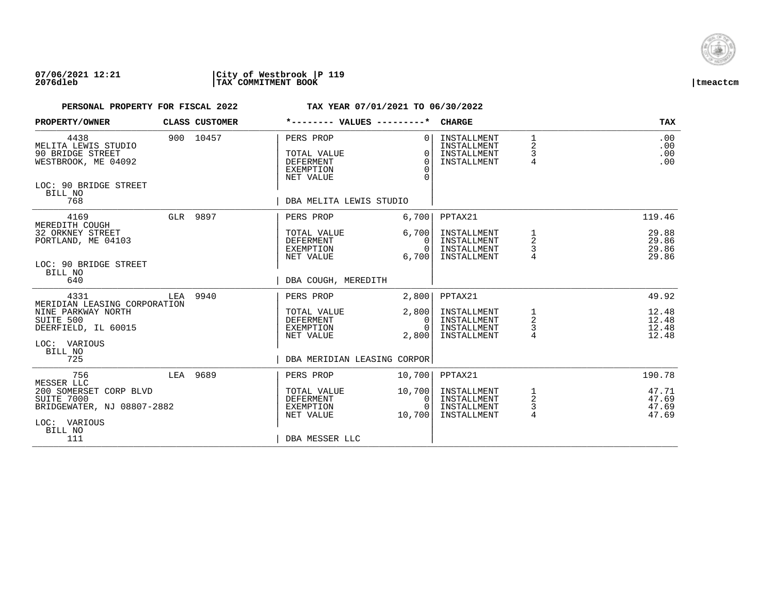

## **07/06/2021 12:21 |City of Westbrook |P 119 2076dleb |TAX COMMITMENT BOOK |tmeactcm**

| PROPERTY/OWNER                                                                                             |          | CLASS CUSTOMER | *-------- VALUES ---------*                                                   |                                              | <b>CHARGE</b>                                            |                                          | TAX                              |
|------------------------------------------------------------------------------------------------------------|----------|----------------|-------------------------------------------------------------------------------|----------------------------------------------|----------------------------------------------------------|------------------------------------------|----------------------------------|
| 4438<br>MELITA LEWIS STUDIO<br>90 BRIDGE STREET<br>WESTBROOK, ME 04092<br>LOC: 90 BRIDGE STREET<br>BILL NO |          | 900 10457      | PERS PROP<br>TOTAL VALUE<br><b>DEFERMENT</b><br><b>EXEMPTION</b><br>NET VALUE | $\Omega$<br>$\Omega$<br>$\Omega$<br>$\Omega$ | INSTALLMENT<br>INSTALLMENT<br>INSTALLMENT<br>INSTALLMENT | $\mathbf{1}$<br>2<br>3<br>$\overline{4}$ | .00<br>.00<br>.00<br>.00         |
| 768                                                                                                        |          |                | DBA MELITA LEWIS STUDIO                                                       |                                              |                                                          |                                          |                                  |
| 4169                                                                                                       | GLR 9897 |                | PERS PROP                                                                     | 6,700                                        | PPTAX21                                                  |                                          | 119.46                           |
| MEREDITH COUGH<br>32 ORKNEY STREET<br>PORTLAND, ME 04103<br>LOC: 90 BRIDGE STREET                          |          |                | TOTAL VALUE<br>DEFERMENT<br>EXEMPTION<br>NET VALUE                            | 6,700<br>0<br>$\Omega$<br>6,700              | INSTALLMENT<br>INSTALLMENT<br>INSTALLMENT<br>INSTALLMENT | 1<br>2<br>3                              | 29.88<br>29.86<br>29.86<br>29.86 |
| BILL NO<br>640                                                                                             |          |                | DBA COUGH, MEREDITH                                                           |                                              |                                                          |                                          |                                  |
| 4331<br>MERIDIAN LEASING CORPORATION                                                                       | LEA      | 9940           | PERS PROP                                                                     | 2,800                                        | PPTAX21                                                  |                                          | 49.92                            |
| NINE PARKWAY NORTH<br>SUITE 500<br>DEERFIELD, IL 60015<br>LOC: VARIOUS<br>BILL NO                          |          |                | TOTAL VALUE<br><b>DEFERMENT</b><br>EXEMPTION<br>NET VALUE                     | 2,800<br>0<br>$\cap$<br>2,800                | INSTALLMENT<br>INSTALLMENT<br>INSTALLMENT<br>INSTALLMENT | 1<br>$\overline{c}$<br>3<br>4            | 12.48<br>12.48<br>12.48<br>12.48 |
| 725                                                                                                        |          |                | DBA MERIDIAN LEASING CORPOR                                                   |                                              |                                                          |                                          |                                  |
| 756<br>MESSER LLC                                                                                          | LEA 9689 |                | PERS PROP                                                                     | 10,700                                       | PPTAX21                                                  |                                          | 190.78                           |
| 200 SOMERSET CORP BLVD<br>SUITE 7000<br>BRIDGEWATER, NJ 08807-2882<br>LOC: VARIOUS<br>BILL NO              |          |                | TOTAL VALUE<br>DEFERMENT<br>EXEMPTION<br>NET VALUE                            | 10,700<br>0<br>$\cap$<br>10,700              | INSTALLMENT<br>INSTALLMENT<br>INSTALLMENT<br>INSTALLMENT | $\overline{a}$<br>3<br>$\overline{4}$    | 47.71<br>47.69<br>47.69<br>47.69 |
| 111                                                                                                        |          |                | DBA MESSER LLC                                                                |                                              |                                                          |                                          |                                  |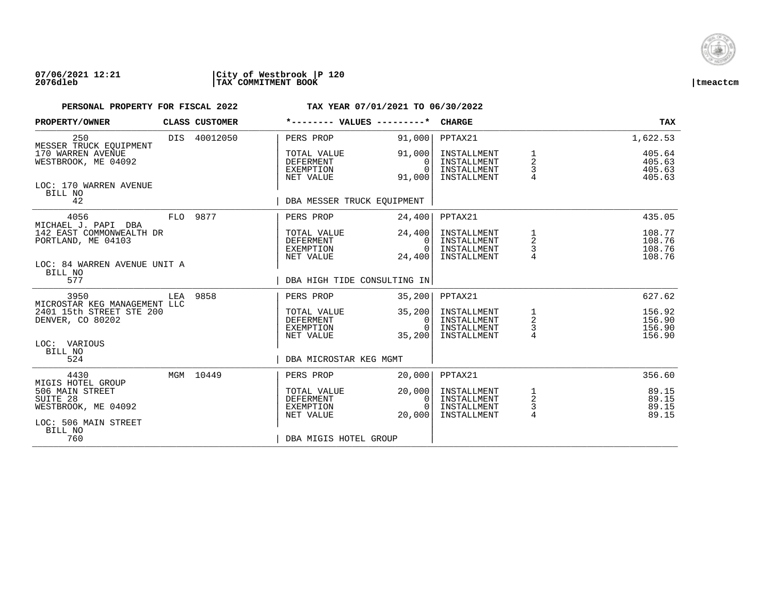

### **07/06/2021 12:21 |City of Westbrook |P 120 2076dleb |TAX COMMITMENT BOOK |tmeactcm**

| PROPERTY/OWNER                                                                                  |     | CLASS CUSTOMER | *-------- VALUES ---------*                               |                                                | <b>CHARGE</b>                                            |                                                 | TAX                                  |
|-------------------------------------------------------------------------------------------------|-----|----------------|-----------------------------------------------------------|------------------------------------------------|----------------------------------------------------------|-------------------------------------------------|--------------------------------------|
| 250<br>MESSER TRUCK EOUIPMENT                                                                   |     | DIS 40012050   | PERS PROP                                                 | 91,000                                         | PPTAX21                                                  |                                                 | 1,622.53                             |
| 170 WARREN AVENUE<br>WESTBROOK, ME 04092                                                        |     |                | TOTAL VALUE<br>DEFERMENT<br>EXEMPTION<br>NET VALUE        | 91,000<br>$\Omega$<br>$\Omega$<br>91,000       | INSTALLMENT<br>INSTALLMENT<br>INSTALLMENT<br>INSTALLMENT | 1<br>$\overline{\mathbf{c}}$<br>3               | 405.64<br>405.63<br>405.63<br>405.63 |
| LOC: 170 WARREN AVENUE<br>BILL NO<br>42                                                         |     |                | DBA MESSER TRUCK EOUIPMENT                                |                                                |                                                          |                                                 |                                      |
| 4056<br>MICHAEL J. PAPI DBA                                                                     |     | FLO 9877       | PERS PROP                                                 | 24,400                                         | PPTAX21                                                  |                                                 | 435.05                               |
| 142 EAST COMMONWEALTH DR<br>PORTLAND, ME 04103<br>LOC: 84 WARREN AVENUE UNIT A                  |     |                | TOTAL VALUE<br>DEFERMENT<br>EXEMPTION<br>NET VALUE        | 24,400<br>0 I<br>$\Omega$<br>24,400            | INSTALLMENT<br>INSTALLMENT<br>INSTALLMENT<br>INSTALLMENT | 1<br>$\begin{array}{c} 2 \\ 3 \\ 4 \end{array}$ | 108.77<br>108.76<br>108.76<br>108.76 |
| BILL NO<br>577                                                                                  |     |                | DBA HIGH TIDE CONSULTING IN                               |                                                |                                                          |                                                 |                                      |
| 3950<br>MICROSTAR KEG MANAGEMENT LLC                                                            | LEA | 9858           | PERS PROP                                                 | 35,200                                         | PPTAX21                                                  |                                                 | 627.62                               |
| 2401 15th STREET STE 200<br>DENVER, CO 80202                                                    |     |                | TOTAL VALUE<br>DEFERMENT<br>EXEMPTION<br>NET VALUE        | 35,200<br>0 <sup>1</sup><br>$\Omega$<br>35,200 | INSTALLMENT<br>INSTALLMENT<br>INSTALLMENT<br>INSTALLMENT | $\frac{1}{2}$<br>3<br>4                         | 156.92<br>156.90<br>156.90<br>156.90 |
| LOC: VARIOUS<br>BILL NO<br>524                                                                  |     |                | DBA MICROSTAR KEG MGMT                                    |                                                |                                                          |                                                 |                                      |
| 4430                                                                                            |     | MGM 10449      | PERS PROP                                                 | 20,000                                         | PPTAX21                                                  |                                                 | 356.60                               |
| MIGIS HOTEL GROUP<br>506 MAIN STREET<br>SUITE 28<br>WESTBROOK, ME 04092<br>LOC: 506 MAIN STREET |     |                | TOTAL VALUE<br><b>DEFERMENT</b><br>EXEMPTION<br>NET VALUE | 20,000<br>0<br>$\Omega$<br>20,000              | INSTALLMENT<br>INSTALLMENT<br>INSTALLMENT<br>INSTALLMENT | $\frac{1}{2}$<br>3<br>$\overline{4}$            | 89.15<br>89.15<br>89.15<br>89.15     |
| BILL NO<br>760                                                                                  |     |                | DBA MIGIS HOTEL GROUP                                     |                                                |                                                          |                                                 |                                      |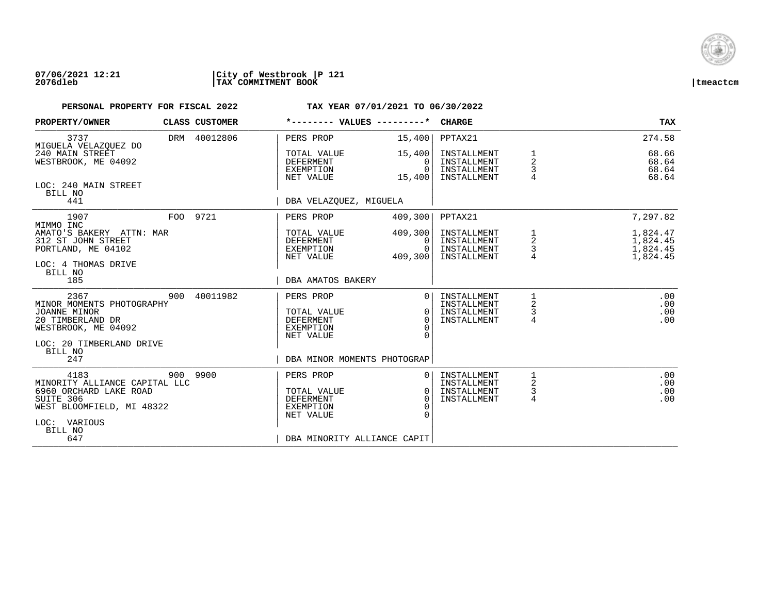

## **07/06/2021 12:21 |City of Westbrook |P 121 2076dleb |TAX COMMITMENT BOOK |tmeactcm**

| PROPERTY/OWNER                                                                                                                              |          | CLASS CUSTOMER | *-------- VALUES ---------*                                                                                  |                                            | <b>CHARGE</b>                                            |                                               | <b>TAX</b>                                   |
|---------------------------------------------------------------------------------------------------------------------------------------------|----------|----------------|--------------------------------------------------------------------------------------------------------------|--------------------------------------------|----------------------------------------------------------|-----------------------------------------------|----------------------------------------------|
| 3737                                                                                                                                        |          | DRM 40012806   | PERS PROP                                                                                                    | 15,400                                     | PPTAX21                                                  |                                               | 274.58                                       |
| MIGUELA VELAZQUEZ DO<br>240 MAIN STREET<br>WESTBROOK, ME 04092                                                                              |          |                | TOTAL VALUE<br>DEFERMENT<br>EXEMPTION<br>NET VALUE                                                           | 15,400<br>0<br>$\Omega$<br>15,400          | INSTALLMENT<br>INSTALLMENT<br>INSTALLMENT<br>INSTALLMENT | 2<br>3                                        | 68.66<br>68.64<br>68.64<br>68.64             |
| LOC: 240 MAIN STREET<br>BILL NO<br>441                                                                                                      |          |                | DBA VELAZOUEZ, MIGUELA                                                                                       |                                            |                                                          |                                               |                                              |
| 1907                                                                                                                                        | FOO 9721 |                | PERS PROP                                                                                                    | 409,300                                    | PPTAX21                                                  |                                               | 7,297.82                                     |
| MIMMO INC<br>AMATO'S BAKERY ATTN: MAR<br>312 ST JOHN STREET<br>PORTLAND, ME 04102<br>LOC: 4 THOMAS DRIVE                                    |          |                | TOTAL VALUE<br>DEFERMENT<br>EXEMPTION<br>NET VALUE                                                           | 409,300<br>$\Omega$<br>$\Omega$<br>409,300 | INSTALLMENT<br>INSTALLMENT<br>INSTALLMENT<br>INSTALLMENT | 1<br>$\overline{\mathbf{c}}$<br>$\frac{3}{4}$ | 1,824.47<br>1,824.45<br>1,824.45<br>1,824.45 |
| BILL NO<br>185                                                                                                                              |          |                | DBA AMATOS BAKERY                                                                                            |                                            |                                                          |                                               |                                              |
| 2367<br>MINOR MOMENTS PHOTOGRAPHY<br>JOANNE MINOR<br>20 TIMBERLAND DR<br>WESTBROOK, ME 04092<br>LOC: 20 TIMBERLAND DRIVE<br>BILL NO         | 900      | 40011982       | PERS PROP<br>TOTAL VALUE<br><b>DEFERMENT</b><br>EXEMPTION<br>NET VALUE                                       | $\Omega$<br>$\Omega$<br>$\Omega$           | INSTALLMENT<br>INSTALLMENT<br>INSTALLMENT<br>INSTALLMENT | 2<br>3<br>4                                   | .00<br>.00<br>.00<br>.00                     |
| 247                                                                                                                                         |          |                | DBA MINOR MOMENTS PHOTOGRAP                                                                                  |                                            |                                                          |                                               |                                              |
| 4183<br>MINORITY ALLIANCE CAPITAL LLC<br>6960 ORCHARD LAKE ROAD<br>SUITE 306<br>WEST BLOOMFIELD, MI 48322<br>LOC: VARIOUS<br>BILL NO<br>647 | 900 9900 |                | PERS PROP<br>TOTAL VALUE<br><b>DEFERMENT</b><br><b>EXEMPTION</b><br>NET VALUE<br>DBA MINORITY ALLIANCE CAPIT | $\Omega$<br>$\Omega$<br>$\Omega$           | INSTALLMENT<br>INSTALLMENT<br>INSTALLMENT<br>INSTALLMENT | 1<br>2<br>3<br>4                              | .00<br>.00<br>.00<br>.00                     |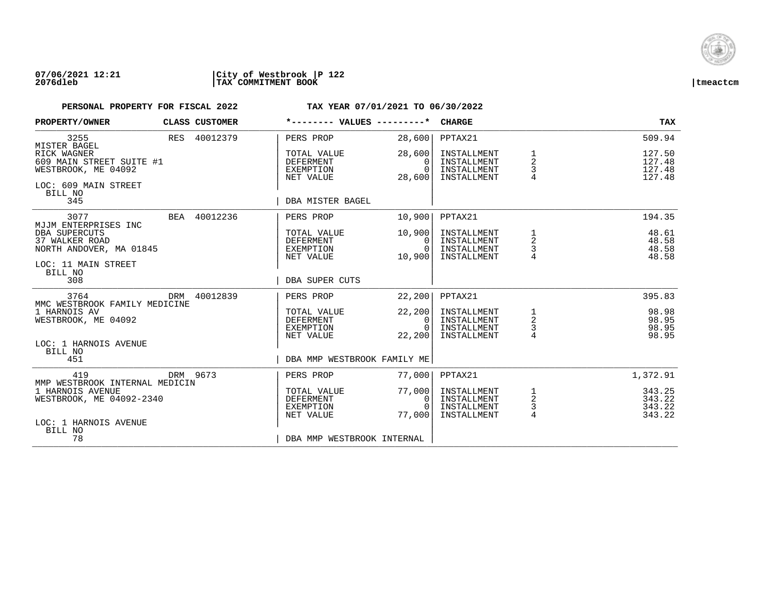

### **07/06/2021 12:21 |City of Westbrook |P 122 2076dleb |TAX COMMITMENT BOOK |tmeactcm**

| PROPERTY/OWNER                                                                                          | CLASS CUSTOMER | *-------- VALUES ---------*                               |                                                  | CHARGE                                                   |                                                   | <b>TAX</b>                           |
|---------------------------------------------------------------------------------------------------------|----------------|-----------------------------------------------------------|--------------------------------------------------|----------------------------------------------------------|---------------------------------------------------|--------------------------------------|
| 3255<br>MISTER BAGEL                                                                                    | RES 40012379   | PERS PROP                                                 | 28,600                                           | PPTAX21                                                  |                                                   | 509.94                               |
| RICK WAGNER<br>609 MAIN STREET SUITE #1<br>WESTBROOK, ME 04092<br>LOC: 609 MAIN STREET<br>BILL NO       |                | TOTAL VALUE<br><b>DEFERMENT</b><br>EXEMPTION<br>NET VALUE | 28,600<br>$\Omega$<br>$\overline{0}$<br>28,600   | INSTALLMENT<br>INSTALLMENT<br>INSTALLMENT<br>INSTALLMENT | 1<br>$\overline{a}$<br>3<br>$\overline{4}$        | 127.50<br>127.48<br>127.48<br>127.48 |
| 345                                                                                                     |                | DBA MISTER BAGEL                                          |                                                  |                                                          |                                                   |                                      |
| 3077<br>MJJM ENTERPRISES INC                                                                            | BEA 40012236   | PERS PROP                                                 | 10,900                                           | PPTAX21                                                  |                                                   | 194.35                               |
| DBA SUPERCUTS<br>37 WALKER ROAD<br>NORTH ANDOVER, MA 01845<br>LOC: 11 MAIN STREET<br>BILL NO            |                | TOTAL VALUE<br>DEFERMENT<br>EXEMPTION<br>NET VALUE        | 10,900<br>0 I<br>0<br>10,900                     | INSTALLMENT<br>INSTALLMENT<br>INSTALLMENT<br>INSTALLMENT | 1<br>$\overline{\mathbf{c}}$<br>$\mathsf{3}$      | 48.61<br>48.58<br>48.58<br>48.58     |
| 308                                                                                                     |                | DBA SUPER CUTS                                            |                                                  |                                                          |                                                   |                                      |
| 3764<br>MMC WESTBROOK FAMILY MEDICINE                                                                   | DRM 40012839   | PERS PROP                                                 | 22,200                                           | PPTAX21                                                  |                                                   | 395.83                               |
| 1 HARNOIS AV<br>WESTBROOK, ME 04092                                                                     |                | TOTAL VALUE<br>DEFERMENT<br>EXEMPTION<br>NET VALUE        | 22, 200<br>0 <sup>1</sup><br>$\Omega$<br>22, 200 | INSTALLMENT<br>INSTALLMENT<br>INSTALLMENT<br>INSTALLMENT | $\begin{array}{c}\n1 \\ 2 \\ 3 \\ 4\n\end{array}$ | 98.98<br>98.95<br>98.95<br>98.95     |
| LOC: 1 HARNOIS AVENUE<br>BILL NO<br>451                                                                 |                | DBA MMP WESTBROOK FAMILY ME                               |                                                  |                                                          |                                                   |                                      |
| 419                                                                                                     | DRM 9673       | PERS PROP                                                 | 77,000                                           | PPTAX21                                                  |                                                   | 1,372.91                             |
| MMP WESTBROOK INTERNAL MEDICIN<br>1 HARNOIS AVENUE<br>WESTBROOK, ME 04092-2340<br>LOC: 1 HARNOIS AVENUE |                | TOTAL VALUE<br>DEFERMENT<br>EXEMPTION<br>NET VALUE        | 77,000<br>0 <sup>1</sup><br>$\Omega$<br>77,000   | INSTALLMENT<br>INSTALLMENT<br>INSTALLMENT<br>INSTALLMENT | $\frac{1}{2}$<br>3<br>$\overline{4}$              | 343.25<br>343.22<br>343.22<br>343.22 |
| BILL NO<br>78                                                                                           |                | DBA MMP WESTBROOK INTERNAL                                |                                                  |                                                          |                                                   |                                      |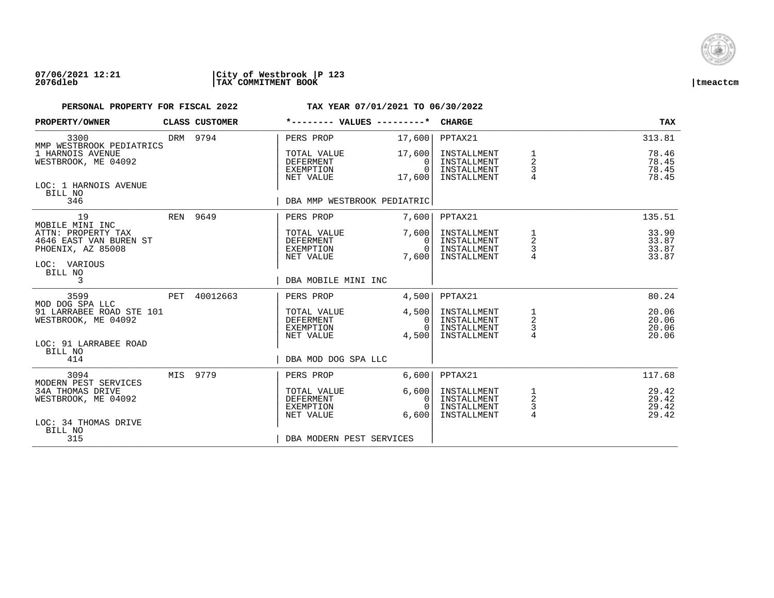

## **07/06/2021 12:21 |City of Westbrook |P 123 2076dleb |TAX COMMITMENT BOOK |tmeactcm**

| PROPERTY/OWNER                                                    |     | <b>CLASS CUSTOMER</b> | *-------- VALUES ---------*                               |                                          | <b>CHARGE</b>                                            |                                                       | <b>TAX</b>                       |
|-------------------------------------------------------------------|-----|-----------------------|-----------------------------------------------------------|------------------------------------------|----------------------------------------------------------|-------------------------------------------------------|----------------------------------|
| 3300<br>MMP WESTBROOK PEDIATRICS                                  |     | DRM 9794              | PERS PROP                                                 | 17,600                                   | PPTAX21                                                  |                                                       | 313.81                           |
| 1 HARNOIS AVENUE<br>WESTBROOK, ME 04092                           |     |                       | TOTAL VALUE<br><b>DEFERMENT</b><br>EXEMPTION<br>NET VALUE | 17,600<br>$\Omega$<br>$\Omega$<br>17,600 | INSTALLMENT<br>INSTALLMENT<br>INSTALLMENT<br>INSTALLMENT | 1<br>$\overline{2}$<br>3<br>$\overline{4}$            | 78.46<br>78.45<br>78.45<br>78.45 |
| LOC: 1 HARNOIS AVENUE<br>BILL NO<br>346                           |     |                       | DBA MMP WESTBROOK PEDIATRIC                               |                                          |                                                          |                                                       |                                  |
|                                                                   |     |                       |                                                           |                                          |                                                          |                                                       |                                  |
| 19<br>MOBILE MINI INC                                             |     | REN 9649              | PERS PROP                                                 | 7,600                                    | PPTAX21                                                  |                                                       | 135.51                           |
| ATTN: PROPERTY TAX<br>4646 EAST VAN BUREN ST<br>PHOENIX, AZ 85008 |     |                       | TOTAL VALUE<br>DEFERMENT<br>EXEMPTION                     | 7,600<br>$\Omega$<br>$\Omega$            | INSTALLMENT<br>INSTALLMENT<br>INSTALLMENT                | 1<br>2<br>3                                           | 33.90<br>33.87<br>33.87          |
| LOC: VARIOUS<br>BILL NO                                           |     |                       | NET VALUE                                                 | 7,600                                    | INSTALLMENT                                              |                                                       | 33.87                            |
| 3                                                                 |     |                       | DBA MOBILE MINI INC                                       |                                          |                                                          |                                                       |                                  |
| 3599<br>MOD DOG SPA LLC                                           | PET | 40012663              | PERS PROP                                                 | 4,500                                    | PPTAX21                                                  |                                                       | 80.24                            |
| 91 LARRABEE ROAD STE 101<br>WESTBROOK, ME 04092                   |     |                       | TOTAL VALUE<br>DEFERMENT<br>EXEMPTION                     | 4,500<br>$\mathbf{0}$<br>$\Omega$        | INSTALLMENT<br>INSTALLMENT<br>INSTALLMENT                | $\begin{array}{c}\n1 \\ 2 \\ 3 \\ 4\n\end{array}$     | 20.06<br>20.06<br>20.06          |
| LOC: 91 LARRABEE ROAD                                             |     |                       | NET VALUE                                                 | 4,500                                    | INSTALLMENT                                              |                                                       | 20.06                            |
| BILL NO<br>414                                                    |     |                       | DBA MOD DOG SPA LLC                                       |                                          |                                                          |                                                       |                                  |
| 3094<br>MODERN PEST SERVICES                                      |     | MIS 9779              | PERS PROP                                                 | 6,600                                    | PPTAX21                                                  |                                                       | 117.68                           |
| <b>34A THOMAS DRIVE</b><br>WESTBROOK, ME 04092                    |     |                       | TOTAL VALUE<br><b>DEFERMENT</b><br>EXEMPTION<br>NET VALUE | 6,600<br>0<br>$\Omega$<br>6,600          | INSTALLMENT<br>INSTALLMENT<br>INSTALLMENT<br>INSTALLMENT | $\mathbf{1}$<br>$\overline{c}$<br>3<br>$\overline{4}$ | 29.42<br>29.42<br>29.42<br>29.42 |
| LOC: 34 THOMAS DRIVE<br>BILL NO                                   |     |                       |                                                           |                                          |                                                          |                                                       |                                  |
| 315                                                               |     |                       | DBA MODERN PEST SERVICES                                  |                                          |                                                          |                                                       |                                  |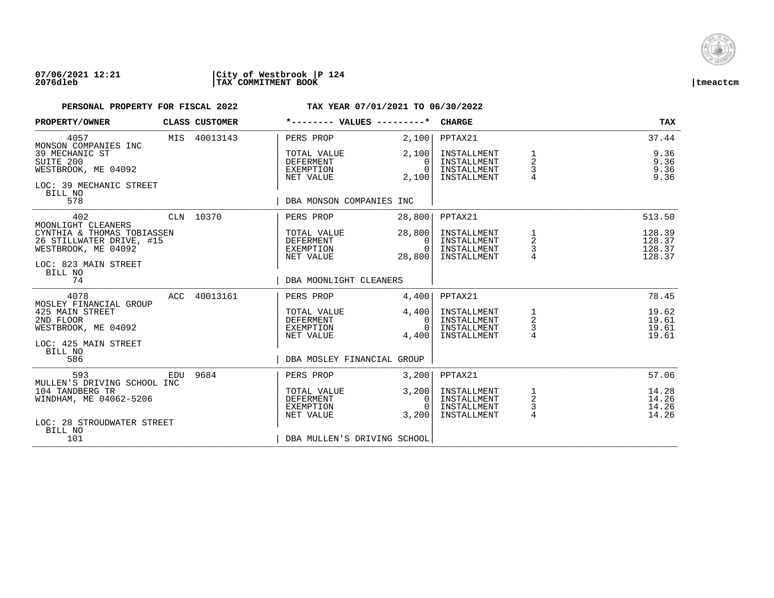

### **07/06/2021 12:21 |City of Westbrook |P 124 2076dleb |TAX COMMITMENT BOOK |tmeactcm**

| PROPERTY/OWNER                                                                                                   |     | CLASS CUSTOMER | *-------- VALUES ---------*                               |                                          | <b>CHARGE</b>                                            |                                                   | TAX                                  |
|------------------------------------------------------------------------------------------------------------------|-----|----------------|-----------------------------------------------------------|------------------------------------------|----------------------------------------------------------|---------------------------------------------------|--------------------------------------|
| 4057<br>MONSON COMPANIES INC                                                                                     |     | MIS 40013143   | PERS PROP                                                 | 2,100                                    | PPTAX21                                                  |                                                   | 37.44                                |
| 39 MECHANIC ST<br>SUITE 200<br>WESTBROOK, ME 04092<br>LOC: 39 MECHANIC STREET<br>BILL NO                         |     |                | TOTAL VALUE<br><b>DEFERMENT</b><br>EXEMPTION<br>NET VALUE | 2,100<br>$\Omega$<br>$\Omega$<br>2,100   | INSTALLMENT<br>INSTALLMENT<br>INSTALLMENT<br>INSTALLMENT | 1<br>$\overline{2}$<br>3<br>$\overline{4}$        | 9.36<br>9.36<br>9.36<br>9.36         |
| 578                                                                                                              |     |                | DBA MONSON COMPANIES INC                                  |                                          |                                                          |                                                   |                                      |
| 402<br>MOONLIGHT CLEANERS                                                                                        |     | CLN 10370      | PERS PROP                                                 | 28,800                                   | PPTAX21                                                  |                                                   | 513.50                               |
| CYNTHIA & THOMAS TOBIASSEN<br>26 STILLWATER DRIVE, #15<br>WESTBROOK, ME 04092<br>LOC: 823 MAIN STREET<br>BILL NO |     |                | TOTAL VALUE<br>DEFERMENT<br>EXEMPTION<br>NET VALUE        | 28,800<br>$\Omega$<br>$\Omega$<br>28,800 | INSTALLMENT<br>INSTALLMENT<br>INSTALLMENT<br>INSTALLMENT | 1<br>$\overline{\mathbf{c}}$<br>3                 | 128.39<br>128.37<br>128.37<br>128.37 |
| 74                                                                                                               |     |                | DBA MOONLIGHT CLEANERS                                    |                                          |                                                          |                                                   |                                      |
| 4078<br>MOSLEY FINANCIAL GROUP                                                                                   | ACC | 40013161       | PERS PROP                                                 | 4,400                                    | PPTAX21                                                  |                                                   | 78.45                                |
| 425 MAIN STREET<br>2ND FLOOR<br>WESTBROOK, ME 04092                                                              |     |                | TOTAL VALUE<br>DEFERMENT<br>EXEMPTION<br>NET VALUE        | 4,400<br>0<br>$\Omega$<br>4,400          | INSTALLMENT<br>INSTALLMENT<br>INSTALLMENT<br>INSTALLMENT | $\begin{array}{c}\n1 \\ 2 \\ 3 \\ 4\n\end{array}$ | 19.62<br>19.61<br>19.61<br>19.61     |
| LOC: 425 MAIN STREET<br>BILL NO<br>586                                                                           |     |                | DBA MOSLEY FINANCIAL GROUP                                |                                          |                                                          |                                                   |                                      |
| 593<br>MULLEN'S DRIVING SCHOOL INC                                                                               | EDU | 9684           | PERS PROP                                                 | 3,200                                    | PPTAX21                                                  |                                                   | 57.06                                |
| 104 TANDBERG TR<br>WINDHAM, ME 04062-5206<br>LOC: 28 STROUDWATER STREET                                          |     |                | TOTAL VALUE<br><b>DEFERMENT</b><br>EXEMPTION<br>NET VALUE | 3,200<br>0<br>$\Omega$<br>3,200          | INSTALLMENT<br>INSTALLMENT<br>INSTALLMENT<br>INSTALLMENT | $\frac{1}{2}$<br>$\frac{3}{4}$                    | 14.28<br>14.26<br>14.26<br>14.26     |
| BILL NO<br>101                                                                                                   |     |                | DBA MULLEN'S DRIVING SCHOOL                               |                                          |                                                          |                                                   |                                      |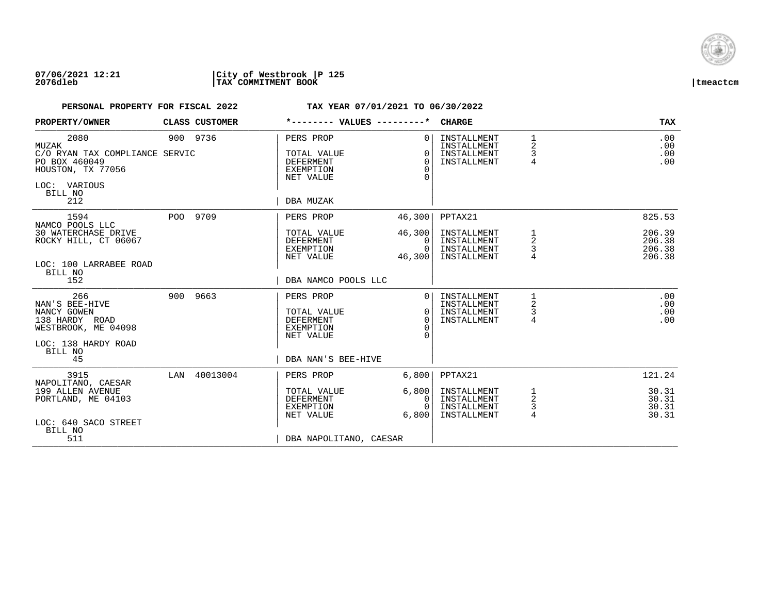

### **07/06/2021 12:21 |City of Westbrook |P 125 2076dleb |TAX COMMITMENT BOOK |tmeactcm**

| PROPERTY/OWNER                                                                                                            | CLASS CUSTOMER | *-------- VALUES ---------*                                                                         |                                                    | <b>CHARGE</b>                                                       |                  | <b>TAX</b>                                     |
|---------------------------------------------------------------------------------------------------------------------------|----------------|-----------------------------------------------------------------------------------------------------|----------------------------------------------------|---------------------------------------------------------------------|------------------|------------------------------------------------|
| 2080<br>MUZAK<br>C/O RYAN TAX COMPLIANCE SERVIC<br>PO BOX 460049<br>HOUSTON, TX 77056<br>LOC: VARIOUS<br>BILL NO<br>212   | 900 9736       | PERS PROP<br>TOTAL VALUE<br>DEFERMENT<br><b>EXEMPTION</b><br>NET VALUE<br>DBA MUZAK                 | $\Omega$<br>$\Omega$<br>$\Omega$<br>$\Omega$       | INSTALLMENT<br>INSTALLMENT<br>INSTALLMENT<br>INSTALLMENT            | 1<br>2<br>3<br>4 | .00<br>.00<br>.00<br>.00                       |
| 1594<br>NAMCO POOLS LLC<br><b>30 WATERCHASE DRIVE</b><br>ROCKY HILL, CT 06067<br>LOC: 100 LARRABEE ROAD<br>BILL NO<br>152 | POO 9709       | PERS PROP<br>TOTAL VALUE<br>DEFERMENT<br>EXEMPTION<br>NET VALUE<br>DBA NAMCO POOLS LLC              | 46,300<br>46,300<br>$\Omega$<br>$\Omega$<br>46,300 | PPTAX21<br>INSTALLMENT<br>INSTALLMENT<br>INSTALLMENT<br>INSTALLMENT | 1<br>2<br>3<br>4 | 825.53<br>206.39<br>206.38<br>206.38<br>206.38 |
| 266<br>NAN'S BEE-HIVE<br>NANCY GOWEN<br>138 HARDY ROAD<br>WESTBROOK, ME 04098<br>LOC: 138 HARDY ROAD<br>BILL NO<br>45     | 900 9663       | PERS PROP<br>TOTAL VALUE<br><b>DEFERMENT</b><br><b>EXEMPTION</b><br>NET VALUE<br>DBA NAN'S BEE-HIVE | $\Omega$<br>$\Omega$<br>$\Omega$                   | INSTALLMENT<br>INSTALLMENT<br>INSTALLMENT<br>INSTALLMENT            | 2<br>3<br>4      | .00<br>.00<br>.00<br>.00                       |
| 3915<br>NAPOLITANO, CAESAR<br>199 ALLEN AVENUE<br>PORTLAND, ME 04103<br>LOC: 640 SACO STREET<br>BILL NO<br>511            | LAN 40013004   | PERS PROP<br>TOTAL VALUE<br><b>DEFERMENT</b><br>EXEMPTION<br>NET VALUE<br>DBA NAPOLITANO, CAESAR    | 6,800<br>6,800<br>0<br>$\Omega$<br>6,800           | PPTAX21<br>INSTALLMENT<br>INSTALLMENT<br>INSTALLMENT<br>INSTALLMENT | 1<br>2<br>3<br>4 | 121.24<br>30.31<br>30.31<br>30.31<br>30.31     |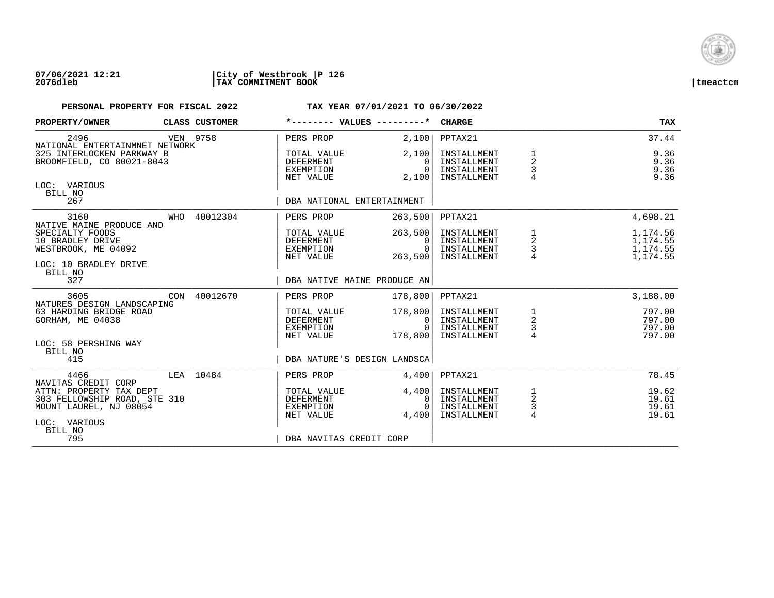

### **07/06/2021 12:21 |City of Westbrook |P 126 2076dleb |TAX COMMITMENT BOOK |tmeactcm**

## **PERSONAL PROPERTY FOR FISCAL 2022 TAX YEAR 07/01/2021 TO 06/30/2022 PROPERTY/OWNER** CLASS CUSTOMER  $\uparrow$  values of  $\downarrow$  customer  $\downarrow$  customer  $\downarrow$  customer  $\downarrow$  customer  $\downarrow$  customer  $\downarrow$

| <b>PROPERTY/OWNER</b>                                  |     | CLASS CUSTOMER | ---- VALUES                                        |                                        | <b>CHARGE</b>                                            |                     | TAX.                         |
|--------------------------------------------------------|-----|----------------|----------------------------------------------------|----------------------------------------|----------------------------------------------------------|---------------------|------------------------------|
| 2496<br>NATIONAL ENTERTAINMNET NETWORK                 |     | VEN 9758       | PERS PROP                                          | 2,100                                  | PPTAX21                                                  |                     | 37.44                        |
| 325 INTERLOCKEN PARKWAY B<br>BROOMFIELD, CO 80021-8043 |     |                | TOTAL VALUE<br>DEFERMENT<br>EXEMPTION<br>NET VALUE | 2,100<br>$\Omega$<br>$\Omega$<br>2,100 | INSTALLMENT<br>INSTALLMENT<br>INSTALLMENT<br>INSTALLMENT | 1<br>2<br>3         | 9.36<br>9.36<br>9.36<br>9.36 |
| LOC: VARIOUS<br>BILL NO                                |     |                |                                                    |                                        |                                                          |                     |                              |
| 267                                                    |     |                | DBA NATIONAL ENTERTAINMENT                         |                                        |                                                          |                     |                              |
| 3160<br>NATIVE MAINE PRODUCE AND                       | WHO | 40012304       | PERS PROP                                          | 263,500                                | PPTAX21                                                  |                     | 4,698.21                     |
| SPECIALTY FOODS<br>10 BRADLEY DRIVE                    |     |                | TOTAL VALUE<br>DEFERMENT                           | 263,500<br>$\Omega$                    | INSTALLMENT<br>INSTALLMENT                               | 1<br>2              | 1,174.56<br>1,174.55         |
| WESTBROOK, ME 04092                                    |     |                | EXEMPTION<br>NET VALUE                             | $\Omega$<br>263,500                    | INSTALLMENT<br>INSTALLMENT                               | 3<br>$\overline{4}$ | 1,174.55<br>1,174.55         |
| LOC: 10 BRADLEY DRIVE<br>BILL NO                       |     |                |                                                    |                                        |                                                          |                     |                              |
| 327                                                    |     |                | DBA NATIVE MAINE PRODUCE AN                        |                                        |                                                          |                     |                              |
| 3605<br>NATURES DESIGN LANDSCAPING                     |     | CON 40012670   | PERS PROP                                          | 178,800                                | PPTAX21                                                  |                     | 3,188.00                     |
| 63 HARDING BRIDGE ROAD<br>GORHAM, ME 04038             |     |                | TOTAL VALUE<br>DEFERMENT                           | 178,800<br>$\Omega$                    | INSTALLMENT<br>INSTALLMENT                               | 1<br>$\overline{a}$ | 797.00<br>797.00             |
|                                                        |     |                | EXEMPTION                                          | $\cap$                                 | INSTALLMENT                                              | 3                   | 797.00                       |
| LOC: 58 PERSHING WAY                                   |     |                | NET VALUE                                          | 178,800                                | INSTALLMENT                                              | $\overline{4}$      | 797.00                       |
| BILL NO<br>415                                         |     |                | DBA NATURE'S DESIGN LANDSCA                        |                                        |                                                          |                     |                              |
| 4466<br>NAVITAS CREDIT CORP                            |     | LEA 10484      | PERS PROP                                          | 4,400                                  | PPTAX21                                                  |                     | 78.45                        |
| ATTN: PROPERTY TAX DEPT                                |     |                | TOTAL VALUE                                        | 4,400                                  | INSTALLMENT                                              | 1                   | 19.62                        |
| 303 FELLOWSHIP ROAD, STE 310<br>MOUNT LAUREL, NJ 08054 |     |                | DEFERMENT<br>EXEMPTION                             | $\Omega$<br>$\cap$                     | INSTALLMENT<br>INSTALLMENT                               | 2<br>3              | 19.61<br>19.61               |
| LOC: VARIOUS                                           |     |                | NET VALUE                                          | 4,400                                  | INSTALLMENT                                              | 4                   | 19.61                        |
| BILL NO<br>795                                         |     |                | DBA NAVITAS CREDIT CORP                            |                                        |                                                          |                     |                              |
|                                                        |     |                |                                                    |                                        |                                                          |                     |                              |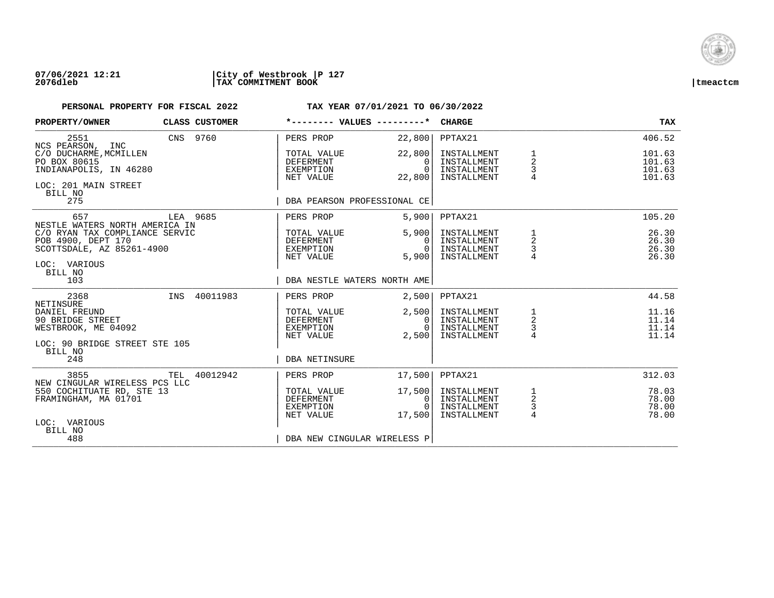

## **07/06/2021 12:21 |City of Westbrook |P 127 2076dleb |TAX COMMITMENT BOOK |tmeactcm**

| PROPERTY/OWNER                                                                                               | CLASS CUSTOMER | *-------- VALUES ---------*                               |                                                      | CHARGE                                                   |                                                   | <b>TAX</b>                           |
|--------------------------------------------------------------------------------------------------------------|----------------|-----------------------------------------------------------|------------------------------------------------------|----------------------------------------------------------|---------------------------------------------------|--------------------------------------|
| 2551<br>NCS PEARSON, INC                                                                                     | CNS 9760       | PERS PROP                                                 | 22,800                                               | PPTAX21                                                  |                                                   | 406.52                               |
| C/O DUCHARME, MCMILLEN<br>PO BOX 80615<br>INDIANAPOLIS, IN 46280<br>LOC: 201 MAIN STREET<br>BILL NO          |                | TOTAL VALUE<br><b>DEFERMENT</b><br>EXEMPTION<br>NET VALUE | 22,800<br>$\Omega$<br>$\overline{0}$<br>22,800       | INSTALLMENT<br>INSTALLMENT<br>INSTALLMENT<br>INSTALLMENT | 1<br>$\overline{2}$<br>3<br>4                     | 101.63<br>101.63<br>101.63<br>101.63 |
| 275                                                                                                          |                | DBA PEARSON PROFESSIONAL CE                               |                                                      |                                                          |                                                   |                                      |
| 657<br>NESTLE WATERS NORTH AMERICA IN                                                                        | LEA 9685       | PERS PROP                                                 | 5,900                                                | PPTAX21                                                  |                                                   | 105.20                               |
| C/O RYAN TAX COMPLIANCE SERVIC<br>POB 4900, DEPT 170<br>SCOTTSDALE, AZ 85261-4900<br>LOC: VARIOUS<br>BILL NO |                | TOTAL VALUE<br>DEFERMENT<br>EXEMPTION<br>NET VALUE        | 5,900<br>$\Omega$<br>$\Omega$<br>5,900               | INSTALLMENT<br>INSTALLMENT<br>INSTALLMENT<br>INSTALLMENT | 1<br>2<br>3                                       | 26.30<br>26.30<br>26.30<br>26.30     |
| 103                                                                                                          |                | DBA NESTLE WATERS NORTH AME                               |                                                      |                                                          |                                                   |                                      |
| 2368<br>NETINSURE                                                                                            | INS 40011983   | PERS PROP                                                 | 2,500                                                | PPTAX21                                                  |                                                   | 44.58                                |
| DANIEL FREUND<br>90 BRIDGE STREET<br>WESTBROOK, ME 04092<br>LOC: 90 BRIDGE STREET STE 105<br>BILL NO         |                | TOTAL VALUE<br>DEFERMENT<br>EXEMPTION<br>NET VALUE        | 2,500<br>0 <sup>1</sup><br>$\overline{0}$  <br>2,500 | INSTALLMENT<br>INSTALLMENT<br>INSTALLMENT<br>INSTALLMENT | $\begin{array}{c}\n1 \\ 2 \\ 3 \\ 4\n\end{array}$ | 11.16<br>11.14<br>11.14<br>11.14     |
| 248                                                                                                          |                | <b>DBA NETINSURE</b>                                      |                                                      |                                                          |                                                   |                                      |
| 3855<br>NEW CINGULAR WIRELESS PCS LLC                                                                        | TEL 40012942   | PERS PROP                                                 | 17,500                                               | PPTAX21                                                  |                                                   | 312.03                               |
| 550 COCHITUATE RD, STE 13<br>FRAMINGHAM, MA 01701<br>LOC: VARIOUS<br>BILL NO                                 |                | TOTAL VALUE<br>DEFERMENT<br>EXEMPTION<br>NET VALUE        | 17,500<br>0 <sup>1</sup><br>$\overline{0}$<br>17,500 | INSTALLMENT<br>INSTALLMENT<br>INSTALLMENT<br>INSTALLMENT | $\frac{1}{2}$<br>$\frac{3}{4}$                    | 78.03<br>78.00<br>78.00<br>78.00     |
| 488                                                                                                          |                | DBA NEW CINGULAR WIRELESS P                               |                                                      |                                                          |                                                   |                                      |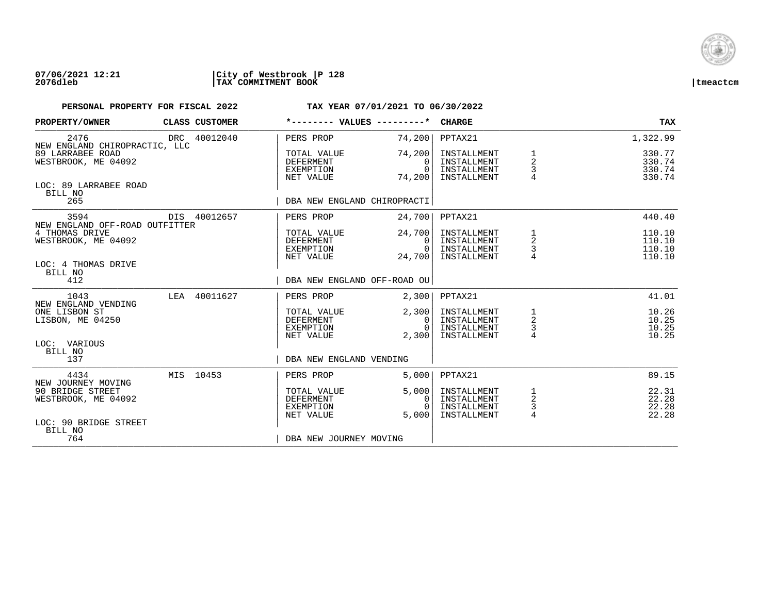

### **07/06/2021 12:21 |City of Westbrook |P 128 2076dleb |TAX COMMITMENT BOOK |tmeactcm**

| PROPERTY/OWNER                                               | CLASS CUSTOMER | *-------- VALUES ---------*                               |                                              | <b>CHARGE</b>                                            |                                                   | <b>TAX</b>                           |
|--------------------------------------------------------------|----------------|-----------------------------------------------------------|----------------------------------------------|----------------------------------------------------------|---------------------------------------------------|--------------------------------------|
| 2476<br>NEW ENGLAND CHIROPRACTIC, LLC                        | DRC 40012040   | PERS PROP                                                 | 74, 200                                      | PPTAX21                                                  |                                                   | 1,322.99                             |
| 89 LARRABEE ROAD<br>WESTBROOK, ME 04092                      |                | TOTAL VALUE<br>DEFERMENT<br>EXEMPTION<br>NET VALUE        | 74,200<br>0<br>$\Omega$<br>74,200            | INSTALLMENT<br>INSTALLMENT<br>INSTALLMENT<br>INSTALLMENT | $\begin{array}{c}\n1 \\ 2 \\ 3 \\ 4\n\end{array}$ | 330.77<br>330.74<br>330.74<br>330.74 |
| LOC: 89 LARRABEE ROAD<br>BILL NO<br>265                      |                | DBA NEW ENGLAND CHIROPRACTI                               |                                              |                                                          |                                                   |                                      |
| 3594<br>NEW ENGLAND OFF-ROAD OUTFITTER                       | DIS 40012657   | PERS PROP                                                 | 24,700                                       | PPTAX21                                                  |                                                   | 440.40                               |
| 4 THOMAS DRIVE<br>WESTBROOK, ME 04092<br>LOC: 4 THOMAS DRIVE |                | TOTAL VALUE<br>DEFERMENT<br>EXEMPTION<br>NET VALUE        | 24,700<br>$\Omega$<br>$\Omega$<br>24,700     | INSTALLMENT<br>INSTALLMENT<br>INSTALLMENT<br>INSTALLMENT | $\frac{1}{2}$<br>$\frac{3}{4}$                    | 110.10<br>110.10<br>110.10<br>110.10 |
| BILL NO<br>412                                               |                | DBA NEW ENGLAND OFF-ROAD OU                               |                                              |                                                          |                                                   |                                      |
| 1043<br>NEW ENGLAND VENDING                                  | LEA 40011627   | PERS PROP                                                 | 2,300                                        | PPTAX21                                                  |                                                   | 41.01                                |
| ONE LISBON ST<br>LISBON, ME 04250                            |                | TOTAL VALUE<br>DEFERMENT<br>EXEMPTION<br>NET VALUE        | 2,300<br>$\overline{0}$<br>$\Omega$<br>2,300 | INSTALLMENT<br>INSTALLMENT<br>INSTALLMENT<br>INSTALLMENT | $\frac{1}{2}$<br>$\frac{3}{4}$                    | 10.26<br>10.25<br>10.25<br>10.25     |
| LOC: VARIOUS<br>BILL NO<br>137                               |                | DBA NEW ENGLAND VENDING                                   |                                              |                                                          |                                                   |                                      |
| 4434<br>NEW JOURNEY MOVING                                   | MIS 10453      | PERS PROP                                                 | 5,000                                        | PPTAX21                                                  |                                                   | 89.15                                |
| 90 BRIDGE STREET<br>WESTBROOK, ME 04092                      |                | TOTAL VALUE<br><b>DEFERMENT</b><br>EXEMPTION<br>NET VALUE | 5,000<br>0<br>$\cap$<br>5.000                | INSTALLMENT<br>INSTALLMENT<br>INSTALLMENT<br>INSTALLMENT | $\frac{1}{2}$<br>$\frac{3}{4}$                    | 22.31<br>22.28<br>22.28<br>22.28     |
| LOC: 90 BRIDGE STREET<br>BILL NO<br>764                      |                | DBA NEW JOURNEY MOVING                                    |                                              |                                                          |                                                   |                                      |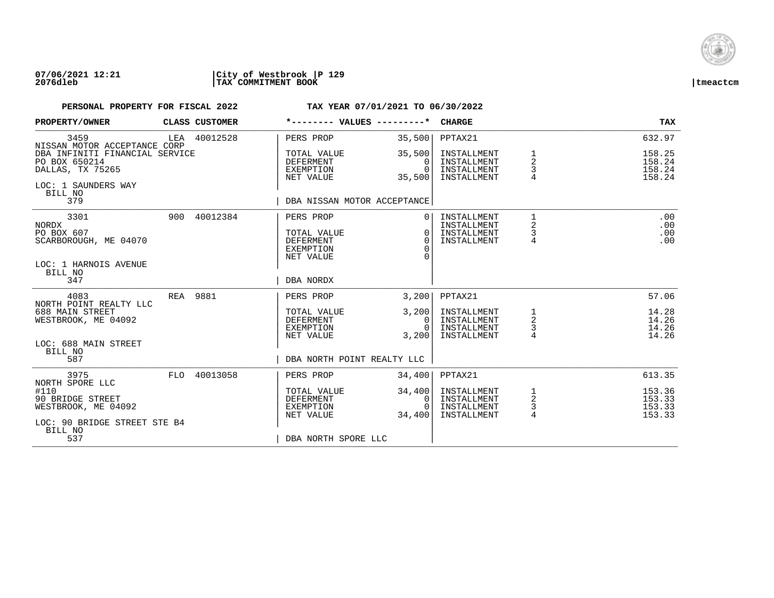

### **07/06/2021 12:21 |City of Westbrook |P 129 2076dleb |TAX COMMITMENT BOOK |tmeactcm**

| PROPERTY/OWNER                                                                |     | CLASS CUSTOMER |                                                                               | *-------- VALUES ---------*                  | <b>CHARGE</b>                                            |                                                      | <b>TAX</b>                           |
|-------------------------------------------------------------------------------|-----|----------------|-------------------------------------------------------------------------------|----------------------------------------------|----------------------------------------------------------|------------------------------------------------------|--------------------------------------|
| 3459<br>NISSAN MOTOR ACCEPTANCE CORP                                          | LEA | 40012528       | PERS PROP                                                                     | 35,500                                       | PPTAX21                                                  |                                                      | 632.97                               |
| DBA INFINITI FINANCIAL SERVICE<br>PO BOX 650214<br>DALLAS, TX 75265           |     |                | TOTAL VALUE<br>DEFERMENT<br>EXEMPTION<br>NET VALUE                            | 35,500<br>$\Omega$<br>$\Omega$<br>35,500     | INSTALLMENT<br>INSTALLMENT<br>INSTALLMENT<br>INSTALLMENT | 1<br>2<br>3                                          | 158.25<br>158.24<br>158.24<br>158.24 |
| LOC: 1 SAUNDERS WAY<br>BILL NO<br>379                                         |     |                |                                                                               | DBA NISSAN MOTOR ACCEPTANCE                  |                                                          |                                                      |                                      |
| 3301<br>NORDX<br>PO BOX 607<br>SCARBOROUGH, ME 04070<br>LOC: 1 HARNOIS AVENUE | 900 | 40012384       | PERS PROP<br>TOTAL VALUE<br><b>DEFERMENT</b><br><b>EXEMPTION</b><br>NET VALUE | $\Omega$<br>$\Omega$<br>$\Omega$<br>$\Omega$ | INSTALLMENT<br>INSTALLMENT<br>INSTALLMENT<br>INSTALLMENT | $\mathbf 1$<br>$\overline{a}$<br>3<br>$\overline{4}$ | .00<br>.00<br>.00<br>.00             |
| BILL NO<br>347                                                                |     |                | DBA NORDX                                                                     |                                              |                                                          |                                                      |                                      |
| 4083<br>NORTH POINT REALTY LLC                                                | REA | 9881           | PERS PROP                                                                     | 3,200                                        | PPTAX21                                                  |                                                      | 57.06                                |
| 688 MAIN STREET<br>WESTBROOK, ME 04092                                        |     |                | TOTAL VALUE<br><b>DEFERMENT</b><br><b>EXEMPTION</b><br>NET VALUE              | 3,200<br>$\Omega$<br>$\Omega$<br>3,200       | INSTALLMENT<br>INSTALLMENT<br>INSTALLMENT<br>INSTALLMENT | 1<br>$\overline{a}$<br>3<br>4                        | 14.28<br>14.26<br>14.26<br>14.26     |
| LOC: 688 MAIN STREET<br>BILL NO<br>587                                        |     |                |                                                                               | DBA NORTH POINT REALTY LLC                   |                                                          |                                                      |                                      |
| 3975<br>NORTH SPORE LLC                                                       | FLO | 40013058       | PERS PROP                                                                     | 34,400                                       | PPTAX21                                                  |                                                      | 613.35                               |
| #110<br>90 BRIDGE STREET<br>WESTBROOK, ME 04092                               |     |                | TOTAL VALUE<br><b>DEFERMENT</b><br>EXEMPTION<br>NET VALUE                     | 34,400<br>0<br>$\Omega$<br>34,400            | INSTALLMENT<br>INSTALLMENT<br>INSTALLMENT<br>INSTALLMENT | 1<br>$\sqrt{2}$<br>3<br>$\overline{4}$               | 153.36<br>153.33<br>153.33<br>153.33 |
| LOC: 90 BRIDGE STREET STE B4<br>BILL NO<br>537                                |     |                | DBA NORTH SPORE LLC                                                           |                                              |                                                          |                                                      |                                      |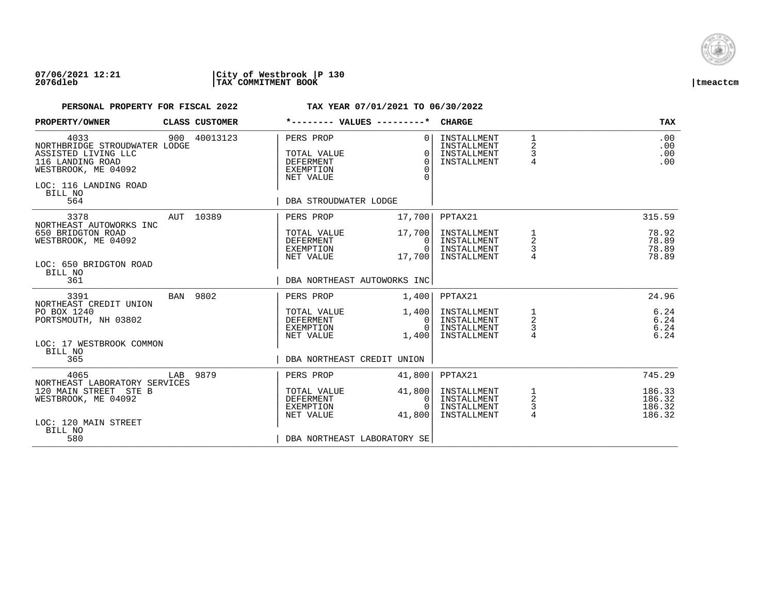

### **07/06/2021 12:21 |City of Westbrook |P 130 2076dleb |TAX COMMITMENT BOOK |tmeactcm**

| PROPERTY/OWNER                                                                                                                                     | CLASS CUSTOMER | *-------- VALUES ---------*                                                              |                                                   | <b>CHARGE</b>                                            |                                      | <b>TAX</b>                           |
|----------------------------------------------------------------------------------------------------------------------------------------------------|----------------|------------------------------------------------------------------------------------------|---------------------------------------------------|----------------------------------------------------------|--------------------------------------|--------------------------------------|
| 4033<br>NORTHBRIDGE STROUDWATER LODGE<br>ASSISTED LIVING LLC<br>116 LANDING ROAD<br>WESTBROOK, ME 04092<br>LOC: 116 LANDING ROAD<br>BILL NO<br>564 | 900 40013123   | PERS PROP<br>TOTAL VALUE<br>DEFERMENT<br>EXEMPTION<br>NET VALUE<br>DBA STROUDWATER LODGE | $\Omega$<br>$\Omega$<br>$\Omega$<br>$\Omega$<br>∩ | INSTALLMENT<br>INSTALLMENT<br>INSTALLMENT<br>INSTALLMENT | $\mathbf{1}$<br>2<br>$\frac{3}{4}$   | .00<br>.00<br>.00<br>.00             |
| 3378                                                                                                                                               | AUT 10389      | PERS PROP                                                                                | 17,700                                            | PPTAX21                                                  |                                      | 315.59                               |
| NORTHEAST AUTOWORKS INC<br>650 BRIDGTON ROAD<br>WESTBROOK, ME 04092<br>LOC: 650 BRIDGTON ROAD<br>BILL NO                                           |                | TOTAL VALUE<br>DEFERMENT<br>EXEMPTION<br>NET VALUE                                       | 17,700<br>$\Omega$<br>$\overline{0}$<br>17,700    | INSTALLMENT<br>INSTALLMENT<br>INSTALLMENT<br>INSTALLMENT | $\frac{1}{2}$<br>3                   | 78.92<br>78.89<br>78.89<br>78.89     |
| 361                                                                                                                                                |                | DBA NORTHEAST AUTOWORKS INC                                                              |                                                   |                                                          |                                      |                                      |
| 3391<br>NORTHEAST CREDIT UNION                                                                                                                     | BAN 9802       | PERS PROP                                                                                | 1,400                                             | PPTAX21                                                  |                                      | 24.96                                |
| PO BOX 1240<br>PORTSMOUTH, NH 03802                                                                                                                |                | TOTAL VALUE<br>DEFERMENT<br>EXEMPTION<br>NET VALUE                                       | 1,400<br>0 <sup>1</sup><br>$\Omega$<br>1,400      | INSTALLMENT<br>INSTALLMENT<br>INSTALLMENT<br>INSTALLMENT | $\frac{1}{2}$<br>$\frac{3}{4}$       | 6.24<br>6.24<br>6.24<br>6.24         |
| LOC: 17 WESTBROOK COMMON<br>BILL NO<br>365                                                                                                         |                | DBA NORTHEAST CREDIT UNION                                                               |                                                   |                                                          |                                      |                                      |
| 4065<br>NORTHEAST LABORATORY SERVICES                                                                                                              | LAB 9879       | PERS PROP                                                                                | 41,800                                            | PPTAX21                                                  |                                      | 745.29                               |
| 120 MAIN STREET STE B<br>WESTBROOK, ME 04092<br>LOC: 120 MAIN STREET                                                                               |                | TOTAL VALUE<br>DEFERMENT<br>EXEMPTION<br>NET VALUE                                       | 41,800<br>0<br>$\cap$<br>41,800                   | INSTALLMENT<br>INSTALLMENT<br>INSTALLMENT<br>INSTALLMENT | 1<br>$\overline{a}$<br>$\frac{3}{4}$ | 186.33<br>186.32<br>186.32<br>186.32 |
| BILL NO<br>580                                                                                                                                     |                | DBA NORTHEAST LABORATORY SE                                                              |                                                   |                                                          |                                      |                                      |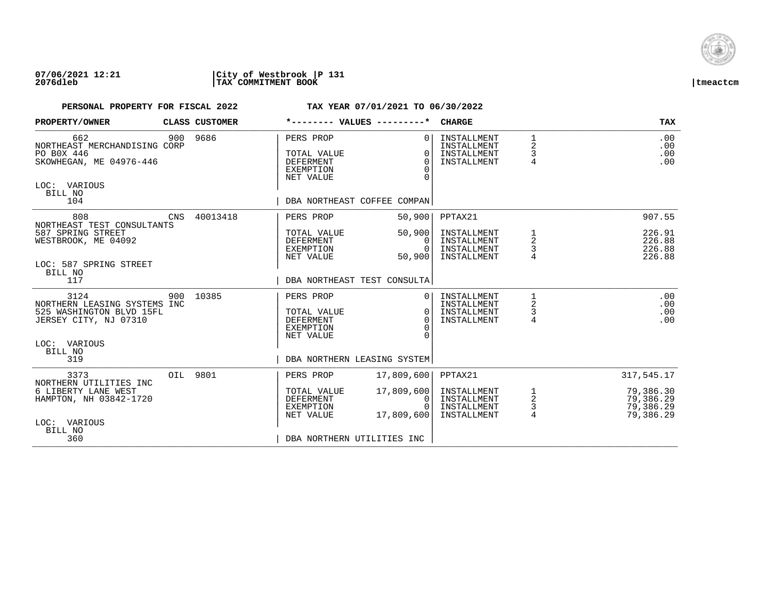

## **07/06/2021 12:21 |City of Westbrook |P 131 2076dleb |TAX COMMITMENT BOOK |tmeactcm**

| PROPERTY/OWNER                                                                                                       |     | CLASS CUSTOMER | *-------- VALUES ---------*                                                                                  |                                          | <b>CHARGE</b>                                            |                                                 | <b>TAX</b>                                       |
|----------------------------------------------------------------------------------------------------------------------|-----|----------------|--------------------------------------------------------------------------------------------------------------|------------------------------------------|----------------------------------------------------------|-------------------------------------------------|--------------------------------------------------|
| 662<br>NORTHEAST MERCHANDISING CORP<br>PO BOX 446<br>SKOWHEGAN, ME 04976-446<br>LOC: VARIOUS<br>BILL NO<br>104       |     | 900 9686       | PERS PROP<br>TOTAL VALUE<br><b>DEFERMENT</b><br><b>EXEMPTION</b><br>NET VALUE<br>DBA NORTHEAST COFFEE COMPAN | $\Omega$<br>$\Omega$<br>$\Omega$         | INSTALLMENT<br>INSTALLMENT<br>INSTALLMENT<br>INSTALLMENT | $\begin{array}{c} 1 \\ 2 \\ 3 \\ 4 \end{array}$ | .00<br>.00<br>.00<br>.00                         |
| 808                                                                                                                  | CNS | 40013418       | PERS PROP                                                                                                    | 50,900                                   | PPTAX21                                                  |                                                 | 907.55                                           |
| NORTHEAST TEST CONSULTANTS<br>587 SPRING STREET<br>WESTBROOK, ME 04092<br>LOC: 587 SPRING STREET<br>BILL NO          |     |                | TOTAL VALUE<br>DEFERMENT<br>EXEMPTION<br>NET VALUE                                                           | 50,900<br>$\Omega$<br>$\Omega$<br>50,900 | INSTALLMENT<br>INSTALLMENT<br>INSTALLMENT<br>INSTALLMENT | 1<br>$\overline{\mathbf{c}}$<br>3               | 226.91<br>226.88<br>226.88<br>226.88             |
| 117                                                                                                                  |     |                | DBA NORTHEAST TEST CONSULTA                                                                                  |                                          |                                                          |                                                 |                                                  |
| 3124<br>NORTHERN LEASING SYSTEMS INC<br>525 WASHINGTON BLVD 15FL<br>JERSEY CITY, NJ 07310<br>LOC: VARIOUS<br>BILL NO | 900 | 10385          | PERS PROP<br>TOTAL VALUE<br><b>DEFERMENT</b><br>EXEMPTION<br>NET VALUE                                       | $\Omega$<br>$\Omega$<br>$\Omega$         | INSTALLMENT<br>INSTALLMENT<br>INSTALLMENT<br>INSTALLMENT | 1<br>2<br>3<br>$\overline{4}$                   | .00<br>.00<br>.00<br>.00                         |
| 319                                                                                                                  |     |                | DBA NORTHERN LEASING SYSTEM                                                                                  |                                          |                                                          |                                                 |                                                  |
| 3373<br>NORTHERN UTILITIES INC                                                                                       |     | OIL 9801       | PERS PROP                                                                                                    | 17,809,600                               | PPTAX21                                                  |                                                 | 317,545.17                                       |
| 6 LIBERTY LANE WEST<br>HAMPTON, NH 03842-1720<br>LOC: VARIOUS<br>BILL NO                                             |     |                | TOTAL VALUE<br><b>DEFERMENT</b><br>EXEMPTION<br>NET VALUE                                                    | 17,809,600<br>0<br>17,809,600            | INSTALLMENT<br>INSTALLMENT<br>INSTALLMENT<br>INSTALLMENT | $\frac{1}{2}$<br>$\frac{3}{4}$                  | 79,386.30<br>79,386.29<br>79,386.29<br>79,386.29 |
| 360                                                                                                                  |     |                | DBA NORTHERN UTILITIES INC                                                                                   |                                          |                                                          |                                                 |                                                  |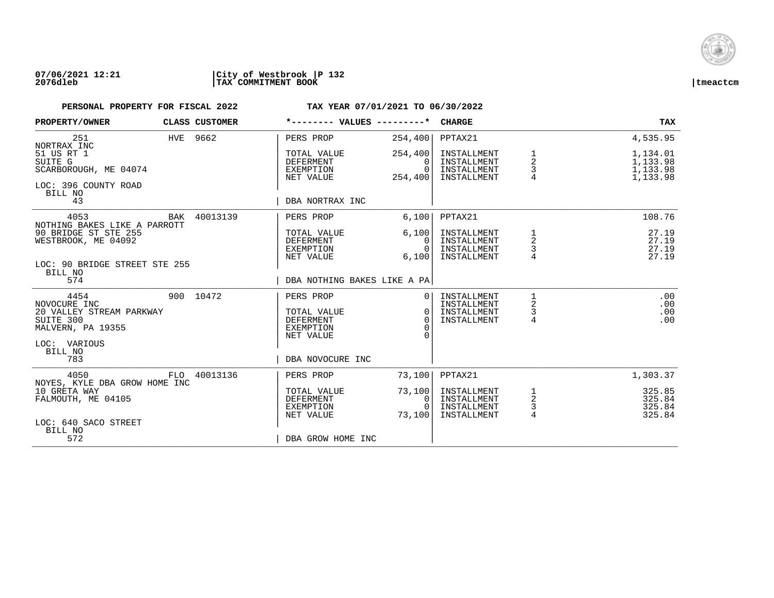

## **07/06/2021 12:21 |City of Westbrook |P 132 2076dleb |TAX COMMITMENT BOOK |tmeactcm**

| PROPERTY/OWNER                                                                                                       |     | CLASS CUSTOMER |                                                                                     | *-------- VALUES ---------* CHARGE                  |                                                          |                                            | <b>TAX</b>                                   |
|----------------------------------------------------------------------------------------------------------------------|-----|----------------|-------------------------------------------------------------------------------------|-----------------------------------------------------|----------------------------------------------------------|--------------------------------------------|----------------------------------------------|
| 251<br>NORTRAX INC                                                                                                   |     | HVE 9662       | PERS PROP                                                                           | 254,400                                             | PPTAX21                                                  |                                            | 4,535.95                                     |
| 51 US RT 1<br>SUITE G<br>SCARBOROUGH, ME 04074<br>LOC: 396 COUNTY ROAD                                               |     |                | TOTAL VALUE<br><b>DEFERMENT</b><br>EXEMPTION<br>NET VALUE                           | 254,400<br>$\Omega$<br>$\Omega$<br>254,400          | INSTALLMENT<br>INSTALLMENT<br>INSTALLMENT<br>INSTALLMENT | 1<br>$\overline{a}$<br>3<br>$\overline{4}$ | 1,134.01<br>1,133.98<br>1,133.98<br>1,133.98 |
| BILL NO<br>43                                                                                                        |     |                | DBA NORTRAX INC                                                                     |                                                     |                                                          |                                            |                                              |
| 4053<br>NOTHING BAKES LIKE A PARROTT                                                                                 | BAK | 40013139       | PERS PROP                                                                           | 6,100                                               | PPTAX21                                                  |                                            | 108.76                                       |
| 90 BRIDGE ST STE 255<br>WESTBROOK, ME 04092<br>LOC: 90 BRIDGE STREET STE 255<br>BILL NO                              |     |                | TOTAL VALUE<br>DEFERMENT<br>EXEMPTION<br>NET VALUE                                  | 6,100<br>$\Omega$<br>$\Omega$<br>6,100              | INSTALLMENT<br>INSTALLMENT<br>INSTALLMENT<br>INSTALLMENT | 2<br>3<br>4                                | 27.19<br>27.19<br>27.19<br>27.19             |
| 574                                                                                                                  |     |                |                                                                                     | DBA NOTHING BAKES LIKE A PA                         |                                                          |                                            |                                              |
| 4454<br>NOVOCURE INC<br>20 VALLEY STREAM PARKWAY<br>SUITE 300<br>MALVERN, PA 19355<br>LOC: VARIOUS<br>BILL NO<br>783 |     | 900 10472      | PERS PROP<br>TOTAL VALUE<br>DEFERMENT<br>EXEMPTION<br>NET VALUE<br>DBA NOVOCURE INC | 0 <sup>1</sup><br>$\bigcap$<br>$\Omega$<br>$\Omega$ | INSTALLMENT<br>INSTALLMENT<br>INSTALLMENT<br>INSTALLMENT | $\mathbf 1$<br>2<br>3<br>4                 | .00<br>.00<br>.00<br>.00                     |
| 4050                                                                                                                 |     | FLO 40013136   | PERS PROP                                                                           | 73,100                                              | PPTAX21                                                  |                                            | 1,303.37                                     |
| NOYES, KYLE DBA GROW HOME INC<br>10 GRETA WAY<br>FALMOUTH, ME 04105<br>LOC: 640 SACO STREET<br>BILL NO               |     |                | TOTAL VALUE<br>DEFERMENT<br>EXEMPTION<br>NET VALUE                                  | 73,100<br>0<br>$\Omega$<br>73,100                   | INSTALLMENT<br>INSTALLMENT<br>INSTALLMENT<br>INSTALLMENT | 1<br>$\overline{c}$<br>3<br>$\overline{4}$ | 325.85<br>325.84<br>325.84<br>325.84         |
| 572                                                                                                                  |     |                | DBA GROW HOME INC                                                                   |                                                     |                                                          |                                            |                                              |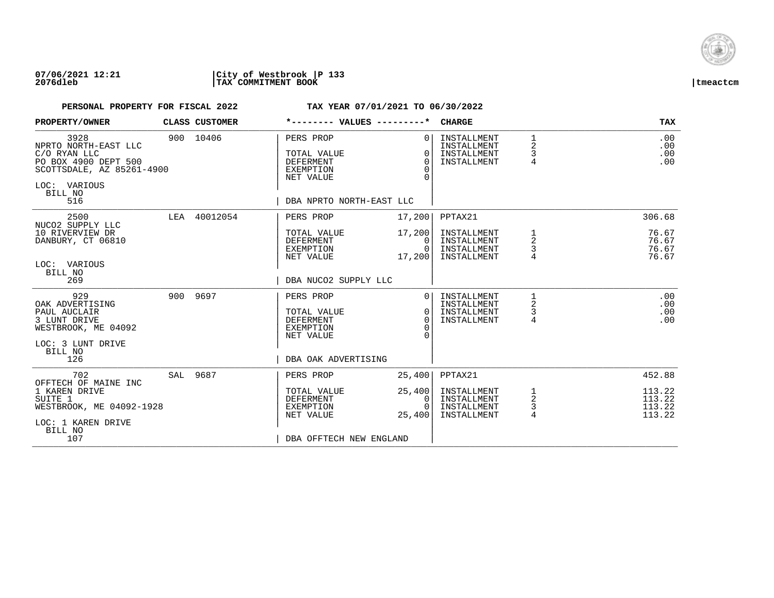

## **07/06/2021 12:21 |City of Westbrook |P 133 2076dleb |TAX COMMITMENT BOOK |tmeactcm**

| PROPERTY/OWNER                                                                                                                      | CLASS CUSTOMER |                                                                                                      | *-------- VALUES ---------*                       | <b>CHARGE</b>                                            |                               | <b>TAX</b>                           |
|-------------------------------------------------------------------------------------------------------------------------------------|----------------|------------------------------------------------------------------------------------------------------|---------------------------------------------------|----------------------------------------------------------|-------------------------------|--------------------------------------|
| 3928<br>NPRTO NORTH-EAST LLC<br>C/O RYAN LLC<br>PO BOX 4900 DEPT 500<br>SCOTTSDALE, AZ 85261-4900<br>LOC: VARIOUS<br>BILL NO<br>516 | 900 10406      | PERS PROP<br>TOTAL VALUE<br>DEFERMENT<br><b>EXEMPTION</b><br>NET VALUE<br>DBA NPRTO NORTH-EAST LLC   | $\Omega$<br>$\Omega$<br>$\Omega$<br>$\Omega$<br>∩ | INSTALLMENT<br>INSTALLMENT<br>INSTALLMENT<br>INSTALLMENT | $\mathbf 1$<br>2<br>3<br>4    | .00<br>.00<br>.00<br>.00             |
| 2500                                                                                                                                | LEA 40012054   | PERS PROP                                                                                            | 17,200                                            | PPTAX21                                                  |                               | 306.68                               |
| NUCO2 SUPPLY LLC<br>10 RIVERVIEW DR<br>DANBURY, CT 06810<br>LOC: VARIOUS                                                            |                | TOTAL VALUE<br>DEFERMENT<br>EXEMPTION<br>NET VALUE                                                   | 17,200<br>0<br>$\Omega$<br>17,200                 | INSTALLMENT<br>INSTALLMENT<br>INSTALLMENT<br>INSTALLMENT | 1<br>2<br>3                   | 76.67<br>76.67<br>76.67<br>76.67     |
| BILL NO<br>269                                                                                                                      |                | DBA NUCO2 SUPPLY LLC                                                                                 |                                                   |                                                          |                               |                                      |
| 929<br>OAK ADVERTISING<br>PAUL AUCLAIR<br>3 LUNT DRIVE<br>WESTBROOK, ME 04092<br>LOC: 3 LUNT DRIVE<br>BILL NO<br>126                | 900 9697       | PERS PROP<br>TOTAL VALUE<br><b>DEFERMENT</b><br><b>EXEMPTION</b><br>NET VALUE<br>DBA OAK ADVERTISING | $\Omega$<br>$\Omega$<br>$\Omega$<br>∩             | INSTALLMENT<br>INSTALLMENT<br>INSTALLMENT<br>INSTALLMENT | 2<br>3<br>4                   | .00<br>.00<br>.00<br>.00             |
| 702                                                                                                                                 | SAL 9687       | PERS PROP                                                                                            | 25,400                                            | PPTAX21                                                  |                               | 452.88                               |
| OFFTECH OF MAINE INC<br>1 KAREN DRIVE<br>SUITE 1<br>WESTBROOK, ME 04092-1928<br>LOC: 1 KAREN DRIVE<br>BILL NO<br>107                |                | TOTAL VALUE<br><b>DEFERMENT</b><br>EXEMPTION<br>NET VALUE<br>DBA OFFTECH NEW ENGLAND                 | 25,400<br>0<br>$\Omega$<br>25,400                 | INSTALLMENT<br>INSTALLMENT<br>INSTALLMENT<br>INSTALLMENT | 1<br>2<br>3<br>$\overline{4}$ | 113.22<br>113.22<br>113.22<br>113.22 |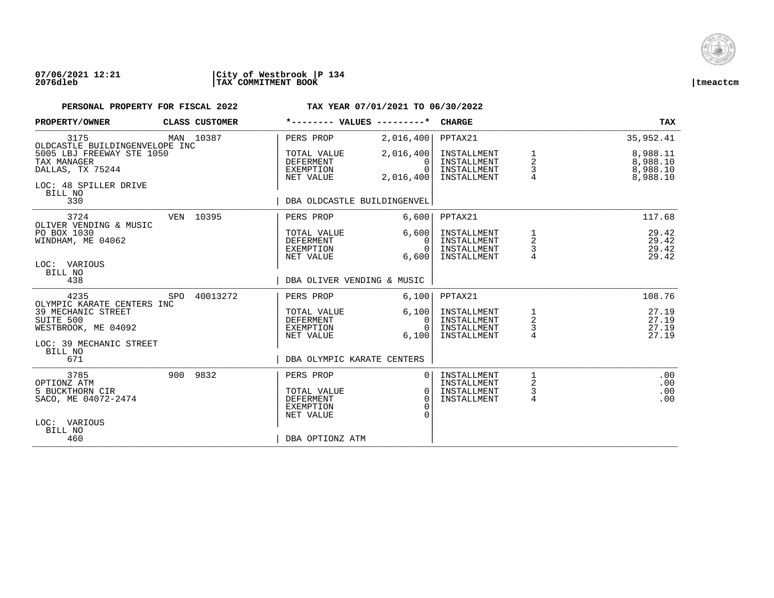

### **07/06/2021 12:21 |City of Westbrook |P 134 2076dleb |TAX COMMITMENT BOOK |tmeactcm**

| PROPERTY/OWNER                                                                           |                           | CLASS CUSTOMER |                                                                               | *-------- VALUES ---------*                    | <b>CHARGE</b>                                            |                          | TAX                                          |
|------------------------------------------------------------------------------------------|---------------------------|----------------|-------------------------------------------------------------------------------|------------------------------------------------|----------------------------------------------------------|--------------------------|----------------------------------------------|
| 3175<br>OLDCASTLE BUILDINGENVELOPE INC                                                   |                           | MAN 10387      | PERS PROP                                                                     | 2,016,400                                      | PPTAX21                                                  |                          | 35,952.41                                    |
| TAX MANAGER<br>DALLAS, TX 75244                                                          | 5005 LBJ FREEWAY STE 1050 |                | TOTAL VALUE<br>DEFERMENT<br>EXEMPTION<br>NET VALUE                            | 2,016,400<br>$\Omega$<br>$\Omega$<br>2,016,400 | INSTALLMENT<br>INSTALLMENT<br>INSTALLMENT<br>INSTALLMENT | 1<br>2<br>3              | 8,988.11<br>8,988.10<br>8,988.10<br>8,988.10 |
| LOC: 48 SPILLER DRIVE<br>BILL NO<br>330                                                  |                           |                |                                                                               | DBA OLDCASTLE BUILDINGENVEL                    |                                                          |                          |                                              |
| 3724<br>OLIVER VENDING & MUSIC                                                           |                           | VEN 10395      | PERS PROP                                                                     | 6,600                                          | PPTAX21                                                  |                          | 117.68                                       |
| PO BOX 1030<br>WINDHAM, ME 04062<br>LOC: VARIOUS                                         |                           |                | TOTAL VALUE<br>DEFERMENT<br>EXEMPTION<br>NET VALUE                            | 6,600<br>0<br>$\Omega$<br>6,600                | INSTALLMENT<br>INSTALLMENT<br>INSTALLMENT<br>INSTALLMENT | 1<br>$\overline{a}$<br>3 | 29.42<br>29.42<br>29.42<br>29.42             |
| BILL NO<br>438                                                                           |                           |                | DBA OLIVER VENDING & MUSIC                                                    |                                                |                                                          |                          |                                              |
| 4235<br>OLYMPIC KARATE CENTERS INC                                                       | SPO                       | 40013272       | PERS PROP                                                                     | 6,100                                          | PPTAX21                                                  |                          | 108.76                                       |
| 39 MECHANIC STREET<br>SUITE 500<br>WESTBROOK, ME 04092                                   |                           |                | TOTAL VALUE<br><b>DEFERMENT</b><br>EXEMPTION<br>NET VALUE                     | 6,100<br>0<br>$\Omega$<br>6,100                | INSTALLMENT<br>INSTALLMENT<br>INSTALLMENT<br>INSTALLMENT | $\frac{1}{2}$<br>3<br>4  | 27.19<br>27.19<br>27.19<br>27.19             |
| LOC: 39 MECHANIC STREET<br>BILL NO<br>671                                                |                           |                | DBA OLYMPIC KARATE CENTERS                                                    |                                                |                                                          |                          |                                              |
| 3785<br>OPTIONZ ATM<br>5 BUCKTHORN CIR<br>SACO, ME 04072-2474<br>LOC: VARIOUS<br>BILL NO |                           | 900 9832       | PERS PROP<br>TOTAL VALUE<br><b>DEFERMENT</b><br><b>EXEMPTION</b><br>NET VALUE | $\Omega$<br>0<br>$\cap$<br>$\Omega$            | INSTALLMENT<br>INSTALLMENT<br>INSTALLMENT<br>INSTALLMENT | 2<br>3<br>4              | .00<br>.00<br>.00<br>.00                     |
| 460                                                                                      |                           |                | DBA OPTIONZ ATM                                                               |                                                |                                                          |                          |                                              |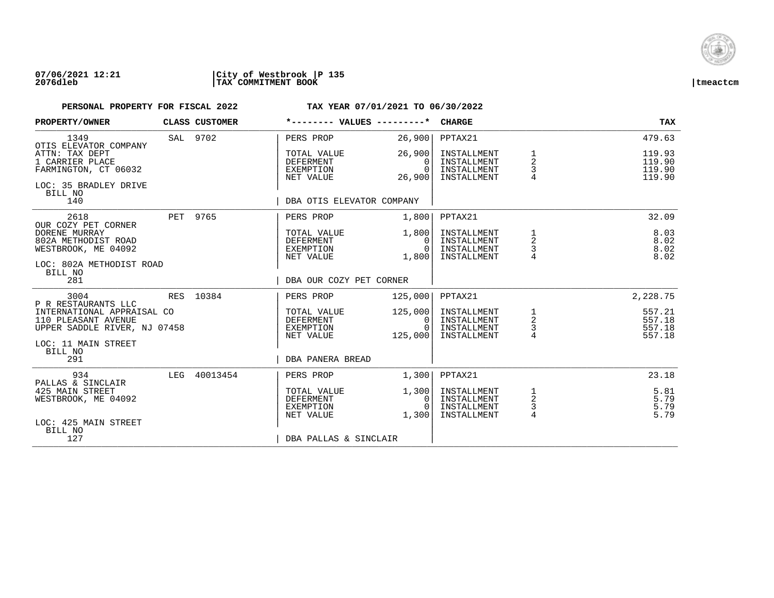

## **07/06/2021 12:21 |City of Westbrook |P 135 2076dleb |TAX COMMITMENT BOOK |tmeactcm**

| PROPERTY/OWNER                                                                                           |     | CLASS CUSTOMER | *-------- VALUES ---------*                               |                                          | <b>CHARGE</b>                                            |                                      | TAX                                  |
|----------------------------------------------------------------------------------------------------------|-----|----------------|-----------------------------------------------------------|------------------------------------------|----------------------------------------------------------|--------------------------------------|--------------------------------------|
| 1349<br>OTIS ELEVATOR COMPANY                                                                            |     | SAL 9702       | PERS PROP                                                 | 26,900                                   | PPTAX21                                                  |                                      | 479.63                               |
| ATTN: TAX DEPT<br>1 CARRIER PLACE<br>FARMINGTON, CT 06032<br>LOC: 35 BRADLEY DRIVE<br>BILL NO            |     |                | TOTAL VALUE<br><b>DEFERMENT</b><br>EXEMPTION<br>NET VALUE | 26,900<br>$\Omega$<br>$\Omega$<br>26,900 | INSTALLMENT<br>INSTALLMENT<br>INSTALLMENT<br>INSTALLMENT | 1<br>$\boldsymbol{2}$<br>3           | 119.93<br>119.90<br>119.90<br>119.90 |
| 140                                                                                                      |     |                | DBA OTIS ELEVATOR COMPANY                                 |                                          |                                                          |                                      |                                      |
| 2618<br>OUR COZY PET CORNER                                                                              |     | PET 9765       | PERS PROP                                                 | 1,800                                    | PPTAX21                                                  |                                      | 32.09                                |
| DORENE MURRAY<br>802A METHODIST ROAD<br>WESTBROOK, ME 04092<br>LOC: 802A METHODIST ROAD                  |     |                | TOTAL VALUE<br>DEFERMENT<br>EXEMPTION<br>NET VALUE        | 1,800<br>0<br>$\Omega$<br>1,800          | INSTALLMENT<br>INSTALLMENT<br>INSTALLMENT<br>INSTALLMENT | 1<br>$\overline{a}$<br>$\frac{3}{4}$ | 8.03<br>8.02<br>8.02<br>8.02         |
| BILL NO<br>281                                                                                           |     |                | DBA OUR COZY PET CORNER                                   |                                          |                                                          |                                      |                                      |
| 3004<br>P R RESTAURANTS LLC                                                                              |     | RES 10384      | PERS PROP                                                 | 125,000                                  | PPTAX21                                                  |                                      | 2,228.75                             |
| INTERNATIONAL APPRAISAL CO<br>110 PLEASANT AVENUE<br>UPPER SADDLE RIVER, NJ 07458<br>LOC: 11 MAIN STREET |     |                | TOTAL VALUE<br><b>DEFERMENT</b><br>EXEMPTION<br>NET VALUE | 125,000<br>0<br>$\Omega$<br>125,000      | INSTALLMENT<br>INSTALLMENT<br>INSTALLMENT<br>INSTALLMENT | $\frac{1}{2}$<br>$\frac{1}{4}$       | 557.21<br>557.18<br>557.18<br>557.18 |
| BILL NO<br>291                                                                                           |     |                | DBA PANERA BREAD                                          |                                          |                                                          |                                      |                                      |
| 934<br>PALLAS & SINCLAIR                                                                                 | LEG | 40013454       | PERS PROP                                                 | 1,300                                    | PPTAX21                                                  |                                      | 23.18                                |
| 425 MAIN STREET<br>WESTBROOK, ME 04092                                                                   |     |                | TOTAL VALUE<br>DEFERMENT<br>EXEMPTION<br>NET VALUE        | 1,300<br>0<br>$\Omega$<br>1,300          | INSTALLMENT<br>INSTALLMENT<br>INSTALLMENT<br>INSTALLMENT | $\frac{1}{2}$<br>$\frac{3}{4}$       | 5.81<br>5.79<br>5.79<br>5.79         |
| LOC: 425 MAIN STREET<br>BILL NO<br>127                                                                   |     |                | DBA PALLAS & SINCLAIR                                     |                                          |                                                          |                                      |                                      |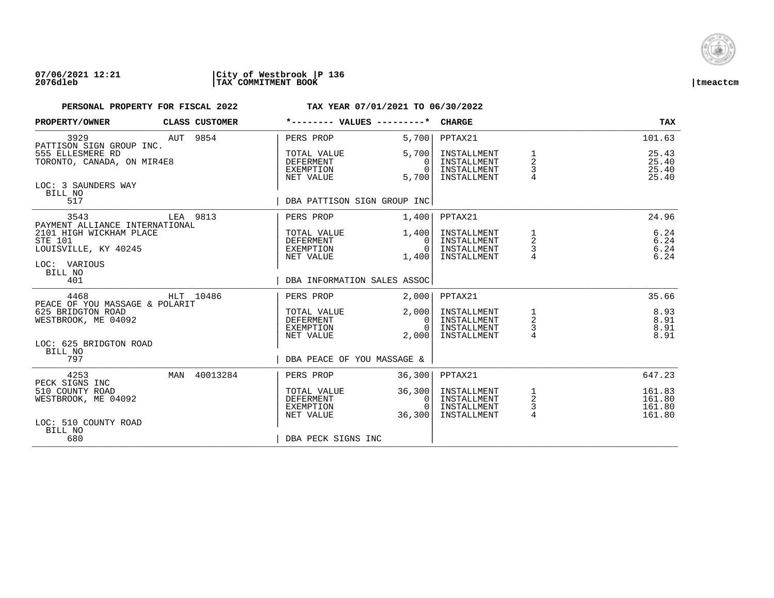

## **07/06/2021 12:21 |City of Westbrook |P 136 2076dleb |TAX COMMITMENT BOOK |tmeactcm**

| PROPERTY/OWNER                                                    | <b>CLASS CUSTOMER</b> | *-------- VALUES ---------*                               |                                                 | <b>CHARGE</b>                                            |                                                   | <b>TAX</b>                           |
|-------------------------------------------------------------------|-----------------------|-----------------------------------------------------------|-------------------------------------------------|----------------------------------------------------------|---------------------------------------------------|--------------------------------------|
| 3929<br>PATTISON SIGN GROUP INC.                                  | AUT 9854              | PERS PROP                                                 | 5,700                                           | PPTAX21                                                  |                                                   | 101.63                               |
| 555 ELLESMERE RD<br>TORONTO, CANADA, ON MIR4E8                    |                       | TOTAL VALUE<br><b>DEFERMENT</b><br>EXEMPTION<br>NET VALUE | 5,700<br>$\Omega$<br>$\cap$<br>5,700            | INSTALLMENT<br>INSTALLMENT<br>INSTALLMENT<br>INSTALLMENT | 1<br>$\overline{2}$<br>3                          | 25.43<br>25.40<br>25.40<br>25.40     |
| LOC: 3 SAUNDERS WAY<br>BILL NO<br>517                             |                       | DBA PATTISON SIGN GROUP INC                               |                                                 |                                                          |                                                   |                                      |
|                                                                   |                       |                                                           |                                                 |                                                          |                                                   |                                      |
| 3543<br>PAYMENT ALLIANCE INTERNATIONAL                            | LEA 9813              | PERS PROP                                                 | 1,400                                           | PPTAX21                                                  |                                                   | 24.96                                |
| 2101 HIGH WICKHAM PLACE<br><b>STE 101</b><br>LOUISVILLE, KY 40245 |                       | TOTAL VALUE<br>DEFERMENT<br>EXEMPTION<br>NET VALUE        | 1,400<br>- 0 I<br>- 0 I<br>1,400                | INSTALLMENT<br>INSTALLMENT<br>INSTALLMENT<br>INSTALLMENT | 1<br>$\overline{c}$<br>3                          | 6.24<br>6.24<br>6.24<br>6.24         |
| LOC: VARIOUS<br>BILL NO<br>401                                    |                       | DBA INFORMATION SALES ASSOC                               |                                                 |                                                          |                                                   |                                      |
|                                                                   |                       |                                                           |                                                 |                                                          |                                                   |                                      |
| 4468<br>PEACE OF YOU MASSAGE & POLARIT                            | HLT 10486             | PERS PROP                                                 | 2,000                                           | PPTAX21                                                  |                                                   | 35.66                                |
| 625 BRIDGTON ROAD<br>WESTBROOK, ME 04092                          |                       | TOTAL VALUE<br>DEFERMENT<br>EXEMPTION                     | 2,000<br>- 0 I<br>$\Omega$                      | INSTALLMENT<br>INSTALLMENT<br>INSTALLMENT                | $\begin{array}{c}\n1 \\ 2 \\ 3 \\ 4\n\end{array}$ | 8.93<br>8.91<br>8.91                 |
| LOC: 625 BRIDGTON ROAD<br>BILL NO                                 |                       | NET VALUE                                                 | 2,000                                           | INSTALLMENT                                              |                                                   | 8.91                                 |
| 797                                                               |                       | DBA PEACE OF YOU MASSAGE &                                |                                                 |                                                          |                                                   |                                      |
| 4253<br>PECK SIGNS INC                                            | MAN 40013284          | PERS PROP                                                 | 36,300                                          | PPTAX21                                                  |                                                   | 647.23                               |
| 510 COUNTY ROAD<br>WESTBROOK, ME 04092                            |                       | TOTAL VALUE<br>DEFERMENT<br>EXEMPTION<br>NET VALUE        | 36,300<br>$\overline{0}$<br>$\bigcap$<br>36,300 | INSTALLMENT<br>INSTALLMENT<br>INSTALLMENT<br>INSTALLMENT | $\frac{1}{2}$<br>$\frac{3}{4}$                    | 161.83<br>161.80<br>161.80<br>161.80 |
| LOC: 510 COUNTY ROAD<br>BILL NO<br>680                            |                       | DBA PECK SIGNS INC                                        |                                                 |                                                          |                                                   |                                      |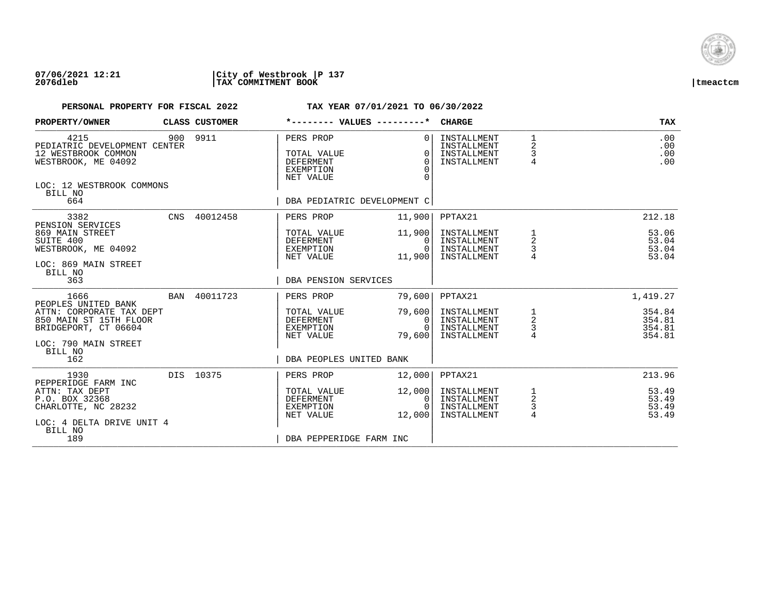

## **07/06/2021 12:21 |City of Westbrook |P 137 2076dleb |TAX COMMITMENT BOOK |tmeactcm**

| PROPERTY/OWNER                                                                                                             | CLASS CUSTOMER |                                                                        | *-------- VALUES ---------*                              | <b>CHARGE</b>                                            |                                            | <b>TAX</b>                           |
|----------------------------------------------------------------------------------------------------------------------------|----------------|------------------------------------------------------------------------|----------------------------------------------------------|----------------------------------------------------------|--------------------------------------------|--------------------------------------|
| 4215<br>PEDIATRIC DEVELOPMENT CENTER<br>12 WESTBROOK COMMON<br>WESTBROOK, ME 04092<br>LOC: 12 WESTBROOK COMMONS<br>BILL NO | 900 9911       | PERS PROP<br>TOTAL VALUE<br>DEFERMENT<br><b>EXEMPTION</b><br>NET VALUE | $\Omega$<br>$\Omega$<br>$\Omega$<br>$\Omega$<br>$\Omega$ | INSTALLMENT<br>INSTALLMENT<br>INSTALLMENT<br>INSTALLMENT | 1<br>2<br>3<br>$\overline{4}$              | .00<br>.00<br>.00<br>.00             |
| 664                                                                                                                        |                |                                                                        | DBA PEDIATRIC DEVELOPMENT C                              |                                                          |                                            |                                      |
| 3382                                                                                                                       | CNS 40012458   | PERS PROP                                                              | 11,900                                                   | PPTAX21                                                  |                                            | 212.18                               |
| PENSION SERVICES<br>869 MAIN STREET<br>SUITE 400<br>WESTBROOK, ME 04092<br>LOC: 869 MAIN STREET                            |                | TOTAL VALUE<br>DEFERMENT<br>EXEMPTION<br>NET VALUE                     | 11,900<br>$\Omega$<br>$\Omega$<br>11,900                 | INSTALLMENT<br>INSTALLMENT<br>INSTALLMENT<br>INSTALLMENT | $\overline{a}$<br>3<br>4                   | 53.06<br>53.04<br>53.04<br>53.04     |
| BILL NO<br>363                                                                                                             |                | DBA PENSION SERVICES                                                   |                                                          |                                                          |                                            |                                      |
| 1666                                                                                                                       | BAN 40011723   | PERS PROP                                                              | 79,600                                                   | PPTAX21                                                  |                                            | 1,419.27                             |
| PEOPLES UNITED BANK<br>ATTN: CORPORATE TAX DEPT<br>850 MAIN ST 15TH FLOOR<br>BRIDGEPORT, CT 06604<br>LOC: 790 MAIN STREET  |                | TOTAL VALUE<br>DEFERMENT<br>EXEMPTION<br>NET VALUE                     | 79,600<br>0<br>$\Omega$<br>79,600                        | INSTALLMENT<br>INSTALLMENT<br>INSTALLMENT<br>INSTALLMENT | 1<br>$\overline{c}$<br>$\frac{3}{4}$       | 354.84<br>354.81<br>354.81<br>354.81 |
| BILL NO<br>162                                                                                                             |                | DBA PEOPLES UNITED BANK                                                |                                                          |                                                          |                                            |                                      |
| 1930                                                                                                                       | DIS 10375      | PERS PROP                                                              | 12,000                                                   | PPTAX21                                                  |                                            | 213.96                               |
| PEPPERIDGE FARM INC<br>ATTN: TAX DEPT<br>P.O. BOX 32368<br>CHARLOTTE, NC 28232<br>LOC: 4 DELTA DRIVE UNIT 4                |                | TOTAL VALUE<br>DEFERMENT<br>EXEMPTION<br>NET VALUE                     | 12,000<br>0<br>$\Omega$<br>12,000                        | INSTALLMENT<br>INSTALLMENT<br>INSTALLMENT<br>INSTALLMENT | 1<br>$\overline{a}$<br>3<br>$\overline{4}$ | 53.49<br>53.49<br>53.49<br>53.49     |
| BILL NO<br>189                                                                                                             |                | DBA PEPPERIDGE FARM INC                                                |                                                          |                                                          |                                            |                                      |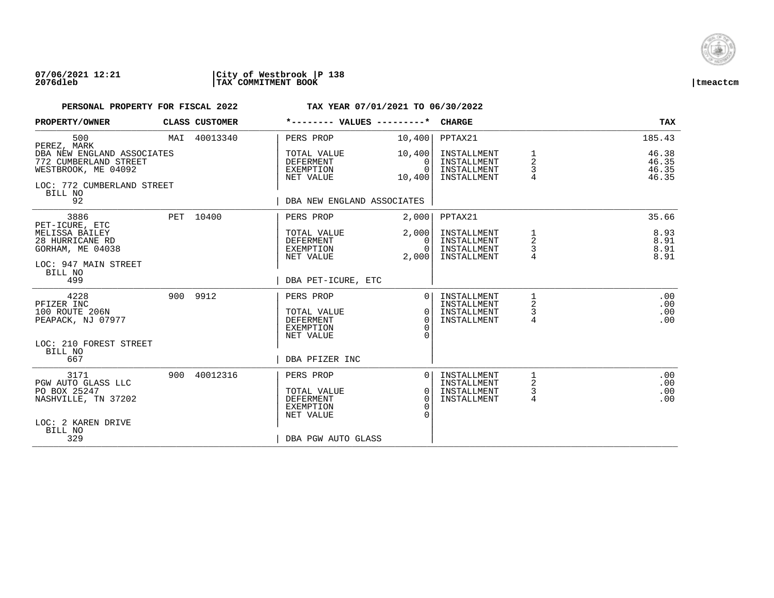

### **07/06/2021 12:21 |City of Westbrook |P 138 2076dleb |TAX COMMITMENT BOOK |tmeactcm**

| PROPERTY/OWNER                                                                                           | CLASS CUSTOMER | *-------- VALUES ---------*                                                   |                                                    | <b>CHARGE</b>                                            |                          | TAX                              |
|----------------------------------------------------------------------------------------------------------|----------------|-------------------------------------------------------------------------------|----------------------------------------------------|----------------------------------------------------------|--------------------------|----------------------------------|
| 500<br>PEREZ, MARK                                                                                       | MAI 40013340   | PERS PROP                                                                     | 10,400                                             | PPTAX21                                                  |                          | 185.43                           |
| DBA NEW ENGLAND ASSOCIATES<br>772 CUMBERLAND STREET<br>WESTBROOK, ME 04092<br>LOC: 772 CUMBERLAND STREET |                | TOTAL VALUE<br><b>DEFERMENT</b><br>EXEMPTION<br>NET VALUE                     | 10,400<br>$\Omega$<br>$\Omega$<br>10,400           | INSTALLMENT<br>INSTALLMENT<br>INSTALLMENT<br>INSTALLMENT | $\overline{2}$<br>3<br>4 | 46.38<br>46.35<br>46.35<br>46.35 |
| BILL NO<br>92                                                                                            |                | DBA NEW ENGLAND ASSOCIATES                                                    |                                                    |                                                          |                          |                                  |
| 3886<br>PET-ICURE, ETC                                                                                   | PET 10400      | PERS PROP                                                                     | 2,000                                              | PPTAX21                                                  |                          | 35.66                            |
| MELISSA BAILEY<br>28 HURRICANE RD<br>GORHAM, ME 04038                                                    |                | TOTAL VALUE<br>DEFERMENT<br>EXEMPTION<br>NET VALUE                            | 2,000<br>$\Omega$<br>0<br>2,000                    | INSTALLMENT<br>INSTALLMENT<br>INSTALLMENT<br>INSTALLMENT | 1<br>2<br>3              | 8.93<br>8.91<br>8.91<br>8.91     |
| LOC: 947 MAIN STREET<br>BILL NO<br>499                                                                   |                | DBA PET-ICURE, ETC                                                            |                                                    |                                                          |                          |                                  |
| 4228<br>PFIZER INC<br>100 ROUTE 206N<br>PEAPACK, NJ 07977                                                | 900 9912       | PERS PROP<br>TOTAL VALUE<br><b>DEFERMENT</b><br><b>EXEMPTION</b><br>NET VALUE | $\Omega$<br>$\Omega$<br>$\Omega$<br>$\Omega$       | INSTALLMENT<br>INSTALLMENT<br>INSTALLMENT<br>INSTALLMENT | 1<br>2<br>3<br>4         | .00<br>.00<br>.00<br>.00         |
| LOC: 210 FOREST STREET<br>BILL NO<br>667                                                                 |                | DBA PFIZER INC                                                                |                                                    |                                                          |                          |                                  |
| 3171<br>PGW AUTO GLASS LLC<br>PO BOX 25247<br>NASHVILLE, TN 37202<br>LOC: 2 KAREN DRIVE<br>BILL NO       | 900 40012316   | PERS PROP<br>TOTAL VALUE<br><b>DEFERMENT</b><br>EXEMPTION<br>NET VALUE        | $\Omega$<br>0 <sup>1</sup><br>$\Omega$<br>$\Omega$ | INSTALLMENT<br>INSTALLMENT<br>INSTALLMENT<br>INSTALLMENT | 2<br>$\mathsf{3}$<br>4   | .00<br>.00<br>.00<br>.00         |
| 329                                                                                                      |                | DBA PGW AUTO GLASS                                                            |                                                    |                                                          |                          |                                  |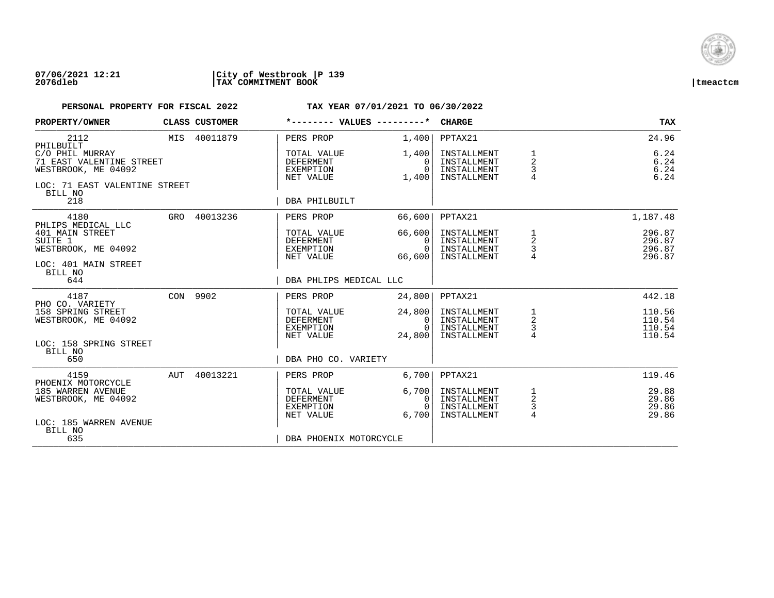

| PROPERTY/OWNER                                                                                                                             |     | CLASS CUSTOMER | *-------- VALUES ---------*                                                               |                                                        | <b>CHARGE</b>                                                       |                                            | <b>TAX</b>                                       |
|--------------------------------------------------------------------------------------------------------------------------------------------|-----|----------------|-------------------------------------------------------------------------------------------|--------------------------------------------------------|---------------------------------------------------------------------|--------------------------------------------|--------------------------------------------------|
| 2112<br>PHILBUILT<br>C/O PHIL MURRAY<br>71 EAST VALENTINE STREET<br>WESTBROOK, ME 04092<br>LOC: 71 EAST VALENTINE STREET<br>BILL NO<br>218 |     | MIS 40011879   | PERS PROP<br>TOTAL VALUE<br><b>DEFERMENT</b><br>EXEMPTION<br>NET VALUE<br>DBA PHILBUILT   | 1,400<br>1,400<br>$\Omega$<br>$\Omega$<br>1,400        | PPTAX21<br>INSTALLMENT<br>INSTALLMENT<br>INSTALLMENT<br>INSTALLMENT | 1<br>$\overline{a}$<br>3<br>$\overline{4}$ | 24.96<br>6.24<br>$6.24$<br>$6.24$<br>6.24        |
| 4180<br>PHLIPS MEDICAL LLC<br>401 MAIN STREET<br>SUITE 1<br>WESTBROOK, ME 04092<br>LOC: 401 MAIN STREET<br>BILL NO<br>644                  |     | GRO 40013236   | PERS PROP<br>TOTAL VALUE<br>DEFERMENT<br>EXEMPTION<br>NET VALUE<br>DBA PHLIPS MEDICAL LLC | 66,600<br>66,600<br>$\Omega$<br>$\Omega$<br>66,600     | PPTAX21<br>INSTALLMENT<br>INSTALLMENT<br>INSTALLMENT<br>INSTALLMENT | 1<br>$\overline{\mathbf{c}}$<br>3          | 1,187.48<br>296.87<br>296.87<br>296.87<br>296.87 |
| 4187<br>PHO CO. VARIETY<br>158 SPRING STREET<br>WESTBROOK, ME 04092<br>LOC: 158 SPRING STREET<br>BILL NO<br>650                            |     | CON 9902       | PERS PROP<br>TOTAL VALUE<br>DEFERMENT<br>EXEMPTION<br>NET VALUE<br>DBA PHO CO. VARIETY    | 24,800<br>24,800<br>$\mathbf{0}$<br>$\Omega$<br>24,800 | PPTAX21<br>INSTALLMENT<br>INSTALLMENT<br>INSTALLMENT<br>INSTALLMENT | $\frac{1}{2}$<br>$\frac{3}{4}$             | 442.18<br>110.56<br>110.54<br>110.54<br>110.54   |
| 4159<br>PHOENIX MOTORCYCLE<br>185 WARREN AVENUE<br>WESTBROOK, ME 04092<br>LOC: 185 WARREN AVENUE<br>BILL NO<br>635                         | AUT | 40013221       | PERS PROP<br>TOTAL VALUE<br>DEFERMENT<br>EXEMPTION<br>NET VALUE<br>DBA PHOENIX MOTORCYCLE | 6,700<br>6,700<br>0<br>$\Omega$<br>6.700               | PPTAX21<br>INSTALLMENT<br>INSTALLMENT<br>INSTALLMENT<br>INSTALLMENT | 1<br>$\overline{c}$<br>3<br>$\overline{4}$ | 119.46<br>29.88<br>29.86<br>29.86<br>29.86       |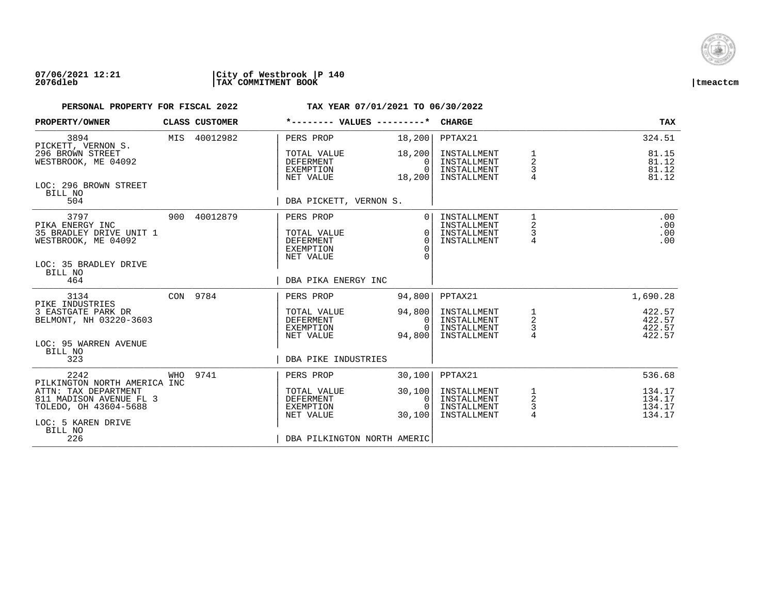

| PROPERTY/OWNER                                                                                                       |     | CLASS CUSTOMER | *-------- VALUES ---------*                                                                   |                                                    | <b>CHARGE</b>                                            |                                                       | <b>TAX</b>                           |
|----------------------------------------------------------------------------------------------------------------------|-----|----------------|-----------------------------------------------------------------------------------------------|----------------------------------------------------|----------------------------------------------------------|-------------------------------------------------------|--------------------------------------|
| 3894<br>PICKETT, VERNON S.                                                                                           |     | MIS 40012982   | PERS PROP                                                                                     | 18,200                                             | PPTAX21                                                  |                                                       | 324.51                               |
| 296 BROWN STREET<br>WESTBROOK, ME 04092                                                                              |     |                | TOTAL VALUE<br>DEFERMENT<br>EXEMPTION<br>NET VALUE                                            | 18,200<br>0<br>$\Omega$<br>18,200                  | INSTALLMENT<br>INSTALLMENT<br>INSTALLMENT<br>INSTALLMENT | $\overline{2}$<br>3<br>4                              | 81.15<br>81.12<br>81.12<br>81.12     |
| LOC: 296 BROWN STREET<br>BILL NO<br>504                                                                              |     |                | DBA PICKETT, VERNON S.                                                                        |                                                    |                                                          |                                                       |                                      |
| 3797<br>PIKA ENERGY INC<br>35 BRADLEY DRIVE UNIT 1<br>WESTBROOK, ME 04092<br>LOC: 35 BRADLEY DRIVE<br>BILL NO<br>464 |     | 900 40012879   | PERS PROP<br>TOTAL VALUE<br><b>DEFERMENT</b><br>EXEMPTION<br>NET VALUE<br>DBA PIKA ENERGY INC | $\overline{0}$<br>$\Omega$<br>$\Omega$<br>$\Omega$ | INSTALLMENT<br>INSTALLMENT<br>INSTALLMENT<br>INSTALLMENT | $\mathbf{1}$<br>$\overline{2}$<br>3<br>$\overline{4}$ | .00<br>.00<br>.00<br>.00             |
| 3134                                                                                                                 |     | CON 9784       | PERS PROP                                                                                     | 94,800                                             | PPTAX21                                                  |                                                       | 1,690.28                             |
| PIKE INDUSTRIES<br>3 EASTGATE PARK DR<br>BELMONT, NH 03220-3603<br>LOC: 95 WARREN AVENUE<br>BILL NO                  |     |                | TOTAL VALUE<br>DEFERMENT<br>EXEMPTION<br>NET VALUE                                            | 94,800<br>0<br>$\cap$<br>94,800                    | INSTALLMENT<br>INSTALLMENT<br>INSTALLMENT<br>INSTALLMENT | 1<br>$\overline{a}$<br>$\frac{3}{4}$                  | 422.57<br>422.57<br>422.57<br>422.57 |
| 323                                                                                                                  |     |                | DBA PIKE INDUSTRIES                                                                           |                                                    |                                                          |                                                       |                                      |
| 2242<br>PILKINGTON NORTH AMERICA INC                                                                                 | WHO | 9741           | PERS PROP                                                                                     | 30,100                                             | PPTAX21                                                  |                                                       | 536.68                               |
| ATTN: TAX DEPARTMENT<br>811 MADISON AVENUE FL 3<br>TOLEDO, OH 43604-5688<br>LOC: 5 KAREN DRIVE<br>BILL NO            |     |                | TOTAL VALUE<br><b>DEFERMENT</b><br>EXEMPTION<br>NET VALUE                                     | 30,100<br>0<br>$\Omega$<br>30,100                  | INSTALLMENT<br>INSTALLMENT<br>INSTALLMENT<br>INSTALLMENT | 1<br>$\overline{a}$<br>$\frac{3}{4}$                  | 134.17<br>134.17<br>134.17<br>134.17 |
| 226                                                                                                                  |     |                | DBA PILKINGTON NORTH AMERIC                                                                   |                                                    |                                                          |                                                       |                                      |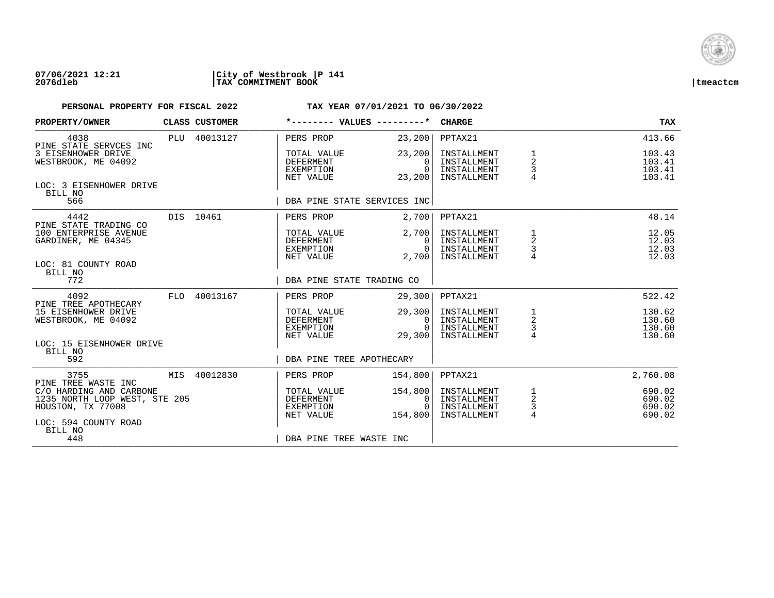

## **07/06/2021 12:21 |City of Westbrook |P 141 2076dleb |TAX COMMITMENT BOOK |tmeactcm**

| PROPERTY/OWNER                                                                | CLASS CUSTOMER | *-------- VALUES ---------*                        |                                              | <b>CHARGE</b>                                            |                                      | <b>TAX</b>                           |
|-------------------------------------------------------------------------------|----------------|----------------------------------------------------|----------------------------------------------|----------------------------------------------------------|--------------------------------------|--------------------------------------|
| 4038<br>PINE STATE SERVCES INC                                                | PLU 40013127   | PERS PROP                                          | 23, 200                                      | PPTAX21                                                  |                                      | 413.66                               |
| 3 EISENHOWER DRIVE<br>WESTBROOK, ME 04092                                     |                | TOTAL VALUE<br>DEFERMENT<br>EXEMPTION<br>NET VALUE | 23,200<br>$\Omega$<br>$\Omega$<br>23,200     | INSTALLMENT<br>INSTALLMENT<br>INSTALLMENT<br>INSTALLMENT | 1<br>$\overline{a}$<br>$\frac{3}{4}$ | 103.43<br>103.41<br>103.41<br>103.41 |
| LOC: 3 EISENHOWER DRIVE<br>BILL NO<br>566                                     |                | DBA PINE STATE SERVICES INC                        |                                              |                                                          |                                      |                                      |
| 4442                                                                          | DIS 10461      | PERS PROP                                          | 2,700                                        | PPTAX21                                                  |                                      | 48.14                                |
| PINE STATE TRADING CO<br>100 ENTERPRISE AVENUE<br>GARDINER, ME 04345          |                | TOTAL VALUE<br>DEFERMENT<br>EXEMPTION<br>NET VALUE | 2,700<br>$\Omega$<br>$\overline{0}$<br>2,700 | INSTALLMENT<br>INSTALLMENT<br>INSTALLMENT<br>INSTALLMENT | $\frac{1}{2}$<br>$\frac{3}{4}$       | 12.05<br>12.03<br>12.03<br>12.03     |
| LOC: 81 COUNTY ROAD<br>BILL NO<br>772                                         |                | DBA PINE STATE TRADING CO                          |                                              |                                                          |                                      |                                      |
| 4092                                                                          | FLO 40013167   | PERS PROP                                          | 29,300                                       | PPTAX21                                                  |                                      | 522.42                               |
| PINE TREE APOTHECARY<br>15 EISENHOWER DRIVE<br>WESTBROOK, ME 04092            |                | TOTAL VALUE<br>DEFERMENT<br>EXEMPTION<br>NET VALUE | 29,300<br>$\mathbf{0}$<br>$\Omega$<br>29,300 | INSTALLMENT<br>INSTALLMENT<br>INSTALLMENT<br>INSTALLMENT | $\frac{1}{2}$<br>$\frac{3}{4}$       | 130.62<br>130.60<br>130.60<br>130.60 |
| LOC: 15 EISENHOWER DRIVE<br>BILL NO<br>592                                    |                | DBA PINE TREE APOTHECARY                           |                                              |                                                          |                                      |                                      |
|                                                                               |                |                                                    |                                              |                                                          |                                      |                                      |
| 3755<br>PINE TREE WASTE INC                                                   | MIS 40012830   | PERS PROP                                          | 154,800                                      | PPTAX21                                                  |                                      | 2,760.08                             |
| C/O HARDING AND CARBONE<br>1235 NORTH LOOP WEST, STE 205<br>HOUSTON, TX 77008 |                | TOTAL VALUE<br>DEFERMENT<br>EXEMPTION<br>NET VALUE | 154,800<br>0<br>$\Omega$<br>154,800          | INSTALLMENT<br>INSTALLMENT<br>INSTALLMENT<br>INSTALLMENT | $\frac{1}{2}$<br>$\frac{3}{4}$       | 690.02<br>690.02<br>690.02<br>690.02 |
| LOC: 594 COUNTY ROAD<br>BILL NO<br>448                                        |                | DBA PINE TREE WASTE INC                            |                                              |                                                          |                                      |                                      |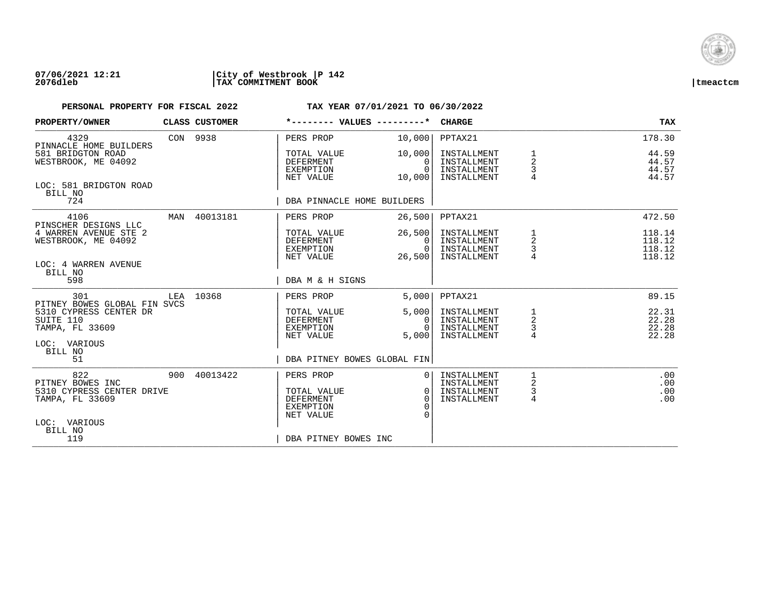

## **07/06/2021 12:21 |City of Westbrook |P 142 2076dleb |TAX COMMITMENT BOOK |tmeactcm**

| PROPERTY/OWNER                                                                               |     | CLASS CUSTOMER | *-------- VALUES ---------*                                      |                                          | <b>CHARGE</b>                                            |                                      | <b>TAX</b>                           |
|----------------------------------------------------------------------------------------------|-----|----------------|------------------------------------------------------------------|------------------------------------------|----------------------------------------------------------|--------------------------------------|--------------------------------------|
| 4329<br>PINNACLE HOME BUILDERS                                                               |     | CON 9938       | PERS PROP                                                        | 10,000                                   | PPTAX21                                                  |                                      | 178.30                               |
| 581 BRIDGTON ROAD<br>WESTBROOK, ME 04092                                                     |     |                | TOTAL VALUE<br>DEFERMENT<br>EXEMPTION<br>NET VALUE               | 10,000<br>0<br>$\Omega$<br>10,000        | INSTALLMENT<br>INSTALLMENT<br>INSTALLMENT<br>INSTALLMENT | $\boldsymbol{2}$<br>3                | 44.59<br>44.57<br>44.57<br>44.57     |
| LOC: 581 BRIDGTON ROAD<br>BILL NO<br>724                                                     |     |                | DBA PINNACLE HOME BUILDERS                                       |                                          |                                                          |                                      |                                      |
| 4106                                                                                         |     | MAN 40013181   | PERS PROP                                                        | 26,500                                   | PPTAX21                                                  |                                      | 472.50                               |
| PINSCHER DESIGNS LLC<br>4 WARREN AVENUE STE 2<br>WESTBROOK, ME 04092<br>LOC: 4 WARREN AVENUE |     |                | TOTAL VALUE<br>DEFERMENT<br>EXEMPTION<br>NET VALUE               | 26,500<br>$\Omega$<br>$\Omega$<br>26,500 | INSTALLMENT<br>INSTALLMENT<br>INSTALLMENT<br>INSTALLMENT | 1<br>$\overline{a}$<br>3             | 118.14<br>118.12<br>118.12<br>118.12 |
| BILL NO<br>598                                                                               |     |                | DBA M & H SIGNS                                                  |                                          |                                                          |                                      |                                      |
| 301<br>PITNEY BOWES GLOBAL FIN SVCS                                                          | LEA | 10368          | PERS PROP                                                        | 5.000                                    | PPTAX21                                                  |                                      | 89.15                                |
| 5310 CYPRESS CENTER DR<br>SUITE 110<br>TAMPA, FL 33609                                       |     |                | TOTAL VALUE<br>DEFERMENT<br>EXEMPTION<br>NET VALUE               | 5,000<br>0<br>$\Omega$<br>5,000          | INSTALLMENT<br>INSTALLMENT<br>INSTALLMENT<br>INSTALLMENT | 1<br>$\overline{a}$<br>$\frac{3}{4}$ | 22.31<br>22.28<br>22.28<br>22.28     |
| LOC: VARIOUS<br>BILL NO<br>51                                                                |     |                | DBA PITNEY BOWES GLOBAL FIN                                      |                                          |                                                          |                                      |                                      |
| 822<br>PITNEY BOWES INC                                                                      |     | 900 40013422   | PERS PROP                                                        |                                          | INSTALLMENT<br>INSTALLMENT                               | 1<br>2                               | .00<br>.00                           |
| 5310 CYPRESS CENTER DRIVE<br>TAMPA, FL 33609                                                 |     |                | TOTAL VALUE<br><b>DEFERMENT</b><br><b>EXEMPTION</b><br>NET VALUE | $\Omega$<br>$\Omega$<br>$\cap$           | INSTALLMENT<br>INSTALLMENT                               | 3<br>4                               | .00<br>.00                           |
| LOC: VARIOUS<br>BILL NO<br>119                                                               |     |                | DBA PITNEY BOWES INC                                             |                                          |                                                          |                                      |                                      |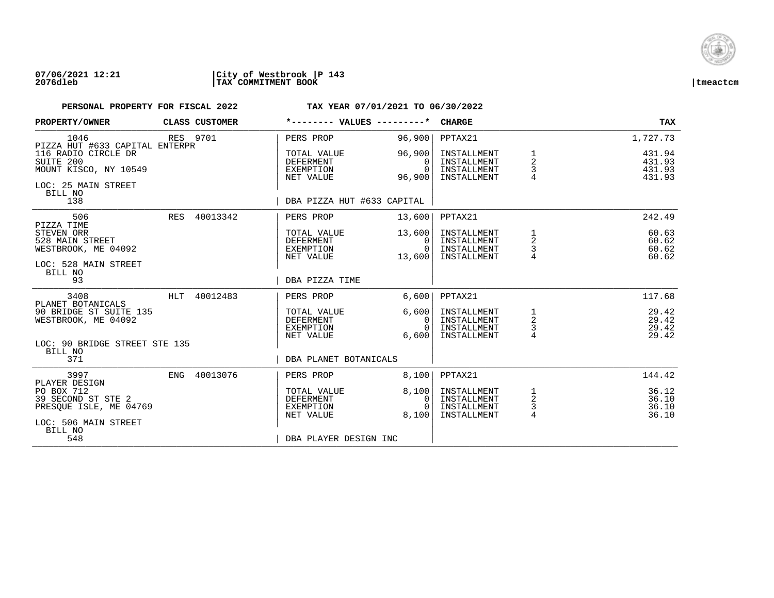

### **07/06/2021 12:21 |City of Westbrook |P 143 2076dleb |TAX COMMITMENT BOOK |tmeactcm**

| PROPERTY/OWNER                                                                              |          | CLASS CUSTOMER | *-------- VALUES ---------*                        |                                                | <b>CHARGE</b>                                            |                                      | <b>TAX</b>                           |
|---------------------------------------------------------------------------------------------|----------|----------------|----------------------------------------------------|------------------------------------------------|----------------------------------------------------------|--------------------------------------|--------------------------------------|
| 1046<br>PIZZA HUT #633 CAPITAL ENTERPR                                                      | RES 9701 |                | PERS PROP                                          | 96,900                                         | PPTAX21                                                  |                                      | 1,727.73                             |
| 116 RADIO CIRCLE DR<br>SUITE 200<br>MOUNT KISCO, NY 10549<br>LOC: 25 MAIN STREET<br>BILL NO |          |                | TOTAL VALUE<br>DEFERMENT<br>EXEMPTION<br>NET VALUE | 96,900<br>$\Omega$<br>$\Omega$<br>96,900       | INSTALLMENT<br>INSTALLMENT<br>INSTALLMENT<br>INSTALLMENT | 1<br>$\overline{a}$<br>3             | 431.94<br>431.93<br>431.93<br>431.93 |
| 138                                                                                         |          |                | DBA PIZZA HUT #633 CAPITAL                         |                                                |                                                          |                                      |                                      |
| 506<br>PIZZA TIME                                                                           |          | RES 40013342   | PERS PROP                                          | 13,600                                         | PPTAX21                                                  |                                      | 242.49                               |
| STEVEN ORR<br>528 MAIN STREET<br>WESTBROOK, ME 04092<br>LOC: 528 MAIN STREET                |          |                | TOTAL VALUE<br>DEFERMENT<br>EXEMPTION<br>NET VALUE | 13,600<br>$\Omega$<br>$\overline{0}$<br>13,600 | INSTALLMENT<br>INSTALLMENT<br>INSTALLMENT<br>INSTALLMENT | 1<br>$\overline{a}$<br>3             | 60.63<br>60.62<br>60.62<br>60.62     |
| BILL NO<br>93                                                                               |          |                | DBA PIZZA TIME                                     |                                                |                                                          |                                      |                                      |
| 3408<br>PLANET BOTANICALS                                                                   |          | HLT 40012483   | PERS PROP                                          | 6.600                                          | PPTAX21                                                  |                                      | 117.68                               |
| 90 BRIDGE ST SUITE 135<br>WESTBROOK, ME 04092                                               |          |                | TOTAL VALUE<br>DEFERMENT<br>EXEMPTION<br>NET VALUE | 6,600<br>$\mathbf{0}$<br>$\Omega$<br>6,600     | INSTALLMENT<br>INSTALLMENT<br>INSTALLMENT<br>INSTALLMENT | 1<br>$\overline{c}$<br>$\frac{3}{4}$ | 29.42<br>29.42<br>29.42<br>29.42     |
| LOC: 90 BRIDGE STREET STE 135<br>BILL NO                                                    |          |                |                                                    |                                                |                                                          |                                      |                                      |
| 371                                                                                         |          |                | DBA PLANET BOTANICALS                              |                                                |                                                          |                                      |                                      |
| 3997<br>PLAYER DESIGN                                                                       |          | ENG 40013076   | PERS PROP                                          | 8,100                                          | PPTAX21                                                  |                                      | 144.42                               |
| PO BOX 712<br>39 SECOND ST STE 2<br>PRESOUE ISLE, ME 04769                                  |          |                | TOTAL VALUE<br>DEFERMENT<br>EXEMPTION<br>NET VALUE | 8,100<br>0<br>$\cap$<br>8.100                  | INSTALLMENT<br>INSTALLMENT<br>INSTALLMENT<br>INSTALLMENT | 1<br>2<br>$\frac{3}{4}$              | 36.12<br>36.10<br>36.10<br>36.10     |
| LOC: 506 MAIN STREET<br>BILL NO<br>548                                                      |          |                | DBA PLAYER DESIGN INC                              |                                                |                                                          |                                      |                                      |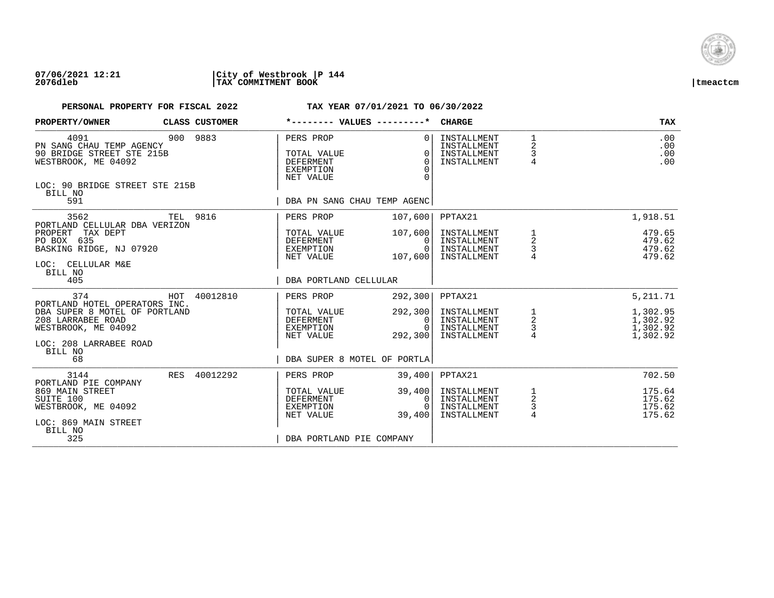

## **07/06/2021 12:21 |City of Westbrook |P 144 2076dleb |TAX COMMITMENT BOOK |tmeactcm**

| PROPERTY/OWNER                                                                                                                    |     | CLASS CUSTOMER | *-------- VALUES ---------*                                                   |                                              | <b>CHARGE</b>                                            |                                                   | TAX                                          |
|-----------------------------------------------------------------------------------------------------------------------------------|-----|----------------|-------------------------------------------------------------------------------|----------------------------------------------|----------------------------------------------------------|---------------------------------------------------|----------------------------------------------|
| 4091<br>PN SANG CHAU TEMP AGENCY<br>90 BRIDGE STREET STE 215B<br>WESTBROOK, ME 04092<br>LOC: 90 BRIDGE STREET STE 215B<br>BILL NO |     | 900 9883       | PERS PROP<br>TOTAL VALUE<br><b>DEFERMENT</b><br><b>EXEMPTION</b><br>NET VALUE | $\Omega$<br>$\Omega$<br>$\Omega$<br>$\Omega$ | INSTALLMENT<br>INSTALLMENT<br>INSTALLMENT<br>INSTALLMENT | $\mathbf{1}$<br>2<br>3<br>$\overline{4}$          | .00<br>.00<br>.00<br>.00                     |
| 591                                                                                                                               |     |                | DBA PN SANG CHAU TEMP AGENC                                                   |                                              |                                                          |                                                   |                                              |
| 3562<br>PORTLAND CELLULAR DBA VERIZON<br>PROPERT<br>TAX DEPT                                                                      |     | TEL 9816       | PERS PROP<br>TOTAL VALUE                                                      | 107,600<br>107,600                           | PPTAX21<br>INSTALLMENT                                   | 1                                                 | 1,918.51<br>479.65                           |
| PO BOX 635<br>BASKING RIDGE, NJ 07920<br>LOC: CELLULAR M&E                                                                        |     |                | DEFERMENT<br>EXEMPTION<br>NET VALUE                                           | 0<br>$\Omega$<br>107,600                     | INSTALLMENT<br>INSTALLMENT<br>INSTALLMENT                | $\overline{a}$<br>$\frac{3}{4}$                   | 479.62<br>479.62<br>479.62                   |
| BILL NO<br>405                                                                                                                    |     |                | DBA PORTLAND CELLULAR                                                         |                                              |                                                          |                                                   |                                              |
| 374<br>PORTLAND HOTEL OPERATORS INC.                                                                                              |     | HOT 40012810   | PERS PROP                                                                     | 292,300                                      | PPTAX21                                                  |                                                   | 5, 211.71                                    |
| DBA SUPER 8 MOTEL OF PORTLAND<br>208 LARRABEE ROAD<br>WESTBROOK, ME 04092                                                         |     |                | TOTAL VALUE<br><b>DEFERMENT</b><br>EXEMPTION<br>NET VALUE                     | 292,300<br>0<br>$\Omega$<br>292,300          | INSTALLMENT<br>INSTALLMENT<br>INSTALLMENT<br>INSTALLMENT | $\begin{array}{c}\n1 \\ 2 \\ 3 \\ 4\n\end{array}$ | 1,302.95<br>1,302.92<br>1,302.92<br>1,302.92 |
| LOC: 208 LARRABEE ROAD<br>BILL NO<br>68                                                                                           |     |                | DBA SUPER 8 MOTEL OF PORTLA                                                   |                                              |                                                          |                                                   |                                              |
| 3144<br>PORTLAND PIE COMPANY                                                                                                      | RES | 40012292       | PERS PROP                                                                     | 39,400                                       | PPTAX21                                                  |                                                   | 702.50                                       |
| 869 MAIN STREET<br>SUITE 100<br>WESTBROOK, ME 04092<br>LOC: 869 MAIN STREET                                                       |     |                | TOTAL VALUE<br><b>DEFERMENT</b><br>EXEMPTION<br>NET VALUE                     | 39,400<br>0<br>$\Omega$<br>39,400            | INSTALLMENT<br>INSTALLMENT<br>INSTALLMENT<br>INSTALLMENT | $\frac{1}{2}$<br>$\frac{3}{4}$                    | 175.64<br>175.62<br>175.62<br>175.62         |
| BILL NO<br>325                                                                                                                    |     |                | DBA PORTLAND PIE COMPANY                                                      |                                              |                                                          |                                                   |                                              |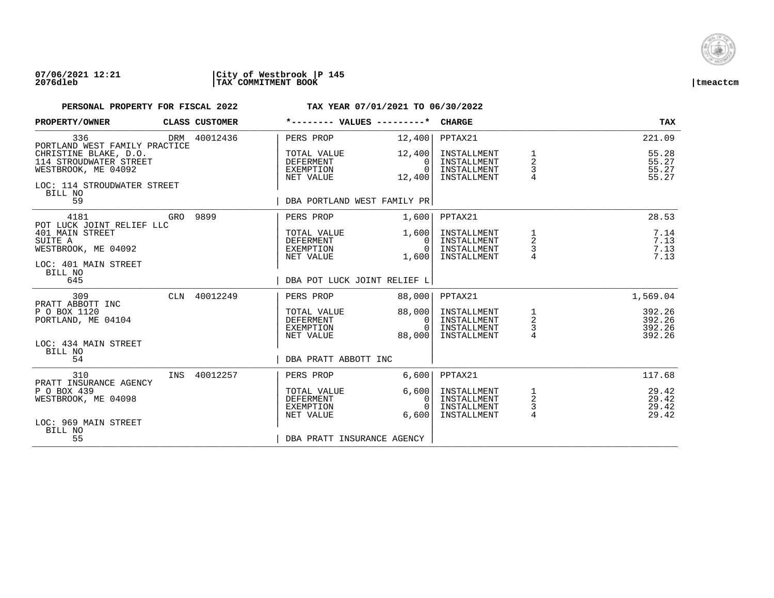

### **07/06/2021 12:21 |City of Westbrook |P 145 2076dleb |TAX COMMITMENT BOOK |tmeactcm**

| PROPERTY/OWNER                                                                                                   | CLASS CUSTOMER | *-------- VALUES ---------*                               |                                              | <b>CHARGE</b>                                            |                                                | <b>TAX</b>                           |
|------------------------------------------------------------------------------------------------------------------|----------------|-----------------------------------------------------------|----------------------------------------------|----------------------------------------------------------|------------------------------------------------|--------------------------------------|
| 336<br>PORTLAND WEST FAMILY PRACTICE                                                                             | DRM 40012436   | PERS PROP                                                 | 12,400                                       | PPTAX21                                                  |                                                | 221.09                               |
| CHRISTINE BLAKE, D.O.<br>114 STROUDWATER STREET<br>WESTBROOK, ME 04092<br>LOC: 114 STROUDWATER STREET<br>BILL NO |                | TOTAL VALUE<br>DEFERMENT<br>EXEMPTION<br>NET VALUE        | 12,400<br>$\Omega$<br>$\Omega$<br>12,400     | INSTALLMENT<br>INSTALLMENT<br>INSTALLMENT<br>INSTALLMENT | 1<br>$\overline{a}$<br>3<br>$\overline{4}$     | 55.28<br>55.27<br>55.27<br>55.27     |
| 59                                                                                                               |                | DBA PORTLAND WEST FAMILY PR                               |                                              |                                                          |                                                |                                      |
| 4181<br>POT LUCK JOINT RELIEF LLC                                                                                | GRO 9899       | PERS PROP                                                 | 1,600                                        | PPTAX21                                                  |                                                | 28.53                                |
| 401 MAIN STREET<br>SUITE A<br>WESTBROOK, ME 04092<br>LOC: 401 MAIN STREET                                        |                | TOTAL VALUE<br>DEFERMENT<br>EXEMPTION<br>NET VALUE        | 1,600<br>$\Omega$<br>0 <sup>1</sup><br>1,600 | INSTALLMENT<br>INSTALLMENT<br>INSTALLMENT<br>INSTALLMENT | $\frac{1}{2}$<br>$\mathsf 3$<br>$\overline{4}$ | 7.14<br>7.13<br>7.13<br>7.13         |
| BILL NO<br>645                                                                                                   |                | DBA POT LUCK JOINT RELIEF L                               |                                              |                                                          |                                                |                                      |
| 309<br>PRATT ABBOTT INC                                                                                          | CLN 40012249   | PERS PROP                                                 | 88,000                                       | PPTAX21                                                  |                                                | 1,569.04                             |
| P O BOX 1120<br>PORTLAND, ME 04104                                                                               |                | TOTAL VALUE<br>DEFERMENT<br>EXEMPTION<br>NET VALUE        | 88,000<br>$\mathbf{0}$<br>$\Omega$<br>88,000 | INSTALLMENT<br>INSTALLMENT<br>INSTALLMENT<br>INSTALLMENT | $\frac{1}{2}$<br>3<br>4                        | 392.26<br>392.26<br>392.26<br>392.26 |
| LOC: 434 MAIN STREET<br>BILL NO<br>54                                                                            |                | DBA PRATT ABBOTT INC                                      |                                              |                                                          |                                                |                                      |
| 310<br>PRATT INSURANCE AGENCY                                                                                    | INS 40012257   | PERS PROP                                                 | 6,600                                        | PPTAX21                                                  |                                                | 117.68                               |
| P O BOX 439<br>WESTBROOK, ME 04098                                                                               |                | TOTAL VALUE<br><b>DEFERMENT</b><br>EXEMPTION<br>NET VALUE | 6,600<br>$\Omega$<br>$\Omega$<br>6,600       | INSTALLMENT<br>INSTALLMENT<br>INSTALLMENT<br>INSTALLMENT | 1<br>$\sqrt{2}$<br>$\frac{3}{4}$               | 29.42<br>29.42<br>29.42<br>29.42     |
| LOC: 969 MAIN STREET<br>BILL NO<br>55                                                                            |                | DBA PRATT INSURANCE AGENCY                                |                                              |                                                          |                                                |                                      |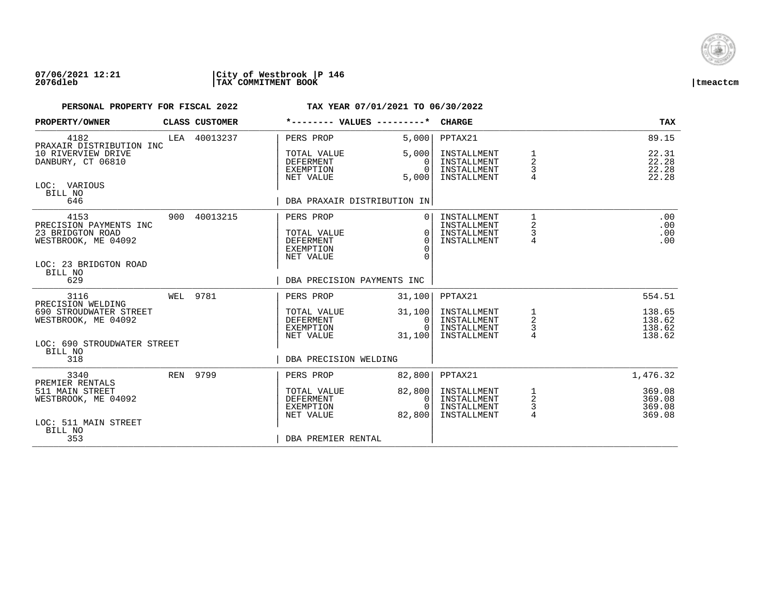

### **07/06/2021 12:21 |City of Westbrook |P 146 2076dleb |TAX COMMITMENT BOOK |tmeactcm**

| PROPERTY/OWNER                                                                                                | CLASS CUSTOMER | *-------- VALUES ---------*                                                   |                                        | <b>CHARGE</b>                                            |                                | <b>TAX</b>                           |
|---------------------------------------------------------------------------------------------------------------|----------------|-------------------------------------------------------------------------------|----------------------------------------|----------------------------------------------------------|--------------------------------|--------------------------------------|
| 4182<br>PRAXAIR DISTRIBUTION INC                                                                              | LEA 40013237   | PERS PROP                                                                     | 5,000                                  | PPTAX21                                                  |                                | 89.15                                |
| 10 RIVERVIEW DRIVE<br>DANBURY, CT 06810                                                                       |                | TOTAL VALUE<br><b>DEFERMENT</b><br>EXEMPTION<br>NET VALUE                     | 5,000<br>$\Omega$<br>$\Omega$<br>5,000 | INSTALLMENT<br>INSTALLMENT<br>INSTALLMENT<br>INSTALLMENT | 1<br>2<br>3                    | 22.31<br>22.28<br>22.28<br>22.28     |
| LOC: VARIOUS<br>BILL NO<br>646                                                                                |                | DBA PRAXAIR DISTRIBUTION IN                                                   |                                        |                                                          |                                |                                      |
| 4153<br>PRECISION PAYMENTS INC<br>23 BRIDGTON ROAD<br>WESTBROOK, ME 04092<br>LOC: 23 BRIDGTON ROAD<br>BILL NO | 900 40013215   | PERS PROP<br>TOTAL VALUE<br><b>DEFERMENT</b><br><b>EXEMPTION</b><br>NET VALUE | $\Omega$<br>$\Omega$<br>$\Omega$<br>∩  | INSTALLMENT<br>INSTALLMENT<br>INSTALLMENT<br>INSTALLMENT | 1<br>2<br>3<br>$\overline{4}$  | .00<br>.00<br>.00<br>.00             |
| 629                                                                                                           |                | DBA PRECISION PAYMENTS INC                                                    |                                        |                                                          |                                |                                      |
| 3116<br>PRECISION WELDING                                                                                     | WEL 9781       | PERS PROP                                                                     | 31,100                                 | PPTAX21                                                  |                                | 554.51                               |
| 690 STROUDWATER STREET<br>WESTBROOK, ME 04092                                                                 |                | TOTAL VALUE<br><b>DEFERMENT</b><br>EXEMPTION<br>NET VALUE                     | 31,100<br>0<br>$\cap$<br>31,100        | INSTALLMENT<br>INSTALLMENT<br>INSTALLMENT<br>INSTALLMENT | $\frac{1}{2}$<br>$\frac{3}{4}$ | 138.65<br>138.62<br>138.62<br>138.62 |
| LOC: 690 STROUDWATER STREET<br>BILL NO<br>318                                                                 |                | DBA PRECISION WELDING                                                         |                                        |                                                          |                                |                                      |
| 3340<br>PREMIER RENTALS                                                                                       | REN 9799       | PERS PROP                                                                     | 82,800                                 | PPTAX21                                                  |                                | 1,476.32                             |
| 511 MAIN STREET<br>WESTBROOK, ME 04092                                                                        |                | TOTAL VALUE<br>DEFERMENT<br>EXEMPTION<br>NET VALUE                            | 82,800<br>0<br>$\Omega$<br>82,800      | INSTALLMENT<br>INSTALLMENT<br>INSTALLMENT<br>INSTALLMENT | $\frac{1}{2}$<br>$\frac{3}{4}$ | 369.08<br>369.08<br>369.08<br>369.08 |
| LOC: 511 MAIN STREET<br>BILL NO<br>353                                                                        |                | DBA PREMIER RENTAL                                                            |                                        |                                                          |                                |                                      |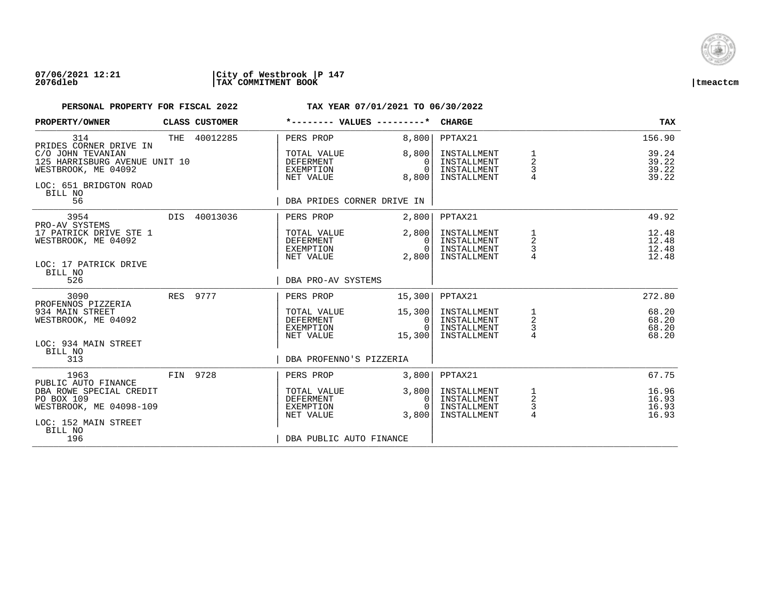

## **07/06/2021 12:21 |City of Westbrook |P 147 2076dleb |TAX COMMITMENT BOOK |tmeactcm**

| PROPERTY/OWNER                                                                                                 | CLASS CUSTOMER | *-------- VALUES ---------*                               |                                              | <b>CHARGE</b>                                            |                                             | <b>TAX</b>                       |
|----------------------------------------------------------------------------------------------------------------|----------------|-----------------------------------------------------------|----------------------------------------------|----------------------------------------------------------|---------------------------------------------|----------------------------------|
| 314<br>PRIDES CORNER DRIVE IN                                                                                  | THE 40012285   | PERS PROP                                                 | 8,800                                        | PPTAX21                                                  |                                             | 156.90                           |
| C/O JOHN TEVANIAN<br>125 HARRISBURG AVENUE UNIT 10<br>WESTBROOK, ME 04092<br>LOC: 651 BRIDGTON ROAD<br>BILL NO |                | TOTAL VALUE<br>DEFERMENT<br>EXEMPTION<br>NET VALUE        | 8,800<br>$\Omega$<br>$\Omega$<br>8,800       | INSTALLMENT<br>INSTALLMENT<br>INSTALLMENT<br>INSTALLMENT | 1<br>$\overline{a}$<br>3<br>4               | 39.24<br>39.22<br>39.22<br>39.22 |
| 56                                                                                                             |                | DBA PRIDES CORNER DRIVE IN                                |                                              |                                                          |                                             |                                  |
| 3954<br>PRO-AV SYSTEMS                                                                                         | DIS 40013036   | PERS PROP                                                 | 2,800                                        | PPTAX21                                                  |                                             | 49.92                            |
| 17 PATRICK DRIVE STE 1<br>WESTBROOK, ME 04092<br>LOC: 17 PATRICK DRIVE                                         |                | TOTAL VALUE<br>DEFERMENT<br>EXEMPTION<br>NET VALUE        | 2,800<br>$\Omega$<br>0 <sup>1</sup><br>2,800 | INSTALLMENT<br>INSTALLMENT<br>INSTALLMENT<br>INSTALLMENT | 1<br>$\overline{\mathbf{c}}$<br>$\mathsf 3$ | 12.48<br>12.48<br>12.48<br>12.48 |
| BILL NO<br>526                                                                                                 |                | DBA PRO-AV SYSTEMS                                        |                                              |                                                          |                                             |                                  |
| 3090<br>PROFENNOS PIZZERIA                                                                                     | RES 9777       | PERS PROP                                                 | 15,300                                       | PPTAX21                                                  |                                             | 272.80                           |
| 934 MAIN STREET<br>WESTBROOK, ME 04092                                                                         |                | TOTAL VALUE<br>DEFERMENT<br>EXEMPTION<br>NET VALUE        | 15,300<br>0 I<br>$\cap$<br>15,300            | INSTALLMENT<br>INSTALLMENT<br>INSTALLMENT<br>INSTALLMENT | $\mathbf{1}$<br>$\sqrt{2}$<br>$\frac{3}{4}$ | 68.20<br>68.20<br>68.20<br>68.20 |
| LOC: 934 MAIN STREET<br>BILL NO<br>313                                                                         |                | DBA PROFENNO'S PIZZERIA                                   |                                              |                                                          |                                             |                                  |
| 1963                                                                                                           | FIN 9728       | PERS PROP                                                 | 3,800                                        | PPTAX21                                                  |                                             | 67.75                            |
| PUBLIC AUTO FINANCE<br>DBA ROWE SPECIAL CREDIT<br>PO BOX 109<br>WESTBROOK, ME 04098-109                        |                | TOTAL VALUE<br><b>DEFERMENT</b><br>EXEMPTION<br>NET VALUE | 3,800<br>$\Omega$<br>$\Omega$<br>3.800       | INSTALLMENT<br>INSTALLMENT<br>INSTALLMENT<br>INSTALLMENT | 1<br>$\sqrt{2}$<br>3<br>$\overline{4}$      | 16.96<br>16.93<br>16.93<br>16.93 |
| LOC: 152 MAIN STREET<br>BILL NO<br>196                                                                         |                | DBA PUBLIC AUTO FINANCE                                   |                                              |                                                          |                                             |                                  |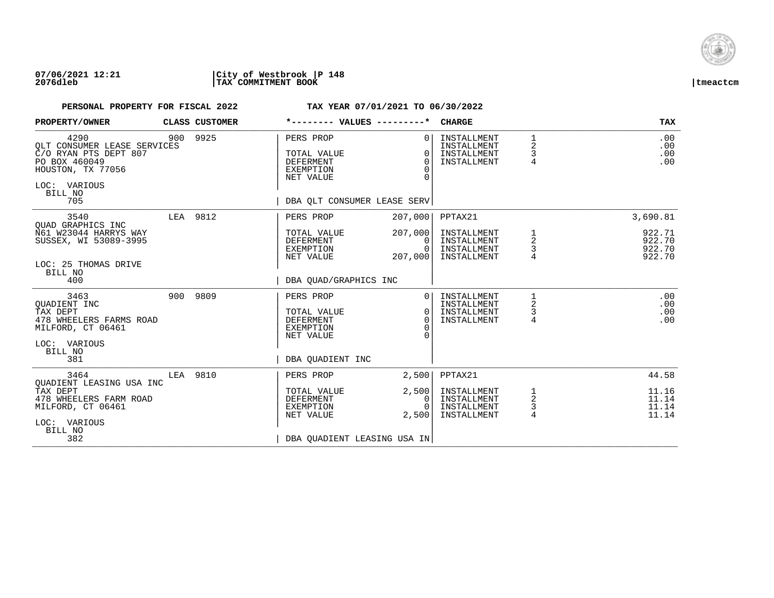

### **07/06/2021 12:21 |City of Westbrook |P 148 2076dleb |TAX COMMITMENT BOOK |tmeactcm**

| PROPERTY/OWNER                                                                                                                       |     | CLASS CUSTOMER | *-------- VALUES ---------*                                                                           |                                            | <b>CHARGE</b>                                            |                                   | <b>TAX</b>                           |
|--------------------------------------------------------------------------------------------------------------------------------------|-----|----------------|-------------------------------------------------------------------------------------------------------|--------------------------------------------|----------------------------------------------------------|-----------------------------------|--------------------------------------|
| 4290<br>OLT CONSUMER LEASE SERVICES<br>C/O RYAN PTS DEPT 807<br>PO BOX 460049<br>HOUSTON, TX 77056<br>LOC: VARIOUS<br>BILL NO<br>705 | 900 | 9925           | PERS PROP<br>TOTAL VALUE<br>DEFERMENT<br><b>EXEMPTION</b><br>NET VALUE<br>DBA QLT CONSUMER LEASE SERV | $\Omega$<br>O<br>$\Omega$<br>$\Omega$<br>∩ | INSTALLMENT<br>INSTALLMENT<br>INSTALLMENT<br>INSTALLMENT | 1<br>2<br>3<br>4                  | .00<br>.00<br>.00<br>.00             |
| 3540                                                                                                                                 |     | LEA 9812       | PERS PROP                                                                                             | 207,000                                    | PPTAX21                                                  |                                   | 3,690.81                             |
| OUAD GRAPHICS INC<br>N61 W23044 HARRYS WAY<br>SUSSEX, WI 53089-3995<br>LOC: 25 THOMAS DRIVE                                          |     |                | TOTAL VALUE<br>DEFERMENT<br>EXEMPTION<br>NET VALUE                                                    | 207,000<br>0<br>$\Omega$<br>207,000        | INSTALLMENT<br>INSTALLMENT<br>INSTALLMENT<br>INSTALLMENT | 1<br>$\overline{\mathbf{c}}$<br>3 | 922.71<br>922.70<br>922.70<br>922.70 |
| BILL NO<br>400                                                                                                                       |     |                | DBA OUAD/GRAPHICS INC                                                                                 |                                            |                                                          |                                   |                                      |
| 3463<br>OUADIENT INC<br>TAX DEPT<br>478 WHEELERS FARMS ROAD<br>MILFORD, CT 06461<br>LOC: VARIOUS                                     | 900 | 9809           | PERS PROP<br>TOTAL VALUE<br><b>DEFERMENT</b><br><b>EXEMPTION</b><br>NET VALUE                         | $\Omega$<br>$\Omega$<br>$\Omega$           | INSTALLMENT<br>INSTALLMENT<br>INSTALLMENT<br>INSTALLMENT | 2<br>3<br>4                       | .00<br>.00<br>.00<br>.00             |
| BILL NO<br>381                                                                                                                       |     |                | DBA OUADIENT INC                                                                                      |                                            |                                                          |                                   |                                      |
| 3464<br>OUADIENT LEASING USA INC                                                                                                     | LEA | 9810           | PERS PROP                                                                                             | 2,500                                      | PPTAX21                                                  |                                   | 44.58                                |
| TAX DEPT<br>478 WHEELERS FARM ROAD<br>MILFORD, CT 06461<br>LOC: VARIOUS                                                              |     |                | TOTAL VALUE<br><b>DEFERMENT</b><br><b>EXEMPTION</b><br>NET VALUE                                      | 2,500<br>0<br>$\Omega$<br>2,500            | INSTALLMENT<br>INSTALLMENT<br>INSTALLMENT<br>INSTALLMENT | 1<br>$\boldsymbol{2}$<br>3<br>4   | 11.16<br>11.14<br>11.14<br>11.14     |
| BILL NO<br>382                                                                                                                       |     |                | DBA OUADIENT LEASING USA IN                                                                           |                                            |                                                          |                                   |                                      |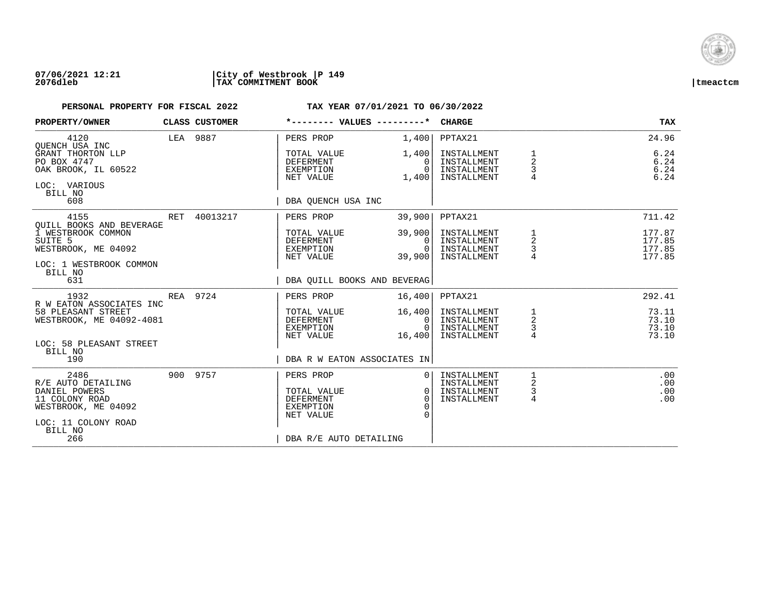

## **07/06/2021 12:21 |City of Westbrook |P 149 2076dleb |TAX COMMITMENT BOOK |tmeactcm**

| PROPERTY/OWNER                                                                                                                                   |     | CLASS CUSTOMER | *-------- VALUES ---------*                                                                             |                                                    | <b>CHARGE</b>                                                       |                                            | <b>TAX</b>                                     |
|--------------------------------------------------------------------------------------------------------------------------------------------------|-----|----------------|---------------------------------------------------------------------------------------------------------|----------------------------------------------------|---------------------------------------------------------------------|--------------------------------------------|------------------------------------------------|
| 4120<br>OUENCH USA INC<br>GRANT THORTON LLP<br>PO BOX 4747<br>OAK BROOK, IL 60522<br>LOC: VARIOUS<br>BILL NO<br>608                              |     | LEA 9887       | PERS PROP<br>TOTAL VALUE<br><b>DEFERMENT</b><br>EXEMPTION<br>NET VALUE<br>DBA OUENCH USA INC            | 1,400<br>1,400<br>0<br>$\Omega$<br>1,400           | PPTAX21<br>INSTALLMENT<br>INSTALLMENT<br>INSTALLMENT<br>INSTALLMENT | 1<br>$\overline{2}$<br>3<br>$\overline{4}$ | 24.96<br>6.24<br>6.24<br>6.24<br>6.24          |
| 4155<br>OUILL BOOKS AND BEVERAGE<br>1 WESTBROOK COMMON<br>SUITE <sub>5</sub><br>WESTBROOK, ME 04092<br>LOC: 1 WESTBROOK COMMON<br>BILL NO<br>631 | RET | 40013217       | PERS PROP<br>TOTAL VALUE<br><b>DEFERMENT</b><br>EXEMPTION<br>NET VALUE<br>DBA OUILL BOOKS AND BEVERAG   | 39,900<br>39,900<br>$\Omega$<br>$\Omega$<br>39,900 | PPTAX21<br>INSTALLMENT<br>INSTALLMENT<br>INSTALLMENT<br>INSTALLMENT | 1<br>2<br>3                                | 711.42<br>177.87<br>177.85<br>177.85<br>177.85 |
| 1932<br>R W EATON ASSOCIATES INC<br>58 PLEASANT STREET<br>WESTBROOK, ME 04092-4081<br>LOC: 58 PLEASANT STREET<br>BILL NO<br>190                  |     | REA 9724       | PERS PROP<br>TOTAL VALUE<br><b>DEFERMENT</b><br>EXEMPTION<br>NET VALUE<br>DBA R W EATON ASSOCIATES IN   | 16,400<br>16,400<br>0<br>$\Omega$<br>16,400        | PPTAX21<br>INSTALLMENT<br>INSTALLMENT<br>INSTALLMENT<br>INSTALLMENT | 1<br>$\overline{a}$<br>3<br>$\overline{4}$ | 292.41<br>73.11<br>73.10<br>73.10<br>73.10     |
| 2486<br>R/E AUTO DETAILING<br>DANIEL POWERS<br>11 COLONY ROAD<br>WESTBROOK, ME 04092<br>LOC: 11 COLONY ROAD<br>BILL NO<br>266                    |     | 900 9757       | PERS PROP<br>TOTAL VALUE<br><b>DEFERMENT</b><br><b>EXEMPTION</b><br>NET VALUE<br>DBA R/E AUTO DETAILING | $\mathbf{0}$<br>$\Omega$<br>$\Omega$               | INSTALLMENT<br>INSTALLMENT<br>INSTALLMENT<br>INSTALLMENT            | 1<br>2<br>3<br>4                           | .00<br>.00<br>.00<br>.00                       |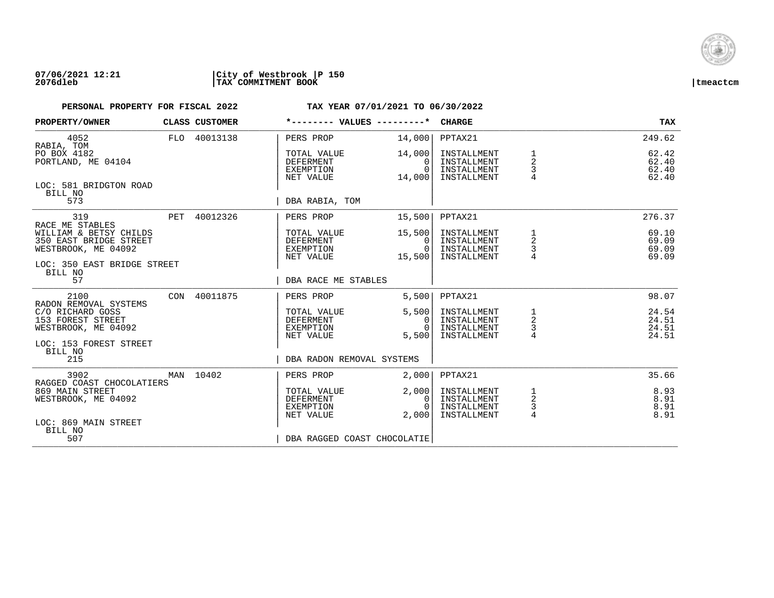

## **07/06/2021 12:21 |City of Westbrook |P 150 2076dleb |TAX COMMITMENT BOOK |tmeactcm**

| PROPERTY/OWNER                                                          | CLASS CUSTOMER | *-------- VALUES ---------*                               |                                                | <b>CHARGE</b>                                            |                                                   | <b>TAX</b>                       |
|-------------------------------------------------------------------------|----------------|-----------------------------------------------------------|------------------------------------------------|----------------------------------------------------------|---------------------------------------------------|----------------------------------|
| 4052<br>RABIA, TOM                                                      | FLO 40013138   | PERS PROP                                                 | 14,000                                         | PPTAX21                                                  |                                                   | 249.62                           |
| PO BOX 4182<br>PORTLAND, ME 04104                                       |                | TOTAL VALUE<br><b>DEFERMENT</b><br>EXEMPTION<br>NET VALUE | 14,000<br>$\Omega$<br>$\Omega$<br>14,000       | INSTALLMENT<br>INSTALLMENT<br>INSTALLMENT<br>INSTALLMENT | 1<br>$\overline{2}$<br>3                          | 62.42<br>62.40<br>62.40<br>62.40 |
| LOC: 581 BRIDGTON ROAD<br>BILL NO<br>573                                |                | DBA RABIA, TOM                                            |                                                |                                                          |                                                   |                                  |
|                                                                         |                |                                                           |                                                |                                                          |                                                   |                                  |
| 319<br>RACE ME STABLES                                                  | PET 40012326   | PERS PROP                                                 | 15,500                                         | PPTAX21                                                  |                                                   | 276.37                           |
| WILLIAM & BETSY CHILDS<br>350 EAST BRIDGE STREET<br>WESTBROOK, ME 04092 |                | TOTAL VALUE<br>DEFERMENT<br>EXEMPTION<br>NET VALUE        | 15,500<br>$\Omega$<br>$\overline{0}$<br>15,500 | INSTALLMENT<br>INSTALLMENT<br>INSTALLMENT<br>INSTALLMENT | 1<br>2<br>3                                       | 69.10<br>69.09<br>69.09<br>69.09 |
| LOC: 350 EAST BRIDGE STREET<br>BILL NO                                  |                |                                                           |                                                |                                                          |                                                   |                                  |
| 57                                                                      |                | DBA RACE ME STABLES                                       |                                                |                                                          |                                                   |                                  |
| 2100<br>RADON REMOVAL SYSTEMS                                           | CON 40011875   | PERS PROP                                                 | 5,500                                          | PPTAX21                                                  |                                                   | 98.07                            |
| C/O RICHARD GOSS<br>153 FOREST STREET<br>WESTBROOK, ME 04092            |                | TOTAL VALUE<br>DEFERMENT<br>EXEMPTION                     | 5,500<br>0<br>$\Omega$                         | INSTALLMENT<br>INSTALLMENT<br>INSTALLMENT                | $\begin{array}{c}\n1 \\ 2 \\ 3 \\ 4\n\end{array}$ | 24.54<br>24.51<br>24.51          |
| LOC: 153 FOREST STREET                                                  |                | NET VALUE                                                 | 5.500                                          | INSTALLMENT                                              |                                                   | 24.51                            |
| BILL NO<br>215                                                          |                | DBA RADON REMOVAL SYSTEMS                                 |                                                |                                                          |                                                   |                                  |
| 3902<br>RAGGED COAST CHOCOLATIERS                                       | MAN 10402      | PERS PROP                                                 | 2,000                                          | PPTAX21                                                  |                                                   | 35.66                            |
| 869 MAIN STREET<br>WESTBROOK, ME 04092                                  |                | TOTAL VALUE<br><b>DEFERMENT</b><br>EXEMPTION<br>NET VALUE | 2,000<br>0<br>$\Omega$<br>2,000                | INSTALLMENT<br>INSTALLMENT<br>INSTALLMENT<br>INSTALLMENT | $\frac{1}{2}$<br>$\frac{3}{4}$                    | 8.93<br>8.91<br>8.91<br>8.91     |
| LOC: 869 MAIN STREET<br>BILL NO<br>507                                  |                |                                                           |                                                |                                                          |                                                   |                                  |
|                                                                         |                | DBA RAGGED COAST CHOCOLATIE                               |                                                |                                                          |                                                   |                                  |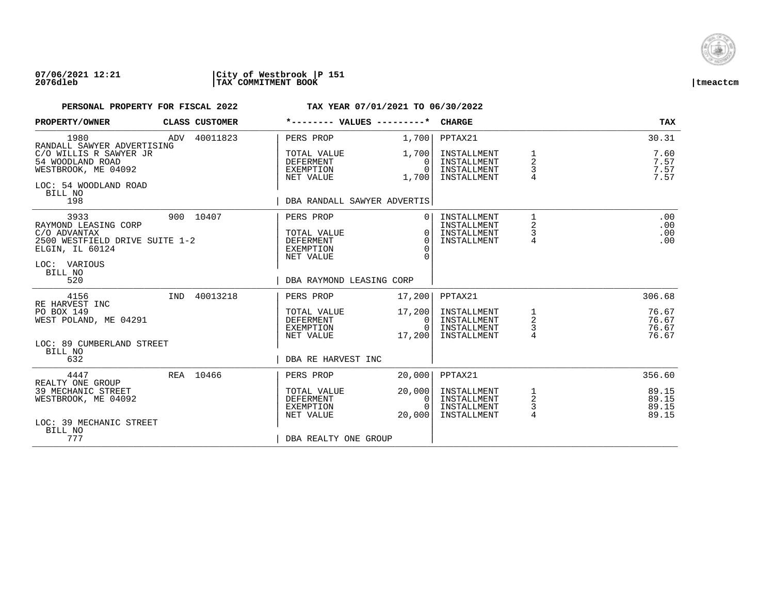

### **07/06/2021 12:21 |City of Westbrook |P 151 2076dleb |TAX COMMITMENT BOOK |tmeactcm**

| PROPERTY/OWNER                                                                                                               | CLASS CUSTOMER | *-------- VALUES ---------*                                            |                                                   | <b>CHARGE</b>                                            |                                                       | <b>TAX</b>                       |
|------------------------------------------------------------------------------------------------------------------------------|----------------|------------------------------------------------------------------------|---------------------------------------------------|----------------------------------------------------------|-------------------------------------------------------|----------------------------------|
| 1980<br>RANDALL SAWYER ADVERTISING                                                                                           | ADV 40011823   | PERS PROP                                                              | 1,700                                             | PPTAX21                                                  |                                                       | 30.31                            |
| C/O WILLIS R SAWYER JR<br>54 WOODLAND ROAD<br>WESTBROOK, ME 04092<br>LOC: 54 WOODLAND ROAD<br>BILL NO<br>198                 |                | TOTAL VALUE<br>DEFERMENT<br>EXEMPTION<br>NET VALUE                     | 1,700 <br>$\Omega$<br>$\Omega$<br>1,700           | INSTALLMENT<br>INSTALLMENT<br>INSTALLMENT<br>INSTALLMENT | $\overline{a}$<br>3<br>4                              | 7.60<br>7.57<br>7.57<br>7.57     |
|                                                                                                                              |                | DBA RANDALL SAWYER ADVERTIS                                            |                                                   |                                                          |                                                       |                                  |
| 3933<br>RAYMOND LEASING CORP<br>C/O ADVANTAX<br>2500 WESTFIELD DRIVE SUITE 1-2<br>ELGIN, IL 60124<br>LOC: VARIOUS<br>BILL NO | 900 10407      | PERS PROP<br>TOTAL VALUE<br><b>DEFERMENT</b><br>EXEMPTION<br>NET VALUE | $\Omega$<br>$\Omega$<br>$\Omega$<br>$\Omega$<br>U | INSTALLMENT<br>INSTALLMENT<br>INSTALLMENT<br>INSTALLMENT | 1<br>$\overline{\mathbf{c}}$<br>3<br>4                | .00<br>.00<br>.00<br>.00         |
| 520                                                                                                                          |                | DBA RAYMOND LEASING CORP                                               |                                                   |                                                          |                                                       |                                  |
| 4156<br>RE HARVEST INC                                                                                                       | IND 40013218   | PERS PROP                                                              | 17,200                                            | PPTAX21                                                  |                                                       | 306.68                           |
| PO BOX 149<br>WEST POLAND, ME 04291<br>LOC: 89 CUMBERLAND STREET                                                             |                | TOTAL VALUE<br>DEFERMENT<br>EXEMPTION<br>NET VALUE                     | 17,200<br>0 I<br>$\bigcap$<br>17,200              | INSTALLMENT<br>INSTALLMENT<br>INSTALLMENT<br>INSTALLMENT | $\mathbf{1}$<br>$\overline{a}$<br>3<br>$\overline{4}$ | 76.67<br>76.67<br>76.67<br>76.67 |
| BILL NO<br>632                                                                                                               |                | DBA RE HARVEST INC                                                     |                                                   |                                                          |                                                       |                                  |
| 4447<br>REALTY ONE GROUP                                                                                                     | REA 10466      | PERS PROP                                                              | 20,000                                            | PPTAX21                                                  |                                                       | 356.60                           |
| 39 MECHANIC STREET<br>WESTBROOK, ME 04092<br>LOC: 39 MECHANIC STREET                                                         |                | TOTAL VALUE<br><b>DEFERMENT</b><br>EXEMPTION<br>NET VALUE              | 20,000<br>$\mathbf{0}$<br>$\Omega$<br>20,000      | INSTALLMENT<br>INSTALLMENT<br>INSTALLMENT<br>INSTALLMENT | 1<br>$\overline{c}$<br>3<br>$\overline{4}$            | 89.15<br>89.15<br>89.15<br>89.15 |
| BILL NO<br>777                                                                                                               |                | DBA REALTY ONE GROUP                                                   |                                                   |                                                          |                                                       |                                  |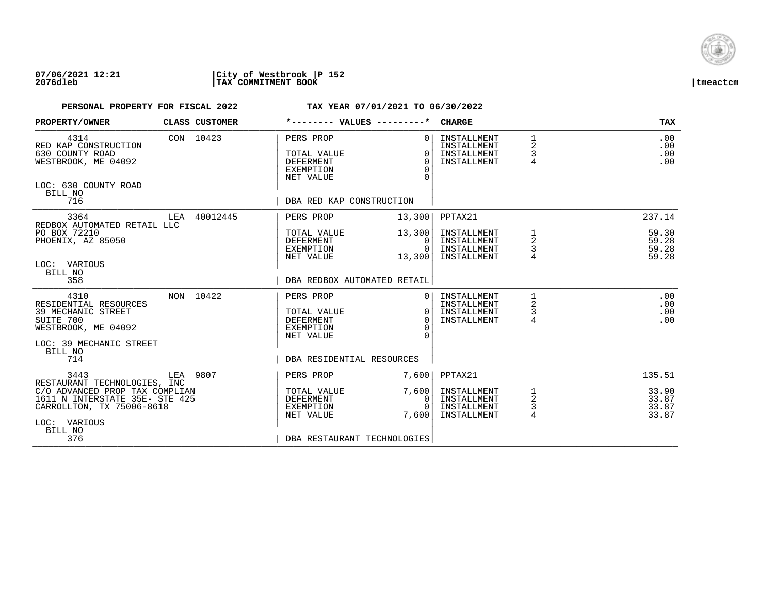

## **07/06/2021 12:21 |City of Westbrook |P 152 2076dleb |TAX COMMITMENT BOOK |tmeactcm**

| PROPERTY/OWNER                                                                                                                                                  |          | CLASS CUSTOMER | *-------- VALUES ---------*                                                                                |                                              | <b>CHARGE</b>                                            |                         | TAX                              |
|-----------------------------------------------------------------------------------------------------------------------------------------------------------------|----------|----------------|------------------------------------------------------------------------------------------------------------|----------------------------------------------|----------------------------------------------------------|-------------------------|----------------------------------|
| 4314<br>RED KAP CONSTRUCTION<br>630 COUNTY ROAD<br>WESTBROOK, ME 04092<br>LOC: 630 COUNTY ROAD<br>BILL NO<br>716                                                |          | CON 10423      | PERS PROP<br>TOTAL VALUE<br><b>DEFERMENT</b><br><b>EXEMPTION</b><br>NET VALUE<br>DBA RED KAP CONSTRUCTION  | $\Omega$<br>$\Omega$<br>$\Omega$<br>$\Omega$ | INSTALLMENT<br>INSTALLMENT<br>INSTALLMENT<br>INSTALLMENT | 1<br>2<br>3<br>4        | .00<br>.00<br>.00<br>.00         |
| 3364                                                                                                                                                            |          | LEA 40012445   | PERS PROP                                                                                                  | 13,300                                       | PPTAX21                                                  |                         | 237.14                           |
| REDBOX AUTOMATED RETAIL LLC<br>PO BOX 72210<br>PHOENIX, AZ 85050<br>LOC: VARIOUS<br>BILL NO                                                                     |          |                | TOTAL VALUE<br>DEFERMENT<br><b>EXEMPTION</b><br>NET VALUE                                                  | 13,300<br>0<br>$\Omega$<br>13,300            | INSTALLMENT<br>INSTALLMENT<br>INSTALLMENT<br>INSTALLMENT | $\overline{a}$<br>3     | 59.30<br>59.28<br>59.28<br>59.28 |
| 358                                                                                                                                                             |          |                | DBA REDBOX AUTOMATED RETAIL                                                                                |                                              |                                                          |                         |                                  |
| 4310<br>RESIDENTIAL RESOURCES<br>39 MECHANIC STREET<br>SUITE 700<br>WESTBROOK, ME 04092<br>LOC: 39 MECHANIC STREET<br>BILL NO<br>714                            |          | NON 10422      | PERS PROP<br>TOTAL VALUE<br><b>DEFERMENT</b><br><b>EXEMPTION</b><br>NET VALUE<br>DBA RESIDENTIAL RESOURCES | $\Omega$<br>$\Omega$<br>$\Omega$             | INSTALLMENT<br>INSTALLMENT<br>INSTALLMENT<br>INSTALLMENT | 2<br>3<br>4             | .00<br>.00<br>.00<br>.00         |
| 3443                                                                                                                                                            | LEA 9807 |                | PERS PROP                                                                                                  | 7,600                                        | PPTAX21                                                  |                         | 135.51                           |
| RESTAURANT TECHNOLOGIES, INC<br>C/O ADVANCED PROP TAX COMPLIAN<br>1611 N INTERSTATE 35E- STE 425<br>CARROLLTON, TX 75006-8618<br>LOC: VARIOUS<br>BILL NO<br>376 |          |                | TOTAL VALUE<br>DEFERMENT<br>EXEMPTION<br>NET VALUE<br>DBA RESTAURANT TECHNOLOGIES                          | 7,600<br>0<br>$\Omega$<br>7,600              | INSTALLMENT<br>INSTALLMENT<br>INSTALLMENT<br>INSTALLMENT | $\frac{1}{2}$<br>3<br>4 | 33.90<br>33.87<br>33.87<br>33.87 |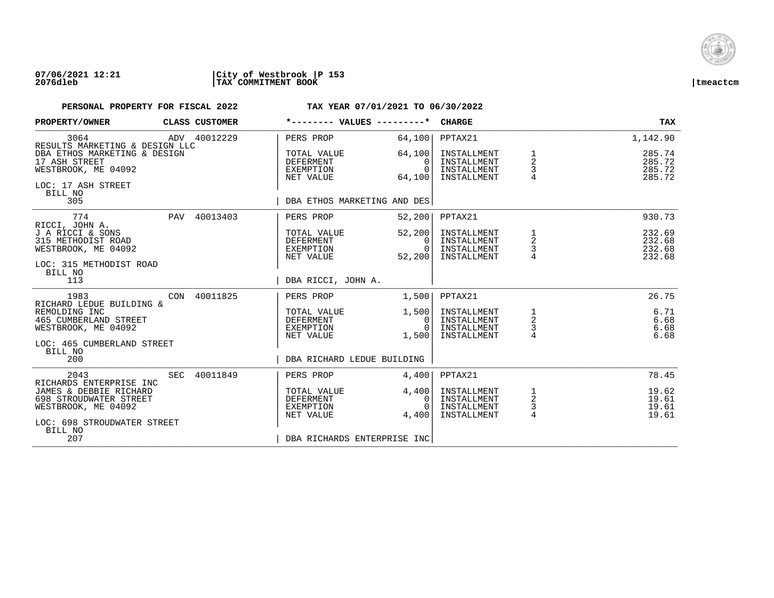

### **07/06/2021 12:21 |City of Westbrook |P 153 2076dleb |TAX COMMITMENT BOOK |tmeactcm**

| PROPERTY/OWNER                                                                                        |            | CLASS CUSTOMER |                                                           | *-------- VALUES ---------*                     | <b>CHARGE</b>                                            |                                                 | <b>TAX</b>                           |
|-------------------------------------------------------------------------------------------------------|------------|----------------|-----------------------------------------------------------|-------------------------------------------------|----------------------------------------------------------|-------------------------------------------------|--------------------------------------|
| 3064<br>RESULTS MARKETING & DESIGN LLC                                                                |            | ADV 40012229   | PERS PROP                                                 | 64,100                                          | PPTAX21                                                  |                                                 | 1,142.90                             |
| DBA ETHOS MARKETING & DESIGN<br>17 ASH STREET<br>WESTBROOK, ME 04092<br>LOC: 17 ASH STREET<br>BILL NO |            |                | TOTAL VALUE<br>DEFERMENT<br>EXEMPTION<br>NET VALUE        | 64,100<br>$\Omega$<br>$\Omega$<br>64,100        | INSTALLMENT<br>INSTALLMENT<br>INSTALLMENT<br>INSTALLMENT | 1<br>$\overline{\mathbf{c}}$<br>3               | 285.74<br>285.72<br>285.72<br>285.72 |
| 305                                                                                                   |            |                |                                                           | DBA ETHOS MARKETING AND DES                     |                                                          |                                                 |                                      |
| 774<br>RICCI, JOHN A.                                                                                 | <b>PAV</b> | 40013403       | PERS PROP                                                 | 52,200                                          | PPTAX21                                                  |                                                 | 930.73                               |
| J A RICCI & SONS<br>315 METHODIST ROAD<br>WESTBROOK, ME 04092<br>LOC: 315 METHODIST ROAD<br>BILL NO   |            |                | TOTAL VALUE<br>DEFERMENT<br>EXEMPTION<br>NET VALUE        | 52, 200<br>0 <sup>1</sup><br>$\Omega$<br>52,200 | INSTALLMENT<br>INSTALLMENT<br>INSTALLMENT<br>INSTALLMENT | 1<br>$\begin{array}{c} 2 \\ 3 \\ 4 \end{array}$ | 232.69<br>232.68<br>232.68<br>232.68 |
| 113                                                                                                   |            |                | DBA RICCI, JOHN A.                                        |                                                 |                                                          |                                                 |                                      |
| 1983<br>RICHARD LEDUE BUILDING &                                                                      | CON        | 40011825       | PERS PROP                                                 | 1,500                                           | PPTAX21                                                  |                                                 | 26.75                                |
| REMOLDING INC<br>465 CUMBERLAND STREET<br>WESTBROOK, ME 04092                                         |            |                | TOTAL VALUE<br>DEFERMENT<br>EXEMPTION<br>NET VALUE        | 1,500<br>0 <sup>1</sup><br>$\Omega$<br>1,500    | INSTALLMENT<br>INSTALLMENT<br>INSTALLMENT<br>INSTALLMENT | $\frac{1}{2}$<br>$\frac{3}{4}$                  | 6.71<br>6.68<br>6.68<br>6.68         |
| LOC: 465 CUMBERLAND STREET<br>BILL NO                                                                 |            |                |                                                           |                                                 |                                                          |                                                 |                                      |
| 200                                                                                                   |            |                | DBA RICHARD LEDUE BUILDING                                |                                                 |                                                          |                                                 |                                      |
| 2043<br>RICHARDS ENTERPRISE INC                                                                       | SEC        | 40011849       | PERS PROP                                                 | 4,400                                           | PPTAX21                                                  |                                                 | 78.45                                |
| JAMES & DEBBIE RICHARD<br>698 STROUDWATER STREET<br>WESTBROOK, ME 04092                               |            |                | TOTAL VALUE<br><b>DEFERMENT</b><br>EXEMPTION<br>NET VALUE | 4,400<br>0<br>$\Omega$<br>4,400                 | INSTALLMENT<br>INSTALLMENT<br>INSTALLMENT<br>INSTALLMENT | $\frac{1}{2}$<br>3<br>$\overline{4}$            | 19.62<br>19.61<br>19.61<br>19.61     |
| LOC: 698 STROUDWATER STREET<br>BILL NO<br>207                                                         |            |                |                                                           | DBA RICHARDS ENTERPRISE INC                     |                                                          |                                                 |                                      |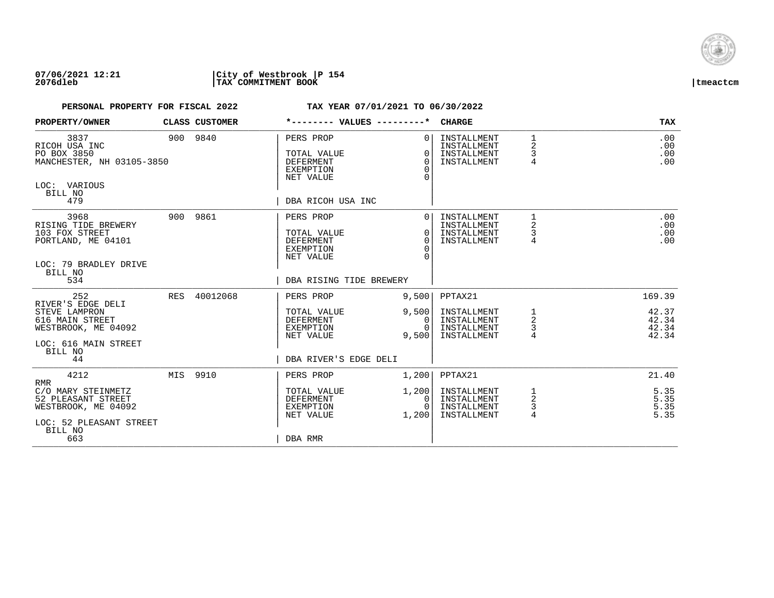

## **07/06/2021 12:21 |City of Westbrook |P 154 2076dleb |TAX COMMITMENT BOOK |tmeactcm**

| PROPERTY/OWNER                                                                                                                     |          | <b>CLASS CUSTOMER</b> |                                                                                                          | *-------- VALUES ---------*              | <b>CHARGE</b>                                                       |                               | <b>TAX</b>                                 |
|------------------------------------------------------------------------------------------------------------------------------------|----------|-----------------------|----------------------------------------------------------------------------------------------------------|------------------------------------------|---------------------------------------------------------------------|-------------------------------|--------------------------------------------|
| 3837<br>RICOH USA INC<br>PO BOX 3850<br>MANCHESTER, NH 03105-3850<br>LOC: VARIOUS<br>BILL NO<br>479                                |          | 900 9840              | PERS PROP<br>TOTAL VALUE<br><b>DEFERMENT</b><br><b>EXEMPTION</b><br>NET VALUE<br>DBA RICOH USA INC       | $\Omega$<br>$\Omega$<br>$\Omega$<br>∩    | INSTALLMENT<br>INSTALLMENT<br>INSTALLMENT<br>INSTALLMENT            | 1<br>$\overline{2}$<br>3<br>4 | .00<br>.00<br>.00<br>.00                   |
| 3968<br>RISING TIDE BREWERY<br>103 FOX STREET<br>PORTLAND, ME 04101<br>LOC: 79 BRADLEY DRIVE<br>BILL NO<br>534                     |          | 900 9861              | PERS PROP<br>TOTAL VALUE<br><b>DEFERMENT</b><br><b>EXEMPTION</b><br>NET VALUE<br>DBA RISING TIDE BREWERY | $\Omega$<br>$\Omega$<br>$\Omega$         | INSTALLMENT<br>INSTALLMENT<br>INSTALLMENT<br>INSTALLMENT            | 2<br>$\overline{4}$           | .00<br>.00<br>.00<br>.00                   |
| 252<br>RIVER'S EDGE DELI<br>STEVE LAMPRON<br>616 MAIN STREET<br>WESTBROOK, ME 04092<br>LOC: 616 MAIN STREET<br>BILL NO<br>44       | RES      | 40012068              | PERS PROP<br>TOTAL VALUE<br>DEFERMENT<br>EXEMPTION<br>NET VALUE<br>DBA RIVER'S EDGE DELI                 | 9,500<br>9,500<br>0<br>9,500             | PPTAX21<br>INSTALLMENT<br>INSTALLMENT<br>INSTALLMENT<br>INSTALLMENT | 1<br>2<br>3<br>4              | 169.39<br>42.37<br>42.34<br>42.34<br>42.34 |
| 4212<br><b>RMR</b><br>C/O MARY STEINMETZ<br>52 PLEASANT STREET<br>WESTBROOK, ME 04092<br>LOC: 52 PLEASANT STREET<br>BILL NO<br>663 | MIS 9910 |                       | PERS PROP<br>TOTAL VALUE<br>DEFERMENT<br>EXEMPTION<br>NET VALUE<br>DBA RMR                               | 1,200<br>1,200<br>0<br>$\Omega$<br>1,200 | PPTAX21<br>INSTALLMENT<br>INSTALLMENT<br>INSTALLMENT<br>INSTALLMENT | 2<br>3<br>4                   | 21.40<br>5.35<br>5.35<br>5.35<br>5.35      |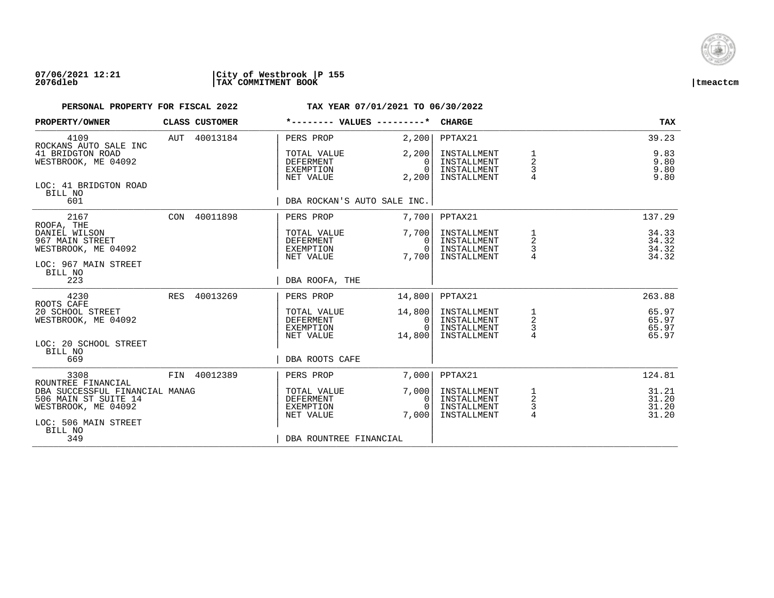

### **07/06/2021 12:21 |City of Westbrook |P 155 2076dleb |TAX COMMITMENT BOOK |tmeactcm**

| PROPERTY/OWNER                                                                                                              | CLASS CUSTOMER | *-------- VALUES ---------*                               |                                              | <b>CHARGE</b>                                            |                                            | <b>TAX</b>                       |
|-----------------------------------------------------------------------------------------------------------------------------|----------------|-----------------------------------------------------------|----------------------------------------------|----------------------------------------------------------|--------------------------------------------|----------------------------------|
| 4109                                                                                                                        | AUT 40013184   | PERS PROP                                                 | 2,200                                        | PPTAX21                                                  |                                            | 39.23                            |
| ROCKANS AUTO SALE INC<br>41 BRIDGTON ROAD<br>WESTBROOK, ME 04092                                                            |                | TOTAL VALUE<br><b>DEFERMENT</b><br>EXEMPTION<br>NET VALUE | 2,200<br>$\Omega$<br>$\Omega$<br>2,200       | INSTALLMENT<br>INSTALLMENT<br>INSTALLMENT<br>INSTALLMENT | 1<br>$\overline{2}$<br>3<br>$\overline{4}$ | 9.83<br>9.80<br>9.80<br>9.80     |
| LOC: 41 BRIDGTON ROAD<br>BILL NO<br>601                                                                                     |                | DBA ROCKAN'S AUTO SALE INC.                               |                                              |                                                          |                                            |                                  |
| 2167                                                                                                                        | CON 40011898   | PERS PROP                                                 | 7,700                                        | PPTAX21                                                  |                                            | 137.29                           |
| ROOFA, THE<br>DANIEL WILSON<br>967 MAIN STREET<br>WESTBROOK, ME 04092                                                       |                | TOTAL VALUE<br><b>DEFERMENT</b><br>EXEMPTION<br>NET VALUE | 7,700<br>$\Omega$<br>$\Omega$<br>7,700       | INSTALLMENT<br>INSTALLMENT<br>INSTALLMENT<br>INSTALLMENT | 1<br>2<br>3                                | 34.33<br>34.32<br>34.32<br>34.32 |
| LOC: 967 MAIN STREET<br>BILL NO<br>223                                                                                      |                | DBA ROOFA, THE                                            |                                              |                                                          |                                            |                                  |
| 4230<br>ROOTS CAFE                                                                                                          | RES 40013269   | PERS PROP                                                 | 14,800                                       | PPTAX21                                                  |                                            | 263.88                           |
| 20 SCHOOL STREET<br>WESTBROOK, ME 04092                                                                                     |                | TOTAL VALUE<br><b>DEFERMENT</b><br>EXEMPTION<br>NET VALUE | 14,800<br>$\mathbf{0}$<br>$\Omega$<br>14,800 | INSTALLMENT<br>INSTALLMENT<br>INSTALLMENT<br>INSTALLMENT | 1<br>$\overline{a}$<br>3<br>$\overline{4}$ | 65.97<br>65.97<br>65.97<br>65.97 |
| LOC: 20 SCHOOL STREET<br>BILL NO<br>669                                                                                     |                | DBA ROOTS CAFE                                            |                                              |                                                          |                                            |                                  |
| 3308                                                                                                                        | FIN 40012389   | PERS PROP                                                 | 7,000                                        | PPTAX21                                                  |                                            | 124.81                           |
| ROUNTREE FINANCIAL<br>DBA SUCCESSFUL FINANCIAL MANAG<br>506 MAIN ST SUITE 14<br>WESTBROOK, ME 04092<br>LOC: 506 MAIN STREET |                | TOTAL VALUE<br><b>DEFERMENT</b><br>EXEMPTION<br>NET VALUE | 7,000<br>0<br>$\cap$<br>7.000                | INSTALLMENT<br>INSTALLMENT<br>INSTALLMENT<br>INSTALLMENT | 1<br>2<br>3<br>$\overline{4}$              | 31.21<br>31.20<br>31.20<br>31.20 |
| BILL NO<br>349                                                                                                              |                | DBA ROUNTREE FINANCIAL                                    |                                              |                                                          |                                            |                                  |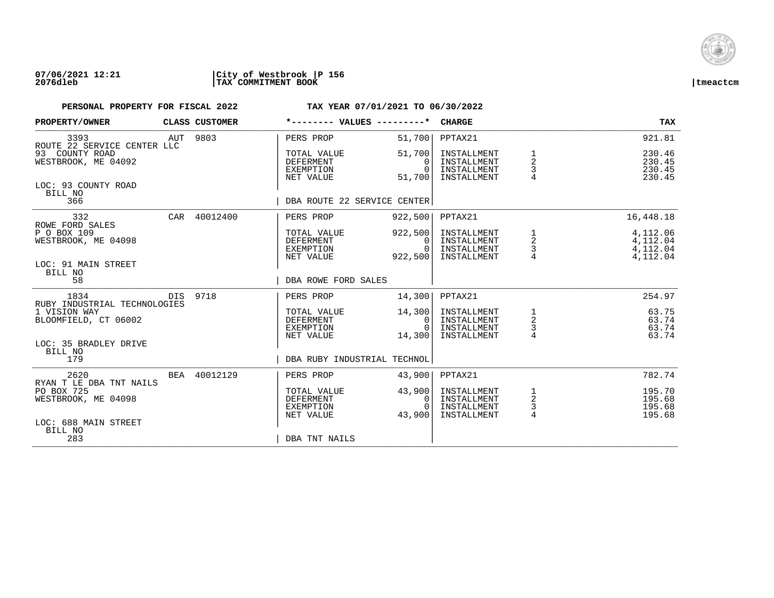

## **07/06/2021 12:21 |City of Westbrook |P 156 2076dleb |TAX COMMITMENT BOOK |tmeactcm**

| PROPERTY/OWNER                                               |     | CLASS CUSTOMER | *-------- VALUES ---------*                                      |                                          | <b>CHARGE</b>                                            |                                               | <b>TAX</b>                                   |
|--------------------------------------------------------------|-----|----------------|------------------------------------------------------------------|------------------------------------------|----------------------------------------------------------|-----------------------------------------------|----------------------------------------------|
| 3393<br>ROUTE 22 SERVICE CENTER LLC                          | AUT | 9803           | PERS PROP                                                        | 51,700                                   | PPTAX21                                                  |                                               | 921.81                                       |
| 93 COUNTY ROAD<br>WESTBROOK, ME 04092                        |     |                | TOTAL VALUE<br><b>DEFERMENT</b><br><b>EXEMPTION</b><br>NET VALUE | 51,700<br>$\Omega$<br>$\Omega$<br>51,700 | INSTALLMENT<br>INSTALLMENT<br>INSTALLMENT<br>INSTALLMENT | 2<br>$\mathsf{3}$                             | 230.46<br>230.45<br>230.45<br>230.45         |
| LOC: 93 COUNTY ROAD<br>BILL NO<br>366                        |     |                | DBA ROUTE 22 SERVICE CENTER                                      |                                          |                                                          |                                               |                                              |
| 332<br>ROWE FORD SALES                                       |     | CAR 40012400   | PERS PROP                                                        | 922,500                                  | PPTAX21                                                  |                                               | 16,448.18                                    |
| P O BOX 109<br>WESTBROOK, ME 04098                           |     |                | TOTAL VALUE<br>DEFERMENT<br><b>EXEMPTION</b><br>NET VALUE        | 922,500<br>0<br>$\Omega$<br>922,500      | INSTALLMENT<br>INSTALLMENT<br>INSTALLMENT<br>INSTALLMENT | 1<br>$\overline{\mathbf{c}}$<br>$\frac{3}{4}$ | 4,112.06<br>4,112.04<br>4,112.04<br>4,112.04 |
| LOC: 91 MAIN STREET<br>BILL NO<br>58                         |     |                | DBA ROWE FORD SALES                                              |                                          |                                                          |                                               |                                              |
| 1834<br>RUBY INDUSTRIAL TECHNOLOGIES                         |     | DIS 9718       | PERS PROP                                                        | 14,300                                   | PPTAX21                                                  |                                               | 254.97                                       |
| 1 VISION WAY<br>BLOOMFIELD, CT 06002                         |     |                | TOTAL VALUE<br><b>DEFERMENT</b><br>EXEMPTION<br>NET VALUE        | 14,300<br>0<br>$\cap$<br>14,300          | INSTALLMENT<br>INSTALLMENT<br>INSTALLMENT<br>INSTALLMENT | $\frac{1}{2}$<br>$\frac{3}{4}$                | 63.75<br>63.74<br>63.74<br>63.74             |
| LOC: 35 BRADLEY DRIVE<br>BILL NO<br>179                      |     |                | DBA RUBY INDUSTRIAL TECHNOL                                      |                                          |                                                          |                                               |                                              |
| 2620                                                         |     | BEA 40012129   | PERS PROP                                                        | 43,900                                   | PPTAX21                                                  |                                               | 782.74                                       |
| RYAN T LE DBA TNT NAILS<br>PO BOX 725<br>WESTBROOK, ME 04098 |     |                | TOTAL VALUE<br><b>DEFERMENT</b><br>EXEMPTION<br>NET VALUE        | 43,900<br>0<br>43,900                    | INSTALLMENT<br>INSTALLMENT<br>INSTALLMENT<br>INSTALLMENT | $\frac{1}{2}$<br>$\frac{3}{4}$                | 195.70<br>195.68<br>195.68<br>195.68         |
| LOC: 688 MAIN STREET<br>BILL NO<br>283                       |     |                | DBA TNT NAILS                                                    |                                          |                                                          |                                               |                                              |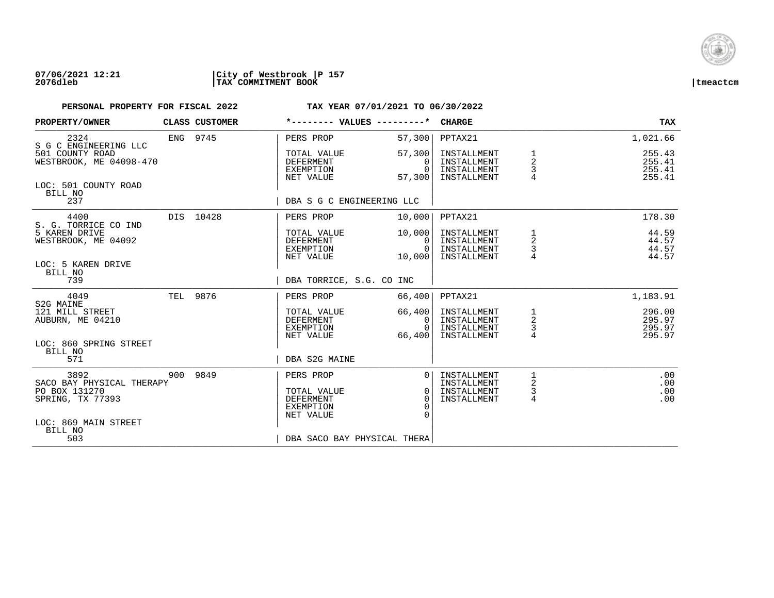

## **07/06/2021 12:21 |City of Westbrook |P 157 2076dleb |TAX COMMITMENT BOOK |tmeactcm**

| PROPERTY/OWNER                                               | CLASS CUSTOMER | *-------- VALUES ---------*                                      |                                                | <b>CHARGE</b>                                            |                           | <b>TAX</b>                           |
|--------------------------------------------------------------|----------------|------------------------------------------------------------------|------------------------------------------------|----------------------------------------------------------|---------------------------|--------------------------------------|
| 2324<br>S G C ENGINEERING LLC                                | ENG 9745       | PERS PROP                                                        | 57,300                                         | PPTAX21                                                  |                           | 1,021.66                             |
| 501 COUNTY ROAD<br>WESTBROOK, ME 04098-470                   |                | TOTAL VALUE<br><b>DEFERMENT</b><br>EXEMPTION<br>NET VALUE        | 57,300<br>$\Omega$<br>$\Omega$<br>57,300       | INSTALLMENT<br>INSTALLMENT<br>INSTALLMENT<br>INSTALLMENT | $\overline{a}$<br>3<br>4  | 255.43<br>255.41<br>255.41<br>255.41 |
| LOC: 501 COUNTY ROAD<br>BILL NO<br>237                       |                | DBA S G C ENGINEERING LLC                                        |                                                |                                                          |                           |                                      |
| 4400                                                         | DIS 10428      | PERS PROP                                                        | 10,000                                         | PPTAX21                                                  |                           | 178.30                               |
| S. G. TORRICE CO IND<br>5 KAREN DRIVE<br>WESTBROOK, ME 04092 |                | TOTAL VALUE<br>DEFERMENT<br>EXEMPTION<br>NET VALUE               | 10,000<br>$\Omega$<br>$\overline{0}$<br>10,000 | INSTALLMENT<br>INSTALLMENT<br>INSTALLMENT<br>INSTALLMENT | 1<br>2<br>3<br>4          | 44.59<br>44.57<br>44.57<br>44.57     |
| LOC: 5 KAREN DRIVE<br>BILL NO<br>739                         |                | DBA TORRICE, S.G. CO INC                                         |                                                |                                                          |                           |                                      |
| 4049<br>S2G MAINE                                            | TEL 9876       | PERS PROP                                                        | 66,400                                         | PPTAX21                                                  |                           | 1,183.91                             |
| 121 MILL STREET<br>AUBURN, ME 04210                          |                | TOTAL VALUE<br>DEFERMENT<br>EXEMPTION<br>NET VALUE               | 66,400<br>0<br>$\Omega$<br>66,400              | INSTALLMENT<br>INSTALLMENT<br>INSTALLMENT<br>INSTALLMENT | 1<br>$\sqrt{2}$<br>3<br>4 | 296.00<br>295.97<br>295.97<br>295.97 |
| LOC: 860 SPRING STREET<br>BILL NO<br>571                     |                | DBA S2G MAINE                                                    |                                                |                                                          |                           |                                      |
| 3892<br>SACO BAY PHYSICAL THERAPY                            | 900 9849       | PERS PROP                                                        | $\Omega$                                       | INSTALLMENT                                              | 1<br>2                    | .00<br>.00                           |
| PO BOX 131270<br>SPRING, TX 77393                            |                | TOTAL VALUE<br><b>DEFERMENT</b><br><b>EXEMPTION</b><br>NET VALUE | $\Omega$<br>$\Omega$<br>∩<br>$\Omega$          | INSTALLMENT<br>INSTALLMENT<br>INSTALLMENT                | 3<br>4                    | .00<br>.00                           |
| LOC: 869 MAIN STREET<br>BILL NO<br>503                       |                | DBA SACO BAY PHYSICAL THERA                                      |                                                |                                                          |                           |                                      |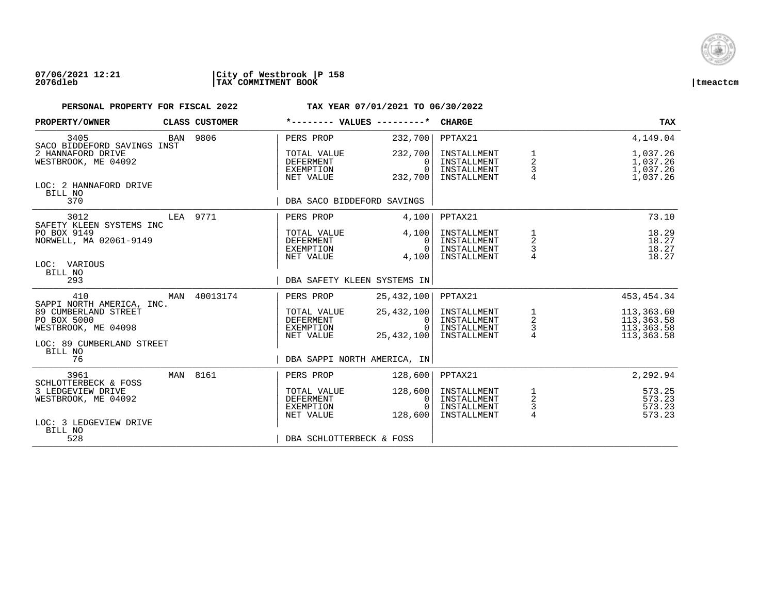

### **07/06/2021 12:21 |City of Westbrook |P 158 2076dleb |TAX COMMITMENT BOOK |tmeactcm**

| PROPERTY/OWNER                                                                          |     | CLASS CUSTOMER |                                                    | *-------- VALUES ---------*                          | <b>CHARGE</b>                                            |                                | TAX                                                  |
|-----------------------------------------------------------------------------------------|-----|----------------|----------------------------------------------------|------------------------------------------------------|----------------------------------------------------------|--------------------------------|------------------------------------------------------|
| 3405<br>SACO BIDDEFORD SAVINGS INST                                                     |     | BAN 9806       | PERS PROP                                          | 232,700                                              | PPTAX21                                                  |                                | 4,149.04                                             |
| 2 HANNAFORD DRIVE<br>WESTBROOK, ME 04092                                                |     |                | TOTAL VALUE<br>DEFERMENT<br>EXEMPTION<br>NET VALUE | 232,700<br>$\Omega$<br>$\Omega$<br>232,700           | INSTALLMENT<br>INSTALLMENT<br>INSTALLMENT<br>INSTALLMENT | 1<br>2<br>$\frac{3}{4}$        | 1,037.26<br>1,037.26<br>1,037.26<br>1,037.26         |
| LOC: 2 HANNAFORD DRIVE<br>BILL NO<br>370                                                |     |                | DBA SACO BIDDEFORD SAVINGS                         |                                                      |                                                          |                                |                                                      |
| 3012                                                                                    |     | LEA 9771       | PERS PROP                                          | 4,100                                                | PPTAX21                                                  |                                | 73.10                                                |
| SAFETY KLEEN SYSTEMS INC<br>PO BOX 9149<br>NORWELL, MA 02061-9149                       |     |                | TOTAL VALUE<br>DEFERMENT<br>EXEMPTION<br>NET VALUE | 4,100<br>$\Omega$<br>$\Omega$<br>4,100               | INSTALLMENT<br>INSTALLMENT<br>INSTALLMENT<br>INSTALLMENT | $\frac{1}{2}$<br>$\frac{3}{4}$ | 18.29<br>18.27<br>18.27<br>18.27                     |
| LOC: VARIOUS<br>BILL NO<br>293                                                          |     |                |                                                    | DBA SAFETY KLEEN SYSTEMS IN                          |                                                          |                                |                                                      |
| 410<br>SAPPI NORTH AMERICA, INC.                                                        | MAN | 40013174       | PERS PROP                                          | 25,432,100                                           | PPTAX21                                                  |                                | 453, 454.34                                          |
| 89 CUMBERLAND STREET<br>PO BOX 5000<br>WESTBROOK, ME 04098<br>LOC: 89 CUMBERLAND STREET |     |                | TOTAL VALUE<br>DEFERMENT<br>EXEMPTION<br>NET VALUE | 25,432,100<br>$\mathbf{0}$<br>$\Omega$<br>25,432,100 | INSTALLMENT<br>INSTALLMENT<br>INSTALLMENT<br>INSTALLMENT | $\frac{1}{2}$<br>4             | 113,363.60<br>113,363.58<br>113,363.58<br>113,363.58 |
| BILL NO<br>76                                                                           |     |                |                                                    | DBA SAPPI NORTH AMERICA, IN                          |                                                          |                                |                                                      |
| 3961<br>SCHLOTTERBECK & FOSS                                                            |     | MAN 8161       | PERS PROP                                          | 128,600                                              | PPTAX21                                                  |                                | 2,292.94                                             |
| 3 LEDGEVIEW DRIVE<br>WESTBROOK, ME 04092<br>LOC: 3 LEDGEVIEW DRIVE                      |     |                | TOTAL VALUE<br>DEFERMENT<br>EXEMPTION<br>NET VALUE | 128,600<br>0<br>$\Omega$<br>128,600                  | INSTALLMENT<br>INSTALLMENT<br>INSTALLMENT<br>INSTALLMENT | $\frac{1}{2}$<br>$\frac{3}{4}$ | 573.25<br>573.23<br>573.23<br>573.23                 |
| BILL NO<br>528                                                                          |     |                | DBA SCHLOTTERBECK & FOSS                           |                                                      |                                                          |                                |                                                      |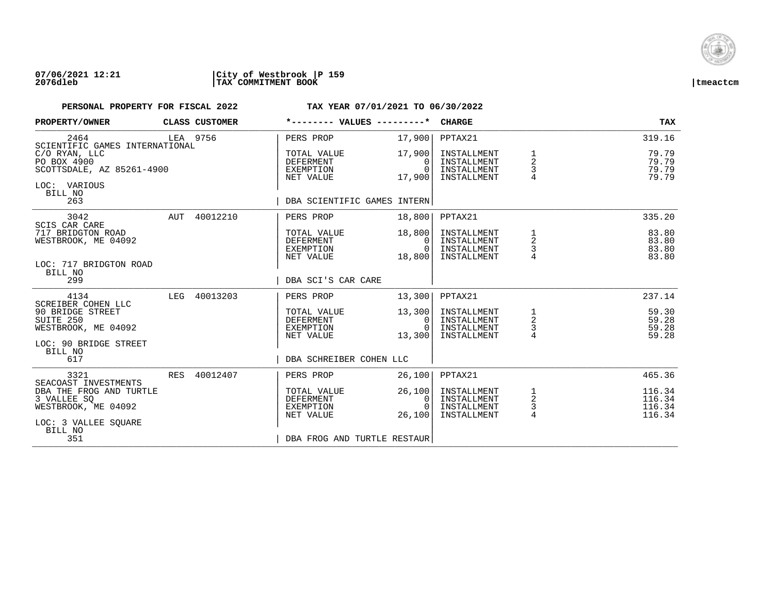

## **07/06/2021 12:21 |City of Westbrook |P 159 2076dleb |TAX COMMITMENT BOOK |tmeactcm**

| PROPERTY/OWNER                                                                        | CLASS CUSTOMER | *-------- VALUES ---------*                               |                                          | <b>CHARGE</b>                                            |                                                   | <b>TAX</b>                           |
|---------------------------------------------------------------------------------------|----------------|-----------------------------------------------------------|------------------------------------------|----------------------------------------------------------|---------------------------------------------------|--------------------------------------|
| 2464<br>SCIENTIFIC GAMES INTERNATIONAL                                                | LEA 9756       | PERS PROP                                                 | 17,900                                   | PPTAX21                                                  |                                                   | 319.16                               |
| C/O RYAN, LLC<br>PO BOX 4900<br>SCOTTSDALE, AZ 85261-4900<br>LOC: VARIOUS<br>BILL NO  |                | TOTAL VALUE<br><b>DEFERMENT</b><br>EXEMPTION<br>NET VALUE | 17,900<br>$\Omega$<br>$\Omega$<br>17,900 | INSTALLMENT<br>INSTALLMENT<br>INSTALLMENT<br>INSTALLMENT | 1<br>$\overline{2}$<br>3<br>$\overline{4}$        | 79.79<br>79.79<br>79.79<br>79.79     |
| 263                                                                                   |                | DBA SCIENTIFIC GAMES INTERN                               |                                          |                                                          |                                                   |                                      |
| 3042<br><b>SCIS CAR CARE</b>                                                          | AUT 40012210   | PERS PROP                                                 | 18,800                                   | PPTAX21                                                  |                                                   | 335.20                               |
| 717 BRIDGTON ROAD<br>WESTBROOK, ME 04092                                              |                | TOTAL VALUE<br>DEFERMENT<br>EXEMPTION<br>NET VALUE        | 18,800<br>$\Omega$<br>$\Omega$<br>18,800 | INSTALLMENT<br>INSTALLMENT<br>INSTALLMENT<br>INSTALLMENT | 1<br>2<br>3                                       | 83.80<br>83.80<br>83.80<br>83.80     |
| LOC: 717 BRIDGTON ROAD<br>BILL NO<br>299                                              |                | DBA SCI'S CAR CARE                                        |                                          |                                                          |                                                   |                                      |
| 4134<br>SCREIBER COHEN LLC                                                            | LEG 40013203   | PERS PROP                                                 | 13,300                                   | PPTAX21                                                  |                                                   | 237.14                               |
| 90 BRIDGE STREET<br>SUITE 250<br>WESTBROOK, ME 04092                                  |                | TOTAL VALUE<br>DEFERMENT<br>EXEMPTION<br>NET VALUE        | 13,300<br>0<br>$\Omega$<br>13,300        | INSTALLMENT<br>INSTALLMENT<br>INSTALLMENT<br>INSTALLMENT | $\begin{array}{c}\n1 \\ 2 \\ 3 \\ 4\n\end{array}$ | 59.30<br>59.28<br>59.28<br>59.28     |
| LOC: 90 BRIDGE STREET<br>BILL NO<br>617                                               |                | DBA SCHREIBER COHEN LLC                                   |                                          |                                                          |                                                   |                                      |
| 3321<br>SEACOAST INVESTMENTS                                                          | RES 40012407   | PERS PROP                                                 | 26,100                                   | PPTAX21                                                  |                                                   | 465.36                               |
| DBA THE FROG AND TURTLE<br>3 VALLEE SO<br>WESTBROOK, ME 04092<br>LOC: 3 VALLEE SQUARE |                | TOTAL VALUE<br><b>DEFERMENT</b><br>EXEMPTION<br>NET VALUE | 26,100<br>0<br>$\Omega$<br>26,100        | INSTALLMENT<br>INSTALLMENT<br>INSTALLMENT<br>INSTALLMENT | $\frac{1}{2}$<br>3<br>4                           | 116.34<br>116.34<br>116.34<br>116.34 |
| BILL NO<br>351                                                                        |                | DBA FROG AND TURTLE RESTAUR                               |                                          |                                                          |                                                   |                                      |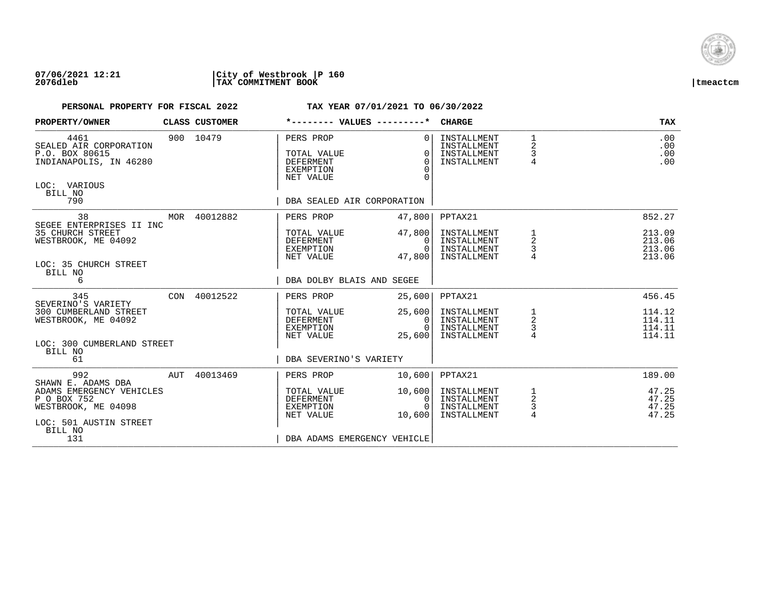

## **07/06/2021 12:21 |City of Westbrook |P 160 2076dleb |TAX COMMITMENT BOOK |tmeactcm**

| .00<br>.00<br>.00<br>.00             |
|--------------------------------------|
|                                      |
|                                      |
| 852.27                               |
| 213.09<br>213.06<br>213.06<br>213.06 |
|                                      |
|                                      |
| 456.45                               |
| 114.12<br>114.11<br>114.11<br>114.11 |
|                                      |
|                                      |
| 189.00                               |
| 47.25<br>47.25<br>47.25<br>47.25     |
|                                      |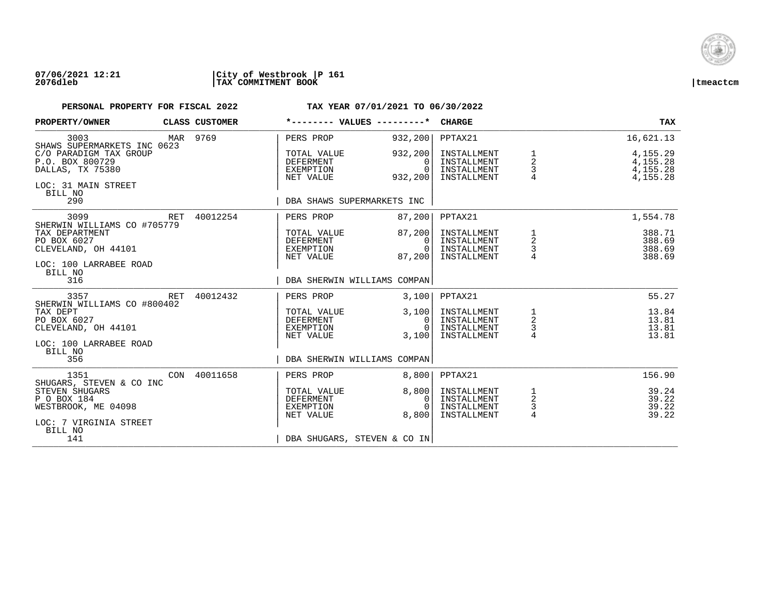

### **07/06/2021 12:21 |City of Westbrook |P 161 2076dleb |TAX COMMITMENT BOOK |tmeactcm**

| PROPERTY/OWNER                                                                                                                       |          | CLASS CUSTOMER                                     |                                                                        | *-------- VALUES ---------*                                                    | <b>CHARGE</b>                                            |                                      | <b>TAX</b>                                       |
|--------------------------------------------------------------------------------------------------------------------------------------|----------|----------------------------------------------------|------------------------------------------------------------------------|--------------------------------------------------------------------------------|----------------------------------------------------------|--------------------------------------|--------------------------------------------------|
| 3003<br>SHAWS SUPERMARKETS INC 0623                                                                                                  | MAR 9769 |                                                    | PERS PROP                                                              | 932,200                                                                        | PPTAX21                                                  |                                      | 16,621.13                                        |
| C/O PARADIGM TAX GROUP<br>P.O. BOX 800729<br>DALLAS, TX 75380                                                                        |          |                                                    | TOTAL VALUE<br><b>DEFERMENT</b><br>EXEMPTION<br>NET VALUE              | 932,200<br>$\Omega$<br>$\Omega$<br>932,200                                     | INSTALLMENT<br>INSTALLMENT<br>INSTALLMENT<br>INSTALLMENT | 1<br>2<br>3                          | 4,155.29<br>4, 155. 28<br>4,155.28<br>4, 155. 28 |
| LOC: 31 MAIN STREET<br>BILL NO<br>290                                                                                                |          |                                                    | DBA SHAWS SUPERMARKETS INC                                             |                                                                                |                                                          |                                      |                                                  |
| 3099<br>SHERWIN WILLIAMS CO #705779                                                                                                  | RET      | 40012254                                           | PERS PROP                                                              | 87,200                                                                         | PPTAX21                                                  |                                      | 1,554.78                                         |
| TAX DEPARTMENT<br>PO BOX 6027<br>CLEVELAND, OH 44101<br>LOC: 100 LARRABEE ROAD<br>BILL NO                                            |          |                                                    | TOTAL VALUE<br>DEFERMENT<br>EXEMPTION<br>NET VALUE                     | 87,200<br>0<br>$\Omega$<br>87,200                                              | INSTALLMENT<br>INSTALLMENT<br>INSTALLMENT<br>INSTALLMENT | $\frac{1}{2}$<br>$\frac{1}{4}$       | 388.71<br>388.69<br>388.69<br>388.69             |
| 316                                                                                                                                  |          |                                                    |                                                                        | DBA SHERWIN WILLIAMS COMPAN                                                    |                                                          |                                      |                                                  |
| 3357                                                                                                                                 | RET      | 40012432                                           | PERS PROP                                                              | 3,100                                                                          | PPTAX21                                                  |                                      | 55.27                                            |
| SHERWIN WILLIAMS CO #800402<br>TAX DEPT<br>PO BOX 6027<br>CLEVELAND, OH 44101<br>LOC: 100 LARRABEE ROAD<br>BILL NO                   |          | TOTAL VALUE<br>DEFERMENT<br>EXEMPTION<br>NET VALUE | 3,100<br>0<br>$\Omega$<br>3,100<br>DBA SHERWIN WILLIAMS COMPAN         | INSTALLMENT<br>INSTALLMENT<br>INSTALLMENT<br>INSTALLMENT                       | $\begin{array}{c}\n1 \\ 2 \\ 3 \\ 4\n\end{array}$        | 13.84<br>13.81<br>13.81<br>13.81     |                                                  |
| 356                                                                                                                                  |          | 40011658                                           |                                                                        |                                                                                | PPTAX21                                                  |                                      | 156.90                                           |
| 1351<br>SHUGARS, STEVEN & CO INC<br>STEVEN SHUGARS<br>P O BOX 184<br>WESTBROOK, ME 04098<br>LOC: 7 VIRGINIA STREET<br>BILL NO<br>141 | CON      |                                                    | PERS PROP<br>TOTAL VALUE<br><b>DEFERMENT</b><br>EXEMPTION<br>NET VALUE | 8,800<br>8,800<br>$\Omega$<br>$\Omega$<br>8,800<br>DBA SHUGARS, STEVEN & CO IN | INSTALLMENT<br>INSTALLMENT<br>INSTALLMENT<br>INSTALLMENT | $\frac{1}{2}$<br>3<br>$\overline{4}$ | 39.24<br>39.22<br>39.22<br>39.22                 |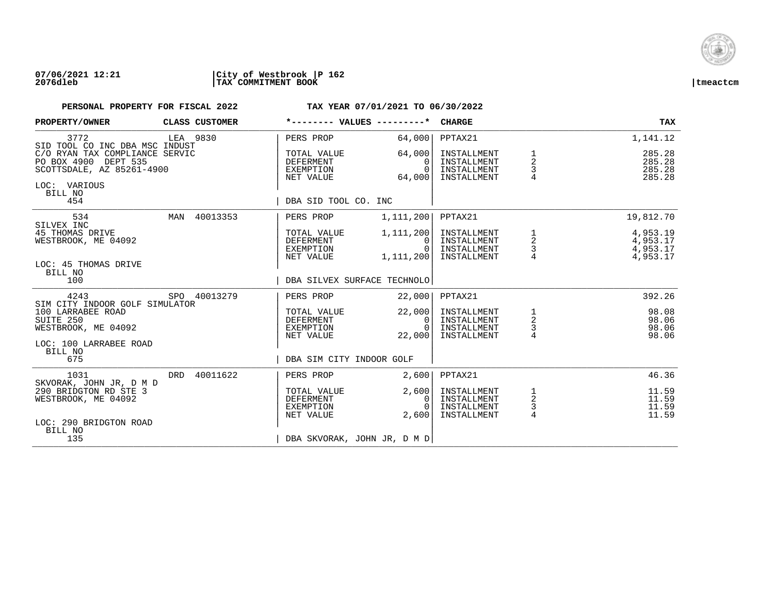

### **07/06/2021 12:21 |City of Westbrook |P 162 2076dleb |TAX COMMITMENT BOOK |tmeactcm**

| PROPERTY/OWNER                                                                                                 | CLASS CUSTOMER  | *-------- VALUES ---------*                               |                                          | <b>CHARGE</b>                                            |                                      | <b>TAX</b>                                   |
|----------------------------------------------------------------------------------------------------------------|-----------------|-----------------------------------------------------------|------------------------------------------|----------------------------------------------------------|--------------------------------------|----------------------------------------------|
| 3772<br>SID TOOL CO INC DBA MSC INDUST                                                                         | LEA 9830        | PERS PROP                                                 | 64,000                                   | PPTAX21                                                  |                                      | 1,141.12                                     |
| C/O RYAN TAX COMPLIANCE SERVIC<br>PO BOX 4900 DEPT 535<br>SCOTTSDALE, AZ 85261-4900<br>LOC: VARIOUS<br>BILL NO |                 | TOTAL VALUE<br><b>DEFERMENT</b><br>EXEMPTION<br>NET VALUE | 64,000<br>$\Omega$<br>$\Omega$<br>64,000 | INSTALLMENT<br>INSTALLMENT<br>INSTALLMENT<br>INSTALLMENT | 1<br>$\overline{\mathbf{c}}$<br>3    | 285.28<br>285.28<br>285.28<br>285.28         |
| 454                                                                                                            |                 | DBA SID TOOL CO. INC                                      |                                          |                                                          |                                      |                                              |
| 534<br>SILVEX INC                                                                                              | MAN 40013353    | PERS PROP                                                 | 1,111,200                                | PPTAX21                                                  |                                      | 19,812.70                                    |
| 45 THOMAS DRIVE<br>WESTBROOK, ME 04092                                                                         |                 | TOTAL VALUE<br>DEFERMENT<br>EXEMPTION<br>NET VALUE        | 1,111,200<br>0<br>$\Omega$<br>1,111,200  | INSTALLMENT<br>INSTALLMENT<br>INSTALLMENT<br>INSTALLMENT | 1<br>$\overline{a}$<br>$\frac{3}{4}$ | 4,953.19<br>4,953.17<br>4,953.17<br>4,953.17 |
| LOC: 45 THOMAS DRIVE<br>BILL NO<br>100                                                                         |                 | DBA SILVEX SURFACE TECHNOLO                               |                                          |                                                          |                                      |                                              |
| 4243<br>SIM CITY INDOOR GOLF SIMULATOR                                                                         | SPO 40013279    | PERS PROP                                                 | 22,000                                   | PPTAX21                                                  |                                      | 392.26                                       |
| 100 LARRABEE ROAD<br>SUITE 250<br>WESTBROOK, ME 04092                                                          |                 | TOTAL VALUE<br><b>DEFERMENT</b><br>EXEMPTION<br>NET VALUE | 22,000<br>0<br>$\Omega$<br>22,000        | INSTALLMENT<br>INSTALLMENT<br>INSTALLMENT<br>INSTALLMENT | $\frac{1}{2}$<br>$\frac{3}{4}$       | 98.08<br>98.06<br>98.06<br>98.06             |
| LOC: 100 LARRABEE ROAD<br>BILL NO<br>675                                                                       |                 | DBA SIM CITY INDOOR GOLF                                  |                                          |                                                          |                                      |                                              |
| 1031<br>SKVORAK, JOHN JR, D M D                                                                                | 40011622<br>DRD | PERS PROP                                                 | 2.600                                    | PPTAX21                                                  |                                      | 46.36                                        |
| 290 BRIDGTON RD STE 3<br>WESTBROOK, ME 04092                                                                   |                 | TOTAL VALUE<br>DEFERMENT<br>EXEMPTION<br>NET VALUE        | 2,600<br>0<br>$\cap$<br>2,600            | INSTALLMENT<br>INSTALLMENT<br>INSTALLMENT<br>INSTALLMENT | $\frac{1}{2}$<br>$\frac{3}{4}$       | 11.59<br>11.59<br>11.59<br>11.59             |
| LOC: 290 BRIDGTON ROAD<br>BILL NO<br>135                                                                       |                 | DBA SKVORAK, JOHN JR, D M D                               |                                          |                                                          |                                      |                                              |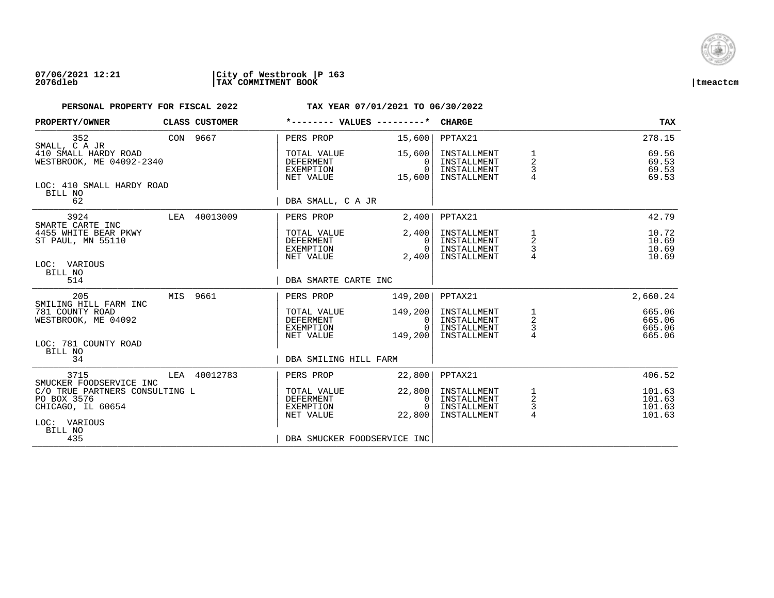

## **07/06/2021 12:21 |City of Westbrook |P 163 2076dleb |TAX COMMITMENT BOOK |tmeactcm**

| PROPERTY/OWNER                                                     |          | CLASS CUSTOMER |                                                           |  | *-------- VALUES ---------* CHARGE                 |                                                          |                                                     | <b>TAX</b>                           |
|--------------------------------------------------------------------|----------|----------------|-----------------------------------------------------------|--|----------------------------------------------------|----------------------------------------------------------|-----------------------------------------------------|--------------------------------------|
| 352<br>SMALL, C A JR                                               | CON 9667 |                | PERS PROP                                                 |  |                                                    | 15,600 PPTAX21                                           |                                                     | 278.15                               |
| 410 SMALL HARDY ROAD<br>WESTBROOK, ME 04092-2340                   |          |                | TOTAL VALUE<br><b>DEFERMENT</b><br>EXEMPTION<br>NET VALUE |  | 15,600<br>$\Omega$<br>$\Omega$<br>15,600           | INSTALLMENT<br>INSTALLMENT<br>INSTALLMENT<br>INSTALLMENT | 1<br>$\overline{\mathbf{c}}$<br>3<br>$\overline{4}$ | 69.56<br>69.53<br>69.53<br>69.53     |
| LOC: 410 SMALL HARDY ROAD<br>BILL NO<br>62                         |          |                | DBA SMALL, C A JR                                         |  |                                                    |                                                          |                                                     |                                      |
| 3924                                                               |          | LEA 40013009   | PERS PROP                                                 |  | 2,400                                              | PPTAX21                                                  |                                                     | 42.79                                |
| SMARTE CARTE INC<br>4455 WHITE BEAR PKWY<br>ST PAUL, MN 55110      |          |                | TOTAL VALUE<br>DEFERMENT<br>EXEMPTION<br>NET VALUE        |  | 2,400<br>0 <sup>1</sup><br>0 <sup>1</sup><br>2,400 | INSTALLMENT<br>INSTALLMENT<br>INSTALLMENT<br>INSTALLMENT | 1<br>$\overline{\mathbf{c}}$<br>3                   | 10.72<br>10.69<br>10.69<br>10.69     |
| LOC: VARIOUS<br>BILL NO<br>514                                     |          |                | DBA SMARTE CARTE INC                                      |  |                                                    |                                                          |                                                     |                                      |
| 205<br>SMILING HILL FARM INC                                       |          | MIS 9661       | PERS PROP                                                 |  | 149,200                                            | PPTAX21                                                  |                                                     | 2,660.24                             |
| 781 COUNTY ROAD<br>WESTBROOK, ME 04092                             |          |                | TOTAL VALUE<br>DEFERMENT<br>EXEMPTION<br>NET VALUE        |  | 149,200<br>0 I<br>$\Omega$<br>149,200              | INSTALLMENT<br>INSTALLMENT<br>INSTALLMENT<br>INSTALLMENT | $\frac{1}{2}$<br>$\frac{3}{4}$                      | 665.06<br>665.06<br>665.06<br>665.06 |
| LOC: 781 COUNTY ROAD<br>BILL NO<br>34                              |          |                | DBA SMILING HILL FARM                                     |  |                                                    |                                                          |                                                     |                                      |
| 3715<br>SMUCKER FOODSERVICE INC                                    |          | LEA 40012783   | PERS PROP                                                 |  | 22,800                                             | PPTAX21                                                  |                                                     | 406.52                               |
| C/O TRUE PARTNERS CONSULTING L<br>PO BOX 3576<br>CHICAGO, IL 60654 |          |                | TOTAL VALUE<br>DEFERMENT<br>EXEMPTION<br>NET VALUE        |  | 22,800<br>0 <sup>1</sup><br>$\Omega$<br>22,800     | INSTALLMENT<br>INSTALLMENT<br>INSTALLMENT<br>INSTALLMENT | $\frac{1}{2}$<br>3<br>4                             | 101.63<br>101.63<br>101.63<br>101.63 |
| LOC: VARIOUS<br>BILL NO<br>435                                     |          |                |                                                           |  | DBA SMUCKER FOODSERVICE INC                        |                                                          |                                                     |                                      |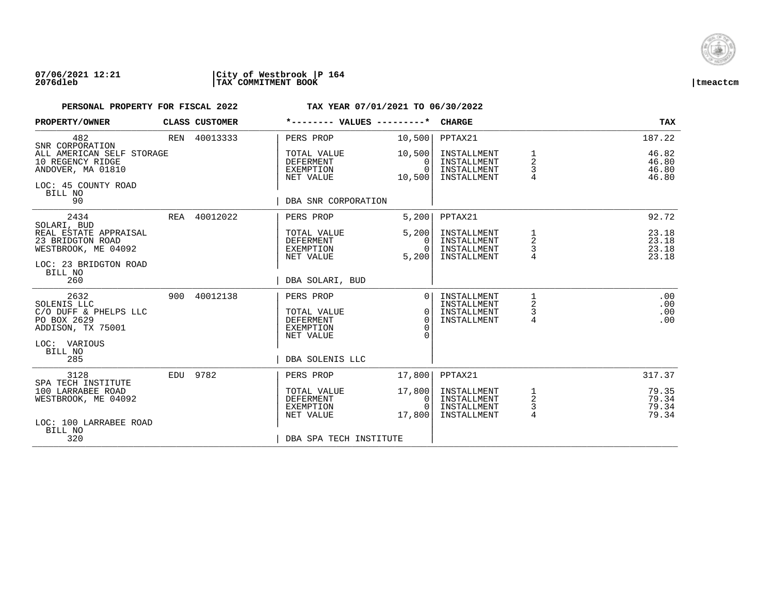

### **07/06/2021 12:21 |City of Westbrook |P 164 2076dleb |TAX COMMITMENT BOOK |tmeactcm**

| PROPERTY/OWNER                                                                                       |     | CLASS CUSTOMER | *-------- VALUES ---------*                               |                                          | <b>CHARGE</b>                                            |                               | <b>TAX</b>                       |
|------------------------------------------------------------------------------------------------------|-----|----------------|-----------------------------------------------------------|------------------------------------------|----------------------------------------------------------|-------------------------------|----------------------------------|
| 482<br>SNR CORPORATION                                                                               |     | REN 40013333   | PERS PROP                                                 | 10,500                                   | PPTAX21                                                  |                               | 187.22                           |
| ALL AMERICAN SELF STORAGE<br>10 REGENCY RIDGE<br>ANDOVER, MA 01810<br>LOC: 45 COUNTY ROAD<br>BILL NO |     |                | TOTAL VALUE<br><b>DEFERMENT</b><br>EXEMPTION<br>NET VALUE | 10,500<br>$\Omega$<br>$\Omega$<br>10,500 | INSTALLMENT<br>INSTALLMENT<br>INSTALLMENT<br>INSTALLMENT | $\overline{2}$<br>3<br>4      | 46.82<br>46.80<br>46.80<br>46.80 |
| 90                                                                                                   |     |                | DBA SNR CORPORATION                                       |                                          |                                                          |                               |                                  |
| 2434<br>SOLARI, BUD                                                                                  |     | REA 40012022   | PERS PROP                                                 | 5,200                                    | PPTAX21                                                  |                               | 92.72                            |
| REAL ESTATE APPRAISAL<br>23 BRIDGTON ROAD<br>WESTBROOK, ME 04092                                     |     |                | TOTAL VALUE<br>DEFERMENT<br>EXEMPTION<br>NET VALUE        | 5,200<br>$\Omega$<br>$\Omega$<br>5,200   | INSTALLMENT<br>INSTALLMENT<br>INSTALLMENT<br>INSTALLMENT | 1<br>2<br>3                   | 23.18<br>23.18<br>23.18<br>23.18 |
| LOC: 23 BRIDGTON ROAD<br>BILL NO<br>260                                                              |     |                | DBA SOLARI, BUD                                           |                                          |                                                          |                               |                                  |
| 2632<br>SOLENIS LLC<br>C/O DUFF & PHELPS LLC<br>PO BOX 2629<br>ADDISON, TX 75001                     | 900 | 40012138       | PERS PROP<br>TOTAL VALUE<br>DEFERMENT<br><b>EXEMPTION</b> | $\Omega$<br>$\Omega$<br>$\Omega$<br>∩    | INSTALLMENT<br>INSTALLMENT<br>INSTALLMENT<br>INSTALLMENT | 1<br>2<br>3<br>4              | .00<br>.00<br>.00<br>.00         |
| LOC: VARIOUS<br>BILL NO<br>285                                                                       |     |                | NET VALUE<br>DBA SOLENIS LLC                              | ∩                                        |                                                          |                               |                                  |
| 3128<br>SPA TECH INSTITUTE                                                                           |     | EDU 9782       | PERS PROP                                                 | 17,800                                   | PPTAX21                                                  |                               | 317.37                           |
| 100 LARRABEE ROAD<br>WESTBROOK, ME 04092                                                             |     |                | TOTAL VALUE<br><b>DEFERMENT</b><br>EXEMPTION<br>NET VALUE | 17,800<br>0<br>$\Omega$<br>17,800        | INSTALLMENT<br>INSTALLMENT<br>INSTALLMENT<br>INSTALLMENT | 1<br>$\overline{c}$<br>3<br>4 | 79.35<br>79.34<br>79.34<br>79.34 |
| LOC: 100 LARRABEE ROAD<br>BILL NO<br>320                                                             |     |                | DBA SPA TECH INSTITUTE                                    |                                          |                                                          |                               |                                  |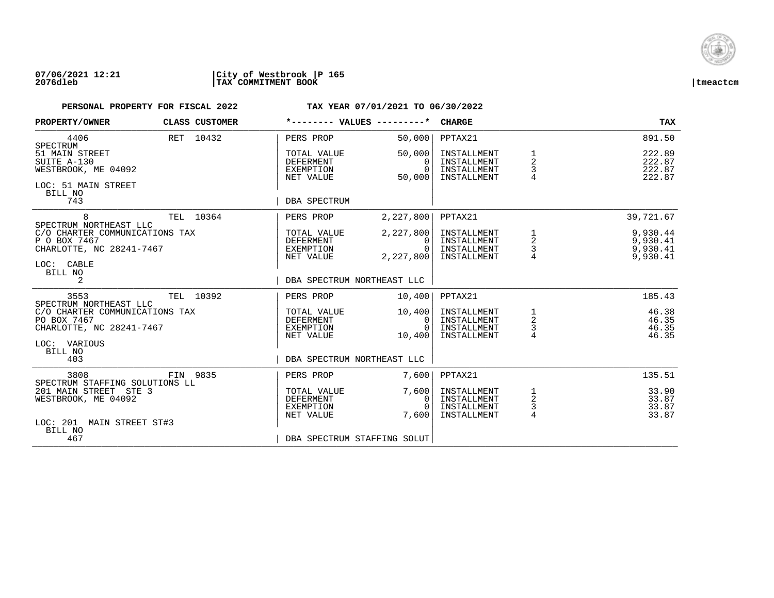

### **07/06/2021 12:21 |City of Westbrook |P 165 2076dleb |TAX COMMITMENT BOOK |tmeactcm**

| PROPERTY/OWNER                                                                                                                 | CLASS CUSTOMER | *-------- VALUES ---------*                               |                                                | <b>CHARGE</b>                                            |                                                   | <b>TAX</b>                                   |
|--------------------------------------------------------------------------------------------------------------------------------|----------------|-----------------------------------------------------------|------------------------------------------------|----------------------------------------------------------|---------------------------------------------------|----------------------------------------------|
| 4406<br>SPECTRUM                                                                                                               | RET 10432      | PERS PROP                                                 | 50,000                                         | PPTAX21                                                  |                                                   | 891.50                                       |
| 51 MAIN STREET<br>SUITE A-130<br>WESTBROOK, ME 04092<br>LOC: 51 MAIN STREET<br>BILL NO                                         |                | TOTAL VALUE<br><b>DEFERMENT</b><br>EXEMPTION<br>NET VALUE | 50,000<br>$\Omega$<br>$\Omega$<br>50,000       | INSTALLMENT<br>INSTALLMENT<br>INSTALLMENT<br>INSTALLMENT | 1<br>$\overline{2}$<br>3<br>$\overline{4}$        | 222.89<br>222.87<br>222.87<br>222.87         |
| 743                                                                                                                            |                | DBA SPECTRUM                                              |                                                |                                                          |                                                   |                                              |
| 8<br>SPECTRUM NORTHEAST LLC                                                                                                    | TEL 10364      | PERS PROP                                                 | 2,227,800                                      | PPTAX21                                                  |                                                   | 39,721.67                                    |
| C/O CHARTER COMMUNICATIONS TAX<br>P O BOX 7467<br>CHARLOTTE, NC 28241-7467<br>LOC: CABLE<br>BILL NO                            |                | TOTAL VALUE<br>DEFERMENT<br>EXEMPTION<br>NET VALUE        | 2,227,800<br>$\Omega$<br>$\Omega$<br>2,227,800 | INSTALLMENT<br>INSTALLMENT<br>INSTALLMENT<br>INSTALLMENT | 1<br>$\begin{array}{c} 2 \\ 3 \\ 4 \end{array}$   | 9,930.44<br>9,930.41<br>9,930.41<br>9,930.41 |
| 2                                                                                                                              |                | DBA SPECTRUM NORTHEAST LLC                                |                                                |                                                          |                                                   |                                              |
| 3553                                                                                                                           | TEL 10392      | PERS PROP                                                 | 10,400                                         | PPTAX21                                                  |                                                   | 185.43                                       |
| SPECTRUM NORTHEAST LLC<br>C/O CHARTER COMMUNICATIONS TAX<br>PO BOX 7467<br>CHARLOTTE, NC 28241-7467<br>LOC: VARIOUS<br>BILL NO |                | TOTAL VALUE<br>DEFERMENT<br>EXEMPTION<br>NET VALUE        | 10,400<br>$\mathbf{0}$<br>$\Omega$<br>10,400   | INSTALLMENT<br>INSTALLMENT<br>INSTALLMENT<br>INSTALLMENT | $\begin{array}{c}\n1 \\ 2 \\ 3 \\ 4\n\end{array}$ | 46.38<br>46.35<br>46.35<br>46.35             |
| 403                                                                                                                            |                | DBA SPECTRUM NORTHEAST LLC                                |                                                |                                                          |                                                   |                                              |
| 3808<br>SPECTRUM STAFFING SOLUTIONS LL                                                                                         | FIN 9835       | PERS PROP                                                 | 7,600                                          | PPTAX21                                                  |                                                   | 135.51                                       |
| 201 MAIN STREET STE 3<br>WESTBROOK, ME 04092<br>LOC: 201 MAIN STREET ST#3                                                      |                | TOTAL VALUE<br><b>DEFERMENT</b><br>EXEMPTION<br>NET VALUE | 7,600<br>0<br>$\Omega$<br>7,600                | INSTALLMENT<br>INSTALLMENT<br>INSTALLMENT<br>INSTALLMENT | $\frac{1}{2}$<br>$\frac{3}{4}$                    | 33.90<br>33.87<br>33.87<br>33.87             |
| BILL NO<br>467                                                                                                                 |                | DBA SPECTRUM STAFFING SOLUT                               |                                                |                                                          |                                                   |                                              |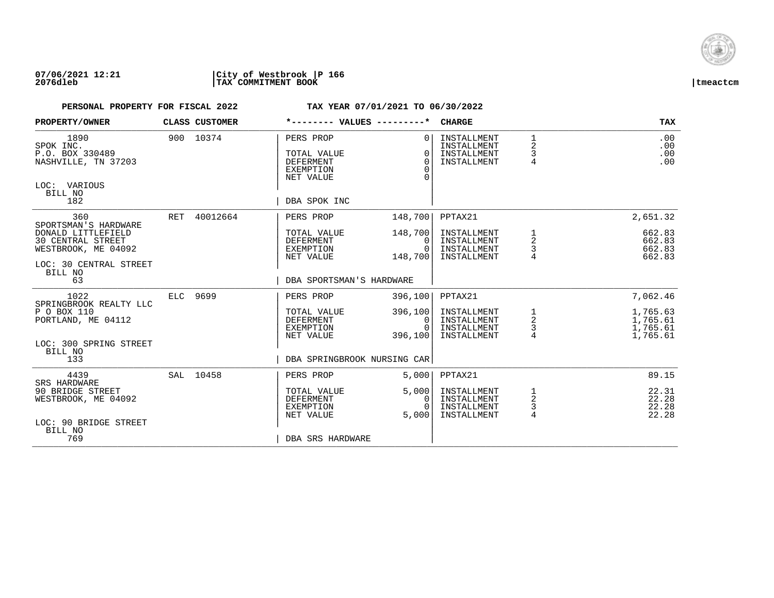

| PROPERTY/OWNER                                                                                                                     |     | CLASS CUSTOMER |                                                                                               | *-------- VALUES ---------*                  | <b>CHARGE</b>                                            |                                         | <b>TAX</b>                                   |
|------------------------------------------------------------------------------------------------------------------------------------|-----|----------------|-----------------------------------------------------------------------------------------------|----------------------------------------------|----------------------------------------------------------|-----------------------------------------|----------------------------------------------|
| 1890<br>SPOK INC.<br>P.O. BOX 330489<br>NASHVILLE, TN 37203<br>LOC: VARIOUS<br>BILL NO<br>182                                      |     | 900 10374      | PERS PROP<br>TOTAL VALUE<br><b>DEFERMENT</b><br><b>EXEMPTION</b><br>NET VALUE<br>DBA SPOK INC | $\Omega$<br>$\Omega$<br>$\Omega$<br>$\Omega$ | INSTALLMENT<br>INSTALLMENT<br>INSTALLMENT<br>INSTALLMENT | $\mathbf 1$<br>2<br>3<br>$\overline{4}$ | .00<br>.00<br>.00<br>.00                     |
| 360                                                                                                                                | RET | 40012664       | PERS PROP                                                                                     | 148,700                                      | PPTAX21                                                  |                                         | 2,651.32                                     |
| SPORTSMAN'S HARDWARE<br>DONALD LITTLEFIELD<br><b>30 CENTRAL STREET</b><br>WESTBROOK, ME 04092<br>LOC: 30 CENTRAL STREET<br>BILL NO |     |                | TOTAL VALUE<br>DEFERMENT<br>EXEMPTION<br>NET VALUE                                            | 148,700<br>0<br>$\Omega$<br>148,700          | INSTALLMENT<br>INSTALLMENT<br>INSTALLMENT<br>INSTALLMENT | $\frac{1}{2}$<br>3<br>4                 | 662.83<br>662.83<br>662.83<br>662.83         |
| 63                                                                                                                                 |     |                | DBA SPORTSMAN'S HARDWARE                                                                      |                                              |                                                          |                                         |                                              |
| 1022<br>SPRINGBROOK REALTY LLC                                                                                                     |     | ELC 9699       | PERS PROP                                                                                     | 396,100                                      | PPTAX21                                                  |                                         | 7,062.46                                     |
| P O BOX 110<br>PORTLAND, ME 04112<br>LOC: 300 SPRING STREET<br>BILL NO                                                             |     |                | TOTAL VALUE<br>DEFERMENT<br>EXEMPTION<br>NET VALUE                                            | 396,100<br>0<br>$\Omega$<br>396,100          | INSTALLMENT<br>INSTALLMENT<br>INSTALLMENT<br>INSTALLMENT | 1<br>$\overline{\mathbf{c}}$<br>3<br>4  | 1,765.63<br>1,765.61<br>1,765.61<br>1,765.61 |
| 133                                                                                                                                |     |                |                                                                                               | DBA SPRINGBROOK NURSING CAR                  |                                                          |                                         |                                              |
| 4439<br>SRS HARDWARE                                                                                                               |     | SAL 10458      | PERS PROP                                                                                     | 5,000                                        | PPTAX21                                                  |                                         | 89.15                                        |
| 90 BRIDGE STREET<br>WESTBROOK, ME 04092                                                                                            |     |                | TOTAL VALUE<br><b>DEFERMENT</b><br>EXEMPTION<br>NET VALUE                                     | 5,000<br>$\Omega$<br>$\Omega$<br>5,000       | INSTALLMENT<br>INSTALLMENT<br>INSTALLMENT<br>INSTALLMENT | 1<br>2<br>3<br>$\overline{4}$           | 22.31<br>22.28<br>22.28<br>22.28             |
| LOC: 90 BRIDGE STREET<br>BILL NO<br>769                                                                                            |     |                | DBA SRS HARDWARE                                                                              |                                              |                                                          |                                         |                                              |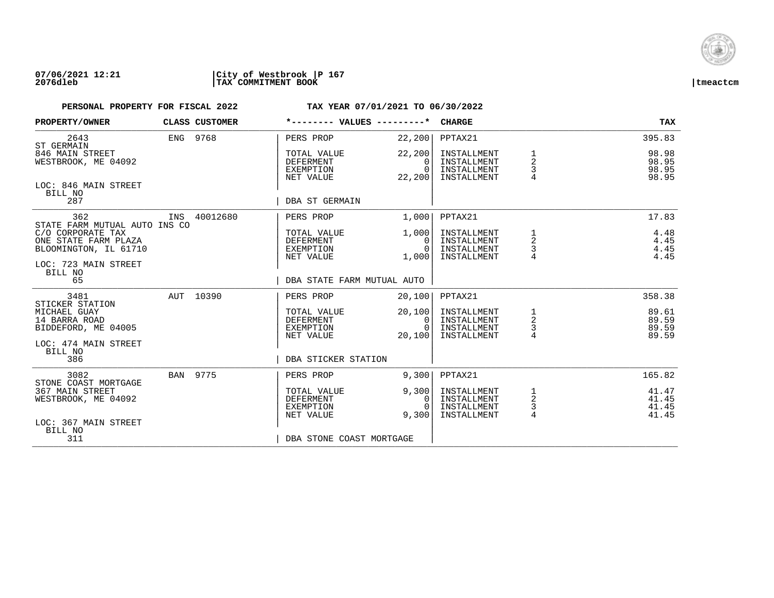

## **07/06/2021 12:21 |City of Westbrook |P 167 2076dleb |TAX COMMITMENT BOOK |tmeactcm**

| PROPERTY/OWNER                                                                             |     | CLASS CUSTOMER |                                                    | *-------- VALUES ---------*                  | <b>CHARGE</b>                                            |                                        | <b>TAX</b>                       |
|--------------------------------------------------------------------------------------------|-----|----------------|----------------------------------------------------|----------------------------------------------|----------------------------------------------------------|----------------------------------------|----------------------------------|
| 2643<br>ST GERMAIN                                                                         |     | ENG 9768       | PERS PROP                                          | 22, 200                                      | PPTAX21                                                  |                                        | 395.83                           |
| 846 MAIN STREET<br>WESTBROOK, ME 04092                                                     |     |                | TOTAL VALUE<br>DEFERMENT<br>EXEMPTION<br>NET VALUE | 22,200<br>$\Omega$<br>$\Omega$<br>22, 200    | INSTALLMENT<br>INSTALLMENT<br>INSTALLMENT<br>INSTALLMENT | 1<br>2<br>3                            | 98.98<br>98.95<br>98.95<br>98.95 |
| LOC: 846 MAIN STREET<br>BILL NO<br>287                                                     |     |                | DBA ST GERMAIN                                     |                                              |                                                          |                                        |                                  |
| 362<br>STATE FARM MUTUAL AUTO INS CO                                                       | INS | 40012680       | PERS PROP                                          | 1,000                                        | PPTAX21                                                  |                                        | 17.83                            |
| C/O CORPORATE TAX<br>ONE STATE FARM PLAZA<br>BLOOMINGTON, IL 61710<br>LOC: 723 MAIN STREET |     |                | TOTAL VALUE<br>DEFERMENT<br>EXEMPTION<br>NET VALUE | 1,000<br>$\mathbf{0}$<br>$\Omega$<br>1,000   | INSTALLMENT<br>INSTALLMENT<br>INSTALLMENT<br>INSTALLMENT | 1<br>$\overline{a}$<br>3               | 4.48<br>4.45<br>4.45<br>4.45     |
| BILL NO<br>65                                                                              |     |                |                                                    | DBA STATE FARM MUTUAL AUTO                   |                                                          |                                        |                                  |
| 3481<br>STICKER STATION                                                                    |     | AUT 10390      | PERS PROP                                          | 20,100                                       | PPTAX21                                                  |                                        | 358.38                           |
| MICHAEL GUAY<br>14 BARRA ROAD<br>BIDDEFORD, ME 04005                                       |     |                | TOTAL VALUE<br>DEFERMENT<br>EXEMPTION<br>NET VALUE | 20,100<br>$\mathbf{0}$<br>$\Omega$<br>20,100 | INSTALLMENT<br>INSTALLMENT<br>INSTALLMENT<br>INSTALLMENT | $\frac{1}{2}$<br>4                     | 89.61<br>89.59<br>89.59<br>89.59 |
| LOC: 474 MAIN STREET<br>BILL NO<br>386                                                     |     |                | DBA STICKER STATION                                |                                              |                                                          |                                        |                                  |
| 3082<br>STONE COAST MORTGAGE                                                               |     | BAN 9775       | PERS PROP                                          | 9,300                                        | PPTAX21                                                  |                                        | 165.82                           |
| 367 MAIN STREET<br>WESTBROOK, ME 04092                                                     |     |                | TOTAL VALUE<br>DEFERMENT<br>EXEMPTION<br>NET VALUE | 9,300<br>0<br>$\cap$<br>9,300                | INSTALLMENT<br>INSTALLMENT<br>INSTALLMENT<br>INSTALLMENT | 1<br>$\sqrt{2}$<br>3<br>$\overline{4}$ | 41.47<br>41.45<br>41.45<br>41.45 |
| LOC: 367 MAIN STREET<br>BILL NO<br>311                                                     |     |                | DBA STONE COAST MORTGAGE                           |                                              |                                                          |                                        |                                  |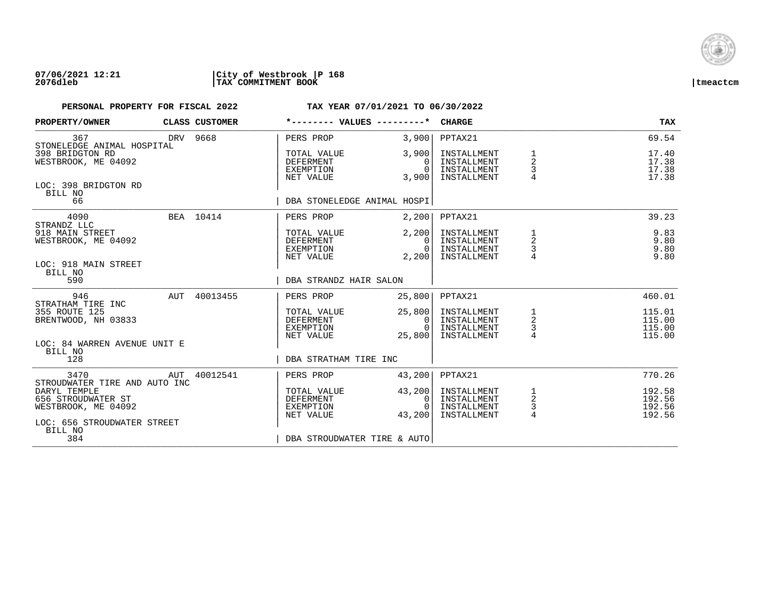

### **07/06/2021 12:21 |City of Westbrook |P 168 2076dleb |TAX COMMITMENT BOOK |tmeactcm**

| PROPERTY/OWNER                                                                           |          | CLASS CUSTOMER |                                                                  | *-------- VALUES ---------*       | <b>CHARGE</b>                                            |                                 | <b>TAX</b>                           |
|------------------------------------------------------------------------------------------|----------|----------------|------------------------------------------------------------------|-----------------------------------|----------------------------------------------------------|---------------------------------|--------------------------------------|
| 367<br>STONELEDGE ANIMAL HOSPITAL                                                        | DRV 9668 |                | PERS PROP                                                        | 3,900                             | PPTAX21                                                  |                                 | 69.54                                |
| 398 BRIDGTON RD<br>WESTBROOK, ME 04092                                                   |          |                | TOTAL VALUE<br>DEFERMENT<br>EXEMPTION<br>NET VALUE               | 3,900<br>0<br>$\Omega$<br>3,900   | INSTALLMENT<br>INSTALLMENT<br>INSTALLMENT<br>INSTALLMENT | 1<br>$\overline{c}$<br>3        | 17.40<br>17.38<br>17.38<br>17.38     |
| LOC: 398 BRIDGTON RD<br>BILL NO<br>66                                                    |          |                |                                                                  | DBA STONELEDGE ANIMAL HOSPI       |                                                          |                                 |                                      |
| 4090<br>STRANDZ LLC                                                                      |          | BEA 10414      | PERS PROP                                                        | 2,200                             | PPTAX21                                                  |                                 | 39.23                                |
| 918 MAIN STREET<br>WESTBROOK, ME 04092<br>LOC: 918 MAIN STREET                           |          |                | TOTAL VALUE<br><b>DEFERMENT</b><br>EXEMPTION<br>NET VALUE        | 2,200<br>0<br>$\Omega$<br>2,200   | INSTALLMENT<br>INSTALLMENT<br>INSTALLMENT<br>INSTALLMENT | $\frac{3}{4}$                   | 9.83<br>9.80<br>9.80<br>9.80         |
| BILL NO<br>590                                                                           |          |                |                                                                  | DBA STRANDZ HAIR SALON            |                                                          |                                 |                                      |
| 946<br>STRATHAM TIRE INC                                                                 |          | AUT 40013455   | PERS PROP                                                        | 25,800                            | PPTAX21                                                  |                                 | 460.01                               |
| 355 ROUTE 125<br>BRENTWOOD, NH 03833                                                     |          |                | TOTAL VALUE<br>DEFERMENT<br>EXEMPTION<br>NET VALUE               | 25,800<br>0<br>$\Omega$<br>25,800 | INSTALLMENT<br>INSTALLMENT<br>INSTALLMENT<br>INSTALLMENT | $\overline{2}$<br>$\frac{3}{4}$ | 115.01<br>115.00<br>115.00<br>115.00 |
| LOC: 84 WARREN AVENUE UNIT E<br>BILL NO<br>128                                           |          |                | DBA STRATHAM TIRE INC                                            |                                   |                                                          |                                 |                                      |
| 3470<br>STROUDWATER TIRE AND AUTO INC                                                    | AUT      | 40012541       | PERS PROP                                                        | 43,200                            | PPTAX21                                                  |                                 | 770.26                               |
| DARYL TEMPLE<br>656 STROUDWATER ST<br>WESTBROOK, ME 04092<br>LOC: 656 STROUDWATER STREET |          |                | TOTAL VALUE<br><b>DEFERMENT</b><br><b>EXEMPTION</b><br>NET VALUE | 43,200<br>$\Omega$<br>43,200      | INSTALLMENT<br>INSTALLMENT<br>INSTALLMENT<br>INSTALLMENT | $\frac{2}{3}$<br>$\overline{4}$ | 192.58<br>192.56<br>192.56<br>192.56 |
| BILL NO<br>384                                                                           |          |                |                                                                  | DBA STROUDWATER TIRE & AUTO       |                                                          |                                 |                                      |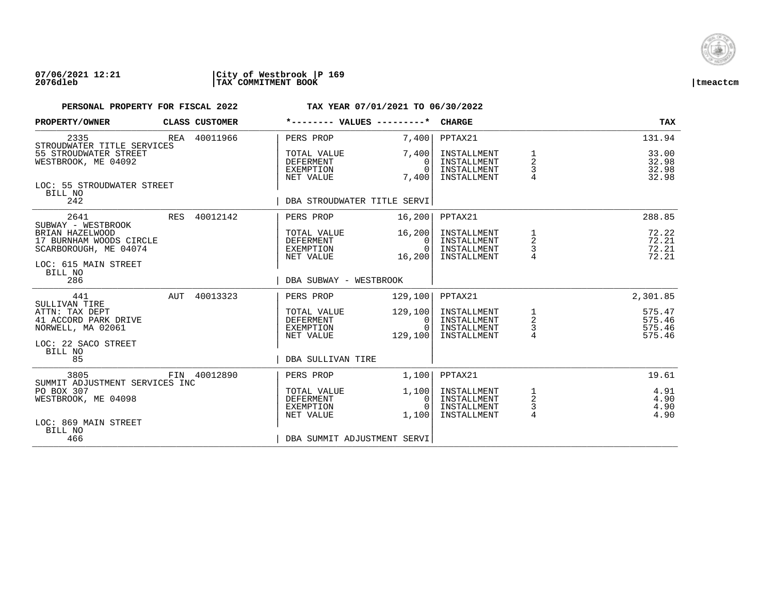

## **07/06/2021 12:21 |City of Westbrook |P 169 2076dleb |TAX COMMITMENT BOOK |tmeactcm**

| PROPERTY/OWNER                                                                                                    |     | CLASS CUSTOMER | *-------- VALUES ---------*                               |                                           | <b>CHARGE</b>                                            |                                                 | <b>TAX</b>                           |
|-------------------------------------------------------------------------------------------------------------------|-----|----------------|-----------------------------------------------------------|-------------------------------------------|----------------------------------------------------------|-------------------------------------------------|--------------------------------------|
| 2335<br>STROUDWATER TITLE SERVICES                                                                                |     | REA 40011966   | PERS PROP                                                 | 7.400                                     | PPTAX21                                                  |                                                 | 131.94                               |
| 55 STROUDWATER STREET<br>WESTBROOK, ME 04092                                                                      |     |                | TOTAL VALUE<br>DEFERMENT<br>EXEMPTION<br>NET VALUE        | 7.400<br>$\Omega$<br>$\Omega$<br>7,400    | INSTALLMENT<br>INSTALLMENT<br>INSTALLMENT<br>INSTALLMENT | $\overline{a}$<br>$\frac{3}{4}$                 | 33.00<br>32.98<br>32.98<br>32.98     |
| LOC: 55 STROUDWATER STREET<br>BILL NO<br>242                                                                      |     |                | DBA STROUDWATER TITLE SERVI                               |                                           |                                                          |                                                 |                                      |
| 2641                                                                                                              |     | RES 40012142   | PERS PROP                                                 | 16,200                                    | PPTAX21                                                  |                                                 | 288.85                               |
| SUBWAY - WESTBROOK<br>BRIAN HAZELWOOD<br>17 BURNHAM WOODS CIRCLE<br>SCARBOROUGH, ME 04074<br>LOC: 615 MAIN STREET |     |                | TOTAL VALUE<br>DEFERMENT<br>EXEMPTION<br>NET VALUE        | 16, 200<br>$\Omega$<br>$\Omega$<br>16,200 | INSTALLMENT<br>INSTALLMENT<br>INSTALLMENT<br>INSTALLMENT | $\frac{1}{2}$<br>$\frac{3}{4}$                  | 72.22<br>72.21<br>72.21<br>72.21     |
| BILL NO<br>286                                                                                                    |     |                | DBA SUBWAY - WESTBROOK                                    |                                           |                                                          |                                                 |                                      |
| 441                                                                                                               | AUT | 40013323       | PERS PROP                                                 | 129,100                                   | PPTAX21                                                  |                                                 | 2,301.85                             |
| SULLIVAN TIRE<br>ATTN: TAX DEPT<br>41 ACCORD PARK DRIVE<br>NORWELL, MA 02061                                      |     |                | TOTAL VALUE<br>DEFERMENT<br>EXEMPTION<br>NET VALUE        | 129,100<br>0<br>$\Omega$<br>129,100       | INSTALLMENT<br>INSTALLMENT<br>INSTALLMENT<br>INSTALLMENT | $\frac{1}{2}$<br>$\frac{3}{4}$                  | 575.47<br>575.46<br>575.46<br>575.46 |
| LOC: 22 SACO STREET<br>BILL NO<br>85                                                                              |     |                | DBA SULLIVAN TIRE                                         |                                           |                                                          |                                                 |                                      |
| 3805<br>SUMMIT ADJUSTMENT SERVICES INC                                                                            |     | FIN 40012890   | PERS PROP                                                 | 1,100                                     | PPTAX21                                                  |                                                 | 19.61                                |
| PO BOX 307<br>WESTBROOK, ME 04098                                                                                 |     |                | TOTAL VALUE<br><b>DEFERMENT</b><br>EXEMPTION<br>NET VALUE | 1,100<br>0<br>$\Omega$<br>1,100           | INSTALLMENT<br>INSTALLMENT<br>INSTALLMENT<br>INSTALLMENT | $\mathbf{1}$<br>$\overline{a}$<br>$\frac{3}{4}$ | 4.91<br>4.90<br>4.90<br>4.90         |
| LOC: 869 MAIN STREET<br>BILL NO<br>466                                                                            |     |                | DBA SUMMIT ADJUSTMENT SERVI                               |                                           |                                                          |                                                 |                                      |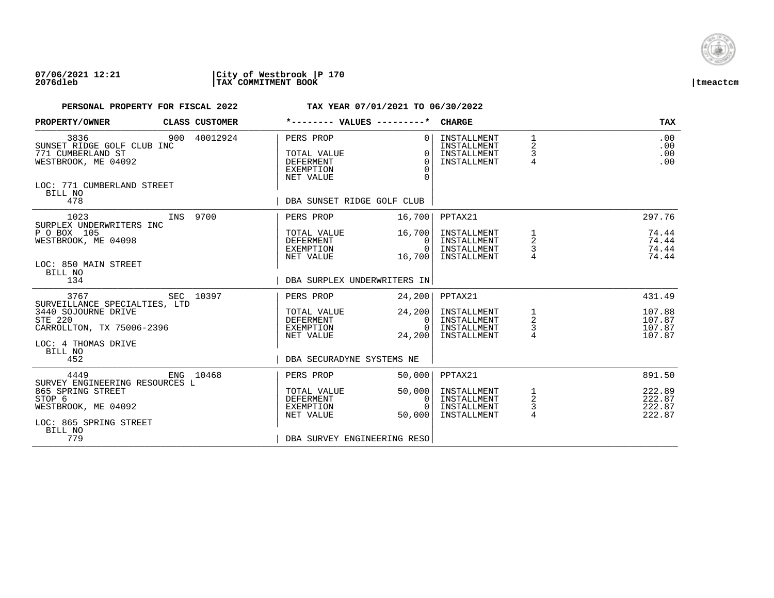

### **07/06/2021 12:21 |City of Westbrook |P 170 2076dleb |TAX COMMITMENT BOOK |tmeactcm**

| PROPERTY/OWNER                                                                                                                               | CLASS CUSTOMER | *-------- VALUES ---------*                                                              |                                          | <b>CHARGE</b>                                            |                                                 | <b>TAX</b>                           |
|----------------------------------------------------------------------------------------------------------------------------------------------|----------------|------------------------------------------------------------------------------------------|------------------------------------------|----------------------------------------------------------|-------------------------------------------------|--------------------------------------|
| 3836<br>SUNSET RIDGE GOLF CLUB INC<br>771 CUMBERLAND ST<br>WESTBROOK, ME 04092<br>LOC: 771 CUMBERLAND STREET<br>BILL NO<br>478               | 900 40012924   | PERS PROP<br>TOTAL VALUE<br><b>DEFERMENT</b><br>EXEMPTION<br>NET VALUE                   | $\Omega$<br>$\Omega$<br>$\Omega$<br>∩    | INSTALLMENT<br>INSTALLMENT<br>INSTALLMENT<br>INSTALLMENT | $\begin{array}{c} 1 \\ 2 \\ 3 \\ 4 \end{array}$ | .00<br>.00<br>.00<br>.00             |
|                                                                                                                                              |                | DBA SUNSET RIDGE GOLF CLUB                                                               |                                          |                                                          |                                                 |                                      |
| 1023<br>INS 9700                                                                                                                             |                | PERS PROP                                                                                | 16,700                                   | PPTAX21                                                  |                                                 | 297.76                               |
| SURPLEX UNDERWRITERS INC<br>P O BOX 105<br>WESTBROOK, ME 04098<br>LOC: 850 MAIN STREET<br>BILL NO                                            |                | TOTAL VALUE<br>DEFERMENT<br>EXEMPTION<br>NET VALUE                                       | 16,700<br>$\Omega$<br>$\Omega$<br>16,700 | INSTALLMENT<br>INSTALLMENT<br>INSTALLMENT<br>INSTALLMENT | 1<br>2<br>$\frac{3}{4}$                         | 74.44<br>74.44<br>74.44<br>74.44     |
| 134                                                                                                                                          |                | DBA SURPLEX UNDERWRITERS IN                                                              |                                          |                                                          |                                                 |                                      |
| SEC 10397<br>3767                                                                                                                            |                | PERS PROP                                                                                | 24,200                                   | PPTAX21                                                  |                                                 | 431.49                               |
| SURVEILLANCE SPECIALTIES, LTD<br>3440 SOJOURNE DRIVE<br><b>STE 220</b><br>CARROLLTON, TX 75006-2396<br>LOC: 4 THOMAS DRIVE<br>BILL NO<br>452 |                | TOTAL VALUE<br>DEFERMENT<br>EXEMPTION<br>NET VALUE<br>DBA SECURADYNE SYSTEMS NE          | 24, 200<br> 0 <br>$\Omega$<br>24,200     | INSTALLMENT<br>INSTALLMENT<br>INSTALLMENT<br>INSTALLMENT | 1<br>$\overline{a}$<br>$\frac{3}{4}$            | 107.88<br>107.87<br>107.87<br>107.87 |
| 4449<br>ENG 10468                                                                                                                            |                | PERS PROP                                                                                | 50,000                                   | PPTAX21                                                  |                                                 | 891.50                               |
| SURVEY ENGINEERING RESOURCES L<br>865 SPRING STREET<br>STOP 6<br>WESTBROOK, ME 04092<br>LOC: 865 SPRING STREET<br>BILL NO<br>779             |                | TOTAL VALUE<br><b>DEFERMENT</b><br>EXEMPTION<br>NET VALUE<br>DBA SURVEY ENGINEERING RESO | 50,000<br>0<br>$\Omega$<br>50,000        | INSTALLMENT<br>INSTALLMENT<br>INSTALLMENT<br>INSTALLMENT | 1<br>$\mathbf 2$<br>$\frac{3}{4}$               | 222.89<br>222.87<br>222.87<br>222.87 |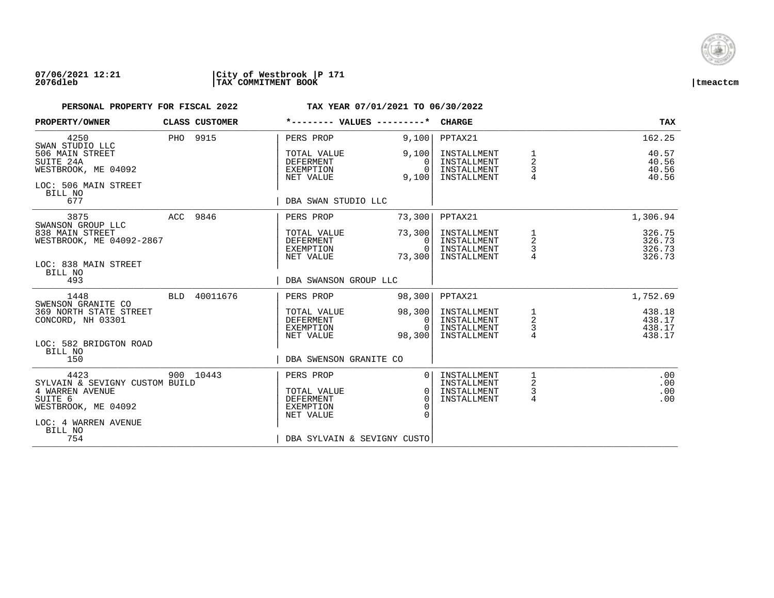

## **07/06/2021 12:21 |City of Westbrook |P 171 2076dleb |TAX COMMITMENT BOOK |tmeactcm**

| PROPERTY/OWNER                                                                      |            | CLASS CUSTOMER | *-------- VALUES ---------*                               |                                              | <b>CHARGE</b>                                            |                                 | <b>TAX</b>                           |
|-------------------------------------------------------------------------------------|------------|----------------|-----------------------------------------------------------|----------------------------------------------|----------------------------------------------------------|---------------------------------|--------------------------------------|
| 4250<br>SWAN STUDIO LLC                                                             |            | PHO 9915       | PERS PROP                                                 | 9,100                                        | PPTAX21                                                  |                                 | 162.25                               |
| 506 MAIN STREET<br>SUITE 24A<br>WESTBROOK, ME 04092<br>LOC: 506 MAIN STREET         |            |                | TOTAL VALUE<br><b>DEFERMENT</b><br>EXEMPTION<br>NET VALUE | 9,100<br>$\Omega$<br>$\Omega$<br>9,100       | INSTALLMENT<br>INSTALLMENT<br>INSTALLMENT<br>INSTALLMENT | 1<br>$\overline{2}$<br>3<br>4   | 40.57<br>40.56<br>40.56<br>40.56     |
| BILL NO<br>677                                                                      |            |                | DBA SWAN STUDIO LLC                                       |                                              |                                                          |                                 |                                      |
| 3875<br>SWANSON GROUP LLC                                                           |            | ACC 9846       | PERS PROP                                                 | 73,300                                       | PPTAX21                                                  |                                 | 1,306.94                             |
| 838 MAIN STREET<br>WESTBROOK, ME 04092-2867                                         |            |                | TOTAL VALUE<br>DEFERMENT<br>EXEMPTION<br>NET VALUE        | 73,300<br>$\Omega$<br>0<br>73,300            | INSTALLMENT<br>INSTALLMENT<br>INSTALLMENT<br>INSTALLMENT | 1<br>2<br>3                     | 326.75<br>326.73<br>326.73<br>326.73 |
| LOC: 838 MAIN STREET<br>BILL NO<br>493                                              |            |                | DBA SWANSON GROUP LLC                                     |                                              |                                                          |                                 |                                      |
| 1448<br>SWENSON GRANITE CO                                                          | <b>BLD</b> | 40011676       | PERS PROP                                                 | 98,300                                       | PPTAX21                                                  |                                 | 1,752.69                             |
| 369 NORTH STATE STREET<br>CONCORD, NH 03301                                         |            |                | TOTAL VALUE<br>DEFERMENT<br>EXEMPTION<br>NET VALUE        | 98,300<br>0<br>$\Omega$<br>98,300            | INSTALLMENT<br>INSTALLMENT<br>INSTALLMENT<br>INSTALLMENT | $\frac{1}{2}$<br>$\overline{4}$ | 438.18<br>438.17<br>438.17<br>438.17 |
| LOC: 582 BRIDGTON ROAD<br>BILL NO<br>150                                            |            |                | DBA SWENSON GRANITE CO                                    |                                              |                                                          |                                 |                                      |
| 4423                                                                                |            | 900 10443      | PERS PROP                                                 | $\Omega$                                     | INSTALLMENT                                              |                                 | .00                                  |
| SYLVAIN & SEVIGNY CUSTOM BUILD<br>4 WARREN AVENUE<br>SUITE 6<br>WESTBROOK, ME 04092 |            |                | TOTAL VALUE<br><b>DEFERMENT</b><br>EXEMPTION<br>NET VALUE | $\Omega$<br>$\Omega$<br>$\Omega$<br>$\Omega$ | INSTALLMENT<br>INSTALLMENT<br>INSTALLMENT                | 2<br>$\mathsf{3}$<br>4          | .00<br>.00<br>.00                    |
| LOC: 4 WARREN AVENUE<br>BILL NO<br>754                                              |            |                | DBA SYLVAIN & SEVIGNY CUSTO                               |                                              |                                                          |                                 |                                      |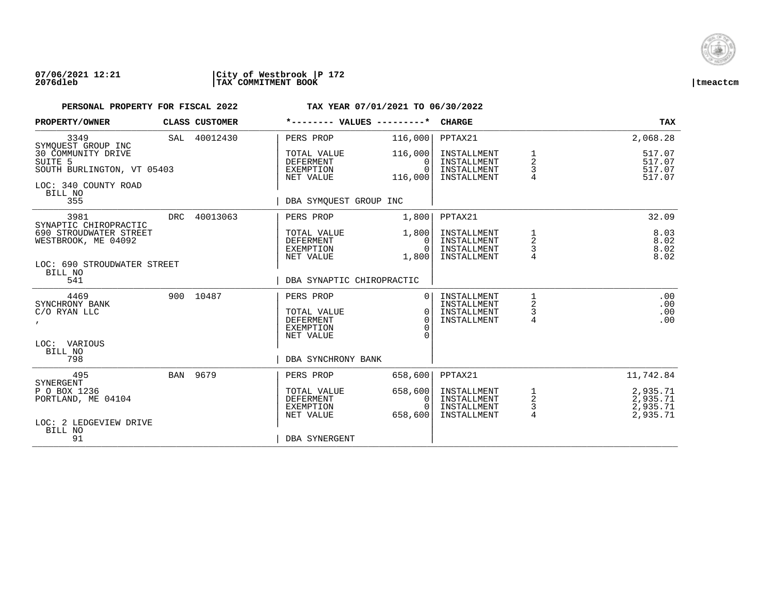

### **07/06/2021 12:21 |City of Westbrook |P 172 2076dleb |TAX COMMITMENT BOOK |tmeactcm**

| PROPERTY/OWNER                                               |     | CLASS CUSTOMER | *-------- VALUES ---------*                                      |                                            | <b>CHARGE</b>                                            |                                                     | <b>TAX</b>                                   |
|--------------------------------------------------------------|-----|----------------|------------------------------------------------------------------|--------------------------------------------|----------------------------------------------------------|-----------------------------------------------------|----------------------------------------------|
| 3349<br>SYMOUEST GROUP INC                                   |     | SAL 40012430   | PERS PROP                                                        | 116,000                                    | PPTAX21                                                  |                                                     | 2,068.28                                     |
| 30 COMMUNITY DRIVE<br>SUITE 5<br>SOUTH BURLINGTON, VT 05403  |     |                | TOTAL VALUE<br><b>DEFERMENT</b><br>EXEMPTION<br>NET VALUE        | 116,000<br>$\Omega$<br>$\Omega$<br>116,000 | INSTALLMENT<br>INSTALLMENT<br>INSTALLMENT<br>INSTALLMENT | 1<br>2<br>3<br>4                                    | 517.07<br>517.07<br>517.07<br>517.07         |
| LOC: 340 COUNTY ROAD<br>BILL NO<br>355                       |     |                | DBA SYMOUEST GROUP INC                                           |                                            |                                                          |                                                     |                                              |
| 3981<br>SYNAPTIC CHIROPRACTIC                                | DRC | 40013063       | PERS PROP                                                        | 1,800                                      | PPTAX21                                                  |                                                     | 32.09                                        |
| 690 STROUDWATER STREET<br>WESTBROOK, ME 04092                |     |                | TOTAL VALUE<br><b>DEFERMENT</b><br>EXEMPTION<br>NET VALUE        | 1,800<br>0<br>$\Omega$<br>1,800            | INSTALLMENT<br>INSTALLMENT<br>INSTALLMENT<br>INSTALLMENT | 1<br>$\overline{a}$<br>3<br>4                       | 8.03<br>8.02<br>8.02<br>8.02                 |
| LOC: 690 STROUDWATER STREET<br>BILL NO<br>541                |     |                | DBA SYNAPTIC CHIROPRACTIC                                        |                                            |                                                          |                                                     |                                              |
| 4469<br>SYNCHRONY BANK<br>C/O RYAN LLC<br>$\mathbf{r}$       |     | 900 10487      | PERS PROP<br>TOTAL VALUE<br><b>DEFERMENT</b><br><b>EXEMPTION</b> | $\Omega$<br>$\Omega$<br>$\Omega$           | INSTALLMENT<br>INSTALLMENT<br>INSTALLMENT<br>INSTALLMENT | 1<br>2<br>3<br>4                                    | .00<br>.00<br>.00<br>.00                     |
| LOC: VARIOUS<br>BILL NO<br>798                               |     |                | NET VALUE<br>DBA SYNCHRONY BANK                                  | $\cap$                                     |                                                          |                                                     |                                              |
| 495<br>SYNERGENT                                             |     | BAN 9679       | PERS PROP                                                        | 658,600                                    | PPTAX21                                                  |                                                     | 11,742.84                                    |
| P O BOX 1236<br>PORTLAND, ME 04104<br>LOC: 2 LEDGEVIEW DRIVE |     |                | TOTAL VALUE<br><b>DEFERMENT</b><br>EXEMPTION<br>NET VALUE        | 658,600<br>0<br>$\Omega$<br>658,600        | INSTALLMENT<br>INSTALLMENT<br>INSTALLMENT<br>INSTALLMENT | 1<br>$\overline{\mathbf{c}}$<br>3<br>$\overline{4}$ | 2,935.71<br>2,935.71<br>2,935.71<br>2,935.71 |
| BILL NO<br>91                                                |     |                | DBA SYNERGENT                                                    |                                            |                                                          |                                                     |                                              |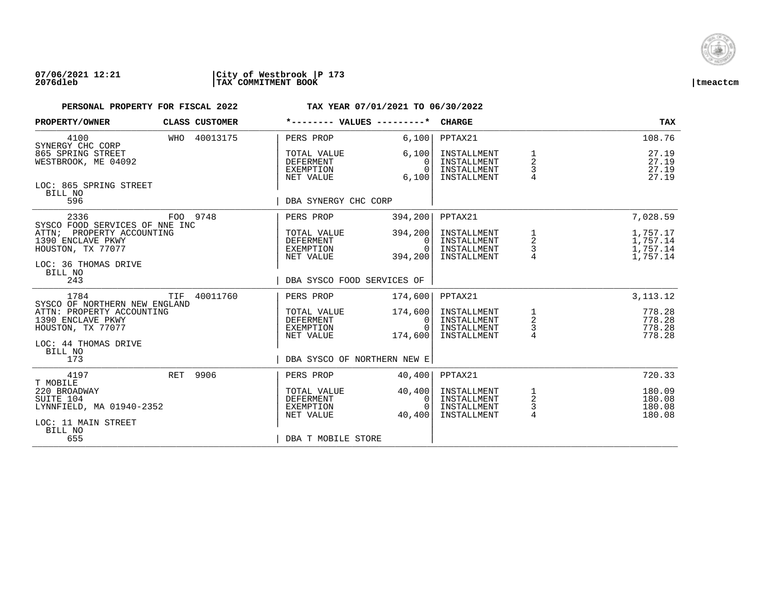

### **07/06/2021 12:21 |City of Westbrook |P 173 2076dleb |TAX COMMITMENT BOOK |tmeactcm**

| PROPERTY/OWNER                                                                                 |          | CLASS CUSTOMER | *-------- VALUES ---------*                               |                                            | <b>CHARGE</b>                                            |                                 | <b>TAX</b>                                   |
|------------------------------------------------------------------------------------------------|----------|----------------|-----------------------------------------------------------|--------------------------------------------|----------------------------------------------------------|---------------------------------|----------------------------------------------|
| 4100<br>SYNERGY CHC CORP                                                                       |          | WHO 40013175   | PERS PROP                                                 | 6,100                                      | PPTAX21                                                  |                                 | 108.76                                       |
| 865 SPRING STREET<br>WESTBROOK, ME 04092                                                       |          |                | TOTAL VALUE<br><b>DEFERMENT</b><br>EXEMPTION<br>NET VALUE | 6,100<br>0<br>$\Omega$<br>6,100            | INSTALLMENT<br>INSTALLMENT<br>INSTALLMENT<br>INSTALLMENT | $\mathbf 2$<br>3                | 27.19<br>27.19<br>27.19<br>27.19             |
| LOC: 865 SPRING STREET<br>BILL NO<br>596                                                       |          |                | DBA SYNERGY CHC CORP                                      |                                            |                                                          |                                 |                                              |
| 2336<br>SYSCO FOOD SERVICES OF NNE INC                                                         | FOO 9748 |                | PERS PROP                                                 | 394, 200                                   | PPTAX21                                                  |                                 | 7,028.59                                     |
| ATTN;<br>PROPERTY ACCOUNTING<br>1390 ENCLAVE PKWY<br>HOUSTON, TX 77077<br>LOC: 36 THOMAS DRIVE |          |                | TOTAL VALUE<br>DEFERMENT<br>EXEMPTION<br>NET VALUE        | 394,200<br>$\Omega$<br>$\Omega$<br>394,200 | INSTALLMENT<br>INSTALLMENT<br>INSTALLMENT<br>INSTALLMENT | $\frac{1}{2}$<br>$\frac{3}{4}$  | 1,757.17<br>1,757.14<br>1,757.14<br>1,757.14 |
| BILL NO<br>243                                                                                 |          |                | DBA SYSCO FOOD SERVICES OF                                |                                            |                                                          |                                 |                                              |
| 1784<br>SYSCO OF NORTHERN NEW ENGLAND                                                          | TIF      | 40011760       | PERS PROP                                                 | 174,600                                    | PPTAX21                                                  |                                 | 3, 113. 12                                   |
| ATTN: PROPERTY ACCOUNTING<br>1390 ENCLAVE PKWY<br>HOUSTON, TX 77077                            |          |                | TOTAL VALUE<br>DEFERMENT<br>EXEMPTION<br>NET VALUE        | 174,600<br>0<br>$\Omega$<br>174,600        | INSTALLMENT<br>INSTALLMENT<br>INSTALLMENT<br>INSTALLMENT | $\frac{1}{2}$<br>$\frac{1}{4}$  | 778.28<br>778.28<br>778.28<br>778.28         |
| LOC: 44 THOMAS DRIVE<br>BILL NO<br>173                                                         |          |                | DBA SYSCO OF NORTHERN NEW E                               |                                            |                                                          |                                 |                                              |
| 4197<br>T MOBILE                                                                               | RET 9906 |                | PERS PROP                                                 | 40,400                                     | PPTAX21                                                  |                                 | 720.33                                       |
| 220 BROADWAY<br>SUITE 104<br>LYNNFIELD, MA 01940-2352<br>LOC: 11 MAIN STREET                   |          |                | TOTAL VALUE<br><b>DEFERMENT</b><br>EXEMPTION<br>NET VALUE | 40,400<br>0<br>$\Omega$<br>40,400          | INSTALLMENT<br>INSTALLMENT<br>INSTALLMENT<br>INSTALLMENT | $\overline{a}$<br>$\frac{3}{4}$ | 180.09<br>180.08<br>180.08<br>180.08         |
| BILL NO<br>655                                                                                 |          |                | DBA T MOBILE STORE                                        |                                            |                                                          |                                 |                                              |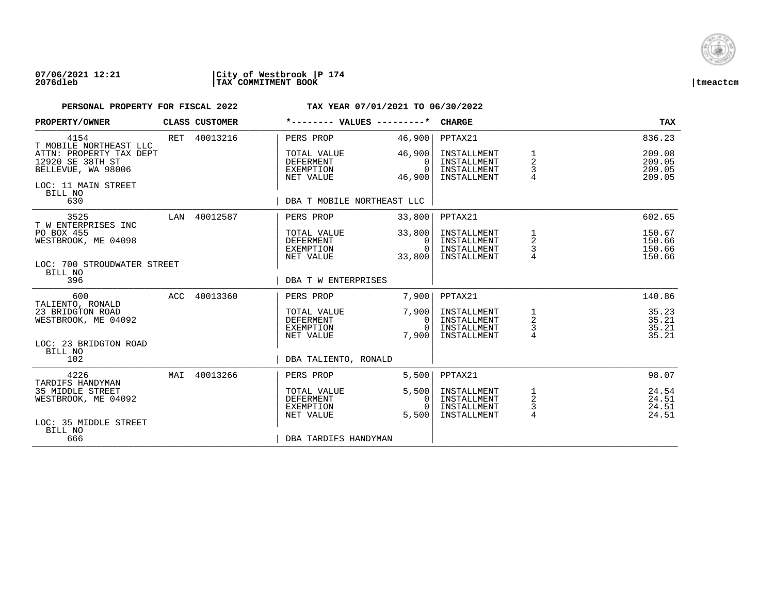

## **07/06/2021 12:21 |City of Westbrook |P 174 2076dleb |TAX COMMITMENT BOOK |tmeactcm**

| PROPERTY/OWNER                                                                           |     | CLASS CUSTOMER | *-------- VALUES ---------*                               |                                            | <b>CHARGE</b>                                            |                                                                | <b>TAX</b>                           |
|------------------------------------------------------------------------------------------|-----|----------------|-----------------------------------------------------------|--------------------------------------------|----------------------------------------------------------|----------------------------------------------------------------|--------------------------------------|
| 4154<br>T MOBILE NORTHEAST LLC                                                           |     | RET 40013216   | PERS PROP                                                 | 46,900                                     | PPTAX21                                                  |                                                                | 836.23                               |
| ATTN: PROPERTY TAX DEPT<br>12920 SE 38TH ST<br>BELLEVUE, WA 98006<br>LOC: 11 MAIN STREET |     |                | TOTAL VALUE<br>DEFERMENT<br>EXEMPTION<br>NET VALUE        | 46,900<br>$\Omega$<br>$\Omega$<br>46,900   | INSTALLMENT<br>INSTALLMENT<br>INSTALLMENT<br>INSTALLMENT | 1<br>$\overline{a}$<br>3<br>4                                  | 209.08<br>209.05<br>209.05<br>209.05 |
| BILL NO<br>630                                                                           |     |                | DBA T MOBILE NORTHEAST LLC                                |                                            |                                                          |                                                                |                                      |
| 3525<br>T W ENTERPRISES INC                                                              |     | LAN 40012587   | PERS PROP                                                 | 33,800                                     | PPTAX21                                                  |                                                                | 602.65                               |
| PO BOX 455<br>WESTBROOK, ME 04098                                                        |     |                | TOTAL VALUE<br>DEFERMENT<br>EXEMPTION<br>NET VALUE        | 33,800<br>$\Omega$<br>$\Omega$<br>33,800   | INSTALLMENT<br>INSTALLMENT<br>INSTALLMENT<br>INSTALLMENT | $\mathbf{1}$<br>$\overline{\mathbf{c}}$<br>$\mathsf 3$         | 150.67<br>150.66<br>150.66<br>150.66 |
| LOC: 700 STROUDWATER STREET<br>BILL NO<br>396                                            |     |                | DBA T W ENTERPRISES                                       |                                            |                                                          |                                                                |                                      |
| 600                                                                                      |     | ACC 40013360   | PERS PROP                                                 | 7,900                                      | PPTAX21                                                  |                                                                | 140.86                               |
| TALIENTO, RONALD<br>23 BRIDGTON ROAD<br>WESTBROOK, ME 04092                              |     |                | TOTAL VALUE<br>DEFERMENT<br>EXEMPTION<br>NET VALUE        | 7,900<br>$\mathbf{0}$<br>$\Omega$<br>7,900 | INSTALLMENT<br>INSTALLMENT<br>INSTALLMENT<br>INSTALLMENT | $\mathbf{1}$<br>$\overline{\mathbf{c}}$<br>3<br>$\overline{4}$ | 35.23<br>35.21<br>35.21<br>35.21     |
| LOC: 23 BRIDGTON ROAD<br>BILL NO                                                         |     |                |                                                           |                                            |                                                          |                                                                |                                      |
| 102                                                                                      |     |                | DBA TALIENTO, RONALD                                      |                                            |                                                          |                                                                |                                      |
| 4226<br>TARDIFS HANDYMAN                                                                 | MAI | 40013266       | PERS PROP                                                 | 5,500                                      | PPTAX21                                                  |                                                                | 98.07                                |
| 35 MIDDLE STREET<br>WESTBROOK, ME 04092                                                  |     |                | TOTAL VALUE<br><b>DEFERMENT</b><br>EXEMPTION<br>NET VALUE | 5,500<br>$\Omega$<br>$\Omega$<br>5.500     | INSTALLMENT<br>INSTALLMENT<br>INSTALLMENT<br>INSTALLMENT | 1<br>$\sqrt{2}$<br>3<br>$\overline{4}$                         | 24.54<br>24.51<br>24.51<br>24.51     |
| LOC: 35 MIDDLE STREET<br>BILL NO<br>666                                                  |     |                | DBA TARDIFS HANDYMAN                                      |                                            |                                                          |                                                                |                                      |
|                                                                                          |     |                |                                                           |                                            |                                                          |                                                                |                                      |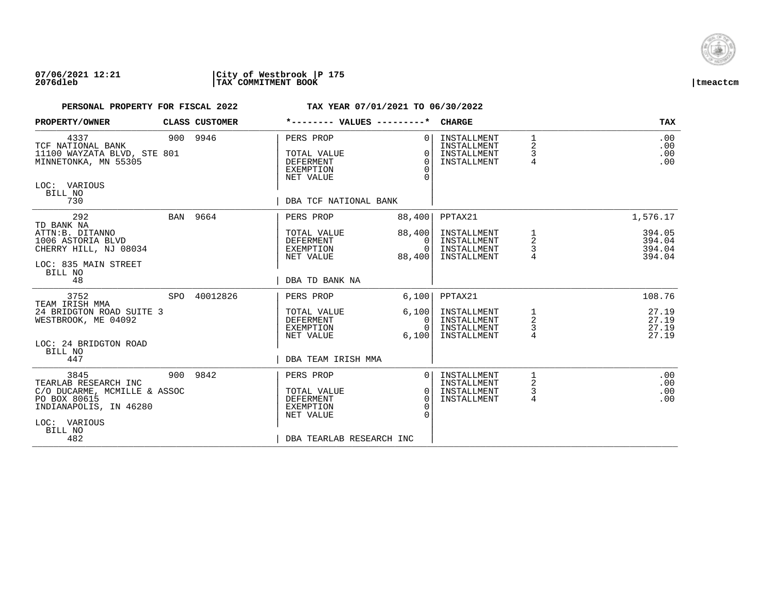

### **07/06/2021 12:21 |City of Westbrook |P 175 2076dleb |TAX COMMITMENT BOOK |tmeactcm**

| PROPERTY/OWNER                                                                                                                           | CLASS CUSTOMER | *-------- VALUES ---------*                                                                               |                                                    | <b>CHARGE</b>                                                       |                                          | TAX                                              |
|------------------------------------------------------------------------------------------------------------------------------------------|----------------|-----------------------------------------------------------------------------------------------------------|----------------------------------------------------|---------------------------------------------------------------------|------------------------------------------|--------------------------------------------------|
| 4337<br>TCF NATIONAL BANK<br>11100 WAYZATA BLVD, STE 801<br>MINNETONKA, MN 55305<br>LOC: VARIOUS<br>BILL NO<br>730                       | 900 9946       | PERS PROP<br>TOTAL VALUE<br><b>DEFERMENT</b><br><b>EXEMPTION</b><br>NET VALUE<br>DBA TCF NATIONAL BANK    | $\Omega$<br>$\Omega$<br>$\Omega$<br>$\Omega$       | INSTALLMENT<br>INSTALLMENT<br>INSTALLMENT<br>INSTALLMENT            | $\mathbf{1}$<br>2<br>3<br>$\overline{4}$ | .00<br>.00<br>.00<br>.00                         |
|                                                                                                                                          |                |                                                                                                           |                                                    |                                                                     |                                          |                                                  |
| 292<br>TD BANK NA<br>ATTN:B. DITANNO<br>1006 ASTORIA BLVD<br>CHERRY HILL, NJ 08034<br>LOC: 835 MAIN STREET<br>BILL NO                    | BAN 9664       | PERS PROP<br>TOTAL VALUE<br>DEFERMENT<br>EXEMPTION<br>NET VALUE                                           | 88,400<br>88,400<br>0<br>$\Omega$<br>88,400        | PPTAX21<br>INSTALLMENT<br>INSTALLMENT<br>INSTALLMENT<br>INSTALLMENT | 1<br>$\overline{a}$<br>3                 | 1,576.17<br>394.05<br>394.04<br>394.04<br>394.04 |
| 48                                                                                                                                       |                | DBA TD BANK NA                                                                                            |                                                    |                                                                     |                                          |                                                  |
| 3752<br>TEAM IRISH MMA<br>24 BRIDGTON ROAD SUITE 3<br>WESTBROOK, ME 04092                                                                | SPO 40012826   | PERS PROP<br>TOTAL VALUE<br>DEFERMENT<br>EXEMPTION                                                        | 6,100<br>6,100<br>0<br>$\cap$                      | PPTAX21<br>INSTALLMENT<br>INSTALLMENT<br>INSTALLMENT                | $\frac{1}{2}$<br>3                       | 108.76<br>27.19<br>27.19<br>27.19                |
| LOC: 24 BRIDGTON ROAD<br>BILL NO<br>447                                                                                                  |                | NET VALUE<br>DBA TEAM IRISH MMA                                                                           | 6,100                                              | INSTALLMENT                                                         | 4                                        | 27.19                                            |
| 3845<br>TEARLAB RESEARCH INC<br>C/O DUCARME, MCMILLE & ASSOC<br>PO BOX 80615<br>INDIANAPOLIS, IN 46280<br>LOC: VARIOUS<br>BILL NO<br>482 | 900 9842       | PERS PROP<br>TOTAL VALUE<br><b>DEFERMENT</b><br><b>EXEMPTION</b><br>NET VALUE<br>DBA TEARLAB RESEARCH INC | $\Omega$<br>$\overline{0}$<br>$\Omega$<br>$\Omega$ | INSTALLMENT<br>INSTALLMENT<br>INSTALLMENT<br>INSTALLMENT            | 1<br>2<br>3<br>4                         | .00<br>.00<br>.00<br>.00                         |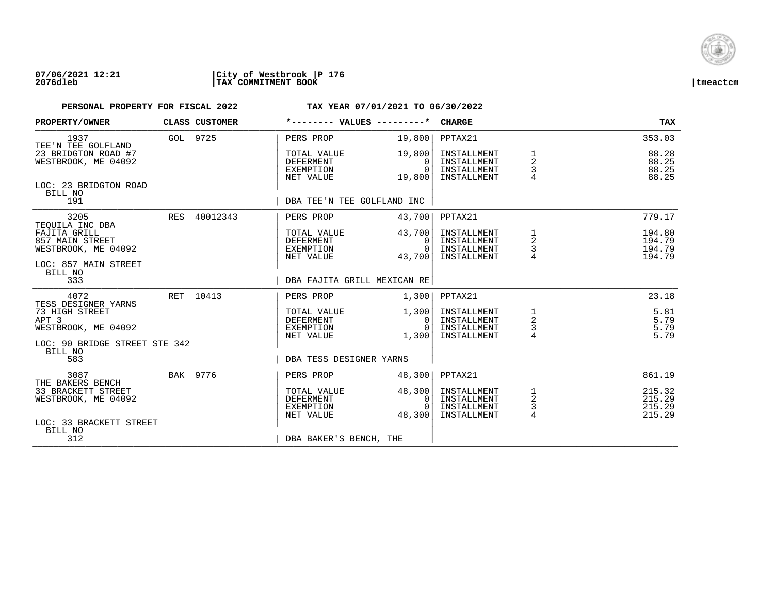

| PROPERTY/OWNER                                                                                    |          | CLASS CUSTOMER | *-------- VALUES ---------*                               |                                          | <b>CHARGE</b>                                            |                                            | <b>TAX</b>                           |
|---------------------------------------------------------------------------------------------------|----------|----------------|-----------------------------------------------------------|------------------------------------------|----------------------------------------------------------|--------------------------------------------|--------------------------------------|
| 1937<br>TEE'N TEE GOLFLAND                                                                        | GOL 9725 |                | PERS PROP                                                 | 19,800                                   | PPTAX21                                                  |                                            | 353.03                               |
| 23 BRIDGTON ROAD #7<br>WESTBROOK, ME 04092                                                        |          |                | TOTAL VALUE<br>DEFERMENT<br>EXEMPTION<br>NET VALUE        | 19,800<br>0<br>$\Omega$<br>19,800        | INSTALLMENT<br>INSTALLMENT<br>INSTALLMENT<br>INSTALLMENT | 1<br>$\overline{2}$<br>3<br>$\overline{4}$ | 88.28<br>88.25<br>88.25<br>88.25     |
| LOC: 23 BRIDGTON ROAD<br>BILL NO<br>191                                                           |          |                | DBA TEE'N TEE GOLFLAND INC                                |                                          |                                                          |                                            |                                      |
| 3205                                                                                              |          | RES 40012343   | PERS PROP                                                 | 43,700                                   | PPTAX21                                                  |                                            | 779.17                               |
| TEOUILA INC DBA<br>FAJITA GRILL<br>857 MAIN STREET<br>WESTBROOK, ME 04092<br>LOC: 857 MAIN STREET |          |                | TOTAL VALUE<br>DEFERMENT<br>EXEMPTION<br>NET VALUE        | 43,700<br>$\Omega$<br>$\Omega$<br>43,700 | INSTALLMENT<br>INSTALLMENT<br>INSTALLMENT<br>INSTALLMENT | 1<br>2<br>$\frac{3}{4}$                    | 194.80<br>194.79<br>194.79<br>194.79 |
| BILL NO<br>333                                                                                    |          |                | DBA FAJITA GRILL MEXICAN RE                               |                                          |                                                          |                                            |                                      |
| 4072<br>TESS DESIGNER YARNS                                                                       |          | RET 10413      | PERS PROP                                                 | 1,300                                    | PPTAX21                                                  |                                            | 23.18                                |
| 73 HIGH STREET<br>APT <sub>3</sub><br>WESTBROOK, ME 04092                                         |          |                | TOTAL VALUE<br>DEFERMENT<br>EXEMPTION<br>NET VALUE        | 1,300<br> 0 <br>$\Omega$<br>1,300        | INSTALLMENT<br>INSTALLMENT<br>INSTALLMENT<br>INSTALLMENT | 1<br>$\overline{a}$<br>$\frac{3}{4}$       | 5.81<br>5.79<br>5.79<br>5.79         |
| LOC: 90 BRIDGE STREET STE 342<br>BILL NO<br>583                                                   |          |                | DBA TESS DESIGNER YARNS                                   |                                          |                                                          |                                            |                                      |
| 3087                                                                                              |          | BAK 9776       | PERS PROP                                                 | 48,300                                   | PPTAX21                                                  |                                            | 861.19                               |
| THE BAKERS BENCH<br>33 BRACKETT STREET<br>WESTBROOK, ME 04092<br>LOC: 33 BRACKETT STREET          |          |                | TOTAL VALUE<br><b>DEFERMENT</b><br>EXEMPTION<br>NET VALUE | 48,300<br>0<br>$\Omega$<br>48,300        | INSTALLMENT<br>INSTALLMENT<br>INSTALLMENT<br>INSTALLMENT | 1<br>$\mathbf 2$<br>$\frac{3}{4}$          | 215.32<br>215.29<br>215.29<br>215.29 |
| BILL NO<br>312                                                                                    |          |                | DBA BAKER'S BENCH, THE                                    |                                          |                                                          |                                            |                                      |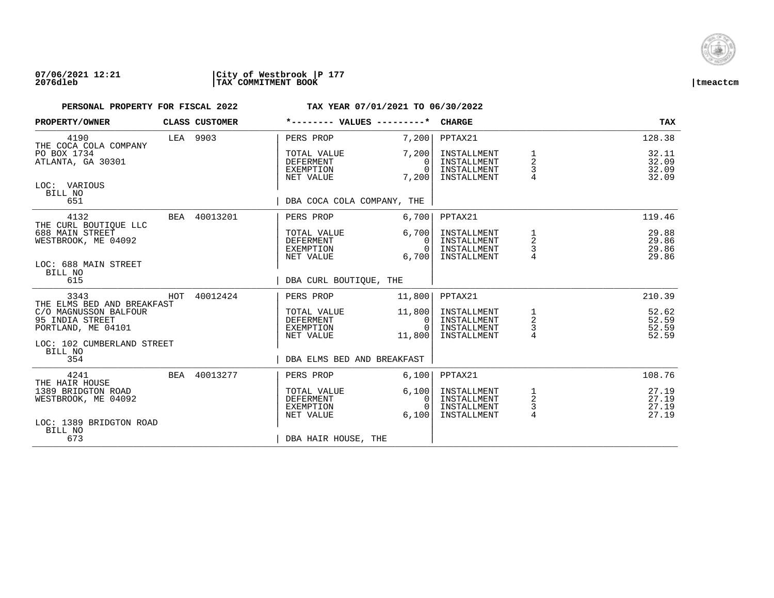

## **07/06/2021 12:21 |City of Westbrook |P 177 2076dleb |TAX COMMITMENT BOOK |tmeactcm**

| PROPERTY/OWNER                                                  |          | CLASS CUSTOMER | *-------- VALUES ---------*                               |                                                | <b>CHARGE</b>                                            |                                                 | <b>TAX</b>                       |
|-----------------------------------------------------------------|----------|----------------|-----------------------------------------------------------|------------------------------------------------|----------------------------------------------------------|-------------------------------------------------|----------------------------------|
| 4190<br>THE COCA COLA COMPANY                                   | LEA 9903 |                | PERS PROP                                                 | 7,200                                          | PPTAX21                                                  |                                                 | 128.38                           |
| PO BOX 1734<br>ATLANTA, GA 30301                                |          |                | TOTAL VALUE<br><b>DEFERMENT</b><br>EXEMPTION<br>NET VALUE | 7,200<br>0<br>$\Omega$<br>7,200                | INSTALLMENT<br>INSTALLMENT<br>INSTALLMENT<br>INSTALLMENT | 1<br>$\overline{2}$<br>$\frac{3}{4}$            | 32.11<br>32.09<br>32.09<br>32.09 |
| LOC: VARIOUS<br>BILL NO<br>651                                  |          |                | DBA COCA COLA COMPANY, THE                                |                                                |                                                          |                                                 |                                  |
| 4132                                                            |          | BEA 40013201   | PERS PROP                                                 | 6,700                                          | PPTAX21                                                  |                                                 | 119.46                           |
| THE CURL BOUTIQUE LLC<br>688 MAIN STREET<br>WESTBROOK, ME 04092 |          |                | TOTAL VALUE<br>DEFERMENT<br>EXEMPTION<br>NET VALUE        | 6,700<br>$\Omega$<br>$\Omega$<br>6,700         | INSTALLMENT<br>INSTALLMENT<br>INSTALLMENT<br>INSTALLMENT | 1<br>2<br>$\frac{3}{4}$                         | 29.88<br>29.86<br>29.86<br>29.86 |
| LOC: 688 MAIN STREET<br>BILL NO<br>615                          |          |                | DBA CURL BOUTIOUE, THE                                    |                                                |                                                          |                                                 |                                  |
| 3343<br>THE ELMS BED AND BREAKFAST                              |          | HOT 40012424   | PERS PROP                                                 | 11,800                                         | PPTAX21                                                  |                                                 | 210.39                           |
| C/O MAGNUSSON BALFOUR<br>95 INDIA STREET<br>PORTLAND, ME 04101  |          |                | TOTAL VALUE<br>DEFERMENT<br>EXEMPTION<br>NET VALUE        | 11,800<br>$\overline{0}$<br>$\Omega$<br>11,800 | INSTALLMENT<br>INSTALLMENT<br>INSTALLMENT<br>INSTALLMENT | 1<br>$\overline{a}$<br>$\frac{3}{4}$            | 52.62<br>52.59<br>52.59<br>52.59 |
| LOC: 102 CUMBERLAND STREET<br>BILL NO<br>354                    |          |                | DBA ELMS BED AND BREAKFAST                                |                                                |                                                          |                                                 |                                  |
| 4241<br>THE HAIR HOUSE                                          |          | BEA 40013277   | PERS PROP                                                 | 6,100                                          | PPTAX21                                                  |                                                 | 108.76                           |
| 1389 BRIDGTON ROAD<br>WESTBROOK, ME 04092                       |          |                | TOTAL VALUE<br>DEFERMENT<br>EXEMPTION<br>NET VALUE        | 6,100<br>0<br>$\Omega$<br>6.100                | INSTALLMENT<br>INSTALLMENT<br>INSTALLMENT<br>INSTALLMENT | $\mathbf{1}$<br>$\overline{a}$<br>$\frac{3}{4}$ | 27.19<br>27.19<br>27.19<br>27.19 |
| LOC: 1389 BRIDGTON ROAD<br>BILL NO<br>673                       |          |                | DBA HAIR HOUSE, THE                                       |                                                |                                                          |                                                 |                                  |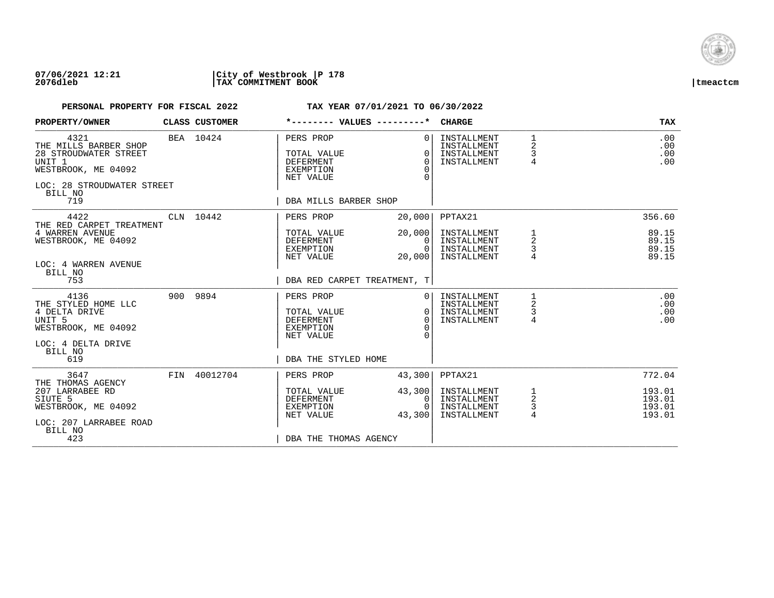

## **07/06/2021 12:21 |City of Westbrook |P 178 2076dleb |TAX COMMITMENT BOOK |tmeactcm**

| PROPERTY/OWNER                                                                                                                                     | CLASS CUSTOMER | *-------- VALUES ---------*                                                                     |                                       | <b>CHARGE</b>                                            |                                 | <b>TAX</b>                           |
|----------------------------------------------------------------------------------------------------------------------------------------------------|----------------|-------------------------------------------------------------------------------------------------|---------------------------------------|----------------------------------------------------------|---------------------------------|--------------------------------------|
| 4321<br>THE MILLS BARBER SHOP<br>28 STROUDWATER STREET<br>UNIT <sub>1</sub><br>WESTBROOK, ME 04092<br>LOC: 28 STROUDWATER STREET<br>BILL NO<br>719 | BEA 10424      | PERS PROP<br>TOTAL VALUE<br>DEFERMENT<br><b>EXEMPTION</b><br>NET VALUE<br>DBA MILLS BARBER SHOP | $\Omega$<br>O<br>$\Omega$<br>$\Omega$ | INSTALLMENT<br>INSTALLMENT<br>INSTALLMENT<br>INSTALLMENT | $\mathbf{1}$<br>2<br>3<br>4     | .00<br>.00<br>.00<br>.00             |
| 4422                                                                                                                                               | CLN 10442      | PERS PROP                                                                                       | 20,000                                | PPTAX21                                                  |                                 | 356.60                               |
| THE RED CARPET TREATMENT<br>4 WARREN AVENUE<br>WESTBROOK, ME 04092<br>LOC: 4 WARREN AVENUE<br>BILL NO                                              |                | TOTAL VALUE<br>DEFERMENT<br>EXEMPTION<br>NET VALUE                                              | 20,000<br>0<br>$\Omega$<br>20,000     | INSTALLMENT<br>INSTALLMENT<br>INSTALLMENT<br>INSTALLMENT | 1<br>2<br>3                     | 89.15<br>89.15<br>89.15<br>89.15     |
| 753                                                                                                                                                |                | DBA RED CARPET TREATMENT, T                                                                     |                                       |                                                          |                                 |                                      |
| 4136<br>THE STYLED HOME LLC<br>4 DELTA DRIVE<br>UNIT <sub>5</sub><br>WESTBROOK, ME 04092<br>LOC: 4 DELTA DRIVE<br>BILL NO                          | 900 9894       | PERS PROP<br>TOTAL VALUE<br><b>DEFERMENT</b><br><b>EXEMPTION</b><br>NET VALUE                   | 0<br>$\Omega$<br>$\Omega$             | INSTALLMENT<br>INSTALLMENT<br>INSTALLMENT<br>INSTALLMENT | 2<br>3<br>4                     | .00<br>.00<br>.00<br>.00             |
| 619                                                                                                                                                |                | DBA THE STYLED HOME                                                                             |                                       |                                                          |                                 |                                      |
| 3647<br>THE THOMAS AGENCY                                                                                                                          | FIN 40012704   | PERS PROP                                                                                       | 43,300                                | PPTAX21                                                  |                                 | 772.04                               |
| 207 LARRABEE RD<br>SIUTE 5<br>WESTBROOK, ME 04092<br>LOC: 207 LARRABEE ROAD<br>BILL NO                                                             |                | TOTAL VALUE<br>DEFERMENT<br><b>EXEMPTION</b><br>NET VALUE                                       | 43,300<br>0<br>$\Omega$<br>43,300     | INSTALLMENT<br>INSTALLMENT<br>INSTALLMENT<br>INSTALLMENT | 1<br>$\boldsymbol{2}$<br>3<br>4 | 193.01<br>193.01<br>193.01<br>193.01 |
| 423                                                                                                                                                |                | DBA THE THOMAS AGENCY                                                                           |                                       |                                                          |                                 |                                      |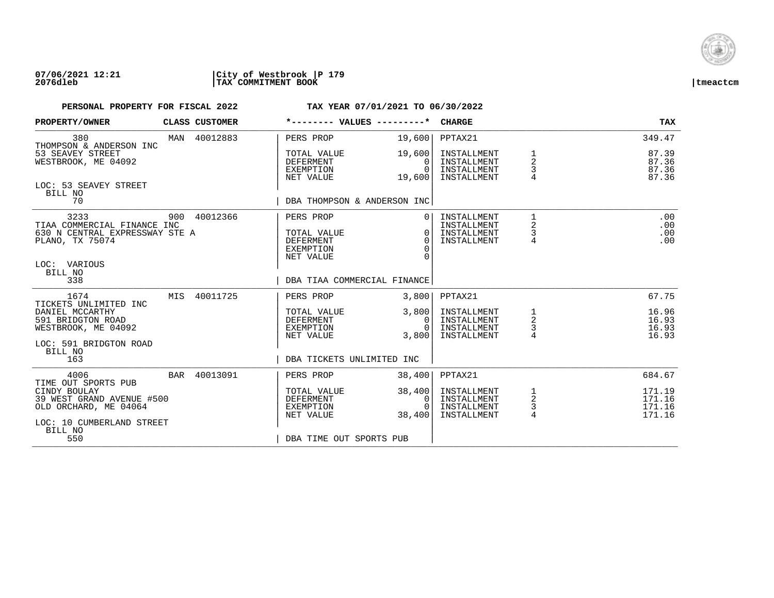

### **07/06/2021 12:21 |City of Westbrook |P 179 2076dleb |TAX COMMITMENT BOOK |tmeactcm**

| PROPERTY/OWNER                                                                                                      |     | CLASS CUSTOMER | *-------- VALUES ---------*                                            |                                              | <b>CHARGE</b>                                            |                                               | <b>TAX</b>                           |
|---------------------------------------------------------------------------------------------------------------------|-----|----------------|------------------------------------------------------------------------|----------------------------------------------|----------------------------------------------------------|-----------------------------------------------|--------------------------------------|
| 380<br>THOMPSON & ANDERSON INC                                                                                      |     | MAN 40012883   | PERS PROP                                                              | 19,600                                       | PPTAX21                                                  |                                               | 349.47                               |
| 53 SEAVEY STREET<br>WESTBROOK, ME 04092                                                                             |     |                | TOTAL VALUE<br>DEFERMENT<br>EXEMPTION<br>NET VALUE                     | 19,600<br>0<br>$\Omega$<br>19,600            | INSTALLMENT<br>INSTALLMENT<br>INSTALLMENT<br>INSTALLMENT | $\mathbf 2$<br>3                              | 87.39<br>87.36<br>87.36<br>87.36     |
| LOC: 53 SEAVEY STREET<br>BILL NO<br>70                                                                              |     |                | DBA THOMPSON & ANDERSON INC                                            |                                              |                                                          |                                               |                                      |
| 3233<br>TIAA COMMERCIAL FINANCE INC<br>630 N CENTRAL EXPRESSWAY STE A<br>PLANO, TX 75074<br>LOC: VARIOUS<br>BILL NO |     | 900 40012366   | PERS PROP<br>TOTAL VALUE<br><b>DEFERMENT</b><br>EXEMPTION<br>NET VALUE | $\Omega$<br>$\Omega$<br>$\Omega$<br>$\Omega$ | INSTALLMENT<br>INSTALLMENT<br>INSTALLMENT<br>INSTALLMENT | 1<br>$\overline{\mathbf{c}}$<br>$\frac{3}{4}$ | .00<br>.00<br>.00<br>.00             |
| 338                                                                                                                 |     |                | DBA TIAA COMMERCIAL FINANCE                                            |                                              |                                                          |                                               |                                      |
| 1674                                                                                                                | MIS | 40011725       | PERS PROP                                                              | 3,800                                        | PPTAX21                                                  |                                               | 67.75                                |
| TICKETS UNLIMITED INC<br>DANIEL MCCARTHY<br>591 BRIDGTON ROAD<br>WESTBROOK, ME 04092<br>LOC: 591 BRIDGTON ROAD      |     |                | TOTAL VALUE<br>DEFERMENT<br>EXEMPTION<br>NET VALUE                     | 3,800<br>0<br>$\Omega$<br>3,800              | INSTALLMENT<br>INSTALLMENT<br>INSTALLMENT<br>INSTALLMENT | $\frac{1}{2}$<br>$\frac{3}{4}$                | 16.96<br>16.93<br>16.93<br>16.93     |
| BILL NO<br>163                                                                                                      |     |                | DBA TICKETS UNLIMITED INC                                              |                                              |                                                          |                                               |                                      |
| 4006<br>TIME OUT SPORTS PUB                                                                                         |     | BAR 40013091   | PERS PROP                                                              | 38,400                                       | PPTAX21                                                  |                                               | 684.67                               |
| CINDY BOULAY<br>39 WEST GRAND AVENUE #500<br>OLD ORCHARD, ME 04064<br>LOC: 10 CUMBERLAND STREET<br>BILL NO          |     |                | TOTAL VALUE<br><b>DEFERMENT</b><br>EXEMPTION<br>NET VALUE              | 38,400<br>0<br>$\Omega$<br>38,400            | INSTALLMENT<br>INSTALLMENT<br>INSTALLMENT<br>INSTALLMENT | 1<br>$\overline{a}$<br>$\frac{3}{4}$          | 171.19<br>171.16<br>171.16<br>171.16 |
| 550                                                                                                                 |     |                | DBA TIME OUT SPORTS PUB                                                |                                              |                                                          |                                               |                                      |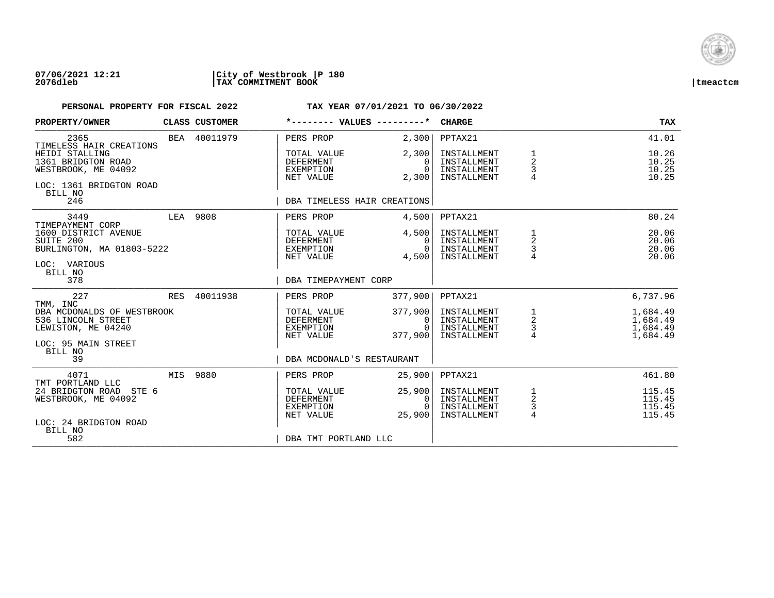

### **07/06/2021 12:21 |City of Westbrook |P 180 2076dleb |TAX COMMITMENT BOOK |tmeactcm**

| PROPERTY/OWNER                                                                                                 |            | <b>CLASS CUSTOMER</b> | *-------- VALUES ---------*                                                     |                                        | <b>CHARGE</b>                                            |                                                   | <b>TAX</b>                                   |
|----------------------------------------------------------------------------------------------------------------|------------|-----------------------|---------------------------------------------------------------------------------|----------------------------------------|----------------------------------------------------------|---------------------------------------------------|----------------------------------------------|
| 2365<br>TIMELESS HAIR CREATIONS                                                                                |            | BEA 40011979          | PERS PROP                                                                       | 2,300                                  | PPTAX21                                                  |                                                   | 41.01                                        |
| HEIDI STALLING<br>1361 BRIDGTON ROAD<br>WESTBROOK, ME 04092<br>LOC: 1361 BRIDGTON ROAD<br>BILL NO              |            |                       | TOTAL VALUE<br><b>DEFERMENT</b><br>EXEMPTION<br>NET VALUE                       | 2,300<br>$\Omega$<br>$\Omega$<br>2,300 | INSTALLMENT<br>INSTALLMENT<br>INSTALLMENT<br>INSTALLMENT | 1<br>2<br>3<br>$\overline{4}$                     | 10.26<br>10.25<br>10.25<br>10.25             |
| 246                                                                                                            |            |                       | DBA TIMELESS HAIR CREATIONS                                                     |                                        |                                                          |                                                   |                                              |
| 3449<br>TIMEPAYMENT CORP                                                                                       |            | LEA 9808              | PERS PROP                                                                       | 4,500                                  | PPTAX21                                                  |                                                   | 80.24                                        |
| 1600 DISTRICT AVENUE<br>SUITE 200<br>BURLINGTON, MA 01803-5222<br>LOC: VARIOUS<br>BILL NO                      |            |                       | TOTAL VALUE<br>DEFERMENT<br>EXEMPTION<br>NET VALUE                              | 4,500<br>$\Omega$<br>$\Omega$<br>4,500 | INSTALLMENT<br>INSTALLMENT<br>INSTALLMENT<br>INSTALLMENT | 1<br>2<br>3                                       | 20.06<br>20.06<br>20.06<br>20.06             |
| 378                                                                                                            |            |                       | DBA TIMEPAYMENT CORP                                                            |                                        |                                                          |                                                   |                                              |
| 227<br>TMM, INC                                                                                                | <b>RES</b> | 40011938              | PERS PROP                                                                       | 377,900                                | PPTAX21                                                  |                                                   | 6,737.96                                     |
| DBA MCDONALDS OF WESTBROOK<br>536 LINCOLN STREET<br>LEWISTON, ME 04240<br>LOC: 95 MAIN STREET<br>BILL NO<br>39 |            |                       | TOTAL VALUE<br>DEFERMENT<br>EXEMPTION<br>NET VALUE<br>DBA MCDONALD'S RESTAURANT | 377,900<br>0<br>$\Omega$<br>377,900    | INSTALLMENT<br>INSTALLMENT<br>INSTALLMENT<br>INSTALLMENT | $\begin{array}{c}\n1 \\ 2 \\ 3 \\ 4\n\end{array}$ | 1,684.49<br>1,684.49<br>1,684.49<br>1,684.49 |
| 4071                                                                                                           | MIS        | 9880                  | PERS PROP                                                                       | 25,900                                 | PPTAX21                                                  |                                                   | 461.80                                       |
| TMT PORTLAND LLC<br>24 BRIDGTON ROAD STE 6<br>WESTBROOK, ME 04092<br>LOC: 24 BRIDGTON ROAD<br>BILL NO          |            |                       | TOTAL VALUE<br><b>DEFERMENT</b><br>EXEMPTION<br>NET VALUE                       | 25,900<br>0<br>$\Omega$<br>25,900      | INSTALLMENT<br>INSTALLMENT<br>INSTALLMENT<br>INSTALLMENT | $\frac{1}{2}$<br>3<br>4                           | 115.45<br>115.45<br>115.45<br>115.45         |
| 582                                                                                                            |            |                       | DBA TMT PORTLAND LLC                                                            |                                        |                                                          |                                                   |                                              |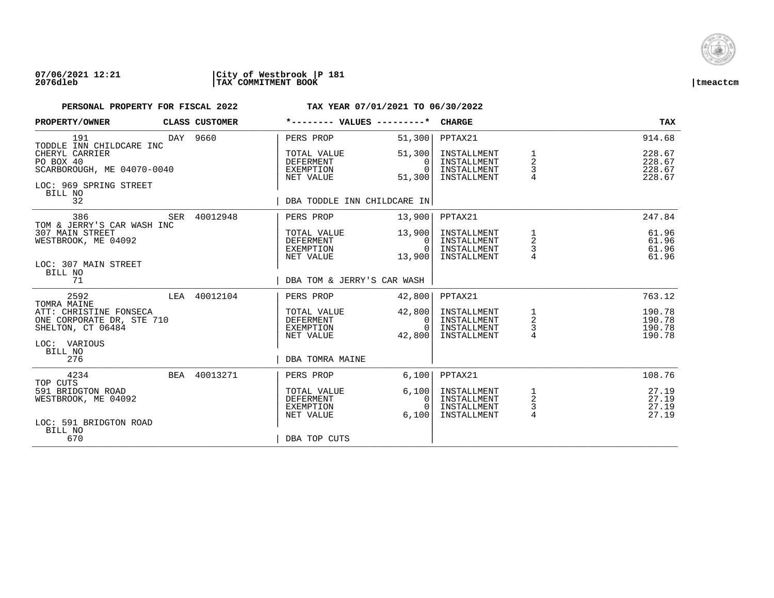

### **07/06/2021 12:21 |City of Westbrook |P 181 2076dleb |TAX COMMITMENT BOOK |tmeactcm**

| PROPERTY/OWNER                                                                                 | CLASS CUSTOMER | *-------- VALUES ---------*                               |                                                | <b>CHARGE</b>                                            |                                                 | <b>TAX</b>                           |
|------------------------------------------------------------------------------------------------|----------------|-----------------------------------------------------------|------------------------------------------------|----------------------------------------------------------|-------------------------------------------------|--------------------------------------|
| 191<br>TODDLE INN CHILDCARE INC                                                                | DAY 9660       | PERS PROP                                                 | 51,300                                         | PPTAX21                                                  |                                                 | 914.68                               |
| CHERYL CARRIER<br>PO BOX 40<br>SCARBOROUGH, ME 04070-0040<br>LOC: 969 SPRING STREET<br>BILL NO |                | TOTAL VALUE<br><b>DEFERMENT</b><br>EXEMPTION<br>NET VALUE | 51,300<br>$\Omega$<br>$\Omega$<br>51,300       | INSTALLMENT<br>INSTALLMENT<br>INSTALLMENT<br>INSTALLMENT | $\overline{a}$<br>3<br>4                        | 228.67<br>228.67<br>228.67<br>228.67 |
| 32                                                                                             |                | DBA TODDLE INN CHILDCARE IN                               |                                                |                                                          |                                                 |                                      |
| 386<br>TOM & JERRY'S CAR WASH INC                                                              | SER 40012948   | PERS PROP                                                 | 13,900                                         | PPTAX21                                                  |                                                 | 247.84                               |
| 307 MAIN STREET<br>WESTBROOK, ME 04092<br>LOC: 307 MAIN STREET                                 |                | TOTAL VALUE<br>DEFERMENT<br>EXEMPTION<br>NET VALUE        | 13,900<br>$\Omega$<br>$\overline{0}$<br>13,900 | INSTALLMENT<br>INSTALLMENT<br>INSTALLMENT<br>INSTALLMENT | $\frac{1}{2}$<br>$\mathsf{3}$<br>$\overline{4}$ | 61.96<br>61.96<br>61.96<br>61.96     |
| BILL NO<br>71                                                                                  |                | DBA TOM & JERRY'S CAR WASH                                |                                                |                                                          |                                                 |                                      |
| 2592<br>TOMRA MAINE                                                                            | LEA 40012104   | PERS PROP                                                 | 42,800                                         | PPTAX21                                                  |                                                 | 763.12                               |
| ATT: CHRISTINE FONSECA<br>ONE CORPORATE DR, STE 710<br>SHELTON, CT 06484<br>LOC: VARIOUS       |                | TOTAL VALUE<br>DEFERMENT<br>EXEMPTION<br>NET VALUE        | 42,800<br>$\overline{0}$<br>$\cap$<br>42,800   | INSTALLMENT<br>INSTALLMENT<br>INSTALLMENT<br>INSTALLMENT | $\frac{1}{2}$<br>$\frac{3}{4}$                  | 190.78<br>190.78<br>190.78<br>190.78 |
| BILL NO<br>276                                                                                 |                | DBA TOMRA MAINE                                           |                                                |                                                          |                                                 |                                      |
| 4234<br>TOP CUTS                                                                               | BEA 40013271   | PERS PROP                                                 | 6,100                                          | PPTAX21                                                  |                                                 | 108.76                               |
| 591 BRIDGTON ROAD<br>WESTBROOK, ME 04092<br>LOC: 591 BRIDGTON ROAD                             |                | TOTAL VALUE<br><b>DEFERMENT</b><br>EXEMPTION<br>NET VALUE | 6,100<br>$\Omega$<br>$\Omega$<br>6.100         | INSTALLMENT<br>INSTALLMENT<br>INSTALLMENT<br>INSTALLMENT | 1<br>$\sqrt{2}$<br>3<br>$\overline{4}$          | 27.19<br>27.19<br>27.19<br>27.19     |
| BILL NO<br>670                                                                                 |                | DBA TOP CUTS                                              |                                                |                                                          |                                                 |                                      |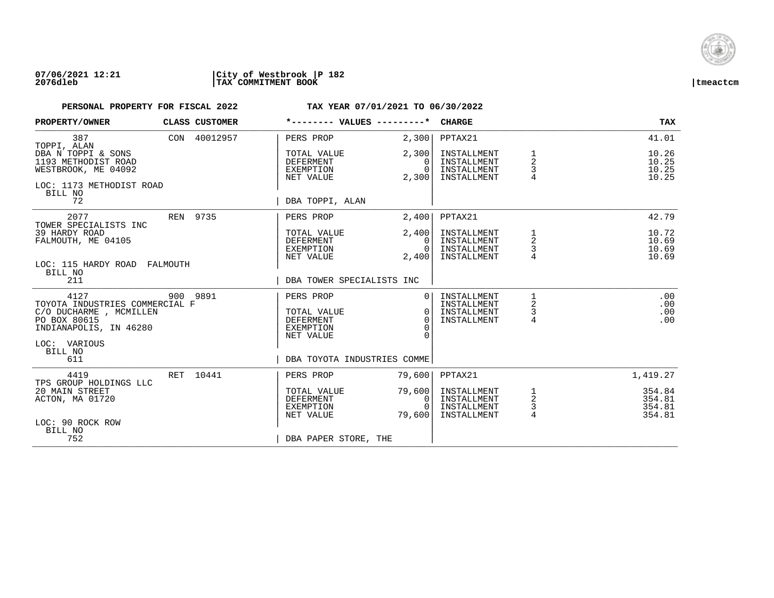

### **07/06/2021 12:21 |City of Westbrook |P 182 2076dleb |TAX COMMITMENT BOOK |tmeactcm**

| PROPERTY/OWNER                                                                                                                                | CLASS CUSTOMER |                                                                               | *-------- VALUES ---------*                                               | <b>CHARGE</b>                                            |                                      | TAX                                  |
|-----------------------------------------------------------------------------------------------------------------------------------------------|----------------|-------------------------------------------------------------------------------|---------------------------------------------------------------------------|----------------------------------------------------------|--------------------------------------|--------------------------------------|
| 387<br>TOPPI, ALAN                                                                                                                            | CON 40012957   | PERS PROP                                                                     | 2,300                                                                     | PPTAX21                                                  |                                      | 41.01                                |
| DBA N TOPPI & SONS<br>1193 METHODIST ROAD<br>WESTBROOK, ME 04092<br>LOC: 1173 METHODIST ROAD                                                  |                | TOTAL VALUE<br><b>DEFERMENT</b><br>EXEMPTION<br>NET VALUE                     | 2,300<br>$\Omega$<br>$\overline{0}$<br>2,300                              | INSTALLMENT<br>INSTALLMENT<br>INSTALLMENT<br>INSTALLMENT | 1<br>2<br>3<br>$\overline{4}$        | 10.26<br>10.25<br>10.25<br>10.25     |
| BILL NO<br>72                                                                                                                                 |                | DBA TOPPI, ALAN                                                               |                                                                           |                                                          |                                      |                                      |
| 2077<br>TOWER SPECIALISTS INC                                                                                                                 | REN 9735       | PERS PROP                                                                     | 2,400                                                                     | PPTAX21                                                  |                                      | 42.79                                |
| 39 HARDY ROAD<br>FALMOUTH, ME 04105<br>LOC: 115 HARDY ROAD FALMOUTH                                                                           |                | TOTAL VALUE<br><b>DEFERMENT</b><br>EXEMPTION<br>NET VALUE                     | 2,400<br>$\Omega$<br>$\overline{0}$<br>2,400                              | INSTALLMENT<br>INSTALLMENT<br>INSTALLMENT<br>INSTALLMENT | 1<br>2<br>3                          | 10.72<br>10.69<br>10.69<br>10.69     |
| BILL NO<br>211                                                                                                                                |                |                                                                               | DBA TOWER SPECIALISTS INC                                                 |                                                          |                                      |                                      |
| 4127<br>TOYOTA INDUSTRIES COMMERCIAL F<br>C/O DUCHARME , MCMILLEN<br>PO BOX 80615<br>INDIANAPOLIS, IN 46280<br>LOC: VARIOUS<br>BILL NO<br>611 | 900 9891       | PERS PROP<br>TOTAL VALUE<br><b>DEFERMENT</b><br><b>EXEMPTION</b><br>NET VALUE | $\Omega$<br>$\Omega$<br>$\Omega$<br>$\cap$<br>DBA TOYOTA INDUSTRIES COMME | INSTALLMENT<br>INSTALLMENT<br>INSTALLMENT<br>INSTALLMENT | 1<br>2<br>3<br>4                     | .00<br>.00<br>.00<br>.00             |
| 4419                                                                                                                                          | RET 10441      | PERS PROP                                                                     | 79,600                                                                    | PPTAX21                                                  |                                      | 1,419.27                             |
| TPS GROUP HOLDINGS LLC<br>20 MAIN STREET<br>ACTON, MA 01720<br>LOC: 90 ROCK ROW<br>BILL NO                                                    |                | TOTAL VALUE<br><b>DEFERMENT</b><br>EXEMPTION<br>NET VALUE                     | 79,600<br>0 <sup>1</sup><br>$\Omega$<br>79,600                            | INSTALLMENT<br>INSTALLMENT<br>INSTALLMENT<br>INSTALLMENT | $\frac{1}{2}$<br>3<br>$\overline{4}$ | 354.84<br>354.81<br>354.81<br>354.81 |
| 752                                                                                                                                           |                | DBA PAPER STORE, THE                                                          |                                                                           |                                                          |                                      |                                      |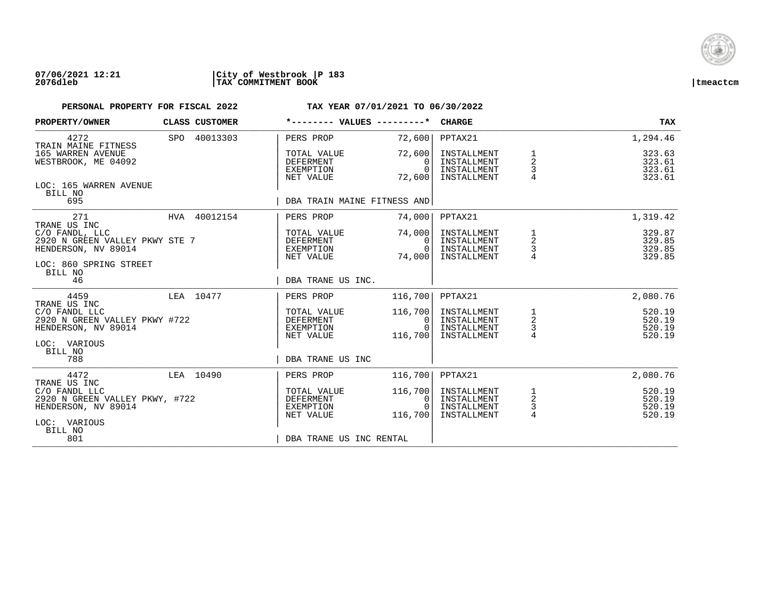

| PROPERTY/OWNER                                                                          | CLASS CUSTOMER | *-------- VALUES ---------*                               |                                          | <b>CHARGE</b>                                            |                                | <b>TAX</b>                           |
|-----------------------------------------------------------------------------------------|----------------|-----------------------------------------------------------|------------------------------------------|----------------------------------------------------------|--------------------------------|--------------------------------------|
| 4272<br>TRAIN MAINE FITNESS                                                             | SPO 40013303   | PERS PROP                                                 | 72,600                                   | PPTAX21                                                  |                                | 1,294.46                             |
| 165 WARREN AVENUE<br>WESTBROOK, ME 04092                                                |                | TOTAL VALUE<br>DEFERMENT<br>EXEMPTION<br>NET VALUE        | 72,600<br>$\Omega$<br>$\Omega$<br>72,600 | INSTALLMENT<br>INSTALLMENT<br>INSTALLMENT<br>INSTALLMENT | $\frac{1}{2}$<br>3<br>4        | 323.63<br>323.61<br>323.61<br>323.61 |
| LOC: 165 WARREN AVENUE<br>BILL NO<br>695                                                |                | DBA TRAIN MAINE FITNESS AND                               |                                          |                                                          |                                |                                      |
| 271                                                                                     | HVA 40012154   | PERS PROP                                                 | 74,000                                   | PPTAX21                                                  |                                | 1,319.42                             |
| TRANE US INC<br>C/O FANDL, LLC<br>2920 N GREEN VALLEY PKWY STE 7<br>HENDERSON, NV 89014 |                | TOTAL VALUE<br>DEFERMENT<br>EXEMPTION<br>NET VALUE        | 74,000<br>$\Omega$<br>$\Omega$<br>74,000 | INSTALLMENT<br>INSTALLMENT<br>INSTALLMENT<br>INSTALLMENT | $\frac{1}{2}$<br>$\frac{3}{4}$ | 329.87<br>329.85<br>329.85<br>329.85 |
| LOC: 860 SPRING STREET<br>BILL NO<br>46                                                 |                | DBA TRANE US INC.                                         |                                          |                                                          |                                |                                      |
| 4459<br>TRANE US INC                                                                    | LEA 10477      | PERS PROP                                                 | 116,700                                  | PPTAX21                                                  |                                | 2,080.76                             |
| C/O FANDL LLC<br>2920 N GREEN VALLEY PKWY #722<br>HENDERSON, NV 89014                   |                | TOTAL VALUE<br>DEFERMENT<br>EXEMPTION<br>NET VALUE        | 116,700<br>0<br>$\Omega$<br>116,700      | INSTALLMENT<br>INSTALLMENT<br>INSTALLMENT<br>INSTALLMENT | $\frac{1}{2}$<br>$\frac{3}{4}$ | 520.19<br>520.19<br>520.19<br>520.19 |
| LOC: VARIOUS<br>BILL NO<br>788                                                          |                | DBA TRANE US INC                                          |                                          |                                                          |                                |                                      |
| 4472<br>TRANE US INC                                                                    | LEA 10490      | PERS PROP                                                 | 116,700                                  | PPTAX21                                                  |                                | 2,080.76                             |
| C/O FANDL LLC<br>2920 N GREEN VALLEY PKWY, #722<br>HENDERSON, NV 89014                  |                | TOTAL VALUE<br><b>DEFERMENT</b><br>EXEMPTION<br>NET VALUE | 116,700<br>0<br>$\Omega$<br>116,700      | INSTALLMENT<br>INSTALLMENT<br>INSTALLMENT<br>INSTALLMENT | $\frac{1}{2}$<br>$\frac{3}{4}$ | 520.19<br>520.19<br>520.19<br>520.19 |
| LOC: VARIOUS<br>BILL NO<br>801                                                          |                | DBA TRANE US INC RENTAL                                   |                                          |                                                          |                                |                                      |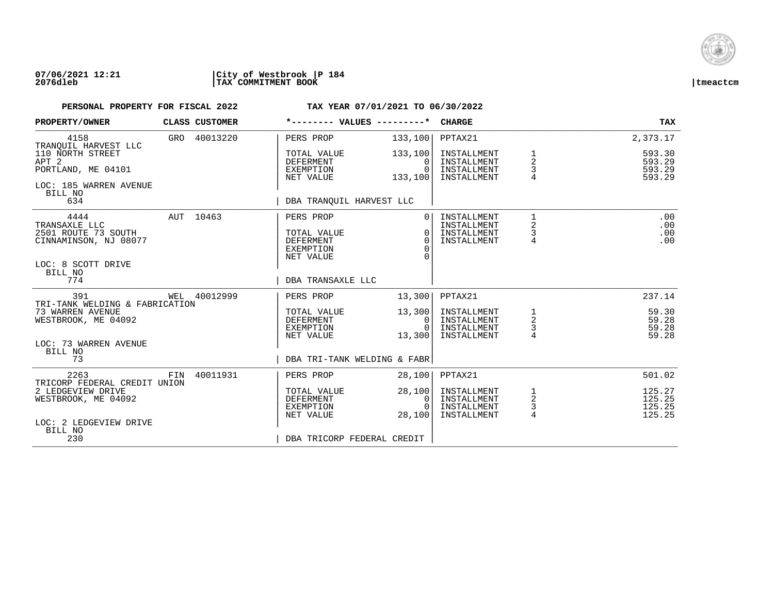

### **07/06/2021 12:21 |City of Westbrook |P 184 2076dleb |TAX COMMITMENT BOOK |tmeactcm**

| PROPERTY/OWNER                         |     | CLASS CUSTOMER | *-------- VALUES ---------* |                      | <b>CHARGE</b>              |                     | TAX              |
|----------------------------------------|-----|----------------|-----------------------------|----------------------|----------------------------|---------------------|------------------|
| 4158<br>TRANOUIL HARVEST LLC           |     | GRO 40013220   | PERS PROP                   | 133,100              | PPTAX21                    |                     | 2,373.17         |
| 110 NORTH STREET                       |     |                | TOTAL VALUE                 | 133,100              | INSTALLMENT                | 1                   | 593.30           |
| APT <sub>2</sub><br>PORTLAND, ME 04101 |     |                | DEFERMENT<br>EXEMPTION      | $\Omega$<br>$\Omega$ | INSTALLMENT<br>INSTALLMENT | 2<br>3              | 593.29<br>593.29 |
|                                        |     |                | NET VALUE                   | 133,100              | INSTALLMENT                |                     | 593.29           |
| LOC: 185 WARREN AVENUE                 |     |                |                             |                      |                            |                     |                  |
| BILL NO<br>634                         |     |                | DBA TRANOUIL HARVEST LLC    |                      |                            |                     |                  |
| 4444                                   |     | AUT 10463      | PERS PROP                   | $\Omega$             | INSTALLMENT                | 1                   | .00              |
| TRANSAXLE LLC<br>2501 ROUTE 73 SOUTH   |     |                | TOTAL VALUE                 | $\Omega$             | INSTALLMENT<br>INSTALLMENT | 2<br>3              | .00<br>.00       |
| CINNAMINSON, NJ 08077                  |     |                | DEFERMENT                   | $\Omega$             | INSTALLMENT                | $\overline{4}$      | .00              |
|                                        |     |                | <b>EXEMPTION</b>            | $\Omega$             |                            |                     |                  |
| LOC: 8 SCOTT DRIVE                     |     |                | NET VALUE                   |                      |                            |                     |                  |
| BILL NO                                |     |                |                             |                      |                            |                     |                  |
| 774                                    |     |                | DBA TRANSAXLE LLC           |                      |                            |                     |                  |
| 391<br>TRI-TANK WELDING & FABRICATION  |     | WEL 40012999   | PERS PROP                   | 13,300               | PPTAX21                    |                     | 237.14           |
| 73 WARREN AVENUE                       |     |                | TOTAL VALUE                 | 13,300               | INSTALLMENT                |                     | 59.30            |
| WESTBROOK, ME 04092                    |     |                | <b>DEFERMENT</b>            | $\mathbf{0}$         | INSTALLMENT                | $\frac{1}{2}$       | 59.28            |
|                                        |     |                | EXEMPTION<br>NET VALUE      | $\cap$<br>13,300     | INSTALLMENT<br>INSTALLMENT | $\frac{3}{4}$       | 59.28<br>59.28   |
| LOC: 73 WARREN AVENUE                  |     |                |                             |                      |                            |                     |                  |
| BILL NO<br>73                          |     |                | DBA TRI-TANK WELDING & FABR |                      |                            |                     |                  |
|                                        |     |                |                             |                      |                            |                     |                  |
| 2263<br>TRICORP FEDERAL CREDIT UNION   | FIN | 40011931       | PERS PROP                   | 28,100               | PPTAX21                    |                     | 501.02           |
| 2 LEDGEVIEW DRIVE                      |     |                | TOTAL VALUE                 | 28,100               | INSTALLMENT                |                     | 125.27           |
| WESTBROOK, ME 04092                    |     |                | DEFERMENT                   | 0                    | INSTALLMENT                | $\frac{1}{2}$       | 125.25           |
|                                        |     |                | EXEMPTION<br>NET VALUE      | $\Omega$<br>28,100   | INSTALLMENT<br>INSTALLMENT | 3<br>$\overline{4}$ | 125.25<br>125.25 |
| LOC: 2 LEDGEVIEW DRIVE                 |     |                |                             |                      |                            |                     |                  |
| BILL NO<br>230                         |     |                | DBA TRICORP FEDERAL CREDIT  |                      |                            |                     |                  |
|                                        |     |                |                             |                      |                            |                     |                  |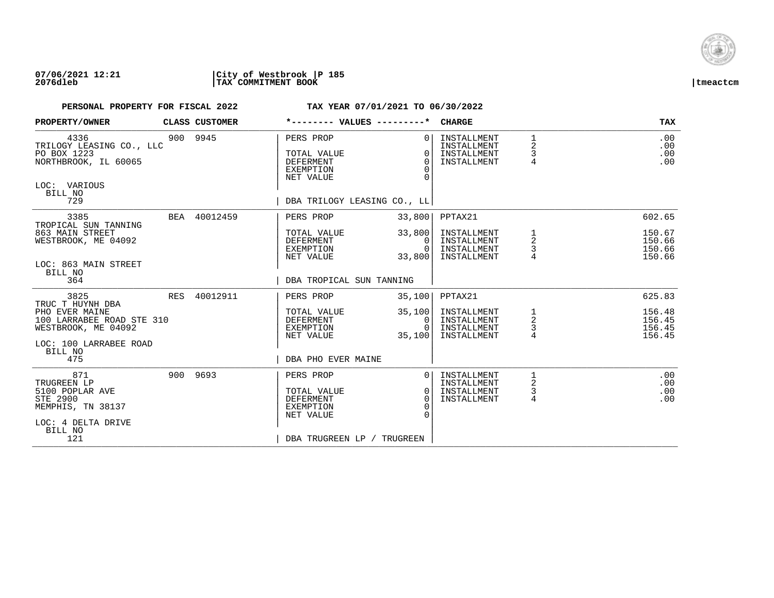

### **07/06/2021 12:21 |City of Westbrook |P 185 2076dleb |TAX COMMITMENT BOOK |tmeactcm**

| PROPERTY/OWNER                                                                                                        | CLASS CUSTOMER | *-------- VALUES ---------*                                                                                 |                                              | <b>CHARGE</b>                                            |                                | <b>TAX</b>                           |
|-----------------------------------------------------------------------------------------------------------------------|----------------|-------------------------------------------------------------------------------------------------------------|----------------------------------------------|----------------------------------------------------------|--------------------------------|--------------------------------------|
| 4336<br>TRILOGY LEASING CO., LLC<br>PO BOX 1223<br>NORTHBROOK, IL 60065<br>LOC: VARIOUS<br>BILL NO<br>729             | 900 9945       | PERS PROP<br>TOTAL VALUE<br><b>DEFERMENT</b><br>EXEMPTION<br>NET VALUE<br>DBA TRILOGY LEASING CO., LL       | $\Omega$<br>$\Omega$<br>$\Omega$<br>∩        | INSTALLMENT<br>INSTALLMENT<br>INSTALLMENT<br>INSTALLMENT | 1<br>$\overline{2}$<br>3<br>4  | .00<br>.00<br>.00<br>.00             |
| 3385<br>TROPICAL SUN TANNING                                                                                          | BEA 40012459   | PERS PROP                                                                                                   | 33,800                                       | PPTAX21                                                  |                                | 602.65                               |
| 863 MAIN STREET<br>WESTBROOK, ME 04092<br>LOC: 863 MAIN STREET<br>BILL NO                                             |                | TOTAL VALUE<br>DEFERMENT<br>EXEMPTION<br>NET VALUE                                                          | 33,800<br>0<br>$\Omega$<br>33,800            | INSTALLMENT<br>INSTALLMENT<br>INSTALLMENT<br>INSTALLMENT | $\frac{1}{2}$<br>$\frac{3}{4}$ | 150.67<br>150.66<br>150.66<br>150.66 |
| 364                                                                                                                   |                | DBA TROPICAL SUN TANNING                                                                                    |                                              |                                                          |                                |                                      |
| 3825<br>TRUC T HUYNH DBA                                                                                              | RES 40012911   | PERS PROP                                                                                                   | 35,100                                       | PPTAX21                                                  |                                | 625.83                               |
| PHO EVER MAINE<br>100 LARRABEE ROAD STE 310<br>WESTBROOK, ME 04092<br>LOC: 100 LARRABEE ROAD<br>BILL NO               |                | TOTAL VALUE<br>DEFERMENT<br>EXEMPTION<br>NET VALUE                                                          | 35,100<br>0<br>$\cap$<br>35,100              | INSTALLMENT<br>INSTALLMENT<br>INSTALLMENT<br>INSTALLMENT | 1<br>2<br>3<br>4               | 156.48<br>156.45<br>156.45<br>156.45 |
| 475                                                                                                                   |                | DBA PHO EVER MAINE                                                                                          |                                              |                                                          |                                |                                      |
| 871<br>TRUGREEN LP<br>5100 POPLAR AVE<br><b>STE 2900</b><br>MEMPHIS, TN 38137<br>LOC: 4 DELTA DRIVE<br>BILL NO<br>121 | 900 9693       | PERS PROP<br>TOTAL VALUE<br><b>DEFERMENT</b><br><b>EXEMPTION</b><br>NET VALUE<br>DBA TRUGREEN LP / TRUGREEN | $\Omega$<br>$\Omega$<br>$\Omega$<br>$\Omega$ | INSTALLMENT<br>INSTALLMENT<br>INSTALLMENT<br>INSTALLMENT | 1<br>2<br>4                    | .00<br>.00<br>.00<br>.00             |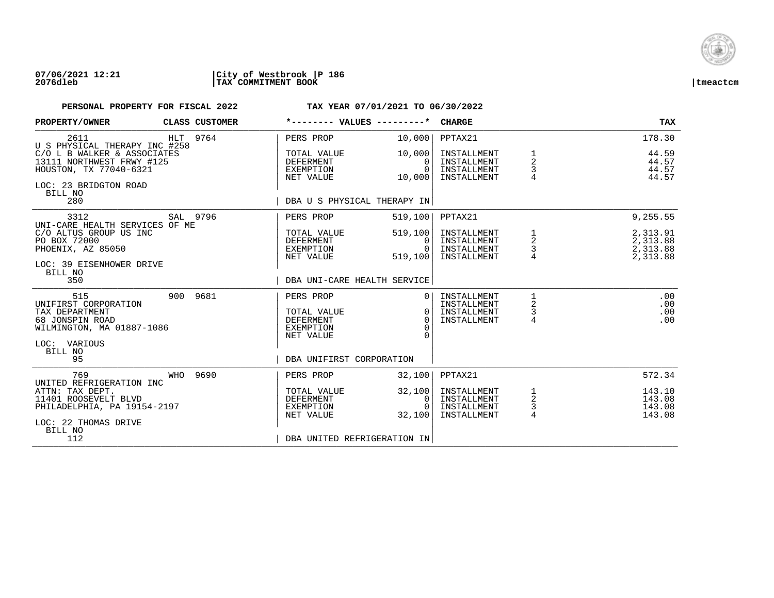

### **07/06/2021 12:21 |City of Westbrook |P 186 2076dleb |TAX COMMITMENT BOOK |tmeactcm**

| PROPERTY/OWNER                                                                                                                                                         |     | CLASS CUSTOMER | *-------- VALUES ---------*                                                                           |                                                                | <b>CHARGE</b>                                                       |                                                 | <b>TAX</b>                                               |
|------------------------------------------------------------------------------------------------------------------------------------------------------------------------|-----|----------------|-------------------------------------------------------------------------------------------------------|----------------------------------------------------------------|---------------------------------------------------------------------|-------------------------------------------------|----------------------------------------------------------|
| 2611<br>U S PHYSICAL THERAPY INC #258<br>C/O L B WALKER & ASSOCIATES<br>13111 NORTHWEST FRWY #125<br>HOUSTON, TX 77040-6321<br>LOC: 23 BRIDGTON ROAD<br>BILL NO<br>280 |     | HLT 9764       | PERS PROP<br>TOTAL VALUE<br><b>DEFERMENT</b><br>EXEMPTION<br>NET VALUE<br>DBA U S PHYSICAL THERAPY IN | 10,000<br>10,000<br>0<br>$\Omega$<br>10,000                    | PPTAX21<br>INSTALLMENT<br>INSTALLMENT<br>INSTALLMENT<br>INSTALLMENT | 1<br>$\overline{a}$<br>3<br>4                   | 178.30<br>44.59<br>44.57<br>44.57<br>44.57               |
| 3312<br>UNI-CARE HEALTH SERVICES OF ME<br>C/O ALTUS GROUP US INC<br>PO BOX 72000<br>PHOENIX, AZ 85050<br>LOC: 39 EISENHOWER DRIVE<br>BILL NO<br>350                    |     | SAL 9796       | PERS PROP<br>TOTAL VALUE<br>DEFERMENT<br>EXEMPTION<br>NET VALUE<br>DBA UNI-CARE HEALTH SERVICE        | 519,100<br>519, 100<br>$\Omega$<br>$\Omega$<br>519,100         | PPTAX21<br>INSTALLMENT<br>INSTALLMENT<br>INSTALLMENT<br>INSTALLMENT | 1<br>$\begin{array}{c} 2 \\ 3 \\ 4 \end{array}$ | 9,255.55<br>2,313.91<br>2,313.88<br>2,313.88<br>2,313.88 |
| 515<br>UNIFIRST CORPORATION<br>TAX DEPARTMENT<br>68 JONSPIN ROAD<br>WILMINGTON, MA 01887-1086<br>LOC: VARIOUS<br>BILL NO<br>95                                         |     | 900 9681       | PERS PROP<br>TOTAL VALUE<br>DEFERMENT<br><b>EXEMPTION</b><br>NET VALUE<br>DBA UNIFIRST CORPORATION    | 0 <sup>1</sup><br>$\Omega$<br>$\Omega$<br>$\Omega$<br>$\Omega$ | INSTALLMENT<br>INSTALLMENT<br>INSTALLMENT<br>INSTALLMENT            | 1<br>2<br>3<br>$\overline{4}$                   | .00<br>.00<br>.00<br>.00                                 |
| 769<br>UNITED REFRIGERATION INC<br>ATTN: TAX DEPT.<br>11401 ROOSEVELT BLVD<br>PHILADELPHIA, PA 19154-2197<br>LOC: 22 THOMAS DRIVE<br>BILL NO<br>112                    | WHO | 9690           | PERS PROP<br>TOTAL VALUE<br><b>DEFERMENT</b><br>EXEMPTION<br>NET VALUE<br>DBA UNITED REFRIGERATION IN | 32,100<br>32,100<br>0<br>$\Omega$<br>32,100                    | PPTAX21<br>INSTALLMENT<br>INSTALLMENT<br>INSTALLMENT<br>INSTALLMENT | $\frac{1}{2}$<br>3<br>$\overline{4}$            | 572.34<br>143.10<br>143.08<br>143.08<br>143.08           |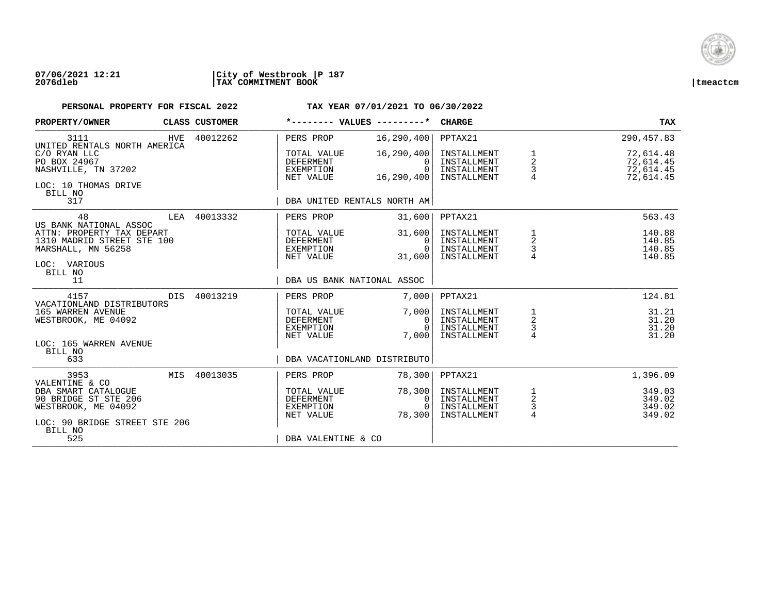

### **07/06/2021 12:21 |City of Westbrook |P 187 2076dleb |TAX COMMITMENT BOOK |tmeactcm**

| PROPERTY/OWNER                                                                                                                   |     | CLASS CUSTOMER | *-------- VALUES ---------*                               |                                             | <b>CHARGE</b>                                            |                                      | <b>TAX</b>                                       |
|----------------------------------------------------------------------------------------------------------------------------------|-----|----------------|-----------------------------------------------------------|---------------------------------------------|----------------------------------------------------------|--------------------------------------|--------------------------------------------------|
| 3111                                                                                                                             | HVE | 40012262       | PERS PROP                                                 | 16, 290, 400                                | PPTAX21                                                  |                                      | 290,457.83                                       |
| UNITED RENTALS NORTH AMERICA<br>C/O RYAN LLC<br>PO BOX 24967<br>NASHVILLE, TN 37202<br>LOC: 10 THOMAS DRIVE<br>BILL NO           |     |                | TOTAL VALUE<br>DEFERMENT<br>EXEMPTION<br>NET VALUE        | 16, 290, 400<br>0<br>$\Omega$<br>16,290,400 | INSTALLMENT<br>INSTALLMENT<br>INSTALLMENT<br>INSTALLMENT | 1<br>$\overline{a}$<br>$\frac{3}{4}$ | 72,614.48<br>72,614.45<br>72,614.45<br>72,614.45 |
| 317                                                                                                                              |     |                | DBA UNITED RENTALS NORTH AM                               |                                             |                                                          |                                      |                                                  |
| 48<br>US BANK NATIONAL ASSOC                                                                                                     |     | LEA 40013332   | PERS PROP                                                 | 31,600                                      | PPTAX21                                                  |                                      | 563.43                                           |
| ATTN: PROPERTY TAX DEPART<br>1310 MADRID STREET STE 100<br>MARSHALL, MN 56258<br>LOC: VARIOUS<br>BILL NO                         |     |                | TOTAL VALUE<br>DEFERMENT<br>EXEMPTION<br>NET VALUE        | 31,600<br>$\Omega$<br>$\Omega$<br>31,600    | INSTALLMENT<br>INSTALLMENT<br>INSTALLMENT<br>INSTALLMENT | $\frac{1}{2}$<br>$\frac{3}{4}$       | 140.88<br>140.85<br>140.85<br>140.85             |
| 11                                                                                                                               |     |                | DBA US BANK NATIONAL ASSOC                                |                                             |                                                          |                                      |                                                  |
| 4157<br>VACATIONLAND DISTRIBUTORS                                                                                                | DIS | 40013219       | PERS PROP                                                 | 7,000                                       | PPTAX21                                                  |                                      | 124.81                                           |
| 165 WARREN AVENUE<br>WESTBROOK, ME 04092                                                                                         |     |                | TOTAL VALUE<br>DEFERMENT<br>EXEMPTION<br>NET VALUE        | 7,000<br>0<br>$\Omega$<br>7,000             | INSTALLMENT<br>INSTALLMENT<br>INSTALLMENT<br>INSTALLMENT | $\frac{1}{2}$<br>$\frac{3}{4}$       | 31.21<br>31.20<br>31.20<br>31.20                 |
| LOC: 165 WARREN AVENUE<br>BILL NO<br>633                                                                                         |     |                | DBA VACATIONLAND DISTRIBUTO                               |                                             |                                                          |                                      |                                                  |
| 3953                                                                                                                             |     | MIS 40013035   | PERS PROP                                                 | 78,300                                      | PPTAX21                                                  |                                      | 1,396.09                                         |
| VALENTINE & CO<br>DBA SMART CATALOGUE<br>90 BRIDGE ST STE 206<br>WESTBROOK, ME 04092<br>LOC: 90 BRIDGE STREET STE 206<br>BILL NO |     |                | TOTAL VALUE<br><b>DEFERMENT</b><br>EXEMPTION<br>NET VALUE | 78,300<br>0<br>$\Omega$<br>78,300           | INSTALLMENT<br>INSTALLMENT<br>INSTALLMENT<br>INSTALLMENT | $\frac{1}{2}$<br>$\frac{3}{4}$       | 349.03<br>349.02<br>349.02<br>349.02             |
| 525                                                                                                                              |     |                | DBA VALENTINE & CO                                        |                                             |                                                          |                                      |                                                  |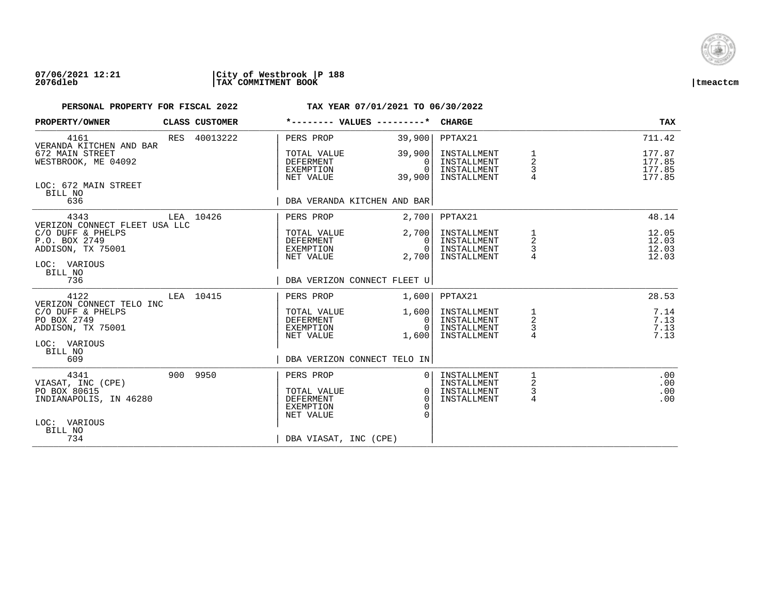

### **07/06/2021 12:21 |City of Westbrook |P 188 2076dleb |TAX COMMITMENT BOOK |tmeactcm**

| PROPERTY/OWNER                                                                                           | CLASS CUSTOMER |                                                                               | *-------- VALUES ---------*                    | <b>CHARGE</b>                                            |                                     | <b>TAX</b>                           |
|----------------------------------------------------------------------------------------------------------|----------------|-------------------------------------------------------------------------------|------------------------------------------------|----------------------------------------------------------|-------------------------------------|--------------------------------------|
| 4161<br>VERANDA KITCHEN AND BAR                                                                          | RES 40013222   | PERS PROP                                                                     | 39,900                                         | PPTAX21                                                  |                                     | 711.42                               |
| 672 MAIN STREET<br>WESTBROOK, ME 04092                                                                   |                | TOTAL VALUE<br><b>DEFERMENT</b><br>EXEMPTION<br>NET VALUE                     | 39,900<br>$\Omega$<br>$\Omega$<br>39,900       | INSTALLMENT<br>INSTALLMENT<br>INSTALLMENT<br>INSTALLMENT | $\overline{a}$<br>3<br>4            | 177.87<br>177.85<br>177.85<br>177.85 |
| LOC: 672 MAIN STREET<br>BILL NO<br>636                                                                   |                | DBA VERANDA KITCHEN AND BAR                                                   |                                                |                                                          |                                     |                                      |
| 4343                                                                                                     | LEA 10426      | PERS PROP                                                                     | 2,700                                          | PPTAX21                                                  |                                     | 48.14                                |
| VERIZON CONNECT FLEET USA LLC<br>C/O DUFF & PHELPS<br>P.O. BOX 2749<br>ADDISON, TX 75001<br>LOC: VARIOUS |                | TOTAL VALUE<br>DEFERMENT<br>EXEMPTION<br>NET VALUE                            | 2,700<br>$\Omega$<br>$\overline{0}$<br>2,700   | INSTALLMENT<br>INSTALLMENT<br>INSTALLMENT<br>INSTALLMENT | 1<br>$\sqrt{2}$<br>$\mathsf 3$<br>4 | 12.05<br>12.03<br>12.03<br>12.03     |
| BILL NO<br>736                                                                                           |                | DBA VERIZON CONNECT FLEET U                                                   |                                                |                                                          |                                     |                                      |
| 4122<br>VERIZON CONNECT TELO INC                                                                         | LEA 10415      | PERS PROP                                                                     | 1,600                                          | PPTAX21                                                  |                                     | 28.53                                |
| C/O DUFF & PHELPS<br>PO BOX 2749<br>ADDISON, TX 75001                                                    |                | TOTAL VALUE<br>DEFERMENT<br>EXEMPTION<br>NET VALUE                            | 1,600<br>$\overline{0}$<br>$\Omega$            | INSTALLMENT<br>INSTALLMENT<br>INSTALLMENT<br>INSTALLMENT | 1<br>$\overline{a}$<br>3<br>4       | 7.14<br>7.13<br>7.13<br>7.13         |
| LOC: VARIOUS<br>BILL NO<br>609                                                                           |                | DBA VERIZON CONNECT TELO IN                                                   | 1,600                                          |                                                          |                                     |                                      |
| 4341<br>VIASAT, INC (CPE)<br>PO BOX 80615<br>INDIANAPOLIS, IN 46280                                      | 900 9950       | PERS PROP<br>TOTAL VALUE<br><b>DEFERMENT</b><br><b>EXEMPTION</b><br>NET VALUE | 0 <sup>1</sup><br>$\Omega$<br>$\cap$<br>$\cap$ | INSTALLMENT<br>INSTALLMENT<br>INSTALLMENT<br>INSTALLMENT | 1<br>2<br>3<br>4                    | .00<br>.00<br>.00<br>.00             |
| LOC: VARIOUS<br>BILL NO<br>734                                                                           |                | DBA VIASAT, INC (CPE)                                                         |                                                |                                                          |                                     |                                      |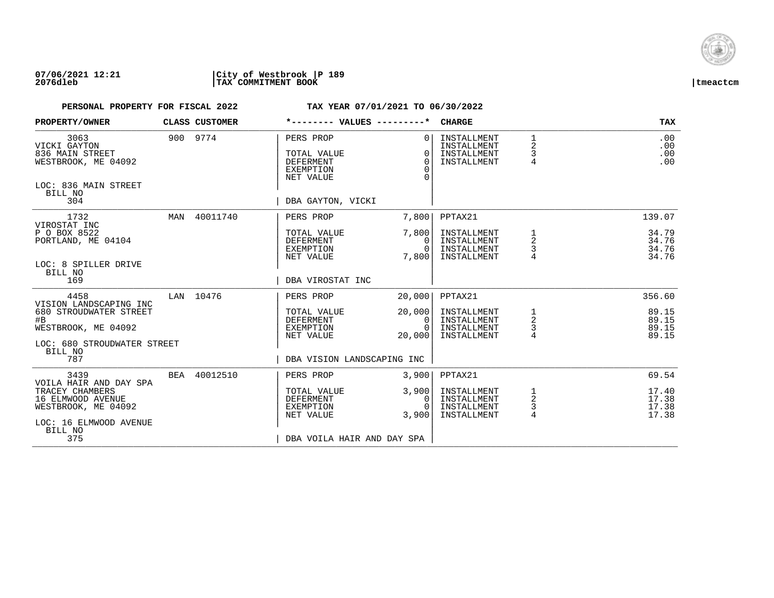

| PROPERTY/OWNER                                                                                    |     | CLASS CUSTOMER |                                                                               | *-------- VALUES ---------*                  | <b>CHARGE</b>                                            |                               | <b>TAX</b>                       |
|---------------------------------------------------------------------------------------------------|-----|----------------|-------------------------------------------------------------------------------|----------------------------------------------|----------------------------------------------------------|-------------------------------|----------------------------------|
| 3063<br>VICKI GAYTON<br>836 MAIN STREET<br>WESTBROOK, ME 04092<br>LOC: 836 MAIN STREET<br>BILL NO |     | 900 9774       | PERS PROP<br>TOTAL VALUE<br><b>DEFERMENT</b><br><b>EXEMPTION</b><br>NET VALUE | $\Omega$<br>$\Omega$<br>$\Omega$<br>$\Omega$ | INSTALLMENT<br>INSTALLMENT<br>INSTALLMENT<br>INSTALLMENT | 1<br>$\overline{2}$<br>3<br>4 | .00<br>.00<br>.00<br>.00         |
| 304                                                                                               |     |                | DBA GAYTON, VICKI                                                             |                                              |                                                          |                               |                                  |
| 1732<br>VIROSTAT INC                                                                              | MAN | 40011740       | PERS PROP                                                                     | 7,800                                        | PPTAX21                                                  |                               | 139.07                           |
| P O BOX 8522<br>PORTLAND, ME 04104<br>LOC: 8 SPILLER DRIVE                                        |     |                | TOTAL VALUE<br>DEFERMENT<br>EXEMPTION<br>NET VALUE                            | 7,800<br>0<br>$\Omega$<br>7,800              | INSTALLMENT<br>INSTALLMENT<br>INSTALLMENT<br>INSTALLMENT | 1<br>$\overline{a}$<br>3      | 34.79<br>34.76<br>34.76<br>34.76 |
| BILL NO<br>169                                                                                    |     |                | DBA VIROSTAT INC                                                              |                                              |                                                          |                               |                                  |
| 4458<br>VISION LANDSCAPING INC                                                                    |     | LAN 10476      | PERS PROP                                                                     | 20,000                                       | PPTAX21                                                  |                               | 356.60                           |
| 680 STROUDWATER STREET<br>#B<br>WESTBROOK, ME 04092                                               |     |                | TOTAL VALUE<br>DEFERMENT<br>EXEMPTION<br>NET VALUE                            | 20,000<br>0<br>$\Omega$<br>20,000            | INSTALLMENT<br>INSTALLMENT<br>INSTALLMENT<br>INSTALLMENT | 1<br>2<br>3<br>$\overline{4}$ | 89.15<br>89.15<br>89.15<br>89.15 |
| LOC: 680 STROUDWATER STREET<br>BILL NO<br>787                                                     |     |                | DBA VISION LANDSCAPING INC                                                    |                                              |                                                          |                               |                                  |
| 3439<br>VOILA HAIR AND DAY SPA                                                                    | BEA | 40012510       | PERS PROP                                                                     | 3,900                                        | PPTAX21                                                  |                               | 69.54                            |
| TRACEY CHAMBERS<br>16 ELMWOOD AVENUE<br>WESTBROOK, ME 04092<br>LOC: 16 ELMWOOD AVENUE<br>BILL NO  |     |                | TOTAL VALUE<br><b>DEFERMENT</b><br>EXEMPTION<br>NET VALUE                     | 3,900<br>0<br>$\Omega$<br>3,900              | INSTALLMENT<br>INSTALLMENT<br>INSTALLMENT<br>INSTALLMENT | 2<br>3<br>$\overline{4}$      | 17.40<br>17.38<br>17.38<br>17.38 |
| 375                                                                                               |     |                | DBA VOILA HAIR AND DAY SPA                                                    |                                              |                                                          |                               |                                  |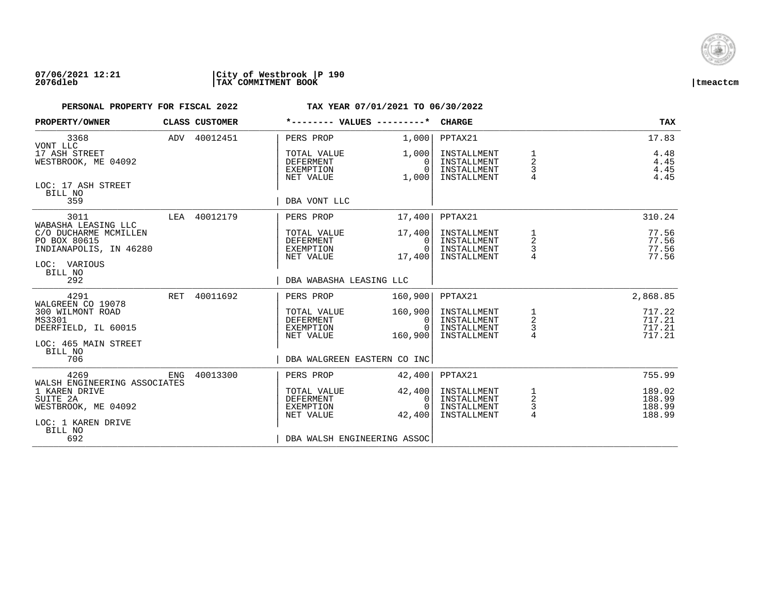

| PROPERTY/OWNER                                                                    |     | CLASS CUSTOMER | *-------- VALUES ---------*                               |                                        | <b>CHARGE</b>                                            |                                                   | <b>TAX</b>                           |
|-----------------------------------------------------------------------------------|-----|----------------|-----------------------------------------------------------|----------------------------------------|----------------------------------------------------------|---------------------------------------------------|--------------------------------------|
| 3368                                                                              |     | ADV 40012451   | PERS PROP                                                 | 1,000                                  | PPTAX21                                                  |                                                   | 17.83                                |
| VONT LLC<br>17 ASH STREET<br>WESTBROOK, ME 04092<br>LOC: 17 ASH STREET            |     |                | TOTAL VALUE<br><b>DEFERMENT</b><br>EXEMPTION<br>NET VALUE | 1,000<br>$\Omega$<br>$\Omega$<br>1,000 | INSTALLMENT<br>INSTALLMENT<br>INSTALLMENT<br>INSTALLMENT | 1<br>$\overline{2}$<br>3<br>$\overline{4}$        | 4.48<br>4.45<br>4.45<br>4.45         |
| BILL NO<br>359                                                                    |     |                | DBA VONT LLC                                              |                                        |                                                          |                                                   |                                      |
| 3011<br>WABASHA LEASING LLC                                                       |     | LEA 40012179   | PERS PROP                                                 | 17,400                                 | PPTAX21                                                  |                                                   | 310.24                               |
| C/O DUCHARME MCMILLEN<br>PO BOX 80615<br>INDIANAPOLIS, IN 46280<br>LOC: VARIOUS   |     |                | TOTAL VALUE<br>DEFERMENT<br>EXEMPTION<br>NET VALUE        | 17,400<br>$\Omega$<br>0<br>17,400      | INSTALLMENT<br>INSTALLMENT<br>INSTALLMENT<br>INSTALLMENT | 1<br>2<br>3                                       | 77.56<br>77.56<br>77.56<br>77.56     |
| BILL NO<br>292                                                                    |     |                | DBA WABASHA LEASING LLC                                   |                                        |                                                          |                                                   |                                      |
| 4291<br>WALGREEN CO 19078                                                         | RET | 40011692       | PERS PROP                                                 | 160,900                                | PPTAX21                                                  |                                                   | 2,868.85                             |
| 300 WILMONT ROAD<br>MS3301<br>DEERFIELD, IL 60015<br>LOC: 465 MAIN STREET         |     |                | TOTAL VALUE<br>DEFERMENT<br>EXEMPTION<br>NET VALUE        | 160,900<br>0<br>$\Omega$<br>160,900    | INSTALLMENT<br>INSTALLMENT<br>INSTALLMENT<br>INSTALLMENT | $\begin{array}{c}\n1 \\ 2 \\ 3 \\ 4\n\end{array}$ | 717.22<br>717.21<br>717.21<br>717.21 |
| BILL NO<br>706                                                                    |     |                | DBA WALGREEN EASTERN CO INC                               |                                        |                                                          |                                                   |                                      |
| 4269<br>WALSH ENGINEERING ASSOCIATES                                              | ENG | 40013300       | PERS PROP                                                 | 42,400                                 | PPTAX21                                                  |                                                   | 755.99                               |
| 1 KAREN DRIVE<br>SUITE 2A<br>WESTBROOK, ME 04092<br>LOC: 1 KAREN DRIVE<br>BILL NO |     |                | TOTAL VALUE<br><b>DEFERMENT</b><br>EXEMPTION<br>NET VALUE | 42,400<br>0<br>$\Omega$<br>42,400      | INSTALLMENT<br>INSTALLMENT<br>INSTALLMENT<br>INSTALLMENT | $\frac{1}{2}$<br>3<br>$\overline{4}$              | 189.02<br>188.99<br>188.99<br>188.99 |
| 692                                                                               |     |                | DBA WALSH ENGINEERING ASSOC                               |                                        |                                                          |                                                   |                                      |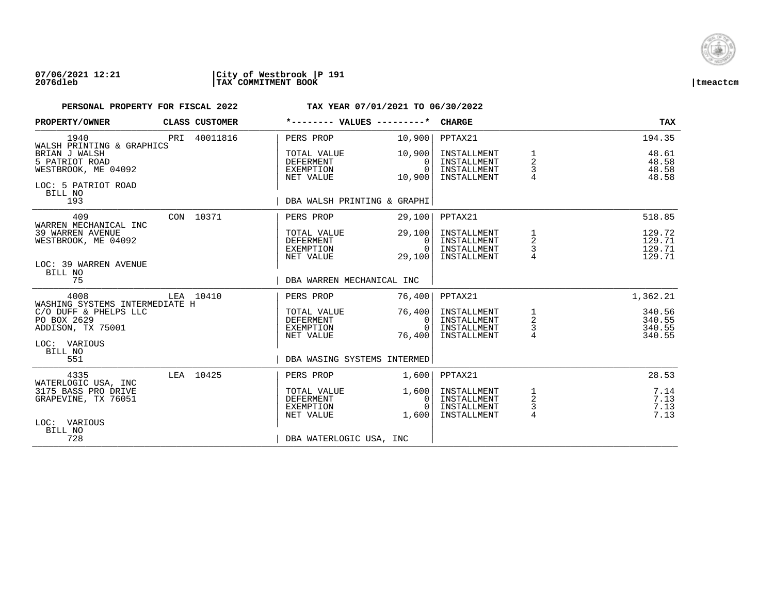

### **07/06/2021 12:21 |City of Westbrook |P 191 2076dleb |TAX COMMITMENT BOOK |tmeactcm**

| PROPERTY/OWNER                                                                           | CLASS CUSTOMER |                                                    | *-------- VALUES ---------*                    | CHARGE                                                   |                                                   | <b>TAX</b>                           |
|------------------------------------------------------------------------------------------|----------------|----------------------------------------------------|------------------------------------------------|----------------------------------------------------------|---------------------------------------------------|--------------------------------------|
| 1940<br>WALSH PRINTING & GRAPHICS                                                        | PRI 40011816   | PERS PROP                                          | 10,900                                         | PPTAX21                                                  |                                                   | 194.35                               |
| BRIAN J WALSH<br>5 PATRIOT ROAD<br>WESTBROOK, ME 04092<br>LOC: 5 PATRIOT ROAD<br>BILL NO |                | TOTAL VALUE<br>DEFERMENT<br>EXEMPTION<br>NET VALUE | 10,900<br>$\Omega$<br>$\overline{0}$<br>10,900 | INSTALLMENT<br>INSTALLMENT<br>INSTALLMENT<br>INSTALLMENT | 1<br>$\overline{a}$<br>3<br>$\overline{4}$        | 48.61<br>48.58<br>48.58<br>48.58     |
| 193                                                                                      |                |                                                    | DBA WALSH PRINTING & GRAPHI                    |                                                          |                                                   |                                      |
| 409<br>WARREN MECHANICAL INC                                                             | CON 10371      | PERS PROP                                          | 29,100                                         | PPTAX21                                                  |                                                   | 518.85                               |
| 39 WARREN AVENUE<br>WESTBROOK, ME 04092<br>LOC: 39 WARREN AVENUE<br>BILL NO              |                | TOTAL VALUE<br>DEFERMENT<br>EXEMPTION<br>NET VALUE | 29,100<br>$\Omega$<br>0<br>29,100              | INSTALLMENT<br>INSTALLMENT<br>INSTALLMENT<br>INSTALLMENT | $\mathbf{1}$<br>$\sqrt{2}$<br>$\mathsf{3}$        | 129.72<br>129.71<br>129.71<br>129.71 |
| 75                                                                                       |                |                                                    | DBA WARREN MECHANICAL INC                      |                                                          |                                                   |                                      |
| 4008<br>WASHING SYSTEMS INTERMEDIATE H                                                   | LEA 10410      | PERS PROP                                          | 76,400                                         | PPTAX21                                                  |                                                   | 1,362.21                             |
| C/O DUFF & PHELPS LLC<br>PO BOX 2629<br>ADDISON, TX 75001                                |                | TOTAL VALUE<br>DEFERMENT<br>EXEMPTION<br>NET VALUE | 76,400<br>0 <sup>1</sup><br>$\Omega$<br>76,400 | INSTALLMENT<br>INSTALLMENT<br>INSTALLMENT<br>INSTALLMENT | $\begin{array}{c}\n1 \\ 2 \\ 3 \\ 4\n\end{array}$ | 340.56<br>340.55<br>340.55<br>340.55 |
| LOC: VARIOUS<br>BILL NO<br>551                                                           |                |                                                    | DBA WASING SYSTEMS INTERMED                    |                                                          |                                                   |                                      |
| 4335                                                                                     | LEA 10425      | PERS PROP                                          | 1,600                                          | PPTAX21                                                  |                                                   | 28.53                                |
| WATERLOGIC USA, INC<br>3175 BASS PRO DRIVE<br>GRAPEVINE, TX 76051                        |                | TOTAL VALUE<br>DEFERMENT<br>EXEMPTION<br>NET VALUE | 1,600<br>0<br>$\Omega$<br>1,600                | INSTALLMENT<br>INSTALLMENT<br>INSTALLMENT<br>INSTALLMENT | $\frac{1}{2}$<br>3<br>$\overline{4}$              | 7.14<br>7.13<br>7.13<br>7.13         |
| LOC: VARIOUS<br>BILL NO<br>728                                                           |                |                                                    | DBA WATERLOGIC USA, INC                        |                                                          |                                                   |                                      |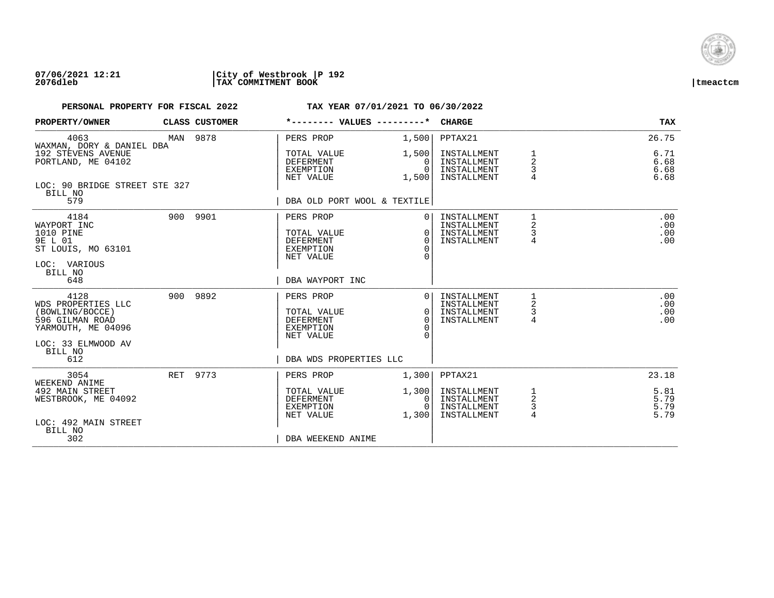

### **07/06/2021 12:21 |City of Westbrook |P 192 2076dleb |TAX COMMITMENT BOOK |tmeactcm**

| PROPERTY/OWNER                                                                                               | CLASS CUSTOMER | *-------- VALUES ---------*                                                   |                                                        | <b>CHARGE</b>                                            |                                          | <b>TAX</b>                   |
|--------------------------------------------------------------------------------------------------------------|----------------|-------------------------------------------------------------------------------|--------------------------------------------------------|----------------------------------------------------------|------------------------------------------|------------------------------|
| 4063<br>WAXMAN, DORY & DANIEL DBA                                                                            | MAN 9878       | PERS PROP                                                                     | 1,500                                                  | PPTAX21                                                  |                                          | 26.75                        |
| 192 STEVENS AVENUE<br>PORTLAND, ME 04102                                                                     |                | TOTAL VALUE<br>DEFERMENT<br>EXEMPTION<br>NET VALUE                            | 1,500<br>0<br>$\Omega$<br>1,500                        | INSTALLMENT<br>INSTALLMENT<br>INSTALLMENT<br>INSTALLMENT | 1<br>$\overline{2}$<br>3<br>4            | 6.71<br>6.68<br>6.68<br>6.68 |
| LOC: 90 BRIDGE STREET STE 327<br>BILL NO<br>579                                                              |                | DBA OLD PORT WOOL & TEXTILE                                                   |                                                        |                                                          |                                          |                              |
| 4184<br>WAYPORT INC<br>1010 PINE<br>9E L 01<br>ST LOUIS, MO 63101<br>LOC: VARIOUS<br>BILL NO                 | 900 9901       | PERS PROP<br>TOTAL VALUE<br><b>DEFERMENT</b><br>EXEMPTION<br>NET VALUE        | $\Omega$<br>$\Omega$<br>$\Omega$<br>$\Omega$<br>$\cap$ | INSTALLMENT<br>INSTALLMENT<br>INSTALLMENT<br>INSTALLMENT | $\mathbf{1}$<br>2<br>3<br>$\overline{4}$ | .00<br>.00<br>.00<br>.00     |
| 648                                                                                                          |                | DBA WAYPORT INC                                                               |                                                        |                                                          |                                          |                              |
| 4128<br>WDS PROPERTIES LLC<br>(BOWLING/BOCCE)<br>596 GILMAN ROAD<br>YARMOUTH, ME 04096<br>LOC: 33 ELMWOOD AV | 900 9892       | PERS PROP<br>TOTAL VALUE<br><b>DEFERMENT</b><br><b>EXEMPTION</b><br>NET VALUE | $\Omega$<br>$\Omega$<br>$\Omega$<br>∩<br>$\cap$        | INSTALLMENT<br>INSTALLMENT<br>INSTALLMENT<br>INSTALLMENT | 1<br>2<br>3<br>4                         | .00<br>.00<br>.00<br>.00     |
| BILL NO<br>612                                                                                               |                | DBA WDS PROPERTIES LLC                                                        |                                                        |                                                          |                                          |                              |
| 3054<br>WEEKEND ANIME                                                                                        | RET 9773       | PERS PROP                                                                     | 1,300                                                  | PPTAX21                                                  |                                          | 23.18                        |
| 492 MAIN STREET<br>WESTBROOK, ME 04092<br>LOC: 492 MAIN STREET                                               |                | TOTAL VALUE<br>DEFERMENT<br>EXEMPTION<br>NET VALUE                            | 1,300<br>0<br>$\Omega$<br>1,300                        | INSTALLMENT<br>INSTALLMENT<br>INSTALLMENT<br>INSTALLMENT | 1<br>2<br>3<br>4                         | 5.81<br>5.79<br>5.79<br>5.79 |
| BILL NO<br>302                                                                                               |                | DBA WEEKEND ANIME                                                             |                                                        |                                                          |                                          |                              |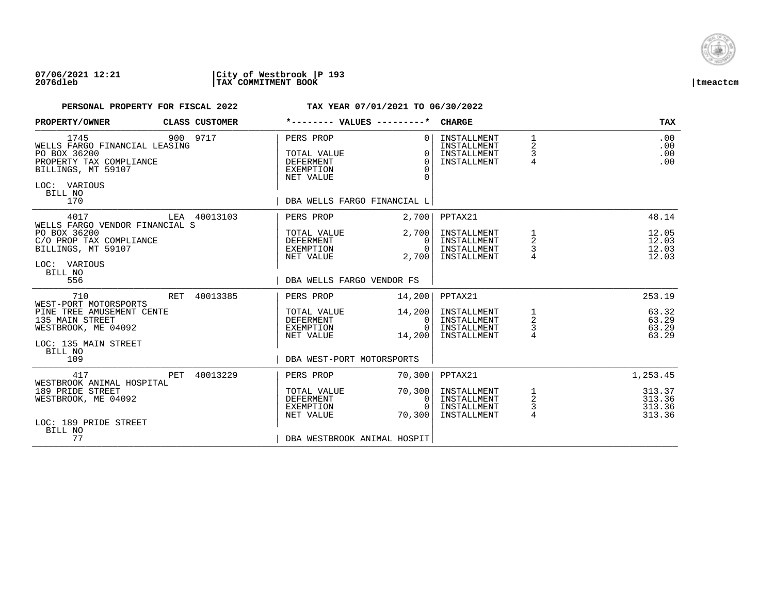

### **07/06/2021 12:21 |City of Westbrook |P 193 2076dleb |TAX COMMITMENT BOOK |tmeactcm**

| PROPERTY/OWNER                                                                                                                                       | CLASS CUSTOMER |                                                                        | *-------- VALUES ---------*                                                             | <b>CHARGE</b>                                                       |                                               | <b>TAX</b>                                 |
|------------------------------------------------------------------------------------------------------------------------------------------------------|----------------|------------------------------------------------------------------------|-----------------------------------------------------------------------------------------|---------------------------------------------------------------------|-----------------------------------------------|--------------------------------------------|
| 1745<br>WELLS FARGO FINANCIAL LEASING<br>PO BOX 36200<br>PROPERTY TAX COMPLIANCE<br>BILLINGS, MT 59107<br>LOC: VARIOUS<br>BILL NO<br>170             | 900 9717       | PERS PROP<br>TOTAL VALUE<br>DEFERMENT<br><b>EXEMPTION</b><br>NET VALUE | $\Omega$<br>$\Omega$<br>$\Omega$<br>$\Omega$<br>$\Omega$<br>DBA WELLS FARGO FINANCIAL L | INSTALLMENT<br>INSTALLMENT<br>INSTALLMENT<br>INSTALLMENT            | $\mathbf{1}$<br>2<br>3<br>$\overline{4}$      | .00<br>.00<br>.00<br>.00                   |
| 4017                                                                                                                                                 | LEA 40013103   | PERS PROP                                                              | 2,700                                                                                   | PPTAX21                                                             |                                               | 48.14                                      |
| WELLS FARGO VENDOR FINANCIAL S<br>PO BOX 36200<br>C/O PROP TAX COMPLIANCE<br>BILLINGS, MT 59107<br>LOC: VARIOUS<br>BILL NO<br>556                    |                | TOTAL VALUE<br>DEFERMENT<br>EXEMPTION<br>NET VALUE                     | 2,700<br>$\mathbf{0}$<br>$\Omega$<br>2,700                                              | INSTALLMENT<br>INSTALLMENT<br>INSTALLMENT<br>INSTALLMENT            | 1<br>$\overline{\mathbf{c}}$<br>$\frac{3}{4}$ | 12.05<br>12.03<br>12.03<br>12.03           |
|                                                                                                                                                      |                |                                                                        | DBA WELLS FARGO VENDOR FS                                                               |                                                                     |                                               |                                            |
| RET<br>710<br>WEST-PORT MOTORSPORTS<br>PINE TREE AMUSEMENT CENTE<br>135 MAIN STREET<br>WESTBROOK, ME 04092<br>LOC: 135 MAIN STREET<br>BILL NO<br>109 | 40013385       | PERS PROP<br>TOTAL VALUE<br>DEFERMENT<br>EXEMPTION<br>NET VALUE        | 14,200<br>14,200<br>$\Omega$<br>$\Omega$<br>14,200<br>DBA WEST-PORT MOTORSPORTS         | PPTAX21<br>INSTALLMENT<br>INSTALLMENT<br>INSTALLMENT<br>INSTALLMENT | $\frac{1}{2}$<br>$\frac{3}{4}$                | 253.19<br>63.32<br>63.29<br>63.29<br>63.29 |
| 417<br>$\rm PET$<br>WESTBROOK ANIMAL HOSPITAL                                                                                                        | 40013229       | PERS PROP                                                              | 70,300                                                                                  | PPTAX21                                                             |                                               | 1,253.45                                   |
| 189 PRIDE STREET<br>WESTBROOK, ME 04092<br>LOC: 189 PRIDE STREET<br>BILL NO<br>77                                                                    |                | TOTAL VALUE<br>DEFERMENT<br>EXEMPTION<br>NET VALUE                     | 70,300<br>$\mathbf{0}$<br>$\Omega$<br>70,300<br>DBA WESTBROOK ANIMAL HOSPIT             | INSTALLMENT<br>INSTALLMENT<br>INSTALLMENT<br>INSTALLMENT            | $\frac{1}{2}$<br>3<br>$\overline{4}$          | 313.37<br>313.36<br>313.36<br>313.36       |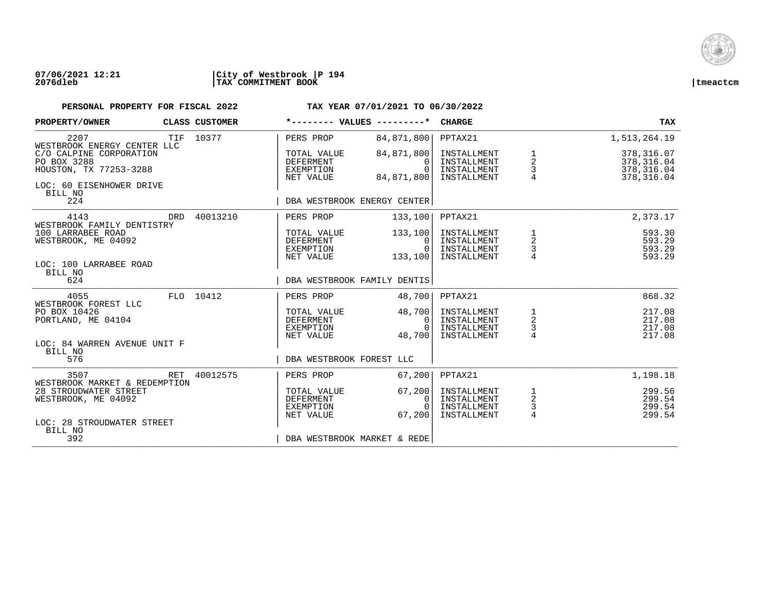

### **07/06/2021 12:21 |City of Westbrook |P 194 2076dleb |TAX COMMITMENT BOOK |tmeactcm**

| PROPERTY/OWNER                                                                                          |     | CLASS CUSTOMER | *-------- VALUES ---------*                               |                                                  | <b>CHARGE</b>                                            |                                                   | <b>TAX</b>                                              |
|---------------------------------------------------------------------------------------------------------|-----|----------------|-----------------------------------------------------------|--------------------------------------------------|----------------------------------------------------------|---------------------------------------------------|---------------------------------------------------------|
| 2207<br>WESTBROOK ENERGY CENTER LLC                                                                     | TIF | 10377          | PERS PROP                                                 | 84,871,800                                       | PPTAX21                                                  |                                                   | 1,513,264.19                                            |
| C/O CALPINE CORPORATION<br>PO BOX 3288<br>HOUSTON, TX 77253-3288<br>LOC: 60 EISENHOWER DRIVE<br>BILL NO |     |                | TOTAL VALUE<br><b>DEFERMENT</b><br>EXEMPTION<br>NET VALUE | 84,871,800<br>$\Omega$<br>$\Omega$<br>84,871,800 | INSTALLMENT<br>INSTALLMENT<br>INSTALLMENT<br>INSTALLMENT | $\frac{1}{2}$<br>3                                | 378,316.07<br>378, 316.04<br>378, 316.04<br>378, 316.04 |
| 224                                                                                                     |     |                | DBA WESTBROOK ENERGY CENTER                               |                                                  |                                                          |                                                   |                                                         |
| 4143<br>WESTBROOK FAMILY DENTISTRY                                                                      | DRD | 40013210       | PERS PROP                                                 | 133,100                                          | PPTAX21                                                  |                                                   | 2,373.17                                                |
| 100 LARRABEE ROAD<br>WESTBROOK, ME 04092<br>LOC: 100 LARRABEE ROAD                                      |     |                | TOTAL VALUE<br>DEFERMENT<br>EXEMPTION<br>NET VALUE        | 133,100<br>$\Omega$<br>$\Omega$<br>133,100       | INSTALLMENT<br>INSTALLMENT<br>INSTALLMENT<br>INSTALLMENT | $\begin{array}{c}\n1 \\ 2 \\ 3 \\ 4\n\end{array}$ | 593.30<br>593.29<br>593.29<br>593.29                    |
| BILL NO<br>624                                                                                          |     |                | DBA WESTBROOK FAMILY DENTIS                               |                                                  |                                                          |                                                   |                                                         |
| 4055                                                                                                    |     | FLO 10412      | PERS PROP                                                 | 48,700                                           | PPTAX21                                                  |                                                   | 868.32                                                  |
| WESTBROOK FOREST LLC<br>PO BOX 10426<br>PORTLAND, ME 04104                                              |     |                | TOTAL VALUE<br>DEFERMENT<br>EXEMPTION<br>NET VALUE        | 48,700<br>0<br>$\Omega$<br>48,700                | INSTALLMENT<br>INSTALLMENT<br>INSTALLMENT<br>INSTALLMENT | $\frac{1}{2}$<br>$\frac{1}{4}$                    | 217.08<br>217.08<br>217.08<br>217.08                    |
| LOC: 84 WARREN AVENUE UNIT F<br>BILL NO<br>576                                                          |     |                | DBA WESTBROOK FOREST LLC                                  |                                                  |                                                          |                                                   |                                                         |
| 3507<br>WESTBROOK MARKET & REDEMPTION                                                                   | RET | 40012575       | PERS PROP                                                 | 67,200                                           | PPTAX21                                                  |                                                   | 1,198.18                                                |
| 28 STROUDWATER STREET<br>WESTBROOK, ME 04092<br>LOC: 28 STROUDWATER STREET<br>BILL NO                   |     |                | TOTAL VALUE<br><b>DEFERMENT</b><br>EXEMPTION<br>NET VALUE | 67,200<br>$\Omega$<br>$\Omega$<br>67,200         | INSTALLMENT<br>INSTALLMENT<br>INSTALLMENT<br>INSTALLMENT | $\frac{1}{2}$<br>3<br>4                           | 299.56<br>299.54<br>299.54<br>299.54                    |
| 392                                                                                                     |     |                | DBA WESTBROOK MARKET & REDE                               |                                                  |                                                          |                                                   |                                                         |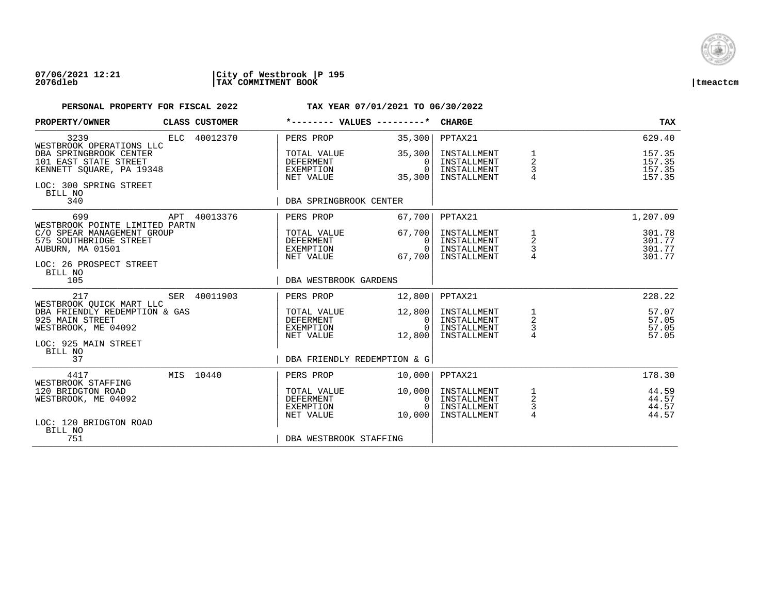

### **07/06/2021 12:21 |City of Westbrook |P 195 2076dleb |TAX COMMITMENT BOOK |tmeactcm**

| PROPERTY/OWNER                                                                                                                         |  | CLASS CUSTOMER |                                                           | $*$ -------- VALUES --------* CHARGE                 |                                                          |                                                   | <b>TAX</b>                           |
|----------------------------------------------------------------------------------------------------------------------------------------|--|----------------|-----------------------------------------------------------|------------------------------------------------------|----------------------------------------------------------|---------------------------------------------------|--------------------------------------|
| 3239<br>WESTBROOK OPERATIONS LLC                                                                                                       |  | ELC 40012370   | PERS PROP                                                 | 35,300                                               | PPTAX21                                                  |                                                   | 629.40                               |
| DBA SPRINGBROOK CENTER<br>101 EAST STATE STREET<br>KENNETT SQUARE, PA 19348<br>LOC: 300 SPRING STREET                                  |  |                | TOTAL VALUE<br><b>DEFERMENT</b><br>EXEMPTION<br>NET VALUE | 35,300<br>$\Omega$<br>$\Omega$<br>35,300             | INSTALLMENT<br>INSTALLMENT<br>INSTALLMENT<br>INSTALLMENT | $\frac{1}{2}$<br>3<br>$\overline{4}$              | 157.35<br>157.35<br>157.35<br>157.35 |
| BILL NO<br>340                                                                                                                         |  |                | DBA SPRINGBROOK CENTER                                    |                                                      |                                                          |                                                   |                                      |
| 699                                                                                                                                    |  | APT 40013376   | PERS PROP                                                 | 67,700                                               | PPTAX21                                                  |                                                   | 1,207.09                             |
| WESTBROOK POINTE LIMITED PARTN<br>C/O SPEAR MANAGEMENT GROUP<br>575 SOUTHBRIDGE STREET<br>AUBURN, MA 01501<br>LOC: 26 PROSPECT STREET  |  |                | TOTAL VALUE<br>DEFERMENT<br>EXEMPTION<br>NET VALUE        | 67,700<br>$\Omega$<br>$\overline{0}$  <br>67,700     | INSTALLMENT<br>INSTALLMENT<br>INSTALLMENT<br>INSTALLMENT | $\begin{array}{c}\n1 \\ 2 \\ 3 \\ 4\n\end{array}$ | 301.78<br>301.77<br>301.77<br>301.77 |
| BILL NO<br>105                                                                                                                         |  |                | DBA WESTBROOK GARDENS                                     |                                                      |                                                          |                                                   |                                      |
| 217                                                                                                                                    |  | SER 40011903   | PERS PROP                                                 | 12,800                                               | PPTAX21                                                  |                                                   | 228.22                               |
| WESTBROOK OUICK MART LLC<br>DBA FRIENDLY REDEMPTION & GAS<br>925 MAIN STREET<br>WESTBROOK, ME 04092<br>LOC: 925 MAIN STREET<br>BILL NO |  |                | TOTAL VALUE<br>DEFERMENT<br>EXEMPTION<br>NET VALUE        | 12,800<br>0 I<br>$\Omega$<br>12,800                  | INSTALLMENT<br>INSTALLMENT<br>INSTALLMENT<br>INSTALLMENT | $\frac{1}{2}$<br>$\frac{3}{4}$                    | 57.07<br>57.05<br>57.05<br>57.05     |
| 37                                                                                                                                     |  |                |                                                           | DBA FRIENDLY REDEMPTION & G                          |                                                          |                                                   |                                      |
| 4417<br>WESTBROOK STAFFING                                                                                                             |  | MIS 10440      | PERS PROP                                                 | 10,000                                               | PPTAX21                                                  |                                                   | 178.30                               |
| 120 BRIDGTON ROAD<br>WESTBROOK, ME 04092<br>LOC: 120 BRIDGTON ROAD                                                                     |  |                | TOTAL VALUE<br>DEFERMENT<br>EXEMPTION<br>NET VALUE        | 10,000<br>$\overline{0}$<br>$\overline{0}$<br>10,000 | INSTALLMENT<br>INSTALLMENT<br>INSTALLMENT<br>INSTALLMENT | $\frac{1}{2}$<br>$\frac{3}{4}$                    | 44.59<br>44.57<br>44.57<br>44.57     |
| BILL NO<br>751                                                                                                                         |  |                | DBA WESTBROOK STAFFING                                    |                                                      |                                                          |                                                   |                                      |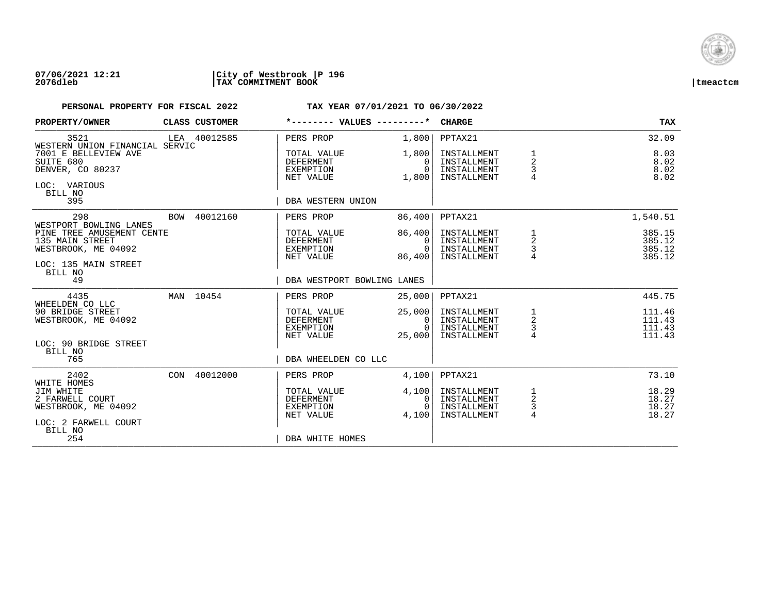

### **07/06/2021 12:21 |City of Westbrook |P 196 2076dleb |TAX COMMITMENT BOOK |tmeactcm**

| PROPERTY/OWNER                                                                                         | CLASS CUSTOMER | *-------- VALUES ---------*                               |                                          | <b>CHARGE</b>                                            |                                            | <b>TAX</b>                           |
|--------------------------------------------------------------------------------------------------------|----------------|-----------------------------------------------------------|------------------------------------------|----------------------------------------------------------|--------------------------------------------|--------------------------------------|
| 3521<br>WESTERN UNION FINANCIAL SERVIC                                                                 | LEA 40012585   | PERS PROP                                                 | 1,800                                    | PPTAX21                                                  |                                            | 32.09                                |
| 7001 E BELLEVIEW AVE<br>SUITE 680<br>DENVER, CO 80237<br>LOC: VARIOUS<br>BILL NO                       |                | TOTAL VALUE<br>DEFERMENT<br>EXEMPTION<br>NET VALUE        | 1,800<br>0<br>$\Omega$<br>1,800          | INSTALLMENT<br>INSTALLMENT<br>INSTALLMENT<br>INSTALLMENT | $\overline{a}$<br>3                        | 8.03<br>8.02<br>8.02<br>8.02         |
| 395                                                                                                    |                | DBA WESTERN UNION                                         |                                          |                                                          |                                            |                                      |
| 298<br>WESTPORT BOWLING LANES                                                                          | BOW 40012160   | PERS PROP                                                 | 86,400                                   | PPTAX21                                                  |                                            | 1,540.51                             |
| PINE TREE AMUSEMENT CENTE<br>135 MAIN STREET<br>WESTBROOK, ME 04092<br>LOC: 135 MAIN STREET<br>BILL NO |                | TOTAL VALUE<br>DEFERMENT<br>EXEMPTION<br>NET VALUE        | 86,400<br>$\Omega$<br>$\Omega$<br>86,400 | INSTALLMENT<br>INSTALLMENT<br>INSTALLMENT<br>INSTALLMENT | $\frac{1}{2}$<br>$\frac{3}{4}$             | 385.15<br>385.12<br>385.12<br>385.12 |
| 49                                                                                                     |                | DBA WESTPORT BOWLING LANES                                |                                          |                                                          |                                            |                                      |
| 4435                                                                                                   | MAN 10454      | PERS PROP                                                 | 25,000                                   | PPTAX21                                                  |                                            | 445.75                               |
| WHEELDEN CO LLC<br>90 BRIDGE STREET<br>WESTBROOK, ME 04092                                             |                | TOTAL VALUE<br>DEFERMENT<br>EXEMPTION<br>NET VALUE        | 25,000<br>0<br>$\Omega$<br>25,000        | INSTALLMENT<br>INSTALLMENT<br>INSTALLMENT<br>INSTALLMENT | 1<br>$\overline{a}$<br>$\frac{3}{4}$       | 111.46<br>111.43<br>111.43<br>111.43 |
| LOC: 90 BRIDGE STREET<br>BILL NO<br>765                                                                |                | DBA WHEELDEN CO LLC                                       |                                          |                                                          |                                            |                                      |
| 2402<br>WHITE HOMES                                                                                    | CON 40012000   | PERS PROP                                                 | 4,100                                    | PPTAX21                                                  |                                            | 73.10                                |
| JIM WHITE<br>2 FARWELL COURT<br>WESTBROOK, ME 04092<br>LOC: 2 FARWELL COURT<br>BILL NO                 |                | TOTAL VALUE<br><b>DEFERMENT</b><br>EXEMPTION<br>NET VALUE | 4,100<br>0<br>$\cap$<br>4,100            | INSTALLMENT<br>INSTALLMENT<br>INSTALLMENT<br>INSTALLMENT | 1<br>$\overline{a}$<br>3<br>$\overline{4}$ | 18.29<br>18.27<br>18.27<br>18.27     |
| 254                                                                                                    |                | DBA WHITE HOMES                                           |                                          |                                                          |                                            |                                      |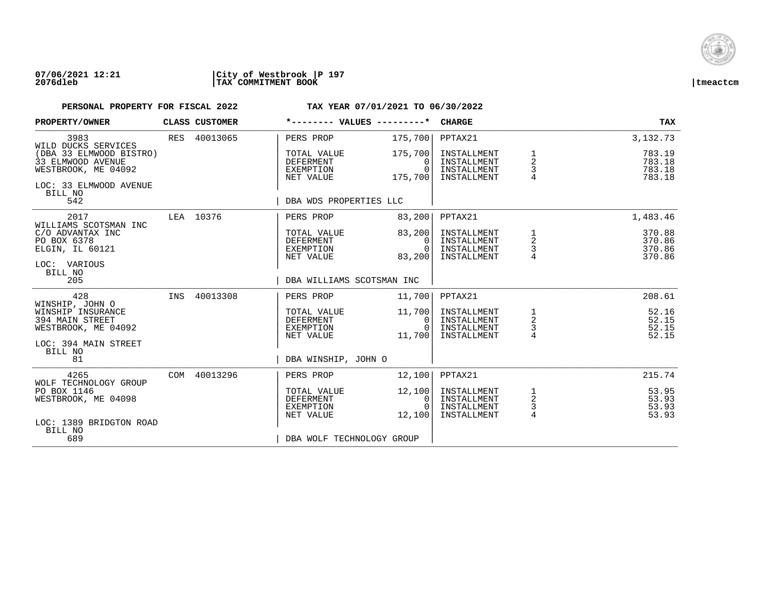

### **07/06/2021 12:21 |City of Westbrook |P 197 2076dleb |TAX COMMITMENT BOOK |tmeactcm**

| PROPERTY/OWNER                                                                                           |     | CLASS CUSTOMER | *-------- VALUES ---------*                               |                                            | <b>CHARGE</b>                                            |                                            | <b>TAX</b>                           |
|----------------------------------------------------------------------------------------------------------|-----|----------------|-----------------------------------------------------------|--------------------------------------------|----------------------------------------------------------|--------------------------------------------|--------------------------------------|
| 3983<br>WILD DUCKS SERVICES                                                                              |     | RES 40013065   | PERS PROP                                                 | 175,700                                    | PPTAX21                                                  |                                            | 3,132.73                             |
| (DBA 33 ELMWOOD BISTRO)<br>33 ELMWOOD AVENUE<br>WESTBROOK, ME 04092<br>LOC: 33 ELMWOOD AVENUE<br>BILL NO |     |                | TOTAL VALUE<br>DEFERMENT<br>EXEMPTION<br>NET VALUE        | 175,700<br>$\Omega$<br>$\Omega$<br>175,700 | INSTALLMENT<br>INSTALLMENT<br>INSTALLMENT<br>INSTALLMENT | 1<br>2<br>3                                | 783.19<br>783.18<br>783.18<br>783.18 |
| 542                                                                                                      |     |                | DBA WDS PROPERTIES LLC                                    |                                            |                                                          |                                            |                                      |
| 2017                                                                                                     |     | LEA 10376      | PERS PROP                                                 | 83,200                                     | PPTAX21                                                  |                                            | 1,483.46                             |
| WILLIAMS SCOTSMAN INC<br>C/O ADVANTAX INC<br>PO BOX 6378<br>ELGIN, IL 60121<br>LOC: VARIOUS              |     |                | TOTAL VALUE<br>DEFERMENT<br>EXEMPTION<br>NET VALUE        | 83,200<br>0<br>$\Omega$<br>83,200          | INSTALLMENT<br>INSTALLMENT<br>INSTALLMENT<br>INSTALLMENT | 1<br>$\overline{a}$<br>$\frac{3}{4}$       | 370.88<br>370.86<br>370.86<br>370.86 |
| BILL NO<br>205                                                                                           |     |                | DBA WILLIAMS SCOTSMAN INC                                 |                                            |                                                          |                                            |                                      |
| 428<br>WINSHIP, JOHN O                                                                                   | INS | 40013308       | PERS PROP                                                 | 11,700                                     | PPTAX21                                                  |                                            | 208.61                               |
| WINSHIP INSURANCE<br>394 MAIN STREET<br>WESTBROOK, ME 04092                                              |     |                | TOTAL VALUE<br><b>DEFERMENT</b><br>EXEMPTION<br>NET VALUE | 11,700<br>0<br>$\Omega$<br>11,700          | INSTALLMENT<br>INSTALLMENT<br>INSTALLMENT<br>INSTALLMENT | $\frac{1}{2}$<br>$\frac{3}{4}$             | 52.16<br>52.15<br>52.15<br>52.15     |
| LOC: 394 MAIN STREET<br>BILL NO                                                                          |     |                |                                                           |                                            |                                                          |                                            |                                      |
| 81                                                                                                       |     |                | DBA WINSHIP, JOHN O                                       |                                            |                                                          |                                            |                                      |
| 4265<br>WOLF TECHNOLOGY GROUP                                                                            |     | COM 40013296   | PERS PROP                                                 | 12,100                                     | PPTAX21                                                  |                                            | 215.74                               |
| PO BOX 1146<br>WESTBROOK, ME 04098                                                                       |     |                | TOTAL VALUE<br>DEFERMENT<br>EXEMPTION<br>NET VALUE        | 12,100<br>0<br>$\Omega$<br>12,100          | INSTALLMENT<br>INSTALLMENT<br>INSTALLMENT<br>INSTALLMENT | 1<br>$\overline{c}$<br>3<br>$\overline{4}$ | 53.95<br>53.93<br>53.93<br>53.93     |
| LOC: 1389 BRIDGTON ROAD<br>BILL NO<br>689                                                                |     |                | DBA WOLF TECHNOLOGY GROUP                                 |                                            |                                                          |                                            |                                      |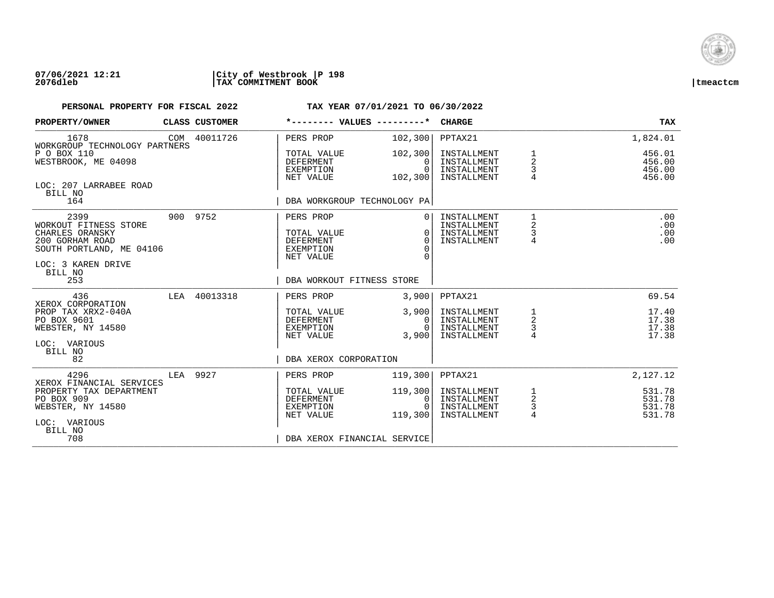

### **07/06/2021 12:21 |City of Westbrook |P 198 2076dleb |TAX COMMITMENT BOOK |tmeactcm**

| PROPERTY/OWNER                                                                                                                   |     | <b>CLASS CUSTOMER</b> | *-------- VALUES                                                       | ---------*                     | <b>CHARGE</b>                                            |                                | <b>TAX</b>                           |
|----------------------------------------------------------------------------------------------------------------------------------|-----|-----------------------|------------------------------------------------------------------------|--------------------------------|----------------------------------------------------------|--------------------------------|--------------------------------------|
| 1678<br>WORKGROUP TECHNOLOGY PARTNERS                                                                                            |     | COM 40011726          | PERS PROP                                                              | 102,300                        | PPTAX21                                                  |                                | 1,824.01                             |
| P O BOX 110<br>WESTBROOK, ME 04098                                                                                               |     |                       | TOTAL VALUE<br><b>DEFERMENT</b><br><b>EXEMPTION</b><br>NET VALUE       | 102,300<br>$\Omega$<br>102,300 | INSTALLMENT<br>INSTALLMENT<br>INSTALLMENT<br>INSTALLMENT | $\overline{a}$<br>3            | 456.01<br>456.00<br>456.00<br>456.00 |
| LOC: 207 LARRABEE ROAD<br>BILL NO<br>164                                                                                         |     |                       | DBA WORKGROUP TECHNOLOGY PA                                            |                                |                                                          |                                |                                      |
| 2399<br>WORKOUT FITNESS STORE<br>CHARLES ORANSKY<br>200 GORHAM ROAD<br>SOUTH PORTLAND, ME 04106<br>LOC: 3 KAREN DRIVE<br>BILL NO |     | 900 9752              | PERS PROP<br>TOTAL VALUE<br><b>DEFERMENT</b><br>EXEMPTION<br>NET VALUE | $\Omega$<br>$\Omega$           | INSTALLMENT<br>INSTALLMENT<br>INSTALLMENT<br>INSTALLMENT | 2<br>3<br>4                    | .00<br>.00<br>.00<br>.00             |
| 253                                                                                                                              |     |                       | DBA WORKOUT FITNESS STORE                                              |                                |                                                          |                                |                                      |
| 436<br>XEROX CORPORATION<br>PROP TAX XRX2-040A<br>PO BOX 9601<br>WEBSTER, NY 14580<br>LOC: VARIOUS                               | LEA | 40013318              | PERS PROP<br>TOTAL VALUE<br><b>DEFERMENT</b>                           | 3,900<br>3,900<br>0            | PPTAX21<br>INSTALLMENT<br>INSTALLMENT                    | $\overline{a}$                 | 69.54<br>17.40<br>17.38              |
|                                                                                                                                  |     |                       | EXEMPTION<br>NET VALUE                                                 | 3,900                          | INSTALLMENT<br>INSTALLMENT                               | 3<br>$\overline{4}$            | 17.38<br>17.38                       |
| BILL NO<br>82                                                                                                                    |     |                       | DBA XEROX CORPORATION                                                  |                                |                                                          |                                |                                      |
| 4296<br>XEROX FINANCIAL SERVICES                                                                                                 | LEA | 9927                  | PERS PROP                                                              | 119,300                        | PPTAX21                                                  |                                | 2,127.12                             |
| PROPERTY TAX DEPARTMENT<br>PO BOX 909<br>WEBSTER, NY 14580<br>LOC: VARIOUS<br>BILL NO                                            |     |                       | TOTAL VALUE<br><b>DEFERMENT</b><br>EXEMPTION<br>NET VALUE              | 119,300<br>0<br>119,300        | INSTALLMENT<br>INSTALLMENT<br>INSTALLMENT<br>INSTALLMENT | $\frac{1}{2}$<br>$\frac{3}{4}$ | 531.78<br>531.78<br>531.78<br>531.78 |
| 708                                                                                                                              |     |                       | DBA XEROX FINANCIAL SERVICE                                            |                                |                                                          |                                |                                      |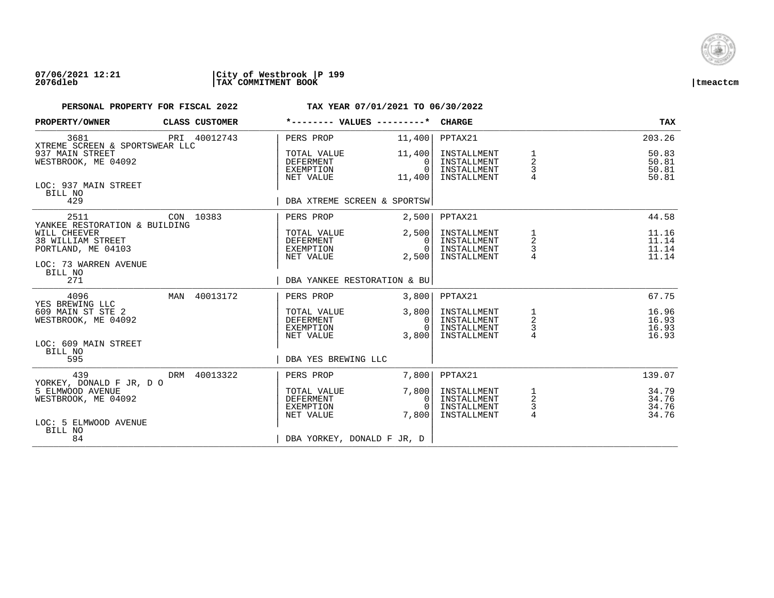

### **07/06/2021 12:21 |City of Westbrook |P 199 2076dleb |TAX COMMITMENT BOOK |tmeactcm**

| PROPERTY/OWNER                                                                                                    |         | CLASS CUSTOMER | *-------- VALUES ---------*                        |                                              | <b>CHARGE</b>                                            |                                            | TAX                              |
|-------------------------------------------------------------------------------------------------------------------|---------|----------------|----------------------------------------------------|----------------------------------------------|----------------------------------------------------------|--------------------------------------------|----------------------------------|
| 3681<br>XTREME SCREEN & SPORTSWEAR LLC                                                                            |         | PRI 40012743   | PERS PROP                                          | 11,400                                       | PPTAX21                                                  |                                            | 203.26                           |
| 937 MAIN STREET<br>WESTBROOK, ME 04092                                                                            |         |                | TOTAL VALUE<br>DEFERMENT<br>EXEMPTION<br>NET VALUE | 11,400<br>0<br>$\Omega$<br>11,400            | INSTALLMENT<br>INSTALLMENT<br>INSTALLMENT<br>INSTALLMENT | 1<br>$\overline{a}$<br>3<br>$\overline{4}$ | 50.83<br>50.81<br>50.81<br>50.81 |
| LOC: 937 MAIN STREET<br>BILL NO<br>429                                                                            |         |                | DBA XTREME SCREEN & SPORTSW                        |                                              |                                                          |                                            |                                  |
| 2511                                                                                                              |         | CON 10383      | PERS PROP                                          | 2,500                                        | PPTAX21                                                  |                                            | 44.58                            |
| YANKEE RESTORATION & BUILDING<br>WILL CHEEVER<br>38 WILLIAM STREET<br>PORTLAND, ME 04103<br>LOC: 73 WARREN AVENUE |         |                | TOTAL VALUE<br>DEFERMENT<br>EXEMPTION<br>NET VALUE | 2,500<br>$\Omega$<br>$\overline{0}$<br>2,500 | INSTALLMENT<br>INSTALLMENT<br>INSTALLMENT<br>INSTALLMENT | 1<br>2<br>3                                | 11.16<br>11.14<br>11.14<br>11.14 |
| 271                                                                                                               | BILL NO |                |                                                    | DBA YANKEE RESTORATION & BU                  |                                                          |                                            |                                  |
| 4096<br>YES BREWING LLC                                                                                           |         | MAN 40013172   | PERS PROP                                          | 3,800                                        | PPTAX21                                                  |                                            | 67.75                            |
| 609 MAIN ST STE 2<br>WESTBROOK, ME 04092                                                                          |         |                | TOTAL VALUE<br>DEFERMENT<br>EXEMPTION<br>NET VALUE | 3,800<br>$\overline{0}$<br>$\Omega$<br>3,800 | INSTALLMENT<br>INSTALLMENT<br>INSTALLMENT<br>INSTALLMENT | 1<br>$\overline{a}$<br>$\frac{3}{4}$       | 16.96<br>16.93<br>16.93<br>16.93 |
| LOC: 609 MAIN STREET<br>BILL NO<br>595                                                                            |         |                | DBA YES BREWING LLC                                |                                              |                                                          |                                            |                                  |
| 439<br>YORKEY, DONALD F JR, D O                                                                                   |         | DRM 40013322   | PERS PROP                                          | 7,800                                        | PPTAX21                                                  |                                            | 139.07                           |
| 5 ELMWOOD AVENUE<br>WESTBROOK, ME 04092                                                                           |         |                | TOTAL VALUE<br>DEFERMENT<br>EXEMPTION<br>NET VALUE | 7,800<br>0<br>$\bigcap$<br>7,800             | INSTALLMENT<br>INSTALLMENT<br>INSTALLMENT<br>INSTALLMENT | 1<br>$\overline{a}$<br>$\frac{3}{4}$       | 34.79<br>34.76<br>34.76<br>34.76 |
| LOC: 5 ELMWOOD AVENUE<br>BILL NO<br>84                                                                            |         |                | DBA YORKEY, DONALD F JR, D                         |                                              |                                                          |                                            |                                  |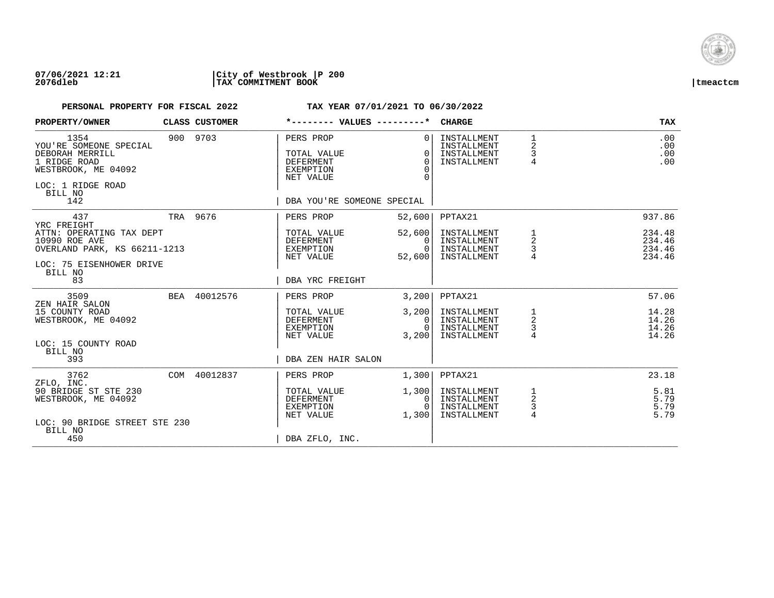

### **07/06/2021 12:21 |City of Westbrook |P 200 2076dleb |TAX COMMITMENT BOOK |tmeactcm**

| PROPERTY/OWNER                                                                                                                  | CLASS CUSTOMER | *-------- VALUES ---------*                                                                          |                                                                | <b>CHARGE</b>                                            |                                          | <b>TAX</b>                           |
|---------------------------------------------------------------------------------------------------------------------------------|----------------|------------------------------------------------------------------------------------------------------|----------------------------------------------------------------|----------------------------------------------------------|------------------------------------------|--------------------------------------|
| 1354<br>YOU'RE SOMEONE SPECIAL<br>DEBORAH MERRILL<br>1 RIDGE ROAD<br>WESTBROOK, ME 04092<br>LOC: 1 RIDGE ROAD<br>BILL NO<br>142 | 900 9703       | PERS PROP<br>TOTAL VALUE<br><b>DEFERMENT</b><br>EXEMPTION<br>NET VALUE<br>DBA YOU'RE SOMEONE SPECIAL | 0 <sup>1</sup><br>$\Omega$<br>$\Omega$<br>$\Omega$<br>$\Omega$ | INSTALLMENT<br>INSTALLMENT<br>INSTALLMENT<br>INSTALLMENT | $\mathbf{1}$<br>2<br>3<br>$\overline{4}$ | .00<br>.00<br>.00<br>.00             |
| 437<br>YRC FREIGHT                                                                                                              | TRA 9676       | PERS PROP                                                                                            | 52,600                                                         | PPTAX21                                                  |                                          | 937.86                               |
| ATTN: OPERATING TAX DEPT<br>10990 ROE AVE<br>OVERLAND PARK, KS 66211-1213<br>LOC: 75 EISENHOWER DRIVE<br>BILL NO                |                | TOTAL VALUE<br>DEFERMENT<br>EXEMPTION<br>NET VALUE                                                   | 52,600<br>0 <sup>1</sup><br>$\Omega$<br>52,600                 | INSTALLMENT<br>INSTALLMENT<br>INSTALLMENT<br>INSTALLMENT | 1<br>$\overline{\mathbf{c}}$<br>3        | 234.48<br>234.46<br>234.46<br>234.46 |
| 83                                                                                                                              |                | DBA YRC FREIGHT                                                                                      |                                                                |                                                          |                                          |                                      |
| 3509<br>ZEN HAIR SALON                                                                                                          | BEA 40012576   | PERS PROP                                                                                            | 3,200                                                          | PPTAX21                                                  |                                          | 57.06                                |
| 15 COUNTY ROAD<br>WESTBROOK, ME 04092                                                                                           |                | TOTAL VALUE<br><b>DEFERMENT</b><br>EXEMPTION<br>NET VALUE                                            | 3,200<br>0<br>$\Omega$<br>3,200                                | INSTALLMENT<br>INSTALLMENT<br>INSTALLMENT<br>INSTALLMENT | 1<br>$\overline{a}$<br>4                 | 14.28<br>14.26<br>14.26<br>14.26     |
| LOC: 15 COUNTY ROAD<br>BILL NO<br>393                                                                                           |                | DBA ZEN HAIR SALON                                                                                   |                                                                |                                                          |                                          |                                      |
| 3762<br>ZFLO, INC.                                                                                                              | COM 40012837   | PERS PROP                                                                                            | 1,300                                                          | PPTAX21                                                  |                                          | 23.18                                |
| 90 BRIDGE ST STE 230<br>WESTBROOK, ME 04092<br>LOC: 90 BRIDGE STREET STE 230                                                    |                | TOTAL VALUE<br>DEFERMENT<br>EXEMPTION<br>NET VALUE                                                   | 1,300<br>0<br>$\Omega$<br>1,300                                | INSTALLMENT<br>INSTALLMENT<br>INSTALLMENT<br>INSTALLMENT | 1<br>2<br>3<br>$\overline{4}$            | 5.81<br>5.79<br>5.79<br>5.79         |
| BILL NO<br>450                                                                                                                  |                | DBA ZFLO, INC.                                                                                       |                                                                |                                                          |                                          |                                      |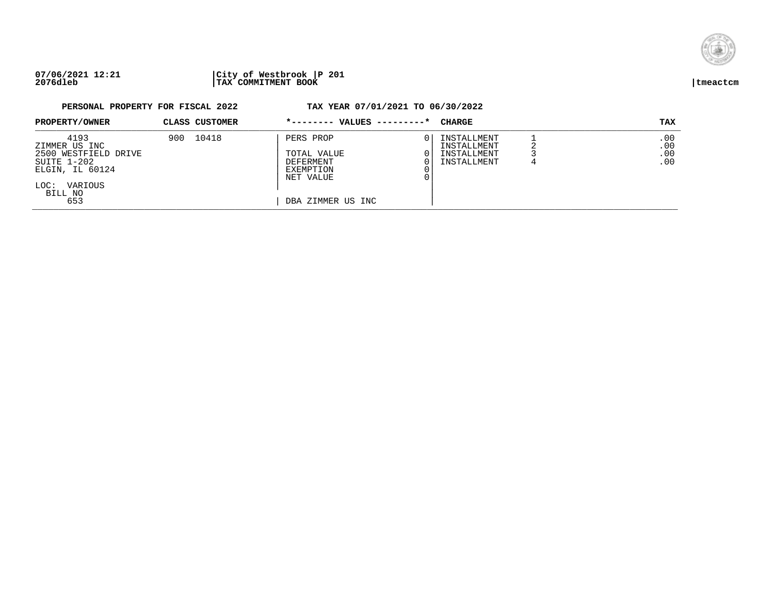

## **07/06/2021 12:21 |City of Westbrook |P 201 2076dleb |TAX COMMITMENT BOOK |tmeactcm**

| PROPERTY/OWNER                                                                                                       |     | CLASS CUSTOMER | *-------- VALUES ---------*                                                                        | CHARGE                                                   | TAX                      |
|----------------------------------------------------------------------------------------------------------------------|-----|----------------|----------------------------------------------------------------------------------------------------|----------------------------------------------------------|--------------------------|
| 4193<br>ZIMMER US INC<br>2500 WESTFIELD DRIVE<br>SUITE 1-202<br>ELGIN, IL 60124<br>VARIOUS<br>LOC:<br>BILL NO<br>653 | 900 | 10418          | PERS PROP<br>TOTAL VALUE<br><b>DEFERMENT</b><br><b>EXEMPTION</b><br>NET VALUE<br>DBA ZIMMER US INC | INSTALLMENT<br>INSTALLMENT<br>INSTALLMENT<br>INSTALLMENT | .00<br>.00<br>.00<br>.00 |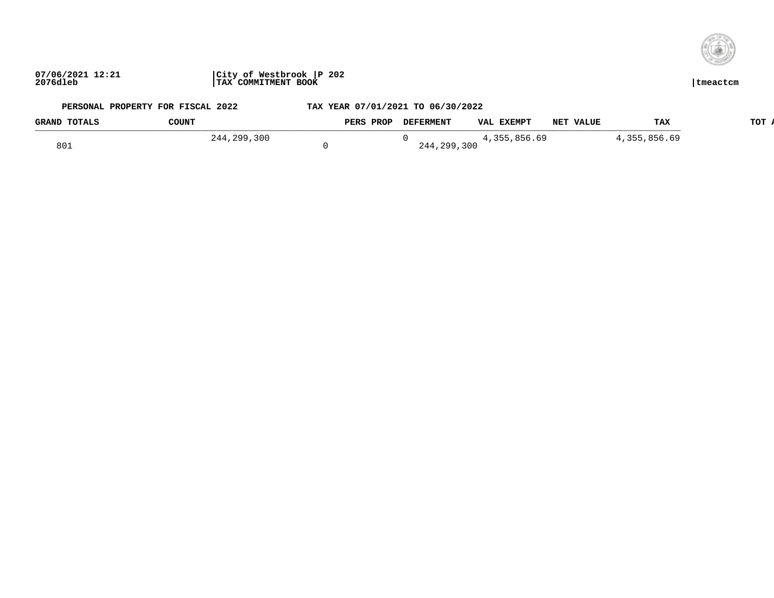

| <b>GRAND TOTALS</b> | <b>COUNT</b>      | <b>PROI</b><br><b>PERS</b> | <b>DEFERMENT</b> | <b>EXEMPT</b><br><b>VAL</b> | <b>VALUE</b><br>NET | TAJ                   | TOT |
|---------------------|-------------------|----------------------------|------------------|-----------------------------|---------------------|-----------------------|-----|
|                     | .300<br>つりい<br>44 |                            |                  | . .                         |                     | ,856.69<br>$\sim$ 5.1 |     |
| 801                 |                   |                            | 299,300<br>240   |                             |                     |                       |     |